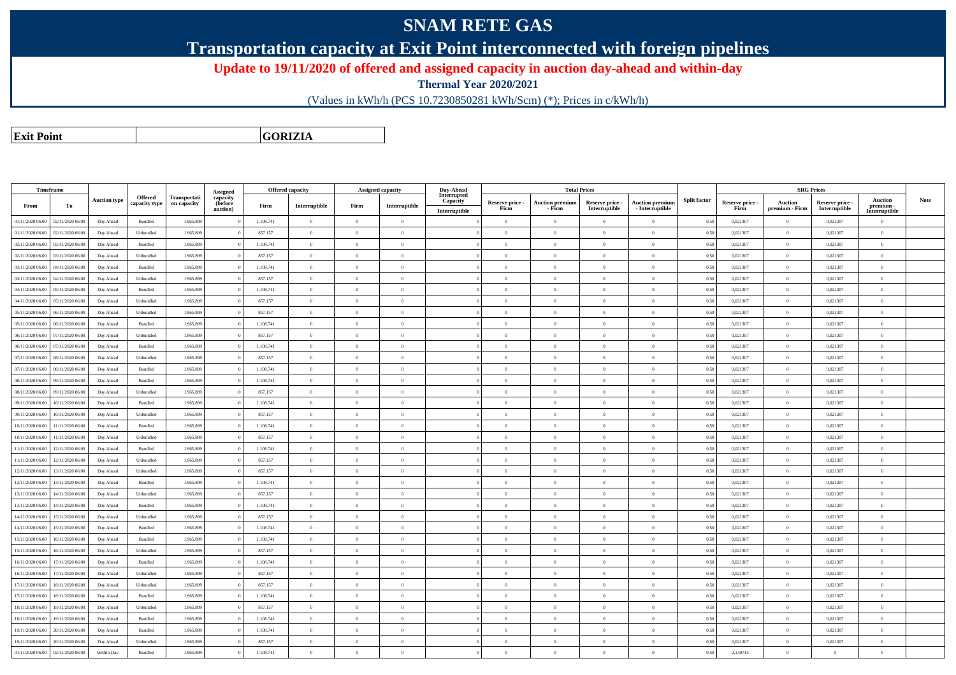## **SNAM RETE GAS**

**Transportation capacity at Exit Point interconnected with foreign pipelines**

**Update to 19/11/2020 of offered and assigned capacity in auction day-ahead and within-day**

**Thermal Year 2020/2021**

(Values in kWh/h (PCS 10.7230850281 kWh/Scm) (\*); Prices in c/kWh/h)

**Exit PointGORIZIA**

|                  | Timeframe        |                     |                          |                             |                                        |           | <b>Offered capacity</b> |                | Assigned capacity | Day-Ahead               |                 |                        | <b>Total Prices</b> |                        |                     |                 |                | <b>SRG Prices</b> |                          |      |
|------------------|------------------|---------------------|--------------------------|-----------------------------|----------------------------------------|-----------|-------------------------|----------------|-------------------|-------------------------|-----------------|------------------------|---------------------|------------------------|---------------------|-----------------|----------------|-------------------|--------------------------|------|
|                  |                  | <b>Auction type</b> | Offered<br>capacity type | Transportati<br>on capacity | <b>Assigned</b><br>capacity<br>(before |           |                         |                |                   | Interrupted<br>Capacity | Reserve price - | <b>Auction premium</b> | Reserve price -     | <b>Auction premium</b> | <b>Split factor</b> | Reserve price - | Auction        | Reserve price -   | <b>Auction</b>           | Note |
| From             | Тo               |                     |                          |                             | auction)                               | Firm      | Interruptible           | Firm           | Interruptible     | Interruptible           | Firm            | - Firm                 | Interruptible       | - Interruptible        |                     | Firm            | premium - Firm | Interruptible     | premium<br>Interruptible |      |
| 01/11/2020 06.00 | 02/11/2020 06.00 | Day Ahead           | Bundled                  | 1.965.899                   |                                        | 1.108.741 | $\overline{0}$          | $\Omega$       | $\overline{0}$    |                         | $\overline{0}$  | $\overline{0}$         | $\overline{0}$      | $\theta$               | 0,50                | 0,021307        | $\overline{0}$ | 0,021307          | $\overline{0}$           |      |
| 01/11/2020 06.00 | 02/11/2020 06.00 | Day Ahead           | Unbundled                | 1.965.89                    |                                        | 857.157   | $\overline{0}$          | $\Omega$       | $\overline{0}$    |                         | $\theta$        | $\overline{0}$         | $\theta$            | $\theta$               | 0,50                | 0,021307        | $\overline{0}$ | 0,021307          | $\mathbf{0}$             |      |
| 02/11/2020 06.00 | 03/11/2020 06.00 | Day Ahead           | Bundled                  | 1.965.899                   |                                        | 1.108.741 | $\overline{0}$          | $\Omega$       | $\Omega$          |                         | $\Omega$        | $\theta$               | $\Omega$            | $\theta$               | 0,50                | 0,021307        | $\overline{0}$ | 0,021307          | $\mathbf{0}$             |      |
| 02/11/2020 06.00 | 03/11/2020 06.00 | Day Ahead           | Unbundled                | 1.965.899                   |                                        | 857.157   | $\overline{0}$          | $\Omega$       | $\theta$          |                         | $\Omega$        | $\theta$               | $\Omega$            | $\Omega$               | 0,50                | 0,021307        | $\Omega$       | 0,021307          | $\overline{0}$           |      |
| 03/11/2020 06.00 | 04/11/2020 06.00 | Day Ahead           | <b>Bundled</b>           | 1.965.899                   |                                        | 1.108.741 | $\overline{0}$          | $\theta$       | $\theta$          |                         | $\Omega$        | $\theta$               | $\Omega$            | $\overline{0}$         | 0,50                | 0.021307        | $\overline{0}$ | 0.021307          | $\overline{0}$           |      |
| 03/11/2020 06.00 | 04/11/2020 06.00 | Day Ahead           | Unbundled                | 1.965.899                   |                                        | 857.157   | $\overline{0}$          | $\Omega$       | $\overline{0}$    |                         | $\Omega$        | $\theta$               | $\Omega$            | $\theta$               | 0,50                | 0.021307        | $\overline{0}$ | 0,021307          | $\mathbf{0}$             |      |
| 04/11/2020 06.00 | 05/11/2020 06.00 | Day Ahead           | <b>Bundled</b>           | 1.965.899                   |                                        | 1.108.741 | $\overline{0}$          | $\Omega$       | $\theta$          |                         | $\theta$        | $\theta$               | $\theta$            | $\theta$               | 0,50                | 0.021307        | $\overline{0}$ | 0.021307          | $\overline{0}$           |      |
| 04/11/2020 06.00 | 05/11/2020 06.00 | Day Ahead           | Unbundled                | 1.965.899                   |                                        | 857.157   | $\overline{0}$          | $\Omega$       | $\overline{0}$    |                         | $\overline{0}$  | $\overline{0}$         | $\theta$            | $\theta$               | 0,50                | 0,021307        | $\overline{0}$ | 0,021307          | $\mathbf{0}$             |      |
| 05/11/2020 06.00 | 06/11/2020 06.00 | Day Ahead           | Unbundled                | 1.965.89                    |                                        | 857.157   | $\overline{0}$          | $\overline{0}$ | $\overline{0}$    |                         | $\overline{0}$  | $\overline{0}$         | $\theta$            | $\overline{0}$         | 0,50                | 0,021307        | $\overline{0}$ | 0,021307          | $\mathbf{0}$             |      |
| 05/11/2020 06.00 | 06/11/2020 06.00 | Day Ahead           | $\mathbf B$ undled       | 1.965.899                   |                                        | 1.108.741 | $\overline{0}$          | $\overline{0}$ | $\overline{0}$    |                         | $\overline{0}$  | $\overline{0}$         | $\theta$            | $\overline{0}$         | 0,50                | 0,021307        | $\overline{0}$ | 0,021307          | $\,$ 0 $\,$              |      |
| 06/11/2020 06.00 | 07/11/2020 06.00 | Day Ahead           | Unbundled                | 1.965.899                   |                                        | 857.157   | $\theta$                | $\Omega$       | $\overline{0}$    |                         | $\Omega$        | $\overline{0}$         | $\Omega$            | $\theta$               | 0,50                | 0,021307        | $\overline{0}$ | 0,021307          | $\overline{0}$           |      |
| 06/11/2020 06.00 | 07/11/2020 06.00 | Day Ahead           | Bundled                  | 1.965.899                   |                                        | 1.108.741 | $\overline{0}$          | $\theta$       | $\Omega$          |                         | $\overline{0}$  | $\theta$               | $\theta$            | $\theta$               | 0,50                | 0,021307        | $\,$ 0 $\,$    | 0,021307          | $\mathbf{0}$             |      |
| 07/11/2020 06.00 | 08/11/2020 06.00 | Day Ahead           | Unbundled                | 1.965.899                   |                                        | 857.157   | $\overline{0}$          | $\Omega$       | $\overline{0}$    |                         | $\theta$        | $\theta$               | $\theta$            | $\theta$               | 0,50                | 0.021307        | $\overline{0}$ | 0,021307          | $\overline{0}$           |      |
| 07/11/2020 06.00 | 08/11/2020 06.00 | Day Ahead           | Bundled                  | 1.965.89                    |                                        | 1.108.741 | $\overline{0}$          | $\Omega$       | $\Omega$          |                         | $\Omega$        | $\theta$               | $\theta$            | $\Omega$               | 0,50                | 0,021307        | $\overline{0}$ | 0,021307          | $\Omega$                 |      |
| 08/11/2020 06.00 | 09/11/2020 06.00 | Day Ahead           | Bundled                  | 1.965.899                   |                                        | 1.108.741 | $\overline{0}$          | $\overline{0}$ | $\overline{0}$    |                         | $\overline{0}$  | $\overline{0}$         | $\overline{0}$      | $\overline{0}$         | 0,50                | 0,021307        | $\overline{0}$ | 0,021307          | $\mathbf{0}$             |      |
| 08/11/2020 06.00 | 09/11/2020 06.00 | Day Ahead           | Unbundled                | 1.965.899                   |                                        | 857.157   | $\overline{0}$          | $\Omega$       | $\overline{0}$    |                         | $\overline{0}$  | $\overline{0}$         | $\theta$            | $\theta$               | 0,50                | 0,021307        | $\overline{0}$ | 0,021307          | $\overline{0}$           |      |
| 09/11/2020 06.00 | 10/11/2020 06.00 | Day Ahead           | Bundled                  | 1.965.899                   |                                        | 1.108.741 | $\overline{0}$          | $\Omega$       | $\overline{0}$    |                         | $\overline{0}$  | $\theta$               | $\theta$            | $\theta$               | 0,50                | 0,021307        | $\overline{0}$ | 0,021307          | $\mathbf{0}$             |      |
| 09/11/2020 06.00 | 10/11/2020 06.00 | Day Ahead           | Unbundled                | 1.965.899                   |                                        | 857.157   | $\Omega$                | $\Omega$       | $\Omega$          |                         | $\Omega$        | $\theta$               | $\Omega$            | $\Omega$               | 0.50                | 0.021307        | $\Omega$       | 0.021307          | $\theta$                 |      |
| 10/11/2020 06.00 | 11/11/2020 06.00 | Day Ahead           | $\mathbf B$ undled       | 1.965.899                   |                                        | 1.108.741 | $\overline{0}$          | $\theta$       | $\overline{0}$    |                         | $\overline{0}$  | $\overline{0}$         | $\Omega$            | $\theta$               | 0,50                | 0,021307        | $\overline{0}$ | 0,021307          | $\mathbf{0}$             |      |
| 10/11/2020 06.00 | 11/11/2020 06.00 | Day Ahead           | Unbundled                | 1.965.899                   |                                        | 857.157   | $\overline{0}$          | $\Omega$       | $\overline{0}$    |                         | $\Omega$        | $\theta$               | $\Omega$            | $\theta$               | 0,50                | 0.021307        | $\overline{0}$ | 0,021307          | $\mathbf{0}$             |      |
| 11/11/2020 06.00 | 12/11/2020 06.00 | Day Ahead           | Bundled                  | 1.965.899                   |                                        | 1.108.741 | $\overline{0}$          | $\Omega$       | $\overline{0}$    |                         | $\overline{0}$  | $\overline{0}$         | $\theta$            | $\Omega$               | 0,50                | 0,021307        | $\overline{0}$ | 0,021307          | $\overline{0}$           |      |
| 11/11/2020 06:00 | 12/11/2020 06.00 | Day Ahead           | Unbundled                | 1.965.899                   |                                        | 857.157   | $\overline{0}$          | $\Omega$       | $\theta$          |                         | $\Omega$        | $\theta$               | $\theta$            | $\theta$               | 0,50                | 0,021307        | $\overline{0}$ | 0,021307          | $\mathbf{0}$             |      |
| 12/11/2020 06:00 | 13/11/2020 06.00 | Day Ahead           | Unbundled                | 1.965.89                    |                                        | 857.157   | $\overline{0}$          | $\overline{0}$ | $\overline{0}$    |                         | $\overline{0}$  | $\overline{0}$         | $\theta$            | $\overline{0}$         | 0,50                | 0,021307        | $\overline{0}$ | 0,021307          | $\overline{0}$           |      |
| 12/11/2020 06:00 | 13/11/2020 06.00 | Day Ahead           | Bundled                  | 1.965.899                   |                                        | 1.108.741 | $\overline{0}$          | $\overline{0}$ | $\overline{0}$    |                         | $\overline{0}$  | $\overline{0}$         | $\theta$            | $\overline{0}$         | 0,50                | 0,021307        | $\overline{0}$ | 0,021307          | $\mathbf{0}$             |      |
| 13/11/2020 06:00 | 14/11/2020 06.00 | Day Ahead           | Unbundled                | 1.965.899                   |                                        | 857.157   | $\,$ 0 $\,$             | $\Omega$       | $\overline{0}$    |                         | $\overline{0}$  | $\theta$               | $\theta$            | $\theta$               | 0,50                | 0.021307        | $\overline{0}$ | 0,021307          | $\mathbf{0}$             |      |
| 13/11/2020 06.00 | 14/11/2020 06.00 | Day Ahead           | Bundled                  | 1.965.899                   |                                        | 1.108.741 | $\overline{0}$          | $\Omega$       | $\Omega$          |                         | $\overline{0}$  | $\overline{0}$         | $\Omega$            | $\theta$               | 0,50                | 0,021307        | $\,$ 0 $\,$    | 0,021307          | $\,$ 0 $\,$              |      |
| 14/11/2020 06.00 | 15/11/2020 06.00 | Day Ahead           | Unbundled                | 1.965.899                   |                                        | 857.157   | $\overline{0}$          | $\Omega$       | $\overline{0}$    |                         | $\overline{0}$  | $\overline{0}$         | $\theta$            | $\theta$               | 0,50                | 0.021307        | $\overline{0}$ | 0,021307          | $\,$ 0 $\,$              |      |
| 14/11/2020 06.00 | 15/11/2020 06.00 | Day Ahead           | Bundled                  | 1.965.89                    |                                        | 1.108.741 | $\overline{0}$          | $\Omega$       | $\overline{0}$    |                         | $\overline{0}$  | $\overline{0}$         | $\theta$            | $\theta$               | 0,50                | 0,021307        | $\overline{0}$ | 0,021307          | $\mathbf{0}$             |      |
| 15/11/2020 06.00 | 16/11/2020 06.00 | Day Ahead           | Bundled                  | 1.965.899                   |                                        | 1.108.741 | $\overline{0}$          | $\overline{0}$ | $\overline{0}$    |                         | $\overline{0}$  | $\overline{0}$         | $\overline{0}$      | $\overline{0}$         | 0,50                | 0,021307        | $\overline{0}$ | 0,021307          | $\mathbf{0}$             |      |
| 15/11/2020 06.00 | 16/11/2020 06.00 | Day Ahead           | Unbundled                | 1.965.899                   |                                        | 857.157   | $\overline{0}$          | $\Omega$       | $\overline{0}$    |                         | $\Omega$        | $\theta$               | $\Omega$            | $\Omega$               | 0,50                | 0,021307        | $\overline{0}$ | 0,021307          | $\overline{0}$           |      |
| 16/11/2020 06.00 | 17/11/2020 06.00 | Day Ahead           | Bundled                  | 1.965.899                   |                                        | 1.108.741 | $\overline{0}$          | $\theta$       | $\Omega$          |                         | $\Omega$        | $\theta$               | $\theta$            | $\theta$               | 0,50                | 0,021307        | $\overline{0}$ | 0,021307          | $\mathbf{0}$             |      |
| 16/11/2020 06:00 | 17/11/2020 06.00 | Day Ahead           | Unbundled                | 1.965.899                   |                                        | 857.157   | $\overline{0}$          | $^{\circ}$     | $\Omega$          |                         | $\Omega$        | $\theta$               | $\theta$            | $\Omega$               | 0,50                | 0.021307        | $\theta$       | 0.021307          | $\theta$                 |      |
| 17/11/2020 06.00 | 18/11/2020 06.00 | Day Ahead           | Unbundled                | 1.965.899                   |                                        | 857.157   | $\overline{0}$          | $\Omega$       | $\theta$          |                         | $\overline{0}$  | $\overline{0}$         | $\Omega$            | $\sqrt{2}$             | 0,50                | 0,021307        | $\overline{0}$ | 0,021307          | $\mathbf{0}$             |      |
| 17/11/2020 06.00 | 18/11/2020 06.00 | Day Ahead           | Bundled                  | 1.965.899                   |                                        | 1.108.741 | $\overline{0}$          | $\Omega$       | $\overline{0}$    |                         | $\overline{0}$  | $\overline{0}$         | $\overline{0}$      | $\overline{0}$         | 0,50                | 0,021307        | $\overline{0}$ | 0,021307          | $\mathbf{0}$             |      |
| 18/11/2020 06.00 | 19/11/2020 06.0  | Day Ahead           | Unbundled                | 1.965.89                    |                                        | 857.157   | $\overline{0}$          | $\Omega$       | $\overline{0}$    |                         | $\overline{0}$  | $\overline{0}$         | $\theta$            | $\sqrt{2}$             | 0,50                | 0,021307        | $\overline{0}$ | 0,021307          | $\mathbf{0}$             |      |
| 18/11/2020 06:00 | 19/11/2020 06.00 | Day Ahead           | Bundled                  | 1.965.899                   |                                        | 1.108.741 | $\overline{0}$          | $\Omega$       | $\Omega$          |                         | $\Omega$        | $\theta$               | $\theta$            | $\theta$               | 0,50                | 0,021307        | $\overline{0}$ | 0,021307          | $\mathbf{0}$             |      |
| 19/11/2020 06:00 | 20/11/2020 06.00 | Day Ahead           | <b>Bundled</b>           | 1.965.899                   |                                        | 1.108.741 | $\Omega$                |                | $\theta$          |                         | $\Omega$        | $\theta$               | $\Omega$            | $\Omega$               | 0.50                | 0.021307        | $\Omega$       | 0.021307          | $\theta$                 |      |
| 19/11/2020 06:00 | 20/11/2020 06.00 | Day Ahead           | Unbundled                | 1.965.899                   |                                        | 857.157   | $\overline{0}$          | $\overline{0}$ | $\overline{0}$    |                         | $\overline{0}$  | $\overline{0}$         | $\theta$            | $\bf{0}$               | 0,50                | 0,021307        | $\overline{0}$ | 0,021307          | $\mathbf{0}$             |      |
| 01/11/2020 06:00 | 02/11/2020 06:00 | Within Day          | <b>Bundled</b>           | 1.965.899                   |                                        | 1.108.741 | $\,0\,$                 |                | $\Omega$          |                         | $\Omega$        | $\theta$               | $\Omega$            | $\Omega$               | 0,50                | 2,130715        | $\mathbf{0}$   | $\mathbf{0}$      | $\overline{0}$           |      |

02/11/2020 06.00 Within Day Bundled 1.965.899 <sup>0</sup> 1.108.741 <sup>0</sup> <sup>0</sup> <sup>0</sup> <sup>0</sup> <sup>0</sup> <sup>0</sup> <sup>0</sup> <sup>0</sup> 0,50 2,130715 <sup>0</sup> <sup>0</sup> <sup>0</sup>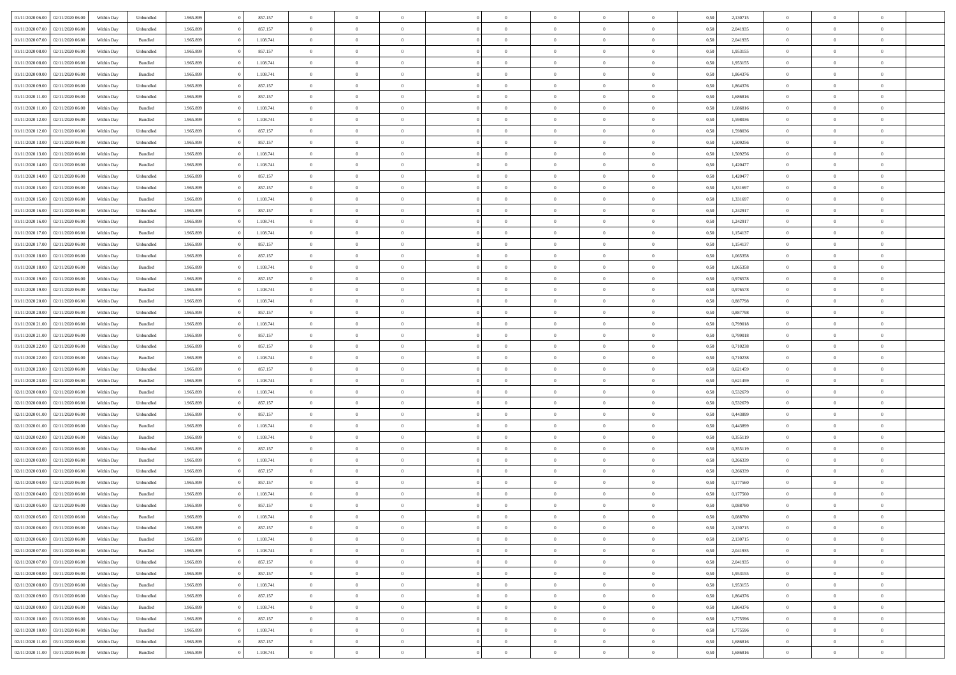| 01/11/2020 06:00                  | 02/11/2020 06.00 | Within Dav | Unbundled          | 1.965.899 | 857.157   | $\overline{0}$ | $\theta$       |                | $\Omega$       | $\Omega$       | $\theta$       | $\theta$       | 0,50 | 2,130715 | $\theta$       | $\overline{0}$ | $\overline{0}$ |  |
|-----------------------------------|------------------|------------|--------------------|-----------|-----------|----------------|----------------|----------------|----------------|----------------|----------------|----------------|------|----------|----------------|----------------|----------------|--|
| 01/11/2020 07.00                  | 02/11/2020 06.00 | Within Day | Unbundled          | 1.965.899 | 857.157   | $\overline{0}$ | $\overline{0}$ | $\overline{0}$ | $\overline{0}$ | $\bf{0}$       | $\overline{0}$ | $\bf{0}$       | 0,50 | 2,041935 | $\theta$       | $\overline{0}$ | $\overline{0}$ |  |
| 01/11/2020 07.00                  | 02/11/2020 06.00 | Within Day | Bundled            | 1.965.899 | 1.108.741 | $\overline{0}$ | $\overline{0}$ | $\overline{0}$ | $\overline{0}$ | $\bf{0}$       | $\overline{0}$ | $\mathbf{0}$   | 0,50 | 2,041935 | $\overline{0}$ | $\overline{0}$ | $\bf{0}$       |  |
| 01/11/2020 08:00                  | 02/11/2020 06:00 | Within Day | Unbundled          | 1.965.899 | 857.157   | $\overline{0}$ | $\overline{0}$ | $\overline{0}$ | $\overline{0}$ | $\bf{0}$       | $\overline{0}$ | $\overline{0}$ | 0.50 | 1,953155 | $\theta$       | $\theta$       | $\overline{0}$ |  |
| 01/11/2020 08:00                  | 02/11/2020 06.00 | Within Day | Bundled            | 1.965.899 | 1.108.741 | $\overline{0}$ | $\theta$       | $\overline{0}$ | $\overline{0}$ | $\bf{0}$       | $\overline{0}$ | $\bf{0}$       | 0,50 | 1,953155 | $\,$ 0 $\,$    | $\overline{0}$ | $\overline{0}$ |  |
|                                   |                  |            |                    |           |           |                |                |                |                |                |                |                |      |          |                |                |                |  |
| 01/11/2020 09:00                  | 02/11/2020 06.00 | Within Day | Bundled            | 1.965.899 | 1.108.741 | $\overline{0}$ | $\overline{0}$ | $\overline{0}$ | $\overline{0}$ | $\overline{0}$ | $\overline{0}$ | $\mathbf{0}$   | 0,50 | 1,864376 | $\overline{0}$ | $\overline{0}$ | $\bf{0}$       |  |
| 01/11/2020 09:00                  | 02/11/2020 06:00 | Within Dav | Unbundled          | 1.965.899 | 857.157   | $\overline{0}$ | $\overline{0}$ | $\overline{0}$ | $\overline{0}$ | $\overline{0}$ | $\overline{0}$ | $\overline{0}$ | 0.50 | 1,864376 | $\theta$       | $\overline{0}$ | $\overline{0}$ |  |
| 01/11/2020 11:00                  | 02/11/2020 06.00 | Within Day | Unbundled          | 1.965.899 | 857.157   | $\overline{0}$ | $\theta$       | $\overline{0}$ | $\overline{0}$ | $\bf{0}$       | $\overline{0}$ | $\bf{0}$       | 0,50 | 1,686816 | $\,$ 0 $\,$    | $\theta$       | $\overline{0}$ |  |
| 01/11/2020 11:00                  | 02/11/2020 06.00 | Within Day | Bundled            | 1.965.899 | 1.108.741 | $\overline{0}$ | $\overline{0}$ | $\overline{0}$ | $\overline{0}$ | $\bf{0}$       | $\overline{0}$ | $\mathbf{0}$   | 0,50 | 1,686816 | $\,0\,$        | $\overline{0}$ | $\overline{0}$ |  |
| 01/11/2020 12:00                  | 02/11/2020 06:00 | Within Dav | Bundled            | 1.965.899 | 1.108.741 | $\overline{0}$ | $\overline{0}$ | $\overline{0}$ | $\overline{0}$ | $\overline{0}$ | $\overline{0}$ | $\overline{0}$ | 0.50 | 1,598036 | $\theta$       | $\overline{0}$ | $\overline{0}$ |  |
| 01/11/2020 12:00                  | 02/11/2020 06.00 | Within Day | Unbundled          | 1.965.899 | 857.157   | $\overline{0}$ | $\theta$       | $\overline{0}$ | $\overline{0}$ | $\bf{0}$       | $\overline{0}$ | $\bf{0}$       | 0,50 | 1,598036 | $\,$ 0 $\,$    | $\overline{0}$ | $\overline{0}$ |  |
| 01/11/2020 13.00                  | 02/11/2020 06.00 | Within Day | Unbundled          | 1.965.899 | 857.157   | $\overline{0}$ | $\overline{0}$ | $\overline{0}$ | $\overline{0}$ | $\bf{0}$       | $\overline{0}$ | $\mathbf{0}$   | 0,50 | 1,509256 | $\bf{0}$       | $\overline{0}$ | $\bf{0}$       |  |
|                                   |                  |            |                    |           |           |                |                |                |                |                |                |                |      |          |                |                |                |  |
| 01/11/2020 13:00                  | 02/11/2020 06:00 | Within Day | Bundled            | 1.965.899 | 1.108.741 | $\overline{0}$ | $\overline{0}$ | $\overline{0}$ | $\overline{0}$ | $\overline{0}$ | $\overline{0}$ | $\overline{0}$ | 0.50 | 1,509256 | $\theta$       | $\theta$       | $\overline{0}$ |  |
| 01/11/2020 14:00                  | 02/11/2020 06.00 | Within Day | Bundled            | 1.965.899 | 1.108.741 | $\overline{0}$ | $\theta$       | $\overline{0}$ | $\overline{0}$ | $\bf{0}$       | $\overline{0}$ | $\bf{0}$       | 0,50 | 1,420477 | $\theta$       | $\overline{0}$ | $\overline{0}$ |  |
| 01/11/2020 14.00                  | 02/11/2020 06.00 | Within Day | Unbundled          | 1.965.899 | 857.157   | $\overline{0}$ | $\overline{0}$ | $\overline{0}$ | $\overline{0}$ | $\overline{0}$ | $\overline{0}$ | $\mathbf{0}$   | 0,50 | 1,420477 | $\bf{0}$       | $\overline{0}$ | $\bf{0}$       |  |
| 01/11/2020 15:00                  | 02/11/2020 06:00 | Within Day | Unbundled          | 1.965.899 | 857.157   | $\overline{0}$ | $\overline{0}$ | $\overline{0}$ | $\overline{0}$ | $\overline{0}$ | $\overline{0}$ | $\overline{0}$ | 0.50 | 1,331697 | $\theta$       | $\overline{0}$ | $\overline{0}$ |  |
| 01/11/2020 15.00                  | 02/11/2020 06.00 | Within Day | Bundled            | 1.965.899 | 1.108.741 | $\overline{0}$ | $\theta$       | $\overline{0}$ | $\overline{0}$ | $\bf{0}$       | $\overline{0}$ | $\bf{0}$       | 0,50 | 1,331697 | $\,$ 0 $\,$    | $\overline{0}$ | $\overline{0}$ |  |
| 01/11/2020 16.00                  | 02/11/2020 06.00 | Within Day | Unbundled          | 1.965.899 | 857.157   | $\overline{0}$ | $\overline{0}$ | $\overline{0}$ | $\bf{0}$       | $\overline{0}$ | $\bf{0}$       | $\mathbf{0}$   | 0,50 | 1,242917 | $\bf{0}$       | $\overline{0}$ | $\bf{0}$       |  |
| 01/11/2020 16:00                  | 02/11/2020 06:00 | Within Day | Bundled            | 1.965.899 | 1.108.741 | $\overline{0}$ | $\overline{0}$ | $\overline{0}$ | $\overline{0}$ | $\overline{0}$ | $\overline{0}$ | $\overline{0}$ | 0.50 | 1,242917 | $\theta$       | $\overline{0}$ | $\overline{0}$ |  |
| 01/11/2020 17.00                  | 02/11/2020 06.00 | Within Day | Bundled            | 1.965.899 | 1.108.741 | $\overline{0}$ | $\theta$       | $\overline{0}$ | $\overline{0}$ | $\bf{0}$       | $\overline{0}$ | $\bf{0}$       | 0,50 | 1,154137 | $\,$ 0 $\,$    | $\overline{0}$ | $\overline{0}$ |  |
|                                   |                  |            |                    |           |           |                |                |                |                |                |                |                |      |          |                |                |                |  |
| 01/11/2020 17.00                  | 02/11/2020 06.00 | Within Day | Unbundled          | 1.965.899 | 857.157   | $\overline{0}$ | $\overline{0}$ | $\overline{0}$ | $\bf{0}$       | $\bf{0}$       | $\bf{0}$       | $\mathbf{0}$   | 0,50 | 1,154137 | $\bf{0}$       | $\overline{0}$ | $\bf{0}$       |  |
| 01/11/2020 18:00                  | 02/11/2020 06:00 | Within Day | Unbundled          | 1.965.899 | 857.157   | $\overline{0}$ | $\overline{0}$ | $\overline{0}$ | $\overline{0}$ | $\overline{0}$ | $\overline{0}$ | $\overline{0}$ | 0.50 | 1,065358 | $\theta$       | $\overline{0}$ | $\overline{0}$ |  |
| 01/11/2020 18.00                  | 02/11/2020 06.00 | Within Day | Bundled            | 1.965.899 | 1.108.741 | $\overline{0}$ | $\theta$       | $\overline{0}$ | $\overline{0}$ | $\bf{0}$       | $\overline{0}$ | $\bf{0}$       | 0,50 | 1,065358 | $\,$ 0 $\,$    | $\overline{0}$ | $\overline{0}$ |  |
| 01/11/2020 19.00                  | 02/11/2020 06.00 | Within Day | Unbundled          | 1.965.899 | 857.157   | $\overline{0}$ | $\overline{0}$ | $\overline{0}$ | $\bf{0}$       | $\overline{0}$ | $\overline{0}$ | $\mathbf{0}$   | 0,50 | 0,976578 | $\bf{0}$       | $\overline{0}$ | $\bf{0}$       |  |
| 01/11/2020 19:00                  | 02/11/2020 06:00 | Within Dav | Bundled            | 1.965.899 | 1.108.741 | $\overline{0}$ | $\overline{0}$ | $\overline{0}$ | $\overline{0}$ | $\overline{0}$ | $\overline{0}$ | $\overline{0}$ | 0.50 | 0,976578 | $\overline{0}$ | $\overline{0}$ | $\overline{0}$ |  |
| 01/11/2020 20.00                  | 02/11/2020 06.00 | Within Day | Bundled            | 1.965.899 | 1.108.741 | $\overline{0}$ | $\theta$       | $\overline{0}$ | $\overline{0}$ | $\bf{0}$       | $\overline{0}$ | $\bf{0}$       | 0,50 | 0,887798 | $\,$ 0 $\,$    | $\overline{0}$ | $\overline{0}$ |  |
| 01/11/2020 20.00                  | 02/11/2020 06.00 | Within Day | Unbundled          | 1.965.899 | 857.157   | $\overline{0}$ | $\overline{0}$ | $\overline{0}$ | $\bf{0}$       | $\bf{0}$       | $\bf{0}$       | $\mathbf{0}$   | 0,50 | 0,887798 | $\,0\,$        | $\overline{0}$ | $\overline{0}$ |  |
|                                   |                  |            |                    |           |           |                | $\overline{0}$ |                |                | $\overline{0}$ |                |                |      |          | $\theta$       | $\overline{0}$ | $\overline{0}$ |  |
| 01/11/2020 21.00                  | 02/11/2020 06:00 | Within Day | Bundled            | 1.965.899 | 1.108.741 | $\overline{0}$ |                | $\overline{0}$ | $\overline{0}$ |                | $\overline{0}$ | $\overline{0}$ | 0.50 | 0,799018 |                |                |                |  |
| 01/11/2020 21.00                  | 02/11/2020 06.00 | Within Day | Unbundled          | 1.965.899 | 857.157   | $\overline{0}$ | $\overline{0}$ | $\overline{0}$ | $\overline{0}$ | $\,$ 0         | $\overline{0}$ | $\bf{0}$       | 0,50 | 0,799018 | $\,$ 0 $\,$    | $\overline{0}$ | $\overline{0}$ |  |
| 01/11/2020 22.00                  | 02/11/2020 06.00 | Within Day | Unbundled          | 1.965.899 | 857.157   | $\overline{0}$ | $\overline{0}$ | $\overline{0}$ | $\overline{0}$ | $\overline{0}$ | $\overline{0}$ | $\mathbf{0}$   | 0,50 | 0,710238 | $\overline{0}$ | $\overline{0}$ | $\bf{0}$       |  |
| 01/11/2020 22.00                  | 02/11/2020 06.00 | Within Day | Bundled            | 1.965.899 | 1.108.741 | $\overline{0}$ | $\theta$       | $\overline{0}$ | $\Omega$       | $\overline{0}$ | $\overline{0}$ | $\overline{0}$ | 0,50 | 0,710238 | $\,0\,$        | $\theta$       | $\theta$       |  |
| 01/11/2020 23.00                  | 02/11/2020 06.00 | Within Day | Unbundled          | 1.965.899 | 857.157   | $\overline{0}$ | $\overline{0}$ | $\overline{0}$ | $\overline{0}$ | $\bf{0}$       | $\overline{0}$ | $\bf{0}$       | 0,50 | 0,621459 | $\,$ 0 $\,$    | $\overline{0}$ | $\overline{0}$ |  |
| 01/11/2020 23.00                  | 02/11/2020 06.00 | Within Day | Bundled            | 1.965.899 | 1.108.741 | $\overline{0}$ | $\overline{0}$ | $\overline{0}$ | $\overline{0}$ | $\overline{0}$ | $\overline{0}$ | $\mathbf{0}$   | 0,50 | 0,621459 | $\overline{0}$ | $\overline{0}$ | $\bf{0}$       |  |
| 02/11/2020 00:00                  | 02/11/2020 06.00 | Within Day | Bundled            | 1.965.899 | 1.108.741 | $\overline{0}$ | $\overline{0}$ | $\overline{0}$ | $\Omega$       | $\overline{0}$ | $\overline{0}$ | $\overline{0}$ | 0.50 | 0,532679 | $\,0\,$        | $\theta$       | $\overline{0}$ |  |
| 02/11/2020 00.00                  | 02/11/2020 06.00 | Within Day | Unbundled          | 1.965.899 | 857.157   | $\overline{0}$ | $\theta$       | $\overline{0}$ | $\overline{0}$ | $\,$ 0         | $\overline{0}$ | $\bf{0}$       | 0,50 | 0,532679 | $\,$ 0 $\,$    | $\overline{0}$ | $\overline{0}$ |  |
|                                   |                  |            |                    |           |           |                | $\overline{0}$ |                |                | $\bf{0}$       |                |                |      |          | $\bf{0}$       | $\overline{0}$ | $\bf{0}$       |  |
| 02/11/2020 01:00                  | 02/11/2020 06.00 | Within Day | Unbundled          | 1.965.899 | 857.157   | $\overline{0}$ |                | $\overline{0}$ | $\overline{0}$ |                | $\overline{0}$ | $\mathbf{0}$   | 0,50 | 0,443899 |                |                |                |  |
| 02/11/2020 01:00                  | 02/11/2020 06:00 | Within Day | Bundled            | 1.965.899 | 1.108.741 | $\overline{0}$ | $\overline{0}$ | $\overline{0}$ | $\Omega$       | $\overline{0}$ | $\overline{0}$ | $\overline{0}$ | 0.50 | 0.443899 | $\,$ 0 $\,$    | $\theta$       | $\theta$       |  |
| 02/11/2020 02.00                  | 02/11/2020 06.00 | Within Day | Bundled            | 1.965.899 | 1.108.741 | $\overline{0}$ | $\overline{0}$ | $\overline{0}$ | $\overline{0}$ | $\,$ 0         | $\overline{0}$ | $\bf{0}$       | 0,50 | 0,355119 | $\,$ 0 $\,$    | $\overline{0}$ | $\overline{0}$ |  |
| 02/11/2020 02.00                  | 02/11/2020 06.00 | Within Day | Unbundled          | 1.965.899 | 857.157   | $\overline{0}$ | $\overline{0}$ | $\overline{0}$ | $\overline{0}$ | $\bf{0}$       | $\overline{0}$ | $\mathbf{0}$   | 0,50 | 0,355119 | $\overline{0}$ | $\overline{0}$ | $\bf{0}$       |  |
| 02/11/2020 03:00                  | 02/11/2020 06.00 | Within Day | Bundled            | 1.965.899 | 1.108.741 | $\overline{0}$ | $\theta$       | $\overline{0}$ | $\Omega$       | $\overline{0}$ | $\overline{0}$ | $\overline{0}$ | 0,50 | 0,266339 | $\,0\,$        | $\theta$       | $\overline{0}$ |  |
| 02/11/2020 03:00                  | 02/11/2020 06.00 | Within Day | Unbundled          | 1.965.899 | 857.157   | $\overline{0}$ | $\overline{0}$ | $\overline{0}$ | $\overline{0}$ | $\,$ 0         | $\overline{0}$ | $\bf{0}$       | 0,50 | 0,266339 | $\,$ 0 $\,$    | $\overline{0}$ | $\overline{0}$ |  |
| 02/11/2020 04.00                  | 02/11/2020 06.00 | Within Day | Unbundled          | 1.965.899 | 857.157   | $\overline{0}$ | $\overline{0}$ | $\overline{0}$ | $\overline{0}$ | $\overline{0}$ | $\overline{0}$ | $\mathbf{0}$   | 0,50 | 0,177560 | $\overline{0}$ | $\overline{0}$ | $\bf{0}$       |  |
| 02/11/2020 04:00                  | 02/11/2020 06.00 | Within Day | Bundled            | 1.965.899 | 1.108.741 | $\overline{0}$ | $\Omega$       | $\Omega$       | $\Omega$       | $\Omega$       | $\overline{0}$ | $\overline{0}$ | 0.50 | 0,177560 | $\theta$       | $\theta$       | $\overline{0}$ |  |
| 02/11/2020 05.00                  | 02/11/2020 06.00 | Within Day | Unbundled          | 1.965.899 | 857.157   | $\overline{0}$ | $\overline{0}$ | $\overline{0}$ | $\bf{0}$       | $\,$ 0         | $\overline{0}$ | $\bf{0}$       | 0,50 | 0,088780 | $\,0\,$        | $\,$ 0 $\,$    | $\overline{0}$ |  |
| 02/11/2020 05:00 02/11/2020 06:00 |                  | Within Day | $\mathbf B$ undled | 1.965.899 |           |                |                |                |                |                |                |                |      |          |                |                |                |  |
|                                   |                  |            |                    |           | 1.108.741 | $\overline{0}$ | $\bf{0}$       |                |                | $\bf{0}$       |                |                | 0,50 | 0,088780 | $\bf{0}$       | $\overline{0}$ |                |  |
| 02/11/2020 06:00                  | 03/11/2020 06:00 | Within Day | Unbundled          | 1.965.899 | 857.157   | $\overline{0}$ | $\overline{0}$ | $\overline{0}$ | $\Omega$       | $\overline{0}$ | $\overline{0}$ | $\overline{0}$ | 0,50 | 2,130715 | $\theta$       | $\theta$       | $\theta$       |  |
| 02/11/2020 06.00                  | 03/11/2020 06.00 | Within Day | Bundled            | 1.965.899 | 1.108.741 | $\overline{0}$ | $\bf{0}$       | $\overline{0}$ | $\overline{0}$ | $\,$ 0 $\,$    | $\overline{0}$ | $\,$ 0 $\,$    | 0,50 | 2,130715 | $\,$ 0 $\,$    | $\,$ 0 $\,$    | $\,$ 0         |  |
| 02/11/2020 07.00                  | 03/11/2020 06.00 | Within Day | Bundled            | 1.965.899 | 1.108.741 | $\overline{0}$ | $\overline{0}$ | $\overline{0}$ | $\overline{0}$ | $\overline{0}$ | $\overline{0}$ | $\mathbf{0}$   | 0,50 | 2,041935 | $\overline{0}$ | $\bf{0}$       | $\bf{0}$       |  |
| 02/11/2020 07.00                  | 03/11/2020 06.00 | Within Day | Unbundled          | 1.965.899 | 857.157   | $\overline{0}$ | $\overline{0}$ | $\overline{0}$ | $\Omega$       | $\overline{0}$ | $\overline{0}$ | $\overline{0}$ | 0,50 | 2,041935 | $\overline{0}$ | $\theta$       | $\overline{0}$ |  |
| 02/11/2020 08:00                  | 03/11/2020 06.00 | Within Day | Unbundled          | 1.965.899 | 857.157   | $\overline{0}$ | $\,$ 0         | $\overline{0}$ | $\overline{0}$ | $\,$ 0 $\,$    | $\overline{0}$ | $\mathbf{0}$   | 0,50 | 1,953155 | $\,$ 0 $\,$    | $\overline{0}$ | $\overline{0}$ |  |
| 02/11/2020 08.00                  | 03/11/2020 06.00 | Within Day | Bundled            | 1.965.899 | 1.108.741 | $\overline{0}$ | $\overline{0}$ | $\overline{0}$ | $\overline{0}$ | $\overline{0}$ | $\overline{0}$ | $\mathbf{0}$   | 0,50 | 1,953155 | $\overline{0}$ | $\overline{0}$ | $\bf{0}$       |  |
| 02/11/2020 09:00                  | 03/11/2020 06.00 | Within Day | Unbundled          | 1.965.899 | 857.157   | $\overline{0}$ | $\overline{0}$ | $\overline{0}$ | $\overline{0}$ | $\overline{0}$ | $\overline{0}$ | $\bf{0}$       | 0.50 | 1,864376 | $\overline{0}$ | $\theta$       | $\overline{0}$ |  |
| 02/11/2020 09:00                  | 03/11/2020 06.00 | Within Day | Bundled            | 1.965.899 | 1.108.741 | $\overline{0}$ | $\,$ 0         | $\overline{0}$ | $\overline{0}$ | $\bf{0}$       | $\overline{0}$ | $\bf{0}$       | 0,50 | 1,864376 | $\,$ 0 $\,$    | $\overline{0}$ | $\overline{0}$ |  |
|                                   |                  |            |                    |           |           |                |                |                |                |                |                |                |      |          |                |                |                |  |
| 02/11/2020 10:00                  | 03/11/2020 06.00 | Within Day | Unbundled          | 1.965.899 | 857.157   | $\overline{0}$ | $\bf{0}$       | $\overline{0}$ | $\overline{0}$ | $\overline{0}$ | $\overline{0}$ | $\mathbf{0}$   | 0,50 | 1,775596 | $\overline{0}$ | $\overline{0}$ | $\bf{0}$       |  |
| 02/11/2020 10:00                  | 03/11/2020 06.00 | Within Day | Bundled            | 1.965.899 | 1.108.741 | $\overline{0}$ | $\overline{0}$ | $\overline{0}$ | $\Omega$       | $\overline{0}$ | $\overline{0}$ | $\overline{0}$ | 0.50 | 1,775596 | $\overline{0}$ | $\overline{0}$ | $\overline{0}$ |  |
| 02/11/2020 11:00                  | 03/11/2020 06.00 | Within Day | Unbundled          | 1.965.899 | 857.157   | $\overline{0}$ | $\bf{0}$       | $\overline{0}$ | $\overline{0}$ | $\bf{0}$       | $\overline{0}$ | $\mathbf{0}$   | 0,50 | 1,686816 | $\,$ 0 $\,$    | $\,$ 0 $\,$    | $\bf{0}$       |  |
| 02/11/2020 11:00                  | 03/11/2020 06.00 | Within Day | Bundled            | 1.965.899 | 1.108.741 | $\overline{0}$ | $\bf{0}$       | $\overline{0}$ | $\overline{0}$ | $\bf{0}$       | $\overline{0}$ | $\bf{0}$       | 0,50 | 1,686816 | $\overline{0}$ | $\overline{0}$ | $\bf{0}$       |  |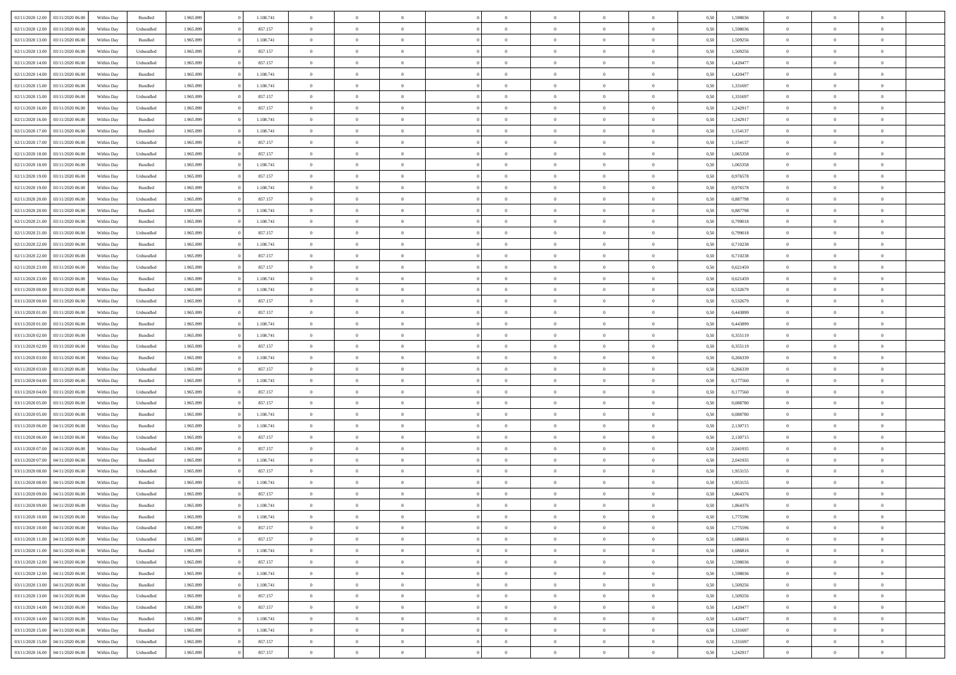| 02/11/2020 12:00 | 03/11/2020 06:00 | Within Dav | Bundled            | 1.965.899 | 1.108.741 | $\overline{0}$ | $\Omega$       |                | $\Omega$       | $\Omega$       | $\theta$       | $\theta$       | 0,50 | 1,598036 | $\theta$       | $\theta$       | $\theta$       |  |
|------------------|------------------|------------|--------------------|-----------|-----------|----------------|----------------|----------------|----------------|----------------|----------------|----------------|------|----------|----------------|----------------|----------------|--|
|                  |                  |            |                    |           |           |                |                |                |                |                |                |                |      |          |                |                |                |  |
| 02/11/2020 12:00 | 03/11/2020 06.00 | Within Day | Unbundled          | 1.965.899 | 857.157   | $\overline{0}$ | $\theta$       | $\overline{0}$ | $\overline{0}$ | $\bf{0}$       | $\overline{0}$ | $\bf{0}$       | 0,50 | 1,598036 | $\theta$       | $\theta$       | $\overline{0}$ |  |
| 02/11/2020 13:00 | 03/11/2020 06.00 | Within Day | Bundled            | 1.965.899 | 1.108.741 | $\overline{0}$ | $\overline{0}$ | $\overline{0}$ | $\overline{0}$ | $\bf{0}$       | $\overline{0}$ | $\mathbf{0}$   | 0,50 | 1,509256 | $\bf{0}$       | $\overline{0}$ | $\overline{0}$ |  |
| 02/11/2020 13:00 | 03/11/2020 06:00 | Within Dav | Unbundled          | 1.965.899 | 857.157   | $\overline{0}$ | $\overline{0}$ | $\overline{0}$ | $\overline{0}$ | $\bf{0}$       | $\overline{0}$ | $\overline{0}$ | 0.50 | 1,509256 | $\theta$       | $\theta$       | $\overline{0}$ |  |
| 02/11/2020 14:00 | 03/11/2020 06.00 | Within Day | Unbundled          | 1.965.899 | 857.157   | $\overline{0}$ | $\theta$       | $\overline{0}$ | $\overline{0}$ | $\bf{0}$       | $\overline{0}$ | $\bf{0}$       | 0,50 | 1,420477 | $\,$ 0 $\,$    | $\theta$       | $\overline{0}$ |  |
| 02/11/2020 14:00 | 03/11/2020 06.00 | Within Day | Bundled            | 1.965.899 | 1.108.741 | $\overline{0}$ | $\overline{0}$ | $\overline{0}$ | $\bf{0}$       | $\overline{0}$ | $\overline{0}$ | $\mathbf{0}$   | 0,50 | 1,420477 | $\bf{0}$       | $\overline{0}$ | $\bf{0}$       |  |
|                  |                  |            |                    |           |           |                |                |                |                |                |                |                |      |          |                |                |                |  |
| 02/11/2020 15:00 | 03/11/2020 06.00 | Within Dav | Bundled            | 1.965.899 | 1.108.741 | $\overline{0}$ | $\overline{0}$ | $\overline{0}$ | $\overline{0}$ | $\overline{0}$ | $\overline{0}$ | $\overline{0}$ | 0.50 | 1,331697 | $\theta$       | $\overline{0}$ | $\overline{0}$ |  |
| 02/11/2020 15:00 | 03/11/2020 06.00 | Within Day | Unbundled          | 1.965.899 | 857.157   | $\overline{0}$ | $\theta$       | $\overline{0}$ | $\overline{0}$ | $\bf{0}$       | $\overline{0}$ | $\bf{0}$       | 0,50 | 1,331697 | $\,$ 0 $\,$    | $\theta$       | $\overline{0}$ |  |
| 02/11/2020 16:00 | 03/11/2020 06.00 | Within Day | Unbundled          | 1.965.899 | 857.157   | $\overline{0}$ | $\overline{0}$ | $\overline{0}$ | $\bf{0}$       | $\bf{0}$       | $\bf{0}$       | $\mathbf{0}$   | 0,50 | 1,242917 | $\,0\,$        | $\overline{0}$ | $\overline{0}$ |  |
| 02/11/2020 16:00 | 03/11/2020 06:00 | Within Dav | Bundled            | 1.965.899 | 1.108.741 | $\overline{0}$ | $\overline{0}$ | $\overline{0}$ | $\overline{0}$ | $\overline{0}$ | $\overline{0}$ | $\overline{0}$ | 0.50 | 1,242917 | $\theta$       | $\overline{0}$ | $\overline{0}$ |  |
| 02/11/2020 17.00 | 03/11/2020 06.00 | Within Day | Bundled            | 1.965.899 | 1.108.741 | $\overline{0}$ | $\theta$       | $\overline{0}$ | $\overline{0}$ | $\bf{0}$       | $\overline{0}$ | $\bf{0}$       | 0,50 | 1,154137 | $\,$ 0 $\,$    | $\overline{0}$ | $\overline{0}$ |  |
| 02/11/2020 17.00 | 03/11/2020 06.00 | Within Day | Unbundled          | 1.965.899 | 857.157   | $\overline{0}$ | $\overline{0}$ | $\overline{0}$ | $\bf{0}$       | $\bf{0}$       | $\bf{0}$       | $\mathbf{0}$   | 0,50 | 1,154137 | $\bf{0}$       | $\overline{0}$ | $\overline{0}$ |  |
| 02/11/2020 18:00 | 03/11/2020 06:00 | Within Day | Unbundled          | 1.965.899 | 857.157   | $\overline{0}$ | $\overline{0}$ | $\overline{0}$ | $\overline{0}$ | $\bf{0}$       | $\overline{0}$ | $\overline{0}$ | 0.50 | 1,065358 | $\theta$       | $\theta$       | $\overline{0}$ |  |
|                  |                  |            |                    |           |           |                |                |                |                |                |                |                |      |          |                |                |                |  |
| 02/11/2020 18:00 | 03/11/2020 06.00 | Within Day | Bundled            | 1.965.899 | 1.108.741 | $\overline{0}$ | $\theta$       | $\overline{0}$ | $\overline{0}$ | $\bf{0}$       | $\overline{0}$ | $\bf{0}$       | 0,50 | 1,065358 | $\theta$       | $\theta$       | $\overline{0}$ |  |
| 02/11/2020 19:00 | 03/11/2020 06.00 | Within Day | Unbundled          | 1.965.899 | 857.157   | $\overline{0}$ | $\overline{0}$ | $\overline{0}$ | $\bf{0}$       | $\overline{0}$ | $\overline{0}$ | $\mathbf{0}$   | 0,50 | 0,976578 | $\bf{0}$       | $\overline{0}$ | $\bf{0}$       |  |
| 02/11/2020 19:00 | 03/11/2020 06.00 | Within Dav | Bundled            | 1.965.899 | 1.108.741 | $\overline{0}$ | $\overline{0}$ | $\overline{0}$ | $\overline{0}$ | $\overline{0}$ | $\overline{0}$ | $\overline{0}$ | 0.50 | 0,976578 | $\theta$       | $\overline{0}$ | $\overline{0}$ |  |
| 02/11/2020 20.00 | 03/11/2020 06.00 | Within Day | Unbundled          | 1.965.899 | 857.157   | $\overline{0}$ | $\theta$       | $\overline{0}$ | $\overline{0}$ | $\bf{0}$       | $\overline{0}$ | $\bf{0}$       | 0,50 | 0,887798 | $\,$ 0 $\,$    | $\theta$       | $\overline{0}$ |  |
| 02/11/2020 20:00 | 03/11/2020 06.00 | Within Day | Bundled            | 1.965.899 | 1.108.741 | $\overline{0}$ | $\overline{0}$ | $\overline{0}$ | $\bf{0}$       | $\bf{0}$       | $\bf{0}$       | $\mathbf{0}$   | 0,50 | 0,887798 | $\bf{0}$       | $\overline{0}$ | $\overline{0}$ |  |
| 02/11/2020 21.00 | 03/11/2020 06:00 | Within Day | Bundled            | 1.965.899 | 1.108.741 | $\overline{0}$ | $\overline{0}$ | $\overline{0}$ | $\overline{0}$ | $\overline{0}$ | $\overline{0}$ | $\overline{0}$ | 0.50 | 0.799018 | $\theta$       | $\overline{0}$ | $\overline{0}$ |  |
|                  |                  |            |                    |           |           | $\overline{0}$ | $\theta$       | $\overline{0}$ |                | $\bf{0}$       | $\overline{0}$ |                |      |          |                |                | $\overline{0}$ |  |
| 02/11/2020 21.00 | 03/11/2020 06.00 | Within Day | Unbundled          | 1.965.899 | 857.157   |                |                |                | $\overline{0}$ |                |                | $\bf{0}$       | 0,50 | 0,799018 | $\,$ 0 $\,$    | $\overline{0}$ |                |  |
| 02/11/2020 22.00 | 03/11/2020 06.00 | Within Day | Bundled            | 1.965.899 | 1.108.741 | $\overline{0}$ | $\overline{0}$ | $\overline{0}$ | $\bf{0}$       | $\bf{0}$       | $\bf{0}$       | $\mathbf{0}$   | 0,50 | 0,710238 | $\bf{0}$       | $\overline{0}$ | $\overline{0}$ |  |
| 02/11/2020 22.00 | 03/11/2020 06:00 | Within Day | Unbundled          | 1.965.899 | 857.157   | $\overline{0}$ | $\overline{0}$ | $\overline{0}$ | $\overline{0}$ | $\overline{0}$ | $\overline{0}$ | $\overline{0}$ | 0.50 | 0,710238 | $\theta$       | $\overline{0}$ | $\overline{0}$ |  |
| 02/11/2020 23.00 | 03/11/2020 06.00 | Within Day | Unbundled          | 1.965.899 | 857.157   | $\overline{0}$ | $\theta$       | $\overline{0}$ | $\overline{0}$ | $\bf{0}$       | $\overline{0}$ | $\bf{0}$       | 0,50 | 0,621459 | $\,$ 0 $\,$    | $\overline{0}$ | $\overline{0}$ |  |
| 02/11/2020 23.00 | 03/11/2020 06.00 | Within Day | Bundled            | 1.965.899 | 1.108.741 | $\overline{0}$ | $\overline{0}$ | $\overline{0}$ | $\bf{0}$       | $\overline{0}$ | $\overline{0}$ | $\mathbf{0}$   | 0,50 | 0,621459 | $\bf{0}$       | $\overline{0}$ | $\bf{0}$       |  |
| 03/11/2020 00:00 | 03/11/2020 06.00 | Within Day | Bundled            | 1.965.899 | 1.108.741 | $\overline{0}$ | $\overline{0}$ | $\overline{0}$ | $\overline{0}$ | $\overline{0}$ | $\overline{0}$ | $\overline{0}$ | 0.50 | 0,532679 | $\overline{0}$ | $\overline{0}$ | $\overline{0}$ |  |
| 03/11/2020 00.00 | 03/11/2020 06.00 | Within Day | Unbundled          | 1.965.899 | 857.157   | $\overline{0}$ | $\theta$       | $\overline{0}$ | $\overline{0}$ | $\bf{0}$       | $\overline{0}$ | $\bf{0}$       | 0,50 | 0,532679 | $\,$ 0 $\,$    | $\theta$       | $\overline{0}$ |  |
|                  |                  |            |                    |           |           |                |                |                |                |                |                |                |      |          |                |                |                |  |
| 03/11/2020 01:00 | 03/11/2020 06.00 | Within Day | Unbundled          | 1.965.899 | 857.157   | $\overline{0}$ | $\overline{0}$ | $\overline{0}$ | $\bf{0}$       | $\bf{0}$       | $\bf{0}$       | $\mathbf{0}$   | 0,50 | 0,443899 | $\,0\,$        | $\overline{0}$ | $\overline{0}$ |  |
| 03/11/2020 01:00 | 03/11/2020 06:00 | Within Day | Bundled            | 1.965.899 | 1.108.741 | $\overline{0}$ | $\overline{0}$ | $\overline{0}$ | $\overline{0}$ | $\overline{0}$ | $\overline{0}$ | $\overline{0}$ | 0.50 | 0,443899 | $\theta$       | $\overline{0}$ | $\overline{0}$ |  |
| 03/11/2020 02.00 | 03/11/2020 06.00 | Within Day | Bundled            | 1.965.899 | 1.108.741 | $\overline{0}$ | $\theta$       | $\overline{0}$ | $\overline{0}$ | $\,$ 0         | $\overline{0}$ | $\bf{0}$       | 0,50 | 0,355119 | $\,0\,$        | $\overline{0}$ | $\overline{0}$ |  |
| 03/11/2020 02.00 | 03/11/2020 06.00 | Within Day | Unbundled          | 1.965.899 | 857.157   | $\overline{0}$ | $\overline{0}$ | $\overline{0}$ | $\overline{0}$ | $\bf{0}$       | $\overline{0}$ | $\bf{0}$       | 0,50 | 0,355119 | $\bf{0}$       | $\overline{0}$ | $\overline{0}$ |  |
| 03/11/2020 03:00 | 03/11/2020 06.00 | Within Day | Bundled            | 1.965.899 | 1.108.741 | $\bf{0}$       | $\Omega$       | $\overline{0}$ | $\Omega$       | $\Omega$       | $\overline{0}$ | $\overline{0}$ | 0,50 | 0,266339 | $\,0\,$        | $\theta$       | $\theta$       |  |
| 03/11/2020 03.00 | 03/11/2020 06.00 | Within Day | Unbundled          | 1.965.899 | 857.157   | $\overline{0}$ | $\theta$       | $\overline{0}$ | $\overline{0}$ | $\bf{0}$       | $\overline{0}$ | $\bf{0}$       | 0,50 | 0,266339 | $\,$ 0 $\,$    | $\theta$       | $\overline{0}$ |  |
|                  |                  |            |                    |           |           |                |                |                |                |                |                |                |      |          |                |                |                |  |
| 03/11/2020 04.00 | 03/11/2020 06.00 | Within Day | Bundled            | 1.965.899 | 1.108.741 | $\overline{0}$ | $\overline{0}$ | $\overline{0}$ | $\overline{0}$ | $\bf{0}$       | $\overline{0}$ | $\mathbf{0}$   | 0,50 | 0,177560 | $\bf{0}$       | $\overline{0}$ | $\bf{0}$       |  |
| 03/11/2020 04.00 | 03/11/2020 06.00 | Within Day | Unbundled          | 1.965.899 | 857.157   | $\overline{0}$ | $\Omega$       | $\overline{0}$ | $\Omega$       | $\overline{0}$ | $\overline{0}$ | $\overline{0}$ | 0.50 | 0,177560 | $\,0\,$        | $\theta$       | $\theta$       |  |
| 03/11/2020 05:00 | 03/11/2020 06.00 | Within Day | Unbundled          | 1.965.899 | 857.157   | $\overline{0}$ | $\theta$       | $\overline{0}$ | $\overline{0}$ | $\bf{0}$       | $\overline{0}$ | $\bf{0}$       | 0,50 | 0,088780 | $\,$ 0 $\,$    | $\overline{0}$ | $\overline{0}$ |  |
| 03/11/2020 05:00 | 03/11/2020 06.00 | Within Day | Bundled            | 1.965.899 | 1.108.741 | $\overline{0}$ | $\overline{0}$ | $\overline{0}$ | $\overline{0}$ | $\bf{0}$       | $\overline{0}$ | $\mathbf{0}$   | 0,50 | 0,088780 | $\bf{0}$       | $\overline{0}$ | $\overline{0}$ |  |
| 03/11/2020 06.00 | 04/11/2020 06.00 | Within Day | Bundled            | 1.965.899 | 1.108.741 | $\overline{0}$ | $\Omega$       | $\overline{0}$ | $\Omega$       | $\overline{0}$ | $\overline{0}$ | $\overline{0}$ | 0.50 | 2,130715 | $\,0\,$        | $\theta$       | $\theta$       |  |
| 03/11/2020 06.00 | 04/11/2020 06.00 | Within Day | Unbundled          | 1.965.899 | 857.157   | $\overline{0}$ | $\theta$       | $\overline{0}$ | $\overline{0}$ | $\,$ 0         | $\overline{0}$ | $\bf{0}$       | 0,50 | 2,130715 | $\,$ 0 $\,$    | $\overline{0}$ | $\overline{0}$ |  |
| 03/11/2020 07.00 | 04/11/2020 06.00 | Within Day | Unbundled          | 1.965.899 | 857.157   | $\overline{0}$ | $\overline{0}$ | $\overline{0}$ | $\overline{0}$ | $\bf{0}$       | $\overline{0}$ | $\mathbf{0}$   | 0,50 | 2,041935 | $\bf{0}$       | $\overline{0}$ | $\overline{0}$ |  |
|                  | 04/11/2020 06.00 |            |                    | 1.965.899 | 1.108.741 | $\overline{0}$ | $\Omega$       | $\overline{0}$ | $\Omega$       | $\overline{0}$ | $\overline{0}$ | $\overline{0}$ | 0,50 | 2,041935 | $\,0\,$        | $\theta$       | $\theta$       |  |
| 03/11/2020 07.00 |                  | Within Day | Bundled            |           |           |                |                |                |                |                |                |                |      |          |                |                |                |  |
| 03/11/2020 08:00 | 04/11/2020 06.00 | Within Day | Unbundled          | 1.965.899 | 857.157   | $\overline{0}$ | $\theta$       | $\overline{0}$ | $\overline{0}$ | $\,$ 0         | $\overline{0}$ | $\bf{0}$       | 0,50 | 1,953155 | $\,$ 0 $\,$    | $\overline{0}$ | $\overline{0}$ |  |
| 03/11/2020 08.00 | 04/11/2020 06.00 | Within Day | Bundled            | 1.965.899 | 1.108.741 | $\overline{0}$ | $\overline{0}$ | $\overline{0}$ | $\overline{0}$ | $\bf{0}$       | $\overline{0}$ | $\mathbf{0}$   | 0,50 | 1,953155 | $\overline{0}$ | $\overline{0}$ | $\bf{0}$       |  |
| 03/11/2020 09:00 | 04/11/2020 06.00 | Within Day | Unbundled          | 1.965.899 | 857.157   | $\overline{0}$ | $\Omega$       | $\overline{0}$ | $\Omega$       | $\Omega$       | $\overline{0}$ | $\overline{0}$ | 0.50 | 1,864376 | $\theta$       | $\theta$       | $\theta$       |  |
| 03/11/2020 09:00 | 04/11/2020 06.00 | Within Day | Bundled            | 1.965.899 | 1.108.741 | $\overline{0}$ | $\overline{0}$ | $\overline{0}$ | $\bf{0}$       | $\,$ 0         | $\overline{0}$ | $\bf{0}$       | 0,50 | 1,864376 | $\,0\,$        | $\overline{0}$ | $\overline{0}$ |  |
| 03/11/2020 10:00 | 04/11/2020 06.00 | Within Day | $\mathbf B$ undled | 1.965.899 | 1.108.741 | $\bf{0}$       | $\bf{0}$       |                |                | $\bf{0}$       |                |                | 0,50 | 1,775596 | $\bf{0}$       | $\overline{0}$ |                |  |
| 03/11/2020 10:00 | 04/11/2020 06:00 | Within Day | Unbundled          | 1.965.899 | 857.157   | $\overline{0}$ | $\overline{0}$ | $\overline{0}$ | $\Omega$       | $\overline{0}$ | $\overline{0}$ | $\overline{0}$ | 0,50 | 1,775596 | $\theta$       | $\theta$       | $\theta$       |  |
| 03/11/2020 11:00 | 04/11/2020 06.00 | Within Day | Unbundled          | 1.965.899 | 857.157   | $\overline{0}$ | $\bf{0}$       | $\overline{0}$ | $\overline{0}$ | $\,$ 0 $\,$    | $\overline{0}$ | $\,$ 0 $\,$    | 0,50 | 1,686816 | $\,$ 0 $\,$    | $\,$ 0 $\,$    | $\,$ 0         |  |
|                  |                  |            |                    |           |           |                |                |                |                |                |                |                |      |          |                |                |                |  |
| 03/11/2020 11:00 | 04/11/2020 06.00 | Within Day | Bundled            | 1.965.899 | 1.108.741 | $\overline{0}$ | $\overline{0}$ | $\overline{0}$ | $\overline{0}$ | $\overline{0}$ | $\overline{0}$ | $\mathbf{0}$   | 0,50 | 1,686816 | $\overline{0}$ | $\bf{0}$       | $\overline{0}$ |  |
| 03/11/2020 12:00 | 04/11/2020 06.00 | Within Day | Unbundled          | 1.965.899 | 857.157   | $\overline{0}$ | $\overline{0}$ | $\overline{0}$ | $\Omega$       | $\overline{0}$ | $\overline{0}$ | $\overline{0}$ | 0,50 | 1,598036 | $\overline{0}$ | $\overline{0}$ | $\overline{0}$ |  |
| 03/11/2020 12:00 | 04/11/2020 06.00 | Within Day | Bundled            | 1.965.899 | 1.108.741 | $\overline{0}$ | $\,$ 0         | $\overline{0}$ | $\overline{0}$ | $\,$ 0 $\,$    | $\overline{0}$ | $\,$ 0 $\,$    | 0,50 | 1,598036 | $\,$ 0 $\,$    | $\overline{0}$ | $\,$ 0         |  |
| 03/11/2020 13.00 | 04/11/2020 06.00 | Within Day | Bundled            | 1.965.899 | 1.108.741 | $\overline{0}$ | $\overline{0}$ | $\overline{0}$ | $\overline{0}$ | $\overline{0}$ | $\overline{0}$ | $\mathbf{0}$   | 0,50 | 1,509256 | $\overline{0}$ | $\overline{0}$ | $\bf{0}$       |  |
| 03/11/2020 13:00 | 04/11/2020 06.00 | Within Day | Unbundled          | 1.965.899 | 857.157   | $\overline{0}$ | $\overline{0}$ | $\overline{0}$ | $\overline{0}$ | $\overline{0}$ | $\overline{0}$ | $\overline{0}$ | 0.50 | 1,509256 | $\overline{0}$ | $\theta$       | $\overline{0}$ |  |
| 03/11/2020 14:00 | 04/11/2020 06.00 | Within Day | Unbundled          | 1.965.899 | 857.157   | $\overline{0}$ | $\,$ 0         | $\overline{0}$ | $\overline{0}$ | $\bf{0}$       | $\overline{0}$ | $\bf{0}$       | 0,50 | 1,420477 | $\,$ 0 $\,$    | $\overline{0}$ | $\overline{0}$ |  |
|                  |                  |            |                    |           | 1.108.741 |                | $\bf{0}$       |                |                |                |                |                |      |          |                | $\overline{0}$ |                |  |
| 03/11/2020 14:00 | 04/11/2020 06.00 | Within Day | Bundled            | 1.965.899 |           | $\overline{0}$ |                | $\overline{0}$ | $\overline{0}$ | $\overline{0}$ | $\overline{0}$ | $\mathbf{0}$   | 0,50 | 1,420477 | $\overline{0}$ |                | $\bf{0}$       |  |
| 03/11/2020 15.00 | 04/11/2020 06.00 | Within Day | Bundled            | 1.965.899 | 1.108.741 | $\overline{0}$ | $\overline{0}$ | $\overline{0}$ | $\Omega$       | $\overline{0}$ | $\overline{0}$ | $\overline{0}$ | 0.50 | 1,331697 | $\overline{0}$ | $\overline{0}$ | $\overline{0}$ |  |
| 03/11/2020 15:00 | 04/11/2020 06.00 | Within Day | Unbundled          | 1.965.899 | 857.157   | $\overline{0}$ | $\bf{0}$       | $\overline{0}$ | $\overline{0}$ | $\bf{0}$       | $\overline{0}$ | $\mathbf{0}$   | 0,50 | 1,331697 | $\,$ 0 $\,$    | $\,$ 0 $\,$    | $\bf{0}$       |  |
| 03/11/2020 16:00 | 04/11/2020 06.00 | Within Day | Unbundled          | 1.965.899 | 857.157   | $\overline{0}$ | $\bf{0}$       | $\overline{0}$ | $\overline{0}$ | $\bf{0}$       | $\overline{0}$ | $\bf{0}$       | 0,50 | 1,242917 | $\overline{0}$ | $\overline{0}$ | $\bf{0}$       |  |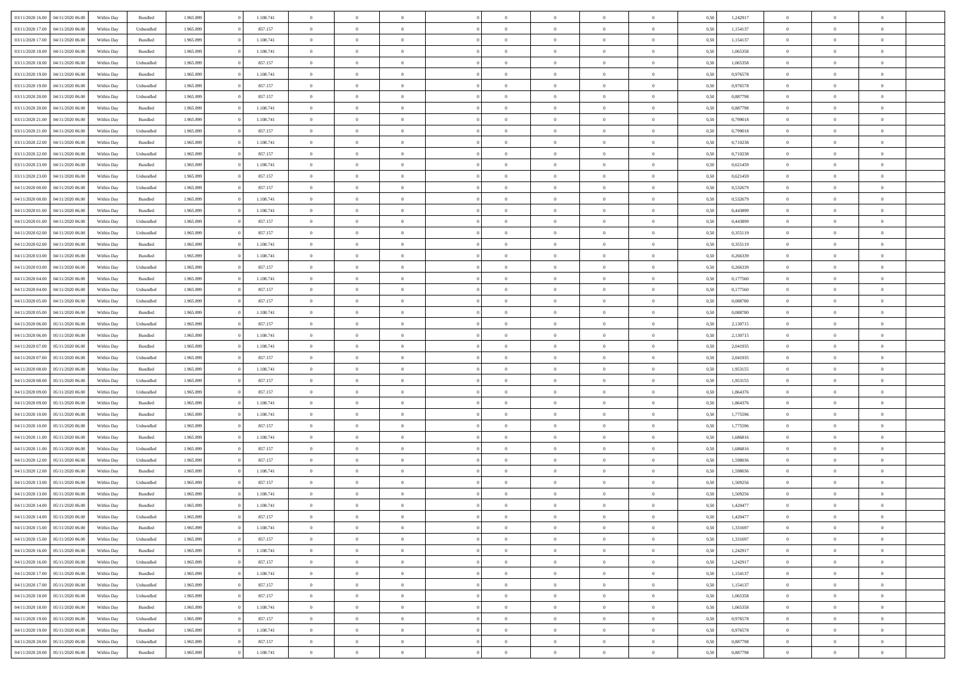| 03/11/2020 16:00 04/11/2020 06:00    | Within Day | Bundled   | 1.965.899 | 1.108.741 | $\overline{0}$ | $\overline{0}$ | $\Omega$       | $\theta$       | $\theta$       |                | $\overline{0}$ | 0,50 | 1,242917 | $\mathbf{0}$   | $\theta$       | $\Omega$       |  |
|--------------------------------------|------------|-----------|-----------|-----------|----------------|----------------|----------------|----------------|----------------|----------------|----------------|------|----------|----------------|----------------|----------------|--|
| 03/11/2020 17:00<br>04/11/2020 06.00 | Within Day | Unbundled | 1.965.899 | 857.157   | $\bf{0}$       | $\overline{0}$ | $\overline{0}$ | $\theta$       | $\overline{0}$ | $\overline{0}$ | $\,$ 0         | 0,50 | 1,154137 | $\mathbf{0}$   | $\theta$       | $\bf{0}$       |  |
| 03/11/2020 17:00<br>04/11/2020 06.00 | Within Day | Bundled   | 1.965.899 | 1.108.741 | $\overline{0}$ | $\overline{0}$ | $\overline{0}$ | $\bf{0}$       | $\bf{0}$       | $\overline{0}$ | $\mathbf{0}$   | 0,50 | 1,154137 | $\overline{0}$ | $\bf{0}$       | $\overline{0}$ |  |
| 03/11/2020 18:00<br>04/11/2020 06:00 | Within Day | Bundled   | 1.965.899 | 1.108.741 | $\overline{0}$ | $\overline{0}$ | $\overline{0}$ | $\overline{0}$ | $\overline{0}$ | $\overline{0}$ | $\overline{0}$ | 0.50 | 1,065358 | $\overline{0}$ | $\overline{0}$ | $\bf{0}$       |  |
| 03/11/2020 18:00<br>04/11/2020 06.00 | Within Day | Unbundled | 1.965.899 | 857.157   | $\bf{0}$       | $\overline{0}$ | $\overline{0}$ | $\theta$       | $\overline{0}$ | $\overline{0}$ | $\,$ 0         | 0,50 | 1,065358 | $\mathbf{0}$   | $\theta$       | $\bf{0}$       |  |
| 03/11/2020 19:00<br>04/11/2020 06.00 | Within Day | Bundled   | 1.965.899 | 1.108.741 | $\overline{0}$ | $\overline{0}$ | $\overline{0}$ | $\bf{0}$       | $\overline{0}$ | $\overline{0}$ | $\overline{0}$ | 0,50 | 0,976578 | $\overline{0}$ | $\overline{0}$ | $\overline{0}$ |  |
| 03/11/2020 19:00<br>04/11/2020 06:00 | Within Day | Unbundled | 1.965.899 | 857.157   | $\overline{0}$ | $\overline{0}$ | $\overline{0}$ | $\overline{0}$ | $\overline{0}$ | $\overline{0}$ | $\overline{0}$ | 0.50 | 0,976578 | $\overline{0}$ | $\theta$       | $\overline{0}$ |  |
|                                      |            |           |           |           |                |                |                |                |                |                |                |      |          |                |                |                |  |
| 03/11/2020 20:00<br>04/11/2020 06.00 | Within Day | Unbundled | 1.965.899 | 857.157   | $\bf{0}$       | $\overline{0}$ | $\bf{0}$       | $\overline{0}$ | $\overline{0}$ | $\overline{0}$ | $\,$ 0         | 0,50 | 0,887798 | $\theta$       | $\theta$       | $\bf{0}$       |  |
| 03/11/2020 20:00<br>04/11/2020 06.00 | Within Day | Bundled   | 1.965.899 | 1.108.741 | $\overline{0}$ | $\overline{0}$ | $\overline{0}$ | $\bf{0}$       | $\bf{0}$       | $\overline{0}$ | $\mathbf{0}$   | 0,50 | 0,887798 | $\bf{0}$       | $\bf{0}$       | $\bf{0}$       |  |
| 03/11/2020 21.00<br>04/11/2020 06.00 | Within Day | Bundled   | 1.965.899 | 1.108.741 | $\overline{0}$ | $\overline{0}$ | $\overline{0}$ | $\overline{0}$ | $\overline{0}$ | $\overline{0}$ | $\overline{0}$ | 0.50 | 0,799018 | $\overline{0}$ | $\theta$       | $\overline{0}$ |  |
| 03/11/2020 21.00<br>04/11/2020 06.00 | Within Day | Unbundled | 1.965.899 | 857.157   | $\bf{0}$       | $\overline{0}$ | $\overline{0}$ | $\overline{0}$ | $\overline{0}$ | $\overline{0}$ | $\,$ 0         | 0,50 | 0,799018 | $\,0\,$        | $\theta$       | $\bf{0}$       |  |
| 03/11/2020 22.00<br>04/11/2020 06.00 | Within Day | Bundled   | 1.965.899 | 1.108.741 | $\overline{0}$ | $\overline{0}$ | $\overline{0}$ | $\bf{0}$       | $\overline{0}$ | $\overline{0}$ | $\overline{0}$ | 0,50 | 0,710238 | $\overline{0}$ | $\bf{0}$       | $\overline{0}$ |  |
| 03/11/2020 22.00<br>04/11/2020 06:00 | Within Day | Unbundled | 1.965.899 | 857.157   | $\overline{0}$ | $\overline{0}$ | $\overline{0}$ | $\overline{0}$ | $\overline{0}$ | $\overline{0}$ | $\overline{0}$ | 0.50 | 0.710238 | $\overline{0}$ | $\overline{0}$ | $\bf{0}$       |  |
| 03/11/2020 23.00<br>04/11/2020 06.00 | Within Day | Bundled   | 1.965.899 | 1.108.741 | $\bf{0}$       | $\overline{0}$ | $\overline{0}$ | $\theta$       | $\overline{0}$ | $\overline{0}$ | $\,$ 0         | 0,50 | 0,621459 | $\mathbf{0}$   | $\theta$       | $\bf{0}$       |  |
| 03/11/2020 23.00<br>04/11/2020 06.00 | Within Day | Unbundled | 1.965.899 | 857.157   | $\overline{0}$ | $\overline{0}$ | $\overline{0}$ | $\bf{0}$       | $\overline{0}$ | $\overline{0}$ | $\overline{0}$ | 0,50 | 0,621459 | $\overline{0}$ | $\overline{0}$ | $\overline{0}$ |  |
| 04/11/2020 00.00<br>04/11/2020 06.00 | Within Day | Unbundled | 1.965.899 | 857.157   | $\overline{0}$ | $\overline{0}$ | $\overline{0}$ | $\overline{0}$ | $\overline{0}$ | $\overline{0}$ | $\overline{0}$ | 0.50 | 0,532679 | $\overline{0}$ | $\overline{0}$ | $\overline{0}$ |  |
| 04/11/2020 00:00<br>04/11/2020 06.00 | Within Day | Bundled   | 1.965.899 | 1.108.741 | $\bf{0}$       | $\overline{0}$ | $\bf{0}$       | $\overline{0}$ | $\overline{0}$ | $\overline{0}$ | $\bf{0}$       | 0,50 | 0,532679 | $\overline{0}$ | $\theta$       | $\bf{0}$       |  |
|                                      |            |           |           |           |                |                |                |                |                |                |                |      |          |                |                |                |  |
| 04/11/2020 01:00<br>04/11/2020 06.00 | Within Day | Bundled   | 1.965.899 | 1.108.741 | $\overline{0}$ | $\overline{0}$ | $\overline{0}$ | $\bf{0}$       | $\bf{0}$       | $\overline{0}$ | $\mathbf{0}$   | 0,50 | 0,443899 | $\bf{0}$       | $\bf{0}$       | $\bf{0}$       |  |
| 04/11/2020 01:00<br>04/11/2020 06:00 | Within Day | Unbundled | 1.965.899 | 857.157   | $\overline{0}$ | $\overline{0}$ | $\overline{0}$ | $\overline{0}$ | $\overline{0}$ | $\overline{0}$ | $\overline{0}$ | 0.50 | 0.443899 | $\overline{0}$ | $\theta$       | $\overline{0}$ |  |
| 04/11/2020 02.00<br>04/11/2020 06.00 | Within Day | Unbundled | 1.965.899 | 857.157   | $\bf{0}$       | $\overline{0}$ | $\overline{0}$ | $\overline{0}$ | $\overline{0}$ | $\overline{0}$ | $\,$ 0         | 0,50 | 0,355119 | $\theta$       | $\theta$       | $\bf{0}$       |  |
| 04/11/2020 02.00<br>04/11/2020 06.00 | Within Day | Bundled   | 1.965.899 | 1.108.741 | $\overline{0}$ | $\overline{0}$ | $\overline{0}$ | $\bf{0}$       | $\bf{0}$       | $\overline{0}$ | $\overline{0}$ | 0,50 | 0,355119 | $\bf{0}$       | $\bf{0}$       | $\bf{0}$       |  |
| 04/11/2020 03.00<br>04/11/2020 06:00 | Within Day | Bundled   | 1.965.899 | 1.108.741 | $\overline{0}$ | $\overline{0}$ | $\overline{0}$ | $\overline{0}$ | $\overline{0}$ | $\overline{0}$ | $\overline{0}$ | 0.50 | 0.266339 | $\overline{0}$ | $\overline{0}$ | $\overline{0}$ |  |
| 04/11/2020 03:00<br>04/11/2020 06.00 | Within Day | Unbundled | 1.965.899 | 857.157   | $\bf{0}$       | $\overline{0}$ | $\overline{0}$ | $\overline{0}$ | $\overline{0}$ | $\overline{0}$ | $\,$ 0         | 0,50 | 0,266339 | $\,0\,$        | $\theta$       | $\bf{0}$       |  |
| 04/11/2020 04:00<br>04/11/2020 06.00 | Within Day | Bundled   | 1.965.899 | 1.108.741 | $\overline{0}$ | $\overline{0}$ | $\overline{0}$ | $\bf{0}$       | $\overline{0}$ | $\overline{0}$ | $\overline{0}$ | 0,50 | 0,177560 | $\bf{0}$       | $\overline{0}$ | $\overline{0}$ |  |
| 04/11/2020 04:00<br>04/11/2020 06:00 | Within Day | Unbundled | 1.965.899 | 857.157   | $\overline{0}$ | $\overline{0}$ | $\overline{0}$ | $\overline{0}$ | $\overline{0}$ | $\overline{0}$ | $\overline{0}$ | 0.50 | 0,177560 | $\overline{0}$ | $\overline{0}$ | $\overline{0}$ |  |
| 04/11/2020 05:00<br>04/11/2020 06.00 | Within Day | Unbundled | 1.965.899 | 857.157   | $\bf{0}$       | $\overline{0}$ | $\bf{0}$       | $\overline{0}$ | $\overline{0}$ | $\overline{0}$ | $\bf{0}$       | 0,50 | 0,088780 | $\theta$       | $\theta$       | $\bf{0}$       |  |
| 04/11/2020 05:00<br>04/11/2020 06.00 | Within Day | Bundled   | 1.965.899 | 1.108.741 | $\overline{0}$ | $\overline{0}$ | $\overline{0}$ | $\bf{0}$       | $\bf{0}$       | $\overline{0}$ | $\mathbf{0}$   | 0,50 | 0,088780 | $\bf{0}$       | $\bf{0}$       | $\bf{0}$       |  |
| 04/11/2020 06.00<br>05/11/2020 06:00 | Within Day | Unbundled | 1.965.899 | 857.157   | $\overline{0}$ | $\overline{0}$ | $\overline{0}$ | $\overline{0}$ | $\overline{0}$ | $\overline{0}$ | $\overline{0}$ | 0.50 | 2,130715 | $\overline{0}$ | $\overline{0}$ | $\overline{0}$ |  |
|                                      |            |           |           |           |                |                |                |                |                |                |                |      |          |                |                |                |  |
| 04/11/2020 06.00<br>05/11/2020 06:00 | Within Day | Bundled   | 1.965.899 | 1.108.741 | $\bf{0}$       | $\overline{0}$ | $\overline{0}$ | $\overline{0}$ | $\overline{0}$ | $\overline{0}$ | $\,$ 0         | 0,50 | 2,130715 | $\bf{0}$       | $\theta$       | $\bf{0}$       |  |
| 04/11/2020 07:00<br>05/11/2020 06:00 | Within Day | Bundled   | 1.965.899 | 1.108.741 | $\overline{0}$ | $\overline{0}$ | $\overline{0}$ | $\bf{0}$       | $\overline{0}$ | $\overline{0}$ | $\overline{0}$ | 0,50 | 2,041935 | $\overline{0}$ | $\overline{0}$ | $\bf{0}$       |  |
| 04/11/2020 07:00<br>05/11/2020 06.00 | Within Day | Unbundled | 1.965.899 | 857.157   | $\overline{0}$ | $\overline{0}$ | $\overline{0}$ | $\overline{0}$ | $\overline{0}$ | $\Omega$       | $\overline{0}$ | 0,50 | 2,041935 | $\bf{0}$       | $\theta$       | $\Omega$       |  |
| 04/11/2020 08:00<br>05/11/2020 06.00 | Within Day | Bundled   | 1.965.899 | 1.108.741 | $\bf{0}$       | $\overline{0}$ | $\overline{0}$ | $\theta$       | $\overline{0}$ | $\overline{0}$ | $\,$ 0         | 0,50 | 1,953155 | $\,$ 0 $\,$    | $\theta$       | $\bf{0}$       |  |
| 04/11/2020 08:00<br>05/11/2020 06:00 | Within Day | Unbundled | 1.965.899 | 857.157   | $\overline{0}$ | $\overline{0}$ | $\overline{0}$ | $\bf{0}$       | $\overline{0}$ | $\overline{0}$ | $\overline{0}$ | 0,50 | 1,953155 | $\overline{0}$ | $\overline{0}$ | $\overline{0}$ |  |
| 04/11/2020 09:00<br>05/11/2020 06:00 | Within Day | Unbundled | 1.965.899 | 857.157   | $\overline{0}$ | $\overline{0}$ | $\overline{0}$ | $\overline{0}$ | $\overline{0}$ | $\Omega$       | $\overline{0}$ | 0.50 | 1,864376 | $\overline{0}$ | $\overline{0}$ | $\theta$       |  |
| 04/11/2020 09:00<br>05/11/2020 06:00 | Within Day | Bundled   | 1.965.899 | 1.108.741 | $\bf{0}$       | $\overline{0}$ | $\overline{0}$ | $\overline{0}$ | $\overline{0}$ | $\overline{0}$ | $\bf{0}$       | 0,50 | 1,864376 | $\bf{0}$       | $\theta$       | $\bf{0}$       |  |
| 04/11/2020 10:00<br>05/11/2020 06:00 | Within Day | Bundled   | 1.965.899 | 1.108.741 | $\overline{0}$ | $\overline{0}$ | $\overline{0}$ | $\bf{0}$       | $\bf{0}$       | $\overline{0}$ | $\mathbf{0}$   | 0,50 | 1,775596 | $\bf{0}$       | $\bf{0}$       | $\bf{0}$       |  |
| 04/11/2020 10:00<br>05/11/2020 06:00 | Within Day | Unbundled | 1.965.899 | 857.157   | $\overline{0}$ | $\overline{0}$ | $\overline{0}$ | $\overline{0}$ | $\overline{0}$ | $\Omega$       | $\theta$       | 0.50 | 1,775596 | $\overline{0}$ | $\overline{0}$ | $\theta$       |  |
| 04/11/2020 11:00<br>05/11/2020 06:00 | Within Day | Bundled   | 1.965.899 | 1.108.741 | $\bf{0}$       | $\overline{0}$ | $\overline{0}$ | $\overline{0}$ | $\overline{0}$ | $\overline{0}$ | $\,$ 0         | 0,50 | 1,686816 | $\bf{0}$       | $\theta$       | $\bf{0}$       |  |
| 04/11/2020 11:00<br>05/11/2020 06:00 | Within Day | Unbundled | 1.965.899 | 857.157   | $\overline{0}$ | $\overline{0}$ | $\overline{0}$ | $\bf{0}$       | $\bf{0}$       | $\overline{0}$ | $\overline{0}$ | 0,50 | 1,686816 | $\overline{0}$ | $\bf{0}$       | $\bf{0}$       |  |
|                                      |            |           |           |           |                | $\overline{0}$ | $\overline{0}$ | $\overline{0}$ | $\bf{0}$       | $\Omega$       | $\overline{0}$ |      | 1,598036 | $\overline{0}$ | $\overline{0}$ | $\Omega$       |  |
| 04/11/2020 12:00<br>05/11/2020 06.00 | Within Day | Unbundled | 1.965.899 | 857.157   | $\overline{0}$ |                |                |                |                |                |                | 0,50 |          |                |                |                |  |
| 04/11/2020 12.00<br>05/11/2020 06:00 | Within Day | Bundled   | 1.965.899 | 1.108.741 | $\bf{0}$       | $\overline{0}$ | $\overline{0}$ | $\overline{0}$ | $\bf{0}$       | $\overline{0}$ | $\,$ 0 $\,$    | 0,50 | 1,598036 | $\,$ 0 $\,$    | $\theta$       | $\bf{0}$       |  |
| 04/11/2020 13:00<br>05/11/2020 06:00 | Within Day | Unbundled | 1.965.899 | 857.157   | $\overline{0}$ | $\overline{0}$ | $\overline{0}$ | $\bf{0}$       | $\overline{0}$ | $\overline{0}$ | $\overline{0}$ | 0,50 | 1,509256 | $\bf{0}$       | $\overline{0}$ | $\overline{0}$ |  |
| 04/11/2020 13:00<br>05/11/2020 06.00 | Within Day | Bundled   | 1.965.899 | 1.108.741 | $\overline{0}$ | $\overline{0}$ | $\overline{0}$ | $\overline{0}$ | $\bf{0}$       | $\Omega$       | $\overline{0}$ | 0.50 | 1,509256 | $\overline{0}$ | $\theta$       | $\overline{0}$ |  |
| 04/11/2020 14:00 05/11/2020 06:00    | Within Day | Bundled   | 1.965.899 | 1.108.741 | $\bf{0}$       | $\overline{0}$ | $\overline{0}$ | $\bf{0}$       | $\bf{0}$       | $\overline{0}$ | $\,$ 0 $\,$    | 0,50 | 1,420477 | $\bf{0}$       | $\bf{0}$       | $\,$ 0         |  |
| 04/11/2020 14:00 05/11/2020 06:00    | Within Day | Unbundled | 1.965.899 | 857.157   | $\bf{0}$       | $\bf{0}$       |                | $\bf{0}$       |                |                | $\bf{0}$       | 0,50 | 1,420477 | $\bf{0}$       | $\bf{0}$       |                |  |
| 04/11/2020 15:00 05/11/2020 06:00    | Within Day | Bundled   | 1.965.899 | 1.108.741 | $\overline{0}$ | $\overline{0}$ | $\theta$       | $\overline{0}$ | $\overline{0}$ | $\overline{0}$ | $\mathbf{0}$   | 0,50 | 1,331697 | $\overline{0}$ | $\overline{0}$ | $\theta$       |  |
| 04/11/2020 15:00<br>05/11/2020 06:00 | Within Day | Unbundled | 1.965.899 | 857.157   | $\overline{0}$ | $\overline{0}$ | $\overline{0}$ | $\bf{0}$       | $\overline{0}$ | $\overline{0}$ | $\mathbf{0}$   | 0,50 | 1,331697 | $\,0\,$        | $\overline{0}$ | $\,$ 0 $\,$    |  |
| 04/11/2020 16:00 05/11/2020 06:00    | Within Day | Bundled   | 1.965.899 | 1.108.741 | $\overline{0}$ | $\overline{0}$ | $\overline{0}$ | $\bf{0}$       | $\overline{0}$ | $\overline{0}$ | $\overline{0}$ | 0,50 | 1,242917 | $\overline{0}$ | $\overline{0}$ | $\overline{0}$ |  |
| 05/11/2020 06:00<br>04/11/2020 16:00 | Within Day | Unbundled | 1.965.899 | 857.157   | $\overline{0}$ | $\overline{0}$ | $\overline{0}$ | $\overline{0}$ | $\bf{0}$       | $\overline{0}$ | $\overline{0}$ | 0,50 | 1,242917 | $\overline{0}$ | $\overline{0}$ | $\overline{0}$ |  |
| 04/11/2020 17:00<br>05/11/2020 06:00 | Within Day | Bundled   | 1.965.899 | 1.108.741 | $\overline{0}$ | $\overline{0}$ | $\overline{0}$ | $\overline{0}$ | $\overline{0}$ | $\overline{0}$ | $\mathbf{0}$   | 0,50 | 1,154137 | $\,0\,$        | $\theta$       | $\overline{0}$ |  |
| 04/11/2020 17:00 05/11/2020 06:00    | Within Day | Unbundled | 1.965.899 | 857.157   | $\overline{0}$ | $\overline{0}$ | $\overline{0}$ | $\overline{0}$ | $\overline{0}$ | $\overline{0}$ | $\overline{0}$ | 0,50 | 1,154137 | $\overline{0}$ | $\overline{0}$ | $\overline{0}$ |  |
|                                      |            |           |           |           |                |                |                |                |                |                |                |      |          |                |                |                |  |
| 04/11/2020 18:00<br>05/11/2020 06.00 | Within Day | Unbundled | 1.965.899 | 857.157   | $\overline{0}$ | $\overline{0}$ | $\overline{0}$ | $\overline{0}$ | $\overline{0}$ | $\overline{0}$ | $\mathbf{0}$   | 0.50 | 1,065358 | $\overline{0}$ | $\overline{0}$ | $\overline{0}$ |  |
| 04/11/2020 18:00<br>05/11/2020 06:00 | Within Day | Bundled   | 1.965.899 | 1.108.741 | $\overline{0}$ | $\overline{0}$ | $\overline{0}$ | $\bf{0}$       | $\bf{0}$       | $\overline{0}$ | $\,$ 0 $\,$    | 0,50 | 1,065358 | $\,0\,$        | $\theta$       | $\,$ 0         |  |
| 04/11/2020 19.00 05/11/2020 06.00    | Within Day | Unbundled | 1.965.899 | 857.157   | $\overline{0}$ | $\overline{0}$ | $\overline{0}$ | $\bf{0}$       | $\overline{0}$ | $\overline{0}$ | $\overline{0}$ | 0,50 | 0,976578 | $\bf{0}$       | $\bf{0}$       | $\overline{0}$ |  |
| 05/11/2020 06:00<br>04/11/2020 19:00 | Within Day | Bundled   | 1.965.899 | 1.108.741 | $\overline{0}$ | $\overline{0}$ | $\overline{0}$ | $\overline{0}$ | $\overline{0}$ | $\overline{0}$ | $\overline{0}$ | 0,50 | 0,976578 | $\overline{0}$ | $\overline{0}$ | $\overline{0}$ |  |
| 04/11/2020 20.00<br>05/11/2020 06:00 | Within Day | Unbundled | 1.965.899 | 857.157   | $\overline{0}$ | $\overline{0}$ | $\overline{0}$ | $\bf{0}$       | $\bf{0}$       | $\overline{0}$ | $\,$ 0 $\,$    | 0,50 | 0,887798 | $\,0\,$        | $\,0\,$        | $\,$ 0         |  |
| 04/11/2020 20.00 05/11/2020 06.00    | Within Day | Bundled   | 1.965.899 | 1.108.741 | $\overline{0}$ | $\overline{0}$ | $\overline{0}$ | $\bf{0}$       | $\overline{0}$ | $\overline{0}$ | $\overline{0}$ | 0,50 | 0,887798 | $\overline{0}$ | $\bf{0}$       | $\overline{0}$ |  |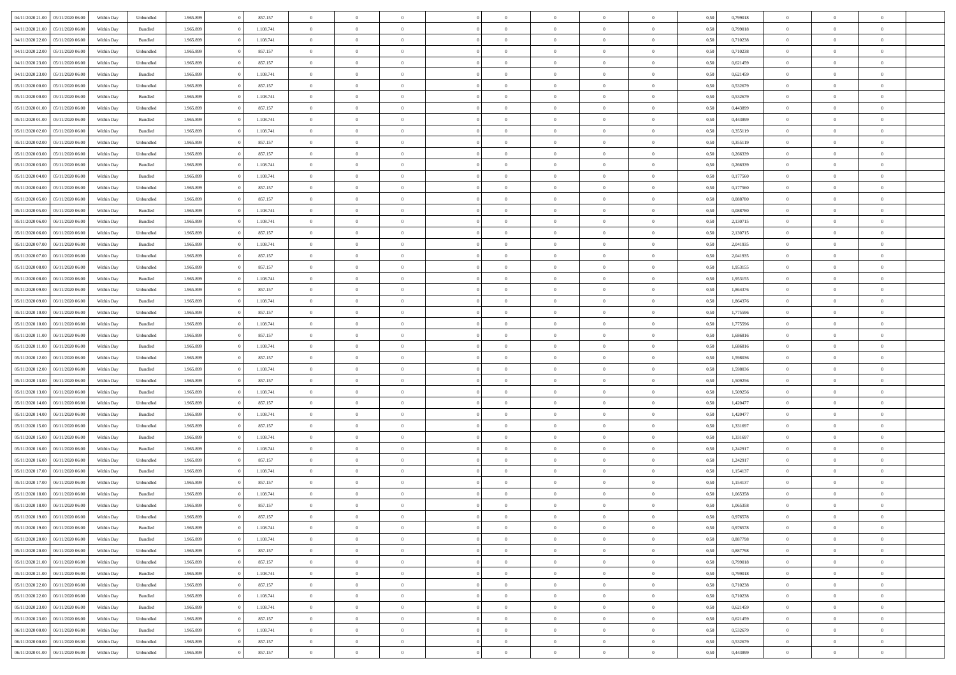| 04/11/2020 21.00 05/11/2020 06.00    | Within Day | Unbundled          | 1.965.899 | 857.157   | $\overline{0}$ | $\overline{0}$ | $\Omega$       | $\Omega$       | $\Omega$       |                | $\overline{0}$ | 0,50 | 0,799018 | $\mathbf{0}$   | $\Omega$       | $\Omega$       |  |
|--------------------------------------|------------|--------------------|-----------|-----------|----------------|----------------|----------------|----------------|----------------|----------------|----------------|------|----------|----------------|----------------|----------------|--|
| 04/11/2020 21:00<br>05/11/2020 06.00 | Within Day | $\mathbf B$ undled | 1.965.899 | 1.108.741 | $\bf{0}$       | $\overline{0}$ | $\overline{0}$ | $\theta$       | $\overline{0}$ | $\overline{0}$ | $\,$ 0         | 0,50 | 0,799018 | $\mathbf{0}$   | $\theta$       | $\bf{0}$       |  |
| 04/11/2020 22.00<br>05/11/2020 06:00 | Within Day | Bundled            | 1.965.899 | 1.108.741 | $\overline{0}$ | $\overline{0}$ | $\overline{0}$ | $\bf{0}$       | $\bf{0}$       | $\overline{0}$ | $\mathbf{0}$   | 0,50 | 0,710238 | $\bf{0}$       | $\bf{0}$       | $\bf{0}$       |  |
| 04/11/2020 22.00<br>05/11/2020 06:00 | Within Day | Unbundled          | 1.965.899 | 857.157   | $\overline{0}$ | $\overline{0}$ | $\overline{0}$ | $\overline{0}$ | $\overline{0}$ | $\overline{0}$ | $\overline{0}$ | 0.50 | 0.710238 | $\overline{0}$ | $\overline{0}$ | $\bf{0}$       |  |
| 04/11/2020 23.00<br>05/11/2020 06.00 | Within Day | Unbundled          | 1.965.899 | 857.157   | $\bf{0}$       | $\overline{0}$ | $\overline{0}$ | $\theta$       | $\overline{0}$ | $\overline{0}$ | $\,$ 0         | 0,50 | 0,621459 | $\mathbf{0}$   | $\theta$       | $\overline{0}$ |  |
| 04/11/2020 23.00<br>05/11/2020 06:00 | Within Day | Bundled            | 1.965.899 | 1.108.741 | $\overline{0}$ | $\overline{0}$ | $\overline{0}$ | $\bf{0}$       | $\overline{0}$ | $\overline{0}$ | $\overline{0}$ | 0,50 | 0,621459 | $\overline{0}$ | $\overline{0}$ | $\overline{0}$ |  |
| 05/11/2020 00:00<br>05/11/2020 06:00 | Within Day | Unbundled          | 1.965.899 | 857.157   | $\overline{0}$ | $\overline{0}$ | $\overline{0}$ | $\overline{0}$ | $\overline{0}$ | $\overline{0}$ | $\overline{0}$ | 0.50 | 0,532679 | $\overline{0}$ | $\overline{0}$ | $\overline{0}$ |  |
|                                      |            |                    |           |           |                |                |                |                |                |                |                |      |          |                |                |                |  |
| 05/11/2020 00:00<br>05/11/2020 06.00 | Within Day | Bundled            | 1.965.899 | 1.108.741 | $\bf{0}$       | $\overline{0}$ | $\overline{0}$ | $\theta$       | $\overline{0}$ | $\overline{0}$ | $\,$ 0         | 0,50 | 0,532679 | $\theta$       | $\theta$       | $\bf{0}$       |  |
| 05/11/2020 01:00<br>05/11/2020 06:00 | Within Day | Unbundled          | 1.965.899 | 857.157   | $\overline{0}$ | $\overline{0}$ | $\overline{0}$ | $\bf{0}$       | $\bf{0}$       | $\overline{0}$ | $\mathbf{0}$   | 0,50 | 0,443899 | $\bf{0}$       | $\bf{0}$       | $\bf{0}$       |  |
| 05/11/2020 01:00<br>05/11/2020 06:00 | Within Day | Bundled            | 1.965.899 | 1.108.741 | $\overline{0}$ | $\overline{0}$ | $\overline{0}$ | $\overline{0}$ | $\overline{0}$ | $\overline{0}$ | $\overline{0}$ | 0.50 | 0.443899 | $\overline{0}$ | $\theta$       | $\overline{0}$ |  |
| 05/11/2020 02.00<br>05/11/2020 06:00 | Within Day | Bundled            | 1.965.899 | 1.108.741 | $\bf{0}$       | $\overline{0}$ | $\overline{0}$ | $\overline{0}$ | $\overline{0}$ | $\overline{0}$ | $\,$ 0         | 0,50 | 0,355119 | $\theta$       | $\theta$       | $\bf{0}$       |  |
| 05/11/2020 02.00<br>05/11/2020 06:00 | Within Day | Unbundled          | 1.965.899 | 857.157   | $\overline{0}$ | $\overline{0}$ | $\overline{0}$ | $\bf{0}$       | $\bf{0}$       | $\overline{0}$ | $\mathbf{0}$   | 0,50 | 0,355119 | $\bf{0}$       | $\bf{0}$       | $\bf{0}$       |  |
| 05/11/2020 03:00<br>05/11/2020 06:00 | Within Day | Unbundled          | 1.965.899 | 857.157   | $\overline{0}$ | $\overline{0}$ | $\overline{0}$ | $\overline{0}$ | $\overline{0}$ | $\overline{0}$ | $\overline{0}$ | 0.50 | 0.266339 | $\mathbf{0}$   | $\overline{0}$ | $\bf{0}$       |  |
| 05/11/2020 03:00<br>05/11/2020 06.00 | Within Day | $\mathbf B$ undled | 1.965.899 | 1.108.741 | $\bf{0}$       | $\overline{0}$ | $\overline{0}$ | $\theta$       | $\overline{0}$ | $\overline{0}$ | $\,$ 0         | 0,50 | 0,266339 | $\theta$       | $\theta$       | $\bf{0}$       |  |
| 05/11/2020 04:00<br>05/11/2020 06:00 | Within Day | Bundled            | 1.965.899 | 1.108.741 | $\overline{0}$ | $\overline{0}$ | $\overline{0}$ | $\bf{0}$       | $\overline{0}$ | $\overline{0}$ | $\overline{0}$ | 0,50 | 0,177560 | $\overline{0}$ | $\overline{0}$ | $\overline{0}$ |  |
| 05/11/2020 04:00<br>05/11/2020 06:00 | Within Day | Unbundled          | 1.965.899 | 857.157   | $\overline{0}$ | $\overline{0}$ | $\overline{0}$ | $\overline{0}$ | $\overline{0}$ | $\overline{0}$ | $\overline{0}$ | 0.50 | 0,177560 | $\overline{0}$ | $\theta$       | $\overline{0}$ |  |
| 05/11/2020 05:00<br>05/11/2020 06:00 | Within Day | Unbundled          | 1.965.899 | 857.157   | $\bf{0}$       | $\overline{0}$ | $\bf{0}$       | $\overline{0}$ | $\overline{0}$ | $\overline{0}$ | $\bf{0}$       | 0,50 | 0,088780 | $\theta$       | $\theta$       | $\bf{0}$       |  |
| 05/11/2020 06.00                     | Within Day | Bundled            | 1.965.899 | 1.108.741 | $\overline{0}$ | $\overline{0}$ | $\bf{0}$       | $\bf{0}$       | $\bf{0}$       | $\overline{0}$ | $\mathbf{0}$   | 0,50 | 0,088780 | $\bf{0}$       | $\bf{0}$       | $\bf{0}$       |  |
| 05/11/2020 05:00<br>06/11/2020 06:00 |            | Bundled            | 1.965.899 | 1.108.741 | $\overline{0}$ | $\overline{0}$ | $\overline{0}$ | $\overline{0}$ | $\overline{0}$ | $\overline{0}$ | $\overline{0}$ | 0.50 | 2,130715 | $\overline{0}$ | $\theta$       | $\overline{0}$ |  |
| 05/11/2020 06:00                     | Within Day |                    |           |           |                |                |                |                |                |                |                |      |          |                |                |                |  |
| 05/11/2020 06:00<br>06/11/2020 06.00 | Within Day | Unbundled          | 1.965.899 | 857.157   | $\bf{0}$       | $\overline{0}$ | $\overline{0}$ | $\overline{0}$ | $\overline{0}$ | $\overline{0}$ | $\,$ 0         | 0,50 | 2,130715 | $\theta$       | $\theta$       | $\bf{0}$       |  |
| 05/11/2020 07.00<br>06/11/2020 06.00 | Within Day | Bundled            | 1.965.899 | 1.108.741 | $\overline{0}$ | $\overline{0}$ | $\overline{0}$ | $\bf{0}$       | $\bf{0}$       | $\overline{0}$ | $\mathbf{0}$   | 0,50 | 2,041935 | $\bf{0}$       | $\bf{0}$       | $\bf{0}$       |  |
| 05/11/2020 07:00<br>06/11/2020 06:00 | Within Day | Unbundled          | 1.965.899 | 857.157   | $\overline{0}$ | $\overline{0}$ | $\overline{0}$ | $\overline{0}$ | $\overline{0}$ | $\overline{0}$ | $\overline{0}$ | 0.50 | 2.041935 | $\overline{0}$ | $\overline{0}$ | $\bf{0}$       |  |
| 05/11/2020 08:00<br>06/11/2020 06.00 | Within Day | Unbundled          | 1.965.899 | 857.157   | $\bf{0}$       | $\overline{0}$ | $\overline{0}$ | $\overline{0}$ | $\overline{0}$ | $\overline{0}$ | $\,$ 0         | 0,50 | 1,953155 | $\,0\,$        | $\theta$       | $\bf{0}$       |  |
| 05/11/2020 08:00<br>06/11/2020 06.00 | Within Day | Bundled            | 1.965.899 | 1.108.741 | $\overline{0}$ | $\overline{0}$ | $\overline{0}$ | $\bf{0}$       | $\overline{0}$ | $\overline{0}$ | $\overline{0}$ | 0,50 | 1,953155 | $\overline{0}$ | $\overline{0}$ | $\overline{0}$ |  |
| 05/11/2020 09:00<br>06/11/2020 06:00 | Within Day | Unbundled          | 1.965.899 | 857.157   | $\overline{0}$ | $\overline{0}$ | $\overline{0}$ | $\overline{0}$ | $\overline{0}$ | $\overline{0}$ | $\overline{0}$ | 0.50 | 1,864376 | $\overline{0}$ | $\overline{0}$ | $\overline{0}$ |  |
| 05/11/2020 09:00<br>06/11/2020 06.00 | Within Day | Bundled            | 1.965.899 | 1.108.741 | $\bf{0}$       | $\overline{0}$ | $\bf{0}$       | $\overline{0}$ | $\overline{0}$ | $\overline{0}$ | $\bf{0}$       | 0,50 | 1,864376 | $\theta$       | $\theta$       | $\bf{0}$       |  |
| 05/11/2020 10:00<br>06/11/2020 06.00 | Within Day | Unbundled          | 1.965.899 | 857.157   | $\overline{0}$ | $\overline{0}$ | $\overline{0}$ | $\bf{0}$       | $\bf{0}$       | $\overline{0}$ | $\mathbf{0}$   | 0,50 | 1,775596 | $\bf{0}$       | $\bf{0}$       | $\bf{0}$       |  |
| 05/11/2020 10:00<br>06/11/2020 06:00 | Within Day | Bundled            | 1.965.899 | 1.108.741 | $\overline{0}$ | $\overline{0}$ | $\overline{0}$ | $\overline{0}$ | $\overline{0}$ | $\overline{0}$ | $\overline{0}$ | 0.50 | 1,775596 | $\overline{0}$ | $\overline{0}$ | $\overline{0}$ |  |
| 05/11/2020 11:00<br>06/11/2020 06:00 | Within Day | Unbundled          | 1.965.899 | 857.157   | $\bf{0}$       | $\overline{0}$ | $\bf{0}$       | $\overline{0}$ | $\overline{0}$ | $\overline{0}$ | $\,$ 0         | 0,50 | 1,686816 | $\,$ 0 $\,$    | $\theta$       | $\bf{0}$       |  |
| 05/11/2020 11:00<br>06/11/2020 06.00 | Within Day | Bundled            | 1.965.899 | 1.108.741 | $\overline{0}$ | $\overline{0}$ | $\overline{0}$ | $\bf{0}$       | $\bf{0}$       | $\overline{0}$ | $\mathbf{0}$   | 0,50 | 1,686816 | $\overline{0}$ | $\bf{0}$       | $\bf{0}$       |  |
|                                      |            |                    |           |           |                |                |                |                |                |                |                |      |          |                |                |                |  |
| 05/11/2020 12:00<br>06/11/2020 06.00 | Within Day | Unbundled          | 1.965.899 | 857.157   | $\overline{0}$ | $\overline{0}$ | $\overline{0}$ | $\overline{0}$ | $\overline{0}$ | $\Omega$       | $\overline{0}$ | 0,50 | 1,598036 | $\bf{0}$       | $\theta$       | $\Omega$       |  |
| 05/11/2020 12:00<br>06/11/2020 06.00 | Within Day | Bundled            | 1.965.899 | 1.108.741 | $\bf{0}$       | $\overline{0}$ | $\bf{0}$       | $\theta$       | $\overline{0}$ | $\overline{0}$ | $\,$ 0         | 0,50 | 1,598036 | $\theta$       | $\theta$       | $\bf{0}$       |  |
| 05/11/2020 13:00<br>06/11/2020 06.00 | Within Day | Unbundled          | 1.965.899 | 857.157   | $\overline{0}$ | $\overline{0}$ | $\overline{0}$ | $\bf{0}$       | $\overline{0}$ | $\overline{0}$ | $\overline{0}$ | 0,50 | 1,509256 | $\overline{0}$ | $\overline{0}$ | $\overline{0}$ |  |
| 05/11/2020 13:00<br>06/11/2020 06.00 | Within Day | Bundled            | 1.965.899 | 1.108.741 | $\overline{0}$ | $\overline{0}$ | $\overline{0}$ | $\overline{0}$ | $\overline{0}$ | $\Omega$       | $\overline{0}$ | 0.50 | 1,509256 | $\overline{0}$ | $\overline{0}$ | $\Omega$       |  |
| 05/11/2020 14:00<br>06/11/2020 06.00 | Within Day | Unbundled          | 1.965.899 | 857.157   | $\bf{0}$       | $\overline{0}$ | $\bf{0}$       | $\overline{0}$ | $\overline{0}$ | $\overline{0}$ | $\bf{0}$       | 0,50 | 1,420477 | $\bf{0}$       | $\theta$       | $\bf{0}$       |  |
| 05/11/2020 14:00<br>06/11/2020 06.00 | Within Day | Bundled            | 1.965.899 | 1.108.741 | $\overline{0}$ | $\overline{0}$ | $\bf{0}$       | $\bf{0}$       | $\bf{0}$       | $\overline{0}$ | $\mathbf{0}$   | 0,50 | 1,420477 | $\bf{0}$       | $\bf{0}$       | $\bf{0}$       |  |
| 05/11/2020 15:00<br>06/11/2020 06.00 | Within Day | Unbundled          | 1.965.899 | 857.157   | $\overline{0}$ | $\overline{0}$ | $\overline{0}$ | $\overline{0}$ | $\overline{0}$ | $\Omega$       | $\theta$       | 0.50 | 1,331697 | $\overline{0}$ | $\Omega$       | $\Omega$       |  |
| 05/11/2020 15:00<br>06/11/2020 06.00 | Within Day | $\mathbf B$ undled | 1.965.899 | 1.108.741 | $\bf{0}$       | $\overline{0}$ | $\bf{0}$       | $\overline{0}$ | $\overline{0}$ | $\overline{0}$ | $\,$ 0         | 0,50 | 1,331697 | $\,$ 0 $\,$    | $\theta$       | $\bf{0}$       |  |
| 05/11/2020 16:00<br>06/11/2020 06.00 | Within Day | Bundled            | 1.965.899 | 1.108.741 | $\overline{0}$ | $\overline{0}$ | $\overline{0}$ | $\bf{0}$       | $\bf{0}$       | $\overline{0}$ | $\mathbf{0}$   | 0,50 | 1,242917 | $\overline{0}$ | $\bf{0}$       | $\bf{0}$       |  |
| 05/11/2020 16:00<br>06/11/2020 06.00 | Within Day | Unbundled          | 1.965.899 | 857.157   | $\overline{0}$ | $\overline{0}$ | $\overline{0}$ | $\overline{0}$ | $\bf{0}$       | $\Omega$       | $\overline{0}$ | 0,50 | 1,242917 | $\overline{0}$ | $\overline{0}$ | $\Omega$       |  |
| 05/11/2020 17:00<br>06/11/2020 06.00 | Within Day | Bundled            | 1.965.899 | 1.108.741 | $\bf{0}$       | $\overline{0}$ | $\bf{0}$       | $\overline{0}$ | $\bf{0}$       | $\overline{0}$ | $\,$ 0 $\,$    | 0,50 | 1,154137 | $\,0\,$        | $\theta$       | $\bf{0}$       |  |
| 05/11/2020 17:00<br>06/11/2020 06.00 | Within Day | Unbundled          | 1.965.899 | 857.157   | $\overline{0}$ | $\overline{0}$ | $\overline{0}$ | $\bf{0}$       | $\overline{0}$ | $\overline{0}$ | $\overline{0}$ | 0,50 | 1,154137 | $\overline{0}$ | $\bf{0}$       | $\bf{0}$       |  |
| 05/11/2020 18:00<br>06/11/2020 06.00 | Within Day | Bundled            | 1.965.899 | 1.108.741 | $\overline{0}$ | $\overline{0}$ | $\overline{0}$ | $\overline{0}$ | $\bf{0}$       | $\Omega$       | $\overline{0}$ | 0.50 | 1,065358 | $\overline{0}$ | $\theta$       | $\Omega$       |  |
| 05/11/2020 18:00<br>06/11/2020 06:00 | Within Day | Unbundled          | 1.965.899 | 857.157   | $\bf{0}$       | $\overline{0}$ | $\bf{0}$       | $\bf{0}$       | $\bf{0}$       | $\overline{0}$ | $\,$ 0 $\,$    | 0,50 | 1,065358 | $\bf{0}$       | $\,$ 0         | $\,$ 0         |  |
|                                      |            |                    |           |           |                |                |                |                |                |                |                |      |          |                |                |                |  |
| 05/11/2020 19:00 06/11/2020 06:00    | Within Day | Unbundled          | 1.965.899 | 857.157   | $\bf{0}$       | $\bf{0}$       |                | $\bf{0}$       |                |                |                | 0,50 | 0,976578 | $\bf{0}$       | $\bf{0}$       |                |  |
| 05/11/2020 19:00 06/11/2020 06:00    | Within Day | Bundled            | 1.965.899 | 1.108.741 | $\overline{0}$ | $\overline{0}$ | $\theta$       | $\overline{0}$ | $\overline{0}$ | $\overline{0}$ | $\mathbf{0}$   | 0,50 | 0.976578 | $\overline{0}$ | $\overline{0}$ | $\theta$       |  |
| 05/11/2020 20:00<br>06/11/2020 06:00 | Within Day | Bundled            | 1.965.899 | 1.108.741 | $\overline{0}$ | $\overline{0}$ | $\overline{0}$ | $\bf{0}$       | $\overline{0}$ | $\overline{0}$ | $\mathbf{0}$   | 0,50 | 0,887798 | $\,0\,$        | $\overline{0}$ | $\,$ 0 $\,$    |  |
| 05/11/2020 20.00   06/11/2020 06.00  | Within Day | Unbundled          | 1.965.899 | 857.157   | $\overline{0}$ | $\overline{0}$ | $\overline{0}$ | $\bf{0}$       | $\overline{0}$ | $\overline{0}$ | $\overline{0}$ | 0,50 | 0,887798 | $\overline{0}$ | $\overline{0}$ | $\overline{0}$ |  |
| 05/11/2020 21:00<br>06/11/2020 06:00 | Within Day | Unbundled          | 1.965.899 | 857.157   | $\overline{0}$ | $\overline{0}$ | $\overline{0}$ | $\overline{0}$ | $\bf{0}$       | $\overline{0}$ | $\overline{0}$ | 0,50 | 0,799018 | $\overline{0}$ | $\overline{0}$ | $\overline{0}$ |  |
| 05/11/2020 21.00 06/11/2020 06.00    | Within Day | Bundled            | 1.965.899 | 1.108.741 | $\overline{0}$ | $\overline{0}$ | $\overline{0}$ | $\overline{0}$ | $\overline{0}$ | $\overline{0}$ | $\mathbf{0}$   | 0,50 | 0,799018 | $\,0\,$        | $\theta$       | $\overline{0}$ |  |
| 05/11/2020 22.00<br>06/11/2020 06:00 | Within Day | Unbundled          | 1.965.899 | 857.157   | $\overline{0}$ | $\overline{0}$ | $\overline{0}$ | $\overline{0}$ | $\overline{0}$ | $\overline{0}$ | $\overline{0}$ | 0,50 | 0,710238 | $\overline{0}$ | $\overline{0}$ | $\overline{0}$ |  |
| 05/11/2020 22.00<br>06/11/2020 06.00 | Within Day | Bundled            | 1.965.899 | 1.108.741 | $\overline{0}$ | $\overline{0}$ | $\overline{0}$ | $\overline{0}$ | $\overline{0}$ | $\overline{0}$ | $\overline{0}$ | 0.50 | 0,710238 | $\overline{0}$ | $\overline{0}$ | $\overline{0}$ |  |
| 05/11/2020 23:00<br>06/11/2020 06:00 | Within Day | Bundled            | 1.965.899 | 1.108.741 | $\overline{0}$ | $\overline{0}$ | $\overline{0}$ | $\bf{0}$       | $\bf{0}$       | $\overline{0}$ | $\,$ 0 $\,$    | 0,50 | 0,621459 | $\,0\,$        | $\theta$       | $\,$ 0         |  |
| 05/11/2020 23.00<br>06/11/2020 06:00 | Within Day | Unbundled          | 1.965.899 | 857.157   | $\overline{0}$ | $\overline{0}$ | $\overline{0}$ | $\bf{0}$       | $\overline{0}$ | $\overline{0}$ | $\overline{0}$ | 0,50 | 0,621459 | $\bf{0}$       | $\bf{0}$       | $\overline{0}$ |  |
|                                      |            | Bundled            |           | 1.108.741 | $\overline{0}$ |                | $\overline{0}$ | $\overline{0}$ | $\overline{0}$ | $\overline{0}$ |                |      |          | $\overline{0}$ | $\overline{0}$ | $\overline{0}$ |  |
| 06/11/2020 00:00<br>06/11/2020 06:00 | Within Day |                    | 1.965.899 |           |                | $\overline{0}$ |                |                |                |                | $\overline{0}$ | 0,50 | 0,532679 |                |                |                |  |
| 06/11/2020 00:00<br>06/11/2020 06.00 | Within Day | Unbundled          | 1.965.899 | 857.157   | $\overline{0}$ | $\overline{0}$ | $\overline{0}$ | $\bf{0}$       | $\bf{0}$       | $\overline{0}$ | $\,$ 0 $\,$    | 0,50 | 0,532679 | $\,$ 0 $\,$    | $\,0\,$        | $\,$ 0         |  |
| 06/11/2020 01:00   06/11/2020 06:00  | Within Day | Unbundled          | 1.965.899 | 857.157   | $\overline{0}$ | $\overline{0}$ | $\overline{0}$ | $\bf{0}$       | $\overline{0}$ | $\overline{0}$ | $\overline{0}$ | 0,50 | 0,443899 | $\overline{0}$ | $\bf{0}$       | $\overline{0}$ |  |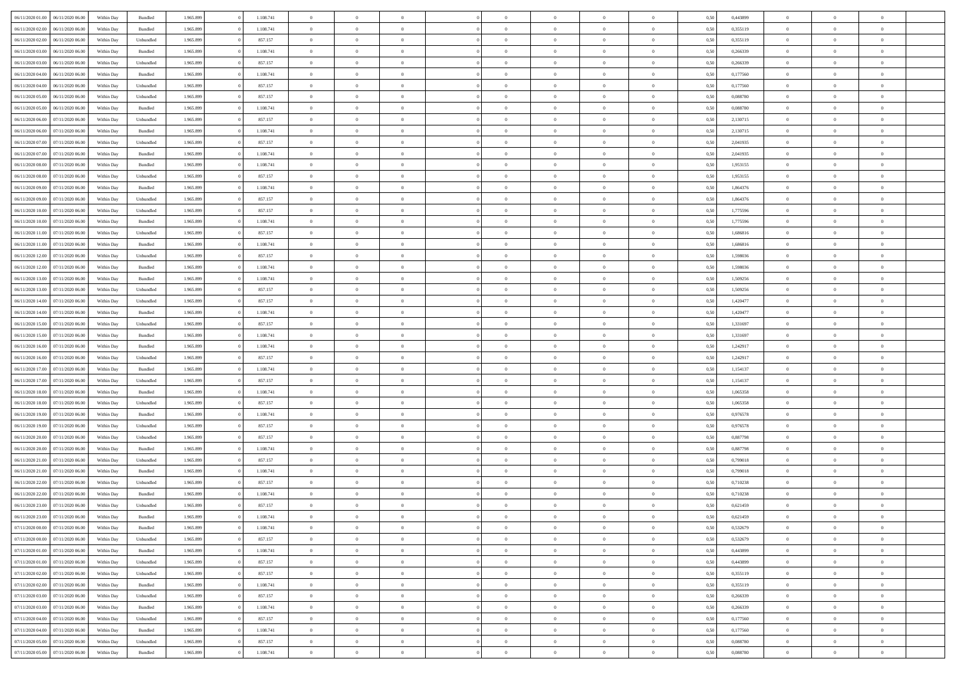| 06/11/2020 01:00 06/11/2020 06:00    | Within Day | Bundled   | 1.965.899 | 1.108.741 | $\overline{0}$ | $\overline{0}$ | $\Omega$       | $\Omega$       | $\theta$       |                | $\overline{0}$ | 0,50 | 0,443899 | $\mathbf{0}$   | $\Omega$       | $\Omega$       |  |
|--------------------------------------|------------|-----------|-----------|-----------|----------------|----------------|----------------|----------------|----------------|----------------|----------------|------|----------|----------------|----------------|----------------|--|
| 06/11/2020 02.00<br>06/11/2020 06.00 | Within Day | Bundled   | 1.965.899 | 1.108.741 | $\bf{0}$       | $\overline{0}$ | $\overline{0}$ | $\theta$       | $\overline{0}$ | $\overline{0}$ | $\,$ 0         | 0,50 | 0,355119 | $\mathbf{0}$   | $\theta$       | $\bf{0}$       |  |
| 06/11/2020 02.00<br>06/11/2020 06.00 | Within Day | Unbundled | 1.965.899 | 857.157   | $\overline{0}$ | $\overline{0}$ | $\overline{0}$ | $\bf{0}$       | $\bf{0}$       | $\overline{0}$ | $\mathbf{0}$   | 0,50 | 0,355119 | $\bf{0}$       | $\bf{0}$       | $\bf{0}$       |  |
| 06/11/2020 03:00<br>06/11/2020 06:00 | Within Day | Bundled   | 1.965.899 | 1.108.741 | $\overline{0}$ | $\overline{0}$ | $\overline{0}$ | $\overline{0}$ | $\overline{0}$ | $\overline{0}$ | $\overline{0}$ | 0.50 | 0,266339 | $\overline{0}$ | $\overline{0}$ | $\bf{0}$       |  |
| 06/11/2020 03:00<br>06/11/2020 06.00 | Within Day | Unbundled | 1.965.899 | 857.157   | $\bf{0}$       | $\overline{0}$ | $\overline{0}$ | $\theta$       | $\overline{0}$ | $\overline{0}$ | $\,$ 0         | 0,50 | 0,266339 | $\mathbf{0}$   | $\theta$       | $\overline{0}$ |  |
| 06/11/2020 04:00<br>06/11/2020 06.00 | Within Day | Bundled   | 1.965.899 | 1.108.741 | $\overline{0}$ | $\overline{0}$ | $\overline{0}$ | $\bf{0}$       | $\overline{0}$ | $\overline{0}$ | $\overline{0}$ | 0,50 | 0,177560 | $\overline{0}$ | $\overline{0}$ | $\overline{0}$ |  |
| 06/11/2020 04:00<br>06/11/2020 06:00 | Within Day | Unbundled | 1.965.899 | 857.157   | $\overline{0}$ | $\overline{0}$ | $\overline{0}$ | $\overline{0}$ | $\overline{0}$ | $\overline{0}$ | $\overline{0}$ | 0.50 | 0,177560 | $\overline{0}$ | $\overline{0}$ | $\overline{0}$ |  |
|                                      |            |           |           |           |                |                |                |                |                |                |                |      |          |                |                |                |  |
| 06/11/2020 05:00<br>06/11/2020 06.00 | Within Day | Unbundled | 1.965.899 | 857.157   | $\bf{0}$       | $\overline{0}$ | $\overline{0}$ | $\overline{0}$ | $\overline{0}$ | $\overline{0}$ | $\,$ 0         | 0,50 | 0,088780 | $\theta$       | $\theta$       | $\bf{0}$       |  |
| 06/11/2020 05:00<br>06/11/2020 06.00 | Within Day | Bundled   | 1.965.899 | 1.108.741 | $\overline{0}$ | $\overline{0}$ | $\overline{0}$ | $\bf{0}$       | $\bf{0}$       | $\overline{0}$ | $\mathbf{0}$   | 0,50 | 0,088780 | $\bf{0}$       | $\bf{0}$       | $\bf{0}$       |  |
| 06/11/2020 06:00<br>07/11/2020 06.00 | Within Day | Unbundled | 1.965.899 | 857.157   | $\overline{0}$ | $\overline{0}$ | $\overline{0}$ | $\overline{0}$ | $\overline{0}$ | $\overline{0}$ | $\overline{0}$ | 0.50 | 2,130715 | $\overline{0}$ | $\theta$       | $\overline{0}$ |  |
| 06/11/2020 06:00<br>07/11/2020 06.00 | Within Day | Bundled   | 1.965.899 | 1.108.741 | $\bf{0}$       | $\overline{0}$ | $\overline{0}$ | $\overline{0}$ | $\overline{0}$ | $\overline{0}$ | $\,$ 0         | 0,50 | 2,130715 | $\,$ 0 $\,$    | $\theta$       | $\bf{0}$       |  |
| 06/11/2020 07:00<br>07/11/2020 06.00 | Within Day | Unbundled | 1.965.899 | 857.157   | $\overline{0}$ | $\overline{0}$ | $\overline{0}$ | $\bf{0}$       | $\bf{0}$       | $\overline{0}$ | $\mathbf{0}$   | 0,50 | 2,041935 | $\overline{0}$ | $\bf{0}$       | $\bf{0}$       |  |
| 06/11/2020 07:00<br>07/11/2020 06:00 | Within Day | Bundled   | 1.965.899 | 1.108.741 | $\overline{0}$ | $\overline{0}$ | $\overline{0}$ | $\overline{0}$ | $\overline{0}$ | $\overline{0}$ | $\overline{0}$ | 0.50 | 2.041935 | $\mathbf{0}$   | $\overline{0}$ | $\bf{0}$       |  |
| 06/11/2020 08:00<br>07/11/2020 06.00 | Within Day | Bundled   | 1.965.899 | 1.108.741 | $\bf{0}$       | $\overline{0}$ | $\overline{0}$ | $\theta$       | $\overline{0}$ | $\overline{0}$ | $\,$ 0         | 0,50 | 1,953155 | $\theta$       | $\theta$       | $\bf{0}$       |  |
| 06/11/2020 08:00<br>07/11/2020 06.00 | Within Day | Unbundled | 1.965.899 | 857.157   | $\overline{0}$ | $\overline{0}$ | $\overline{0}$ | $\bf{0}$       | $\overline{0}$ | $\overline{0}$ | $\overline{0}$ | 0,50 | 1,953155 | $\overline{0}$ | $\overline{0}$ | $\overline{0}$ |  |
| 06/11/2020 09:00<br>07/11/2020 06:00 | Within Day | Bundled   | 1.965.899 | 1.108.741 | $\overline{0}$ | $\overline{0}$ | $\overline{0}$ | $\overline{0}$ | $\overline{0}$ | $\overline{0}$ | $\overline{0}$ | 0.50 | 1,864376 | $\overline{0}$ | $\theta$       | $\overline{0}$ |  |
|                                      |            |           |           |           |                |                |                |                |                |                |                |      |          |                |                |                |  |
| 06/11/2020 09:00<br>07/11/2020 06.00 | Within Day | Unbundled | 1.965.899 | 857.157   | $\bf{0}$       | $\overline{0}$ | $\bf{0}$       | $\overline{0}$ | $\overline{0}$ | $\overline{0}$ | $\bf{0}$       | 0,50 | 1,864376 | $\theta$       | $\theta$       | $\bf{0}$       |  |
| 06/11/2020 10:00<br>07/11/2020 06.00 | Within Day | Unbundled | 1.965.899 | 857.157   | $\overline{0}$ | $\overline{0}$ | $\bf{0}$       | $\bf{0}$       | $\bf{0}$       | $\overline{0}$ | $\mathbf{0}$   | 0,50 | 1,775596 | $\bf{0}$       | $\bf{0}$       | $\bf{0}$       |  |
| 06/11/2020 10:00<br>07/11/2020 06:00 | Within Day | Bundled   | 1.965.899 | 1.108.741 | $\overline{0}$ | $\overline{0}$ | $\overline{0}$ | $\overline{0}$ | $\overline{0}$ | $\overline{0}$ | $\overline{0}$ | 0.50 | 1,775596 | $\overline{0}$ | $\theta$       | $\overline{0}$ |  |
| 06/11/2020 11:00<br>07/11/2020 06.00 | Within Day | Unbundled | 1.965.899 | 857.157   | $\bf{0}$       | $\overline{0}$ | $\overline{0}$ | $\overline{0}$ | $\overline{0}$ | $\overline{0}$ | $\,$ 0         | 0,50 | 1,686816 | $\theta$       | $\theta$       | $\bf{0}$       |  |
| 06/11/2020 11:00<br>07/11/2020 06.00 | Within Day | Bundled   | 1.965.899 | 1.108.741 | $\overline{0}$ | $\overline{0}$ | $\overline{0}$ | $\bf{0}$       | $\bf{0}$       | $\overline{0}$ | $\mathbf{0}$   | 0,50 | 1,686816 | $\bf{0}$       | $\bf{0}$       | $\bf{0}$       |  |
| 06/11/2020 12:00<br>07/11/2020 06:00 | Within Day | Unbundled | 1.965.899 | 857.157   | $\overline{0}$ | $\overline{0}$ | $\overline{0}$ | $\overline{0}$ | $\overline{0}$ | $\overline{0}$ | $\overline{0}$ | 0.50 | 1.598036 | $\overline{0}$ | $\overline{0}$ | $\bf{0}$       |  |
| 06/11/2020 12:00<br>07/11/2020 06.00 | Within Day | Bundled   | 1.965.899 | 1.108.741 | $\bf{0}$       | $\overline{0}$ | $\overline{0}$ | $\overline{0}$ | $\overline{0}$ | $\overline{0}$ | $\,$ 0         | 0,50 | 1,598036 | $\,$ 0 $\,$    | $\theta$       | $\bf{0}$       |  |
| 06/11/2020 13:00<br>07/11/2020 06.00 | Within Day | Bundled   | 1.965.899 | 1.108.741 | $\overline{0}$ | $\overline{0}$ | $\overline{0}$ | $\bf{0}$       | $\overline{0}$ | $\overline{0}$ | $\overline{0}$ | 0,50 | 1,509256 | $\overline{0}$ | $\overline{0}$ | $\overline{0}$ |  |
| 06/11/2020 13:00<br>07/11/2020 06:00 | Within Day | Unbundled | 1.965.899 | 857.157   | $\overline{0}$ | $\overline{0}$ | $\overline{0}$ | $\overline{0}$ | $\overline{0}$ | $\overline{0}$ | $\overline{0}$ | 0.50 | 1,509256 | $\overline{0}$ | $\overline{0}$ | $\overline{0}$ |  |
| 06/11/2020 14:00<br>07/11/2020 06.00 | Within Day | Unbundled | 1.965.899 | 857.157   | $\bf{0}$       | $\overline{0}$ | $\bf{0}$       | $\overline{0}$ | $\overline{0}$ | $\overline{0}$ | $\bf{0}$       | 0,50 | 1,420477 | $\theta$       | $\theta$       | $\bf{0}$       |  |
|                                      |            |           |           |           |                |                |                |                |                |                |                |      |          |                |                |                |  |
| 06/11/2020 14:00<br>07/11/2020 06.00 | Within Day | Bundled   | 1.965.899 | 1.108.741 | $\overline{0}$ | $\overline{0}$ | $\overline{0}$ | $\bf{0}$       | $\bf{0}$       | $\overline{0}$ | $\mathbf{0}$   | 0,50 | 1,420477 | $\bf{0}$       | $\bf{0}$       | $\bf{0}$       |  |
| 06/11/2020 15:00<br>07/11/2020 06.00 | Within Day | Unbundled | 1.965.899 | 857.157   | $\overline{0}$ | $\overline{0}$ | $\overline{0}$ | $\overline{0}$ | $\overline{0}$ | $\overline{0}$ | $\overline{0}$ | 0.50 | 1,331697 | $\overline{0}$ | $\overline{0}$ | $\overline{0}$ |  |
| 06/11/2020 15:00<br>07/11/2020 06:00 | Within Day | Bundled   | 1.965.899 | 1.108.741 | $\bf{0}$       | $\overline{0}$ | $\bf{0}$       | $\overline{0}$ | $\overline{0}$ | $\overline{0}$ | $\,$ 0         | 0,50 | 1,331697 | $\bf{0}$       | $\theta$       | $\bf{0}$       |  |
| 06/11/2020 16:00<br>07/11/2020 06.00 | Within Day | Bundled   | 1.965.899 | 1.108.741 | $\overline{0}$ | $\overline{0}$ | $\overline{0}$ | $\bf{0}$       | $\bf{0}$       | $\overline{0}$ | $\mathbf{0}$   | 0,50 | 1,242917 | $\overline{0}$ | $\bf{0}$       | $\bf{0}$       |  |
| 06/11/2020 16:00<br>07/11/2020 06.00 | Within Day | Unbundled | 1.965.899 | 857.157   | $\overline{0}$ | $\overline{0}$ | $\overline{0}$ | $\overline{0}$ | $\overline{0}$ | $\Omega$       | $\overline{0}$ | 0,50 | 1,242917 | $\bf{0}$       | $\theta$       | $\Omega$       |  |
| 06/11/2020 17:00<br>07/11/2020 06.00 | Within Day | Bundled   | 1.965.899 | 1.108.741 | $\bf{0}$       | $\overline{0}$ | $\bf{0}$       | $\theta$       | $\overline{0}$ | $\overline{0}$ | $\,$ 0         | 0,50 | 1,154137 | $\overline{0}$ | $\theta$       | $\bf{0}$       |  |
| 06/11/2020 17.00<br>07/11/2020 06.00 | Within Day | Unbundled | 1.965.899 | 857.157   | $\overline{0}$ | $\overline{0}$ | $\overline{0}$ | $\bf{0}$       | $\overline{0}$ | $\overline{0}$ | $\overline{0}$ | 0,50 | 1,154137 | $\overline{0}$ | $\overline{0}$ | $\overline{0}$ |  |
| 06/11/2020 18:00<br>07/11/2020 06.00 | Within Day | Bundled   | 1.965.899 | 1.108.741 | $\overline{0}$ | $\overline{0}$ | $\overline{0}$ | $\overline{0}$ | $\overline{0}$ | $\Omega$       | $\overline{0}$ | 0.50 | 1,065358 | $\overline{0}$ | $\overline{0}$ | $\Omega$       |  |
| 06/11/2020 18:00<br>07/11/2020 06.00 | Within Day | Unbundled | 1.965.899 | 857.157   | $\bf{0}$       | $\overline{0}$ | $\bf{0}$       | $\overline{0}$ | $\overline{0}$ | $\overline{0}$ | $\bf{0}$       | 0,50 | 1,065358 | $\overline{0}$ | $\theta$       | $\bf{0}$       |  |
| 06/11/2020 19:00<br>07/11/2020 06.00 | Within Day | Bundled   | 1.965.899 | 1.108.741 | $\overline{0}$ | $\overline{0}$ | $\bf{0}$       | $\bf{0}$       | $\bf{0}$       | $\overline{0}$ | $\mathbf{0}$   | 0,50 | 0,976578 | $\bf{0}$       | $\bf{0}$       | $\bf{0}$       |  |
| 06/11/2020 19:00<br>07/11/2020 06.00 | Within Day | Unbundled | 1.965.899 | 857.157   | $\overline{0}$ | $\overline{0}$ | $\overline{0}$ | $\overline{0}$ | $\overline{0}$ | $\Omega$       | $\theta$       | 0.50 | 0,976578 | $\overline{0}$ | $\overline{0}$ | $\theta$       |  |
| 06/11/2020 20:00<br>07/11/2020 06.00 | Within Day | Unbundled | 1.965.899 | 857.157   | $\bf{0}$       | $\overline{0}$ | $\bf{0}$       | $\overline{0}$ | $\bf{0}$       | $\overline{0}$ | $\,$ 0         | 0,50 | 0,887798 | $\,$ 0 $\,$    | $\theta$       | $\bf{0}$       |  |
|                                      |            |           |           |           |                |                |                |                |                |                |                |      |          |                |                |                |  |
| 06/11/2020 20.00<br>07/11/2020 06.00 | Within Day | Bundled   | 1.965.899 | 1.108.741 | $\overline{0}$ | $\overline{0}$ | $\overline{0}$ | $\bf{0}$       | $\bf{0}$       | $\overline{0}$ | $\mathbf{0}$   | 0,50 | 0,887798 | $\overline{0}$ | $\bf{0}$       | $\bf{0}$       |  |
| 06/11/2020 21:00<br>07/11/2020 06.00 | Within Day | Unbundled | 1.965.899 | 857.157   | $\overline{0}$ | $\overline{0}$ | $\overline{0}$ | $\overline{0}$ | $\bf{0}$       | $\Omega$       | $\overline{0}$ | 0.50 | 0,799018 | $\overline{0}$ | $\overline{0}$ | $\Omega$       |  |
| 06/11/2020 21.00<br>07/11/2020 06.00 | Within Day | Bundled   | 1.965.899 | 1.108.741 | $\bf{0}$       | $\overline{0}$ | $\bf{0}$       | $\overline{0}$ | $\bf{0}$       | $\overline{0}$ | $\,$ 0 $\,$    | 0,50 | 0,799018 | $\,0\,$        | $\theta$       | $\bf{0}$       |  |
| 06/11/2020 22.00<br>07/11/2020 06.00 | Within Day | Unbundled | 1.965.899 | 857.157   | $\overline{0}$ | $\overline{0}$ | $\overline{0}$ | $\bf{0}$       | $\overline{0}$ | $\overline{0}$ | $\overline{0}$ | 0,50 | 0,710238 | $\overline{0}$ | $\overline{0}$ | $\bf{0}$       |  |
| 06/11/2020 22.00<br>07/11/2020 06.00 | Within Day | Bundled   | 1.965.899 | 1.108.741 | $\overline{0}$ | $\overline{0}$ | $\overline{0}$ | $\overline{0}$ | $\bf{0}$       | $\Omega$       | $\overline{0}$ | 0.50 | 0.710238 | $\overline{0}$ | $\theta$       | $\overline{0}$ |  |
| 06/11/2020 23.00<br>07/11/2020 06:00 | Within Day | Unbundled | 1.965.899 | 857.157   | $\bf{0}$       | $\overline{0}$ | $\bf{0}$       | $\bf{0}$       | $\bf{0}$       | $\bf{0}$       | $\,$ 0 $\,$    | 0,50 | 0,621459 | $\bf{0}$       | $\,$ 0         | $\,$ 0         |  |
| 06/11/2020 23.00 07/11/2020 06.00    | Within Day | Bundled   | 1.965.899 | 1.108.741 | $\bf{0}$       | $\bf{0}$       |                | $\bf{0}$       |                |                | $\bf{0}$       | 0,50 | 0,621459 | $\bf{0}$       | $\bf{0}$       |                |  |
| 07/11/2020 00:00 07/11/2020 06:00    | Within Day | Bundled   | 1.965.899 | 1.108.741 | $\overline{0}$ | $\overline{0}$ | $\theta$       | $\overline{0}$ | $\overline{0}$ | $\theta$       | $\mathbf{0}$   | 0.50 | 0,532679 | $\overline{0}$ | $\overline{0}$ | $\theta$       |  |
| 07/11/2020 00:00<br>07/11/2020 06:00 | Within Day | Unbundled | 1.965.899 | 857.157   | $\overline{0}$ | $\overline{0}$ | $\overline{0}$ | $\bf{0}$       | $\overline{0}$ | $\overline{0}$ | $\mathbf{0}$   | 0,50 | 0,532679 | $\,$ 0 $\,$    | $\overline{0}$ | $\,$ 0 $\,$    |  |
| 07/11/2020 01:00 07/11/2020 06:00    | Within Day | Bundled   | 1.965.899 | 1.108.741 | $\overline{0}$ | $\overline{0}$ | $\overline{0}$ | $\bf{0}$       | $\overline{0}$ | $\overline{0}$ | $\overline{0}$ | 0,50 | 0,443899 | $\overline{0}$ | $\overline{0}$ | $\overline{0}$ |  |
|                                      |            |           |           |           |                |                | $\overline{0}$ | $\overline{0}$ |                |                |                |      |          | $\overline{0}$ | $\overline{0}$ | $\overline{0}$ |  |
| 07/11/2020 01:00<br>07/11/2020 06.00 | Within Day | Unbundled | 1.965.899 | 857.157   | $\overline{0}$ | $\overline{0}$ |                |                | $\bf{0}$       | $\overline{0}$ | $\bf{0}$       | 0,50 | 0,443899 |                | $\theta$       |                |  |
| 07/11/2020 02.00 07/11/2020 06.00    | Within Day | Unbundled | 1.965.899 | 857.157   | $\overline{0}$ | $\overline{0}$ | $\overline{0}$ | $\overline{0}$ | $\overline{0}$ | $\overline{0}$ | $\mathbf{0}$   | 0,50 | 0,355119 | $\,$ 0 $\,$    |                | $\overline{0}$ |  |
| 07/11/2020 02:00 07/11/2020 06:00    | Within Day | Bundled   | 1.965.899 | 1.108.741 | $\overline{0}$ | $\overline{0}$ | $\overline{0}$ | $\bf{0}$       | $\overline{0}$ | $\overline{0}$ | $\overline{0}$ | 0,50 | 0,355119 | $\overline{0}$ | $\overline{0}$ | $\overline{0}$ |  |
| 07/11/2020 03:00<br>07/11/2020 06.00 | Within Day | Unbundled | 1.965.899 | 857.157   | $\overline{0}$ | $\overline{0}$ | $\overline{0}$ | $\overline{0}$ | $\overline{0}$ | $\overline{0}$ | $\overline{0}$ | 0.50 | 0,266339 | $\overline{0}$ | $\overline{0}$ | $\overline{0}$ |  |
| 07/11/2020 03.00<br>07/11/2020 06:00 | Within Day | Bundled   | 1.965.899 | 1.108.741 | $\overline{0}$ | $\overline{0}$ | $\overline{0}$ | $\bf{0}$       | $\bf{0}$       | $\overline{0}$ | $\,$ 0 $\,$    | 0,50 | 0,266339 | $\,$ 0 $\,$    | $\theta$       | $\,$ 0         |  |
| 07/11/2020 04:00<br>07/11/2020 06.00 | Within Day | Unbundled | 1.965.899 | 857.157   | $\overline{0}$ | $\overline{0}$ | $\overline{0}$ | $\bf{0}$       | $\overline{0}$ | $\overline{0}$ | $\overline{0}$ | 0,50 | 0,177560 | $\bf{0}$       | $\bf{0}$       | $\overline{0}$ |  |
| 07/11/2020 04:00<br>07/11/2020 06.00 | Within Day | Bundled   | 1.965.899 | 1.108.741 | $\overline{0}$ | $\overline{0}$ | $\overline{0}$ | $\overline{0}$ | $\overline{0}$ | $\overline{0}$ | $\overline{0}$ | 0.50 | 0,177560 | $\overline{0}$ | $\overline{0}$ | $\overline{0}$ |  |
| 07/11/2020 05.00<br>07/11/2020 06:00 | Within Day | Unbundled | 1.965.899 | 857.157   | $\overline{0}$ | $\overline{0}$ | $\overline{0}$ | $\bf{0}$       | $\bf{0}$       | $\bf{0}$       | $\,$ 0 $\,$    | 0,50 | 0,088780 | $\,$ 0 $\,$    | $\,0\,$        | $\,$ 0         |  |
| 07/11/2020 05:00 07/11/2020 06:00    | Within Day | Bundled   | 1.965.899 | 1.108.741 | $\overline{0}$ | $\overline{0}$ | $\overline{0}$ | $\bf{0}$       | $\bf{0}$       | $\overline{0}$ | $\bf{0}$       | 0,50 | 0,088780 | $\bf{0}$       | $\bf{0}$       | $\overline{0}$ |  |
|                                      |            |           |           |           |                |                |                |                |                |                |                |      |          |                |                |                |  |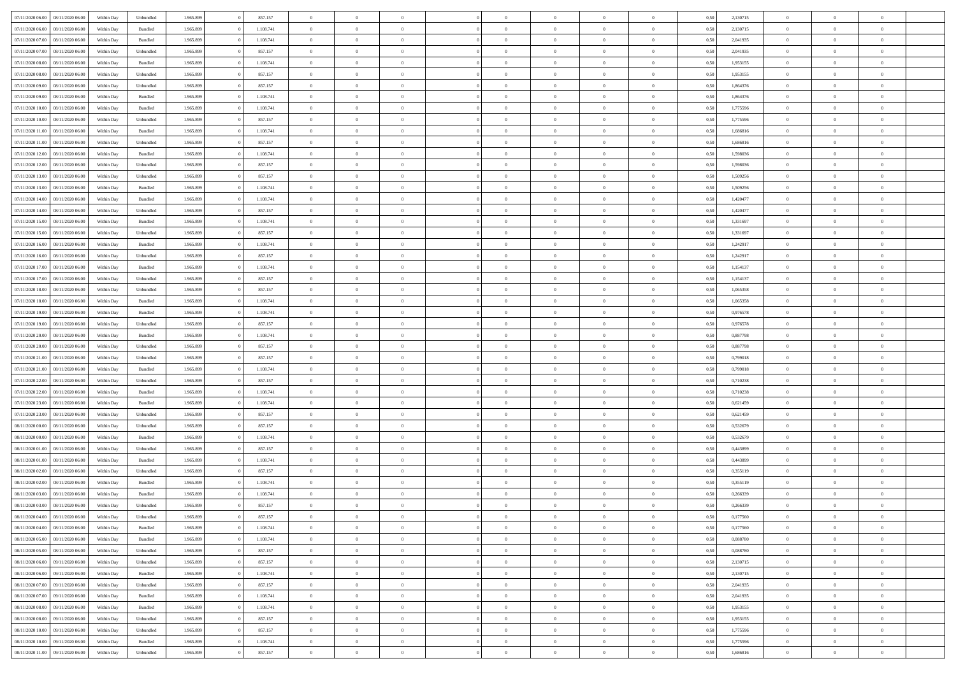| 07/11/2020 06:00 | 08/11/2020 06:00 | Within Dav | Unbundled | 1.965.899 | 857.157   | $\overline{0}$ | $\theta$       |                | $\Omega$       | $\Omega$       | $\theta$       | $\theta$       | 0,50 | 2,130715 | $\theta$       | $\overline{0}$ | $\overline{0}$ |  |
|------------------|------------------|------------|-----------|-----------|-----------|----------------|----------------|----------------|----------------|----------------|----------------|----------------|------|----------|----------------|----------------|----------------|--|
|                  |                  |            |           |           |           |                |                |                |                |                |                |                |      |          |                |                |                |  |
| 07/11/2020 06.00 | 08/11/2020 06.00 | Within Day | Bundled   | 1.965.899 | 1.108.741 | $\overline{0}$ | $\overline{0}$ | $\overline{0}$ | $\overline{0}$ | $\bf{0}$       | $\overline{0}$ | $\bf{0}$       | 0,50 | 2,130715 | $\theta$       | $\overline{0}$ | $\overline{0}$ |  |
| 07/11/2020 07.00 | 08/11/2020 06.00 | Within Day | Bundled   | 1.965.899 | 1.108.741 | $\overline{0}$ | $\overline{0}$ | $\overline{0}$ | $\bf{0}$       | $\bf{0}$       | $\bf{0}$       | $\mathbf{0}$   | 0,50 | 2,041935 | $\overline{0}$ | $\overline{0}$ | $\overline{0}$ |  |
| 07/11/2020 07.00 | 08/11/2020 06:00 | Within Day | Unbundled | 1.965.899 | 857.157   | $\overline{0}$ | $\overline{0}$ | $\overline{0}$ | $\overline{0}$ | $\theta$       | $\overline{0}$ | $\overline{0}$ | 0.50 | 2,041935 | $\theta$       | $\overline{0}$ | $\overline{0}$ |  |
| 07/11/2020 08:00 | 08/11/2020 06.00 | Within Day | Bundled   | 1.965.899 | 1.108.741 | $\overline{0}$ | $\theta$       | $\overline{0}$ | $\overline{0}$ | $\bf{0}$       | $\overline{0}$ | $\bf{0}$       | 0,50 | 1,953155 | $\,$ 0 $\,$    | $\overline{0}$ | $\overline{0}$ |  |
|                  |                  |            |           |           |           |                |                |                |                |                |                |                |      |          |                |                |                |  |
| 07/11/2020 08.00 | 08/11/2020 06.00 | Within Day | Unbundled | 1.965.899 | 857.157   | $\overline{0}$ | $\overline{0}$ | $\overline{0}$ | $\bf{0}$       | $\overline{0}$ | $\overline{0}$ | $\mathbf{0}$   | 0,50 | 1,953155 | $\overline{0}$ | $\overline{0}$ | $\bf{0}$       |  |
| 07/11/2020 09:00 | 08/11/2020 06:00 | Within Dav | Unbundled | 1.965.899 | 857.157   | $\overline{0}$ | $\overline{0}$ | $\overline{0}$ | $\overline{0}$ | $\overline{0}$ | $\overline{0}$ | $\overline{0}$ | 0.50 | 1,864376 | $\theta$       | $\overline{0}$ | $\overline{0}$ |  |
| 07/11/2020 09:00 | 08/11/2020 06.00 | Within Day | Bundled   | 1.965.899 | 1.108.741 | $\overline{0}$ | $\theta$       | $\overline{0}$ | $\overline{0}$ | $\bf{0}$       | $\overline{0}$ | $\bf{0}$       | 0,50 | 1,864376 | $\,$ 0 $\,$    | $\theta$       | $\overline{0}$ |  |
| 07/11/2020 10:00 | 08/11/2020 06.00 | Within Day | Bundled   | 1.965.899 | 1.108.741 | $\overline{0}$ | $\overline{0}$ | $\overline{0}$ | $\bf{0}$       | $\bf{0}$       | $\bf{0}$       | $\mathbf{0}$   | 0,50 | 1,775596 | $\bf{0}$       | $\overline{0}$ | $\overline{0}$ |  |
| 07/11/2020 10:00 | 08/11/2020 06:00 | Within Dav | Unbundled | 1.965.899 | 857.157   | $\overline{0}$ | $\overline{0}$ | $\overline{0}$ | $\overline{0}$ | $\overline{0}$ | $\overline{0}$ | $\overline{0}$ | 0.50 | 1,775596 | $\theta$       | $\overline{0}$ | $\overline{0}$ |  |
| 07/11/2020 11:00 | 08/11/2020 06.00 | Within Day | Bundled   | 1.965.899 | 1.108.741 | $\overline{0}$ | $\theta$       | $\overline{0}$ | $\overline{0}$ | $\bf{0}$       | $\overline{0}$ | $\bf{0}$       | 0,50 | 1,686816 | $\,$ 0 $\,$    | $\overline{0}$ | $\overline{0}$ |  |
|                  |                  |            |           |           |           |                |                |                |                |                |                |                |      |          |                |                |                |  |
| 07/11/2020 11:00 | 08/11/2020 06.00 | Within Day | Unbundled | 1.965.899 | 857.157   | $\overline{0}$ | $\bf{0}$       | $\overline{0}$ | $\bf{0}$       | $\bf{0}$       | $\bf{0}$       | $\mathbf{0}$   | 0,50 | 1,686816 | $\overline{0}$ | $\overline{0}$ | $\bf{0}$       |  |
| 07/11/2020 12:00 | 08/11/2020 06:00 | Within Day | Bundled   | 1.965.899 | 1.108.741 | $\overline{0}$ | $\overline{0}$ | $\overline{0}$ | $\overline{0}$ | $\overline{0}$ | $\overline{0}$ | $\overline{0}$ | 0.50 | 1.598036 | $\theta$       | $\theta$       | $\overline{0}$ |  |
| 07/11/2020 12.00 | 08/11/2020 06.00 | Within Day | Unbundled | 1.965.899 | 857.157   | $\overline{0}$ | $\theta$       | $\overline{0}$ | $\overline{0}$ | $\bf{0}$       | $\overline{0}$ | $\bf{0}$       | 0,50 | 1,598036 | $\,$ 0 $\,$    | $\overline{0}$ | $\overline{0}$ |  |
| 07/11/2020 13.00 | 08/11/2020 06.00 | Within Day | Unbundled | 1.965.899 | 857.157   | $\overline{0}$ | $\overline{0}$ | $\overline{0}$ | $\bf{0}$       | $\overline{0}$ | $\overline{0}$ | $\mathbf{0}$   | 0,50 | 1,509256 | $\overline{0}$ | $\overline{0}$ | $\bf{0}$       |  |
| 07/11/2020 13:00 | 08/11/2020 06:00 | Within Dav | Bundled   | 1.965.899 | 1.108.741 | $\overline{0}$ | $\overline{0}$ | $\overline{0}$ | $\overline{0}$ | $\overline{0}$ | $\overline{0}$ | $\overline{0}$ | 0.50 | 1,509256 | $\theta$       | $\overline{0}$ | $\overline{0}$ |  |
| 07/11/2020 14:00 | 08/11/2020 06.00 | Within Day | Bundled   | 1.965.899 | 1.108.741 | $\overline{0}$ | $\theta$       | $\overline{0}$ | $\overline{0}$ | $\bf{0}$       | $\overline{0}$ | $\bf{0}$       | 0,50 | 1,420477 | $\,$ 0 $\,$    | $\overline{0}$ | $\overline{0}$ |  |
|                  |                  |            |           |           |           |                | $\overline{0}$ |                |                |                |                |                |      |          | $\bf{0}$       | $\overline{0}$ | $\overline{0}$ |  |
| 07/11/2020 14:00 | 08/11/2020 06.00 | Within Day | Unbundled | 1.965.899 | 857.157   | $\overline{0}$ |                | $\overline{0}$ | $\bf{0}$       | $\overline{0}$ | $\bf{0}$       | $\mathbf{0}$   | 0,50 | 1,420477 |                |                |                |  |
| 07/11/2020 15:00 | 08/11/2020 06:00 | Within Day | Bundled   | 1.965.899 | 1.108.741 | $\overline{0}$ | $\overline{0}$ | $\overline{0}$ | $\overline{0}$ | $\overline{0}$ | $\overline{0}$ | $\overline{0}$ | 0.50 | 1,331697 | $\theta$       | $\overline{0}$ | $\overline{0}$ |  |
| 07/11/2020 15.00 | 08/11/2020 06.00 | Within Day | Unbundled | 1.965.899 | 857.157   | $\overline{0}$ | $\theta$       | $\overline{0}$ | $\overline{0}$ | $\bf{0}$       | $\overline{0}$ | $\bf{0}$       | 0,50 | 1,331697 | $\,$ 0 $\,$    | $\overline{0}$ | $\overline{0}$ |  |
| 07/11/2020 16.00 | 08/11/2020 06.00 | Within Day | Bundled   | 1.965.899 | 1.108.741 | $\overline{0}$ | $\overline{0}$ | $\overline{0}$ | $\bf{0}$       | $\bf{0}$       | $\bf{0}$       | $\mathbf{0}$   | 0,50 | 1,242917 | $\overline{0}$ | $\overline{0}$ | $\bf{0}$       |  |
| 07/11/2020 16:00 | 08/11/2020 06:00 | Within Day | Unbundled | 1.965.899 | 857.157   | $\overline{0}$ | $\overline{0}$ | $\overline{0}$ | $\overline{0}$ | $\overline{0}$ | $\overline{0}$ | $\overline{0}$ | 0.50 | 1.242917 | $\theta$       | $\overline{0}$ | $\overline{0}$ |  |
| 07/11/2020 17.00 | 08/11/2020 06.00 | Within Day | Bundled   | 1.965.899 | 1.108.741 | $\overline{0}$ | $\theta$       | $\overline{0}$ | $\overline{0}$ | $\bf{0}$       | $\overline{0}$ | $\,$ 0 $\,$    | 0,50 | 1,154137 | $\,$ 0 $\,$    | $\overline{0}$ | $\overline{0}$ |  |
| 07/11/2020 17.00 | 08/11/2020 06.00 | Within Day | Unbundled | 1.965.899 | 857.157   | $\overline{0}$ | $\overline{0}$ | $\overline{0}$ | $\bf{0}$       | $\overline{0}$ | $\overline{0}$ | $\mathbf{0}$   | 0,50 | 1,154137 | $\overline{0}$ | $\overline{0}$ | $\bf{0}$       |  |
| 07/11/2020 18.00 | 08/11/2020 06:00 | Within Day | Unbundled | 1.965.899 | 857.157   | $\overline{0}$ | $\overline{0}$ | $\overline{0}$ | $\overline{0}$ | $\overline{0}$ | $\overline{0}$ | $\overline{0}$ | 0.50 | 1,065358 | $\overline{0}$ | $\overline{0}$ | $\overline{0}$ |  |
|                  |                  |            |           |           |           |                |                |                |                |                |                |                |      |          |                |                |                |  |
| 07/11/2020 18.00 | 08/11/2020 06.00 | Within Day | Bundled   | 1.965.899 | 1.108.741 | $\overline{0}$ | $\theta$       | $\overline{0}$ | $\overline{0}$ | $\,$ 0         | $\overline{0}$ | $\bf{0}$       | 0,50 | 1,065358 | $\,$ 0 $\,$    | $\overline{0}$ | $\overline{0}$ |  |
| 07/11/2020 19.00 | 08/11/2020 06.00 | Within Day | Bundled   | 1.965.899 | 1.108.741 | $\overline{0}$ | $\overline{0}$ | $\overline{0}$ | $\bf{0}$       | $\bf{0}$       | $\bf{0}$       | $\mathbf{0}$   | 0,50 | 0,976578 | $\,0\,$        | $\overline{0}$ | $\overline{0}$ |  |
| 07/11/2020 19:00 | 08/11/2020 06:00 | Within Day | Unbundled | 1.965.899 | 857.157   | $\overline{0}$ | $\overline{0}$ | $\overline{0}$ | $\overline{0}$ | $\overline{0}$ | $\overline{0}$ | $\overline{0}$ | 0.50 | 0,976578 | $\theta$       | $\overline{0}$ | $\overline{0}$ |  |
| 07/11/2020 20.00 | 08/11/2020 06.00 | Within Day | Bundled   | 1.965.899 | 1.108.741 | $\overline{0}$ | $\overline{0}$ | $\overline{0}$ | $\overline{0}$ | $\,$ 0         | $\overline{0}$ | $\bf{0}$       | 0,50 | 0,887798 | $\,$ 0 $\,$    | $\overline{0}$ | $\overline{0}$ |  |
| 07/11/2020 20.00 | 08/11/2020 06.00 | Within Day | Unbundled | 1.965.899 | 857.157   | $\overline{0}$ | $\overline{0}$ | $\overline{0}$ | $\bf{0}$       | $\bf{0}$       | $\bf{0}$       | $\mathbf{0}$   | 0,50 | 0,887798 | $\overline{0}$ | $\overline{0}$ | $\bf{0}$       |  |
| 07/11/2020 21:00 | 08/11/2020 06.00 | Within Day | Unbundled | 1.965.899 | 857.157   | $\overline{0}$ | $\theta$       | $\overline{0}$ | $\Omega$       | $\overline{0}$ | $\overline{0}$ | $\overline{0}$ | 0,50 | 0,799018 | $\,0\,$        | $\theta$       | $\overline{0}$ |  |
|                  |                  |            |           |           |           | $\overline{0}$ | $\overline{0}$ |                |                |                |                |                |      |          |                |                |                |  |
| 07/11/2020 21.00 | 08/11/2020 06.00 | Within Day | Bundled   | 1.965.899 | 1.108.741 |                |                | $\overline{0}$ | $\overline{0}$ | $\bf{0}$       | $\overline{0}$ | $\bf{0}$       | 0,50 | 0,799018 | $\,$ 0 $\,$    | $\overline{0}$ | $\overline{0}$ |  |
| 07/11/2020 22.00 | 08/11/2020 06.00 | Within Day | Unbundled | 1.965.899 | 857.157   | $\overline{0}$ | $\overline{0}$ | $\overline{0}$ | $\bf{0}$       | $\overline{0}$ | $\overline{0}$ | $\mathbf{0}$   | 0,50 | 0,710238 | $\overline{0}$ | $\overline{0}$ | $\bf{0}$       |  |
| 07/11/2020 22.00 | 08/11/2020 06:00 | Within Day | Bundled   | 1.965.899 | 1.108.741 | $\overline{0}$ | $\overline{0}$ | $\overline{0}$ | $\Omega$       | $\overline{0}$ | $\overline{0}$ | $\overline{0}$ | 0.50 | 0,710238 | $\,0\,$        | $\theta$       | $\overline{0}$ |  |
| 07/11/2020 23.00 | 08/11/2020 06.00 | Within Day | Bundled   | 1.965.899 | 1.108.741 | $\overline{0}$ | $\theta$       | $\overline{0}$ | $\overline{0}$ | $\,$ 0         | $\overline{0}$ | $\bf{0}$       | 0,50 | 0,621459 | $\,$ 0 $\,$    | $\overline{0}$ | $\overline{0}$ |  |
| 07/11/2020 23.00 | 08/11/2020 06.00 | Within Day | Unbundled | 1.965.899 | 857.157   | $\overline{0}$ | $\overline{0}$ | $\overline{0}$ | $\bf{0}$       | $\bf{0}$       | $\bf{0}$       | $\mathbf{0}$   | 0,50 | 0,621459 | $\bf{0}$       | $\overline{0}$ | $\bf{0}$       |  |
| 08/11/2020 00:00 | 08/11/2020 06:00 | Within Day | Unbundled | 1.965.899 | 857.157   | $\overline{0}$ | $\overline{0}$ | $\overline{0}$ | $\Omega$       | $\overline{0}$ | $\overline{0}$ | $\overline{0}$ | 0.50 | 0,532679 | $\,$ 0 $\,$    | $\theta$       | $\overline{0}$ |  |
| 08/11/2020 00.00 | 08/11/2020 06.00 | Within Day | Bundled   | 1.965.899 | 1.108.741 | $\overline{0}$ | $\overline{0}$ | $\overline{0}$ | $\overline{0}$ | $\,$ 0         | $\overline{0}$ | $\bf{0}$       | 0,50 | 0,532679 | $\,$ 0 $\,$    | $\overline{0}$ | $\overline{0}$ |  |
|                  |                  |            |           |           |           |                |                |                |                |                |                |                |      |          |                |                |                |  |
| 08/11/2020 01.00 | 08/11/2020 06.00 | Within Day | Unbundled | 1.965.899 | 857.157   | $\overline{0}$ | $\overline{0}$ | $\overline{0}$ | $\bf{0}$       | $\bf{0}$       | $\overline{0}$ | $\mathbf{0}$   | 0,50 | 0,443899 | $\overline{0}$ | $\overline{0}$ | $\bf{0}$       |  |
| 08/11/2020 01:00 | 08/11/2020 06.00 | Within Day | Bundled   | 1.965.899 | 1.108.741 | $\overline{0}$ | $\theta$       | $\overline{0}$ | $\Omega$       | $\overline{0}$ | $\overline{0}$ | $\overline{0}$ | 0,50 | 0,443899 | $\,0\,$        | $\theta$       | $\overline{0}$ |  |
| 08/11/2020 02.00 | 08/11/2020 06.00 | Within Day | Unbundled | 1.965.899 | 857.157   | $\overline{0}$ | $\,$ 0         | $\overline{0}$ | $\overline{0}$ | $\,$ 0         | $\overline{0}$ | $\bf{0}$       | 0,50 | 0,355119 | $\,$ 0 $\,$    | $\overline{0}$ | $\overline{0}$ |  |
| 08/11/2020 02.00 | 08/11/2020 06.00 | Within Day | Bundled   | 1.965.899 | 1.108.741 | $\overline{0}$ | $\overline{0}$ | $\overline{0}$ | $\bf{0}$       | $\overline{0}$ | $\overline{0}$ | $\mathbf{0}$   | 0,50 | 0,355119 | $\overline{0}$ | $\overline{0}$ | $\bf{0}$       |  |
| 08/11/2020 03:00 | 08/11/2020 06.00 | Within Day | Bundled   | 1.965.899 | 1.108.741 | $\overline{0}$ | $\Omega$       | $\overline{0}$ | $\Omega$       | $\Omega$       | $\overline{0}$ | $\overline{0}$ | 0.50 | 0,266339 | $\,0\,$        | $\theta$       | $\overline{0}$ |  |
| 08/11/2020 03.00 | 08/11/2020 06.00 | Within Day | Unbundled | 1.965.899 | 857.157   | $\overline{0}$ | $\overline{0}$ | $\overline{0}$ | $\bf{0}$       | $\,$ 0         | $\bf{0}$       | $\bf{0}$       | 0,50 | 0,266339 | $\,0\,$        | $\,$ 0 $\,$    | $\overline{0}$ |  |
| 08/11/2020 04:00 | 08/11/2020 06.00 | Within Day | Unbundled | 1.965.899 | 857.157   | $\bf{0}$       | $\bf{0}$       |                |                | $\bf{0}$       |                |                | 0,50 | 0,177560 | $\bf{0}$       | $\overline{0}$ |                |  |
|                  |                  |            |           |           |           |                |                |                |                |                |                |                |      |          |                |                |                |  |
| 08/11/2020 04:00 | 08/11/2020 06:00 | Within Day | Bundled   | 1.965.899 | 1.108.741 | $\overline{0}$ | $\overline{0}$ | $\overline{0}$ | $\Omega$       | $\overline{0}$ | $\overline{0}$ | $\overline{0}$ | 0,50 | 0,177560 | $\theta$       | $\theta$       | $\theta$       |  |
| 08/11/2020 05.00 | 08/11/2020 06.00 | Within Day | Bundled   | 1.965.899 | 1.108.741 | $\overline{0}$ | $\bf{0}$       | $\overline{0}$ | $\bf{0}$       | $\,$ 0 $\,$    | $\overline{0}$ | $\mathbf{0}$   | 0,50 | 0,088780 | $\,$ 0 $\,$    | $\,$ 0 $\,$    | $\,$ 0         |  |
| 08/11/2020 05:00 | 08/11/2020 06.00 | Within Day | Unbundled | 1.965.899 | 857.157   | $\overline{0}$ | $\overline{0}$ | $\overline{0}$ | $\overline{0}$ | $\overline{0}$ | $\overline{0}$ | $\mathbf{0}$   | 0,50 | 0,088780 | $\overline{0}$ | $\bf{0}$       | $\bf{0}$       |  |
| 08/11/2020 06:00 | 09/11/2020 06.00 | Within Day | Unbundled | 1.965.899 | 857.157   | $\overline{0}$ | $\overline{0}$ | $\overline{0}$ | $\Omega$       | $\overline{0}$ | $\overline{0}$ | $\overline{0}$ | 0,50 | 2,130715 | $\overline{0}$ | $\,$ 0 $\,$    | $\overline{0}$ |  |
| 08/11/2020 06.00 | 09/11/2020 06.00 | Within Day | Bundled   | 1.965.899 | 1.108.741 | $\overline{0}$ | $\,$ 0         | $\overline{0}$ | $\bf{0}$       | $\,$ 0 $\,$    | $\overline{0}$ | $\,$ 0 $\,$    | 0,50 | 2,130715 | $\,$ 0 $\,$    | $\overline{0}$ | $\,$ 0         |  |
| 08/11/2020 07.00 | 09/11/2020 06.00 | Within Day | Unbundled | 1.965.899 | 857.157   | $\overline{0}$ | $\overline{0}$ | $\overline{0}$ | $\overline{0}$ | $\overline{0}$ | $\overline{0}$ | $\mathbf{0}$   | 0,50 | 2,041935 | $\overline{0}$ | $\overline{0}$ | $\bf{0}$       |  |
| 08/11/2020 07:00 | 09/11/2020 06.00 | Within Day | Bundled   | 1.965.899 | 1.108.741 | $\overline{0}$ | $\overline{0}$ | $\overline{0}$ | $\overline{0}$ | $\overline{0}$ | $\overline{0}$ | $\overline{0}$ | 0.50 | 2,041935 | $\overline{0}$ | $\theta$       | $\overline{0}$ |  |
|                  |                  |            |           |           |           |                |                |                |                |                |                |                |      |          |                |                |                |  |
| 08/11/2020 08:00 | 09/11/2020 06.00 | Within Day | Bundled   | 1.965.899 | 1.108.741 | $\overline{0}$ | $\,$ 0         | $\overline{0}$ | $\bf{0}$       | $\bf{0}$       | $\bf{0}$       | $\bf{0}$       | 0,50 | 1,953155 | $\,$ 0 $\,$    | $\overline{0}$ | $\overline{0}$ |  |
| 08/11/2020 08.00 | 09/11/2020 06.00 | Within Day | Unbundled | 1.965.899 | 857.157   | $\overline{0}$ | $\bf{0}$       | $\overline{0}$ | $\overline{0}$ | $\overline{0}$ | $\overline{0}$ | $\mathbf{0}$   | 0,50 | 1,953155 | $\overline{0}$ | $\overline{0}$ | $\bf{0}$       |  |
| 08/11/2020 10:00 | 09/11/2020 06.00 | Within Day | Unbundled | 1.965.899 | 857.157   | $\overline{0}$ | $\overline{0}$ | $\overline{0}$ | $\Omega$       | $\overline{0}$ | $\overline{0}$ | $\overline{0}$ | 0,50 | 1,775596 | $\overline{0}$ | $\overline{0}$ | $\overline{0}$ |  |
| 08/11/2020 10:00 | 09/11/2020 06.00 | Within Day | Bundled   | 1.965.899 | 1.108.741 | $\overline{0}$ | $\bf{0}$       | $\overline{0}$ | $\bf{0}$       | $\bf{0}$       | $\bf{0}$       | $\mathbf{0}$   | 0,50 | 1,775596 | $\,$ 0 $\,$    | $\,$ 0 $\,$    | $\bf{0}$       |  |
| 08/11/2020 11:00 | 09/11/2020 06.00 | Within Day | Unbundled | 1.965.899 | 857.157   | $\overline{0}$ | $\overline{0}$ | $\overline{0}$ | $\overline{0}$ | $\overline{0}$ | $\bf{0}$       | $\mathbf{0}$   | 0,50 | 1,686816 | $\overline{0}$ | $\bf{0}$       | $\overline{0}$ |  |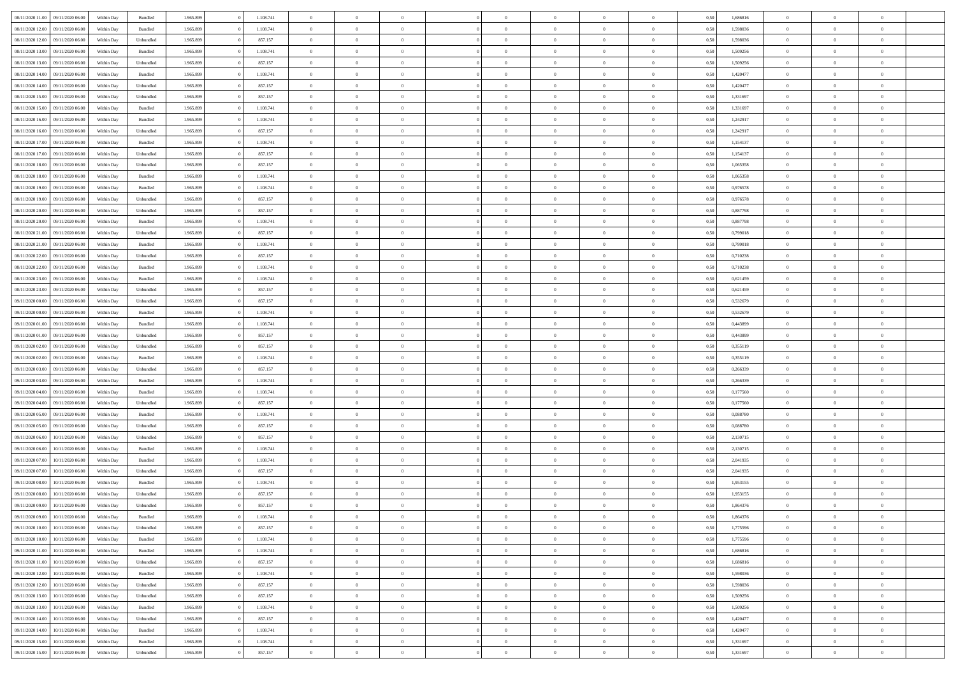| 08/11/2020 11:00 | 09/11/2020 06:00 | Within Dav | Bundled            | 1.965.899 | 1.108.741 | $\overline{0}$ | $\Omega$       |                | $\Omega$       | $\Omega$       | $\theta$       | $\theta$       | 0,50 | 1,686816 | $\theta$       | $\theta$       | $\theta$       |  |
|------------------|------------------|------------|--------------------|-----------|-----------|----------------|----------------|----------------|----------------|----------------|----------------|----------------|------|----------|----------------|----------------|----------------|--|
|                  |                  |            |                    |           |           |                |                |                |                |                |                |                |      |          |                |                |                |  |
| 08/11/2020 12:00 | 09/11/2020 06.00 | Within Day | Bundled            | 1.965.899 | 1.108.741 | $\overline{0}$ | $\theta$       | $\overline{0}$ | $\overline{0}$ | $\bf{0}$       | $\overline{0}$ | $\bf{0}$       | 0,50 | 1,598036 | $\theta$       | $\theta$       | $\overline{0}$ |  |
| 08/11/2020 12:00 | 09/11/2020 06.00 | Within Day | Unbundled          | 1.965.899 | 857.157   | $\overline{0}$ | $\bf{0}$       | $\overline{0}$ | $\bf{0}$       | $\bf{0}$       | $\bf{0}$       | $\mathbf{0}$   | 0,50 | 1,598036 | $\overline{0}$ | $\overline{0}$ | $\overline{0}$ |  |
| 08/11/2020 13:00 | 09/11/2020 06:00 | Within Dav | Bundled            | 1.965.899 | 1.108.741 | $\overline{0}$ | $\overline{0}$ | $\overline{0}$ | $\overline{0}$ | $\bf{0}$       | $\overline{0}$ | $\overline{0}$ | 0.50 | 1,509256 | $\theta$       | $\theta$       | $\overline{0}$ |  |
| 08/11/2020 13:00 | 09/11/2020 06.00 | Within Day | Unbundled          | 1.965.899 | 857.157   | $\overline{0}$ | $\theta$       | $\overline{0}$ | $\overline{0}$ | $\bf{0}$       | $\overline{0}$ | $\bf{0}$       | 0,50 | 1,509256 | $\,$ 0 $\,$    | $\overline{0}$ | $\overline{0}$ |  |
|                  |                  |            |                    |           |           |                |                |                |                |                |                |                |      |          |                |                |                |  |
| 08/11/2020 14:00 | 09/11/2020 06.00 | Within Day | Bundled            | 1.965.899 | 1.108.741 | $\overline{0}$ | $\overline{0}$ | $\overline{0}$ | $\bf{0}$       | $\overline{0}$ | $\overline{0}$ | $\mathbf{0}$   | 0,50 | 1,420477 | $\overline{0}$ | $\overline{0}$ | $\bf{0}$       |  |
| 08/11/2020 14:00 | 09/11/2020 06:00 | Within Dav | Unbundled          | 1.965.899 | 857.157   | $\overline{0}$ | $\overline{0}$ | $\overline{0}$ | $\overline{0}$ | $\overline{0}$ | $\overline{0}$ | $\overline{0}$ | 0.50 | 1,420477 | $\theta$       | $\overline{0}$ | $\overline{0}$ |  |
| 08/11/2020 15:00 | 09/11/2020 06.00 | Within Day | Unbundled          | 1.965.899 | 857.157   | $\overline{0}$ | $\theta$       | $\overline{0}$ | $\overline{0}$ | $\,$ 0         | $\overline{0}$ | $\bf{0}$       | 0,50 | 1,331697 | $\,$ 0 $\,$    | $\theta$       | $\overline{0}$ |  |
| 08/11/2020 15:00 | 09/11/2020 06.00 | Within Day | Bundled            | 1.965.899 | 1.108.741 | $\overline{0}$ | $\overline{0}$ | $\overline{0}$ | $\bf{0}$       | $\bf{0}$       | $\bf{0}$       | $\mathbf{0}$   | 0,50 | 1,331697 | $\,0\,$        | $\overline{0}$ | $\overline{0}$ |  |
| 08/11/2020 16:00 | 09/11/2020 06:00 | Within Dav | Bundled            | 1.965.899 | 1.108.741 | $\overline{0}$ | $\overline{0}$ | $\overline{0}$ | $\overline{0}$ | $\overline{0}$ | $\overline{0}$ | $\overline{0}$ | 0.50 | 1,242917 | $\theta$       | $\overline{0}$ | $\overline{0}$ |  |
| 08/11/2020 16:00 | 09/11/2020 06.00 | Within Day | Unbundled          | 1.965.899 | 857.157   | $\overline{0}$ | $\theta$       | $\overline{0}$ | $\overline{0}$ | $\bf{0}$       | $\overline{0}$ | $\bf{0}$       | 0,50 | 1,242917 | $\,$ 0 $\,$    | $\overline{0}$ | $\overline{0}$ |  |
|                  |                  |            |                    |           |           |                |                |                |                |                |                |                |      |          |                |                |                |  |
| 08/11/2020 17.00 | 09/11/2020 06.00 | Within Day | Bundled            | 1.965.899 | 1.108.741 | $\overline{0}$ | $\overline{0}$ | $\overline{0}$ | $\bf{0}$       | $\bf{0}$       | $\bf{0}$       | $\mathbf{0}$   | 0,50 | 1,154137 | $\overline{0}$ | $\overline{0}$ | $\overline{0}$ |  |
| 08/11/2020 17:00 | 09/11/2020 06:00 | Within Day | Unbundled          | 1.965.899 | 857.157   | $\overline{0}$ | $\overline{0}$ | $\overline{0}$ | $\overline{0}$ | $\overline{0}$ | $\overline{0}$ | $\overline{0}$ | 0.50 | 1,154137 | $\theta$       | $\theta$       | $\overline{0}$ |  |
| 08/11/2020 18:00 | 09/11/2020 06.00 | Within Day | Unbundled          | 1.965.899 | 857.157   | $\overline{0}$ | $\theta$       | $\overline{0}$ | $\overline{0}$ | $\bf{0}$       | $\overline{0}$ | $\bf{0}$       | 0,50 | 1,065358 | $\,$ 0 $\,$    | $\overline{0}$ | $\overline{0}$ |  |
| 08/11/2020 18:00 | 09/11/2020 06.00 | Within Day | Bundled            | 1.965.899 | 1.108.741 | $\overline{0}$ | $\overline{0}$ | $\overline{0}$ | $\bf{0}$       | $\overline{0}$ | $\overline{0}$ | $\mathbf{0}$   | 0,50 | 1,065358 | $\overline{0}$ | $\overline{0}$ | $\bf{0}$       |  |
| 08/11/2020 19:00 | 09/11/2020 06:00 | Within Dav | Bundled            | 1.965.899 | 1.108.741 | $\overline{0}$ | $\overline{0}$ | $\overline{0}$ | $\overline{0}$ | $\overline{0}$ | $\overline{0}$ | $\overline{0}$ | 0.50 | 0,976578 | $\theta$       | $\overline{0}$ | $\overline{0}$ |  |
| 08/11/2020 19:00 | 09/11/2020 06.00 | Within Day | Unbundled          | 1.965.899 | 857.157   | $\overline{0}$ | $\theta$       | $\overline{0}$ | $\overline{0}$ | $\bf{0}$       | $\overline{0}$ | $\bf{0}$       | 0,50 | 0,976578 | $\,$ 0 $\,$    | $\theta$       | $\overline{0}$ |  |
| 08/11/2020 20.00 | 09/11/2020 06.00 | Within Day | Unbundled          | 1.965.899 | 857.157   | $\overline{0}$ | $\overline{0}$ | $\overline{0}$ | $\bf{0}$       | $\bf{0}$       | $\bf{0}$       | $\mathbf{0}$   | 0,50 | 0,887798 | $\bf{0}$       | $\overline{0}$ | $\overline{0}$ |  |
|                  | 09/11/2020 06:00 |            | Bundled            | 1.965.899 | 1.108.741 | $\overline{0}$ | $\overline{0}$ | $\overline{0}$ | $\overline{0}$ | $\overline{0}$ | $\overline{0}$ | $\overline{0}$ | 0.50 | 0,887798 | $\theta$       | $\overline{0}$ | $\overline{0}$ |  |
| 08/11/2020 20:00 |                  | Within Day |                    |           |           |                |                |                |                |                |                |                |      |          |                |                |                |  |
| 08/11/2020 21.00 | 09/11/2020 06.00 | Within Day | Unbundled          | 1.965.899 | 857.157   | $\overline{0}$ | $\theta$       | $\overline{0}$ | $\overline{0}$ | $\bf{0}$       | $\overline{0}$ | $\bf{0}$       | 0,50 | 0,799018 | $\,$ 0 $\,$    | $\overline{0}$ | $\overline{0}$ |  |
| 08/11/2020 21.00 | 09/11/2020 06.00 | Within Day | Bundled            | 1.965.899 | 1.108.741 | $\overline{0}$ | $\overline{0}$ | $\overline{0}$ | $\bf{0}$       | $\bf{0}$       | $\bf{0}$       | $\mathbf{0}$   | 0,50 | 0,799018 | $\overline{0}$ | $\overline{0}$ | $\overline{0}$ |  |
| 08/11/2020 22.00 | 09/11/2020 06:00 | Within Day | Unbundled          | 1.965.899 | 857.157   | $\overline{0}$ | $\overline{0}$ | $\overline{0}$ | $\overline{0}$ | $\overline{0}$ | $\overline{0}$ | $\overline{0}$ | 0.50 | 0,710238 | $\theta$       | $\overline{0}$ | $\overline{0}$ |  |
| 08/11/2020 22.00 | 09/11/2020 06.00 | Within Day | Bundled            | 1.965.899 | 1.108.741 | $\overline{0}$ | $\theta$       | $\overline{0}$ | $\overline{0}$ | $\bf{0}$       | $\overline{0}$ | $\bf{0}$       | 0,50 | 0,710238 | $\,$ 0 $\,$    | $\overline{0}$ | $\overline{0}$ |  |
| 08/11/2020 23.00 | 09/11/2020 06.00 | Within Day | Bundled            | 1.965.899 | 1.108.741 | $\overline{0}$ | $\overline{0}$ | $\overline{0}$ | $\bf{0}$       | $\overline{0}$ | $\overline{0}$ | $\mathbf{0}$   | 0,50 | 0,621459 | $\overline{0}$ | $\overline{0}$ | $\bf{0}$       |  |
| 08/11/2020 23.00 | 09/11/2020 06:00 | Within Day | Unbundled          | 1.965.899 | 857.157   | $\overline{0}$ | $\overline{0}$ | $\overline{0}$ | $\overline{0}$ | $\overline{0}$ | $\overline{0}$ | $\overline{0}$ | 0.50 | 0,621459 | $\theta$       | $\overline{0}$ | $\overline{0}$ |  |
|                  |                  |            |                    |           |           |                |                |                |                |                |                |                |      |          |                |                |                |  |
| 09/11/2020 00.00 | 09/11/2020 06.00 | Within Day | Unbundled          | 1.965.899 | 857.157   | $\overline{0}$ | $\theta$       | $\overline{0}$ | $\overline{0}$ | $\,$ 0         | $\overline{0}$ | $\bf{0}$       | 0,50 | 0,532679 | $\,$ 0 $\,$    | $\theta$       | $\overline{0}$ |  |
| 09/11/2020 00:00 | 09/11/2020 06.00 | Within Day | Bundled            | 1.965.899 | 1.108.741 | $\overline{0}$ | $\overline{0}$ | $\overline{0}$ | $\bf{0}$       | $\bf{0}$       | $\bf{0}$       | $\mathbf{0}$   | 0,50 | 0,532679 | $\,0\,$        | $\overline{0}$ | $\overline{0}$ |  |
| 09/11/2020 01:00 | 09/11/2020 06:00 | Within Day | Bundled            | 1.965.899 | 1.108.741 | $\overline{0}$ | $\overline{0}$ | $\overline{0}$ | $\overline{0}$ | $\overline{0}$ | $\overline{0}$ | $\overline{0}$ | 0.50 | 0,443899 | $\theta$       | $\overline{0}$ | $\overline{0}$ |  |
| 09/11/2020 01.00 | 09/11/2020 06.00 | Within Day | Unbundled          | 1.965.899 | 857.157   | $\overline{0}$ | $\theta$       | $\overline{0}$ | $\overline{0}$ | $\bf{0}$       | $\overline{0}$ | $\bf{0}$       | 0,50 | 0,443899 | $\,0\,$        | $\overline{0}$ | $\overline{0}$ |  |
| 09/11/2020 02.00 | 09/11/2020 06.00 | Within Day | Unbundled          | 1.965.899 | 857.157   | $\overline{0}$ | $\overline{0}$ | $\overline{0}$ | $\bf{0}$       | $\bf{0}$       | $\bf{0}$       | $\bf{0}$       | 0,50 | 0,355119 | $\overline{0}$ | $\overline{0}$ | $\overline{0}$ |  |
| 09/11/2020 02.00 | 09/11/2020 06.00 | Within Day | Bundled            | 1.965.899 | 1.108.741 | $\overline{0}$ | $\Omega$       | $\overline{0}$ | $\Omega$       | $\Omega$       | $\overline{0}$ | $\overline{0}$ | 0,50 | 0,355119 | $\,0\,$        | $\theta$       | $\theta$       |  |
| 09/11/2020 03.00 | 09/11/2020 06.00 | Within Day | Unbundled          | 1.965.899 | 857.157   | $\overline{0}$ | $\theta$       | $\overline{0}$ | $\overline{0}$ | $\bf{0}$       | $\overline{0}$ | $\bf{0}$       | 0,50 | 0,266339 | $\,$ 0 $\,$    | $\theta$       | $\overline{0}$ |  |
|                  |                  |            |                    |           |           |                |                |                |                |                |                |                |      |          |                |                |                |  |
| 09/11/2020 03.00 | 09/11/2020 06.00 | Within Day | Bundled            | 1.965.899 | 1.108.741 | $\overline{0}$ | $\overline{0}$ | $\overline{0}$ | $\bf{0}$       | $\bf{0}$       | $\overline{0}$ | $\mathbf{0}$   | 0,50 | 0,266339 | $\overline{0}$ | $\overline{0}$ | $\bf{0}$       |  |
| 09/11/2020 04.00 | 09/11/2020 06.00 | Within Day | Bundled            | 1.965.899 | 1.108.741 | $\overline{0}$ | $\Omega$       | $\overline{0}$ | $\Omega$       | $\overline{0}$ | $\overline{0}$ | $\overline{0}$ | 0.50 | 0,177560 | $\,0\,$        | $\theta$       | $\theta$       |  |
| 09/11/2020 04:00 | 09/11/2020 06.00 | Within Day | Unbundled          | 1.965.899 | 857.157   | $\overline{0}$ | $\theta$       | $\overline{0}$ | $\overline{0}$ | $\,$ 0         | $\overline{0}$ | $\bf{0}$       | 0,50 | 0,177560 | $\,$ 0 $\,$    | $\overline{0}$ | $\overline{0}$ |  |
| 09/11/2020 05:00 | 09/11/2020 06.00 | Within Day | Bundled            | 1.965.899 | 1.108.741 | $\overline{0}$ | $\overline{0}$ | $\overline{0}$ | $\bf{0}$       | $\bf{0}$       | $\bf{0}$       | $\mathbf{0}$   | 0,50 | 0,088780 | $\bf{0}$       | $\overline{0}$ | $\overline{0}$ |  |
| 09/11/2020 05:00 | 09/11/2020 06:00 | Within Day | Unbundled          | 1.965.899 | 857.157   | $\overline{0}$ | $\Omega$       | $\overline{0}$ | $\Omega$       | $\overline{0}$ | $\overline{0}$ | $\overline{0}$ | 0.50 | 0.088780 | $\,0\,$        | $\theta$       | $\theta$       |  |
| 09/11/2020 06.00 | 10/11/2020 06.00 | Within Day | Unbundled          | 1.965.899 | 857.157   | $\overline{0}$ | $\theta$       | $\overline{0}$ | $\overline{0}$ | $\,$ 0         | $\overline{0}$ | $\bf{0}$       | 0,50 | 2,130715 | $\,$ 0 $\,$    | $\overline{0}$ | $\overline{0}$ |  |
| 09/11/2020 06.00 | 10/11/2020 06.00 | Within Day | Bundled            | 1.965.899 | 1.108.741 | $\overline{0}$ | $\overline{0}$ | $\overline{0}$ | $\bf{0}$       | $\bf{0}$       | $\bf{0}$       | $\mathbf{0}$   | 0,50 | 2,130715 | $\overline{0}$ | $\overline{0}$ | $\overline{0}$ |  |
|                  |                  |            |                    |           |           |                |                |                |                |                |                |                |      |          |                |                |                |  |
| 09/11/2020 07.00 | 10/11/2020 06.00 | Within Day | Bundled            | 1.965.899 | 1.108.741 | $\overline{0}$ | $\Omega$       | $\overline{0}$ | $\Omega$       | $\overline{0}$ | $\overline{0}$ | $\overline{0}$ | 0,50 | 2,041935 | $\,0\,$        | $\theta$       | $\theta$       |  |
| 09/11/2020 07.00 | 10/11/2020 06.00 | Within Day | Unbundled          | 1.965.899 | 857.157   | $\overline{0}$ | $\overline{0}$ | $\overline{0}$ | $\overline{0}$ | $\,$ 0         | $\overline{0}$ | $\bf{0}$       | 0,50 | 2,041935 | $\,$ 0 $\,$    | $\overline{0}$ | $\overline{0}$ |  |
| 09/11/2020 08.00 | 10/11/2020 06.00 | Within Day | Bundled            | 1.965.899 | 1.108.741 | $\overline{0}$ | $\overline{0}$ | $\overline{0}$ | $\bf{0}$       | $\bf{0}$       | $\overline{0}$ | $\mathbf{0}$   | 0,50 | 1,953155 | $\overline{0}$ | $\overline{0}$ | $\bf{0}$       |  |
| 09/11/2020 08:00 | 10/11/2020 06:00 | Within Day | Unbundled          | 1.965.899 | 857.157   | $\overline{0}$ | $\Omega$       | $\overline{0}$ | $\Omega$       | $\Omega$       | $\overline{0}$ | $\overline{0}$ | 0.50 | 1,953155 | $\theta$       | $\theta$       | $\theta$       |  |
| 09/11/2020 09:00 | 10/11/2020 06.00 | Within Day | Unbundled          | 1.965.899 | 857.157   | $\overline{0}$ | $\overline{0}$ | $\overline{0}$ | $\bf{0}$       | $\,$ 0         | $\bf{0}$       | $\bf{0}$       | 0,50 | 1,864376 | $\,0\,$        | $\overline{0}$ | $\overline{0}$ |  |
| 09/11/2020 09:00 | 10/11/2020 06.00 | Within Day | $\mathbf B$ undled | 1.965.899 | 1.108.741 | $\bf{0}$       | $\bf{0}$       |                |                | $\bf{0}$       |                |                | 0,50 | 1,864376 | $\bf{0}$       | $\overline{0}$ |                |  |
| 09/11/2020 10:00 | 10/11/2020 06:00 | Within Day | Unbundled          | 1.965.899 | 857.157   | $\overline{0}$ | $\overline{0}$ | $\overline{0}$ | $\Omega$       | $\overline{0}$ | $\overline{0}$ | $\overline{0}$ | 0,50 | 1,775596 | $\theta$       | $\theta$       | $\theta$       |  |
| 09/11/2020 10:00 | 10/11/2020 06.00 | Within Day | Bundled            | 1.965.899 | 1.108.741 | $\overline{0}$ | $\bf{0}$       | $\overline{0}$ | $\bf{0}$       | $\,$ 0 $\,$    | $\overline{0}$ | $\,$ 0 $\,$    | 0,50 | 1,775596 | $\,$ 0 $\,$    | $\,$ 0 $\,$    | $\,$ 0         |  |
|                  |                  |            |                    |           |           |                |                |                |                |                |                |                |      |          |                |                |                |  |
| 09/11/2020 11:00 | 10/11/2020 06:00 | Within Day | Bundled            | 1.965.899 | 1.108.741 | $\overline{0}$ | $\overline{0}$ | $\overline{0}$ | $\overline{0}$ | $\overline{0}$ | $\overline{0}$ | $\mathbf{0}$   | 0,50 | 1,686816 | $\overline{0}$ | $\bf{0}$       | $\overline{0}$ |  |
| 09/11/2020 11:00 | 10/11/2020 06:00 | Within Day | Unbundled          | 1.965.899 | 857.157   | $\overline{0}$ | $\overline{0}$ | $\overline{0}$ | $\Omega$       | $\overline{0}$ | $\overline{0}$ | $\overline{0}$ | 0,50 | 1,686816 | $\overline{0}$ | $\,$ 0 $\,$    | $\overline{0}$ |  |
| 09/11/2020 12.00 | 10/11/2020 06.00 | Within Day | Bundled            | 1.965.899 | 1.108.741 | $\overline{0}$ | $\,$ 0         | $\overline{0}$ | $\bf{0}$       | $\,$ 0 $\,$    | $\overline{0}$ | $\,$ 0 $\,$    | 0,50 | 1,598036 | $\,$ 0 $\,$    | $\overline{0}$ | $\,$ 0         |  |
| 09/11/2020 12.00 | 10/11/2020 06:00 | Within Day | Unbundled          | 1.965.899 | 857.157   | $\overline{0}$ | $\overline{0}$ | $\overline{0}$ | $\overline{0}$ | $\overline{0}$ | $\overline{0}$ | $\mathbf{0}$   | 0,50 | 1,598036 | $\overline{0}$ | $\overline{0}$ | $\overline{0}$ |  |
| 09/11/2020 13:00 | 10/11/2020 06:00 | Within Day | Unbundled          | 1.965.899 | 857.157   | $\overline{0}$ | $\overline{0}$ | $\overline{0}$ | $\overline{0}$ | $\overline{0}$ | $\overline{0}$ | $\overline{0}$ | 0.50 | 1,509256 | $\overline{0}$ | $\theta$       | $\overline{0}$ |  |
| 09/11/2020 13:00 | 10/11/2020 06.00 | Within Day | Bundled            | 1.965.899 | 1.108.741 | $\overline{0}$ | $\,$ 0         | $\overline{0}$ | $\bf{0}$       | $\bf{0}$       | $\bf{0}$       | $\bf{0}$       | 0,50 | 1,509256 | $\,$ 0 $\,$    | $\overline{0}$ | $\overline{0}$ |  |
|                  |                  |            |                    |           |           |                |                |                |                |                |                |                |      |          |                |                |                |  |
| 09/11/2020 14:00 | 10/11/2020 06:00 | Within Day | Unbundled          | 1.965.899 | 857.157   | $\overline{0}$ | $\bf{0}$       | $\overline{0}$ | $\overline{0}$ | $\overline{0}$ | $\overline{0}$ | $\mathbf{0}$   | 0,50 | 1,420477 | $\overline{0}$ | $\overline{0}$ | $\bf{0}$       |  |
| 09/11/2020 14:00 | 10/11/2020 06:00 | Within Day | Bundled            | 1.965.899 | 1.108.741 | $\overline{0}$ | $\overline{0}$ | $\overline{0}$ | $\Omega$       | $\overline{0}$ | $\overline{0}$ | $\overline{0}$ | 0,50 | 1,420477 | $\overline{0}$ | $\overline{0}$ | $\overline{0}$ |  |
| 09/11/2020 15.00 | 10/11/2020 06.00 | Within Day | Bundled            | 1.965.899 | 1.108.741 | $\overline{0}$ | $\bf{0}$       | $\overline{0}$ | $\bf{0}$       | $\bf{0}$       | $\bf{0}$       | $\mathbf{0}$   | 0,50 | 1,331697 | $\,$ 0 $\,$    | $\,$ 0 $\,$    | $\bf{0}$       |  |
| 09/11/2020 15:00 | 10/11/2020 06.00 | Within Day | Unbundled          | 1.965.899 | 857.157   | $\overline{0}$ | $\overline{0}$ | $\overline{0}$ | $\overline{0}$ | $\overline{0}$ | $\bf{0}$       | $\mathbf{0}$   | 0,50 | 1,331697 | $\overline{0}$ | $\bf{0}$       | $\overline{0}$ |  |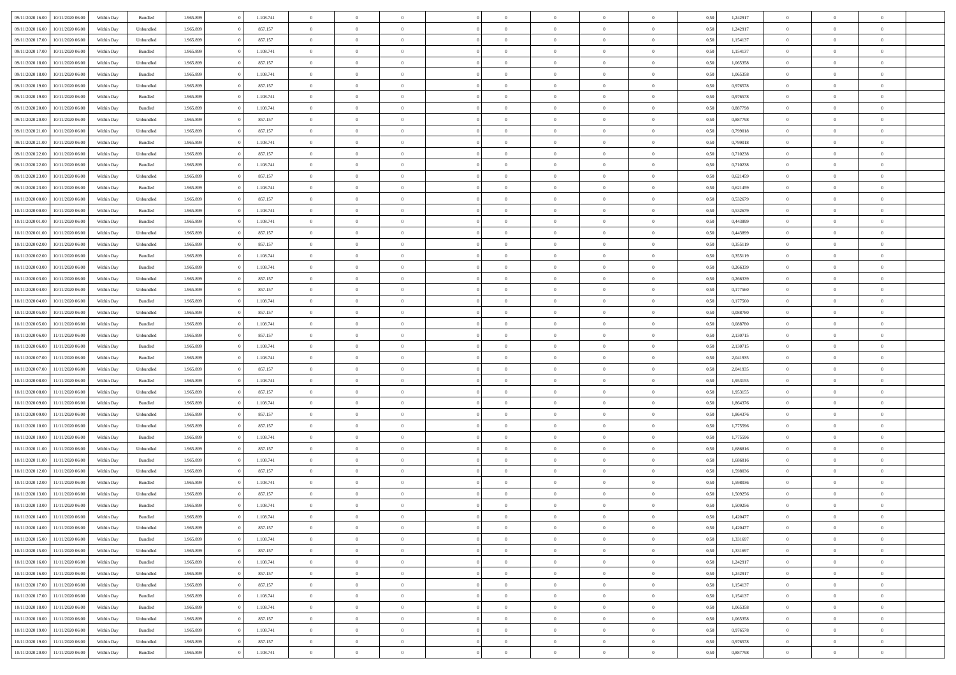| 09/11/2020 16:00 | 10/11/2020 06:00 | Within Dav | Bundled            | 1.965.899 | 1.108.741 | $\overline{0}$ | $\Omega$       |                | $\Omega$       | $\Omega$       | $\theta$       | $\theta$       | 0,50 | 1,242917 | $\theta$       | $\theta$       | $\theta$       |  |
|------------------|------------------|------------|--------------------|-----------|-----------|----------------|----------------|----------------|----------------|----------------|----------------|----------------|------|----------|----------------|----------------|----------------|--|
|                  |                  |            |                    |           |           |                |                |                |                |                |                |                |      |          |                |                |                |  |
| 09/11/2020 16.00 | 10/11/2020 06.00 | Within Day | Unbundled          | 1.965.899 | 857.157   | $\overline{0}$ | $\theta$       | $\overline{0}$ | $\overline{0}$ | $\bf{0}$       | $\overline{0}$ | $\bf{0}$       | 0,50 | 1,242917 | $\theta$       | $\theta$       | $\overline{0}$ |  |
| 09/11/2020 17.00 | 10/11/2020 06.00 | Within Day | Unbundled          | 1.965.899 | 857.157   | $\overline{0}$ | $\bf{0}$       | $\overline{0}$ | $\bf{0}$       | $\bf{0}$       | $\bf{0}$       | $\mathbf{0}$   | 0,50 | 1,154137 | $\bf{0}$       | $\overline{0}$ | $\overline{0}$ |  |
| 09/11/2020 17:00 | 10/11/2020 06:00 | Within Dav | Bundled            | 1.965.899 | 1.108.741 | $\overline{0}$ | $\overline{0}$ | $\overline{0}$ | $\overline{0}$ | $\bf{0}$       | $\overline{0}$ | $\overline{0}$ | 0.50 | 1,154137 | $\theta$       | $\theta$       | $\overline{0}$ |  |
| 09/11/2020 18.00 | 10/11/2020 06.00 | Within Day | Unbundled          | 1.965.899 | 857.157   | $\overline{0}$ | $\theta$       | $\overline{0}$ | $\overline{0}$ | $\bf{0}$       | $\overline{0}$ | $\bf{0}$       | 0,50 | 1,065358 | $\,$ 0 $\,$    | $\overline{0}$ | $\overline{0}$ |  |
|                  |                  |            |                    |           |           |                |                |                |                |                |                |                |      |          |                |                |                |  |
| 09/11/2020 18:00 | 10/11/2020 06.00 | Within Day | Bundled            | 1.965.899 | 1.108.741 | $\overline{0}$ | $\overline{0}$ | $\overline{0}$ | $\bf{0}$       | $\overline{0}$ | $\overline{0}$ | $\mathbf{0}$   | 0,50 | 1,065358 | $\overline{0}$ | $\overline{0}$ | $\bf{0}$       |  |
| 09/11/2020 19:00 | 10/11/2020 06:00 | Within Dav | Unbundled          | 1.965.899 | 857.157   | $\overline{0}$ | $\overline{0}$ | $\overline{0}$ | $\overline{0}$ | $\overline{0}$ | $\overline{0}$ | $\overline{0}$ | 0.50 | 0,976578 | $\theta$       | $\overline{0}$ | $\overline{0}$ |  |
| 09/11/2020 19:00 | 10/11/2020 06.00 | Within Day | Bundled            | 1.965.899 | 1.108.741 | $\overline{0}$ | $\theta$       | $\overline{0}$ | $\overline{0}$ | $\bf{0}$       | $\overline{0}$ | $\bf{0}$       | 0,50 | 0,976578 | $\theta$       | $\theta$       | $\overline{0}$ |  |
| 09/11/2020 20.00 | 10/11/2020 06.00 | Within Day | Bundled            | 1.965.899 | 1.108.741 | $\overline{0}$ | $\overline{0}$ | $\overline{0}$ | $\bf{0}$       | $\bf{0}$       | $\bf{0}$       | $\mathbf{0}$   | 0,50 | 0,887798 | $\,0\,$        | $\overline{0}$ | $\overline{0}$ |  |
| 09/11/2020 20.00 | 10/11/2020 06.00 | Within Dav | Unbundled          | 1.965.899 | 857.157   | $\overline{0}$ | $\overline{0}$ | $\overline{0}$ | $\overline{0}$ | $\overline{0}$ | $\overline{0}$ | $\overline{0}$ | 0.50 | 0,887798 | $\theta$       | $\overline{0}$ | $\overline{0}$ |  |
| 09/11/2020 21.00 | 10/11/2020 06.00 | Within Day | Unbundled          | 1.965.899 | 857.157   | $\overline{0}$ | $\theta$       | $\overline{0}$ | $\overline{0}$ | $\bf{0}$       | $\overline{0}$ | $\bf{0}$       | 0,50 | 0,799018 | $\,$ 0 $\,$    | $\overline{0}$ | $\overline{0}$ |  |
|                  |                  |            |                    |           |           |                |                |                |                |                |                |                |      |          |                |                |                |  |
| 09/11/2020 21.00 | 10/11/2020 06.00 | Within Day | Bundled            | 1.965.899 | 1.108.741 | $\overline{0}$ | $\overline{0}$ | $\overline{0}$ | $\bf{0}$       | $\bf{0}$       | $\bf{0}$       | $\mathbf{0}$   | 0,50 | 0,799018 | $\overline{0}$ | $\overline{0}$ | $\bf{0}$       |  |
| 09/11/2020 22.00 | 10/11/2020 06:00 | Within Day | Unbundled          | 1.965.899 | 857.157   | $\overline{0}$ | $\overline{0}$ | $\overline{0}$ | $\overline{0}$ | $\bf{0}$       | $\overline{0}$ | $\overline{0}$ | 0.50 | 0,710238 | $\theta$       | $\theta$       | $\overline{0}$ |  |
| 09/11/2020 22.00 | 10/11/2020 06.00 | Within Day | Bundled            | 1.965.899 | 1.108.741 | $\overline{0}$ | $\theta$       | $\overline{0}$ | $\overline{0}$ | $\bf{0}$       | $\overline{0}$ | $\bf{0}$       | 0,50 | 0,710238 | $\theta$       | $\overline{0}$ | $\overline{0}$ |  |
| 09/11/2020 23.00 | 10/11/2020 06:00 | Within Day | Unbundled          | 1.965.899 | 857.157   | $\overline{0}$ | $\overline{0}$ | $\overline{0}$ | $\bf{0}$       | $\overline{0}$ | $\overline{0}$ | $\mathbf{0}$   | 0,50 | 0,621459 | $\overline{0}$ | $\overline{0}$ | $\bf{0}$       |  |
| 09/11/2020 23.00 | 10/11/2020 06:00 | Within Dav | Bundled            | 1.965.899 | 1.108.741 | $\overline{0}$ | $\overline{0}$ | $\overline{0}$ | $\overline{0}$ | $\overline{0}$ | $\overline{0}$ | $\overline{0}$ | 0.50 | 0,621459 | $\theta$       | $\overline{0}$ | $\overline{0}$ |  |
| 10/11/2020 00:00 | 10/11/2020 06.00 | Within Day | Unbundled          | 1.965.899 | 857.157   | $\overline{0}$ | $\theta$       | $\overline{0}$ | $\overline{0}$ | $\bf{0}$       | $\overline{0}$ | $\bf{0}$       | 0,50 | 0,532679 | $\,$ 0 $\,$    | $\theta$       | $\overline{0}$ |  |
|                  | 10/11/2020 06.00 | Within Day | Bundled            | 1.965.899 | 1.108.741 | $\overline{0}$ | $\overline{0}$ | $\overline{0}$ | $\bf{0}$       | $\bf{0}$       | $\bf{0}$       | $\mathbf{0}$   | 0,50 | 0,532679 | $\bf{0}$       | $\overline{0}$ | $\overline{0}$ |  |
| 10/11/2020 00:00 |                  |            |                    |           |           |                |                |                |                |                |                |                |      |          |                |                |                |  |
| 10/11/2020 01:00 | 10/11/2020 06:00 | Within Day | Bundled            | 1.965.899 | 1.108.741 | $\overline{0}$ | $\overline{0}$ | $\overline{0}$ | $\overline{0}$ | $\overline{0}$ | $\overline{0}$ | $\overline{0}$ | 0.50 | 0,443899 | $\theta$       | $\overline{0}$ | $\overline{0}$ |  |
| 10/11/2020 01:00 | 10/11/2020 06.00 | Within Day | Unbundled          | 1.965.899 | 857.157   | $\overline{0}$ | $\theta$       | $\overline{0}$ | $\overline{0}$ | $\bf{0}$       | $\overline{0}$ | $\bf{0}$       | 0,50 | 0,443899 | $\,$ 0 $\,$    | $\overline{0}$ | $\overline{0}$ |  |
| 10/11/2020 02.00 | 10/11/2020 06.00 | Within Day | Unbundled          | 1.965.899 | 857.157   | $\overline{0}$ | $\overline{0}$ | $\overline{0}$ | $\bf{0}$       | $\bf{0}$       | $\bf{0}$       | $\mathbf{0}$   | 0,50 | 0,355119 | $\overline{0}$ | $\overline{0}$ | $\overline{0}$ |  |
| 10/11/2020 02.00 | 10/11/2020 06:00 | Within Day | Bundled            | 1.965.899 | 1.108.741 | $\overline{0}$ | $\overline{0}$ | $\overline{0}$ | $\overline{0}$ | $\overline{0}$ | $\overline{0}$ | $\overline{0}$ | 0.50 | 0,355119 | $\theta$       | $\overline{0}$ | $\overline{0}$ |  |
| 10/11/2020 03:00 | 10/11/2020 06.00 | Within Day | Bundled            | 1.965.899 | 1.108.741 | $\overline{0}$ | $\theta$       | $\overline{0}$ | $\overline{0}$ | $\bf{0}$       | $\overline{0}$ | $\bf{0}$       | 0,50 | 0,266339 | $\,$ 0 $\,$    | $\overline{0}$ | $\overline{0}$ |  |
| 10/11/2020 03:00 | 10/11/2020 06.00 | Within Day | Unbundled          | 1.965.899 | 857.157   | $\overline{0}$ | $\overline{0}$ | $\overline{0}$ | $\bf{0}$       | $\overline{0}$ | $\overline{0}$ | $\mathbf{0}$   | 0,50 | 0,266339 | $\overline{0}$ | $\overline{0}$ | $\bf{0}$       |  |
| 10/11/2020 04:00 | 10/11/2020 06:00 | Within Day | Unbundled          | 1.965.899 | 857.157   | $\overline{0}$ | $\overline{0}$ | $\overline{0}$ | $\overline{0}$ | $\overline{0}$ | $\overline{0}$ | $\overline{0}$ | 0.50 | 0,177560 | $\overline{0}$ | $\overline{0}$ | $\overline{0}$ |  |
|                  |                  |            |                    |           |           |                |                |                |                |                |                |                |      |          |                |                |                |  |
| 10/11/2020 04:00 | 10/11/2020 06.00 | Within Day | Bundled            | 1.965.899 | 1.108.741 | $\overline{0}$ | $\theta$       | $\overline{0}$ | $\overline{0}$ | $\bf{0}$       | $\overline{0}$ | $\bf{0}$       | 0,50 | 0,177560 | $\,$ 0 $\,$    | $\theta$       | $\overline{0}$ |  |
| 10/11/2020 05:00 | 10/11/2020 06.00 | Within Day | Unbundled          | 1.965.899 | 857.157   | $\overline{0}$ | $\overline{0}$ | $\overline{0}$ | $\bf{0}$       | $\bf{0}$       | $\bf{0}$       | $\mathbf{0}$   | 0,50 | 0,088780 | $\,0\,$        | $\overline{0}$ | $\overline{0}$ |  |
| 10/11/2020 05:00 | 10/11/2020 06:00 | Within Day | Bundled            | 1.965.899 | 1.108.741 | $\overline{0}$ | $\overline{0}$ | $\overline{0}$ | $\overline{0}$ | $\overline{0}$ | $\overline{0}$ | $\overline{0}$ | 0.50 | 0,088780 | $\theta$       | $\overline{0}$ | $\overline{0}$ |  |
| 10/11/2020 06:00 | 11/11/2020 06.00 | Within Day | Unbundled          | 1.965.899 | 857.157   | $\overline{0}$ | $\theta$       | $\overline{0}$ | $\overline{0}$ | $\bf{0}$       | $\overline{0}$ | $\bf{0}$       | 0,50 | 2,130715 | $\,$ 0 $\,$    | $\overline{0}$ | $\overline{0}$ |  |
| 10/11/2020 06:00 | 11/11/2020 06.00 | Within Day | Bundled            | 1.965.899 | 1.108.741 | $\overline{0}$ | $\overline{0}$ | $\overline{0}$ | $\bf{0}$       | $\bf{0}$       | $\bf{0}$       | $\bf{0}$       | 0,50 | 2,130715 | $\overline{0}$ | $\overline{0}$ | $\overline{0}$ |  |
| 10/11/2020 07:00 | 11/11/2020 06.00 | Within Day | Bundled            | 1.965.899 | 1.108.741 | $\overline{0}$ | $\Omega$       | $\overline{0}$ | $\Omega$       | $\Omega$       | $\overline{0}$ | $\overline{0}$ | 0,50 | 2,041935 | $\,0\,$        | $\theta$       | $\theta$       |  |
| 10/11/2020 07:00 | 11/11/2020 06.00 | Within Day | Unbundled          | 1.965.899 | 857.157   | $\overline{0}$ | $\theta$       | $\overline{0}$ | $\overline{0}$ | $\bf{0}$       | $\overline{0}$ | $\bf{0}$       | 0,50 | 2,041935 | $\,$ 0 $\,$    | $\overline{0}$ | $\overline{0}$ |  |
|                  |                  |            |                    |           |           |                |                |                |                |                |                |                |      |          |                |                |                |  |
| 10/11/2020 08:00 | 11/11/2020 06.00 | Within Day | Bundled            | 1.965.899 | 1.108.741 | $\overline{0}$ | $\overline{0}$ | $\overline{0}$ | $\bf{0}$       | $\overline{0}$ | $\overline{0}$ | $\mathbf{0}$   | 0,50 | 1,953155 | $\overline{0}$ | $\overline{0}$ | $\bf{0}$       |  |
| 10/11/2020 08:00 | 11/11/2020 06.00 | Within Day | Unbundled          | 1.965.899 | 857.157   | $\overline{0}$ | $\Omega$       | $\overline{0}$ | $\Omega$       | $\overline{0}$ | $\overline{0}$ | $\overline{0}$ | 0.50 | 1,953155 | $\,0\,$        | $\theta$       | $\theta$       |  |
| 10/11/2020 09:00 | 11/11/2020 06.00 | Within Day | Bundled            | 1.965.899 | 1.108.741 | $\overline{0}$ | $\theta$       | $\overline{0}$ | $\overline{0}$ | $\,$ 0         | $\overline{0}$ | $\bf{0}$       | 0,50 | 1,864376 | $\,$ 0 $\,$    | $\overline{0}$ | $\overline{0}$ |  |
| 10/11/2020 09:00 | 11/11/2020 06.00 | Within Day | Unbundled          | 1.965.899 | 857.157   | $\overline{0}$ | $\overline{0}$ | $\overline{0}$ | $\bf{0}$       | $\bf{0}$       | $\bf{0}$       | $\mathbf{0}$   | 0,50 | 1,864376 | $\bf{0}$       | $\overline{0}$ | $\overline{0}$ |  |
| 10/11/2020 10:00 | 11/11/2020 06.00 | Within Day | Unbundled          | 1.965.899 | 857.157   | $\overline{0}$ | $\Omega$       | $\overline{0}$ | $\Omega$       | $\overline{0}$ | $\overline{0}$ | $\overline{0}$ | 0.50 | 1,775596 | $\,0\,$        | $\theta$       | $\theta$       |  |
| 10/11/2020 10:00 | 11/11/2020 06.00 | Within Day | Bundled            | 1.965.899 | 1.108.741 | $\overline{0}$ | $\theta$       | $\overline{0}$ | $\overline{0}$ | $\,$ 0         | $\overline{0}$ | $\bf{0}$       | 0,50 | 1,775596 | $\,$ 0 $\,$    | $\overline{0}$ | $\overline{0}$ |  |
|                  |                  |            |                    |           |           |                | $\overline{0}$ |                |                | $\bf{0}$       |                |                |      |          |                | $\overline{0}$ | $\overline{0}$ |  |
| 10/11/2020 11:00 | 11/11/2020 06.00 | Within Day | Unbundled          | 1.965.899 | 857.157   | $\overline{0}$ |                | $\overline{0}$ | $\bf{0}$       |                | $\bf{0}$       | $\mathbf{0}$   | 0,50 | 1,686816 | $\overline{0}$ |                |                |  |
| 10/11/2020 11:00 | 11/11/2020 06.00 | Within Day | Bundled            | 1.965.899 | 1.108.741 | $\overline{0}$ | $\Omega$       | $\overline{0}$ | $\Omega$       | $\overline{0}$ | $\overline{0}$ | $\overline{0}$ | 0,50 | 1,686816 | $\,0\,$        | $\theta$       | $\theta$       |  |
| 10/11/2020 12:00 | 11/11/2020 06.00 | Within Day | Unbundled          | 1.965.899 | 857.157   | $\overline{0}$ | $\overline{0}$ | $\overline{0}$ | $\overline{0}$ | $\,$ 0         | $\overline{0}$ | $\bf{0}$       | 0,50 | 1,598036 | $\,$ 0 $\,$    | $\overline{0}$ | $\overline{0}$ |  |
| 10/11/2020 12:00 | 11/11/2020 06.00 | Within Day | Bundled            | 1.965.899 | 1.108.741 | $\overline{0}$ | $\overline{0}$ | $\overline{0}$ | $\bf{0}$       | $\bf{0}$       | $\overline{0}$ | $\mathbf{0}$   | 0,50 | 1,598036 | $\overline{0}$ | $\overline{0}$ | $\bf{0}$       |  |
| 10/11/2020 13:00 | 11/11/2020 06.00 | Within Day | Unbundled          | 1.965.899 | 857.157   | $\overline{0}$ | $\Omega$       | $\overline{0}$ | $\Omega$       | $\Omega$       | $\overline{0}$ | $\overline{0}$ | 0.50 | 1,509256 | $\,0\,$        | $\theta$       | $\theta$       |  |
| 10/11/2020 13:00 | 11/11/2020 06.00 | Within Day | Bundled            | 1.965.899 | 1.108.741 | $\overline{0}$ | $\overline{0}$ | $\overline{0}$ | $\bf{0}$       | $\,$ 0         | $\bf{0}$       | $\bf{0}$       | 0,50 | 1,509256 | $\,0\,$        | $\overline{0}$ | $\overline{0}$ |  |
| 10/11/2020 14:00 | 11/11/2020 06.00 | Within Day | $\mathbf B$ undled | 1.965.899 | 1.108.741 | $\bf{0}$       | $\bf{0}$       |                |                | $\bf{0}$       |                |                | 0,50 | 1,420477 | $\bf{0}$       | $\overline{0}$ |                |  |
| 10/11/2020 14:00 | 11/11/2020 06.00 | Within Day | Unbundled          | 1.965.899 | 857.157   | $\overline{0}$ | $\overline{0}$ | $\overline{0}$ | $\Omega$       | $\overline{0}$ | $\overline{0}$ | $\overline{0}$ | 0,50 | 1,420477 | $\theta$       | $\theta$       | $\Omega$       |  |
|                  |                  |            |                    |           |           |                |                |                |                |                |                |                |      |          |                |                |                |  |
| 10/11/2020 15:00 | 11/11/2020 06.00 | Within Day | Bundled            | 1.965.899 | 1.108.741 | $\overline{0}$ | $\bf{0}$       | $\overline{0}$ | $\bf{0}$       | $\,$ 0 $\,$    | $\overline{0}$ | $\,$ 0 $\,$    | 0,50 | 1,331697 | $\,$ 0 $\,$    | $\,$ 0 $\,$    | $\,$ 0         |  |
| 10/11/2020 15.00 | 11/11/2020 06.00 | Within Day | Unbundled          | 1.965.899 | 857.157   | $\overline{0}$ | $\overline{0}$ | $\overline{0}$ | $\overline{0}$ | $\overline{0}$ | $\overline{0}$ | $\mathbf{0}$   | 0,50 | 1,331697 | $\overline{0}$ | $\bf{0}$       | $\bf{0}$       |  |
| 10/11/2020 16:00 | 11/11/2020 06.00 | Within Day | $\mathbf B$ undled | 1.965.899 | 1.108.741 | $\overline{0}$ | $\overline{0}$ | $\overline{0}$ | $\Omega$       | $\overline{0}$ | $\overline{0}$ | $\overline{0}$ | 0,50 | 1,242917 | $\overline{0}$ | $\overline{0}$ | $\overline{0}$ |  |
| 10/11/2020 16:00 | 11/11/2020 06.00 | Within Day | Unbundled          | 1.965.899 | 857.157   | $\overline{0}$ | $\,$ 0         | $\overline{0}$ | $\overline{0}$ | $\,$ 0 $\,$    | $\overline{0}$ | $\,$ 0 $\,$    | 0,50 | 1,242917 | $\,$ 0 $\,$    | $\overline{0}$ | $\overline{0}$ |  |
| 10/11/2020 17.00 | 11/11/2020 06.00 | Within Day | Unbundled          | 1.965.899 | 857.157   | $\overline{0}$ | $\overline{0}$ | $\overline{0}$ | $\overline{0}$ | $\overline{0}$ | $\overline{0}$ | $\mathbf{0}$   | 0,50 | 1,154137 | $\overline{0}$ | $\overline{0}$ | $\bf{0}$       |  |
| 10/11/2020 17:00 | 11/11/2020 06.00 | Within Day | Bundled            | 1.965.899 | 1.108.741 | $\overline{0}$ | $\overline{0}$ | $\overline{0}$ | $\overline{0}$ | $\overline{0}$ | $\overline{0}$ | $\bf{0}$       | 0.50 | 1,154137 | $\overline{0}$ | $\theta$       | $\overline{0}$ |  |
| 10/11/2020 18:00 | 11/11/2020 06.00 | Within Day | Bundled            | 1.965.899 | 1.108.741 | $\overline{0}$ | $\,$ 0         | $\overline{0}$ | $\bf{0}$       | $\bf{0}$       | $\bf{0}$       | $\bf{0}$       | 0,50 | 1,065358 | $\,$ 0 $\,$    | $\overline{0}$ | $\overline{0}$ |  |
|                  |                  |            |                    |           |           |                |                |                |                |                |                |                |      |          |                |                |                |  |
| 10/11/2020 18:00 | 11/11/2020 06.00 | Within Day | Unbundled          | 1.965.899 | 857.157   | $\overline{0}$ | $\bf{0}$       | $\overline{0}$ | $\overline{0}$ | $\overline{0}$ | $\overline{0}$ | $\mathbf{0}$   | 0,50 | 1,065358 | $\overline{0}$ | $\overline{0}$ | $\bf{0}$       |  |
| 10/11/2020 19:00 | 11/11/2020 06.00 | Within Day | Bundled            | 1.965.899 | 1.108.741 | $\overline{0}$ | $\overline{0}$ | $\overline{0}$ | $\Omega$       | $\overline{0}$ | $\overline{0}$ | $\overline{0}$ | 0.50 | 0,976578 | $\overline{0}$ | $\overline{0}$ | $\overline{0}$ |  |
| 10/11/2020 19:00 | 11/11/2020 06.00 | Within Day | Unbundled          | 1.965.899 | 857.157   | $\overline{0}$ | $\bf{0}$       | $\overline{0}$ | $\bf{0}$       | $\bf{0}$       | $\bf{0}$       | $\mathbf{0}$   | 0,50 | 0,976578 | $\,$ 0 $\,$    | $\,$ 0 $\,$    | $\bf{0}$       |  |
| 10/11/2020 20:00 | 11/11/2020 06.00 | Within Day | Bundled            | 1.965.899 | 1.108.741 | $\overline{0}$ | $\overline{0}$ | $\overline{0}$ | $\overline{0}$ | $\overline{0}$ | $\bf{0}$       | $\mathbf{0}$   | 0,50 | 0,887798 | $\overline{0}$ | $\bf{0}$       | $\overline{0}$ |  |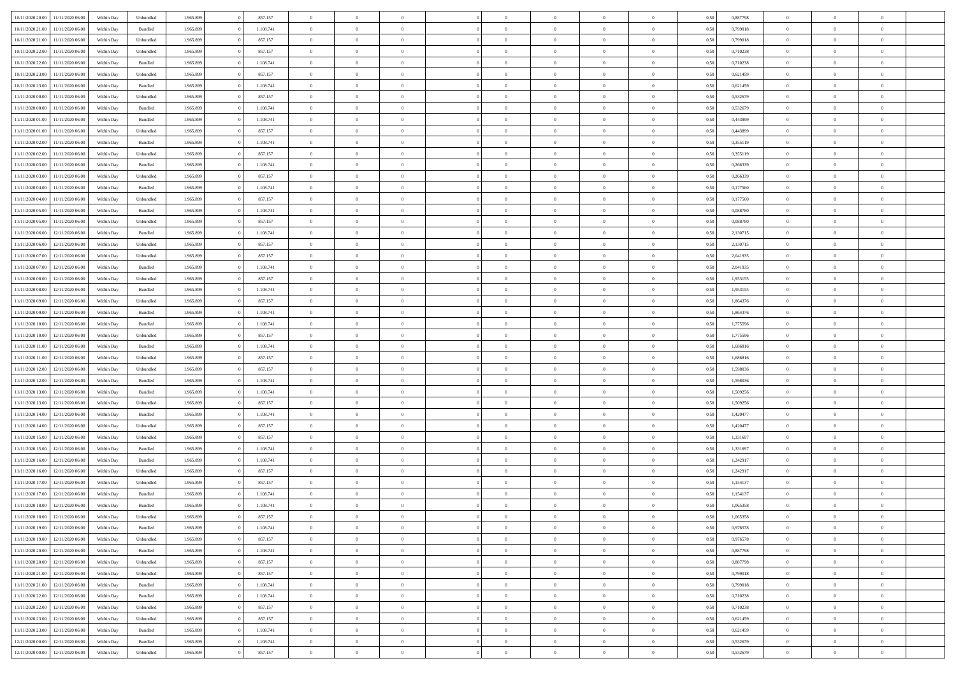| 10/11/2020 20:00 | 11/11/2020 06:00 | Within Dav | Unbundled | 1.965.899 | 857.157   | $\overline{0}$ | $\theta$       |                | $\Omega$       | $\Omega$       | $\theta$       | $\theta$       | 0,50 | 0,887798 | $\theta$       | $\overline{0}$ | $\overline{0}$ |  |
|------------------|------------------|------------|-----------|-----------|-----------|----------------|----------------|----------------|----------------|----------------|----------------|----------------|------|----------|----------------|----------------|----------------|--|
|                  |                  |            |           |           |           |                |                |                |                |                |                |                |      |          |                |                |                |  |
| 10/11/2020 21.00 | 11/11/2020 06.00 | Within Day | Bundled   | 1.965.899 | 1.108.741 | $\overline{0}$ | $\overline{0}$ | $\overline{0}$ | $\overline{0}$ | $\bf{0}$       | $\overline{0}$ | $\bf{0}$       | 0,50 | 0,799018 | $\theta$       | $\overline{0}$ | $\overline{0}$ |  |
| 10/11/2020 21:00 | 11/11/2020 06.00 | Within Day | Unbundled | 1.965.899 | 857.157   | $\overline{0}$ | $\overline{0}$ | $\overline{0}$ | $\bf{0}$       | $\bf{0}$       | $\bf{0}$       | $\mathbf{0}$   | 0,50 | 0,799018 | $\overline{0}$ | $\overline{0}$ | $\overline{0}$ |  |
| 10/11/2020 22.00 | 11/11/2020 06:00 | Within Dav | Unbundled | 1.965.899 | 857.157   | $\overline{0}$ | $\overline{0}$ | $\overline{0}$ | $\overline{0}$ | $\bf{0}$       | $\overline{0}$ | $\overline{0}$ | 0.50 | 0,710238 | $\theta$       | $\overline{0}$ | $\overline{0}$ |  |
| 10/11/2020 22.00 | 11/11/2020 06.00 | Within Day | Bundled   | 1.965.899 | 1.108.741 | $\overline{0}$ | $\theta$       | $\overline{0}$ | $\overline{0}$ | $\bf{0}$       | $\overline{0}$ | $\bf{0}$       | 0,50 | 0,710238 | $\,$ 0 $\,$    | $\overline{0}$ | $\overline{0}$ |  |
| 10/11/2020 23.00 | 11/11/2020 06.00 | Within Day | Unbundled | 1.965.899 | 857.157   | $\overline{0}$ | $\overline{0}$ | $\overline{0}$ | $\bf{0}$       | $\overline{0}$ | $\overline{0}$ | $\mathbf{0}$   | 0,50 | 0,621459 | $\overline{0}$ | $\overline{0}$ | $\bf{0}$       |  |
| 10/11/2020 23:00 | 11/11/2020 06.00 | Within Dav | Bundled   | 1.965.899 | 1.108.741 | $\overline{0}$ | $\overline{0}$ | $\overline{0}$ | $\overline{0}$ | $\overline{0}$ | $\overline{0}$ | $\overline{0}$ | 0.50 | 0,621459 | $\theta$       | $\overline{0}$ | $\overline{0}$ |  |
|                  |                  |            |           |           |           |                |                |                |                |                |                |                |      |          |                |                |                |  |
| 11/11/2020 00.00 | 11/11/2020 06.00 | Within Day | Unbundled | 1.965.899 | 857.157   | $\overline{0}$ | $\theta$       | $\overline{0}$ | $\overline{0}$ | $\bf{0}$       | $\overline{0}$ | $\bf{0}$       | 0,50 | 0,532679 | $\,$ 0 $\,$    | $\theta$       | $\overline{0}$ |  |
| 11/11/2020 00:00 | 11/11/2020 06.00 | Within Day | Bundled   | 1.965.899 | 1.108.741 | $\overline{0}$ | $\overline{0}$ | $\overline{0}$ | $\bf{0}$       | $\bf{0}$       | $\bf{0}$       | $\mathbf{0}$   | 0,50 | 0,532679 | $\,0\,$        | $\overline{0}$ | $\overline{0}$ |  |
| 11/11/2020 01:00 | 11/11/2020 06:00 | Within Dav | Bundled   | 1.965.899 | 1.108.741 | $\overline{0}$ | $\overline{0}$ | $\overline{0}$ | $\overline{0}$ | $\overline{0}$ | $\overline{0}$ | $\overline{0}$ | 0.50 | 0,443899 | $\theta$       | $\overline{0}$ | $\overline{0}$ |  |
| 11/11/2020 01:00 | 11/11/2020 06.00 | Within Day | Unbundled | 1.965.899 | 857.157   | $\overline{0}$ | $\theta$       | $\overline{0}$ | $\overline{0}$ | $\bf{0}$       | $\overline{0}$ | $\bf{0}$       | 0,50 | 0,443899 | $\,$ 0 $\,$    | $\overline{0}$ | $\overline{0}$ |  |
| 11/11/2020 02.00 | 11/11/2020 06.00 | Within Day | Bundled   | 1.965.899 | 1.108.741 | $\overline{0}$ | $\overline{0}$ | $\overline{0}$ | $\bf{0}$       | $\bf{0}$       | $\bf{0}$       | $\mathbf{0}$   | 0,50 | 0,355119 | $\overline{0}$ | $\overline{0}$ | $\bf{0}$       |  |
| 11/11/2020 02.00 | 11/11/2020 06:00 | Within Day | Unbundled | 1.965.899 | 857.157   | $\overline{0}$ | $\overline{0}$ | $\overline{0}$ | $\overline{0}$ | $\overline{0}$ | $\overline{0}$ | $\overline{0}$ | 0.50 | 0,355119 | $\theta$       | $\theta$       | $\overline{0}$ |  |
|                  |                  |            |           |           |           |                |                |                |                |                |                |                |      |          |                |                |                |  |
| 11/11/2020 03:00 | 11/11/2020 06.00 | Within Day | Bundled   | 1.965.899 | 1.108.741 | $\overline{0}$ | $\theta$       | $\overline{0}$ | $\overline{0}$ | $\bf{0}$       | $\overline{0}$ | $\bf{0}$       | 0,50 | 0,266339 | $\,$ 0 $\,$    | $\overline{0}$ | $\overline{0}$ |  |
| 11/11/2020 03:00 | 11/11/2020 06.00 | Within Day | Unbundled | 1.965.899 | 857.157   | $\overline{0}$ | $\overline{0}$ | $\overline{0}$ | $\bf{0}$       | $\overline{0}$ | $\overline{0}$ | $\mathbf{0}$   | 0,50 | 0,266339 | $\overline{0}$ | $\overline{0}$ | $\bf{0}$       |  |
| 11/11/2020 04:00 | 11/11/2020 06.00 | Within Dav | Bundled   | 1.965.899 | 1.108.741 | $\overline{0}$ | $\overline{0}$ | $\overline{0}$ | $\overline{0}$ | $\overline{0}$ | $\overline{0}$ | $\overline{0}$ | 0.50 | 0,177560 | $\theta$       | $\overline{0}$ | $\overline{0}$ |  |
| 11/11/2020 04:00 | 11/11/2020 06.00 | Within Day | Unbundled | 1.965.899 | 857.157   | $\overline{0}$ | $\theta$       | $\overline{0}$ | $\overline{0}$ | $\,$ 0         | $\overline{0}$ | $\bf{0}$       | 0,50 | 0,177560 | $\,$ 0 $\,$    | $\overline{0}$ | $\overline{0}$ |  |
| 11/11/2020 05:00 | 11/11/2020 06.00 | Within Day | Bundled   | 1.965.899 | 1.108.741 | $\overline{0}$ | $\overline{0}$ | $\overline{0}$ | $\bf{0}$       | $\overline{0}$ | $\bf{0}$       | $\mathbf{0}$   | 0,50 | 0,088780 | $\overline{0}$ | $\overline{0}$ | $\bf{0}$       |  |
| 11/11/2020 05:00 | 11/11/2020 06.00 | Within Day | Unbundled | 1.965.899 | 857.157   | $\overline{0}$ | $\overline{0}$ | $\overline{0}$ | $\overline{0}$ | $\overline{0}$ | $\overline{0}$ | $\overline{0}$ | 0.50 | 0,088780 | $\theta$       | $\overline{0}$ | $\overline{0}$ |  |
|                  |                  |            |           |           |           | $\overline{0}$ | $\theta$       | $\overline{0}$ |                |                | $\overline{0}$ |                |      |          |                |                | $\overline{0}$ |  |
| 11/11/2020 06.00 | 12/11/2020 06.00 | Within Day | Bundled   | 1.965.899 | 1.108.741 |                |                |                | $\overline{0}$ | $\,$ 0         |                | $\bf{0}$       | 0,50 | 2,130715 | $\,$ 0 $\,$    | $\overline{0}$ |                |  |
| 11/11/2020 06:00 | 12/11/2020 06.00 | Within Day | Unbundled | 1.965.899 | 857.157   | $\overline{0}$ | $\overline{0}$ | $\overline{0}$ | $\bf{0}$       | $\bf{0}$       | $\bf{0}$       | $\mathbf{0}$   | 0,50 | 2,130715 | $\overline{0}$ | $\overline{0}$ | $\bf{0}$       |  |
| 11/11/2020 07.00 | 12/11/2020 06:00 | Within Day | Unbundled | 1.965.899 | 857.157   | $\overline{0}$ | $\overline{0}$ | $\overline{0}$ | $\overline{0}$ | $\overline{0}$ | $\overline{0}$ | $\overline{0}$ | 0.50 | 2,041935 | $\overline{0}$ | $\overline{0}$ | $\overline{0}$ |  |
| 11/11/2020 07:00 | 12/11/2020 06.00 | Within Day | Bundled   | 1.965.899 | 1.108.741 | $\overline{0}$ | $\theta$       | $\overline{0}$ | $\overline{0}$ | $\bf{0}$       | $\overline{0}$ | $\,$ 0 $\,$    | 0,50 | 2,041935 | $\,$ 0 $\,$    | $\overline{0}$ | $\overline{0}$ |  |
| 11/11/2020 08:00 | 12/11/2020 06.00 | Within Day | Unbundled | 1.965.899 | 857.157   | $\overline{0}$ | $\overline{0}$ | $\overline{0}$ | $\bf{0}$       | $\overline{0}$ | $\overline{0}$ | $\mathbf{0}$   | 0,50 | 1,953155 | $\overline{0}$ | $\overline{0}$ | $\bf{0}$       |  |
| 11/11/2020 08:00 | 12/11/2020 06.00 | Within Dav | Bundled   | 1.965.899 | 1.108.741 | $\overline{0}$ | $\overline{0}$ | $\overline{0}$ | $\overline{0}$ | $\overline{0}$ | $\overline{0}$ | $\overline{0}$ | 0.50 | 1,953155 | $\overline{0}$ | $\overline{0}$ | $\overline{0}$ |  |
| 11/11/2020 09:00 | 12/11/2020 06.00 |            |           | 1.965.899 | 857.157   | $\overline{0}$ | $\theta$       | $\overline{0}$ | $\overline{0}$ | $\,$ 0         | $\overline{0}$ |                |      | 1,864376 | $\,$ 0 $\,$    | $\overline{0}$ | $\overline{0}$ |  |
|                  |                  | Within Day | Unbundled |           |           |                |                |                |                |                |                | $\bf{0}$       | 0,50 |          |                |                |                |  |
| 11/11/2020 09:00 | 12/11/2020 06.00 | Within Day | Bundled   | 1.965.899 | 1.108.741 | $\overline{0}$ | $\overline{0}$ | $\overline{0}$ | $\bf{0}$       | $\bf{0}$       | $\bf{0}$       | $\mathbf{0}$   | 0,50 | 1,864376 | $\bf{0}$       | $\overline{0}$ | $\overline{0}$ |  |
| 11/11/2020 10:00 | 12/11/2020 06:00 | Within Day | Bundled   | 1.965.899 | 1.108.741 | $\overline{0}$ | $\overline{0}$ | $\overline{0}$ | $\overline{0}$ | $\overline{0}$ | $\overline{0}$ | $\overline{0}$ | 0.50 | 1,775596 | $\theta$       | $\overline{0}$ | $\overline{0}$ |  |
| 11/11/2020 10:00 | 12/11/2020 06.00 | Within Day | Unbundled | 1.965.899 | 857.157   | $\overline{0}$ | $\overline{0}$ | $\overline{0}$ | $\overline{0}$ | $\,$ 0         | $\overline{0}$ | $\bf{0}$       | 0,50 | 1,775596 | $\,$ 0 $\,$    | $\overline{0}$ | $\overline{0}$ |  |
| 11/11/2020 11:00 | 12/11/2020 06.00 | Within Day | Bundled   | 1.965.899 | 1.108.741 | $\overline{0}$ | $\overline{0}$ | $\overline{0}$ | $\bf{0}$       | $\overline{0}$ | $\bf{0}$       | $\mathbf{0}$   | 0,50 | 1,686816 | $\bf{0}$       | $\overline{0}$ | $\bf{0}$       |  |
| 11/11/2020 11:00 | 12/11/2020 06.00 | Within Day | Unbundled | 1.965.899 | 857.157   | $\bf{0}$       | $\theta$       | $\overline{0}$ | $\Omega$       | $\bf{0}$       | $\overline{0}$ | $\overline{0}$ | 0,50 | 1,686816 | $\,0\,$        | $\theta$       | $\overline{0}$ |  |
| 11/11/2020 12:00 | 12/11/2020 06.00 | Within Day | Unbundled | 1.965.899 | 857.157   | $\overline{0}$ | $\overline{0}$ | $\overline{0}$ | $\overline{0}$ | $\,$ 0         | $\overline{0}$ | $\bf{0}$       | 0,50 | 1,598036 | $\,$ 0 $\,$    | $\overline{0}$ | $\overline{0}$ |  |
|                  |                  |            |           |           |           |                |                |                |                |                |                |                |      |          |                |                |                |  |
| 11/11/2020 12:00 | 12/11/2020 06.00 | Within Day | Bundled   | 1.965.899 | 1.108.741 | $\overline{0}$ | $\overline{0}$ | $\overline{0}$ | $\bf{0}$       | $\overline{0}$ | $\overline{0}$ | $\mathbf{0}$   | 0,50 | 1,598036 | $\bf{0}$       | $\overline{0}$ | $\bf{0}$       |  |
| 11/11/2020 13:00 | 12/11/2020 06.00 | Within Day | Bundled   | 1.965.899 | 1.108.741 | $\overline{0}$ | $\overline{0}$ | $\overline{0}$ | $\Omega$       | $\overline{0}$ | $\overline{0}$ | $\overline{0}$ | 0.50 | 1,509256 | $\,0\,$        | $\theta$       | $\overline{0}$ |  |
| 11/11/2020 13:00 | 12/11/2020 06.00 | Within Day | Unbundled | 1.965.899 | 857.157   | $\bf{0}$       | $\theta$       | $\overline{0}$ | $\overline{0}$ | $\,$ 0         | $\overline{0}$ | $\bf{0}$       | 0,50 | 1,509256 | $\,0\,$        | $\overline{0}$ | $\overline{0}$ |  |
| 11/11/2020 14:00 | 12/11/2020 06.00 | Within Day | Bundled   | 1.965.899 | 1.108.741 | $\overline{0}$ | $\bf{0}$       | $\overline{0}$ | $\bf{0}$       | $\bf{0}$       | $\bf{0}$       | $\mathbf{0}$   | 0,50 | 1,420477 | $\bf{0}$       | $\overline{0}$ | $\bf{0}$       |  |
| 11/11/2020 14:00 | 12/11/2020 06.00 | Within Day | Unbundled | 1.965.899 | 857.157   | $\overline{0}$ | $\overline{0}$ | $\overline{0}$ | $\Omega$       | $\overline{0}$ | $\overline{0}$ | $\overline{0}$ | 0.50 | 1,420477 | $\,$ 0 $\,$    | $\theta$       | $\theta$       |  |
| 11/11/2020 15:00 | 12/11/2020 06.00 | Within Day | Unbundled | 1.965.899 | 857.157   | $\overline{0}$ | $\overline{0}$ | $\overline{0}$ | $\overline{0}$ | $\,$ 0         | $\overline{0}$ | $\bf{0}$       | 0,50 | 1,331697 | $\,$ 0 $\,$    | $\overline{0}$ | $\overline{0}$ |  |
| 11/11/2020 15:00 | 12/11/2020 06.00 | Within Day | Bundled   | 1.965.899 | 1.108.741 | $\overline{0}$ | $\overline{0}$ | $\overline{0}$ | $\bf{0}$       | $\bf{0}$       | $\overline{0}$ | $\mathbf{0}$   | 0,50 | 1,331697 | $\overline{0}$ | $\overline{0}$ | $\bf{0}$       |  |
|                  |                  |            |           |           |           |                |                |                |                |                |                |                |      |          |                |                |                |  |
| 11/11/2020 16:00 | 12/11/2020 06.00 | Within Day | Bundled   | 1.965.899 | 1.108.741 | $\overline{0}$ | $\theta$       | $\overline{0}$ | $\Omega$       | $\bf{0}$       | $\overline{0}$ | $\overline{0}$ | 0,50 | 1,242917 | $\,0\,$        | $\theta$       | $\overline{0}$ |  |
| 11/11/2020 16:00 | 12/11/2020 06.00 | Within Day | Unbundled | 1.965.899 | 857.157   | $\overline{0}$ | $\overline{0}$ | $\overline{0}$ | $\overline{0}$ | $\,$ 0         | $\overline{0}$ | $\bf{0}$       | 0,50 | 1,242917 | $\,$ 0 $\,$    | $\overline{0}$ | $\overline{0}$ |  |
| 11/11/2020 17.00 | 12/11/2020 06.00 | Within Day | Unbundled | 1.965.899 | 857.157   | $\overline{0}$ | $\overline{0}$ | $\overline{0}$ | $\bf{0}$       | $\overline{0}$ | $\overline{0}$ | $\mathbf{0}$   | 0,50 | 1,154137 | $\overline{0}$ | $\overline{0}$ | $\bf{0}$       |  |
| 11/11/2020 17.00 | 12/11/2020 06.00 | Within Day | Bundled   | 1.965.899 | 1.108.741 | $\overline{0}$ | $\Omega$       | $\overline{0}$ | $\Omega$       | $\Omega$       | $\overline{0}$ | $\overline{0}$ | 0.50 | 1,154137 | $\,0\,$        | $\theta$       | $\overline{0}$ |  |
| 11/11/2020 18:00 | 12/11/2020 06.00 | Within Day | Bundled   | 1.965.899 | 1.108.741 | $\overline{0}$ | $\overline{0}$ | $\overline{0}$ | $\bf{0}$       | $\,$ 0         | $\bf{0}$       | $\bf{0}$       | 0,50 | 1,065358 | $\,0\,$        | $\,$ 0 $\,$    | $\overline{0}$ |  |
| 11/11/2020 18:00 | 12/11/2020 06.00 | Within Day | Unbundled | 1.965.899 | 857.157   | $\bf{0}$       | $\bf{0}$       |                |                | $\bf{0}$       |                |                | 0,50 | 1,065358 | $\bf{0}$       | $\overline{0}$ |                |  |
| 11/11/2020 19:00 | 12/11/2020 06.00 | Within Day | Bundled   | 1.965.899 | 1.108.741 | $\overline{0}$ | $\overline{0}$ | $\overline{0}$ | $\Omega$       | $\overline{0}$ | $\overline{0}$ | $\overline{0}$ | 0,50 | 0.976578 | $\theta$       | $\theta$       | $\theta$       |  |
|                  |                  |            |           |           |           |                |                |                |                |                |                |                |      |          |                |                |                |  |
| 11/11/2020 19:00 | 12/11/2020 06.00 | Within Day | Unbundled | 1.965.899 | 857.157   | $\overline{0}$ | $\bf{0}$       | $\overline{0}$ | $\bf{0}$       | $\,$ 0 $\,$    | $\overline{0}$ | $\mathbf{0}$   | 0,50 | 0,976578 | $\,$ 0 $\,$    | $\,$ 0 $\,$    | $\,$ 0         |  |
| 11/11/2020 20.00 | 12/11/2020 06.00 | Within Day | Bundled   | 1.965.899 | 1.108.741 | $\overline{0}$ | $\overline{0}$ | $\overline{0}$ | $\overline{0}$ | $\overline{0}$ | $\overline{0}$ | $\mathbf{0}$   | 0,50 | 0,887798 | $\overline{0}$ | $\bf{0}$       | $\bf{0}$       |  |
| 11/11/2020 20.00 | 12/11/2020 06.00 | Within Day | Unbundled | 1.965.899 | 857.157   | $\overline{0}$ | $\overline{0}$ | $\overline{0}$ | $\Omega$       | $\overline{0}$ | $\overline{0}$ | $\overline{0}$ | 0,50 | 0,887798 | $\overline{0}$ | $\overline{0}$ | $\overline{0}$ |  |
| 11/11/2020 21.00 | 12/11/2020 06.00 | Within Day | Unbundled | 1.965.899 | 857.157   | $\overline{0}$ | $\,$ 0         | $\overline{0}$ | $\overline{0}$ | $\,$ 0 $\,$    | $\overline{0}$ | $\mathbf{0}$   | 0,50 | 0,799018 | $\,$ 0 $\,$    | $\overline{0}$ | $\overline{0}$ |  |
| 11/11/2020 21.00 | 12/11/2020 06.00 | Within Day | Bundled   | 1.965.899 | 1.108.741 | $\overline{0}$ | $\overline{0}$ | $\overline{0}$ | $\overline{0}$ | $\overline{0}$ | $\overline{0}$ | $\mathbf{0}$   | 0,50 | 0,799018 | $\overline{0}$ | $\overline{0}$ | $\bf{0}$       |  |
| 11/11/2020 22.00 | 12/11/2020 06.00 |            | Bundled   | 1.965.899 | 1.108.741 | $\overline{0}$ | $\overline{0}$ | $\overline{0}$ | $\overline{0}$ | $\overline{0}$ | $\overline{0}$ | $\bf{0}$       | 0.50 | 0,710238 | $\overline{0}$ | $\theta$       | $\overline{0}$ |  |
|                  |                  | Within Day |           |           |           |                |                |                |                |                |                |                |      |          |                |                |                |  |
| 11/11/2020 22.00 | 12/11/2020 06.00 | Within Day | Unbundled | 1.965.899 | 857.157   | $\overline{0}$ | $\,$ 0         | $\overline{0}$ | $\bf{0}$       | $\bf{0}$       | $\bf{0}$       | $\bf{0}$       | 0,50 | 0,710238 | $\,$ 0 $\,$    | $\overline{0}$ | $\overline{0}$ |  |
| 11/11/2020 23:00 | 12/11/2020 06.00 | Within Day | Unbundled | 1.965.899 | 857.157   | $\overline{0}$ | $\bf{0}$       | $\overline{0}$ | $\overline{0}$ | $\overline{0}$ | $\overline{0}$ | $\mathbf{0}$   | 0,50 | 0,621459 | $\overline{0}$ | $\overline{0}$ | $\bf{0}$       |  |
| 11/11/2020 23.00 | 12/11/2020 06.00 | Within Day | Bundled   | 1.965.899 | 1.108.741 | $\overline{0}$ | $\overline{0}$ | $\overline{0}$ | $\Omega$       | $\overline{0}$ | $\overline{0}$ | $\overline{0}$ | 0.50 | 0,621459 | $\overline{0}$ | $\overline{0}$ | $\overline{0}$ |  |
| 12/11/2020 00:00 | 12/11/2020 06.00 | Within Day | Bundled   | 1.965.899 | 1.108.741 | $\overline{0}$ | $\bf{0}$       | $\overline{0}$ | $\bf{0}$       | $\bf{0}$       | $\bf{0}$       | $\mathbf{0}$   | 0,50 | 0,532679 | $\,$ 0 $\,$    | $\,$ 0 $\,$    | $\bf{0}$       |  |
| 12/11/2020 00:00 | 12/11/2020 06.00 | Within Day | Unbundled | 1.965.899 | 857.157   | $\overline{0}$ | $\overline{0}$ | $\overline{0}$ | $\overline{0}$ | $\overline{0}$ | $\overline{0}$ | $\mathbf{0}$   | 0,50 | 0,532679 | $\overline{0}$ | $\bf{0}$       | $\bf{0}$       |  |
|                  |                  |            |           |           |           |                |                |                |                |                |                |                |      |          |                |                |                |  |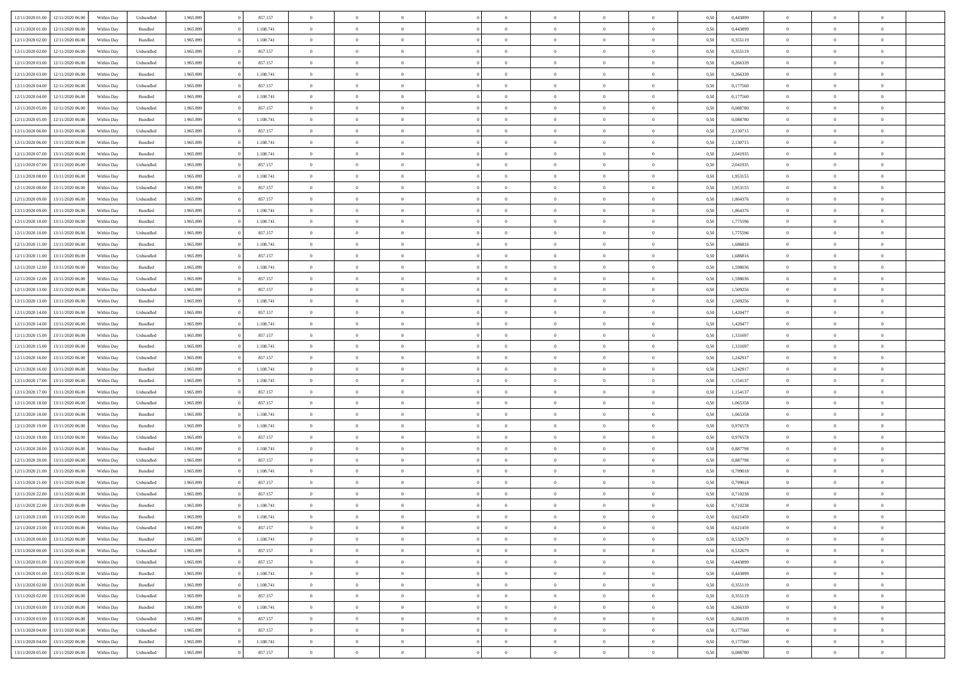| 12/11/2020 01:00 | 12/11/2020 06:00 | Within Dav | Unbundled          | 1.965.899 | 857.157   | $\overline{0}$ | $\theta$       |                | $\Omega$       | $\Omega$       | $\theta$       | $\theta$       | 0,50 | 0,443899 | $\theta$       | $\theta$       | $\theta$       |  |
|------------------|------------------|------------|--------------------|-----------|-----------|----------------|----------------|----------------|----------------|----------------|----------------|----------------|------|----------|----------------|----------------|----------------|--|
|                  |                  |            |                    |           |           |                |                |                |                |                |                |                |      |          |                |                |                |  |
| 12/11/2020 01:00 | 12/11/2020 06.00 | Within Day | Bundled            | 1.965.899 | 1.108.741 | $\overline{0}$ | $\theta$       | $\overline{0}$ | $\overline{0}$ | $\bf{0}$       | $\overline{0}$ | $\bf{0}$       | 0,50 | 0,443899 | $\theta$       | $\overline{0}$ | $\overline{0}$ |  |
| 12/11/2020 02:00 | 12/11/2020 06.00 | Within Day | Bundled            | 1.965.899 | 1.108.741 | $\overline{0}$ | $\overline{0}$ | $\overline{0}$ | $\overline{0}$ | $\bf{0}$       | $\overline{0}$ | $\mathbf{0}$   | 0,50 | 0,355119 | $\overline{0}$ | $\overline{0}$ | $\overline{0}$ |  |
| 12/11/2020 02:00 | 12/11/2020 06:00 | Within Day | Unbundled          | 1.965.899 | 857.157   | $\overline{0}$ | $\overline{0}$ | $\overline{0}$ | $\overline{0}$ | $\bf{0}$       | $\overline{0}$ | $\overline{0}$ | 0.50 | 0,355119 | $\theta$       | $\theta$       | $\overline{0}$ |  |
| 12/11/2020 03:00 | 12/11/2020 06.00 | Within Day | Unbundled          | 1.965.899 | 857.157   | $\overline{0}$ | $\theta$       | $\overline{0}$ | $\overline{0}$ | $\bf{0}$       | $\overline{0}$ | $\bf{0}$       | 0,50 | 0,266339 | $\,$ 0 $\,$    | $\overline{0}$ | $\overline{0}$ |  |
| 12/11/2020 03:00 | 12/11/2020 06.00 | Within Day | Bundled            | 1.965.899 | 1.108.741 | $\overline{0}$ | $\overline{0}$ | $\overline{0}$ | $\overline{0}$ | $\overline{0}$ | $\overline{0}$ | $\mathbf{0}$   | 0,50 | 0,266339 | $\overline{0}$ | $\overline{0}$ | $\bf{0}$       |  |
|                  |                  |            |                    |           |           |                |                |                |                | $\overline{0}$ |                |                |      |          | $\theta$       | $\overline{0}$ | $\overline{0}$ |  |
| 12/11/2020 04:00 | 12/11/2020 06.00 | Within Dav | Unbundled          | 1.965.899 | 857.157   | $\overline{0}$ | $\overline{0}$ | $\overline{0}$ | $\overline{0}$ |                | $\overline{0}$ | $\overline{0}$ | 0.50 | 0,177560 |                |                |                |  |
| 12/11/2020 04:00 | 12/11/2020 06.00 | Within Day | Bundled            | 1.965.899 | 1.108.741 | $\overline{0}$ | $\theta$       | $\overline{0}$ | $\overline{0}$ | $\bf{0}$       | $\overline{0}$ | $\bf{0}$       | 0,50 | 0,177560 | $\,$ 0 $\,$    | $\theta$       | $\overline{0}$ |  |
| 12/11/2020 05:00 | 12/11/2020 06.00 | Within Day | Unbundled          | 1.965.899 | 857.157   | $\overline{0}$ | $\overline{0}$ | $\overline{0}$ | $\overline{0}$ | $\bf{0}$       | $\overline{0}$ | $\mathbf{0}$   | 0,50 | 0,088780 | $\,0\,$        | $\overline{0}$ | $\overline{0}$ |  |
| 12/11/2020 05:00 | 12/11/2020 06:00 | Within Dav | Bundled            | 1.965.899 | 1.108.741 | $\overline{0}$ | $\overline{0}$ | $\overline{0}$ | $\overline{0}$ | $\overline{0}$ | $\overline{0}$ | $\overline{0}$ | 0.50 | 0,088780 | $\theta$       | $\overline{0}$ | $\overline{0}$ |  |
| 12/11/2020 06:00 | 13/11/2020 06.00 | Within Day | Unbundled          | 1.965.899 | 857.157   | $\overline{0}$ | $\theta$       | $\overline{0}$ | $\overline{0}$ | $\bf{0}$       | $\overline{0}$ | $\bf{0}$       | 0,50 | 2,130715 | $\,$ 0 $\,$    | $\overline{0}$ | $\overline{0}$ |  |
| 12/11/2020 06.00 | 13/11/2020 06.00 | Within Day | Bundled            | 1.965.899 | 1.108.741 | $\overline{0}$ | $\overline{0}$ | $\overline{0}$ | $\overline{0}$ | $\bf{0}$       | $\overline{0}$ | $\mathbf{0}$   | 0,50 | 2,130715 | $\overline{0}$ | $\overline{0}$ | $\bf{0}$       |  |
| 12/11/2020 07:00 | 13/11/2020 06:00 | Within Day | Bundled            | 1.965.899 | 1.108.741 | $\overline{0}$ | $\overline{0}$ | $\overline{0}$ | $\overline{0}$ | $\overline{0}$ | $\overline{0}$ | $\overline{0}$ | 0.50 | 2,041935 | $\theta$       | $\theta$       | $\overline{0}$ |  |
| 12/11/2020 07:00 | 13/11/2020 06.00 |            |                    | 1.965.899 | 857.157   | $\overline{0}$ | $\theta$       | $\overline{0}$ | $\overline{0}$ | $\bf{0}$       | $\overline{0}$ |                |      | 2,041935 | $\theta$       | $\overline{0}$ | $\overline{0}$ |  |
|                  |                  | Within Day | Unbundled          |           |           |                |                |                |                |                |                | $\bf{0}$       | 0,50 |          |                |                |                |  |
| 12/11/2020 08:00 | 13/11/2020 06.00 | Within Day | Bundled            | 1.965.899 | 1.108.741 | $\overline{0}$ | $\overline{0}$ | $\overline{0}$ | $\bf{0}$       | $\overline{0}$ | $\overline{0}$ | $\mathbf{0}$   | 0,50 | 1,953155 | $\bf{0}$       | $\overline{0}$ | $\bf{0}$       |  |
| 12/11/2020 08:00 | 13/11/2020 06:00 | Within Dav | Unbundled          | 1.965.899 | 857.157   | $\overline{0}$ | $\overline{0}$ | $\overline{0}$ | $\overline{0}$ | $\overline{0}$ | $\overline{0}$ | $\overline{0}$ | 0.50 | 1,953155 | $\theta$       | $\overline{0}$ | $\overline{0}$ |  |
| 12/11/2020 09:00 | 13/11/2020 06.00 | Within Day | Unbundled          | 1.965.899 | 857.157   | $\overline{0}$ | $\theta$       | $\overline{0}$ | $\overline{0}$ | $\bf{0}$       | $\overline{0}$ | $\bf{0}$       | 0,50 | 1,864376 | $\,$ 0 $\,$    | $\theta$       | $\overline{0}$ |  |
| 12/11/2020 09:00 | 13/11/2020 06.00 | Within Day | Bundled            | 1.965.899 | 1.108.741 | $\overline{0}$ | $\overline{0}$ | $\overline{0}$ | $\bf{0}$       | $\bf{0}$       | $\bf{0}$       | $\mathbf{0}$   | 0,50 | 1,864376 | $\bf{0}$       | $\overline{0}$ | $\overline{0}$ |  |
| 12/11/2020 10:00 | 13/11/2020 06:00 | Within Day | Bundled            | 1.965.899 | 1.108.741 | $\overline{0}$ | $\overline{0}$ | $\overline{0}$ | $\overline{0}$ | $\overline{0}$ | $\overline{0}$ | $\overline{0}$ | 0.50 | 1,775596 | $\theta$       | $\overline{0}$ | $\overline{0}$ |  |
| 12/11/2020 10:00 | 13/11/2020 06.00 | Within Day | Unbundled          | 1.965.899 | 857.157   | $\overline{0}$ | $\theta$       | $\overline{0}$ | $\overline{0}$ | $\bf{0}$       | $\overline{0}$ | $\bf{0}$       | 0,50 | 1,775596 | $\,$ 0 $\,$    | $\overline{0}$ | $\overline{0}$ |  |
|                  |                  |            |                    |           |           |                | $\overline{0}$ |                |                | $\bf{0}$       |                |                |      |          | $\bf{0}$       | $\overline{0}$ | $\overline{0}$ |  |
| 12/11/2020 11:00 | 13/11/2020 06.00 | Within Day | Bundled            | 1.965.899 | 1.108.741 | $\overline{0}$ |                | $\overline{0}$ | $\bf{0}$       |                | $\bf{0}$       | $\mathbf{0}$   | 0,50 | 1,686816 |                |                |                |  |
| 12/11/2020 11:00 | 13/11/2020 06:00 | Within Day | Unbundled          | 1.965.899 | 857.157   | $\overline{0}$ | $\overline{0}$ | $\overline{0}$ | $\overline{0}$ | $\overline{0}$ | $\overline{0}$ | $\overline{0}$ | 0.50 | 1.686816 | $\theta$       | $\overline{0}$ | $\overline{0}$ |  |
| 12/11/2020 12:00 | 13/11/2020 06.00 | Within Day | Bundled            | 1.965.899 | 1.108.741 | $\overline{0}$ | $\theta$       | $\overline{0}$ | $\overline{0}$ | $\bf{0}$       | $\overline{0}$ | $\bf{0}$       | 0,50 | 1,598036 | $\,$ 0 $\,$    | $\overline{0}$ | $\overline{0}$ |  |
| 12/11/2020 12:00 | 13/11/2020 06.00 | Within Day | Unbundled          | 1.965.899 | 857.157   | $\overline{0}$ | $\overline{0}$ | $\overline{0}$ | $\bf{0}$       | $\overline{0}$ | $\overline{0}$ | $\mathbf{0}$   | 0,50 | 1,598036 | $\bf{0}$       | $\overline{0}$ | $\bf{0}$       |  |
| 12/11/2020 13:00 | 13/11/2020 06:00 | Within Day | Unbundled          | 1.965.899 | 857.157   | $\overline{0}$ | $\overline{0}$ | $\overline{0}$ | $\overline{0}$ | $\overline{0}$ | $\overline{0}$ | $\overline{0}$ | 0.50 | 1,509256 | $\overline{0}$ | $\overline{0}$ | $\overline{0}$ |  |
| 12/11/2020 13:00 | 13/11/2020 06.00 | Within Day | Bundled            | 1.965.899 | 1.108.741 | $\overline{0}$ | $\theta$       | $\overline{0}$ | $\overline{0}$ | $\bf{0}$       | $\overline{0}$ | $\bf{0}$       | 0,50 | 1,509256 | $\,$ 0 $\,$    | $\theta$       | $\overline{0}$ |  |
| 12/11/2020 14:00 | 13/11/2020 06.00 | Within Day | Unbundled          | 1.965.899 | 857.157   | $\overline{0}$ | $\overline{0}$ | $\overline{0}$ | $\bf{0}$       | $\bf{0}$       | $\bf{0}$       | $\mathbf{0}$   | 0,50 | 1,420477 | $\,0\,$        | $\overline{0}$ | $\overline{0}$ |  |
| 12/11/2020 14:00 | 13/11/2020 06:00 | Within Day | Bundled            | 1.965.899 | 1.108.741 | $\overline{0}$ | $\overline{0}$ | $\overline{0}$ | $\overline{0}$ | $\overline{0}$ | $\overline{0}$ | $\overline{0}$ | 0.50 | 1,420477 | $\theta$       | $\overline{0}$ | $\overline{0}$ |  |
|                  |                  |            |                    |           |           |                |                |                |                |                |                |                |      |          |                |                |                |  |
| 12/11/2020 15:00 | 13/11/2020 06.00 | Within Day | Unbundled          | 1.965.899 | 857.157   | $\overline{0}$ | $\theta$       | $\overline{0}$ | $\overline{0}$ | $\bf{0}$       | $\overline{0}$ | $\bf{0}$       | 0,50 | 1,331697 | $\,$ 0 $\,$    | $\overline{0}$ | $\overline{0}$ |  |
| 12/11/2020 15:00 | 13/11/2020 06.00 | Within Day | Bundled            | 1.965.899 | 1.108.741 | $\overline{0}$ | $\overline{0}$ | $\overline{0}$ | $\bf{0}$       | $\bf{0}$       | $\bf{0}$       | $\bf{0}$       | 0,50 | 1,331697 | $\overline{0}$ | $\overline{0}$ | $\overline{0}$ |  |
| 12/11/2020 16:00 | 13/11/2020 06.00 | Within Day | Unbundled          | 1.965.899 | 857.157   | $\overline{0}$ | $\Omega$       | $\overline{0}$ | $\Omega$       | $\Omega$       | $\overline{0}$ | $\overline{0}$ | 0,50 | 1,242917 | $\,0\,$        | $\theta$       | $\theta$       |  |
| 12/11/2020 16:00 | 13/11/2020 06.00 | Within Day | Bundled            | 1.965.899 | 1.108.741 | $\overline{0}$ | $\theta$       | $\overline{0}$ | $\overline{0}$ | $\bf{0}$       | $\overline{0}$ | $\bf{0}$       | 0,50 | 1,242917 | $\,$ 0 $\,$    | $\theta$       | $\overline{0}$ |  |
| 12/11/2020 17:00 | 13/11/2020 06.00 | Within Day | Bundled            | 1.965.899 | 1.108.741 | $\overline{0}$ | $\overline{0}$ | $\overline{0}$ | $\bf{0}$       | $\overline{0}$ | $\overline{0}$ | $\mathbf{0}$   | 0,50 | 1,154137 | $\overline{0}$ | $\overline{0}$ | $\bf{0}$       |  |
| 12/11/2020 17:00 | 13/11/2020 06.00 | Within Day | Unbundled          | 1.965.899 | 857.157   | $\overline{0}$ | $\Omega$       | $\overline{0}$ | $\Omega$       | $\overline{0}$ | $\overline{0}$ | $\overline{0}$ | 0.50 | 1,154137 | $\,0\,$        | $\theta$       | $\theta$       |  |
| 12/11/2020 18:00 | 13/11/2020 06.00 | Within Day | Unbundled          | 1.965.899 | 857.157   | $\overline{0}$ | $\theta$       | $\overline{0}$ | $\overline{0}$ | $\,$ 0         | $\overline{0}$ | $\bf{0}$       | 0,50 | 1,065358 | $\,$ 0 $\,$    | $\overline{0}$ | $\overline{0}$ |  |
| 12/11/2020 18:00 | 13/11/2020 06.00 | Within Day | Bundled            | 1.965.899 | 1.108.741 | $\overline{0}$ | $\overline{0}$ | $\overline{0}$ | $\bf{0}$       | $\bf{0}$       | $\bf{0}$       | $\mathbf{0}$   | 0,50 | 1,065358 | $\bf{0}$       | $\overline{0}$ | $\overline{0}$ |  |
|                  |                  |            |                    |           |           |                |                |                |                |                |                |                |      |          |                |                |                |  |
| 12/11/2020 19:00 | 13/11/2020 06:00 | Within Day | Bundled            | 1.965.899 | 1.108.741 | $\overline{0}$ | $\Omega$       | $\overline{0}$ | $\Omega$       | $\overline{0}$ | $\overline{0}$ | $\overline{0}$ | 0.50 | 0.976578 | $\,0\,$        | $\theta$       | $\theta$       |  |
| 12/11/2020 19:00 | 13/11/2020 06.00 | Within Day | Unbundled          | 1.965.899 | 857.157   | $\overline{0}$ | $\theta$       | $\overline{0}$ | $\overline{0}$ | $\,$ 0         | $\overline{0}$ | $\bf{0}$       | 0,50 | 0,976578 | $\,$ 0 $\,$    | $\overline{0}$ | $\overline{0}$ |  |
| 12/11/2020 20:00 | 13/11/2020 06.00 | Within Day | Bundled            | 1.965.899 | 1.108.741 | $\overline{0}$ | $\overline{0}$ | $\overline{0}$ | $\bf{0}$       | $\bf{0}$       | $\bf{0}$       | $\mathbf{0}$   | 0,50 | 0,887798 | $\overline{0}$ | $\overline{0}$ | $\overline{0}$ |  |
| 12/11/2020 20:00 | 13/11/2020 06.00 | Within Day | Unbundled          | 1.965.899 | 857.157   | $\overline{0}$ | $\Omega$       | $\overline{0}$ | $\Omega$       | $\overline{0}$ | $\overline{0}$ | $\overline{0}$ | 0,50 | 0,887798 | $\,0\,$        | $\theta$       | $\theta$       |  |
| 12/11/2020 21.00 | 13/11/2020 06.00 | Within Day | Bundled            | 1.965.899 | 1.108.741 | $\overline{0}$ | $\theta$       | $\overline{0}$ | $\overline{0}$ | $\,$ 0         | $\overline{0}$ | $\bf{0}$       | 0,50 | 0,799018 | $\,$ 0 $\,$    | $\overline{0}$ | $\overline{0}$ |  |
| 12/11/2020 21:00 | 13/11/2020 06.00 | Within Day | Unbundled          | 1.965.899 | 857.157   | $\overline{0}$ | $\overline{0}$ | $\overline{0}$ | $\bf{0}$       | $\bf{0}$       | $\overline{0}$ | $\mathbf{0}$   | 0,50 | 0,799018 | $\overline{0}$ | $\overline{0}$ | $\bf{0}$       |  |
| 12/11/2020 22.00 | 13/11/2020 06.00 | Within Day | Unbundled          | 1.965.899 | 857.157   | $\overline{0}$ | $\Omega$       | $\overline{0}$ | $\Omega$       | $\Omega$       | $\overline{0}$ | $\overline{0}$ | 0.50 | 0,710238 | $\theta$       | $\theta$       | $\theta$       |  |
| 12/11/2020 22.00 | 13/11/2020 06.00 | Within Day | Bundled            | 1.965.899 | 1.108.741 | $\overline{0}$ | $\overline{0}$ | $\overline{0}$ | $\bf{0}$       | $\,$ 0         | $\bf{0}$       | $\bf{0}$       | 0,50 | 0,710238 | $\,0\,$        | $\overline{0}$ | $\overline{0}$ |  |
| 12/11/2020 23:00 | 13/11/2020 06.00 | Within Day | $\mathbf B$ undled | 1.965.899 | 1.108.741 | $\bf{0}$       | $\bf{0}$       |                |                | $\bf{0}$       |                |                | 0,50 | 0,621459 | $\bf{0}$       | $\overline{0}$ |                |  |
|                  |                  |            |                    |           |           |                |                |                |                |                |                |                |      |          |                |                |                |  |
| 12/11/2020 23.00 | 13/11/2020 06:00 | Within Day | Unbundled          | 1.965.899 | 857.157   | $\overline{0}$ | $\overline{0}$ | $\overline{0}$ | $\Omega$       | $\overline{0}$ | $\overline{0}$ | $\overline{0}$ | 0,50 | 0,621459 | $\theta$       | $\theta$       | $\theta$       |  |
| 13/11/2020 00:00 | 13/11/2020 06.00 | Within Day | Bundled            | 1.965.899 | 1.108.741 | $\overline{0}$ | $\bf{0}$       | $\overline{0}$ | $\bf{0}$       | $\,$ 0 $\,$    | $\overline{0}$ | $\mathbf{0}$   | 0,50 | 0,532679 | $\,$ 0 $\,$    | $\,$ 0 $\,$    | $\,$ 0         |  |
| 13/11/2020 00:00 | 13/11/2020 06.00 | Within Day | Unbundled          | 1.965.899 | 857.157   | $\overline{0}$ | $\overline{0}$ | $\overline{0}$ | $\overline{0}$ | $\overline{0}$ | $\overline{0}$ | $\mathbf{0}$   | 0,50 | 0,532679 | $\overline{0}$ | $\bf{0}$       | $\bf{0}$       |  |
| 13/11/2020 01:00 | 13/11/2020 06.00 | Within Day | Unbundled          | 1.965.899 | 857.157   | $\overline{0}$ | $\overline{0}$ | $\overline{0}$ | $\Omega$       | $\overline{0}$ | $\overline{0}$ | $\overline{0}$ | 0,50 | 0,443899 | $\overline{0}$ | $\overline{0}$ | $\overline{0}$ |  |
| 13/11/2020 01:00 | 13/11/2020 06.00 | Within Day | Bundled            | 1.965.899 | 1.108.741 | $\overline{0}$ | $\,$ 0         | $\overline{0}$ | $\overline{0}$ | $\,$ 0 $\,$    | $\overline{0}$ | $\mathbf{0}$   | 0,50 | 0,443899 | $\,$ 0 $\,$    | $\overline{0}$ | $\overline{0}$ |  |
| 13/11/2020 02.00 | 13/11/2020 06.00 | Within Day | Bundled            | 1.965.899 | 1.108.741 | $\overline{0}$ | $\overline{0}$ | $\overline{0}$ | $\overline{0}$ | $\overline{0}$ | $\overline{0}$ | $\mathbf{0}$   | 0,50 | 0,355119 | $\overline{0}$ | $\overline{0}$ | $\bf{0}$       |  |
| 13/11/2020 02:00 | 13/11/2020 06.00 | Within Day | Unbundled          | 1.965.899 | 857.157   | $\overline{0}$ | $\overline{0}$ | $\overline{0}$ | $\overline{0}$ | $\overline{0}$ | $\overline{0}$ | $\bf{0}$       | 0.50 | 0,355119 | $\overline{0}$ | $\theta$       | $\overline{0}$ |  |
|                  |                  |            |                    |           |           |                |                |                |                |                |                |                |      |          |                |                |                |  |
| 13/11/2020 03:00 | 13/11/2020 06.00 | Within Day | Bundled            | 1.965.899 | 1.108.741 | $\overline{0}$ | $\,$ 0         | $\overline{0}$ | $\bf{0}$       | $\bf{0}$       | $\bf{0}$       | $\bf{0}$       | 0,50 | 0,266339 | $\,$ 0 $\,$    | $\overline{0}$ | $\overline{0}$ |  |
| 13/11/2020 03:00 | 13/11/2020 06.00 | Within Day | Unbundled          | 1.965.899 | 857.157   | $\overline{0}$ | $\bf{0}$       | $\overline{0}$ | $\overline{0}$ | $\overline{0}$ | $\overline{0}$ | $\mathbf{0}$   | 0,50 | 0,266339 | $\overline{0}$ | $\overline{0}$ | $\bf{0}$       |  |
| 13/11/2020 04:00 | 13/11/2020 06.00 | Within Day | Unbundled          | 1.965.899 | 857.157   | $\overline{0}$ | $\overline{0}$ | $\overline{0}$ | $\Omega$       | $\overline{0}$ | $\overline{0}$ | $\overline{0}$ | 0.50 | 0,177560 | $\overline{0}$ | $\overline{0}$ | $\overline{0}$ |  |
| 13/11/2020 04:00 | 13/11/2020 06.00 | Within Day | Bundled            | 1.965.899 | 1.108.741 | $\overline{0}$ | $\bf{0}$       | $\overline{0}$ | $\bf{0}$       | $\bf{0}$       | $\bf{0}$       | $\mathbf{0}$   | 0,50 | 0,177560 | $\,$ 0 $\,$    | $\,$ 0 $\,$    | $\bf{0}$       |  |
| 13/11/2020 05:00 | 13/11/2020 06.00 | Within Day | Unbundled          | 1.965.899 | 857.157   | $\overline{0}$ | $\overline{0}$ | $\overline{0}$ | $\overline{0}$ | $\overline{0}$ | $\bf{0}$       | $\mathbf{0}$   | 0,50 | 0,088780 | $\overline{0}$ | $\bf{0}$       | $\bf{0}$       |  |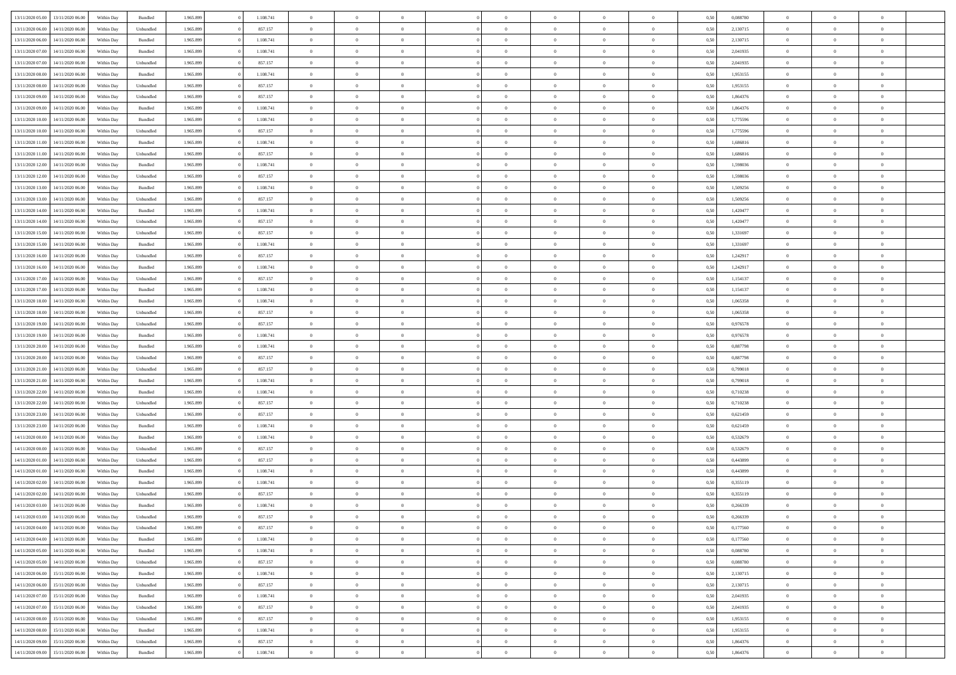| 13/11/2020 05:00 | 13/11/2020 06:00 | Within Dav | Bundled   | 1.965.899 | 1.108.741 | $\overline{0}$ | $\theta$       | $\Omega$       | $\Omega$       | $\Omega$       | $\overline{0}$ | $\theta$       | 0,50 | 0,088780 | $\theta$       | $\overline{0}$ | $\overline{0}$ |  |
|------------------|------------------|------------|-----------|-----------|-----------|----------------|----------------|----------------|----------------|----------------|----------------|----------------|------|----------|----------------|----------------|----------------|--|
|                  |                  |            |           |           |           |                |                |                |                |                |                |                |      |          |                |                |                |  |
| 13/11/2020 06.00 | 14/11/2020 06.00 | Within Day | Unbundled | 1.965.899 | 857.157   | $\overline{0}$ | $\overline{0}$ | $\overline{0}$ | $\overline{0}$ | $\bf{0}$       | $\overline{0}$ | $\bf{0}$       | 0,50 | 2,130715 | $\theta$       | $\overline{0}$ | $\overline{0}$ |  |
| 13/11/2020 06:00 | 14/11/2020 06.00 | Within Day | Bundled   | 1.965.899 | 1.108.741 | $\overline{0}$ | $\bf{0}$       | $\overline{0}$ | $\bf{0}$       | $\bf{0}$       | $\bf{0}$       | $\mathbf{0}$   | 0,50 | 2,130715 | $\bf{0}$       | $\overline{0}$ | $\overline{0}$ |  |
| 13/11/2020 07:00 | 14/11/2020 06:00 | Within Dav | Bundled   | 1.965.899 | 1.108.741 | $\overline{0}$ | $\overline{0}$ | $\overline{0}$ | $\overline{0}$ | $\bf{0}$       | $\overline{0}$ | $\overline{0}$ | 0.50 | 2,041935 | $\theta$       | $\overline{0}$ | $\overline{0}$ |  |
| 13/11/2020 07:00 | 14/11/2020 06.00 | Within Day | Unbundled | 1.965.899 | 857.157   | $\overline{0}$ | $\theta$       | $\overline{0}$ | $\overline{0}$ | $\bf{0}$       | $\overline{0}$ | $\bf{0}$       | 0,50 | 2,041935 | $\,$ 0 $\,$    | $\overline{0}$ | $\overline{0}$ |  |
|                  |                  |            |           |           |           |                |                |                |                |                |                |                |      |          |                |                |                |  |
| 13/11/2020 08:00 | 14/11/2020 06.00 | Within Day | Bundled   | 1.965.899 | 1.108.741 | $\overline{0}$ | $\overline{0}$ | $\overline{0}$ | $\bf{0}$       | $\overline{0}$ | $\overline{0}$ | $\mathbf{0}$   | 0,50 | 1,953155 | $\bf{0}$       | $\overline{0}$ | $\bf{0}$       |  |
| 13/11/2020 08:00 | 14/11/2020 06.00 | Within Dav | Unbundled | 1.965.899 | 857.157   | $\overline{0}$ | $\overline{0}$ | $\overline{0}$ | $\overline{0}$ | $\overline{0}$ | $\overline{0}$ | $\overline{0}$ | 0.50 | 1,953155 | $\overline{0}$ | $\overline{0}$ | $\overline{0}$ |  |
| 13/11/2020 09:00 | 14/11/2020 06.00 | Within Day | Unbundled | 1.965.899 | 857.157   | $\overline{0}$ | $\theta$       | $\overline{0}$ | $\overline{0}$ | $\,$ 0         | $\overline{0}$ | $\bf{0}$       | 0,50 | 1,864376 | $\,$ 0 $\,$    | $\theta$       | $\overline{0}$ |  |
| 13/11/2020 09:00 | 14/11/2020 06.00 | Within Day | Bundled   | 1.965.899 | 1.108.741 | $\overline{0}$ | $\overline{0}$ | $\overline{0}$ | $\bf{0}$       | $\bf{0}$       | $\bf{0}$       | $\mathbf{0}$   | 0,50 | 1,864376 | $\,0\,$        | $\overline{0}$ | $\overline{0}$ |  |
| 13/11/2020 10:00 | 14/11/2020 06:00 | Within Dav | Bundled   | 1.965.899 | 1.108.741 | $\overline{0}$ | $\overline{0}$ | $\overline{0}$ | $\overline{0}$ | $\overline{0}$ | $\overline{0}$ | $\mathbf{0}$   | 0.50 | 1,775596 | $\theta$       | $\overline{0}$ | $\overline{0}$ |  |
| 13/11/2020 10:00 | 14/11/2020 06.00 | Within Day | Unbundled | 1.965.899 | 857.157   | $\overline{0}$ | $\theta$       | $\overline{0}$ | $\overline{0}$ | $\bf{0}$       | $\overline{0}$ | $\bf{0}$       | 0,50 | 1,775596 | $\,$ 0 $\,$    | $\overline{0}$ | $\overline{0}$ |  |
|                  |                  |            |           |           |           |                |                |                |                |                |                |                |      |          |                |                |                |  |
| 13/11/2020 11:00 | 14/11/2020 06.00 | Within Day | Bundled   | 1.965.899 | 1.108.741 | $\overline{0}$ | $\bf{0}$       | $\overline{0}$ | $\bf{0}$       | $\bf{0}$       | $\bf{0}$       | $\mathbf{0}$   | 0,50 | 1,686816 | $\bf{0}$       | $\overline{0}$ | $\bf{0}$       |  |
| 13/11/2020 11:00 | 14/11/2020 06:00 | Within Day | Unbundled | 1.965.899 | 857.157   | $\overline{0}$ | $\overline{0}$ | $\overline{0}$ | $\overline{0}$ | $\overline{0}$ | $\overline{0}$ | $\overline{0}$ | 0.50 | 1.686816 | $\theta$       | $\overline{0}$ | $\overline{0}$ |  |
| 13/11/2020 12:00 | 14/11/2020 06.00 | Within Day | Bundled   | 1.965.899 | 1.108.741 | $\overline{0}$ | $\theta$       | $\overline{0}$ | $\overline{0}$ | $\bf{0}$       | $\overline{0}$ | $\bf{0}$       | 0,50 | 1,598036 | $\,$ 0 $\,$    | $\overline{0}$ | $\overline{0}$ |  |
| 13/11/2020 12:00 | 14/11/2020 06.00 | Within Day | Unbundled | 1.965.899 | 857.157   | $\overline{0}$ | $\overline{0}$ | $\overline{0}$ | $\bf{0}$       | $\overline{0}$ | $\overline{0}$ | $\mathbf{0}$   | 0,50 | 1,598036 | $\bf{0}$       | $\overline{0}$ | $\bf{0}$       |  |
| 13/11/2020 13:00 | 14/11/2020 06.00 | Within Dav | Bundled   | 1.965.899 | 1.108.741 | $\overline{0}$ | $\overline{0}$ | $\overline{0}$ | $\overline{0}$ | $\overline{0}$ | $\overline{0}$ | $\overline{0}$ | 0.50 | 1,509256 | $\theta$       | $\overline{0}$ | $\overline{0}$ |  |
| 13/11/2020 13:00 | 14/11/2020 06.00 | Within Day | Unbundled | 1.965.899 | 857.157   | $\overline{0}$ | $\theta$       | $\overline{0}$ | $\overline{0}$ | $\,$ 0         | $\overline{0}$ | $\bf{0}$       | 0,50 | 1,509256 | $\,$ 0 $\,$    | $\overline{0}$ | $\overline{0}$ |  |
| 13/11/2020 14:00 | 14/11/2020 06.00 | Within Day | Bundled   | 1.965.899 | 1.108.741 | $\overline{0}$ | $\overline{0}$ | $\overline{0}$ | $\bf{0}$       | $\overline{0}$ | $\bf{0}$       | $\mathbf{0}$   | 0,50 | 1,420477 | $\bf{0}$       | $\overline{0}$ | $\overline{0}$ |  |
|                  | 14/11/2020 06:00 |            | Unbundled | 1.965.899 | 857.157   | $\overline{0}$ | $\overline{0}$ | $\overline{0}$ | $\overline{0}$ | $\overline{0}$ | $\overline{0}$ | $\overline{0}$ | 0.50 | 1,420477 | $\theta$       | $\overline{0}$ | $\overline{0}$ |  |
| 13/11/2020 14:00 |                  | Within Day |           |           |           |                |                |                |                |                |                |                |      |          |                |                |                |  |
| 13/11/2020 15:00 | 14/11/2020 06.00 | Within Day | Unbundled | 1.965.899 | 857.157   | $\overline{0}$ | $\theta$       | $\overline{0}$ | $\overline{0}$ | $\,$ 0         | $\overline{0}$ | $\bf{0}$       | 0,50 | 1,331697 | $\,$ 0 $\,$    | $\overline{0}$ | $\overline{0}$ |  |
| 13/11/2020 15.00 | 14/11/2020 06.00 | Within Day | Bundled   | 1.965.899 | 1.108.741 | $\overline{0}$ | $\overline{0}$ | $\overline{0}$ | $\bf{0}$       | $\bf{0}$       | $\bf{0}$       | $\mathbf{0}$   | 0,50 | 1,331697 | $\bf{0}$       | $\overline{0}$ | $\bf{0}$       |  |
| 13/11/2020 16:00 | 14/11/2020 06:00 | Within Day | Unbundled | 1.965.899 | 857.157   | $\overline{0}$ | $\overline{0}$ | $\overline{0}$ | $\overline{0}$ | $\overline{0}$ | $\overline{0}$ | $\overline{0}$ | 0.50 | 1,242917 | $\theta$       | $\overline{0}$ | $\overline{0}$ |  |
| 13/11/2020 16:00 | 14/11/2020 06.00 | Within Day | Bundled   | 1.965.899 | 1.108.741 | $\overline{0}$ | $\theta$       | $\overline{0}$ | $\overline{0}$ | $\bf{0}$       | $\overline{0}$ | $\,$ 0 $\,$    | 0,50 | 1,242917 | $\,$ 0 $\,$    | $\overline{0}$ | $\overline{0}$ |  |
| 13/11/2020 17:00 | 14/11/2020 06.00 | Within Day | Unbundled | 1.965.899 | 857.157   | $\overline{0}$ | $\overline{0}$ | $\overline{0}$ | $\bf{0}$       | $\overline{0}$ | $\overline{0}$ | $\mathbf{0}$   | 0,50 | 1,154137 | $\bf{0}$       | $\overline{0}$ | $\bf{0}$       |  |
| 13/11/2020 17:00 | 14/11/2020 06.00 | Within Dav | Bundled   | 1.965.899 | 1.108.741 | $\overline{0}$ | $\overline{0}$ | $\overline{0}$ | $\overline{0}$ | $\overline{0}$ | $\overline{0}$ | $\overline{0}$ | 0.50 | 1,154137 | $\overline{0}$ | $\overline{0}$ | $\overline{0}$ |  |
|                  |                  |            |           |           |           |                |                |                |                |                |                |                |      |          |                |                |                |  |
| 13/11/2020 18:00 | 14/11/2020 06.00 | Within Day | Bundled   | 1.965.899 | 1.108.741 | $\overline{0}$ | $\theta$       | $\overline{0}$ | $\overline{0}$ | $\,$ 0         | $\overline{0}$ | $\bf{0}$       | 0,50 | 1,065358 | $\,$ 0 $\,$    | $\overline{0}$ | $\overline{0}$ |  |
| 13/11/2020 18:00 | 14/11/2020 06.00 | Within Day | Unbundled | 1.965.899 | 857.157   | $\overline{0}$ | $\overline{0}$ | $\overline{0}$ | $\bf{0}$       | $\bf{0}$       | $\bf{0}$       | $\mathbf{0}$   | 0,50 | 1,065358 | $\,0\,$        | $\overline{0}$ | $\overline{0}$ |  |
| 13/11/2020 19:00 | 14/11/2020 06:00 | Within Day | Unbundled | 1.965.899 | 857.157   | $\overline{0}$ | $\overline{0}$ | $\overline{0}$ | $\overline{0}$ | $\overline{0}$ | $\overline{0}$ | $\overline{0}$ | 0.50 | 0,976578 | $\theta$       | $\overline{0}$ | $\overline{0}$ |  |
| 13/11/2020 19:00 | 14/11/2020 06.00 | Within Day | Bundled   | 1.965.899 | 1.108.741 | $\overline{0}$ | $\overline{0}$ | $\overline{0}$ | $\overline{0}$ | $\,$ 0         | $\overline{0}$ | $\bf{0}$       | 0,50 | 0,976578 | $\,$ 0 $\,$    | $\overline{0}$ | $\overline{0}$ |  |
| 13/11/2020 20.00 | 14/11/2020 06.00 | Within Day | Bundled   | 1.965.899 | 1.108.741 | $\overline{0}$ | $\overline{0}$ | $\overline{0}$ | $\bf{0}$       | $\overline{0}$ | $\bf{0}$       | $\mathbf{0}$   | 0,50 | 0,887798 | $\bf{0}$       | $\overline{0}$ | $\bf{0}$       |  |
| 13/11/2020 20:00 | 14/11/2020 06.00 | Within Day | Unbundled | 1.965.899 | 857.157   | $\bf{0}$       | $\theta$       | $\overline{0}$ | $\Omega$       | $\bf{0}$       | $\overline{0}$ | $\overline{0}$ | 0,50 | 0,887798 | $\,0\,$        | $\theta$       | $\overline{0}$ |  |
| 13/11/2020 21.00 | 14/11/2020 06.00 | Within Day | Unbundled | 1.965.899 | 857.157   | $\overline{0}$ | $\overline{0}$ | $\overline{0}$ | $\overline{0}$ | $\,$ 0         | $\overline{0}$ | $\bf{0}$       | 0,50 | 0,799018 | $\,$ 0 $\,$    | $\overline{0}$ | $\overline{0}$ |  |
|                  |                  |            |           |           |           |                |                |                |                |                |                |                |      |          |                |                |                |  |
| 13/11/2020 21:00 | 14/11/2020 06.00 | Within Day | Bundled   | 1.965.899 | 1.108.741 | $\overline{0}$ | $\overline{0}$ | $\overline{0}$ | $\bf{0}$       | $\overline{0}$ | $\overline{0}$ | $\mathbf{0}$   | 0,50 | 0,799018 | $\bf{0}$       | $\overline{0}$ | $\bf{0}$       |  |
| 13/11/2020 22.00 | 14/11/2020 06.00 | Within Day | Bundled   | 1.965.899 | 1.108.741 | $\overline{0}$ | $\overline{0}$ | $\overline{0}$ | $\Omega$       | $\overline{0}$ | $\overline{0}$ | $\overline{0}$ | 0.50 | 0,710238 | $\,0\,$        | $\theta$       | $\overline{0}$ |  |
| 13/11/2020 22.00 | 14/11/2020 06.00 | Within Day | Unbundled | 1.965.899 | 857.157   | $\overline{0}$ | $\theta$       | $\overline{0}$ | $\overline{0}$ | $\,$ 0         | $\overline{0}$ | $\bf{0}$       | 0,50 | 0,710238 | $\,$ 0 $\,$    | $\overline{0}$ | $\overline{0}$ |  |
| 13/11/2020 23:00 | 14/11/2020 06.00 | Within Day | Unbundled | 1.965.899 | 857.157   | $\overline{0}$ | $\overline{0}$ | $\overline{0}$ | $\bf{0}$       | $\bf{0}$       | $\bf{0}$       | $\mathbf{0}$   | 0,50 | 0,621459 | $\bf{0}$       | $\overline{0}$ | $\bf{0}$       |  |
| 13/11/2020 23:00 | 14/11/2020 06:00 | Within Day | Bundled   | 1.965.899 | 1.108.741 | $\overline{0}$ | $\overline{0}$ | $\overline{0}$ | $\Omega$       | $\overline{0}$ | $\overline{0}$ | $\overline{0}$ | 0.50 | 0,621459 | $\,$ 0 $\,$    | $\theta$       | $\theta$       |  |
| 14/11/2020 00.00 | 14/11/2020 06.00 | Within Day | Bundled   | 1.965.899 | 1.108.741 | $\overline{0}$ | $\overline{0}$ | $\overline{0}$ | $\overline{0}$ | $\,$ 0         | $\overline{0}$ | $\bf{0}$       | 0,50 | 0,532679 | $\,$ 0 $\,$    | $\overline{0}$ | $\overline{0}$ |  |
|                  |                  |            |           |           |           |                |                |                |                | $\bf{0}$       |                |                |      |          |                | $\overline{0}$ | $\bf{0}$       |  |
| 14/11/2020 00.00 | 14/11/2020 06.00 | Within Day | Unbundled | 1.965.899 | 857.157   | $\overline{0}$ | $\overline{0}$ | $\overline{0}$ | $\bf{0}$       |                | $\overline{0}$ | $\mathbf{0}$   | 0,50 | 0,532679 | $\overline{0}$ |                |                |  |
| 14/11/2020 01:00 | 14/11/2020 06.00 | Within Day | Unbundled | 1.965.899 | 857.157   | $\overline{0}$ | $\theta$       | $\overline{0}$ | $\Omega$       | $\bf{0}$       | $\overline{0}$ | $\overline{0}$ | 0,50 | 0,443899 | $\,0\,$        | $\theta$       | $\overline{0}$ |  |
| 14/11/2020 01:00 | 14/11/2020 06.00 | Within Day | Bundled   | 1.965.899 | 1.108.741 | $\overline{0}$ | $\,$ 0         | $\overline{0}$ | $\overline{0}$ | $\,$ 0         | $\overline{0}$ | $\bf{0}$       | 0,50 | 0,443899 | $\,$ 0 $\,$    | $\overline{0}$ | $\overline{0}$ |  |
| 14/11/2020 02.00 | 14/11/2020 06.00 | Within Day | Bundled   | 1.965.899 | 1.108.741 | $\overline{0}$ | $\overline{0}$ | $\overline{0}$ | $\bf{0}$       | $\overline{0}$ | $\overline{0}$ | $\mathbf{0}$   | 0,50 | 0,355119 | $\overline{0}$ | $\overline{0}$ | $\bf{0}$       |  |
| 14/11/2020 02.00 | 14/11/2020 06.00 | Within Day | Unbundled | 1.965.899 | 857.157   | $\overline{0}$ | $\theta$       | $\overline{0}$ | $\Omega$       | $\bf{0}$       | $\overline{0}$ | $\overline{0}$ | 0.50 | 0,355119 | $\,0\,$        | $\theta$       | $\overline{0}$ |  |
| 14/11/2020 03:00 | 14/11/2020 06.00 | Within Day | Bundled   | 1.965.899 | 1.108.741 | $\overline{0}$ | $\overline{0}$ | $\overline{0}$ | $\bf{0}$       | $\,$ 0         | $\bf{0}$       | $\bf{0}$       | 0,50 | 0,266339 | $\,0\,$        | $\,0\,$        | $\overline{0}$ |  |
| 14/11/2020 03:00 | 14/11/2020 06.00 | Within Day | Unbundled | 1.965.899 | 857.157   | $\bf{0}$       | $\bf{0}$       |                |                | $\bf{0}$       |                |                | 0,50 | 0,266339 | $\bf{0}$       | $\overline{0}$ |                |  |
| 14/11/2020 04:00 | 14/11/2020 06:00 | Within Day | Unbundled | 1.965.899 | 857.157   | $\overline{0}$ | $\overline{0}$ | $\overline{0}$ | $\Omega$       | $\overline{0}$ | $\overline{0}$ | $\overline{0}$ | 0,50 | 0,177560 | $\theta$       | $\theta$       | $\theta$       |  |
|                  |                  |            |           |           |           |                |                |                |                |                |                |                |      |          |                |                |                |  |
| 14/11/2020 04:00 | 14/11/2020 06.00 | Within Day | Bundled   | 1.965.899 | 1.108.741 | $\overline{0}$ | $\bf{0}$       | $\overline{0}$ | $\overline{0}$ | $\,$ 0 $\,$    | $\overline{0}$ | $\,$ 0 $\,$    | 0,50 | 0,177560 | $\,$ 0 $\,$    | $\,$ 0 $\,$    | $\,$ 0         |  |
| 14/11/2020 05.00 | 14/11/2020 06.00 | Within Day | Bundled   | 1.965.899 | 1.108.741 | $\overline{0}$ | $\overline{0}$ | $\overline{0}$ | $\overline{0}$ | $\overline{0}$ | $\overline{0}$ | $\mathbf{0}$   | 0,50 | 0,088780 | $\overline{0}$ | $\bf{0}$       | $\bf{0}$       |  |
| 14/11/2020 05:00 | 14/11/2020 06.00 | Within Day | Unbundled | 1.965.899 | 857.157   | $\overline{0}$ | $\overline{0}$ | $\overline{0}$ | $\Omega$       | $\overline{0}$ | $\overline{0}$ | $\overline{0}$ | 0,50 | 0,088780 | $\overline{0}$ | $\,0\,$        | $\overline{0}$ |  |
| 14/11/2020 06.00 | 15/11/2020 06.00 | Within Day | Bundled   | 1.965.899 | 1.108.741 | $\overline{0}$ | $\,$ 0         | $\overline{0}$ | $\overline{0}$ | $\,$ 0 $\,$    | $\overline{0}$ | $\mathbf{0}$   | 0,50 | 2,130715 | $\,$ 0 $\,$    | $\overline{0}$ | $\,$ 0         |  |
| 14/11/2020 06.00 | 15/11/2020 06.00 | Within Day | Unbundled | 1.965.899 | 857.157   | $\overline{0}$ | $\overline{0}$ | $\overline{0}$ | $\overline{0}$ | $\overline{0}$ | $\overline{0}$ | $\mathbf{0}$   | 0,50 | 2,130715 | $\overline{0}$ | $\overline{0}$ | $\overline{0}$ |  |
| 14/11/2020 07.00 | 15/11/2020 06.00 | Within Day | Bundled   | 1.965.899 | 1.108.741 | $\overline{0}$ | $\overline{0}$ | $\overline{0}$ | $\overline{0}$ | $\overline{0}$ | $\overline{0}$ | $\bf{0}$       | 0.50 | 2,041935 | $\overline{0}$ | $\theta$       | $\overline{0}$ |  |
| 14/11/2020 07:00 | 15/11/2020 06.00 | Within Day | Unbundled | 1.965.899 | 857.157   | $\overline{0}$ | $\,$ 0         | $\overline{0}$ | $\overline{0}$ | $\bf{0}$       | $\overline{0}$ | $\bf{0}$       | 0,50 | 2,041935 | $\,$ 0 $\,$    | $\overline{0}$ | $\overline{0}$ |  |
|                  |                  |            |           |           |           |                |                |                |                |                |                |                |      |          |                |                |                |  |
| 14/11/2020 08:00 | 15/11/2020 06.00 | Within Day | Unbundled | 1.965.899 | 857.157   | $\overline{0}$ | $\bf{0}$       | $\overline{0}$ | $\overline{0}$ | $\overline{0}$ | $\overline{0}$ | $\mathbf{0}$   | 0,50 | 1,953155 | $\overline{0}$ | $\overline{0}$ | $\bf{0}$       |  |
| 14/11/2020 08:00 | 15/11/2020 06.00 | Within Day | Bundled   | 1.965.899 | 1.108.741 | $\overline{0}$ | $\overline{0}$ | $\overline{0}$ | $\Omega$       | $\overline{0}$ | $\overline{0}$ | $\overline{0}$ | 0,50 | 1,953155 | $\overline{0}$ | $\overline{0}$ | $\overline{0}$ |  |
| 14/11/2020 09:00 | 15/11/2020 06.00 | Within Day | Unbundled | 1.965.899 | 857.157   | $\overline{0}$ | $\bf{0}$       | $\overline{0}$ | $\bf{0}$       | $\bf{0}$       | $\bf{0}$       | $\mathbf{0}$   | 0,50 | 1,864376 | $\,$ 0 $\,$    | $\,$ 0 $\,$    | $\bf{0}$       |  |
| 14/11/2020 09:00 | 15/11/2020 06:00 | Within Day | Bundled   | 1.965.899 | 1.108.741 | $\overline{0}$ | $\overline{0}$ | $\overline{0}$ | $\overline{0}$ | $\overline{0}$ | $\bf{0}$       | $\mathbf{0}$   | 0,50 | 1,864376 | $\overline{0}$ | $\bf{0}$       | $\bf{0}$       |  |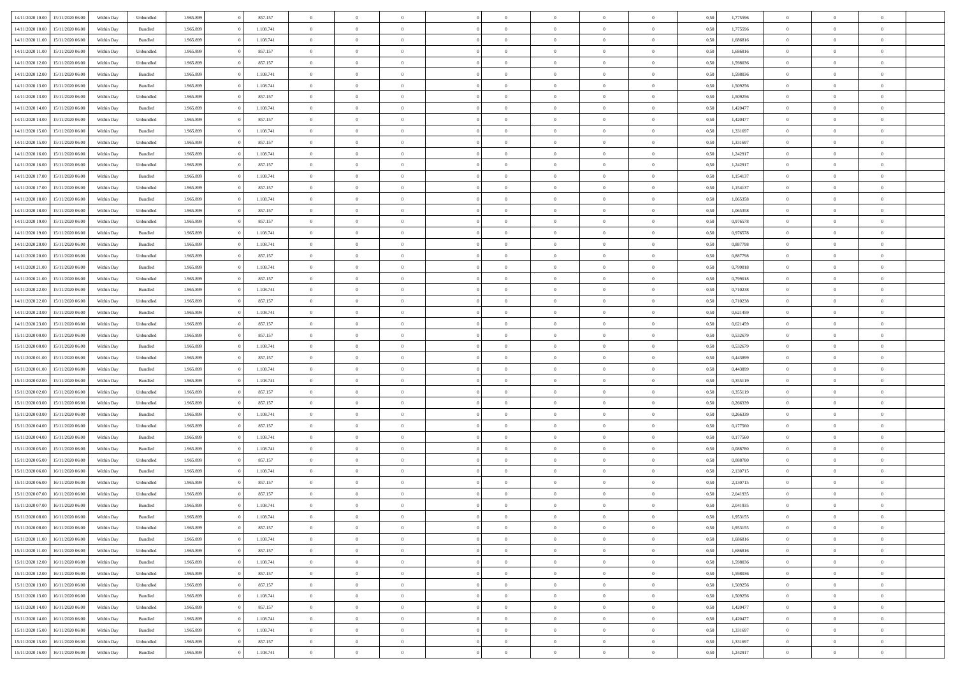| 14/11/2020 10:00                  | 15/11/2020 06.00 | Within Day | Unbundled | 1.965.899 | 857.157   | $\overline{0}$ | $\theta$       |                |                | $\Omega$       | $\overline{0}$ | $\overline{0}$ | 0,50 | 1,775596 | $\bf{0}$       | $\theta$       | $\theta$                 |  |
|-----------------------------------|------------------|------------|-----------|-----------|-----------|----------------|----------------|----------------|----------------|----------------|----------------|----------------|------|----------|----------------|----------------|--------------------------|--|
| 14/11/2020 10:00                  | 15/11/2020 06:00 | Within Dav | Bundled   | 1.965.899 | 1.108.741 | $\overline{0}$ | $\Omega$       |                | $\Omega$       | $\Omega$       | $\Omega$       | $\bf{0}$       | 0.50 | 1,775596 | $\theta$       | $\Omega$       | $\sqrt{ }$               |  |
| 14/11/2020 11:00                  | 15/11/2020 06.00 | Within Day | Bundled   | 1.965.899 | 1.108.741 | $\overline{0}$ | $\overline{0}$ | $\overline{0}$ | $\bf{0}$       | $\,$ 0 $\,$    | $\overline{0}$ | $\,$ 0 $\,$    | 0,50 | 1,686816 | $\,$ 0 $\,$    | $\overline{0}$ | $\overline{0}$           |  |
| 14/11/2020 11:00                  | 15/11/2020 06.00 | Within Day | Unbundled | 1.965.899 | 857.157   | $\overline{0}$ | $\overline{0}$ | $\overline{0}$ | $\overline{0}$ | $\bf{0}$       | $\overline{0}$ | $\bf{0}$       | 0,50 | 1,686816 | $\bf{0}$       | $\overline{0}$ | $\bf{0}$                 |  |
| 14/11/2020 12:00                  | 15/11/2020 06.00 | Within Day | Unbundled | 1.965.899 | 857.157   | $\overline{0}$ | $\Omega$       | $^{\circ}$     | $\Omega$       | $\overline{0}$ | $\overline{0}$ | $\overline{0}$ | 0.50 | 1,598036 | $\theta$       | $\theta$       | $\sqrt{ }$               |  |
| 14/11/2020 12:00                  | 15/11/2020 06.00 | Within Day | Bundled   | 1.965.899 | 1.108.741 | $\overline{0}$ | $\overline{0}$ | $\overline{0}$ | $\overline{0}$ | $\,$ 0 $\,$    | $\overline{0}$ | $\,$ 0 $\,$    | 0,50 | 1,598036 | $\,$ 0 $\,$    | $\overline{0}$ | $\overline{0}$           |  |
| 14/11/2020 13:00                  | 15/11/2020 06.00 |            | Bundled   | 1.965.899 | 1.108.741 | $\overline{0}$ | $\overline{0}$ | $\overline{0}$ | $\overline{0}$ | $\overline{0}$ | $\overline{0}$ | $\bf{0}$       | 0,50 | 1,509256 | $\,0\,$        | $\overline{0}$ | $\overline{0}$           |  |
|                                   |                  | Within Day |           |           |           |                |                |                |                |                |                |                |      |          |                |                |                          |  |
| 14/11/2020 13:00                  | 15/11/2020 06.00 | Within Day | Unbundled | 1.965.899 | 857.157   | $\overline{0}$ | $\theta$       | $\Omega$       | $\Omega$       | $\bf{0}$       | $\overline{0}$ | $\overline{0}$ | 0.50 | 1,509256 | $\theta$       | $\theta$       | $\sqrt{ }$               |  |
| 14/11/2020 14:00                  | 15/11/2020 06.00 | Within Day | Bundled   | 1.965.899 | 1.108.741 | $\overline{0}$ | $\,$ 0         | $\overline{0}$ | $\bf{0}$       | $\,$ 0 $\,$    | $\overline{0}$ | $\,$ 0 $\,$    | 0,50 | 1,420477 | $\,$ 0 $\,$    | $\overline{0}$ | $\overline{0}$           |  |
| 14/11/2020 14:00                  | 15/11/2020 06.00 | Within Day | Unbundled | 1.965.899 | 857.157   | $\overline{0}$ | $\overline{0}$ | $\overline{0}$ | $\Omega$       | $\overline{0}$ | $\overline{0}$ | $\bf{0}$       | 0,50 | 1,420477 | $\bf{0}$       | $\overline{0}$ | $\overline{0}$           |  |
| 14/11/2020 15:00                  | 15/11/2020 06.00 | Within Dav | Bundled   | 1.965.899 | 1.108.741 | $\overline{0}$ | $\Omega$       | $^{\circ}$     | $\Omega$       | $\bf{0}$       | $\Omega$       | $\overline{0}$ | 0.50 | 1,331697 | $\theta$       | $\theta$       | $\sqrt{ }$               |  |
| 14/11/2020 15.00                  | 15/11/2020 06.00 | Within Day | Unbundled | 1.965.899 | 857.157   | $\overline{0}$ | $\overline{0}$ | $\overline{0}$ | $\overline{0}$ | $\,$ 0 $\,$    | $\overline{0}$ | $\,$ 0 $\,$    | 0,50 | 1,331697 | $\,$ 0 $\,$    | $\overline{0}$ | $\,$ 0                   |  |
| 14/11/2020 16:00                  | 15/11/2020 06.00 | Within Day | Bundled   | 1.965.899 | 1.108.741 | $\overline{0}$ | $\overline{0}$ | $\overline{0}$ | $\overline{0}$ | $\bf{0}$       | $\overline{0}$ | $\bf{0}$       | 0,50 | 1,242917 | $\bf{0}$       | $\overline{0}$ | $\overline{\phantom{a}}$ |  |
| 14/11/2020 16:00                  | 15/11/2020 06:00 | Within Day | Unbundled | 1.965.899 | 857.157   | $\overline{0}$ | $\theta$       | $^{\circ}$     | $\overline{0}$ | $\overline{0}$ | $\overline{0}$ | $\overline{0}$ | 0.50 | 1,242917 | $\theta$       | $\theta$       | $\sqrt{ }$               |  |
| 14/11/2020 17.00                  | 15/11/2020 06.00 | Within Day | Bundled   | 1.965.899 | 1.108.741 | $\overline{0}$ | $\overline{0}$ | $\overline{0}$ | $\overline{0}$ | $\,$ 0 $\,$    | $\overline{0}$ | $\,$ 0 $\,$    | 0,50 | 1,154137 | $\,$ 0 $\,$    | $\overline{0}$ | $\overline{0}$           |  |
| 14/11/2020 17.00                  | 15/11/2020 06.00 | Within Day | Unbundled | 1.965.899 | 857.157   | $\overline{0}$ | $\overline{0}$ | $\overline{0}$ | $\overline{0}$ | $\overline{0}$ | $\overline{0}$ | $\bf{0}$       | 0,50 | 1,154137 | $\,0\,$        | $\overline{0}$ | $\overline{0}$           |  |
| 14/11/2020 18.00                  | 15/11/2020 06.00 | Within Day | Bundled   | 1.965.899 | 1.108.741 | $\overline{0}$ | $\Omega$       | $^{\circ}$     | $\Omega$       | $\overline{0}$ | $\overline{0}$ | $\overline{0}$ | 0.50 | 1,065358 | $\theta$       | $\theta$       | -0                       |  |
| 14/11/2020 18.00                  | 15/11/2020 06.00 | Within Day | Unbundled | 1.965.899 | 857.157   | $\overline{0}$ | $\,$ 0         | $\overline{0}$ | $\overline{0}$ | $\,$ 0 $\,$    | $\overline{0}$ | $\,$ 0 $\,$    | 0,50 | 1,065358 | $\,$ 0 $\,$    | $\overline{0}$ | $\overline{0}$           |  |
|                                   |                  |            |           |           |           |                |                |                |                |                |                |                |      |          |                |                |                          |  |
| 14/11/2020 19:00                  | 15/11/2020 06:00 | Within Day | Unbundled | 1.965.899 | 857.157   | $\overline{0}$ | $\overline{0}$ | $\overline{0}$ | $\Omega$       | $\bf{0}$       | $\overline{0}$ | $\bf{0}$       | 0,50 | 0,976578 | $\bf{0}$       | $\overline{0}$ | $\overline{0}$           |  |
| 14/11/2020 19:00                  | 15/11/2020 06.00 | Within Day | Bundled   | 1.965.899 | 1.108.741 | $\overline{0}$ | $\theta$       | $\Omega$       | $\Omega$       | $\bf{0}$       | $\overline{0}$ | $\overline{0}$ | 0.50 | 0,976578 | $\theta$       | $\theta$       | $\sqrt{ }$               |  |
| 14/11/2020 20.00                  | 15/11/2020 06.00 | Within Day | Bundled   | 1.965.899 | 1.108.741 | $\overline{0}$ | $\overline{0}$ | $\overline{0}$ | $\bf{0}$       | $\,$ 0 $\,$    | $\overline{0}$ | $\,$ 0 $\,$    | 0,50 | 0,887798 | $\,$ 0 $\,$    | $\overline{0}$ | $\,$ 0                   |  |
| 14/11/2020 20.00                  | 15/11/2020 06.00 | Within Day | Unbundled | 1.965.899 | 857.157   | $\overline{0}$ | $\overline{0}$ | $\overline{0}$ | $\overline{0}$ | $\bf{0}$       | $\overline{0}$ | $\bf{0}$       | 0,50 | 0,887798 | $\,0\,$        | $\overline{0}$ | $\overline{0}$           |  |
| 14/11/2020 21.00                  | 15/11/2020 06.00 | Within Day | Bundled   | 1.965.899 | 1.108.741 | $\overline{0}$ | $\theta$       | $\Omega$       | $\overline{0}$ | $\bf{0}$       | $\overline{0}$ | $\overline{0}$ | 0.50 | 0,799018 | $\theta$       | $\theta$       | $\sqrt{ }$               |  |
| 14/11/2020 21.00                  | 15/11/2020 06.00 | Within Day | Unbundled | 1.965.899 | 857.157   | $\overline{0}$ | $\overline{0}$ | $\overline{0}$ | $\overline{0}$ | $\,$ 0 $\,$    | $\overline{0}$ | $\,$ 0 $\,$    | 0,50 | 0,799018 | $\,$ 0 $\,$    | $\overline{0}$ | $\overline{0}$           |  |
| 14/11/2020 22.00                  | 15/11/2020 06.00 | Within Day | Bundled   | 1.965.899 | 1.108.741 | $\overline{0}$ | $\overline{0}$ | $\overline{0}$ | $\overline{0}$ | $\bf{0}$       | $\overline{0}$ | $\bf{0}$       | 0,50 | 0,710238 | $\bf{0}$       | $\overline{0}$ | $\overline{0}$           |  |
| 14/11/2020 22.00                  | 15/11/2020 06.00 | Within Day | Unbundled | 1.965.899 | 857.157   | $\overline{0}$ | $\theta$       | $\Omega$       | $\Omega$       | $\bf{0}$       | $\overline{0}$ | $\overline{0}$ | 0.50 | 0,710238 | $\theta$       | $\theta$       | $\sqrt{ }$               |  |
| 14/11/2020 23.00                  | 15/11/2020 06.00 | Within Day | Bundled   | 1.965.899 | 1.108.741 | $\overline{0}$ | $\,$ 0         | $\overline{0}$ | $\overline{0}$ | $\,$ 0 $\,$    | $\overline{0}$ | $\,$ 0 $\,$    | 0,50 | 0,621459 | $\,$ 0 $\,$    | $\overline{0}$ | $\overline{0}$           |  |
| 14/11/2020 23.00                  | 15/11/2020 06.00 | Within Day | Unbundled | 1.965.899 | 857.157   | $\overline{0}$ | $\overline{0}$ | $\overline{0}$ | $\overline{0}$ | $\bf{0}$       | $\overline{0}$ | $\bf{0}$       | 0,50 | 0,621459 | $\bf{0}$       | $\overline{0}$ | $\overline{0}$           |  |
| 15/11/2020 00:00                  | 15/11/2020 06.00 | Within Day | Unbundled | 1.965.899 | 857.157   | $\overline{0}$ | $\Omega$       | $^{\circ}$     | $\Omega$       | $\bf{0}$       | $\Omega$       | $\overline{0}$ | 0.50 | 0,532679 | $\theta$       | $\theta$       | $\sqrt{ }$               |  |
| 15/11/2020 00.00                  | 15/11/2020 06.00 | Within Day | Bundled   | 1.965.899 | 1.108.741 | $\overline{0}$ | $\,$ 0         | $\overline{0}$ | $\overline{0}$ | $\,$ 0 $\,$    | $\overline{0}$ | $\,$ 0 $\,$    | 0,50 | 0,532679 | $\,$ 0 $\,$    | $\overline{0}$ | $\,$ 0                   |  |
|                                   |                  |            |           |           |           |                |                |                |                |                |                |                |      |          |                |                |                          |  |
| 15/11/2020 01:00                  | 15/11/2020 06.00 | Within Day | Unbundled | 1.965.899 | 857.157   | $\bf{0}$       | $\overline{0}$ | $\bf{0}$       | $\bf{0}$       | $\bf{0}$       | $\bf{0}$       | $\bf{0}$       | 0,50 | 0,443899 | $\,$ 0 $\,$    | $\overline{0}$ | $\overline{0}$           |  |
| 15/11/2020 01:00                  | 15/11/2020 06:00 | Within Day | Bundled   | 1.965.899 | 1.108.741 | $\overline{0}$ | $\theta$       | $\Omega$       | $\overline{0}$ | $\bf{0}$       | $\overline{0}$ | $\overline{0}$ | 0.50 | 0,443899 | $\theta$       | $\theta$       | $\sqrt{ }$               |  |
| 15/11/2020 02.00                  | 15/11/2020 06.00 | Within Day | Bundled   | 1.965.899 | 1.108.741 | $\overline{0}$ | $\overline{0}$ | $\overline{0}$ | $\overline{0}$ | $\,$ 0 $\,$    | $\overline{0}$ | $\,$ 0 $\,$    | 0,50 | 0,355119 | $\,$ 0 $\,$    | $\overline{0}$ | $\overline{0}$           |  |
| 15/11/2020 02.00                  | 15/11/2020 06.00 | Within Day | Unbundled | 1.965.899 | 857.157   | $\overline{0}$ | $\overline{0}$ | $\overline{0}$ | $\overline{0}$ | $\,$ 0         | $\bf{0}$       | $\bf{0}$       | 0,50 | 0,355119 | $\,$ 0 $\,$    | $\overline{0}$ | $\overline{0}$           |  |
| 15/11/2020 03:00                  | 15/11/2020 06.00 | Within Day | Unbundled | 1.965.899 | 857.157   | $\overline{0}$ | $\Omega$       | $^{\circ}$     | $\Omega$       | $\bf{0}$       | $\overline{0}$ | $\overline{0}$ | 0.50 | 0,266339 | $\theta$       | $\theta$       | $\sqrt{ }$               |  |
| 15/11/2020 03.00                  | 15/11/2020 06.00 | Within Day | Bundled   | 1.965.899 | 1.108.741 | $\overline{0}$ | $\,$ 0         | $\overline{0}$ | $\bf{0}$       | $\,$ 0 $\,$    | $\overline{0}$ | $\,$ 0 $\,$    | 0,50 | 0,266339 | $\,$ 0 $\,$    | $\overline{0}$ | $\overline{0}$           |  |
| 15/11/2020 04:00                  | 15/11/2020 06.00 | Within Day | Unbundled | 1.965.899 | 857.157   | $\overline{0}$ | $\overline{0}$ | $\overline{0}$ | $\bf{0}$       | $\bf{0}$       | $\bf{0}$       | $\bf{0}$       | 0,50 | 0,177560 | $\,$ 0 $\,$    | $\overline{0}$ | $\overline{0}$           |  |
| 15/11/2020 04:00                  | 15/11/2020 06:00 | Within Day | Bundled   | 1.965.899 | 1.108.741 | $\overline{0}$ | $\theta$       | $\Omega$       | $\overline{0}$ | $\bf{0}$       | $\overline{0}$ | $\overline{0}$ | 0.50 | 0,177560 | $\theta$       | $\theta$       | $\sqrt{ }$               |  |
| 15/11/2020 05:00                  | 15/11/2020 06.00 | Within Day | Bundled   | 1.965.899 | 1.108.741 | $\overline{0}$ | $\,$ 0         | $\overline{0}$ | $\bf{0}$       | $\,$ 0 $\,$    | $\overline{0}$ | $\,$ 0 $\,$    | 0,50 | 0,088780 | $\,$ 0 $\,$    | $\overline{0}$ | $\,$ 0                   |  |
| 15/11/2020 05:00                  | 15/11/2020 06.00 | Within Day | Unbundled | 1.965.899 | 857.157   | $\overline{0}$ | $\overline{0}$ | $\overline{0}$ | $\bf{0}$       | $\,$ 0         | $\bf{0}$       | $\bf{0}$       | 0,50 | 0,088780 | $\,$ 0 $\,$    | $\overline{0}$ | $\overline{0}$           |  |
| 15/11/2020 06.00                  | 16/11/2020 06.00 | Within Day | Bundled   | 1.965.899 | 1.108.741 | $\overline{0}$ | $\theta$       | $\Omega$       | $\overline{0}$ | $\bf{0}$       | $\Omega$       | $\overline{0}$ | 0.50 | 2,130715 | $\theta$       | $\theta$       | $\sqrt{ }$               |  |
| 15/11/2020 06.00                  | 16/11/2020 06.00 | Within Day | Unbundled | 1.965.899 | 857.157   | $\overline{0}$ | $\theta$       | $\overline{0}$ | $\overline{0}$ | $\,$ 0 $\,$    | $\overline{0}$ | $\,$ 0 $\,$    | 0,50 | 2,130715 | $\,$ 0 $\,$    | $\overline{0}$ | $\overline{0}$           |  |
| 15/11/2020 07:00                  | 16/11/2020 06.00 | Within Day | Unbundled | 1.965.899 | 857.157   | $\overline{0}$ | $\theta$       | $\overline{0}$ | $\overline{0}$ | $\bf{0}$       | $\bf{0}$       | $\bf{0}$       | 0,50 | 2,041935 | $\,$ 0 $\,$    | $\overline{0}$ | $\overline{0}$           |  |
| 15/11/2020 07:00                  | 16/11/2020 06:00 | Within Day | Bundled   | 1.965.899 | 1.108.741 | $\overline{0}$ | $\overline{0}$ | $\overline{0}$ | $\overline{0}$ | $\bf{0}$       | $\overline{0}$ | $\overline{0}$ | 0.50 | 2,041935 | $\theta$       | $\theta$       | $\overline{0}$           |  |
| 15/11/2020 08.00 16/11/2020 06.00 |                  | Within Day | Bundled   | 1.965.899 | 1.108.741 |                |                |                |                |                |                |                | 0,50 | 1,953155 |                |                |                          |  |
|                                   |                  |            |           |           |           | $\overline{0}$ | $\overline{0}$ |                |                | $\bf{0}$       |                |                |      |          | $\theta$       | $\theta$       |                          |  |
| 15/11/2020 08:00                  | 16/11/2020 06.00 | Within Day | Unbundled | 1.965.899 | 857.157   | $\overline{0}$ | $\bf{0}$       | $\overline{0}$ | $\bf{0}$       | $\bf{0}$       | $\bf{0}$       | $\bf{0}$       | 0,50 | 1,953155 | $\bf{0}$       | $\overline{0}$ | $\bf{0}$                 |  |
| 15/11/2020 11:00                  | 16/11/2020 06:00 | Within Day | Bundled   | 1.965.899 | 1.108.741 | $\overline{0}$ | $\overline{0}$ | $\overline{0}$ | $\overline{0}$ | $\overline{0}$ | $\overline{0}$ | $\overline{0}$ | 0,50 | 1,686816 | $\overline{0}$ | $\overline{0}$ | $\overline{0}$           |  |
| 15/11/2020 11:00                  | 16/11/2020 06.00 | Within Day | Unbundled | 1.965.899 | 857.157   | $\overline{0}$ | $\bf{0}$       | $\overline{0}$ | $\overline{0}$ | $\bf{0}$       | $\overline{0}$ | $\,$ 0 $\,$    | 0,50 | 1,686816 | $\mathbf{0}$   | $\,$ 0 $\,$    | $\bf{0}$                 |  |
| 15/11/2020 12:00                  | 16/11/2020 06.00 | Within Day | Bundled   | 1.965.899 | 1.108.741 | $\overline{0}$ | $\overline{0}$ | $\overline{0}$ | $\bf{0}$       | $\bf{0}$       | $\bf{0}$       | $\bf{0}$       | 0,50 | 1,598036 | $\bf{0}$       | $\overline{0}$ | $\bf{0}$                 |  |
| 15/11/2020 12:00                  | 16/11/2020 06:00 | Within Day | Unbundled | 1.965.899 | 857.157   | $\overline{0}$ | $\overline{0}$ | $\overline{0}$ | $\overline{0}$ | $\overline{0}$ | $\overline{0}$ | $\overline{0}$ | 0,50 | 1,598036 | $\overline{0}$ | $\theta$       | $\overline{0}$           |  |
| 15/11/2020 13:00                  | 16/11/2020 06.00 | Within Day | Unbundled | 1.965.899 | 857.157   | $\overline{0}$ | $\bf{0}$       | $\overline{0}$ | $\overline{0}$ | $\bf{0}$       | $\overline{0}$ | $\,$ 0 $\,$    | 0,50 | 1,509256 | $\mathbf{0}$   | $\,$ 0 $\,$    | $\,$ 0 $\,$              |  |
| 15/11/2020 13:00                  | 16/11/2020 06.00 | Within Day | Bundled   | 1.965.899 | 1.108.741 | $\bf{0}$       | $\overline{0}$ | $\overline{0}$ | $\bf{0}$       | $\bf{0}$       | $\bf{0}$       | $\bf{0}$       | 0,50 | 1,509256 | $\bf{0}$       | $\overline{0}$ | $\bf{0}$                 |  |
| 15/11/2020 14:00                  | 16/11/2020 06:00 | Within Day | Unbundled | 1.965.899 | 857.157   | $\overline{0}$ | $\overline{0}$ | $\overline{0}$ | $\overline{0}$ | $\overline{0}$ | $\overline{0}$ | $\mathbf{0}$   | 0,50 | 1,420477 | $\overline{0}$ | $\theta$       | $\overline{0}$           |  |
| 15/11/2020 14:00                  | 16/11/2020 06.00 | Within Day | Bundled   | 1.965.899 | 1.108.741 | $\overline{0}$ | $\bf{0}$       | $\overline{0}$ | $\bf{0}$       | $\bf{0}$       | $\overline{0}$ | $\,$ 0 $\,$    | 0,50 | 1,420477 | $\mathbf{0}$   | $\,$ 0 $\,$    | $\,$ 0                   |  |
| 15/11/2020 15:00                  | 16/11/2020 06.00 | Within Day | Bundled   | 1.965.899 | 1.108.741 | $\overline{0}$ | $\overline{0}$ | $\overline{0}$ | $\bf{0}$       | $\bf{0}$       | $\bf{0}$       | $\bf{0}$       | 0,50 | 1,331697 | $\bf{0}$       | $\overline{0}$ | $\bf{0}$                 |  |
| 15/11/2020 15:00                  | 16/11/2020 06:00 | Within Day | Unbundled | 1.965.899 | 857.157   | $\overline{0}$ | $\overline{0}$ | $\overline{0}$ | $\overline{0}$ | $\mathbf{0}$   | $\overline{0}$ | $\overline{0}$ | 0.50 | 1,331697 | $\overline{0}$ | $\theta$       | $\overline{0}$           |  |
|                                   |                  |            |           |           |           |                |                |                |                |                |                |                |      |          |                |                |                          |  |
| 15/11/2020 16:00 16/11/2020 06:00 |                  | Within Day | Bundled   | 1.965.899 | 1.108.741 | $\mathbf{0}$   | $\bf{0}$       | $\overline{0}$ | $\overline{0}$ | $\bf{0}$       | $\overline{0}$ | $\,$ 0 $\,$    | 0,50 | 1,242917 | $\mathbf{0}$   | $\,$ 0 $\,$    | $\,$ 0 $\,$              |  |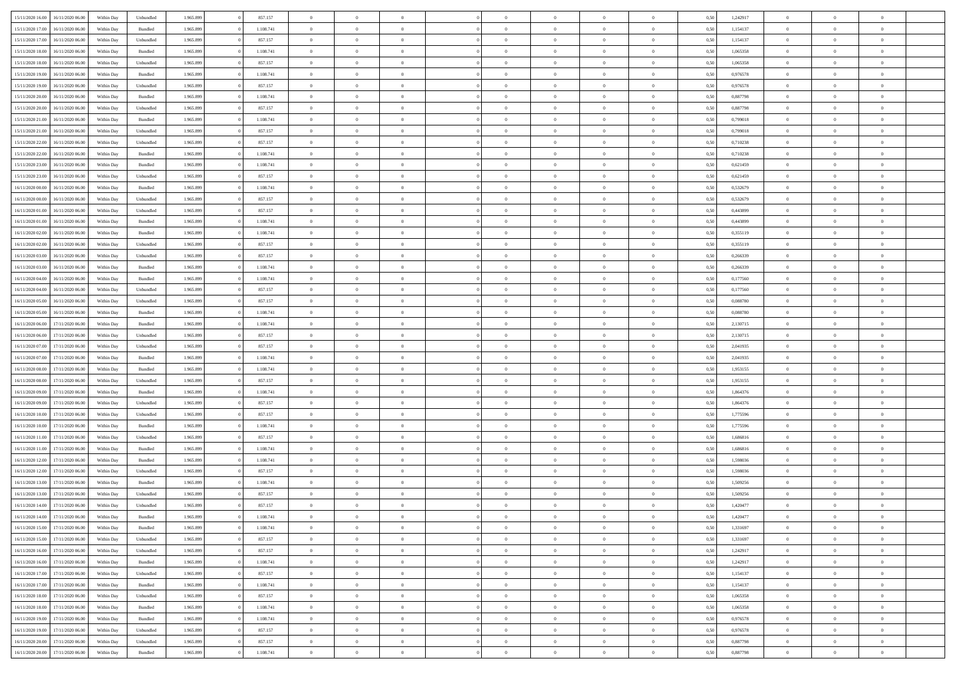| 15/11/2020 16:00 | 16/11/2020 06:00                  | Within Dav | Unbundled          | 1.965.899 | 857.157   | $\overline{0}$ | $\theta$       |                | $\Omega$       | $\Omega$       | $\theta$       | $\theta$       | 0,50 | 1,242917 | $\theta$       | $\overline{0}$ | $\theta$       |  |
|------------------|-----------------------------------|------------|--------------------|-----------|-----------|----------------|----------------|----------------|----------------|----------------|----------------|----------------|------|----------|----------------|----------------|----------------|--|
|                  |                                   |            |                    |           |           |                |                |                |                |                |                |                |      |          |                |                |                |  |
| 15/11/2020 17:00 | 16/11/2020 06.00                  | Within Day | Bundled            | 1.965.899 | 1.108.741 | $\overline{0}$ | $\theta$       | $\overline{0}$ | $\overline{0}$ | $\bf{0}$       | $\overline{0}$ | $\bf{0}$       | 0,50 | 1,154137 | $\theta$       | $\overline{0}$ | $\overline{0}$ |  |
| 15/11/2020 17:00 | 16/11/2020 06.00                  | Within Day | Unbundled          | 1.965.899 | 857.157   | $\overline{0}$ | $\bf{0}$       | $\overline{0}$ | $\bf{0}$       | $\bf{0}$       | $\bf{0}$       | $\mathbf{0}$   | 0,50 | 1,154137 | $\bf{0}$       | $\overline{0}$ | $\overline{0}$ |  |
| 15/11/2020 18:00 | 16/11/2020 06:00                  | Within Dav | Bundled            | 1.965.899 | 1.108.741 | $\overline{0}$ | $\overline{0}$ | $\overline{0}$ | $\overline{0}$ | $\bf{0}$       | $\overline{0}$ | $\overline{0}$ | 0.50 | 1,065358 | $\theta$       | $\theta$       | $\overline{0}$ |  |
| 15/11/2020 18:00 | 16/11/2020 06.00                  | Within Day | Unbundled          | 1.965.899 | 857.157   | $\overline{0}$ | $\theta$       | $\overline{0}$ | $\overline{0}$ | $\bf{0}$       | $\overline{0}$ | $\bf{0}$       | 0,50 | 1,065358 | $\,$ 0 $\,$    | $\overline{0}$ | $\overline{0}$ |  |
| 15/11/2020 19:00 | 16/11/2020 06.00                  | Within Day | Bundled            | 1.965.899 | 1.108.741 | $\overline{0}$ | $\overline{0}$ | $\overline{0}$ | $\bf{0}$       | $\overline{0}$ | $\overline{0}$ | $\mathbf{0}$   | 0,50 | 0,976578 | $\bf{0}$       | $\overline{0}$ | $\bf{0}$       |  |
|                  |                                   |            |                    |           |           |                |                |                |                | $\overline{0}$ |                |                |      |          | $\theta$       | $\overline{0}$ | $\overline{0}$ |  |
| 15/11/2020 19:00 | 16/11/2020 06:00                  | Within Dav | Unbundled          | 1.965.899 | 857.157   | $\overline{0}$ | $\overline{0}$ | $\overline{0}$ | $\overline{0}$ |                | $\overline{0}$ | $\overline{0}$ | 0.50 | 0,976578 |                |                |                |  |
| 15/11/2020 20.00 | 16/11/2020 06.00                  | Within Day | Bundled            | 1.965.899 | 1.108.741 | $\overline{0}$ | $\theta$       | $\overline{0}$ | $\overline{0}$ | $\bf{0}$       | $\overline{0}$ | $\bf{0}$       | 0,50 | 0,887798 | $\,$ 0 $\,$    | $\theta$       | $\overline{0}$ |  |
| 15/11/2020 20.00 | 16/11/2020 06.00                  | Within Day | Unbundled          | 1.965.899 | 857.157   | $\overline{0}$ | $\overline{0}$ | $\overline{0}$ | $\bf{0}$       | $\bf{0}$       | $\bf{0}$       | $\mathbf{0}$   | 0,50 | 0,887798 | $\,0\,$        | $\overline{0}$ | $\overline{0}$ |  |
| 15/11/2020 21.00 | 16/11/2020 06:00                  | Within Dav | Bundled            | 1.965.899 | 1.108.741 | $\overline{0}$ | $\overline{0}$ | $\overline{0}$ | $\overline{0}$ | $\overline{0}$ | $\overline{0}$ | $\overline{0}$ | 0.50 | 0,799018 | $\theta$       | $\overline{0}$ | $\overline{0}$ |  |
| 15/11/2020 21.00 | 16/11/2020 06.00                  | Within Day | Unbundled          | 1.965.899 | 857.157   | $\overline{0}$ | $\theta$       | $\overline{0}$ | $\overline{0}$ | $\bf{0}$       | $\overline{0}$ | $\bf{0}$       | 0,50 | 0,799018 | $\,$ 0 $\,$    | $\overline{0}$ | $\overline{0}$ |  |
| 15/11/2020 22.00 | 16/11/2020 06.00                  | Within Day | Unbundled          | 1.965.899 | 857.157   | $\overline{0}$ | $\overline{0}$ | $\overline{0}$ | $\bf{0}$       | $\bf{0}$       | $\bf{0}$       | $\mathbf{0}$   | 0,50 | 0,710238 | $\overline{0}$ | $\overline{0}$ | $\overline{0}$ |  |
| 15/11/2020 22.00 | 16/11/2020 06:00                  | Within Day | Bundled            | 1.965.899 | 1.108.741 | $\overline{0}$ | $\overline{0}$ | $\overline{0}$ | $\overline{0}$ | $\overline{0}$ | $\overline{0}$ | $\overline{0}$ | 0.50 | 0,710238 | $\theta$       | $\theta$       | $\overline{0}$ |  |
| 15/11/2020 23.00 | 16/11/2020 06.00                  |            |                    | 1.965.899 | 1.108.741 | $\overline{0}$ | $\theta$       | $\overline{0}$ | $\overline{0}$ | $\bf{0}$       | $\overline{0}$ |                |      | 0,621459 | $\,$ 0 $\,$    | $\overline{0}$ | $\overline{0}$ |  |
|                  |                                   | Within Day | Bundled            |           |           |                |                |                |                |                |                | $\bf{0}$       | 0,50 |          |                |                |                |  |
| 15/11/2020 23.00 | 16/11/2020 06.00                  | Within Day | Unbundled          | 1.965.899 | 857.157   | $\overline{0}$ | $\overline{0}$ | $\overline{0}$ | $\bf{0}$       | $\overline{0}$ | $\overline{0}$ | $\mathbf{0}$   | 0,50 | 0,621459 | $\overline{0}$ | $\overline{0}$ | $\bf{0}$       |  |
| 16/11/2020 00:00 | 16/11/2020 06:00                  | Within Dav | Bundled            | 1.965.899 | 1.108.741 | $\overline{0}$ | $\overline{0}$ | $\overline{0}$ | $\overline{0}$ | $\overline{0}$ | $\overline{0}$ | $\overline{0}$ | 0.50 | 0,532679 | $\overline{0}$ | $\overline{0}$ | $\overline{0}$ |  |
| 16/11/2020 00.00 | 16/11/2020 06.00                  | Within Day | Unbundled          | 1.965.899 | 857.157   | $\overline{0}$ | $\theta$       | $\overline{0}$ | $\overline{0}$ | $\bf{0}$       | $\overline{0}$ | $\bf{0}$       | 0,50 | 0,532679 | $\,$ 0 $\,$    | $\theta$       | $\overline{0}$ |  |
| 16/11/2020 01:00 | 16/11/2020 06.00                  | Within Day | Unbundled          | 1.965.899 | 857.157   | $\overline{0}$ | $\overline{0}$ | $\overline{0}$ | $\bf{0}$       | $\bf{0}$       | $\bf{0}$       | $\mathbf{0}$   | 0,50 | 0,443899 | $\bf{0}$       | $\overline{0}$ | $\overline{0}$ |  |
| 16/11/2020 01:00 | 16/11/2020 06:00                  | Within Day | Bundled            | 1.965.899 | 1.108.741 | $\overline{0}$ | $\overline{0}$ | $\overline{0}$ | $\overline{0}$ | $\overline{0}$ | $\overline{0}$ | $\overline{0}$ | 0.50 | 0,443899 | $\theta$       | $\overline{0}$ | $\overline{0}$ |  |
| 16/11/2020 02.00 | 16/11/2020 06.00                  | Within Day | Bundled            | 1.965.899 | 1.108.741 | $\overline{0}$ | $\theta$       | $\overline{0}$ | $\overline{0}$ | $\bf{0}$       | $\overline{0}$ | $\bf{0}$       | 0,50 | 0,355119 | $\,$ 0 $\,$    | $\overline{0}$ | $\overline{0}$ |  |
| 16/11/2020 02.00 | 16/11/2020 06.00                  | Within Day | Unbundled          | 1.965.899 | 857.157   | $\overline{0}$ | $\overline{0}$ | $\overline{0}$ | $\bf{0}$       | $\bf{0}$       | $\bf{0}$       | $\mathbf{0}$   | 0,50 | 0,355119 | $\bf{0}$       | $\overline{0}$ | $\overline{0}$ |  |
|                  |                                   |            |                    |           |           |                |                |                |                |                |                |                |      |          | $\theta$       |                |                |  |
| 16/11/2020 03.00 | 16/11/2020 06:00                  | Within Day | Unbundled          | 1.965.899 | 857.157   | $\overline{0}$ | $\overline{0}$ | $\overline{0}$ | $\overline{0}$ | $\overline{0}$ | $\overline{0}$ | $\overline{0}$ | 0.50 | 0,266339 |                | $\overline{0}$ | $\overline{0}$ |  |
| 16/11/2020 03.00 | 16/11/2020 06.00                  | Within Day | Bundled            | 1.965.899 | 1.108.741 | $\overline{0}$ | $\theta$       | $\overline{0}$ | $\overline{0}$ | $\bf{0}$       | $\overline{0}$ | $\bf{0}$       | 0,50 | 0,266339 | $\,$ 0 $\,$    | $\overline{0}$ | $\overline{0}$ |  |
| 16/11/2020 04.00 | 16/11/2020 06.00                  | Within Day | Bundled            | 1.965.899 | 1.108.741 | $\overline{0}$ | $\overline{0}$ | $\overline{0}$ | $\bf{0}$       | $\overline{0}$ | $\overline{0}$ | $\mathbf{0}$   | 0,50 | 0,177560 | $\bf{0}$       | $\overline{0}$ | $\bf{0}$       |  |
| 16/11/2020 04:00 | 16/11/2020 06:00                  | Within Day | Unbundled          | 1.965.899 | 857.157   | $\overline{0}$ | $\overline{0}$ | $\overline{0}$ | $\overline{0}$ | $\overline{0}$ | $\overline{0}$ | $\overline{0}$ | 0.50 | 0,177560 | $\overline{0}$ | $\overline{0}$ | $\overline{0}$ |  |
| 16/11/2020 05:00 | 16/11/2020 06.00                  | Within Day | Unbundled          | 1.965.899 | 857.157   | $\overline{0}$ | $\theta$       | $\overline{0}$ | $\overline{0}$ | $\bf{0}$       | $\overline{0}$ | $\bf{0}$       | 0,50 | 0,088780 | $\,$ 0 $\,$    | $\theta$       | $\overline{0}$ |  |
| 16/11/2020 05:00 | 16/11/2020 06.00                  | Within Day | Bundled            | 1.965.899 | 1.108.741 | $\overline{0}$ | $\overline{0}$ | $\overline{0}$ | $\bf{0}$       | $\bf{0}$       | $\bf{0}$       | $\mathbf{0}$   | 0,50 | 0,088780 | $\,0\,$        | $\overline{0}$ | $\overline{0}$ |  |
| 16/11/2020 06:00 | 17/11/2020 06.00                  | Within Day | Bundled            | 1.965.899 | 1.108.741 | $\overline{0}$ | $\overline{0}$ | $\overline{0}$ | $\overline{0}$ | $\overline{0}$ | $\overline{0}$ | $\overline{0}$ | 0.50 | 2,130715 | $\theta$       | $\overline{0}$ | $\overline{0}$ |  |
| 16/11/2020 06.00 | 17/11/2020 06.00                  |            |                    | 1.965.899 | 857.157   | $\overline{0}$ | $\theta$       | $\overline{0}$ | $\overline{0}$ | $\bf{0}$       | $\overline{0}$ |                |      | 2,130715 | $\,$ 0 $\,$    | $\overline{0}$ | $\overline{0}$ |  |
|                  |                                   | Within Day | Unbundled          |           |           |                |                |                |                |                |                | $\bf{0}$       | 0,50 |          |                |                |                |  |
| 16/11/2020 07.00 | 17/11/2020 06.00                  | Within Day | Unbundled          | 1.965.899 | 857.157   | $\overline{0}$ | $\overline{0}$ | $\overline{0}$ | $\bf{0}$       | $\bf{0}$       | $\bf{0}$       | $\bf{0}$       | 0,50 | 2,041935 | $\overline{0}$ | $\overline{0}$ | $\overline{0}$ |  |
| 16/11/2020 07:00 | 17/11/2020 06.00                  | Within Day | Bundled            | 1.965.899 | 1.108.741 | $\overline{0}$ | $\Omega$       | $\overline{0}$ | $\Omega$       | $\Omega$       | $\overline{0}$ | $\overline{0}$ | 0,50 | 2,041935 | $\,0\,$        | $\theta$       | $\theta$       |  |
| 16/11/2020 08:00 | 17/11/2020 06.00                  | Within Day | Bundled            | 1.965.899 | 1.108.741 | $\overline{0}$ | $\theta$       | $\overline{0}$ | $\overline{0}$ | $\bf{0}$       | $\overline{0}$ | $\bf{0}$       | 0,50 | 1,953155 | $\,$ 0 $\,$    | $\overline{0}$ | $\overline{0}$ |  |
| 16/11/2020 08:00 | 17/11/2020 06.00                  | Within Day | Unbundled          | 1.965.899 | 857.157   | $\overline{0}$ | $\overline{0}$ | $\overline{0}$ | $\bf{0}$       | $\overline{0}$ | $\overline{0}$ | $\mathbf{0}$   | 0,50 | 1,953155 | $\overline{0}$ | $\overline{0}$ | $\bf{0}$       |  |
| 16/11/2020 09:00 | 17/11/2020 06.00                  | Within Day | Bundled            | 1.965.899 | 1.108.741 | $\overline{0}$ | $\Omega$       | $\overline{0}$ | $\Omega$       | $\overline{0}$ | $\overline{0}$ | $\overline{0}$ | 0.50 | 1,864376 | $\,0\,$        | $\theta$       | $\theta$       |  |
| 16/11/2020 09:00 | 17/11/2020 06.00                  | Within Day | Unbundled          | 1.965.899 | 857.157   | $\overline{0}$ | $\theta$       | $\overline{0}$ | $\overline{0}$ | $\,$ 0         | $\overline{0}$ | $\bf{0}$       | 0,50 | 1,864376 | $\,$ 0 $\,$    | $\overline{0}$ | $\overline{0}$ |  |
| 16/11/2020 10:00 | 17/11/2020 06.00                  | Within Day | Unbundled          | 1.965.899 | 857.157   | $\overline{0}$ | $\overline{0}$ | $\overline{0}$ | $\bf{0}$       | $\bf{0}$       | $\bf{0}$       | $\mathbf{0}$   | 0,50 | 1,775596 | $\bf{0}$       | $\overline{0}$ | $\overline{0}$ |  |
|                  |                                   |            |                    |           | 1.108.741 | $\overline{0}$ | $\Omega$       |                | $\Omega$       | $\overline{0}$ | $\overline{0}$ |                |      |          |                | $\theta$       | $\theta$       |  |
| 16/11/2020 10:00 | 17/11/2020 06.00                  | Within Day | Bundled            | 1.965.899 |           |                |                | $\overline{0}$ |                |                |                | $\overline{0}$ | 0.50 | 1,775596 | $\,0\,$        |                |                |  |
| 16/11/2020 11:00 | 17/11/2020 06.00                  | Within Day | Unbundled          | 1.965.899 | 857.157   | $\overline{0}$ | $\theta$       | $\overline{0}$ | $\overline{0}$ | $\,$ 0         | $\overline{0}$ | $\bf{0}$       | 0,50 | 1,686816 | $\,$ 0 $\,$    | $\overline{0}$ | $\overline{0}$ |  |
| 16/11/2020 11.00 | 17/11/2020 06.00                  | Within Day | Bundled            | 1.965.899 | 1.108.741 | $\overline{0}$ | $\overline{0}$ | $\overline{0}$ | $\bf{0}$       | $\bf{0}$       | $\bf{0}$       | $\mathbf{0}$   | 0,50 | 1,686816 | $\overline{0}$ | $\overline{0}$ | $\overline{0}$ |  |
| 16/11/2020 12:00 | 17/11/2020 06.00                  | Within Day | Bundled            | 1.965.899 | 1.108.741 | $\overline{0}$ | $\Omega$       | $\overline{0}$ | $\Omega$       | $\overline{0}$ | $\overline{0}$ | $\overline{0}$ | 0,50 | 1,598036 | $\,0\,$        | $\theta$       | $\theta$       |  |
| 16/11/2020 12:00 | 17/11/2020 06.00                  | Within Day | Unbundled          | 1.965.899 | 857.157   | $\overline{0}$ | $\overline{0}$ | $\overline{0}$ | $\overline{0}$ | $\,$ 0         | $\overline{0}$ | $\bf{0}$       | 0,50 | 1,598036 | $\,$ 0 $\,$    | $\overline{0}$ | $\overline{0}$ |  |
| 16/11/2020 13.00 | 17/11/2020 06.00                  | Within Day | Bundled            | 1.965.899 | 1.108.741 | $\overline{0}$ | $\overline{0}$ | $\overline{0}$ | $\bf{0}$       | $\bf{0}$       | $\overline{0}$ | $\mathbf{0}$   | 0,50 | 1,509256 | $\overline{0}$ | $\overline{0}$ | $\bf{0}$       |  |
| 16/11/2020 13:00 | 17/11/2020 06.00                  | Within Day | Unbundled          | 1.965.899 | 857.157   | $\overline{0}$ | $\Omega$       | $\overline{0}$ | $\Omega$       | $\Omega$       | $\overline{0}$ | $\overline{0}$ | 0.50 | 1,509256 | $\,0\,$        | $\theta$       | $\theta$       |  |
| 16/11/2020 14:00 | 17/11/2020 06.00                  | Within Day | Unbundled          | 1.965.899 | 857.157   | $\overline{0}$ | $\overline{0}$ | $\overline{0}$ | $\bf{0}$       | $\,$ 0         | $\bf{0}$       | $\bf{0}$       | 0,50 | 1,420477 | $\,0\,$        | $\,$ 0 $\,$    | $\overline{0}$ |  |
|                  | 16/11/2020 14:00 17/11/2020 06:00 | Within Day | $\mathbf B$ undled | 1.965.899 | 1.108.741 | $\bf{0}$       | $\bf{0}$       |                |                | $\bf{0}$       |                |                | 0,50 | 1,420477 | $\bf{0}$       | $\overline{0}$ |                |  |
|                  |                                   |            |                    |           |           |                |                |                |                |                |                |                |      |          |                |                |                |  |
| 16/11/2020 15:00 | 17/11/2020 06:00                  | Within Day | Bundled            | 1.965.899 | 1.108.741 | $\overline{0}$ | $\overline{0}$ | $\overline{0}$ | $\Omega$       | $\overline{0}$ | $\overline{0}$ | $\overline{0}$ | 0,50 | 1,331697 | $\theta$       | $\theta$       | $\theta$       |  |
| 16/11/2020 15:00 | 17/11/2020 06.00                  | Within Day | Unbundled          | 1.965.899 | 857.157   | $\overline{0}$ | $\bf{0}$       | $\overline{0}$ | $\bf{0}$       | $\,$ 0 $\,$    | $\overline{0}$ | $\,$ 0 $\,$    | 0,50 | 1,331697 | $\,$ 0 $\,$    | $\,$ 0 $\,$    | $\,$ 0         |  |
| 16/11/2020 16.00 | 17/11/2020 06.00                  | Within Day | Unbundled          | 1.965.899 | 857.157   | $\overline{0}$ | $\overline{0}$ | $\overline{0}$ | $\overline{0}$ | $\overline{0}$ | $\overline{0}$ | $\mathbf{0}$   | 0,50 | 1,242917 | $\overline{0}$ | $\bf{0}$       | $\bf{0}$       |  |
| 16/11/2020 16:00 | 17/11/2020 06.00                  | Within Day | $\mathbf B$ undled | 1.965.899 | 1.108.741 | $\overline{0}$ | $\overline{0}$ | $\overline{0}$ | $\Omega$       | $\overline{0}$ | $\overline{0}$ | $\overline{0}$ | 0,50 | 1,242917 | $\overline{0}$ | $\overline{0}$ | $\overline{0}$ |  |
| 16/11/2020 17.00 | 17/11/2020 06.00                  | Within Day | Unbundled          | 1.965.899 | 857.157   | $\overline{0}$ | $\,$ 0         | $\overline{0}$ | $\bf{0}$       | $\,$ 0 $\,$    | $\overline{0}$ | $\,$ 0 $\,$    | 0,50 | 1,154137 | $\,$ 0 $\,$    | $\overline{0}$ | $\overline{0}$ |  |
| 16/11/2020 17.00 | 17/11/2020 06.00                  | Within Day | Bundled            | 1.965.899 | 1.108.741 | $\overline{0}$ | $\overline{0}$ | $\overline{0}$ | $\overline{0}$ | $\overline{0}$ | $\overline{0}$ | $\mathbf{0}$   | 0,50 | 1,154137 | $\overline{0}$ | $\overline{0}$ | $\overline{0}$ |  |
| 16/11/2020 18:00 | 17/11/2020 06.00                  | Within Day | Unbundled          | 1.965.899 | 857.157   | $\overline{0}$ | $\overline{0}$ | $\overline{0}$ | $\overline{0}$ | $\overline{0}$ | $\overline{0}$ | $\overline{0}$ | 0.50 | 1,065358 | $\overline{0}$ | $\theta$       | $\overline{0}$ |  |
| 16/11/2020 18:00 | 17/11/2020 06.00                  | Within Day | Bundled            | 1.965.899 | 1.108.741 | $\overline{0}$ | $\,$ 0         | $\overline{0}$ | $\bf{0}$       | $\bf{0}$       | $\bf{0}$       | $\bf{0}$       | 0,50 | 1,065358 | $\,$ 0 $\,$    | $\overline{0}$ | $\overline{0}$ |  |
|                  |                                   |            |                    |           |           |                |                |                |                |                |                |                |      |          |                |                |                |  |
| 16/11/2020 19:00 | 17/11/2020 06.00                  | Within Day | Bundled            | 1.965.899 | 1.108.741 | $\overline{0}$ | $\bf{0}$       | $\overline{0}$ | $\overline{0}$ | $\overline{0}$ | $\overline{0}$ | $\mathbf{0}$   | 0,50 | 0,976578 | $\overline{0}$ | $\overline{0}$ | $\bf{0}$       |  |
| 16/11/2020 19:00 | 17/11/2020 06.00                  | Within Day | Unbundled          | 1.965.899 | 857.157   | $\overline{0}$ | $\overline{0}$ | $\overline{0}$ | $\Omega$       | $\overline{0}$ | $\overline{0}$ | $\overline{0}$ | 0.50 | 0,976578 | $\overline{0}$ | $\overline{0}$ | $\overline{0}$ |  |
| 16/11/2020 20.00 | 17/11/2020 06.00                  | Within Day | Unbundled          | 1.965.899 | 857.157   | $\overline{0}$ | $\bf{0}$       | $\overline{0}$ | $\bf{0}$       | $\bf{0}$       | $\bf{0}$       | $\mathbf{0}$   | 0,50 | 0,887798 | $\,$ 0 $\,$    | $\,$ 0 $\,$    | $\bf{0}$       |  |
| 16/11/2020 20.00 | 17/11/2020 06.00                  | Within Day | Bundled            | 1.965.899 | 1.108.741 | $\overline{0}$ | $\overline{0}$ | $\overline{0}$ | $\overline{0}$ | $\overline{0}$ | $\bf{0}$       | $\mathbf{0}$   | 0,50 | 0,887798 | $\overline{0}$ | $\bf{0}$       | $\overline{0}$ |  |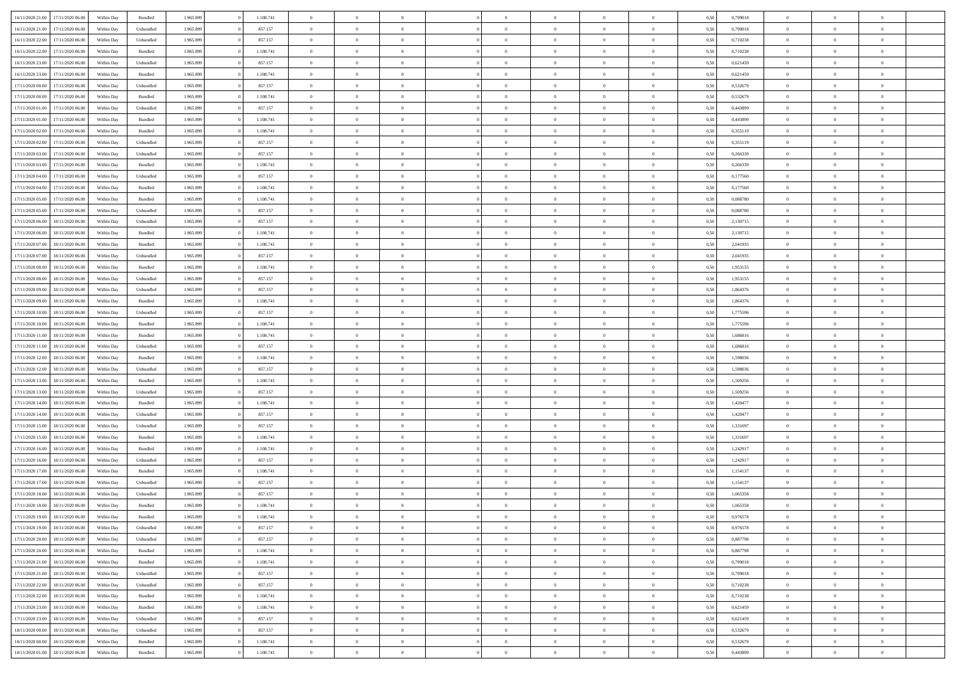| 16/11/2020 21.00 | 17/11/2020 06.00 | Within Dav | Bundled            | 1.965.899 | 1.108.741 | $\overline{0}$ | $\Omega$       |                | $\Omega$       | $\Omega$       | $\theta$       | $\theta$       | 0,50 | 0,799018 | $\theta$       | $\theta$       | $\theta$       |  |
|------------------|------------------|------------|--------------------|-----------|-----------|----------------|----------------|----------------|----------------|----------------|----------------|----------------|------|----------|----------------|----------------|----------------|--|
|                  |                  |            |                    |           |           |                |                |                |                |                |                |                |      |          |                |                |                |  |
| 16/11/2020 21.00 | 17/11/2020 06.00 | Within Day | Unbundled          | 1.965.899 | 857.157   | $\overline{0}$ | $\theta$       | $\overline{0}$ | $\overline{0}$ | $\bf{0}$       | $\overline{0}$ | $\bf{0}$       | 0,50 | 0,799018 | $\theta$       | $\theta$       | $\overline{0}$ |  |
| 16/11/2020 22:00 | 17/11/2020 06.00 | Within Day | Unbundled          | 1.965.899 | 857.157   | $\overline{0}$ | $\bf{0}$       | $\overline{0}$ | $\bf{0}$       | $\bf{0}$       | $\bf{0}$       | $\mathbf{0}$   | 0,50 | 0,710238 | $\bf{0}$       | $\overline{0}$ | $\overline{0}$ |  |
| 16/11/2020 22.00 | 17/11/2020 06:00 | Within Dav | Bundled            | 1.965.899 | 1.108.741 | $\overline{0}$ | $\overline{0}$ | $\overline{0}$ | $\overline{0}$ | $\bf{0}$       | $\overline{0}$ | $\overline{0}$ | 0.50 | 0,710238 | $\theta$       | $\theta$       | $\overline{0}$ |  |
| 16/11/2020 23.00 | 17/11/2020 06.00 | Within Day | Unbundled          | 1.965.899 | 857.157   | $\overline{0}$ | $\theta$       | $\overline{0}$ | $\overline{0}$ | $\bf{0}$       | $\overline{0}$ | $\bf{0}$       | 0,50 | 0,621459 | $\,$ 0 $\,$    | $\overline{0}$ | $\overline{0}$ |  |
|                  |                  |            |                    |           |           |                |                |                |                |                |                |                |      |          |                |                |                |  |
| 16/11/2020 23:00 | 17/11/2020 06.00 | Within Day | Bundled            | 1.965.899 | 1.108.741 | $\overline{0}$ | $\overline{0}$ | $\overline{0}$ | $\bf{0}$       | $\overline{0}$ | $\overline{0}$ | $\mathbf{0}$   | 0,50 | 0,621459 | $\overline{0}$ | $\overline{0}$ | $\bf{0}$       |  |
| 17/11/2020 00:00 | 17/11/2020 06.00 | Within Dav | Unbundled          | 1.965.899 | 857.157   | $\overline{0}$ | $\overline{0}$ | $\overline{0}$ | $\overline{0}$ | $\overline{0}$ | $\overline{0}$ | $\overline{0}$ | 0.50 | 0,532679 | $\theta$       | $\overline{0}$ | $\overline{0}$ |  |
| 17/11/2020 00.00 | 17/11/2020 06.00 | Within Day | Bundled            | 1.965.899 | 1.108.741 | $\overline{0}$ | $\theta$       | $\overline{0}$ | $\overline{0}$ | $\bf{0}$       | $\overline{0}$ | $\bf{0}$       | 0,50 | 0,532679 | $\,$ 0 $\,$    | $\theta$       | $\overline{0}$ |  |
| 17/11/2020 01:00 | 17/11/2020 06.00 | Within Day | Unbundled          | 1.965.899 | 857.157   | $\overline{0}$ | $\overline{0}$ | $\overline{0}$ | $\bf{0}$       | $\bf{0}$       | $\bf{0}$       | $\mathbf{0}$   | 0,50 | 0,443899 | $\,0\,$        | $\overline{0}$ | $\overline{0}$ |  |
| 17/11/2020 01:00 | 17/11/2020 06.00 | Within Dav | Bundled            | 1.965.899 | 1.108.741 | $\overline{0}$ | $\overline{0}$ | $\overline{0}$ | $\overline{0}$ | $\overline{0}$ | $\overline{0}$ | $\overline{0}$ | 0.50 | 0,443899 | $\theta$       | $\overline{0}$ | $\overline{0}$ |  |
| 17/11/2020 02.00 | 17/11/2020 06.00 | Within Day | Bundled            | 1.965.899 | 1.108.741 | $\overline{0}$ | $\theta$       | $\overline{0}$ | $\overline{0}$ | $\bf{0}$       | $\overline{0}$ | $\bf{0}$       | 0,50 | 0,355119 | $\,$ 0 $\,$    | $\overline{0}$ | $\overline{0}$ |  |
|                  |                  |            |                    |           |           |                |                |                |                |                |                |                |      |          |                |                |                |  |
| 17/11/2020 02:00 | 17/11/2020 06.00 | Within Day | Unbundled          | 1.965.899 | 857.157   | $\overline{0}$ | $\overline{0}$ | $\overline{0}$ | $\bf{0}$       | $\bf{0}$       | $\bf{0}$       | $\mathbf{0}$   | 0,50 | 0,355119 | $\overline{0}$ | $\overline{0}$ | $\overline{0}$ |  |
| 17/11/2020 03:00 | 17/11/2020 06:00 | Within Day | Unbundled          | 1.965.899 | 857.157   | $\overline{0}$ | $\overline{0}$ | $\overline{0}$ | $\overline{0}$ | $\overline{0}$ | $\overline{0}$ | $\overline{0}$ | 0.50 | 0,266339 | $\theta$       | $\theta$       | $\overline{0}$ |  |
| 17/11/2020 03.00 | 17/11/2020 06.00 | Within Day | Bundled            | 1.965.899 | 1.108.741 | $\overline{0}$ | $\theta$       | $\overline{0}$ | $\overline{0}$ | $\bf{0}$       | $\overline{0}$ | $\bf{0}$       | 0,50 | 0,266339 | $\,$ 0 $\,$    | $\overline{0}$ | $\overline{0}$ |  |
| 17/11/2020 04:00 | 17/11/2020 06.00 | Within Day | Unbundled          | 1.965.899 | 857.157   | $\overline{0}$ | $\overline{0}$ | $\overline{0}$ | $\bf{0}$       | $\overline{0}$ | $\overline{0}$ | $\mathbf{0}$   | 0,50 | 0,177560 | $\overline{0}$ | $\overline{0}$ | $\bf{0}$       |  |
| 17/11/2020 04.00 | 17/11/2020 06.00 | Within Dav | Bundled            | 1.965.899 | 1.108.741 | $\overline{0}$ | $\overline{0}$ | $\overline{0}$ | $\overline{0}$ | $\overline{0}$ | $\overline{0}$ | $\overline{0}$ | 0.50 | 0,177560 | $\overline{0}$ | $\overline{0}$ | $\overline{0}$ |  |
| 17/11/2020 05:00 | 17/11/2020 06.00 | Within Day | Bundled            | 1.965.899 | 1.108.741 | $\overline{0}$ | $\theta$       | $\overline{0}$ | $\overline{0}$ | $\bf{0}$       | $\overline{0}$ | $\bf{0}$       | 0,50 | 0,088780 | $\,$ 0 $\,$    | $\theta$       | $\overline{0}$ |  |
| 17/11/2020 05:00 | 17/11/2020 06.00 | Within Day | Unbundled          | 1.965.899 | 857.157   | $\overline{0}$ | $\overline{0}$ | $\overline{0}$ | $\bf{0}$       | $\bf{0}$       | $\bf{0}$       | $\mathbf{0}$   | 0,50 | 0,088780 | $\bf{0}$       | $\overline{0}$ | $\overline{0}$ |  |
| 17/11/2020 06.00 | 18/11/2020 06:00 | Within Day | Unbundled          | 1.965.899 | 857.157   | $\overline{0}$ | $\overline{0}$ | $\overline{0}$ | $\overline{0}$ | $\overline{0}$ | $\overline{0}$ | $\overline{0}$ | 0.50 | 2,130715 | $\theta$       | $\overline{0}$ | $\overline{0}$ |  |
|                  |                  |            |                    |           |           |                |                |                |                |                |                |                |      |          |                |                |                |  |
| 17/11/2020 06.00 | 18/11/2020 06.00 | Within Day | Bundled            | 1.965.899 | 1.108.741 | $\overline{0}$ | $\theta$       | $\overline{0}$ | $\overline{0}$ | $\bf{0}$       | $\overline{0}$ | $\bf{0}$       | 0,50 | 2,130715 | $\,$ 0 $\,$    | $\overline{0}$ | $\overline{0}$ |  |
| 17/11/2020 07:00 | 18/11/2020 06.00 | Within Day | Bundled            | 1.965.899 | 1.108.741 | $\overline{0}$ | $\overline{0}$ | $\overline{0}$ | $\bf{0}$       | $\bf{0}$       | $\bf{0}$       | $\mathbf{0}$   | 0,50 | 2,041935 | $\overline{0}$ | $\overline{0}$ | $\overline{0}$ |  |
| 17/11/2020 07:00 | 18/11/2020 06:00 | Within Day | Unbundled          | 1.965.899 | 857.157   | $\overline{0}$ | $\overline{0}$ | $\overline{0}$ | $\overline{0}$ | $\overline{0}$ | $\overline{0}$ | $\overline{0}$ | 0.50 | 2.041935 | $\theta$       | $\overline{0}$ | $\overline{0}$ |  |
| 17/11/2020 08:00 | 18/11/2020 06.00 | Within Day | Bundled            | 1.965.899 | 1.108.741 | $\overline{0}$ | $\theta$       | $\overline{0}$ | $\overline{0}$ | $\bf{0}$       | $\overline{0}$ | $\bf{0}$       | 0,50 | 1,953155 | $\,$ 0 $\,$    | $\overline{0}$ | $\overline{0}$ |  |
| 17/11/2020 08:00 | 18/11/2020 06.00 | Within Day | Unbundled          | 1.965.899 | 857.157   | $\overline{0}$ | $\overline{0}$ | $\overline{0}$ | $\bf{0}$       | $\overline{0}$ | $\overline{0}$ | $\mathbf{0}$   | 0,50 | 1,953155 | $\bf{0}$       | $\overline{0}$ | $\bf{0}$       |  |
| 17/11/2020 09:00 | 18/11/2020 06:00 | Within Day | Unbundled          | 1.965.899 | 857.157   | $\overline{0}$ | $\overline{0}$ | $\overline{0}$ | $\overline{0}$ | $\overline{0}$ | $\overline{0}$ | $\overline{0}$ | 0.50 | 1,864376 | $\overline{0}$ | $\overline{0}$ | $\overline{0}$ |  |
| 17/11/2020 09:00 | 18/11/2020 06.00 | Within Day | Bundled            | 1.965.899 | 1.108.741 | $\overline{0}$ | $\theta$       | $\overline{0}$ | $\overline{0}$ | $\bf{0}$       | $\overline{0}$ | $\bf{0}$       | 0,50 | 1,864376 | $\,$ 0 $\,$    | $\theta$       | $\overline{0}$ |  |
|                  |                  |            |                    |           |           |                |                |                |                |                |                |                |      |          |                |                |                |  |
| 17/11/2020 10:00 | 18/11/2020 06.00 | Within Day | Unbundled          | 1.965.899 | 857.157   | $\overline{0}$ | $\overline{0}$ | $\overline{0}$ | $\bf{0}$       | $\bf{0}$       | $\bf{0}$       | $\mathbf{0}$   | 0,50 | 1,775596 | $\,0\,$        | $\overline{0}$ | $\overline{0}$ |  |
| 17/11/2020 10:00 | 18/11/2020 06:00 | Within Day | Bundled            | 1.965.899 | 1.108.741 | $\overline{0}$ | $\overline{0}$ | $\overline{0}$ | $\overline{0}$ | $\overline{0}$ | $\overline{0}$ | $\overline{0}$ | 0.50 | 1,775596 | $\theta$       | $\overline{0}$ | $\overline{0}$ |  |
| 17/11/2020 11:00 | 18/11/2020 06.00 | Within Day | Bundled            | 1.965.899 | 1.108.741 | $\overline{0}$ | $\theta$       | $\overline{0}$ | $\overline{0}$ | $\,$ 0         | $\overline{0}$ | $\bf{0}$       | 0,50 | 1,686816 | $\,$ 0 $\,$    | $\overline{0}$ | $\overline{0}$ |  |
| 17/11/2020 11:00 | 18/11/2020 06.00 | Within Day | Unbundled          | 1.965.899 | 857.157   | $\overline{0}$ | $\overline{0}$ | $\overline{0}$ | $\bf{0}$       | $\bf{0}$       | $\bf{0}$       | $\bf{0}$       | 0,50 | 1,686816 | $\bf{0}$       | $\overline{0}$ | $\overline{0}$ |  |
| 17/11/2020 12:00 | 18/11/2020 06.00 | Within Day | Bundled            | 1.965.899 | 1.108.741 | $\bf{0}$       | $\Omega$       | $\overline{0}$ | $\Omega$       | $\overline{0}$ | $\overline{0}$ | $\overline{0}$ | 0,50 | 1,598036 | $\,0\,$        | $\theta$       | $\theta$       |  |
| 17/11/2020 12:00 | 18/11/2020 06.00 | Within Day | Unbundled          | 1.965.899 | 857.157   | $\overline{0}$ | $\theta$       | $\overline{0}$ | $\overline{0}$ | $\bf{0}$       | $\overline{0}$ | $\bf{0}$       | 0,50 | 1,598036 | $\,$ 0 $\,$    | $\theta$       | $\overline{0}$ |  |
|                  |                  |            |                    |           |           |                |                |                |                | $\bf{0}$       |                |                |      |          |                | $\overline{0}$ | $\bf{0}$       |  |
| 17/11/2020 13:00 | 18/11/2020 06.00 | Within Day | Bundled            | 1.965.899 | 1.108.741 | $\overline{0}$ | $\overline{0}$ | $\overline{0}$ | $\bf{0}$       |                | $\overline{0}$ | $\mathbf{0}$   | 0,50 | 1,509256 | $\overline{0}$ |                |                |  |
| 17/11/2020 13:00 | 18/11/2020 06.00 | Within Day | Unbundled          | 1.965.899 | 857.157   | $\overline{0}$ | $\Omega$       | $\overline{0}$ | $\Omega$       | $\overline{0}$ | $\overline{0}$ | $\overline{0}$ | 0.50 | 1,509256 | $\,0\,$        | $\theta$       | $\theta$       |  |
| 17/11/2020 14:00 | 18/11/2020 06.00 | Within Day | Bundled            | 1.965.899 | 1.108.741 | $\overline{0}$ | $\theta$       | $\overline{0}$ | $\overline{0}$ | $\,$ 0         | $\overline{0}$ | $\bf{0}$       | 0,50 | 1,420477 | $\,$ 0 $\,$    | $\overline{0}$ | $\overline{0}$ |  |
| 17/11/2020 14:00 | 18/11/2020 06.00 | Within Day | Unbundled          | 1.965.899 | 857.157   | $\overline{0}$ | $\overline{0}$ | $\overline{0}$ | $\bf{0}$       | $\bf{0}$       | $\bf{0}$       | $\mathbf{0}$   | 0,50 | 1,420477 | $\bf{0}$       | $\overline{0}$ | $\overline{0}$ |  |
| 17/11/2020 15:00 | 18/11/2020 06.00 | Within Day | Unbundled          | 1.965.899 | 857.157   | $\overline{0}$ | $\Omega$       | $\overline{0}$ | $\Omega$       | $\overline{0}$ | $\overline{0}$ | $\overline{0}$ | 0.50 | 1,331697 | $\,0\,$        | $\theta$       | $\theta$       |  |
| 17/11/2020 15:00 | 18/11/2020 06.00 | Within Day | Bundled            | 1.965.899 | 1.108.741 | $\overline{0}$ | $\theta$       | $\overline{0}$ | $\overline{0}$ | $\,$ 0         | $\overline{0}$ | $\bf{0}$       | 0,50 | 1,331697 | $\,$ 0 $\,$    | $\overline{0}$ | $\overline{0}$ |  |
| 17/11/2020 16:00 | 18/11/2020 06.00 | Within Day | Bundled            | 1.965.899 | 1.108.741 | $\overline{0}$ | $\overline{0}$ | $\overline{0}$ | $\bf{0}$       | $\bf{0}$       | $\bf{0}$       | $\mathbf{0}$   | 0,50 | 1,242917 | $\overline{0}$ | $\overline{0}$ | $\overline{0}$ |  |
|                  |                  |            |                    |           |           |                | $\Omega$       |                | $\Omega$       |                |                |                |      |          |                |                | $\theta$       |  |
| 17/11/2020 16:00 | 18/11/2020 06.00 | Within Day | Unbundled          | 1.965.899 | 857.157   | $\overline{0}$ |                | $\overline{0}$ |                | $\overline{0}$ | $\overline{0}$ | $\overline{0}$ | 0,50 | 1,242917 | $\,0\,$        | $\theta$       |                |  |
| 17/11/2020 17.00 | 18/11/2020 06.00 | Within Day | Bundled            | 1.965.899 | 1.108.741 | $\overline{0}$ | $\theta$       | $\overline{0}$ | $\overline{0}$ | $\,$ 0         | $\overline{0}$ | $\bf{0}$       | 0,50 | 1,154137 | $\,$ 0 $\,$    | $\overline{0}$ | $\overline{0}$ |  |
| 17/11/2020 17:00 | 18/11/2020 06.00 | Within Day | Unbundled          | 1.965.899 | 857.157   | $\overline{0}$ | $\overline{0}$ | $\overline{0}$ | $\bf{0}$       | $\bf{0}$       | $\overline{0}$ | $\mathbf{0}$   | 0,50 | 1,154137 | $\overline{0}$ | $\overline{0}$ | $\bf{0}$       |  |
| 17/11/2020 18:00 | 18/11/2020 06:00 | Within Day | Unbundled          | 1.965.899 | 857.157   | $\overline{0}$ | $\Omega$       | $\overline{0}$ | $\Omega$       | $\Omega$       | $\overline{0}$ | $\overline{0}$ | 0.50 | 1,065358 | $\theta$       | $\theta$       | $\theta$       |  |
| 17/11/2020 18:00 | 18/11/2020 06:00 | Within Day | Bundled            | 1.965.899 | 1.108.741 | $\overline{0}$ | $\overline{0}$ | $\overline{0}$ | $\bf{0}$       | $\,$ 0         | $\bf{0}$       | $\bf{0}$       | 0,50 | 1,065358 | $\,0\,$        | $\overline{0}$ | $\overline{0}$ |  |
| 17/11/2020 19:00 | 18/11/2020 06.00 | Within Day | $\mathbf B$ undled | 1.965.899 | 1.108.741 | $\bf{0}$       | $\bf{0}$       |                |                |                |                |                | 0,50 | 0,976578 | $\bf{0}$       | $\overline{0}$ |                |  |
| 17/11/2020 19:00 | 18/11/2020 06:00 | Within Day | Unbundled          | 1.965.899 | 857.157   | $\overline{0}$ | $\overline{0}$ | $\overline{0}$ | $\Omega$       | $\overline{0}$ | $\overline{0}$ | $\overline{0}$ | 0,50 | 0,976578 | $\theta$       | $\theta$       | $\theta$       |  |
| 17/11/2020 20.00 | 18/11/2020 06.00 | Within Day | Unbundled          | 1.965.899 | 857.157   | $\overline{0}$ | $\bf{0}$       | $\overline{0}$ | $\bf{0}$       | $\,$ 0 $\,$    | $\overline{0}$ | $\,$ 0 $\,$    | 0,50 | 0,887798 | $\,$ 0 $\,$    | $\,$ 0 $\,$    | $\,$ 0         |  |
|                  |                  |            |                    |           |           |                |                |                |                |                |                |                |      |          |                |                |                |  |
| 17/11/2020 20:00 | 18/11/2020 06:00 | Within Day | Bundled            | 1.965.899 | 1.108.741 | $\overline{0}$ | $\overline{0}$ | $\overline{0}$ | $\overline{0}$ | $\overline{0}$ | $\overline{0}$ | $\mathbf{0}$   | 0,50 | 0,887798 | $\overline{0}$ | $\bf{0}$       | $\bf{0}$       |  |
| 17/11/2020 21.00 | 18/11/2020 06:00 | Within Day | $\mathbf B$ undled | 1.965.899 | 1.108.741 | $\overline{0}$ | $\overline{0}$ | $\overline{0}$ | $\Omega$       | $\overline{0}$ | $\overline{0}$ | $\overline{0}$ | 0,50 | 0,799018 | $\overline{0}$ | $\,$ 0 $\,$    | $\overline{0}$ |  |
| 17/11/2020 21.00 | 18/11/2020 06.00 | Within Day | Unbundled          | 1.965.899 | 857.157   | $\overline{0}$ | $\,$ 0         | $\overline{0}$ | $\overline{0}$ | $\,$ 0 $\,$    | $\overline{0}$ | $\mathbf{0}$   | 0,50 | 0,799018 | $\,$ 0 $\,$    | $\overline{0}$ | $\overline{0}$ |  |
| 17/11/2020 22.00 | 18/11/2020 06:00 | Within Day | Unbundled          | 1.965.899 | 857.157   | $\overline{0}$ | $\overline{0}$ | $\overline{0}$ | $\overline{0}$ | $\overline{0}$ | $\overline{0}$ | $\mathbf{0}$   | 0,50 | 0,710238 | $\overline{0}$ | $\overline{0}$ | $\bf{0}$       |  |
| 17/11/2020 22.00 | 18/11/2020 06:00 | Within Day | Bundled            | 1.965.899 | 1.108.741 | $\overline{0}$ | $\overline{0}$ | $\overline{0}$ | $\overline{0}$ | $\overline{0}$ | $\overline{0}$ | $\bf{0}$       | 0.50 | 0,710238 | $\overline{0}$ | $\theta$       | $\overline{0}$ |  |
| 17/11/2020 23.00 | 18/11/2020 06.00 | Within Day | Bundled            | 1.965.899 | 1.108.741 | $\overline{0}$ | $\,$ 0         | $\overline{0}$ | $\bf{0}$       | $\bf{0}$       | $\bf{0}$       | $\bf{0}$       | 0,50 | 0,621459 | $\,$ 0 $\,$    | $\overline{0}$ | $\overline{0}$ |  |
| 17/11/2020 23.00 | 18/11/2020 06:00 | Within Day | Unbundled          | 1.965.899 | 857.157   | $\overline{0}$ | $\bf{0}$       | $\overline{0}$ | $\overline{0}$ | $\overline{0}$ | $\overline{0}$ | $\mathbf{0}$   | 0,50 | 0,621459 | $\overline{0}$ | $\overline{0}$ | $\bf{0}$       |  |
| 18/11/2020 00:00 | 18/11/2020 06:00 | Within Day | Unbundled          | 1.965.899 | 857.157   | $\overline{0}$ | $\overline{0}$ | $\overline{0}$ | $\Omega$       | $\overline{0}$ | $\overline{0}$ | $\overline{0}$ | 0.50 | 0,532679 | $\overline{0}$ | $\overline{0}$ | $\overline{0}$ |  |
|                  |                  |            |                    |           |           |                |                |                |                |                |                |                |      |          |                |                |                |  |
| 18/11/2020 00:00 | 18/11/2020 06.00 | Within Day | Bundled            | 1.965.899 | 1.108.741 | $\overline{0}$ | $\bf{0}$       | $\overline{0}$ | $\bf{0}$       | $\bf{0}$       | $\bf{0}$       | $\mathbf{0}$   | 0,50 | 0,532679 | $\,$ 0 $\,$    | $\,$ 0 $\,$    | $\bf{0}$       |  |
| 18/11/2020 01:00 | 18/11/2020 06.00 | Within Day | Bundled            | 1.965.899 | 1.108.741 | $\overline{0}$ | $\overline{0}$ | $\overline{0}$ | $\overline{0}$ | $\overline{0}$ | $\bf{0}$       | $\mathbf{0}$   | 0,50 | 0,443899 | $\overline{0}$ | $\bf{0}$       | $\bf{0}$       |  |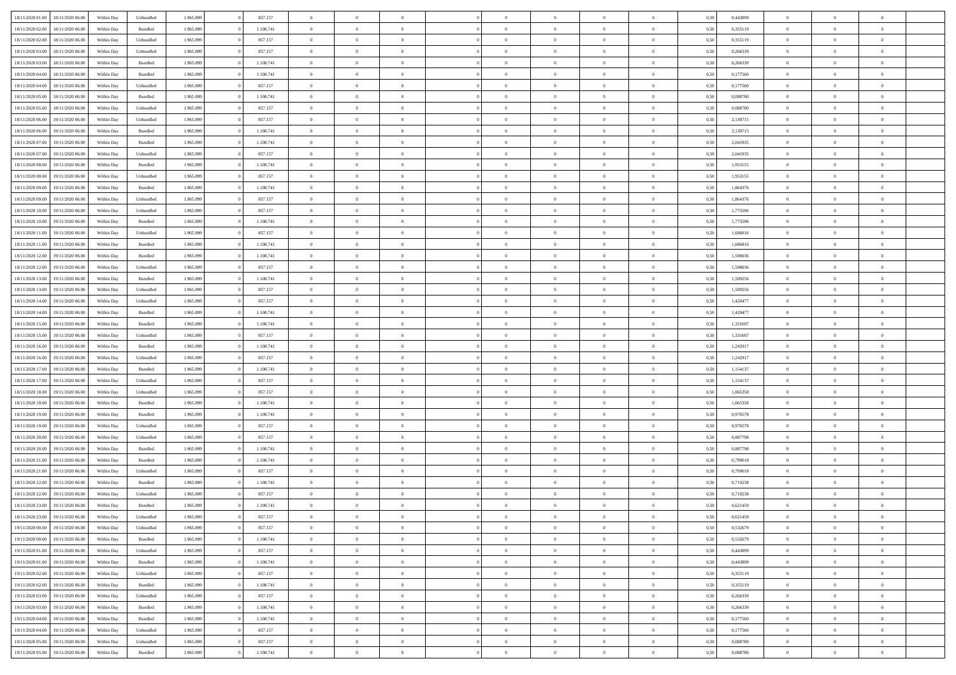| 18/11/2020 01:00 18/11/2020 06:00    | Within Day | Unbundled          | 1.965.899 | 857.157   | $\overline{0}$ | $\overline{0}$ | $\Omega$       | $\theta$       | $\Omega$       |                | $\overline{0}$ | 0,50 | 0,443899 | $\mathbf{0}$   | $\theta$       | $\Omega$       |  |
|--------------------------------------|------------|--------------------|-----------|-----------|----------------|----------------|----------------|----------------|----------------|----------------|----------------|------|----------|----------------|----------------|----------------|--|
| 18/11/2020 02:00<br>18/11/2020 06:00 | Within Day | $\mathbf B$ undled | 1.965.899 | 1.108.741 | $\bf{0}$       | $\overline{0}$ | $\overline{0}$ | $\theta$       | $\overline{0}$ | $\overline{0}$ | $\,$ 0         | 0,50 | 0,355119 | $\mathbf{0}$   | $\theta$       | $\bf{0}$       |  |
| 18/11/2020 02:00<br>18/11/2020 06.00 | Within Day | Unbundled          | 1.965.899 | 857.157   | $\overline{0}$ | $\overline{0}$ | $\overline{0}$ | $\bf{0}$       | $\overline{0}$ | $\overline{0}$ | $\mathbf{0}$   | 0,50 | 0,355119 | $\overline{0}$ | $\overline{0}$ | $\overline{0}$ |  |
| 18/11/2020 03:00<br>18/11/2020 06:00 | Within Day | Unbundled          | 1.965.899 | 857.157   | $\overline{0}$ | $\overline{0}$ | $\overline{0}$ | $\overline{0}$ | $\overline{0}$ | $\overline{0}$ | $\overline{0}$ | 0.50 | 0.266339 | $\overline{0}$ | $\overline{0}$ | $\bf{0}$       |  |
| 18/11/2020 03:00<br>18/11/2020 06:00 | Within Day | Bundled            | 1.965.899 | 1.108.741 | $\bf{0}$       | $\overline{0}$ | $\overline{0}$ | $\theta$       | $\overline{0}$ | $\overline{0}$ | $\,$ 0         | 0,50 | 0,266339 | $\,$ 0 $\,$    | $\theta$       | $\bf{0}$       |  |
| 18/11/2020 04:00<br>18/11/2020 06.00 | Within Day | Bundled            | 1.965.899 | 1.108.741 | $\overline{0}$ | $\overline{0}$ | $\overline{0}$ | $\bf{0}$       | $\overline{0}$ | $\overline{0}$ | $\overline{0}$ | 0,50 | 0,177560 | $\bf{0}$       | $\overline{0}$ | $\overline{0}$ |  |
| 18/11/2020 04:00<br>18/11/2020 06:00 | Within Day | Unbundled          | 1.965.899 | 857.157   | $\overline{0}$ | $\overline{0}$ | $\overline{0}$ | $\overline{0}$ | $\overline{0}$ | $\overline{0}$ | $\overline{0}$ | 0.50 | 0,177560 | $\overline{0}$ | $\theta$       | $\overline{0}$ |  |
|                                      |            |                    |           |           |                |                |                |                |                |                |                |      |          |                |                |                |  |
| 18/11/2020 05:00<br>18/11/2020 06:00 | Within Day | Bundled            | 1.965.899 | 1.108.741 | $\bf{0}$       | $\overline{0}$ | $\bf{0}$       | $\overline{0}$ | $\overline{0}$ | $\overline{0}$ | $\,$ 0         | 0,50 | 0,088780 | $\theta$       | $\theta$       | $\bf{0}$       |  |
| 18/11/2020 05:00<br>18/11/2020 06.00 | Within Day | Unbundled          | 1.965.899 | 857.157   | $\overline{0}$ | $\overline{0}$ | $\overline{0}$ | $\bf{0}$       | $\bf{0}$       | $\overline{0}$ | $\mathbf{0}$   | 0,50 | 0,088780 | $\bf{0}$       | $\bf{0}$       | $\bf{0}$       |  |
| 18/11/2020 06:00<br>19/11/2020 06.00 | Within Day | Unbundled          | 1.965.899 | 857.157   | $\overline{0}$ | $\overline{0}$ | $\overline{0}$ | $\overline{0}$ | $\overline{0}$ | $\overline{0}$ | $\mathbf{0}$   | 0.50 | 2,130715 | $\overline{0}$ | $\theta$       | $\overline{0}$ |  |
| 18/11/2020 06:00<br>19/11/2020 06.00 | Within Day | Bundled            | 1.965.899 | 1.108.741 | $\bf{0}$       | $\overline{0}$ | $\overline{0}$ | $\overline{0}$ | $\overline{0}$ | $\overline{0}$ | $\,$ 0         | 0,50 | 2,130715 | $\,$ 0 $\,$    | $\theta$       | $\bf{0}$       |  |
| 18/11/2020 07:00<br>19/11/2020 06.00 | Within Day | Bundled            | 1.965.899 | 1.108.741 | $\overline{0}$ | $\overline{0}$ | $\overline{0}$ | $\bf{0}$       | $\overline{0}$ | $\overline{0}$ | $\overline{0}$ | 0,50 | 2,041935 | $\overline{0}$ | $\overline{0}$ | $\overline{0}$ |  |
| 18/11/2020 07:00<br>19/11/2020 06:00 | Within Day | Unbundled          | 1.965.899 | 857.157   | $\overline{0}$ | $\overline{0}$ | $\overline{0}$ | $\overline{0}$ | $\overline{0}$ | $\overline{0}$ | $\mathbf{0}$   | 0.50 | 2.041935 | $\overline{0}$ | $\overline{0}$ | $\bf{0}$       |  |
| 18/11/2020 08:00<br>19/11/2020 06.00 | Within Day | Bundled            | 1.965.899 | 1.108.741 | $\bf{0}$       | $\overline{0}$ | $\overline{0}$ | $\overline{0}$ | $\overline{0}$ | $\overline{0}$ | $\,$ 0         | 0,50 | 1,953155 | $\mathbf{0}$   | $\theta$       | $\bf{0}$       |  |
| 18/11/2020 08:00<br>19/11/2020 06.00 | Within Day | Unbundled          | 1.965.899 | 857.157   | $\overline{0}$ | $\overline{0}$ | $\overline{0}$ | $\bf{0}$       | $\overline{0}$ | $\overline{0}$ | $\overline{0}$ | 0,50 | 1,953155 | $\overline{0}$ | $\overline{0}$ | $\overline{0}$ |  |
| 18/11/2020 09:00<br>19/11/2020 06.00 | Within Day | Bundled            | 1.965.899 | 1.108.741 | $\overline{0}$ | $\overline{0}$ | $\overline{0}$ | $\overline{0}$ | $\overline{0}$ | $\overline{0}$ | $\overline{0}$ | 0.50 | 1,864376 | $\overline{0}$ | $\theta$       | $\overline{0}$ |  |
| 18/11/2020 09:00<br>19/11/2020 06:00 | Within Day | Unbundled          | 1.965.899 | 857.157   | $\bf{0}$       | $\overline{0}$ | $\bf{0}$       | $\overline{0}$ | $\overline{0}$ | $\overline{0}$ | $\bf{0}$       | 0,50 | 1,864376 | $\overline{0}$ | $\theta$       | $\bf{0}$       |  |
|                                      |            |                    |           |           |                |                |                |                |                |                |                |      |          |                |                |                |  |
| 18/11/2020 10:00<br>19/11/2020 06.00 | Within Day | Unbundled          | 1.965.899 | 857.157   | $\overline{0}$ | $\overline{0}$ | $\overline{0}$ | $\bf{0}$       | $\bf{0}$       | $\overline{0}$ | $\mathbf{0}$   | 0,50 | 1,775596 | $\bf{0}$       | $\bf{0}$       | $\bf{0}$       |  |
| 18/11/2020 10:00<br>19/11/2020 06.00 | Within Day | Bundled            | 1.965.899 | 1.108.741 | $\overline{0}$ | $\overline{0}$ | $\overline{0}$ | $\overline{0}$ | $\overline{0}$ | $\overline{0}$ | $\mathbf{0}$   | 0.50 | 1,775596 | $\overline{0}$ | $\theta$       | $\overline{0}$ |  |
| 18/11/2020 11:00<br>19/11/2020 06.00 | Within Day | Unbundled          | 1.965.899 | 857.157   | $\bf{0}$       | $\overline{0}$ | $\bf{0}$       | $\overline{0}$ | $\overline{0}$ | $\overline{0}$ | $\,$ 0         | 0,50 | 1,686816 | $\,$ 0 $\,$    | $\theta$       | $\bf{0}$       |  |
| 18/11/2020 11:00<br>19/11/2020 06.00 | Within Day | Bundled            | 1.965.899 | 1.108.741 | $\overline{0}$ | $\overline{0}$ | $\overline{0}$ | $\bf{0}$       | $\overline{0}$ | $\overline{0}$ | $\overline{0}$ | 0,50 | 1,686816 | $\overline{0}$ | $\bf{0}$       | $\bf{0}$       |  |
| 18/11/2020 12:00<br>19/11/2020 06.00 | Within Day | Bundled            | 1.965.899 | 1.108.741 | $\overline{0}$ | $\overline{0}$ | $\overline{0}$ | $\overline{0}$ | $\overline{0}$ | $\overline{0}$ | $\mathbf{0}$   | 0.50 | 1.598036 | $\overline{0}$ | $\overline{0}$ | $\overline{0}$ |  |
| 18/11/2020 12:00<br>19/11/2020 06.00 | Within Day | Unbundled          | 1.965.899 | 857.157   | $\bf{0}$       | $\overline{0}$ | $\overline{0}$ | $\overline{0}$ | $\overline{0}$ | $\overline{0}$ | $\,$ 0         | 0,50 | 1,598036 | $\,$ 0 $\,$    | $\theta$       | $\bf{0}$       |  |
| 18/11/2020 13:00<br>19/11/2020 06.00 | Within Day | Bundled            | 1.965.899 | 1.108.741 | $\overline{0}$ | $\overline{0}$ | $\overline{0}$ | $\bf{0}$       | $\overline{0}$ | $\overline{0}$ | $\overline{0}$ | 0,50 | 1,509256 | $\bf{0}$       | $\overline{0}$ | $\overline{0}$ |  |
| 18/11/2020 13:00<br>19/11/2020 06.00 | Within Day | Unbundled          | 1.965.899 | 857.157   | $\overline{0}$ | $\overline{0}$ | $\overline{0}$ | $\overline{0}$ | $\overline{0}$ | $\overline{0}$ | $\overline{0}$ | 0.50 | 1,509256 | $\overline{0}$ | $\overline{0}$ | $\overline{0}$ |  |
| 18/11/2020 14:00<br>19/11/2020 06.00 | Within Day | Unbundled          | 1.965.899 | 857.157   | $\bf{0}$       | $\overline{0}$ | $\bf{0}$       | $\overline{0}$ | $\overline{0}$ | $\overline{0}$ | $\bf{0}$       | 0,50 | 1,420477 | $\theta$       | $\theta$       | $\bf{0}$       |  |
| 18/11/2020 14:00<br>19/11/2020 06.00 | Within Day | Bundled            | 1.965.899 | 1.108.741 | $\overline{0}$ | $\overline{0}$ | $\overline{0}$ | $\bf{0}$       | $\bf{0}$       | $\overline{0}$ | $\mathbf{0}$   | 0,50 | 1,420477 | $\bf{0}$       | $\bf{0}$       | $\bf{0}$       |  |
| 18/11/2020 15:00<br>19/11/2020 06.00 | Within Day | Bundled            | 1.965.899 | 1.108.741 | $\overline{0}$ | $\overline{0}$ | $\overline{0}$ | $\overline{0}$ | $\overline{0}$ | $\overline{0}$ | $\mathbf{0}$   | 0.50 | 1,331697 | $\overline{0}$ | $\overline{0}$ | $\overline{0}$ |  |
| 18/11/2020 15:00<br>19/11/2020 06:00 | Within Day | Unbundled          | 1.965.899 | 857.157   | $\bf{0}$       | $\overline{0}$ | $\bf{0}$       | $\overline{0}$ | $\overline{0}$ | $\overline{0}$ | $\,$ 0         | 0,50 | 1,331697 | $\bf{0}$       | $\theta$       | $\bf{0}$       |  |
|                                      |            |                    |           |           |                |                |                |                |                |                |                |      |          |                |                |                |  |
| 18/11/2020 16:00<br>19/11/2020 06.00 | Within Day | Bundled            | 1.965.899 | 1.108.741 | $\overline{0}$ | $\overline{0}$ | $\overline{0}$ | $\bf{0}$       | $\overline{0}$ | $\overline{0}$ | $\overline{0}$ | 0,50 | 1,242917 | $\overline{0}$ | $\overline{0}$ | $\bf{0}$       |  |
| 18/11/2020 16:00<br>19/11/2020 06.00 | Within Day | Unbundled          | 1.965.899 | 857.157   | $\overline{0}$ | $\overline{0}$ | $\overline{0}$ | $\overline{0}$ | $\bf{0}$       | $\Omega$       | $\overline{0}$ | 0,50 | 1,242917 | $\bf{0}$       | $\theta$       | $\Omega$       |  |
| 18/11/2020 17:00<br>19/11/2020 06.00 | Within Day | Bundled            | 1.965.899 | 1.108.741 | $\bf{0}$       | $\overline{0}$ | $\bf{0}$       | $\overline{0}$ | $\overline{0}$ | $\overline{0}$ | $\,$ 0         | 0,50 | 1,154137 | $\,$ 0 $\,$    | $\theta$       | $\bf{0}$       |  |
| 18/11/2020 17:00<br>19/11/2020 06.00 | Within Day | Unbundled          | 1.965.899 | 857.157   | $\overline{0}$ | $\overline{0}$ | $\overline{0}$ | $\bf{0}$       | $\overline{0}$ | $\overline{0}$ | $\overline{0}$ | 0,50 | 1,154137 | $\overline{0}$ | $\overline{0}$ | $\overline{0}$ |  |
| 18/11/2020 18:00<br>19/11/2020 06.00 | Within Day | Unbundled          | 1.965.899 | 857.157   | $\overline{0}$ | $\overline{0}$ | $\overline{0}$ | $\overline{0}$ | $\overline{0}$ | $\overline{0}$ | $\theta$       | 0.50 | 1,065358 | $\overline{0}$ | $\overline{0}$ | $\overline{0}$ |  |
| 18/11/2020 18:00<br>19/11/2020 06:00 | Within Day | Bundled            | 1.965.899 | 1.108.741 | $\bf{0}$       | $\overline{0}$ | $\bf{0}$       | $\overline{0}$ | $\overline{0}$ | $\overline{0}$ | $\bf{0}$       | 0,50 | 1,065358 | $\bf{0}$       | $\theta$       | $\bf{0}$       |  |
| 18/11/2020 19:00<br>19/11/2020 06.00 | Within Day | Bundled            | 1.965.899 | 1.108.741 | $\overline{0}$ | $\overline{0}$ | $\overline{0}$ | $\bf{0}$       | $\bf{0}$       | $\overline{0}$ | $\mathbf{0}$   | 0,50 | 0,976578 | $\bf{0}$       | $\bf{0}$       | $\bf{0}$       |  |
| 18/11/2020 19:00<br>19/11/2020 06.00 | Within Day | Unbundled          | 1.965.899 | 857.157   | $\overline{0}$ | $\overline{0}$ | $\overline{0}$ | $\overline{0}$ | $\overline{0}$ | $\Omega$       | $\theta$       | 0.50 | 0,976578 | $\overline{0}$ | $\overline{0}$ | $\theta$       |  |
| 18/11/2020 20:00<br>19/11/2020 06.00 | Within Day | Unbundled          | 1.965.899 | 857.157   | $\bf{0}$       | $\overline{0}$ | $\bf{0}$       | $\overline{0}$ | $\bf{0}$       | $\overline{0}$ | $\,$ 0         | 0,50 | 0,887798 | $\bf{0}$       | $\theta$       | $\bf{0}$       |  |
| 18/11/2020 20:00<br>19/11/2020 06.00 | Within Day | Bundled            | 1.965.899 | 1.108.741 | $\overline{0}$ | $\overline{0}$ | $\overline{0}$ | $\bf{0}$       | $\overline{0}$ | $\overline{0}$ | $\overline{0}$ | 0,50 | 0,887798 | $\overline{0}$ | $\overline{0}$ | $\bf{0}$       |  |
| 18/11/2020 21:00<br>19/11/2020 06.00 | Within Day | Bundled            | 1.965.899 | 1.108.741 | $\overline{0}$ | $\overline{0}$ | $\overline{0}$ | $\overline{0}$ | $\bf{0}$       | $\overline{0}$ | $\overline{0}$ | 0,50 | 0,799018 | $\overline{0}$ | $\overline{0}$ | $\overline{0}$ |  |
| 18/11/2020 21:00<br>19/11/2020 06:00 | Within Day | Unbundled          | 1.965.899 | 857.157   | $\bf{0}$       | $\overline{0}$ | $\bf{0}$       | $\overline{0}$ | $\bf{0}$       | $\overline{0}$ | $\,$ 0 $\,$    | 0,50 | 0,799018 | $\,$ 0 $\,$    | $\theta$       | $\bf{0}$       |  |
|                                      |            |                    |           |           |                |                |                |                |                |                |                |      |          |                |                |                |  |
| 18/11/2020 22.00<br>19/11/2020 06.00 | Within Day | Bundled            | 1.965.899 | 1.108.741 | $\overline{0}$ | $\overline{0}$ | $\overline{0}$ | $\bf{0}$       | $\overline{0}$ | $\overline{0}$ | $\overline{0}$ | 0,50 | 0,710238 | $\bf{0}$       | $\overline{0}$ | $\overline{0}$ |  |
| 18/11/2020 22:00<br>19/11/2020 06.00 | Within Day | Unbundled          | 1.965.899 | 857.157   | $\overline{0}$ | $\overline{0}$ | $\overline{0}$ | $\overline{0}$ | $\overline{0}$ | $\Omega$       | $\overline{0}$ | 0.50 | 0.710238 | $\overline{0}$ | $\theta$       | $\bf{0}$       |  |
| 18/11/2020 23.00<br>19/11/2020 06:00 | Within Day | Bundled            | 1.965.899 | 1.108.741 | $\overline{0}$ | $\overline{0}$ | $\bf{0}$       | $\bf{0}$       | $\bf{0}$       | $\overline{0}$ | $\,$ 0 $\,$    | 0,50 | 0,621459 | $\bf{0}$       | $\bf{0}$       | $\,$ 0         |  |
| 18/11/2020 23.00 19/11/2020 06.00    | Within Day | Unbundled          | 1.965.899 | 857.157   | $\bf{0}$       | $\bf{0}$       |                | $\bf{0}$       |                |                | $\bf{0}$       | 0,50 | 0,621459 | $\bf{0}$       | $\bf{0}$       |                |  |
| 19/11/2020 00:00 19/11/2020 06:00    | Within Day | Unbundled          | 1.965.899 | 857.157   | $\overline{0}$ | $\overline{0}$ | $\theta$       | $\overline{0}$ | $\overline{0}$ | $\theta$       | $\mathbf{0}$   | 0,50 | 0,532679 | $\overline{0}$ | $\overline{0}$ | $\theta$       |  |
| 19/11/2020 00:00<br>19/11/2020 06:00 | Within Day | Bundled            | 1.965.899 | 1.108.741 | $\overline{0}$ | $\overline{0}$ | $\overline{0}$ | $\bf{0}$       | $\overline{0}$ | $\overline{0}$ | $\mathbf{0}$   | 0,50 | 0,532679 | $\,$ 0 $\,$    | $\overline{0}$ | $\,$ 0 $\,$    |  |
| 19/11/2020 01:00<br>19/11/2020 06.00 | Within Day | Unbundled          | 1.965.899 | 857.157   | $\overline{0}$ | $\overline{0}$ | $\overline{0}$ | $\bf{0}$       | $\overline{0}$ | $\overline{0}$ | $\overline{0}$ | 0,50 | 0,443899 | $\overline{0}$ | $\overline{0}$ | $\overline{0}$ |  |
| 19/11/2020 01:00<br>19/11/2020 06:00 | Within Day | Bundled            | 1.965.899 | 1.108.741 | $\overline{0}$ | $\overline{0}$ | $\overline{0}$ | $\overline{0}$ | $\bf{0}$       | $\overline{0}$ | $\overline{0}$ | 0,50 | 0.443899 | $\overline{0}$ | $\overline{0}$ | $\overline{0}$ |  |
| 19/11/2020 02.00<br>19/11/2020 06:00 | Within Day | Unbundled          | 1.965.899 | 857.157   | $\overline{0}$ | $\overline{0}$ | $\overline{0}$ | $\overline{0}$ | $\overline{0}$ | $\overline{0}$ | $\mathbf{0}$   | 0,50 | 0,355119 | $\,$ 0 $\,$    | $\theta$       | $\overline{0}$ |  |
| 19/11/2020 02:00<br>19/11/2020 06:00 | Within Day | Bundled            | 1.965.899 | 1.108.741 | $\overline{0}$ | $\overline{0}$ | $\overline{0}$ | $\bf{0}$       | $\overline{0}$ | $\overline{0}$ | $\overline{0}$ | 0,50 | 0,355119 | $\overline{0}$ | $\overline{0}$ | $\overline{0}$ |  |
| 19/11/2020 03:00<br>19/11/2020 06.00 | Within Day | Unbundled          | 1.965.899 | 857.157   | $\overline{0}$ | $\overline{0}$ | $\overline{0}$ | $\overline{0}$ | $\overline{0}$ | $\overline{0}$ | $\overline{0}$ | 0.50 | 0,266339 | $\overline{0}$ | $\overline{0}$ | $\overline{0}$ |  |
| 19/11/2020 03:00<br>19/11/2020 06:00 | Within Day | Bundled            | 1.965.899 | 1.108.741 | $\overline{0}$ | $\overline{0}$ | $\overline{0}$ | $\bf{0}$       | $\bf{0}$       | $\overline{0}$ | $\,$ 0 $\,$    | 0,50 | 0,266339 | $\,$ 0 $\,$    | $\theta$       | $\,$ 0         |  |
|                                      |            |                    |           |           |                |                |                |                |                |                |                |      |          |                | $\bf{0}$       |                |  |
| 19/11/2020 04:00<br>19/11/2020 06.00 | Within Day | Bundled            | 1.965.899 | 1.108.741 | $\overline{0}$ | $\overline{0}$ | $\overline{0}$ | $\bf{0}$       | $\overline{0}$ | $\overline{0}$ | $\overline{0}$ | 0,50 | 0,177560 | $\bf{0}$       |                | $\overline{0}$ |  |
| 19/11/2020 04:00<br>19/11/2020 06:00 | Within Day | Unbundled          | 1.965.899 | 857.157   | $\overline{0}$ | $\overline{0}$ | $\overline{0}$ | $\overline{0}$ | $\overline{0}$ | $\overline{0}$ | $\overline{0}$ | 0.50 | 0,177560 | $\overline{0}$ | $\overline{0}$ | $\overline{0}$ |  |
| 19/11/2020 05:00<br>19/11/2020 06.00 | Within Day | Unbundled          | 1.965.899 | 857.157   | $\overline{0}$ | $\overline{0}$ | $\overline{0}$ | $\bf{0}$       | $\bf{0}$       | $\bf{0}$       | $\,$ 0 $\,$    | 0,50 | 0,088780 | $\,0\,$        | $\,0\,$        | $\,$ 0         |  |
| 19/11/2020 05:00 19/11/2020 06:00    | Within Day | Bundled            | 1.965.899 | 1.108.741 | $\overline{0}$ | $\overline{0}$ | $\overline{0}$ | $\bf{0}$       | $\overline{0}$ | $\overline{0}$ | $\overline{0}$ | 0,50 | 0,088780 | $\bf{0}$       | $\bf{0}$       | $\overline{0}$ |  |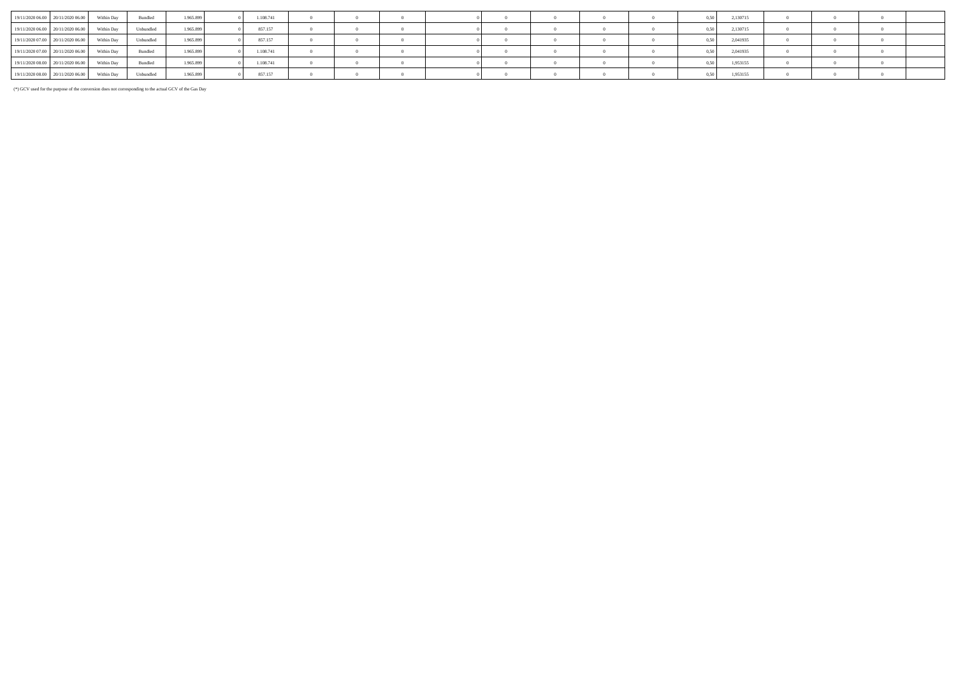| 19/11/2020 06:00 20/11/2020 06:00 | Within Day | Bundled   | 1.965.899 | 1.108.741 |  |  |  |  |                | 2,130715 |  |  |
|-----------------------------------|------------|-----------|-----------|-----------|--|--|--|--|----------------|----------|--|--|
| 19/11/2020 06:00 20/11/2020 06:00 | Within Day | Unbundled | 1.965.899 | 857.157   |  |  |  |  |                | 2,130715 |  |  |
| 19/11/2020 07:00 20/11/2020 06:00 | Within Dav | Unbundled | 1.965.899 | 857.157   |  |  |  |  | $0.50$ $\cdot$ | 2.041935 |  |  |
| 19/11/2020 07:00 20/11/2020 06:00 | Within Dav | Bundled   | 1.965.899 | 1.108.741 |  |  |  |  | 0.50           | 2,041935 |  |  |
| 19/11/2020 08:00 20/11/2020 06:00 | Within Dav | Bundled   | 1.965.899 | 1.108.741 |  |  |  |  | 0.50           | 1,953155 |  |  |
| 19/11/2020 08:00 20/11/2020 06:00 | Within Day | Unbundled | 1.965.899 | 857.157   |  |  |  |  |                | 1,953155 |  |  |

(\*) GCV used for the purpose of the conversion does not corresponding to the actual GCV of the Gas Day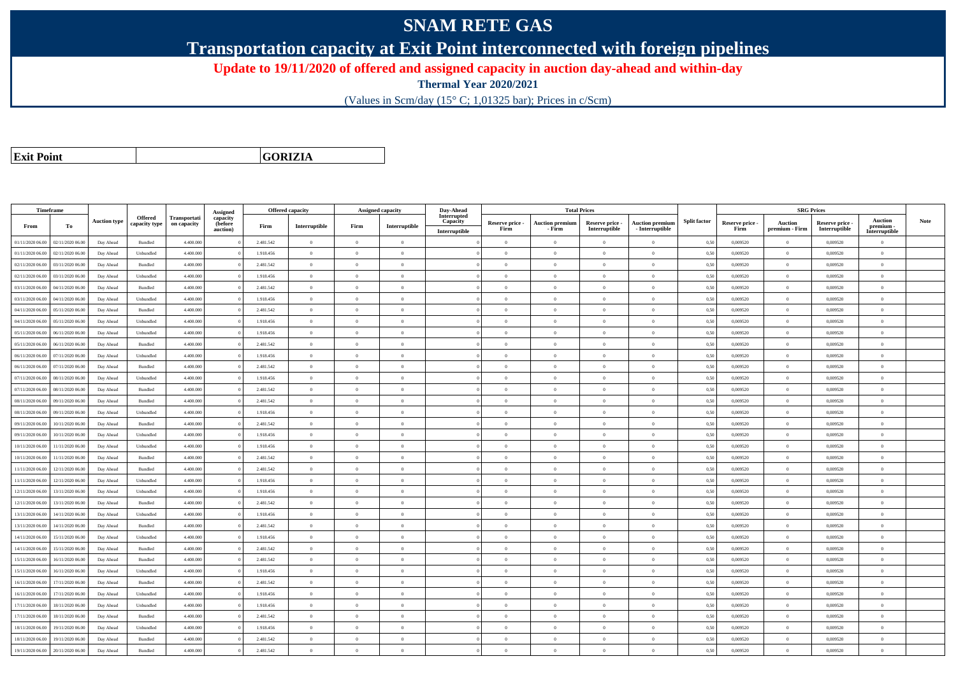## **SNAM RETE GAS**

**Transportation capacity at Exit Point interconnected with foreign pipelines**

**Update to 19/11/2020 of offered and assigned capacity in auction day-ahead and within-day**

**Thermal Year 2020/2021**

(Values in Scm/day (15° C; 1,01325 bar); Prices in c/Scm)

**Exit Point**

**GORIZIA**

|                  | Timeframe        |                     |                          |                             | <b>Assigned</b>                 |           | <b>Offered capacity</b> |                | Assigned capacity | Day-Ahead                                |                         | <b>Total Prices</b>              |                                  |                                           |                     |                         | <b>SRG Prices</b>                |                                  |                                              |             |
|------------------|------------------|---------------------|--------------------------|-----------------------------|---------------------------------|-----------|-------------------------|----------------|-------------------|------------------------------------------|-------------------------|----------------------------------|----------------------------------|-------------------------------------------|---------------------|-------------------------|----------------------------------|----------------------------------|----------------------------------------------|-------------|
| From             | To               | <b>Auction type</b> | Offered<br>capacity type | Transportati<br>on capacity | capacity<br>(before<br>auction) | Firm      | Interruptible           | Firm           | Interruptible     | Interrupted<br>Capacity<br>Interruptible | Reserve price -<br>Firm | <b>Auction premium</b><br>- Firm | Reserve price -<br>Interruptible | <b>Auction premium</b><br>- Interruptible | <b>Split factor</b> | Reserve price -<br>Firm | <b>Auction</b><br>premium - Firm | Reserve price -<br>Interruptible | <b>Auction</b><br>premium -<br>Interruptible | <b>Note</b> |
| 01/11/2020 06.00 | 02/11/2020 06.00 | Day Ahead           | Bundled                  | 4.400.000                   |                                 | 2.481.542 | $\overline{0}$          | $\overline{0}$ | $\overline{0}$    |                                          | $\overline{0}$          | $\bf{0}$                         | $\overline{0}$                   | $\theta$                                  | 0,50                | 0,009520                | $\overline{0}$                   | 0,009520                         | $\overline{0}$                               |             |
| 01/11/2020 06.00 | 02/11/2020 06.00 | Day Ahead           | Unbundled                | 4.400,000                   |                                 | 1.918.456 | $\overline{0}$          | $\theta$       | $\Omega$          |                                          | $\Omega$                | $\sqrt{ }$                       | $\Omega$                         | $\Omega$                                  | 0,50                | 0,009520                | $\overline{0}$                   | 0.009520                         | $\Omega$                                     |             |
| 02/11/2020 06.00 | 03/11/2020 06.00 | Day Ahead           | Bundled                  | 4.400.000                   |                                 | 2.481.542 | $\overline{0}$          | $\overline{0}$ | $\overline{0}$    |                                          | $\overline{0}$          | $\theta$                         | $\overline{0}$                   | $\mathbf{0}$                              | 0,50                | 0,009520                | $\overline{0}$                   | 0,009520                         | $\bf{0}$                                     |             |
| 02/11/2020 06.00 | 03/11/2020 06.00 | Day Ahead           | Unbundled                | 4.400.000                   |                                 | 1.918.456 | $\overline{0}$          | $\overline{0}$ | $\overline{0}$    |                                          | $\overline{0}$          | $\theta$                         | $\overline{0}$                   | $\mathbf{0}$                              | 0,50                | 0,009520                | $\overline{0}$                   | 0,009520                         | $\bf{0}$                                     |             |
| 03/11/2020 06.00 | 04/11/2020 06.00 | Day Ahead           | Bundled                  | 4.400.000                   |                                 | 2.481.542 | $\overline{0}$          | $\overline{0}$ | $\overline{0}$    |                                          | $\overline{0}$          | $\mathbf{0}$                     | $\overline{0}$                   | $\overline{0}$                            | 0,50                | 0,009520                | $\overline{0}$                   | 0.009520                         | $\Omega$                                     |             |
| 03/11/2020 06:00 | 04/11/2020 06.00 | Day Ahead           | Unbundled                | 4.400.000                   |                                 | 1.918.456 | $\overline{0}$          | $\overline{0}$ | $\Omega$          |                                          | $\Omega$                |                                  | $\overline{0}$                   | $\Omega$                                  | 0,50                | 0,009520                | $\overline{0}$                   | 0,009520                         | $\Omega$                                     |             |
| 04/11/2020 06.00 | 05/11/2020 06.00 | Day Ahead           | Bundled                  | 4,400,000                   |                                 | 2.481.542 | $\overline{0}$          | $\overline{0}$ | $\Omega$          |                                          | $\Omega$                | $\theta$                         | $\theta$                         | $\theta$                                  | 0.50                | 0.009520                | $\overline{0}$                   | 0.009520                         | $\theta$                                     |             |
| 04/11/2020 06.00 | 05/11/2020 06.00 | Day Ahead           | Unbundled                | 4.400.000                   |                                 | 1.918.456 | $\overline{0}$          | $\theta$       | $\Omega$          |                                          | $\Omega$                | $\theta$                         | $\overline{0}$                   | $\Omega$                                  | 0,50                | 0,009520                | $\overline{0}$                   | 0,009520                         | $\Omega$                                     |             |
| 05/11/2020 06:00 | 06/11/2020 06:00 | Day Ahead           | Unbundled                | 4,400,000                   |                                 | 1.918.456 | $\overline{0}$          | $\Omega$       | $\Omega$          |                                          | $\theta$                | $\sqrt{2}$                       | $\Omega$                         | $\theta$                                  | 0.50                | 0.009520                | $\Omega$                         | 0.009520                         | $\theta$                                     |             |
| 05/11/2020 06.00 | 06/11/2020 06.00 | Day Ahead           | Bundled                  | 4.400.000                   |                                 | 2.481.542 | $\overline{0}$          | $\overline{0}$ | $\Omega$          |                                          | $\Omega$                | $\theta$                         | $\overline{0}$                   | $\theta$                                  | 0,50                | 0,009520                | $\overline{0}$                   | 0,009520                         | $\Omega$                                     |             |
| 06/11/2020 06.00 | 07/11/2020 06.00 | Day Ahead           | Unbundled                | 4.400.000                   |                                 | 1.918.456 | $\overline{0}$          | $\overline{0}$ | $\overline{0}$    |                                          | $\overline{0}$          | $\overline{0}$                   | $\overline{0}$                   | $\overline{0}$                            | 0,50                | 0,009520                | $\overline{0}$                   | 0.009520                         | $\bf{0}$                                     |             |
| 06/11/2020 06:00 | 07/11/2020 06.00 | Day Ahead           | Bundled                  | 4,400,000                   |                                 | 2.481.542 | $\overline{0}$          | $\overline{0}$ | $\overline{0}$    |                                          | $\overline{0}$          | $\theta$                         | $\overline{0}$                   | $\overline{0}$                            | 0,50                | 0,009520                | $\overline{0}$                   | 0,009520                         | $\Omega$                                     |             |
| 07/11/2020 06.00 | 08/11/2020 06.0  | Day Ahead           | Unbundled                | 4.400.000                   |                                 | 1.918.456 | $\overline{0}$          | $\overline{0}$ | $\overline{0}$    |                                          | $\overline{0}$          | $\theta$                         | $\overline{0}$                   | $\overline{0}$                            | 0,50                | 0,009520                | $\overline{0}$                   | 0,009520                         | $\bf{0}$                                     |             |
| 07/11/2020 06.00 | 08/11/2020 06.00 | Day Ahead           | Bundled                  | 4.400.000                   |                                 | 2.481.542 | $\overline{0}$          | $\overline{0}$ | $\overline{0}$    |                                          | $\overline{0}$          | $\theta$                         | $\overline{0}$                   | $\mathbf{0}$                              | 0,50                | 0,009520                | $\overline{0}$                   | 0,009520                         | $\bf{0}$                                     |             |
| 08/11/2020 06.00 | 09/11/2020 06.00 | Day Ahead           | Bundled                  | 4.400.000                   |                                 | 2.481.542 | $\overline{0}$          | $\theta$       | $\theta$          |                                          | $\Omega$                | $\theta$                         | $\overline{0}$                   | $\Omega$                                  | 0,50                | 0,009520                | $\overline{0}$                   | 0,009520                         | $\Omega$                                     |             |
| 08/11/2020 06:00 | 09/11/2020 06.00 | Day Ahead           | Unbundled                | 4.400.000                   |                                 | 1.918.456 | $\overline{0}$          | $\Omega$       | $\Omega$          |                                          | $\Omega$                |                                  | $\overline{0}$                   | $\theta$                                  | 0,50                | 0,009520                | $\overline{0}$                   | 0,009520                         | $\Omega$                                     |             |
| 09/11/2020 06:00 | 10/11/2020 06:00 | Day Ahead           | $\mathbf B$ undled       | 4,400,000                   |                                 | 2.481.542 | $\overline{0}$          | $\overline{0}$ | $\overline{0}$    |                                          | $\Omega$                | $\theta$                         | $\theta$                         | $\overline{0}$                            | 0,50                | 0,009520                | $\overline{0}$                   | 0.009520                         | $\theta$                                     |             |
| 09/11/2020 06.00 | 10/11/2020 06:00 | Day Ahead           | Unbundled                | 4.400.000                   |                                 | 1.918.456 | $\overline{0}$          | $\overline{0}$ | $\overline{0}$    |                                          | $\overline{0}$          | $\theta$                         | $\overline{0}$                   | $\mathbf{0}$                              | 0,50                | 0,009520                | $\overline{0}$                   | 0,009520                         | $\bf{0}$                                     |             |
| 10/11/2020 06:00 | 11/11/2020 06:00 | Day Ahead           | Unbundled                | 4,400,000                   |                                 | 1.918.456 | $\overline{0}$          | $\theta$       | $\Omega$          |                                          | $\Omega$                | $\theta$                         | $\Omega$                         | $\theta$                                  | 0.50                | 0.009520                | $\overline{0}$                   | 0.009520                         | $\theta$                                     |             |
| 10/11/2020 06.00 | 11/11/2020 06.00 | Day Ahead           | Bundled                  | 4,400,000                   |                                 | 2.481.542 | $\overline{0}$          | $\overline{0}$ | $\Omega$          |                                          | $\Omega$                | $\theta$                         | $\theta$                         | $\theta$                                  | 0.50                | 0.009520                | $\overline{0}$                   | 0.009520                         | $\Omega$                                     |             |
| 11/11/2020 06:00 | 12/11/2020 06:00 | Day Ahead           | Bundled                  | 4.400.000                   |                                 | 2.481.542 | $\overline{0}$          | $\Omega$       | $\theta$          |                                          | $\theta$                | $\theta$                         | $\Omega$                         | $\theta$                                  | 0,50                | 0,009520                | $\Omega$                         | 0.009520                         | $\Omega$                                     |             |
| 11/11/2020 06.00 | 12/11/2020 06.00 | Day Ahead           | Unbundled                | 4,400,000                   |                                 | 1.918.456 | $\overline{0}$          | $\Omega$       | $\Omega$          |                                          | $\Omega$                | $\sqrt{2}$                       | $\Omega$                         | $\Omega$                                  | 0.50                | 0.009520                | $\overline{0}$                   | 0.009520                         | $\Omega$                                     |             |
| 12/11/2020 06.00 | 13/11/2020 06.00 | Day Ahead           | Unbundled                | 4.400.000                   |                                 | 1.918.456 | $\overline{0}$          | $\overline{0}$ | $\overline{0}$    |                                          | $\overline{0}$          | $\theta$                         | $\overline{0}$                   | $\overline{0}$                            | 0,50                | 0,009520                | $\overline{0}$                   | 0,009520                         | $\overline{0}$                               |             |
| 12/11/2020 06.00 | 13/11/2020 06:00 | Day Ahead           | Bundled                  | 4.400.000                   |                                 | 2.481.542 | $\overline{0}$          | $\overline{0}$ | $\overline{0}$    |                                          | $\overline{0}$          | $\theta$                         | $\overline{0}$                   | $\overline{0}$                            | 0,50                | 0,009520                | $\overline{0}$                   | 0,009520                         | $\bf{0}$                                     |             |
| 13/11/2020 06.00 | 14/11/2020 06.00 | Day Ahead           | Unbundled                | 4.400.000                   |                                 | 1.918.456 | $\overline{0}$          | $\overline{0}$ | $\overline{0}$    |                                          | $\overline{0}$          | $\mathbf{0}$                     | $\overline{0}$                   | $\overline{0}$                            | 0,50                | 0,009520                | $\overline{0}$                   | 0,009520                         | $\bf{0}$                                     |             |
| 13/11/2020 06.00 | 14/11/2020 06.0  | Day Ahead           | Bundled                  | 4.400.000                   |                                 | 2.481.542 | $\overline{0}$          | $\overline{0}$ | $\overline{0}$    |                                          | $\overline{0}$          | $\theta$                         | $\overline{0}$                   | $\overline{0}$                            | 0,50                | 0,009520                | $\overline{0}$                   | 0,009520                         | $\bf{0}$                                     |             |
| 14/11/2020 06:00 | 15/11/2020 06.00 | Day Ahead           | Unbundled                | 4,400,000                   |                                 | 1.918.456 | $\overline{0}$          | $\theta$       | $\Omega$          |                                          | $\Omega$                | $\theta$                         | $\theta$                         | $\theta$                                  | 0.50                | 0.009520                | $\overline{0}$                   | 0.009520                         | $\Omega$                                     |             |
| 14/11/2020 06.00 | 15/11/2020 06.00 | Day Ahead           | Bundled                  | 4.400.000                   |                                 | 2.481.542 | $\overline{0}$          | $\overline{0}$ | $\Omega$          |                                          | $\Omega$                | $\theta$                         | $\overline{0}$                   | $\Omega$                                  | 0,50                | 0,009520                | $\overline{0}$                   | 0,009520                         | $\bf{0}$                                     |             |
| 15/11/2020 06:00 | 16/11/2020 06.00 | Day Ahead           | Bundled                  | 4.400.000                   |                                 | 2.481.542 | $\theta$                | $\Omega$       | $\Omega$          |                                          | $\Omega$                |                                  | $\Omega$                         | $\theta$                                  | 0,50                | 0,009520                | $\overline{0}$                   | 0,009520                         | $\Omega$                                     |             |
| 15/11/2020 06.00 | 16/11/2020 06.00 | Day Ahead           | Unbundled                | 4,400,000                   |                                 | 1.918.456 | $\overline{0}$          | $\Omega$       | $\Omega$          |                                          | $\Omega$                | $\theta$                         | $\Omega$                         | $\theta$                                  | 0,50                | 0,009520                | $\overline{0}$                   | 0.009520                         | $\Omega$                                     |             |
| 16/11/2020 06:00 | 17/11/2020 06.00 | Day Ahead           | Bundled                  | 4.400.000                   |                                 | 2.481.542 | $\overline{0}$          | $\Omega$       | $\Omega$          |                                          | $\Omega$                | $\theta$                         | $\overline{0}$                   | $\theta$                                  | 0,50                | 0,009520                | $\overline{0}$                   | 0.009520                         | $\theta$                                     |             |
| 16/11/2020 06:00 | 17/11/2020 06:00 | Day Ahead           | Unbundled                | 4.400,000                   |                                 | 1.918.456 | $\overline{0}$          | $\overline{0}$ | $\overline{0}$    |                                          | $\overline{0}$          | $\theta$                         | $\overline{0}$                   | $\overline{0}$                            | 0.50                | 0.009520                | $\overline{0}$                   | 0.009520                         | $\bf{0}$                                     |             |
| 17/11/2020 06.00 | 18/11/2020 06.00 | Day Ahead           | Unbundled                | 4.400.000                   |                                 | 1.918.456 | $\overline{0}$          | $\overline{0}$ | $\overline{0}$    |                                          | $\overline{0}$          | $\theta$                         | $\overline{0}$                   | $\overline{0}$                            | 0.50                | 0,009520                | $\overline{0}$                   | 0,009520                         | $\bf{0}$                                     |             |
| 17/11/2020 06.00 | 18/11/2020 06.00 | Day Ahead           | Bundled                  | 4.400.000                   |                                 | 2.481.542 | $\overline{0}$          | $\overline{0}$ | $\overline{0}$    |                                          | $\Omega$                |                                  | $\overline{0}$                   | $\mathbf{0}$                              | 0,50                | 0,009520                | $\overline{0}$                   | 0,009520                         | $\bf{0}$                                     |             |
| 18/11/2020 06:00 | 19/11/2020 06.00 | Day Ahead           | Unbundled                | 4.400.000                   |                                 | 1.918.456 | $\overline{0}$          | $\theta$       | $\theta$          |                                          | $\Omega$                | $^{\circ}$                       | $\overline{0}$                   | $\Omega$                                  | 0,50                | 0,009520                | $\overline{0}$                   | 0,009520                         | $\Omega$                                     |             |
| 18/11/2020 06.00 | 19/11/2020 06.0  | Day Ahead           | Bundled                  | 4.400.000                   |                                 | 2.481.542 | $\overline{0}$          | $\overline{0}$ | $\theta$          |                                          | $\theta$                |                                  | $\overline{0}$                   | $\theta$                                  | 0,50                | 0,009520                | $\overline{0}$                   | 0,009520                         | $\bf{0}$                                     |             |
| 19/11/2020 06:00 | 20/11/2020 06:00 | Day Ahead           | Bundled                  | 4,400,000                   |                                 | 2.481.542 | $\theta$                | $\theta$       | $\Omega$          |                                          | $\Omega$                |                                  | $\Omega$                         | $\theta$                                  | 0,50                | 0,009520                | $\Omega$                         | 0.009520                         | $\theta$                                     |             |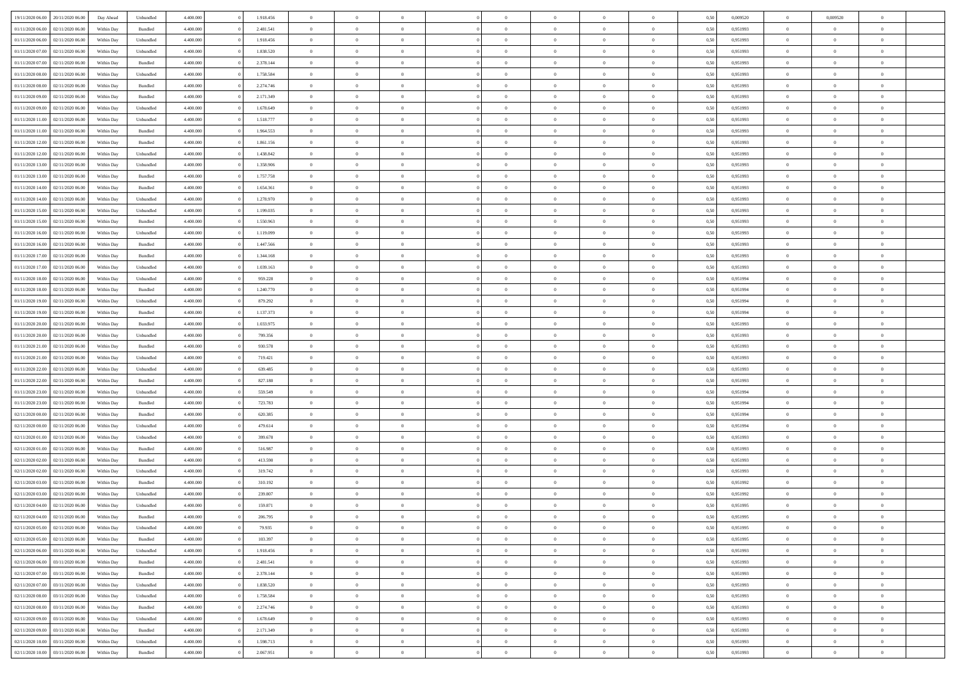| 19/11/2020 06:00 20/11/2020 06:00    | Day Ahead  | Unbundled          | 4.400.000 | 1.918.456 | $\overline{0}$ | $\overline{0}$ |                | $\overline{0}$ | $\theta$       |                | $\theta$       | 0,50 | 0,009520 | $\theta$       | 0,009520       | $\overline{0}$ |  |
|--------------------------------------|------------|--------------------|-----------|-----------|----------------|----------------|----------------|----------------|----------------|----------------|----------------|------|----------|----------------|----------------|----------------|--|
|                                      |            |                    |           |           |                |                |                |                |                |                |                |      |          |                |                |                |  |
| 01/11/2020 06:00<br>02/11/2020 06.00 | Within Day | Bundled            | 4.400.00  | 2.481.541 | $\bf{0}$       | $\bf{0}$       | $\bf{0}$       | $\bf{0}$       | $\overline{0}$ | $\overline{0}$ | $\bf{0}$       | 0,50 | 0,951993 | $\,$ 0 $\,$    | $\bf{0}$       | $\overline{0}$ |  |
| 01/11/2020 06:00<br>02/11/2020 06.00 | Within Day | Unbundled          | 4,400,000 | 1.918.456 | $\overline{0}$ | $\bf{0}$       | $\overline{0}$ | $\overline{0}$ | $\overline{0}$ | $\overline{0}$ | $\bf{0}$       | 0.50 | 0.951993 | $\bf{0}$       | $\overline{0}$ | $\bf{0}$       |  |
| 01/11/2020 07.00<br>02/11/2020 06.00 | Within Day | Unbundled          | 4.400.000 | 1.838.520 | $\overline{0}$ | $\overline{0}$ | $\overline{0}$ | $\overline{0}$ | $\overline{0}$ | $\overline{0}$ | $\bf{0}$       | 0,50 | 0,951993 | $\,$ 0 $\,$    | $\,$ 0 $\,$    | $\overline{0}$ |  |
| 01/11/2020 07:00<br>02/11/2020 06.00 | Within Day | Bundled            | 4.400.00  | 2.378.144 | $\bf{0}$       | $\overline{0}$ | $\bf{0}$       | $\overline{0}$ | $\bf{0}$       | $\overline{0}$ | $\bf{0}$       | 0,50 | 0,951993 | $\,$ 0 $\,$    | $\bf{0}$       | $\overline{0}$ |  |
|                                      |            |                    | 4,400,000 | 1.758.584 |                | $\overline{0}$ | $\overline{0}$ |                | $\overline{0}$ | $\overline{0}$ |                | 0.50 | 0.951993 | $\bf{0}$       | $\overline{0}$ | $\overline{0}$ |  |
| 01/11/2020 08:00<br>02/11/2020 06.00 | Within Day | Unbundled          |           |           | $\overline{0}$ |                |                | $\bf{0}$       |                |                | $\bf{0}$       |      |          |                |                |                |  |
| 01/11/2020 08:00<br>02/11/2020 06.00 | Within Day | Bundled            | 4.400.000 | 2.274.746 | $\overline{0}$ | $\bf{0}$       | $\overline{0}$ | $\overline{0}$ | $\overline{0}$ | $\overline{0}$ | $\bf{0}$       | 0,50 | 0,951993 | $\,$ 0 $\,$    | $\bf{0}$       | $\overline{0}$ |  |
| 01/11/2020 09:00<br>02/11/2020 06.00 | Within Day | Bundled            | 4.400.000 | 2.171.349 | $\bf{0}$       | $\bf{0}$       | $\bf{0}$       | $\bf{0}$       | $\overline{0}$ | $\overline{0}$ | $\bf{0}$       | 0,50 | 0,951993 | $\,$ 0 $\,$    | $\bf{0}$       | $\overline{0}$ |  |
| 01/11/2020 09:00<br>02/11/2020 06:00 | Within Day | Unbundled          | 4,400,000 | 1.678.649 | $\overline{0}$ | $\bf{0}$       | $\overline{0}$ | $\bf{0}$       | $\overline{0}$ | $\overline{0}$ | $\bf{0}$       | 0.50 | 0.951993 | $\bf{0}$       | $\overline{0}$ | $\overline{0}$ |  |
| 01/11/2020 11:00<br>02/11/2020 06.00 | Within Day | Unbundled          | 4.400.000 | 1.518.777 | $\overline{0}$ | $\bf{0}$       | $\overline{0}$ | $\overline{0}$ | $\overline{0}$ | $\overline{0}$ | $\bf{0}$       | 0,50 | 0,951993 | $\,$ 0 $\,$    | $\bf{0}$       | $\overline{0}$ |  |
| 01/11/2020 11:00<br>02/11/2020 06.00 | Within Day | Bundled            | 4.400.00  | 1.964.553 | $\bf{0}$       | $\bf{0}$       | $\bf{0}$       | $\bf{0}$       | $\overline{0}$ | $\overline{0}$ | $\bf{0}$       | 0,50 | 0,951993 | $\,$ 0 $\,$    | $\bf{0}$       | $\overline{0}$ |  |
|                                      |            |                    |           |           |                |                |                |                |                |                |                |      |          |                |                |                |  |
| 01/11/2020 12:00<br>02/11/2020 06.00 | Within Day | Bundled            | 4,400,000 | 1.861.156 | $\overline{0}$ | $\bf{0}$       | $\overline{0}$ | $\overline{0}$ | $\overline{0}$ | $\overline{0}$ | $\bf{0}$       | 0.50 | 0.951993 | $\overline{0}$ | $\overline{0}$ | $\bf{0}$       |  |
| 01/11/2020 12:00<br>02/11/2020 06.00 | Within Day | Unbundled          | 4.400.000 | 1.438.842 | $\overline{0}$ | $\bf{0}$       | $\overline{0}$ | $\overline{0}$ | $\theta$       | $\overline{0}$ | $\bf{0}$       | 0,50 | 0,951993 | $\,$ 0 $\,$    | $\,$ 0 $\,$    | $\overline{0}$ |  |
| 01/11/2020 13:00<br>02/11/2020 06.00 | Within Day | Unbundled          | 4.400.000 | 1.358.906 | $\bf{0}$       | $\overline{0}$ | $\bf{0}$       | $\bf{0}$       | $\bf{0}$       | $\overline{0}$ | $\bf{0}$       | 0,50 | 0,951993 | $\,$ 0 $\,$    | $\bf{0}$       | $\overline{0}$ |  |
| 01/11/2020 13:00<br>02/11/2020 06.00 | Within Day | Bundled            | 4,400,000 | 1.757.758 | $\overline{0}$ | $\overline{0}$ | $\overline{0}$ | $\bf{0}$       | $\overline{0}$ | $\overline{0}$ | $\bf{0}$       | 0.50 | 0.951993 | $\bf{0}$       | $\theta$       | $\overline{0}$ |  |
| 01/11/2020 14:00<br>02/11/2020 06.00 | Within Day | Bundled            | 4.400.000 | 1.654.361 | $\overline{0}$ | $\bf{0}$       | $\overline{0}$ | $\overline{0}$ | $\overline{0}$ | $\overline{0}$ | $\bf{0}$       | 0,50 | 0,951993 | $\,$ 0 $\,$    | $\theta$       | $\overline{0}$ |  |
| 01/11/2020 14:00<br>02/11/2020 06.00 | Within Day | Unbundled          | 4.400.000 | 1.278.970 | $\bf{0}$       | $\bf{0}$       | $\bf{0}$       | $\bf{0}$       | $\overline{0}$ | $\overline{0}$ | $\bf{0}$       | 0,50 | 0,951993 | $\,$ 0 $\,$    | $\bf{0}$       | $\overline{0}$ |  |
| 01/11/2020 15:00<br>02/11/2020 06:00 | Within Day | Unbundled          | 4,400,000 | 1.199.035 | $\overline{0}$ | $\bf{0}$       | $\overline{0}$ | $\bf{0}$       | $\bf{0}$       | $\overline{0}$ | $\bf{0}$       | 0.50 | 0.951993 | $\bf{0}$       | $\overline{0}$ | $\bf{0}$       |  |
|                                      |            |                    |           |           |                |                |                |                |                |                |                |      |          |                |                |                |  |
| 01/11/2020 15:00<br>02/11/2020 06.00 | Within Day | Bundled            | 4.400.000 | 1.550.963 | $\overline{0}$ | $\bf{0}$       | $\overline{0}$ | $\overline{0}$ | $\overline{0}$ | $\overline{0}$ | $\bf{0}$       | 0,50 | 0,951993 | $\,$ 0 $\,$    | $\bf{0}$       | $\overline{0}$ |  |
| 01/11/2020 16.00<br>02/11/2020 06.00 | Within Day | Unbundled          | 4.400.00  | 1.119.099 | $\bf{0}$       | $\bf{0}$       | $\bf{0}$       | $\bf{0}$       | $\overline{0}$ | $\overline{0}$ | $\bf{0}$       | 0,50 | 0,951993 | $\,$ 0 $\,$    | $\bf{0}$       | $\overline{0}$ |  |
| 01/11/2020 16.00<br>02/11/2020 06.00 | Within Day | Bundled            | 4,400,000 | 1.447.566 | $\overline{0}$ | $\bf{0}$       | $\overline{0}$ | $\overline{0}$ | $\bf{0}$       | $\overline{0}$ | $\bf{0}$       | 0.50 | 0.951993 | $\bf{0}$       | $\overline{0}$ | $\,$ 0         |  |
| 01/11/2020 17.00<br>02/11/2020 06:00 | Within Day | Bundled            | 4.400.000 | 1.344.168 | $\overline{0}$ | $\overline{0}$ | $\overline{0}$ | $\overline{0}$ | $\overline{0}$ | $\overline{0}$ | $\bf{0}$       | 0,50 | 0,951993 | $\,$ 0 $\,$    | $\,$ 0 $\,$    | $\overline{0}$ |  |
| 01/11/2020 17:00<br>02/11/2020 06.00 | Within Day | Unbundled          | 4.400.000 | 1.039.163 | $\bf{0}$       | $\bf{0}$       | $\bf{0}$       | $\bf{0}$       | $\overline{0}$ | $\overline{0}$ | $\bf{0}$       | 0,50 | 0,951993 | $\,$ 0 $\,$    | $\bf{0}$       | $\overline{0}$ |  |
| 01/11/2020 18:00<br>02/11/2020 06.00 | Within Day | Unbundled          | 4,400,000 | 959.228   | $\overline{0}$ | $\overline{0}$ | $\overline{0}$ | $\bf{0}$       | $\overline{0}$ | $\theta$       | $\bf{0}$       | 0.50 | 0.951994 | $\bf{0}$       | $\overline{0}$ | $\overline{0}$ |  |
| 01/11/2020 18:00<br>02/11/2020 06.00 | Within Day | Bundled            | 4.400.000 | 1.240.770 | $\bf{0}$       | $\bf{0}$       | $\overline{0}$ | $\overline{0}$ | $\overline{0}$ | $\overline{0}$ | $\bf{0}$       | 0,50 | 0,951994 | $\,$ 0 $\,$    | $\theta$       | $\overline{0}$ |  |
| 01/11/2020 19:00<br>02/11/2020 06.00 | Within Day | Unbundled          | 4.400.000 | 879.292   | $\bf{0}$       | $\bf{0}$       | $\bf{0}$       | $\bf{0}$       | $\overline{0}$ | $\overline{0}$ | $\bf{0}$       | 0,50 | 0,951994 | $\,$ 0 $\,$    | $\bf{0}$       | $\overline{0}$ |  |
|                                      |            |                    |           |           |                |                |                |                |                |                |                |      |          |                |                |                |  |
| 01/11/2020 19:00<br>02/11/2020 06:00 | Within Day | Bundled            | 4,400,000 | 1.137.373 | $\overline{0}$ | $\bf{0}$       | $\overline{0}$ | $\bf{0}$       | $\overline{0}$ | $\overline{0}$ | $\bf{0}$       | 0.50 | 0.951994 | $\bf{0}$       | $\overline{0}$ | $\overline{0}$ |  |
| 01/11/2020 20.00<br>02/11/2020 06.00 | Within Day | Bundled            | 4.400.000 | 1.033.975 | $\overline{0}$ | $\bf{0}$       | $\overline{0}$ | $\overline{0}$ | $\overline{0}$ | $\overline{0}$ | $\bf{0}$       | 0,50 | 0,951993 | $\,$ 0 $\,$    | $\bf{0}$       | $\overline{0}$ |  |
| 01/11/2020 20.00<br>02/11/2020 06.00 | Within Day | Unbundled          | 4.400.00  | 799.356   | $\bf{0}$       | $\bf{0}$       | $\bf{0}$       | $\bf{0}$       | $\overline{0}$ | $\overline{0}$ | $\bf{0}$       | 0,50 | 0,951993 | $\,$ 0 $\,$    | $\bf{0}$       | $\overline{0}$ |  |
| 01/11/2020 21.00<br>02/11/2020 06.00 | Within Day | Bundled            | 4,400,000 | 930.578   | $\overline{0}$ | $\bf{0}$       | $\overline{0}$ | $\overline{0}$ | $\overline{0}$ | $\overline{0}$ | $\bf{0}$       | 0.50 | 0.951993 | $\overline{0}$ | $\overline{0}$ | $\bf{0}$       |  |
| 01/11/2020 21.00<br>02/11/2020 06.00 | Within Day | Unbundled          | 4.400.000 | 719.421   | $\overline{0}$ | $\overline{0}$ | $\overline{0}$ | $\overline{0}$ | $\overline{0}$ | $\overline{0}$ | $\bf{0}$       | 0.50 | 0.951993 | $\theta$       | $\theta$       | $\overline{0}$ |  |
| 01/11/2020 22.00<br>02/11/2020 06.00 | Within Day | Unbundled          | 4.400.000 | 639.485   | $\bf{0}$       | $\bf{0}$       | $\bf{0}$       | $\bf{0}$       | $\overline{0}$ | $\overline{0}$ | $\bf{0}$       | 0,50 | 0,951993 | $\,$ 0 $\,$    | $\bf{0}$       | $\overline{0}$ |  |
| 01/11/2020 22.00<br>02/11/2020 06.00 |            | Bundled            | 4,400,000 | 827.180   | $\overline{0}$ | $\bf{0}$       | $\overline{0}$ | $\bf{0}$       | $\overline{0}$ | $\overline{0}$ | $\bf{0}$       | 0.50 | 0.951993 | $\bf{0}$       | $\theta$       | $\overline{0}$ |  |
|                                      | Within Day |                    |           |           |                |                |                |                |                |                |                |      |          |                |                |                |  |
| 01/11/2020 23:00<br>02/11/2020 06:00 | Within Day | Unbundled          | 4.400.000 | 559.549   | $\overline{0}$ | $\overline{0}$ | $\overline{0}$ | $\overline{0}$ | $\overline{0}$ | $\overline{0}$ | $\overline{0}$ | 0.50 | 0.951994 | $\theta$       | $\theta$       | $\overline{0}$ |  |
| 01/11/2020 23.00<br>02/11/2020 06.00 | Within Day | Bundled            | 4.400.000 | 723.783   | $\bf{0}$       | $\bf{0}$       | $\bf{0}$       | $\bf{0}$       | $\overline{0}$ | $\overline{0}$ | $\bf{0}$       | 0,50 | 0,951994 | $\,$ 0 $\,$    | $\bf{0}$       | $\overline{0}$ |  |
| 02/11/2020 00:00<br>02/11/2020 06:00 | Within Day | Bundled            | 4,400,000 | 620.385   | $\overline{0}$ | $\bf{0}$       | $\overline{0}$ | $\bf{0}$       | $\bf{0}$       | $\overline{0}$ | $\bf{0}$       | 0.50 | 0.951994 | $\bf{0}$       | $\overline{0}$ | $\bf{0}$       |  |
| 02/11/2020 00:00<br>02/11/2020 06.00 | Within Day | Unbundled          | 4.400.000 | 479.614   | $\overline{0}$ | $\overline{0}$ | $\overline{0}$ | $\overline{0}$ | $\overline{0}$ | $\overline{0}$ | $\bf{0}$       | 0.50 | 0.951994 | $\theta$       | $\theta$       | $\overline{0}$ |  |
| 02/11/2020 01:00<br>02/11/2020 06.00 | Within Day | Unbundled          | 4.400.000 | 399.678   | $\bf{0}$       | $\bf{0}$       | $\bf{0}$       | $\bf{0}$       | $\overline{0}$ | $\overline{0}$ | $\bf{0}$       | 0,50 | 0,951993 | $\,$ 0 $\,$    | $\bf{0}$       | $\overline{0}$ |  |
| 02/11/202001.00<br>02/11/2020 06.00  | Within Day | Bundled            | 4,400,000 | 516.987   | $\overline{0}$ | $\bf{0}$       | $\overline{0}$ | $\overline{0}$ | $\bf{0}$       | $\overline{0}$ | $\bf{0}$       | 0.50 | 0.951993 | $\bf{0}$       | $\overline{0}$ | $\,$ 0         |  |
| 02/11/2020 02:00<br>02/11/2020 06:00 | Within Day | Bundled            | 4.400.000 | 413.590   | $\overline{0}$ | $\overline{0}$ | $\overline{0}$ | $\overline{0}$ | $\overline{0}$ | $\overline{0}$ | $\bf{0}$       | 0.50 | 0.951993 | $\theta$       | $\theta$       | $\overline{0}$ |  |
|                                      |            |                    |           |           |                |                |                |                |                | $\overline{0}$ |                |      |          |                |                |                |  |
| 02/11/2020 02.00<br>02/11/2020 06.00 | Within Day | Unbundled          | 4.400.000 | 319.742   | $\bf{0}$       | $\bf{0}$       | $\bf{0}$       | $\bf{0}$       | $\overline{0}$ |                | $\bf{0}$       | 0,50 | 0,951993 | $\,$ 0 $\,$    | $\bf{0}$       | $\overline{0}$ |  |
| 02/11/2020 03:00<br>02/11/2020 06.00 | Within Day | Bundled            | 4,400,000 | 310.192   | $\overline{0}$ | $\overline{0}$ | $\overline{0}$ | $\bf{0}$       | $\overline{0}$ | $\Omega$       | $\bf{0}$       | 0.50 | 0,951992 | $\bf{0}$       | $\theta$       | $\overline{0}$ |  |
| 02/11/2020 03:00<br>02/11/2020 06.00 | Within Dav | Unbundled          | 4.400.000 | 239.807   | $\overline{0}$ | $\overline{0}$ | $\overline{0}$ | $\overline{0}$ | $\theta$       | $\overline{0}$ | $\overline{0}$ | 0.50 | 0.951992 | $\theta$       | $\theta$       | $\overline{0}$ |  |
| 02/11/2020 04:00<br>02/11/2020 06.00 | Within Day | Unbundled          | 4.400.000 | 159.871   | $\bf{0}$       | $\bf{0}$       | $\bf{0}$       | $\bf{0}$       | $\overline{0}$ | $\overline{0}$ | $\bf{0}$       | 0,50 | 0,951995 | $\,$ 0 $\,$    | $\bf{0}$       | $\overline{0}$ |  |
| 02/11/2020 04:00 02/11/2020 06:00    | Within Day | $\mathbf B$ undled | 4.400.000 | 206.795   | $\bf{0}$       | $\theta$       |                | $\overline{0}$ | $\theta$       |                | $\bf{0}$       | 0,50 | 0.951995 | $\bf{0}$       | $\bf{0}$       |                |  |
| 02/11/2020 05:00 02/11/2020 06:00    | Within Day | Unbundled          | 4.400.000 | 79.935    | $\overline{0}$ | $\overline{0}$ | $\overline{0}$ | $\overline{0}$ | $\overline{0}$ | $\overline{0}$ | $\bf{0}$       | 0,50 | 0.951995 | $\theta$       | $\overline{0}$ | $\overline{0}$ |  |
| 02/11/2020 05:00<br>02/11/2020 06.00 | Within Day | Bundled            | 4.400.000 | 103.397   | $\overline{0}$ | $\bf{0}$       | $\overline{0}$ | $\overline{0}$ | $\bf{0}$       | $\overline{0}$ | $\bf{0}$       | 0,50 | 0,951995 | $\bf{0}$       | $\overline{0}$ | $\bf{0}$       |  |
| 02/11/2020 06:00 03/11/2020 06:00    | Within Day | Unbundled          | 4.400.000 | 1.918.456 | $\overline{0}$ | $\bf{0}$       | $\overline{0}$ | $\overline{0}$ | $\mathbf{0}$   | $\overline{0}$ | $\,$ 0 $\,$    | 0.50 | 0.951993 | $\overline{0}$ | $\bf{0}$       | $\,$ 0 $\,$    |  |
| 02/11/2020 06:00 03/11/2020 06:00    | Within Day | Bundled            | 4.400.000 | 2.481.541 | $\overline{0}$ | $\overline{0}$ | $\overline{0}$ | $\overline{0}$ | $\overline{0}$ | $\overline{0}$ | $\bf{0}$       | 0,50 | 0.951993 | $\overline{0}$ | $\theta$       | $\overline{0}$ |  |
|                                      |            |                    |           |           |                |                |                |                |                |                |                |      |          |                |                |                |  |
| 02/11/2020 07:00<br>03/11/2020 06:00 | Within Day | Bundled            | 4.400.000 | 2.378.144 | $\overline{0}$ | $\bf{0}$       | $\overline{0}$ | $\overline{0}$ | $\bf{0}$       | $\overline{0}$ | $\bf{0}$       | 0,50 | 0,951993 | $\bf{0}$       | $\bf{0}$       | $\overline{0}$ |  |
| 02/11/2020 07:00<br>03/11/2020 06:00 | Within Day | Unbundled          | 4.400.000 | 1.838.520 | $\overline{0}$ | $\bf{0}$       | $\overline{0}$ | $\overline{0}$ | $\bf{0}$       | $\overline{0}$ | $\bf{0}$       | 0.50 | 0.951993 | $\,$ 0 $\,$    | $\theta$       | $\,$ 0         |  |
| 02/11/2020 08:00<br>03/11/2020 06:00 | Within Day | Unbundled          | 4.400.000 | 1.758.584 | $\overline{0}$ | $\overline{0}$ | $\overline{0}$ | $\overline{0}$ | $\overline{0}$ | $\overline{0}$ | $\bf{0}$       | 0,50 | 0.951993 | $\overline{0}$ | $\theta$       | $\overline{0}$ |  |
| 02/11/2020 08:00<br>03/11/2020 06:00 | Within Day | Bundled            | 4.400.000 | 2.274.746 | $\overline{0}$ | $\overline{0}$ | $\overline{0}$ | $\overline{0}$ | $\overline{0}$ | $\overline{0}$ | $\bf{0}$       | 0,50 | 0,951993 | $\bf{0}$       | $\overline{0}$ | $\,$ 0         |  |
| 02/11/2020 09:00 03/11/2020 06:00    | Within Day | Unbundled          | 4.400.000 | 1.678.649 | $\overline{0}$ | $\overline{0}$ | $\overline{0}$ | $\overline{0}$ | $\overline{0}$ | $\overline{0}$ | $\bf{0}$       | 0.50 | 0.951993 | $\overline{0}$ | $\bf{0}$       | $\,$ 0         |  |
| 02/11/2020 09:00 03/11/2020 06:00    | Within Day | Bundled            | 4.400.000 | 2.171.349 | $\overline{0}$ | $\overline{0}$ | $\overline{0}$ | $\overline{0}$ | $\overline{0}$ | $\overline{0}$ | $\bf{0}$       | 0,50 | 0.951993 | $\overline{0}$ | $\theta$       | $\overline{0}$ |  |
|                                      |            |                    |           |           |                | $\bf{0}$       |                |                | $\overline{0}$ |                |                |      |          | $\bf{0}$       | $\overline{0}$ | $\bf{0}$       |  |
| 02/11/2020 10:00<br>03/11/2020 06.00 | Within Day | Unbundled          | 4.400.000 | 1.598.713 | $\overline{0}$ |                | $\overline{0}$ | $\overline{0}$ |                | $\overline{0}$ | $\bf{0}$       | 0,50 | 0,951993 |                |                |                |  |
| 02/11/2020 10:00 03/11/2020 06:00    | Within Day | Bundled            | 4.400.000 | 2.067.951 | $\,$ 0 $\,$    | $\bf{0}$       | $\overline{0}$ | $\overline{0}$ | $\,$ 0 $\,$    | $\overline{0}$ | $\,$ 0 $\,$    | 0,50 | 0,951993 | $\overline{0}$ | $\,$ 0 $\,$    | $\,$ 0 $\,$    |  |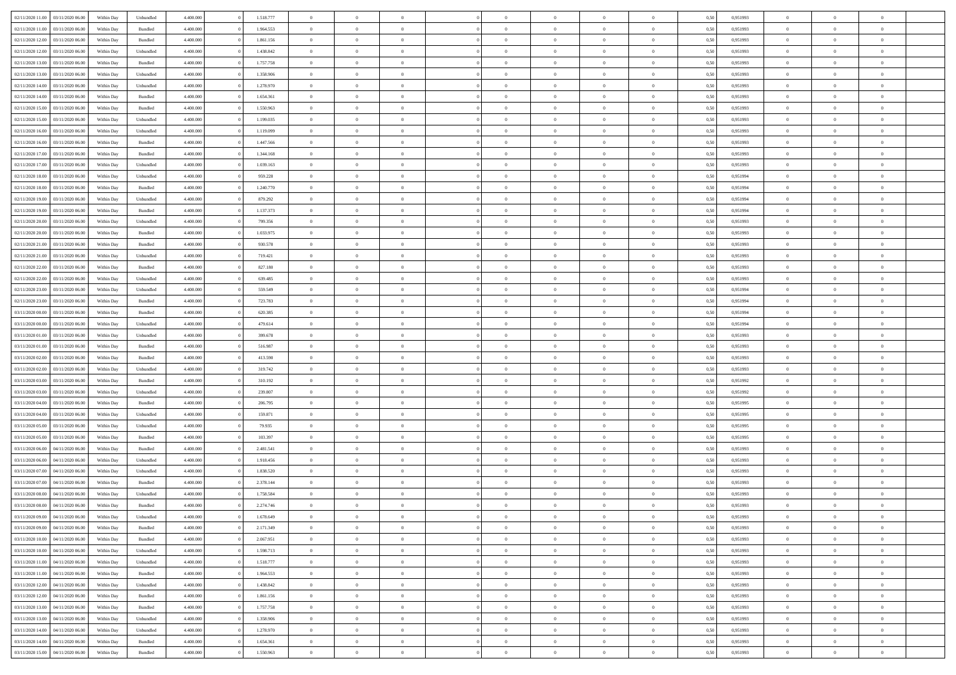| 02/11/2020 11:00 03/11/2020 06:00       | Within Day | Unbundled          | 4.400.000 | 1.518.777 | $\overline{0}$ | $\overline{0}$ | $\Omega$       | $\Omega$       | $\Omega$       |                | $\overline{0}$ | 0,50 | 0,951993 | $\mathbf{0}$   | $\Omega$       | $\Omega$       |  |
|-----------------------------------------|------------|--------------------|-----------|-----------|----------------|----------------|----------------|----------------|----------------|----------------|----------------|------|----------|----------------|----------------|----------------|--|
| 02/11/2020 11:00<br>03/11/2020 06:00    | Within Day | $\mathbf B$ undled | 4.400.000 | 1.964.553 | $\bf{0}$       | $\overline{0}$ | $\theta$       | $\theta$       | $\overline{0}$ | $\overline{0}$ | $\,$ 0         | 0,50 | 0,951993 | $\mathbf{0}$   | $\theta$       | $\bf{0}$       |  |
| 02/11/2020 12:00<br>03/11/2020 06:00    | Within Day | Bundled            | 4.400.000 | 1.861.156 | $\overline{0}$ | $\overline{0}$ | $\overline{0}$ | $\bf{0}$       | $\bf{0}$       | $\overline{0}$ | $\mathbf{0}$   | 0,50 | 0,951993 | $\bf{0}$       | $\bf{0}$       | $\bf{0}$       |  |
| 02/11/2020 12:00<br>03/11/2020 06:00    | Within Day | Unbundled          | 4.400.000 | 1.438.842 | $\overline{0}$ | $\overline{0}$ | $\overline{0}$ | $\overline{0}$ | $\overline{0}$ | $\overline{0}$ | $\overline{0}$ | 0.50 | 0.951993 | $\mathbf{0}$   | $\overline{0}$ | $\bf{0}$       |  |
| 02/11/2020 13:00<br>03/11/2020 06.00    | Within Day | Bundled            | 4.400.000 | 1.757.758 | $\bf{0}$       | $\overline{0}$ | $\overline{0}$ | $\theta$       | $\overline{0}$ | $\overline{0}$ | $\bf{0}$       | 0,50 | 0,951993 | $\theta$       | $\theta$       | $\overline{0}$ |  |
| 02/11/2020 13:00<br>03/11/2020 06:00    | Within Day | Unbundled          | 4.400.000 | 1.358.906 | $\overline{0}$ | $\overline{0}$ | $\overline{0}$ | $\bf{0}$       | $\overline{0}$ | $\overline{0}$ | $\overline{0}$ | 0,50 | 0,951993 | $\overline{0}$ | $\overline{0}$ | $\overline{0}$ |  |
| 02/11/2020 14:00<br>03/11/2020 06:00    | Within Day | Unbundled          | 4.400.000 | 1.278.970 | $\overline{0}$ | $\overline{0}$ | $\overline{0}$ | $\overline{0}$ | $\overline{0}$ | $\overline{0}$ | $\overline{0}$ | 0.50 | 0,951993 | $\mathbf{0}$   | $\overline{0}$ | $\overline{0}$ |  |
|                                         |            |                    |           |           |                |                |                |                |                |                |                |      |          |                |                |                |  |
| 02/11/2020 14:00<br>03/11/2020 06.00    | Within Day | Bundled            | 4.400.000 | 1.654.361 | $\bf{0}$       | $\overline{0}$ | $\overline{0}$ | $\theta$       | $\overline{0}$ | $\overline{0}$ | $\,$ 0         | 0,50 | 0,951993 | $\theta$       | $\theta$       | $\bf{0}$       |  |
| 02/11/2020 15:00<br>03/11/2020 06:00    | Within Day | Bundled            | 4.400.000 | 1.550.963 | $\overline{0}$ | $\overline{0}$ | $\bf{0}$       | $\bf{0}$       | $\bf{0}$       | $\overline{0}$ | $\mathbf{0}$   | 0,50 | 0,951993 | $\bf{0}$       | $\bf{0}$       | $\bf{0}$       |  |
| 02/11/2020 15:00<br>03/11/2020 06:00    | Within Day | Unbundled          | 4.400.000 | 1.199.035 | $\overline{0}$ | $\overline{0}$ | $\overline{0}$ | $\overline{0}$ | $\overline{0}$ | $\overline{0}$ | $\overline{0}$ | 0.50 | 0,951993 | $\overline{0}$ | $\overline{0}$ | $\overline{0}$ |  |
| 02/11/2020 16:00<br>03/11/2020 06.00    | Within Day | Unbundled          | 4.400.000 | 1.119.099 | $\bf{0}$       | $\overline{0}$ | $\overline{0}$ | $\overline{0}$ | $\overline{0}$ | $\overline{0}$ | $\,$ 0         | 0,50 | 0,951993 | $\theta$       | $\theta$       | $\bf{0}$       |  |
| 02/11/2020 16.00<br>03/11/2020 06:00    | Within Day | Bundled            | 4.400.000 | 1.447.566 | $\overline{0}$ | $\overline{0}$ | $\overline{0}$ | $\bf{0}$       | $\bf{0}$       | $\overline{0}$ | $\mathbf{0}$   | 0,50 | 0,951993 | $\bf{0}$       | $\bf{0}$       | $\bf{0}$       |  |
| 02/11/2020 17:00<br>03/11/2020 06:00    | Within Day | Bundled            | 4.400.000 | 1.344.168 | $\overline{0}$ | $\overline{0}$ | $\overline{0}$ | $\overline{0}$ | $\overline{0}$ | $\overline{0}$ | $\overline{0}$ | 0.50 | 0.951993 | $\mathbf{0}$   | $\overline{0}$ | $\bf{0}$       |  |
| 02/11/2020 17:00<br>03/11/2020 06:00    | Within Day | Unbundled          | 4.400.000 | 1.039.163 | $\bf{0}$       | $\overline{0}$ | $\overline{0}$ | $\theta$       | $\overline{0}$ | $\overline{0}$ | $\,$ 0         | 0,50 | 0,951993 | $\theta$       | $\theta$       | $\bf{0}$       |  |
| 02/11/2020 18:00<br>03/11/2020 06:00    | Within Day | Unbundled          | 4.400.000 | 959.228   | $\overline{0}$ | $\overline{0}$ | $\overline{0}$ | $\bf{0}$       | $\overline{0}$ | $\overline{0}$ | $\overline{0}$ | 0,50 | 0,951994 | $\overline{0}$ | $\overline{0}$ | $\overline{0}$ |  |
| 02/11/2020 18:00<br>03/11/2020 06:00    |            | Bundled            | 4.400.000 | 1.240.770 | $\overline{0}$ | $\overline{0}$ | $\overline{0}$ | $\overline{0}$ | $\overline{0}$ | $\overline{0}$ | $\overline{0}$ | 0.50 | 0,951994 | $\overline{0}$ | $\overline{0}$ | $\overline{0}$ |  |
|                                         | Within Day |                    |           |           |                |                |                |                |                |                |                |      |          |                |                |                |  |
| 02/11/2020 19:00<br>03/11/2020 06.00    | Within Day | Unbundled          | 4.400.000 | 879.292   | $\bf{0}$       | $\overline{0}$ | $\overline{0}$ | $\overline{0}$ | $\overline{0}$ | $\overline{0}$ | $\bf{0}$       | 0,50 | 0,951994 | $\theta$       | $\theta$       | $\bf{0}$       |  |
| 02/11/2020 19:00<br>03/11/2020 06:00    | Within Day | Bundled            | 4.400.000 | 1.137.373 | $\overline{0}$ | $\overline{0}$ | $\bf{0}$       | $\bf{0}$       | $\bf{0}$       | $\overline{0}$ | $\mathbf{0}$   | 0,50 | 0,951994 | $\bf{0}$       | $\bf{0}$       | $\bf{0}$       |  |
| 02/11/2020 20:00<br>03/11/2020 06:00    | Within Day | Unbundled          | 4.400.000 | 799.356   | $\overline{0}$ | $\overline{0}$ | $\overline{0}$ | $\overline{0}$ | $\overline{0}$ | $\overline{0}$ | $\overline{0}$ | 0.50 | 0,951993 | $\overline{0}$ | $\overline{0}$ | $\overline{0}$ |  |
| 02/11/2020 20:00<br>03/11/2020 06.00    | Within Day | Bundled            | 4.400.000 | 1.033.975 | $\bf{0}$       | $\overline{0}$ | $\overline{0}$ | $\overline{0}$ | $\overline{0}$ | $\overline{0}$ | $\,$ 0         | 0,50 | 0,951993 | $\theta$       | $\theta$       | $\bf{0}$       |  |
| 02/11/2020 21:00<br>03/11/2020 06:00    | Within Day | Bundled            | 4.400.000 | 930.578   | $\overline{0}$ | $\overline{0}$ | $\overline{0}$ | $\bf{0}$       | $\bf{0}$       | $\overline{0}$ | $\mathbf{0}$   | 0,50 | 0,951993 | $\bf{0}$       | $\bf{0}$       | $\bf{0}$       |  |
| 02/11/2020 21:00<br>03/11/2020 06:00    | Within Day | Unbundled          | 4.400.000 | 719.421   | $\overline{0}$ | $\overline{0}$ | $\overline{0}$ | $\overline{0}$ | $\overline{0}$ | $\overline{0}$ | $\overline{0}$ | 0.50 | 0.951993 | $\overline{0}$ | $\overline{0}$ | $\bf{0}$       |  |
| 02/11/2020 22.00<br>03/11/2020 06.00    | Within Day | Bundled            | 4.400.000 | 827.180   | $\bf{0}$       | $\overline{0}$ | $\overline{0}$ | $\overline{0}$ | $\overline{0}$ | $\overline{0}$ | $\,$ 0         | 0,50 | 0,951993 | $\mathbf{0}$   | $\theta$       | $\bf{0}$       |  |
| 02/11/2020 22.00<br>03/11/2020 06:00    | Within Day | Unbundled          | 4.400.000 | 639.485   | $\overline{0}$ | $\overline{0}$ | $\overline{0}$ | $\bf{0}$       | $\overline{0}$ | $\overline{0}$ | $\overline{0}$ | 0,50 | 0,951993 | $\overline{0}$ | $\overline{0}$ | $\overline{0}$ |  |
| 02/11/2020 23:00<br>03/11/2020 06:00    | Within Day | Unbundled          | 4.400.000 | 559.549   | $\overline{0}$ | $\overline{0}$ | $\overline{0}$ | $\overline{0}$ | $\overline{0}$ | $\overline{0}$ | $\overline{0}$ | 0.50 | 0.951994 | $\overline{0}$ | $\overline{0}$ | $\overline{0}$ |  |
|                                         |            |                    |           |           |                |                |                |                |                |                |                |      |          |                |                |                |  |
| 02/11/2020 23.00<br>03/11/2020 06.00    | Within Day | Bundled            | 4.400.000 | 723.783   | $\bf{0}$       | $\overline{0}$ | $\bf{0}$       | $\overline{0}$ | $\overline{0}$ | $\overline{0}$ | $\bf{0}$       | 0,50 | 0,951994 | $\theta$       | $\theta$       | $\bf{0}$       |  |
| 03/11/2020 00:00<br>03/11/2020 06:00    | Within Day | Bundled            | 4.400.000 | 620.385   | $\overline{0}$ | $\overline{0}$ | $\bf{0}$       | $\bf{0}$       | $\bf{0}$       | $\overline{0}$ | $\bf{0}$       | 0,50 | 0,951994 | $\bf{0}$       | $\bf{0}$       | $\bf{0}$       |  |
| 03/11/2020 00:00<br>03/11/2020 06:00    | Within Day | Unbundled          | 4.400.000 | 479.614   | $\overline{0}$ | $\overline{0}$ | $\overline{0}$ | $\overline{0}$ | $\overline{0}$ | $\overline{0}$ | $\overline{0}$ | 0.50 | 0,951994 | $\overline{0}$ | $\overline{0}$ | $\overline{0}$ |  |
| 03/11/2020 01:00<br>03/11/2020 06:00    | Within Day | Unbundled          | 4.400.000 | 399.678   | $\bf{0}$       | $\overline{0}$ | $\overline{0}$ | $\overline{0}$ | $\overline{0}$ | $\overline{0}$ | $\,$ 0         | 0,50 | 0,951993 | $\theta$       | $\theta$       | $\bf{0}$       |  |
| 03/11/2020 01:00<br>03/11/2020 06:00    | Within Day | Bundled            | 4.400.000 | 516.987   | $\overline{0}$ | $\overline{0}$ | $\overline{0}$ | $\bf{0}$       | $\bf{0}$       | $\overline{0}$ | $\mathbf{0}$   | 0,50 | 0,951993 | $\overline{0}$ | $\bf{0}$       | $\bf{0}$       |  |
| $03/11/2020\;02.00$<br>03/11/2020 06.00 | Within Day | Bundled            | 4,400,000 | 413.590   | $\overline{0}$ | $\overline{0}$ | $\overline{0}$ | $\overline{0}$ | $\overline{0}$ | $\Omega$       | $\overline{0}$ | 0,50 | 0,951993 | $\bf{0}$       | $\Omega$       | $\Omega$       |  |
| 03/11/2020 02.00<br>03/11/2020 06:00    | Within Day | Unbundled          | 4.400.000 | 319.742   | $\bf{0}$       | $\overline{0}$ | $\overline{0}$ | $\theta$       | $\overline{0}$ | $\overline{0}$ | $\,$ 0         | 0,50 | 0,951993 | $\theta$       | $\theta$       | $\bf{0}$       |  |
| 03/11/2020 03:00<br>03/11/2020 06:00    | Within Day | Bundled            | 4.400.000 | 310.192   | $\overline{0}$ | $\overline{0}$ | $\overline{0}$ | $\bf{0}$       | $\overline{0}$ | $\overline{0}$ | $\overline{0}$ | 0,50 | 0,951992 | $\overline{0}$ | $\overline{0}$ | $\overline{0}$ |  |
| 03/11/2020 03:00<br>03/11/2020 06.00    | Within Day | Unbundled          | 4,400,000 | 239.807   | $\overline{0}$ | $\overline{0}$ | $\overline{0}$ | $\overline{0}$ | $\overline{0}$ | $\Omega$       | $\overline{0}$ | 0.50 | 0.951992 | $\overline{0}$ | $\Omega$       | $\Omega$       |  |
|                                         |            |                    |           |           |                | $\overline{0}$ |                | $\overline{0}$ | $\overline{0}$ | $\overline{0}$ |                |      |          | $\theta$       | $\theta$       | $\bf{0}$       |  |
| 03/11/2020 04:00<br>03/11/2020 06.00    | Within Day | Bundled            | 4.400.000 | 206.795   | $\bf{0}$       |                | $\bf{0}$       |                |                |                | $\bf{0}$       | 0,50 | 0,951995 |                |                |                |  |
| 03/11/2020 04:00<br>03/11/2020 06.00    | Within Day | Unbundled          | 4.400.000 | 159.871   | $\overline{0}$ | $\overline{0}$ | $\bf{0}$       | $\bf{0}$       | $\bf{0}$       | $\overline{0}$ | $\bf{0}$       | 0,50 | 0,951995 | $\bf{0}$       | $\bf{0}$       | $\bf{0}$       |  |
| $03/11/2020\;05.00$<br>03/11/2020 06.00 | Within Day | Unbundled          | 4,400,000 | 79.935    | $\overline{0}$ | $\overline{0}$ | $\Omega$       | $\overline{0}$ | $\overline{0}$ | $\Omega$       | $\theta$       | 0.50 | 0,951995 | $\overline{0}$ | $\Omega$       | $\Omega$       |  |
| 03/11/2020 05:00<br>03/11/2020 06:00    | Within Day | Bundled            | 4.400.000 | 103.397   | $\bf{0}$       | $\overline{0}$ | $\bf{0}$       | $\overline{0}$ | $\overline{0}$ | $\overline{0}$ | $\,$ 0         | 0,50 | 0,951995 | $\theta$       | $\theta$       | $\bf{0}$       |  |
| 03/11/2020 06.00<br>04/11/2020 06.00    | Within Day | Bundled            | 4.400.000 | 2.481.541 | $\overline{0}$ | $\overline{0}$ | $\overline{0}$ | $\bf{0}$       | $\bf{0}$       | $\overline{0}$ | $\mathbf{0}$   | 0,50 | 0,951993 | $\overline{0}$ | $\bf{0}$       | $\bf{0}$       |  |
| 03/11/2020 06:00<br>04/11/2020 06.00    | Within Day | Unbundled          | 4,400,000 | 1.918.456 | $\overline{0}$ | $\overline{0}$ | $\overline{0}$ | $\overline{0}$ | $\bf{0}$       | $\Omega$       | $\overline{0}$ | 0.50 | 0,951993 | $\bf{0}$       | $\theta$       | $\Omega$       |  |
| 03/11/2020 07:00<br>04/11/2020 06.00    | Within Day | Unbundled          | 4.400.000 | 1.838.520 | $\bf{0}$       | $\overline{0}$ | $\bf{0}$       | $\overline{0}$ | $\overline{0}$ | $\overline{0}$ | $\,$ 0         | 0,50 | 0,951993 | $\,$ 0 $\,$    | $\theta$       | $\bf{0}$       |  |
| 03/11/2020 07:00<br>04/11/2020 06.00    | Within Day | Bundled            | 4.400.000 | 2.378.144 | $\overline{0}$ | $\overline{0}$ | $\bf{0}$       | $\bf{0}$       | $\overline{0}$ | $\overline{0}$ | $\overline{0}$ | 0,50 | 0,951993 | $\overline{0}$ | $\bf{0}$       | $\bf{0}$       |  |
| 03/11/2020 08:00<br>04/11/2020 06.00    | Within Day | Unbundled          | 4,400,000 | 1.758.584 | $\overline{0}$ | $\theta$       | $\Omega$       | $\overline{0}$ | $\overline{0}$ | $\Omega$       | $\overline{0}$ | 0.50 | 0,951993 | $\overline{0}$ | $\Omega$       | $\Omega$       |  |
| 03/11/2020 08:00<br>04/11/2020 06:00    | Within Day | Bundled            | 4.400.000 | 2.274.746 | $\bf{0}$       | $\overline{0}$ | $\overline{0}$ | $\bf{0}$       | $\bf{0}$       | $\overline{0}$ | $\,$ 0         | 0,50 | 0,951993 | $\bf{0}$       | $\,$ 0         | $\,$ 0         |  |
|                                         |            |                    |           |           |                |                |                |                |                |                |                |      |          |                |                |                |  |
| 03/11/2020 09:00 04/11/2020 06:00       | Within Day | Unbundled          | 4.400.000 | 1.678.649 | $\bf{0}$       | $\bf{0}$       |                | $\bf{0}$       |                |                |                | 0,50 | 0,951993 | $\bf{0}$       | $\bf{0}$       |                |  |
| 03/11/2020 09:00 04/11/2020 06:00       | Within Day | Bundled            | 4.400.000 | 2.171.349 | $\overline{0}$ | $\overline{0}$ | $\theta$       | $\overline{0}$ | $\overline{0}$ | $\theta$       | $\mathbf{0}$   | 0,50 | 0,951993 | $\overline{0}$ | $\overline{0}$ | $\Omega$       |  |
| 03/11/2020 10:00<br>04/11/2020 06:00    | Within Day | Bundled            | 4.400.000 | 2.067.951 | $\overline{0}$ | $\overline{0}$ | $\overline{0}$ | $\bf{0}$       | $\overline{0}$ | $\overline{0}$ | $\mathbf{0}$   | 0,50 | 0,951993 | $\,$ 0 $\,$    | $\overline{0}$ | $\,$ 0 $\,$    |  |
| 03/11/2020 10:00 04/11/2020 06:00       | Within Day | Unbundled          | 4.400.000 | 1.598.713 | $\overline{0}$ | $\overline{0}$ | $\overline{0}$ | $\bf{0}$       | $\overline{0}$ | $\overline{0}$ | $\overline{0}$ | 0,50 | 0,951993 | $\bf{0}$       | $\overline{0}$ | $\overline{0}$ |  |
| 03/11/2020 11:00 04/11/2020 06:00       | Within Day | Unbundled          | 4.400.000 | 1.518.777 | $\overline{0}$ | $\overline{0}$ | $\overline{0}$ | $\overline{0}$ | $\bf{0}$       | $\overline{0}$ | $\bf{0}$       | 0,50 | 0,951993 | $\overline{0}$ | $\overline{0}$ | $\overline{0}$ |  |
| 03/11/2020 11.00 04/11/2020 06.00       | Within Day | Bundled            | 4.400.000 | 1.964.553 | $\overline{0}$ | $\overline{0}$ | $\overline{0}$ | $\overline{0}$ | $\overline{0}$ | $\overline{0}$ | $\,$ 0 $\,$    | 0,50 | 0,951993 | $\,$ 0 $\,$    | $\theta$       | $\bf{0}$       |  |
| 03/11/2020 12:00 04/11/2020 06:00       | Within Day | Unbundled          | 4.400.000 | 1.438.842 | $\overline{0}$ | $\overline{0}$ | $\overline{0}$ | $\bf{0}$       | $\overline{0}$ | $\overline{0}$ | $\mathbf{0}$   | 0,50 | 0,951993 | $\bf{0}$       | $\overline{0}$ | $\overline{0}$ |  |
| 03/11/2020 12:00<br>04/11/2020 06.00    | Within Day | Bundled            | 4.400.000 | 1.861.156 | $\overline{0}$ | $\overline{0}$ | $\overline{0}$ | $\overline{0}$ | $\overline{0}$ | $\overline{0}$ | $\overline{0}$ | 0.50 | 0,951993 | $\overline{0}$ | $\overline{0}$ | $\overline{0}$ |  |
| 03/11/2020 13:00<br>04/11/2020 06:00    | Within Day | Bundled            | 4.400.000 | 1.757.758 | $\overline{0}$ | $\overline{0}$ | $\overline{0}$ | $\bf{0}$       | $\bf{0}$       | $\overline{0}$ | $\,$ 0 $\,$    | 0,50 | 0,951993 | $\,$ 0 $\,$    | $\theta$       | $\,$ 0         |  |
|                                         |            |                    |           |           |                |                |                |                |                |                |                |      |          |                |                |                |  |
| 03/11/2020 13:00<br>04/11/2020 06.00    | Within Day | Unbundled          | 4.400.000 | 1.358.906 | $\overline{0}$ | $\overline{0}$ | $\overline{0}$ | $\bf{0}$       | $\overline{0}$ | $\overline{0}$ | $\overline{0}$ | 0,50 | 0,951993 | $\overline{0}$ | $\bf{0}$       | $\overline{0}$ |  |
| 03/11/2020 14:00<br>04/11/2020 06.00    | Within Day | Unbundled          | 4.400.000 | 1.278.970 | $\overline{0}$ | $\overline{0}$ | $\overline{0}$ | $\overline{0}$ | $\overline{0}$ | $\overline{0}$ | $\overline{0}$ | 0.50 | 0,951993 | $\overline{0}$ | $\overline{0}$ | $\overline{0}$ |  |
| 03/11/2020 14:00<br>04/11/2020 06.00    | Within Day | Bundled            | 4.400.000 | 1.654.361 | $\overline{0}$ | $\overline{0}$ | $\overline{0}$ | $\bf{0}$       | $\bf{0}$       | $\bf{0}$       | $\,$ 0 $\,$    | 0,50 | 0,951993 | $\,$ 0 $\,$    | $\,0\,$        | $\,$ 0         |  |
| 03/11/2020 15:00 04/11/2020 06:00       | Within Day | Bundled            | 4.400.000 | 1.550.963 | $\overline{0}$ | $\overline{0}$ | $\bf{0}$       | $\bf{0}$       | $\bf{0}$       | $\overline{0}$ | $\bf{0}$       | 0,50 | 0,951993 | $\bf{0}$       | $\bf{0}$       | $\bf{0}$       |  |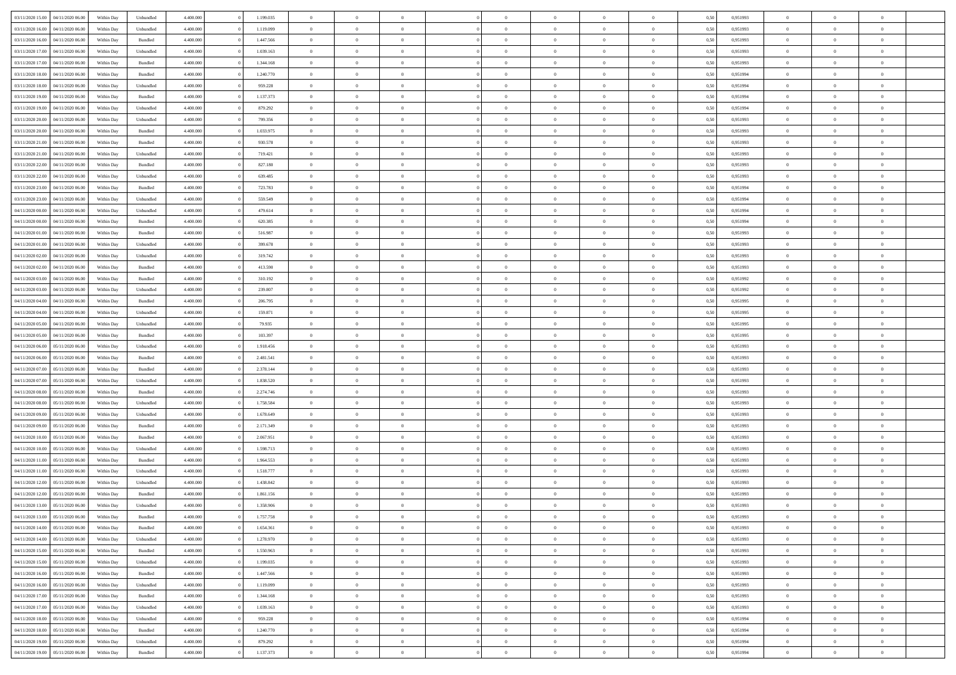| 03/11/2020 15:00 | 04/11/2020 06.00 | Within Day | Unbundled          | 4.400.000 | 1.199.035 | $\overline{0}$ | $\theta$       |                | $\Omega$       | $\Omega$       | $\overline{0}$ | $\theta$       | 0,50 | 0,951993 | $\theta$       | $\overline{0}$ | $\overline{0}$ |  |
|------------------|------------------|------------|--------------------|-----------|-----------|----------------|----------------|----------------|----------------|----------------|----------------|----------------|------|----------|----------------|----------------|----------------|--|
|                  |                  |            |                    |           |           |                |                |                |                |                |                |                |      |          |                |                |                |  |
| 03/11/2020 16:00 | 04/11/2020 06.00 | Within Day | Unbundled          | 4.400.000 | 1.119.099 | $\overline{0}$ | $\theta$       | $\overline{0}$ | $\overline{0}$ | $\bf{0}$       | $\overline{0}$ | $\bf{0}$       | 0,50 | 0,951993 | $\theta$       | $\overline{0}$ | $\overline{0}$ |  |
| 03/11/2020 16:00 | 04/11/2020 06.00 | Within Day | Bundled            | 4.400.000 | 1.447.566 | $\overline{0}$ | $\bf{0}$       | $\overline{0}$ | $\bf{0}$       | $\bf{0}$       | $\bf{0}$       | $\mathbf{0}$   | 0,50 | 0,951993 | $\bf{0}$       | $\overline{0}$ | $\overline{0}$ |  |
| 03/11/2020 17:00 | 04/11/2020 06.00 | Within Day | Unbundled          | 4.400.000 | 1.039.163 | $\overline{0}$ | $\overline{0}$ | $\overline{0}$ | $\overline{0}$ | $\bf{0}$       | $\overline{0}$ | $\overline{0}$ | 0.50 | 0.951993 | $\theta$       | $\overline{0}$ | $\overline{0}$ |  |
| 03/11/2020 17.00 | 04/11/2020 06.00 | Within Day | Bundled            | 4.400.000 | 1.344.168 | $\overline{0}$ | $\theta$       | $\overline{0}$ | $\overline{0}$ | $\bf{0}$       | $\overline{0}$ | $\bf{0}$       | 0,50 | 0,951993 | $\,$ 0 $\,$    | $\overline{0}$ | $\overline{0}$ |  |
| 03/11/2020 18:00 | 04/11/2020 06.00 | Within Day | Bundled            | 4.400.000 | 1.240.770 | $\overline{0}$ | $\overline{0}$ | $\overline{0}$ | $\bf{0}$       | $\overline{0}$ | $\overline{0}$ | $\mathbf{0}$   | 0,50 | 0,951994 | $\bf{0}$       | $\overline{0}$ | $\bf{0}$       |  |
| 03/11/2020 18:00 | 04/11/2020 06.00 | Within Dav | Unbundled          | 4.400.000 | 959.228   | $\overline{0}$ | $\overline{0}$ | $\overline{0}$ | $\overline{0}$ | $\overline{0}$ | $\overline{0}$ | $\overline{0}$ | 0.50 | 0,951994 | $\theta$       | $\overline{0}$ | $\overline{0}$ |  |
|                  |                  |            |                    |           |           |                |                |                |                |                |                |                |      |          |                |                |                |  |
| 03/11/2020 19:00 | 04/11/2020 06.00 | Within Day | Bundled            | 4.400.000 | 1.137.373 | $\overline{0}$ | $\theta$       | $\overline{0}$ | $\overline{0}$ | $\bf{0}$       | $\overline{0}$ | $\bf{0}$       | 0,50 | 0,951994 | $\theta$       | $\theta$       | $\overline{0}$ |  |
| 03/11/2020 19:00 | 04/11/2020 06.00 | Within Day | Unbundled          | 4.400.000 | 879.292   | $\overline{0}$ | $\overline{0}$ | $\overline{0}$ | $\bf{0}$       | $\bf{0}$       | $\bf{0}$       | $\mathbf{0}$   | 0,50 | 0,951994 | $\,0\,$        | $\overline{0}$ | $\overline{0}$ |  |
| 03/11/2020 20.00 | 04/11/2020 06.00 | Within Dav | Unbundled          | 4.400.000 | 799.356   | $\overline{0}$ | $\overline{0}$ | $\overline{0}$ | $\overline{0}$ | $\overline{0}$ | $\overline{0}$ | $\overline{0}$ | 0.50 | 0.951993 | $\theta$       | $\overline{0}$ | $\overline{0}$ |  |
| 03/11/2020 20.00 | 04/11/2020 06.00 | Within Day | Bundled            | 4.400.000 | 1.033.975 | $\overline{0}$ | $\theta$       | $\overline{0}$ | $\overline{0}$ | $\bf{0}$       | $\overline{0}$ | $\bf{0}$       | 0,50 | 0,951993 | $\,$ 0 $\,$    | $\overline{0}$ | $\overline{0}$ |  |
| 03/11/2020 21.00 | 04/11/2020 06.00 | Within Day | Bundled            | 4.400.000 | 930.578   | $\overline{0}$ | $\overline{0}$ | $\overline{0}$ | $\bf{0}$       | $\bf{0}$       | $\bf{0}$       | $\mathbf{0}$   | 0,50 | 0,951993 | $\overline{0}$ | $\overline{0}$ | $\bf{0}$       |  |
| 03/11/2020 21:00 | 04/11/2020 06.00 | Within Day | Unbundled          | 4.400.000 | 719.421   | $\overline{0}$ | $\overline{0}$ | $\overline{0}$ | $\overline{0}$ | $\overline{0}$ | $\overline{0}$ | $\overline{0}$ | 0.50 | 0.951993 | $\theta$       | $\theta$       | $\overline{0}$ |  |
| 03/11/2020 22.00 | 04/11/2020 06.00 | Within Day | Bundled            | 4.400.000 | 827.180   | $\overline{0}$ | $\theta$       | $\overline{0}$ | $\overline{0}$ | $\bf{0}$       | $\overline{0}$ | $\bf{0}$       | 0,50 | 0,951993 | $\theta$       | $\overline{0}$ | $\overline{0}$ |  |
|                  |                  |            |                    |           |           |                |                |                |                |                |                |                |      |          |                |                |                |  |
| 03/11/2020 22.00 | 04/11/2020 06.00 | Within Day | Unbundled          | 4.400.000 | 639.485   | $\overline{0}$ | $\overline{0}$ | $\overline{0}$ | $\bf{0}$       | $\overline{0}$ | $\overline{0}$ | $\mathbf{0}$   | 0,50 | 0,951993 | $\overline{0}$ | $\overline{0}$ | $\bf{0}$       |  |
| 03/11/2020 23.00 | 04/11/2020 06.00 | Within Dav | Bundled            | 4.400.000 | 723.783   | $\overline{0}$ | $\overline{0}$ | $\overline{0}$ | $\overline{0}$ | $\overline{0}$ | $\overline{0}$ | $\overline{0}$ | 0.50 | 0,951994 | $\theta$       | $\overline{0}$ | $\overline{0}$ |  |
| 03/11/2020 23.00 | 04/11/2020 06.00 | Within Day | Unbundled          | 4.400.000 | 559.549   | $\overline{0}$ | $\theta$       | $\overline{0}$ | $\overline{0}$ | $\bf{0}$       | $\overline{0}$ | $\bf{0}$       | 0,50 | 0,951994 | $\,$ 0 $\,$    | $\overline{0}$ | $\overline{0}$ |  |
| 04/11/2020 00.00 | 04/11/2020 06.00 | Within Day | Unbundled          | 4.400.000 | 479.614   | $\overline{0}$ | $\overline{0}$ | $\overline{0}$ | $\bf{0}$       | $\bf{0}$       | $\bf{0}$       | $\mathbf{0}$   | 0,50 | 0,951994 | $\bf{0}$       | $\overline{0}$ | $\overline{0}$ |  |
| 04/11/2020 00.00 | 04/11/2020 06.00 | Within Day | Bundled            | 4.400.000 | 620.385   | $\overline{0}$ | $\overline{0}$ | $\overline{0}$ | $\overline{0}$ | $\overline{0}$ | $\overline{0}$ | $\overline{0}$ | 0.50 | 0,951994 | $\theta$       | $\overline{0}$ | $\overline{0}$ |  |
| 04/11/2020 01.00 | 04/11/2020 06.00 | Within Day | Bundled            | 4.400.000 | 516.987   | $\overline{0}$ | $\theta$       | $\overline{0}$ | $\overline{0}$ | $\bf{0}$       | $\overline{0}$ | $\bf{0}$       | 0,50 | 0,951993 | $\,$ 0 $\,$    | $\overline{0}$ | $\overline{0}$ |  |
| 04/11/2020 01.00 | 04/11/2020 06.00 | Within Day | Unbundled          | 4.400.000 | 399.678   | $\overline{0}$ | $\overline{0}$ | $\overline{0}$ | $\bf{0}$       | $\bf{0}$       | $\bf{0}$       | $\mathbf{0}$   | 0,50 | 0,951993 | $\overline{0}$ | $\overline{0}$ | $\bf{0}$       |  |
| 04/11/2020 02.00 | 04/11/2020 06.00 | Within Day | Unbundled          | 4.400.000 | 319.742   | $\overline{0}$ | $\overline{0}$ | $\overline{0}$ | $\overline{0}$ | $\overline{0}$ | $\overline{0}$ | $\overline{0}$ | 0.50 | 0.951993 | $\theta$       | $\overline{0}$ | $\overline{0}$ |  |
|                  |                  |            |                    |           |           |                |                |                |                |                |                |                |      |          |                |                |                |  |
| 04/11/2020 02.00 | 04/11/2020 06.00 | Within Day | Bundled            | 4.400.000 | 413.590   | $\overline{0}$ | $\theta$       | $\overline{0}$ | $\overline{0}$ | $\bf{0}$       | $\overline{0}$ | $\bf{0}$       | 0,50 | 0,951993 | $\,$ 0 $\,$    | $\overline{0}$ | $\overline{0}$ |  |
| 04/11/2020 03.00 | 04/11/2020 06.00 | Within Day | Bundled            | 4.400.000 | 310.192   | $\overline{0}$ | $\overline{0}$ | $\overline{0}$ | $\bf{0}$       | $\overline{0}$ | $\overline{0}$ | $\mathbf{0}$   | 0,50 | 0,951992 | $\overline{0}$ | $\overline{0}$ | $\bf{0}$       |  |
| 04/11/2020 03:00 | 04/11/2020 06.00 | Within Day | Unbundled          | 4.400.000 | 239.807   | $\overline{0}$ | $\overline{0}$ | $\overline{0}$ | $\overline{0}$ | $\overline{0}$ | $\overline{0}$ | $\overline{0}$ | 0.50 | 0.951992 | $\overline{0}$ | $\overline{0}$ | $\overline{0}$ |  |
| 04/11/2020 04.00 | 04/11/2020 06.00 | Within Day | Bundled            | 4.400.000 | 206.795   | $\overline{0}$ | $\theta$       | $\overline{0}$ | $\overline{0}$ | $\bf{0}$       | $\overline{0}$ | $\bf{0}$       | 0,50 | 0,951995 | $\,$ 0 $\,$    | $\overline{0}$ | $\overline{0}$ |  |
| 04/11/2020 04:00 | 04/11/2020 06.00 | Within Day | Unbundled          | 4.400.000 | 159.871   | $\overline{0}$ | $\overline{0}$ | $\overline{0}$ | $\bf{0}$       | $\bf{0}$       | $\bf{0}$       | $\mathbf{0}$   | 0,50 | 0,951995 | $\,0\,$        | $\overline{0}$ | $\overline{0}$ |  |
| 04/11/2020 05.00 | 04/11/2020 06.00 | Within Day | Unbundled          | 4.400.000 | 79.935    | $\overline{0}$ | $\overline{0}$ | $\overline{0}$ | $\overline{0}$ | $\overline{0}$ | $\overline{0}$ | $\overline{0}$ | 0.50 | 0.951995 | $\theta$       | $\overline{0}$ | $\overline{0}$ |  |
| 04/11/2020 05.00 | 04/11/2020 06.00 | Within Day | Bundled            | 4.400.000 | 103.397   | $\overline{0}$ | $\overline{0}$ | $\overline{0}$ | $\overline{0}$ | $\,$ 0         | $\overline{0}$ | $\bf{0}$       | 0,50 | 0,951995 | $\,0\,$        | $\overline{0}$ | $\overline{0}$ |  |
|                  |                  |            |                    |           |           |                |                |                |                |                |                |                |      |          |                |                |                |  |
| 04/11/2020 06.00 | 05/11/2020 06.00 | Within Day | Unbundled          | 4.400.000 | 1.918.456 | $\overline{0}$ | $\overline{0}$ | $\overline{0}$ | $\bf{0}$       | $\bf{0}$       | $\bf{0}$       | $\bf{0}$       | 0,50 | 0,951993 | $\overline{0}$ | $\overline{0}$ | $\bf{0}$       |  |
| 04/11/2020 06.00 | 05/11/2020 06.00 | Within Day | Bundled            | 4.400,000 | 2.481.541 | $\overline{0}$ | $\theta$       | $\overline{0}$ | $\Omega$       | $\Omega$       | $\overline{0}$ | $\overline{0}$ | 0,50 | 0,951993 | $\,0\,$        | $\theta$       | $\theta$       |  |
| 04/11/2020 07.00 | 05/11/2020 06.00 | Within Day | Bundled            | 4.400.000 | 2.378.144 | $\overline{0}$ | $\theta$       | $\overline{0}$ | $\overline{0}$ | $\bf{0}$       | $\overline{0}$ | $\bf{0}$       | 0,50 | 0,951993 | $\,$ 0 $\,$    | $\overline{0}$ | $\overline{0}$ |  |
| 04/11/2020 07.00 | 05/11/2020 06.00 | Within Day | Unbundled          | 4.400.000 | 1.838.520 | $\overline{0}$ | $\overline{0}$ | $\overline{0}$ | $\bf{0}$       | $\overline{0}$ | $\overline{0}$ | $\mathbf{0}$   | 0,50 | 0,951993 | $\overline{0}$ | $\overline{0}$ | $\bf{0}$       |  |
| 04/11/2020 08:00 | 05/11/2020 06.00 | Within Day | Bundled            | 4.400,000 | 2.274.746 | $\overline{0}$ | $\overline{0}$ | $\overline{0}$ | $\Omega$       | $\overline{0}$ | $\overline{0}$ | $\overline{0}$ | 0.50 | 0,951993 | $\,0\,$        | $\theta$       | $\theta$       |  |
| 04/11/2020 08.00 | 05/11/2020 06.00 | Within Day | Unbundled          | 4.400.000 | 1.758.584 | $\overline{0}$ | $\theta$       | $\overline{0}$ | $\overline{0}$ | $\,$ 0         | $\overline{0}$ | $\bf{0}$       | 0,50 | 0,951993 | $\,$ 0 $\,$    | $\overline{0}$ | $\overline{0}$ |  |
| 04/11/2020 09:00 | 05/11/2020 06.00 | Within Day | Unbundled          | 4.400.000 | 1.678.649 | $\overline{0}$ | $\overline{0}$ | $\overline{0}$ | $\bf{0}$       | $\bf{0}$       | $\bf{0}$       | $\mathbf{0}$   | 0,50 | 0,951993 | $\bf{0}$       | $\overline{0}$ | $\bf{0}$       |  |
| 04/11/2020 09:00 | 05/11/2020 06:00 | Within Day | Bundled            | 4.400,000 | 2.171.349 | $\overline{0}$ | $\overline{0}$ | $\overline{0}$ | $\Omega$       | $\overline{0}$ | $\overline{0}$ | $\overline{0}$ | 0.50 | 0,951993 | $\,$ 0 $\,$    | $\theta$       | $\theta$       |  |
| 04/11/2020 10:00 | 05/11/2020 06.00 | Within Day | Bundled            | 4.400.000 | 2.067.951 | $\overline{0}$ | $\,$ 0         | $\overline{0}$ | $\overline{0}$ | $\,$ 0         | $\overline{0}$ | $\bf{0}$       | 0,50 | 0,951993 | $\,$ 0 $\,$    | $\overline{0}$ | $\overline{0}$ |  |
|                  |                  |            |                    |           |           |                |                |                |                |                |                |                |      |          |                |                |                |  |
| 04/11/2020 10.00 | 05/11/2020 06.00 | Within Day | Unbundled          | 4.400.000 | 1.598.713 | $\overline{0}$ | $\overline{0}$ | $\overline{0}$ | $\bf{0}$       | $\bf{0}$       | $\bf{0}$       | $\mathbf{0}$   | 0,50 | 0,951993 | $\overline{0}$ | $\overline{0}$ | $\bf{0}$       |  |
| 04/11/2020 11:00 | 05/11/2020 06.00 | Within Day | $\mathbf B$ undled | 4.400,000 | 1.964.553 | $\overline{0}$ | $\Omega$       | $\overline{0}$ | $\Omega$       | $\overline{0}$ | $\overline{0}$ | $\overline{0}$ | 0,50 | 0,951993 | $\,0\,$        | $\theta$       | $\overline{0}$ |  |
| 04/11/2020 11:00 | 05/11/2020 06.00 | Within Day | Unbundled          | 4.400.000 | 1.518.777 | $\overline{0}$ | $\overline{0}$ | $\overline{0}$ | $\overline{0}$ | $\,$ 0         | $\overline{0}$ | $\bf{0}$       | 0,50 | 0,951993 | $\,$ 0 $\,$    | $\overline{0}$ | $\overline{0}$ |  |
| 04/11/2020 12.00 | 05/11/2020 06.00 | Within Day | Unbundled          | 4.400.000 | 1.438.842 | $\overline{0}$ | $\overline{0}$ | $\overline{0}$ | $\bf{0}$       | $\bf{0}$       | $\overline{0}$ | $\mathbf{0}$   | 0,50 | 0,951993 | $\overline{0}$ | $\overline{0}$ | $\bf{0}$       |  |
| 04/11/2020 12:00 | 05/11/2020 06.00 | Within Day | Bundled            | 4.400,000 | 1.861.156 | $\overline{0}$ | $\Omega$       | $\Omega$       | $\Omega$       | $\Omega$       | $\overline{0}$ | $\overline{0}$ | 0.50 | 0.951993 | $\theta$       | $\theta$       | $\overline{0}$ |  |
| 04/11/2020 13.00 | 05/11/2020 06.00 | Within Day | Unbundled          | 4.400.000 | 1.358.906 | $\overline{0}$ | $\overline{0}$ | $\overline{0}$ | $\bf{0}$       | $\,$ 0         | $\bf{0}$       | $\bf{0}$       | 0,50 | 0,951993 | $\,0\,$        | $\,$ 0 $\,$    | $\overline{0}$ |  |
| 04/11/2020 13:00 | 05/11/2020 06.00 | Within Day | $\mathbf B$ undled | 4.400.000 | 1.757.758 | $\overline{0}$ | $\bf{0}$       |                |                | $\bf{0}$       |                |                | 0,50 | 0,951993 | $\bf{0}$       | $\overline{0}$ |                |  |
| 04/11/2020 14:00 | 05/11/2020 06:00 | Within Day | Bundled            | 4.400.000 | 1.654.361 | $\overline{0}$ | $\overline{0}$ | $\overline{0}$ | $\Omega$       | $\overline{0}$ | $\overline{0}$ | $\overline{0}$ | 0,50 | 0.951993 | $\theta$       | $\theta$       | $\theta$       |  |
|                  |                  |            |                    |           |           |                |                |                |                |                |                |                |      |          |                |                |                |  |
| 04/11/2020 14:00 | 05/11/2020 06.00 | Within Day | Unbundled          | 4.400.000 | 1.278.970 | $\overline{0}$ | $\,$ 0         | $\overline{0}$ | $\bf{0}$       | $\,$ 0 $\,$    | $\overline{0}$ | $\mathbf{0}$   | 0,50 | 0,951993 | $\,$ 0 $\,$    | $\,$ 0 $\,$    | $\,$ 0         |  |
| 04/11/2020 15:00 | 05/11/2020 06.00 | Within Day | Bundled            | 4.400.000 | 1.550.963 | $\overline{0}$ | $\overline{0}$ | $\overline{0}$ | $\overline{0}$ | $\overline{0}$ | $\overline{0}$ | $\mathbf{0}$   | 0,50 | 0,951993 | $\overline{0}$ | $\bf{0}$       | $\bf{0}$       |  |
| 04/11/2020 15:00 | 05/11/2020 06.00 | Within Day | Unbundled          | 4.400,000 | 1.199.035 | $\overline{0}$ | $\overline{0}$ | $\overline{0}$ | $\Omega$       | $\overline{0}$ | $\overline{0}$ | $\overline{0}$ | 0,50 | 0,951993 | $\overline{0}$ | $\theta$       | $\overline{0}$ |  |
| 04/11/2020 16.00 | 05/11/2020 06.00 | Within Day | Bundled            | 4.400.000 | 1.447.566 | $\overline{0}$ | $\,$ 0         | $\overline{0}$ | $\overline{0}$ | $\,$ 0 $\,$    | $\overline{0}$ | $\mathbf{0}$   | 0,50 | 0,951993 | $\,$ 0 $\,$    | $\overline{0}$ | $\overline{0}$ |  |
| 04/11/2020 16.00 | 05/11/2020 06.00 | Within Day | Unbundled          | 4.400.000 | 1.119.099 | $\overline{0}$ | $\overline{0}$ | $\overline{0}$ | $\overline{0}$ | $\overline{0}$ | $\overline{0}$ | $\mathbf{0}$   | 0,50 | 0,951993 | $\overline{0}$ | $\overline{0}$ | $\bf{0}$       |  |
| 04/11/2020 17.00 | 05/11/2020 06.00 | Within Day | Bundled            | 4.400,000 | 1.344.168 | $\overline{0}$ | $\overline{0}$ | $\overline{0}$ | $\Omega$       | $\overline{0}$ | $\overline{0}$ | $\bf{0}$       | 0.50 | 0,951993 | $\overline{0}$ | $\theta$       | $\overline{0}$ |  |
| 04/11/2020 17.00 | 05/11/2020 06.00 | Within Day | Unbundled          | 4.400.000 | 1.039.163 | $\overline{0}$ | $\,$ 0         | $\overline{0}$ | $\bf{0}$       | $\bf{0}$       | $\bf{0}$       | $\bf{0}$       | 0,50 | 0,951993 | $\,$ 0 $\,$    | $\overline{0}$ | $\overline{0}$ |  |
| 04/11/2020 18.00 | 05/11/2020 06.00 | Within Day | Unbundled          | 4.400.000 | 959.228   | $\overline{0}$ | $\bf{0}$       | $\overline{0}$ | $\overline{0}$ | $\overline{0}$ | $\overline{0}$ | $\mathbf{0}$   | 0,50 | 0,951994 | $\overline{0}$ | $\overline{0}$ | $\bf{0}$       |  |
|                  |                  |            |                    | 4.400,000 |           | $\overline{0}$ | $\overline{0}$ | $\overline{0}$ | $\Omega$       | $\overline{0}$ | $\overline{0}$ |                |      |          |                | $\overline{0}$ | $\overline{0}$ |  |
| 04/11/2020 18.00 | 05/11/2020 06.00 | Within Day | Bundled            |           | 1.240.770 |                |                |                |                |                |                | $\overline{0}$ | 0.50 | 0,951994 | $\overline{0}$ |                |                |  |
| 04/11/2020 19.00 | 05/11/2020 06.00 | Within Day | Unbundled          | 4.400.000 | 879.292   | $\overline{0}$ | $\bf{0}$       | $\overline{0}$ | $\overline{0}$ | $\bf{0}$       | $\bf{0}$       | $\bf{0}$       | 0,50 | 0,951994 | $\,$ 0 $\,$    | $\,$ 0 $\,$    | $\bf{0}$       |  |
| 04/11/2020 19:00 | 05/11/2020 06.00 | Within Day | Bundled            | 4.400.000 | 1.137.373 | $\overline{0}$ | $\bf{0}$       | $\overline{0}$ | $\bf{0}$       | $\bf{0}$       | $\bf{0}$       | $\bf{0}$       | 0,50 | 0,951994 | $\overline{0}$ | $\overline{0}$ | $\bf{0}$       |  |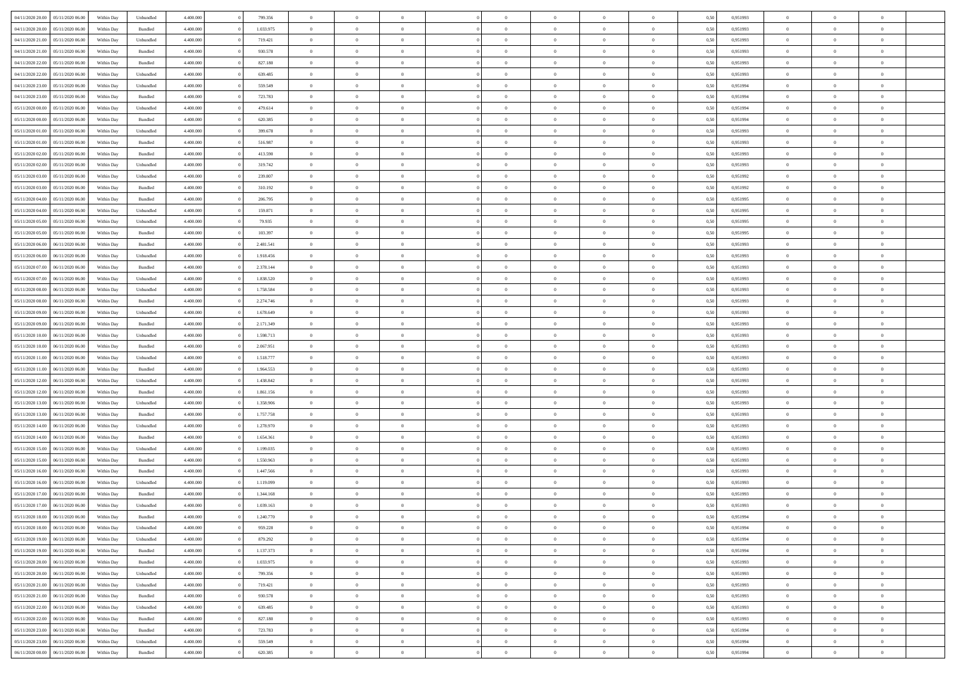| 04/11/2020 20.00 05/11/2020 06.00    | Within Day | Unbundled          | 4.400.000 | 799.356   | $\overline{0}$ | $\overline{0}$ | $\Omega$       | $\Omega$       | $\Omega$       |                | $\overline{0}$ | 0,50 | 0,951993 | $\mathbf{0}$   | $\Omega$       | $\Omega$       |  |
|--------------------------------------|------------|--------------------|-----------|-----------|----------------|----------------|----------------|----------------|----------------|----------------|----------------|------|----------|----------------|----------------|----------------|--|
| 04/11/2020 20:00<br>05/11/2020 06.00 | Within Day | $\mathbf B$ undled | 4.400.000 | 1.033.975 | $\bf{0}$       | $\overline{0}$ | $\overline{0}$ | $\theta$       | $\overline{0}$ | $\overline{0}$ | $\,$ 0         | 0,50 | 0,951993 | $\mathbf{0}$   | $\theta$       | $\bf{0}$       |  |
| 04/11/2020 21:00<br>05/11/2020 06:00 | Within Day | Unbundled          | 4.400.000 | 719.421   | $\overline{0}$ | $\overline{0}$ | $\overline{0}$ | $\bf{0}$       | $\bf{0}$       | $\overline{0}$ | $\mathbf{0}$   | 0,50 | 0,951993 | $\bf{0}$       | $\bf{0}$       | $\bf{0}$       |  |
| 04/11/2020 21.00<br>05/11/2020 06:00 | Within Day | Bundled            | 4.400.000 | 930.578   | $\overline{0}$ | $\overline{0}$ | $\overline{0}$ | $\overline{0}$ | $\overline{0}$ | $\overline{0}$ | $\overline{0}$ | 0.50 | 0.951993 | $\mathbf{0}$   | $\overline{0}$ | $\bf{0}$       |  |
| 04/11/2020 22.00<br>05/11/2020 06.00 | Within Day | Bundled            | 4.400.000 | 827.180   | $\bf{0}$       | $\overline{0}$ | $\overline{0}$ | $\theta$       | $\overline{0}$ | $\overline{0}$ | $\bf{0}$       | 0,50 | 0,951993 | $\theta$       | $\theta$       | $\overline{0}$ |  |
| 04/11/2020 22.00<br>05/11/2020 06:00 | Within Day | Unbundled          | 4.400.000 | 639.485   | $\overline{0}$ | $\overline{0}$ | $\overline{0}$ | $\bf{0}$       | $\overline{0}$ | $\overline{0}$ | $\overline{0}$ | 0,50 | 0,951993 | $\overline{0}$ | $\overline{0}$ | $\overline{0}$ |  |
| 04/11/2020 23:00<br>05/11/2020 06:00 | Within Day | Unbundled          | 4.400.000 | 559.549   | $\overline{0}$ | $\overline{0}$ | $\overline{0}$ | $\overline{0}$ | $\overline{0}$ | $\overline{0}$ | $\overline{0}$ | 0.50 | 0.951994 | $\mathbf{0}$   | $\overline{0}$ | $\overline{0}$ |  |
|                                      |            |                    |           |           |                |                |                |                |                |                |                |      |          |                |                |                |  |
| 04/11/2020 23.00<br>05/11/2020 06.00 | Within Day | Bundled            | 4.400.000 | 723.783   | $\bf{0}$       | $\overline{0}$ | $\overline{0}$ | $\theta$       | $\overline{0}$ | $\overline{0}$ | $\,$ 0         | 0,50 | 0,951994 | $\theta$       | $\theta$       | $\bf{0}$       |  |
| 05/11/2020 00:00<br>05/11/2020 06.00 | Within Day | Unbundled          | 4.400.000 | 479.614   | $\overline{0}$ | $\overline{0}$ | $\bf{0}$       | $\bf{0}$       | $\bf{0}$       | $\overline{0}$ | $\mathbf{0}$   | 0,50 | 0,951994 | $\bf{0}$       | $\bf{0}$       | $\bf{0}$       |  |
| 05/11/2020 00:00<br>05/11/2020 06:00 | Within Day | Bundled            | 4.400.000 | 620.385   | $\overline{0}$ | $\overline{0}$ | $\overline{0}$ | $\overline{0}$ | $\overline{0}$ | $\overline{0}$ | $\overline{0}$ | 0.50 | 0,951994 | $\overline{0}$ | $\overline{0}$ | $\overline{0}$ |  |
| 05/11/2020 01:00<br>05/11/2020 06:00 | Within Day | Unbundled          | 4.400.000 | 399.678   | $\bf{0}$       | $\overline{0}$ | $\overline{0}$ | $\overline{0}$ | $\overline{0}$ | $\overline{0}$ | $\,$ 0         | 0,50 | 0,951993 | $\theta$       | $\theta$       | $\bf{0}$       |  |
| 05/11/2020 01:00<br>05/11/2020 06:00 | Within Day | Bundled            | 4.400.000 | 516.987   | $\overline{0}$ | $\overline{0}$ | $\overline{0}$ | $\bf{0}$       | $\bf{0}$       | $\overline{0}$ | $\mathbf{0}$   | 0,50 | 0,951993 | $\bf{0}$       | $\bf{0}$       | $\bf{0}$       |  |
| 05/11/2020 02:00<br>05/11/2020 06:00 | Within Day | Bundled            | 4.400.000 | 413.590   | $\overline{0}$ | $\overline{0}$ | $\overline{0}$ | $\overline{0}$ | $\overline{0}$ | $\overline{0}$ | $\overline{0}$ | 0.50 | 0.951993 | $\mathbf{0}$   | $\overline{0}$ | $\bf{0}$       |  |
| 05/11/2020 02.00<br>05/11/2020 06.00 | Within Day | Unbundled          | 4.400.000 | 319.742   | $\bf{0}$       | $\overline{0}$ | $\overline{0}$ | $\theta$       | $\overline{0}$ | $\overline{0}$ | $\,$ 0         | 0,50 | 0,951993 | $\theta$       | $\theta$       | $\bf{0}$       |  |
| 05/11/2020 03:00<br>05/11/2020 06:00 | Within Day | Unbundled          | 4.400.000 | 239.807   | $\overline{0}$ | $\overline{0}$ | $\overline{0}$ | $\bf{0}$       | $\overline{0}$ | $\overline{0}$ | $\overline{0}$ | 0,50 | 0,951992 | $\overline{0}$ | $\overline{0}$ | $\overline{0}$ |  |
| 05/11/2020 03:00<br>05/11/2020 06:00 | Within Day | Bundled            | 4.400.000 | 310.192   | $\overline{0}$ | $\overline{0}$ | $\overline{0}$ | $\overline{0}$ | $\overline{0}$ | $\overline{0}$ | $\overline{0}$ | 0.50 | 0,951992 | $\overline{0}$ | $\overline{0}$ | $\overline{0}$ |  |
| 05/11/2020 04:00<br>05/11/2020 06.00 | Within Day | Bundled            | 4.400.000 | 206.795   | $\bf{0}$       | $\overline{0}$ | $\overline{0}$ | $\overline{0}$ | $\overline{0}$ | $\overline{0}$ | $\bf{0}$       | 0,50 | 0,951995 | $\theta$       | $\theta$       | $\bf{0}$       |  |
|                                      |            |                    |           |           |                |                |                |                |                |                |                |      |          |                |                |                |  |
| 05/11/2020 04:00<br>05/11/2020 06.00 | Within Day | Unbundled          | 4.400.000 | 159.871   | $\overline{0}$ | $\overline{0}$ | $\bf{0}$       | $\bf{0}$       | $\bf{0}$       | $\overline{0}$ | $\mathbf{0}$   | 0,50 | 0,951995 | $\bf{0}$       | $\bf{0}$       | $\bf{0}$       |  |
| 05/11/2020 05:00<br>05/11/2020 06:00 | Within Day | Unbundled          | 4.400.000 | 79.935    | $\overline{0}$ | $\overline{0}$ | $\overline{0}$ | $\overline{0}$ | $\overline{0}$ | $\overline{0}$ | $\overline{0}$ | 0.50 | 0.951995 | $\overline{0}$ | $\overline{0}$ | $\overline{0}$ |  |
| 05/11/2020 05:00<br>05/11/2020 06.00 | Within Day | Bundled            | 4.400.000 | 103.397   | $\bf{0}$       | $\overline{0}$ | $\overline{0}$ | $\overline{0}$ | $\overline{0}$ | $\overline{0}$ | $\,$ 0         | 0,50 | 0,951995 | $\theta$       | $\theta$       | $\bf{0}$       |  |
| 05/11/2020 06.00<br>06/11/2020 06.00 | Within Day | Bundled            | 4.400.000 | 2.481.541 | $\overline{0}$ | $\overline{0}$ | $\overline{0}$ | $\bf{0}$       | $\bf{0}$       | $\overline{0}$ | $\mathbf{0}$   | 0,50 | 0,951993 | $\bf{0}$       | $\bf{0}$       | $\bf{0}$       |  |
| 05/11/2020 06:00<br>06/11/2020 06:00 | Within Day | Unbundled          | 4.400.000 | 1.918.456 | $\overline{0}$ | $\overline{0}$ | $\overline{0}$ | $\overline{0}$ | $\overline{0}$ | $\overline{0}$ | $\overline{0}$ | 0.50 | 0.951993 | $\overline{0}$ | $\overline{0}$ | $\bf{0}$       |  |
| 05/11/2020 07:00<br>06/11/2020 06.00 | Within Day | Bundled            | 4.400.000 | 2.378.144 | $\bf{0}$       | $\overline{0}$ | $\overline{0}$ | $\overline{0}$ | $\overline{0}$ | $\overline{0}$ | $\,$ 0         | 0,50 | 0,951993 | $\mathbf{0}$   | $\theta$       | $\bf{0}$       |  |
| 05/11/2020 07:00<br>06/11/2020 06.00 | Within Day | Unbundled          | 4.400.000 | 1.838.520 | $\overline{0}$ | $\overline{0}$ | $\overline{0}$ | $\bf{0}$       | $\overline{0}$ | $\overline{0}$ | $\overline{0}$ | 0,50 | 0,951993 | $\overline{0}$ | $\overline{0}$ | $\overline{0}$ |  |
| 05/11/2020 08:00<br>06/11/2020 06:00 | Within Day | Unbundled          | 4.400.000 | 1.758.584 | $\overline{0}$ | $\overline{0}$ | $\overline{0}$ | $\overline{0}$ | $\overline{0}$ | $\overline{0}$ | $\overline{0}$ | 0.50 | 0.951993 | $\overline{0}$ | $\overline{0}$ | $\overline{0}$ |  |
| 05/11/2020 08:00<br>06/11/2020 06.00 | Within Day | Bundled            | 4.400.000 | 2.274.746 | $\bf{0}$       | $\overline{0}$ | $\bf{0}$       | $\overline{0}$ | $\overline{0}$ | $\overline{0}$ | $\bf{0}$       | 0,50 | 0,951993 | $\theta$       | $\theta$       | $\bf{0}$       |  |
| 05/11/2020 09:00<br>06/11/2020 06.00 | Within Day | Unbundled          | 4.400.000 | 1.678.649 | $\overline{0}$ | $\overline{0}$ | $\bf{0}$       | $\bf{0}$       | $\bf{0}$       | $\overline{0}$ | $\bf{0}$       | 0,50 | 0,951993 | $\bf{0}$       | $\bf{0}$       | $\bf{0}$       |  |
| 05/11/2020 09:00<br>06/11/2020 06:00 | Within Day | Bundled            | 4.400.000 | 2.171.349 | $\overline{0}$ | $\overline{0}$ | $\overline{0}$ | $\overline{0}$ | $\overline{0}$ | $\overline{0}$ | $\overline{0}$ | 0.50 | 0,951993 | $\overline{0}$ | $\overline{0}$ | $\overline{0}$ |  |
|                                      |            |                    |           |           |                |                |                |                |                |                |                |      |          |                |                |                |  |
| 05/11/2020 10:00<br>06/11/2020 06.00 | Within Day | Unbundled          | 4.400.000 | 1.598.713 | $\bf{0}$       | $\overline{0}$ | $\overline{0}$ | $\overline{0}$ | $\overline{0}$ | $\overline{0}$ | $\,$ 0         | 0,50 | 0,951993 | $\theta$       | $\theta$       | $\bf{0}$       |  |
| 05/11/2020 10:00<br>06/11/2020 06.00 | Within Day | Bundled            | 4.400.000 | 2.067.951 | $\overline{0}$ | $\overline{0}$ | $\overline{0}$ | $\bf{0}$       | $\bf{0}$       | $\overline{0}$ | $\mathbf{0}$   | 0,50 | 0,951993 | $\overline{0}$ | $\bf{0}$       | $\bf{0}$       |  |
| 05/11/2020 11:00<br>06/11/2020 06.00 | Within Day | Unbundled          | 4.400.000 | 1.518.777 | $\overline{0}$ | $\overline{0}$ | $\overline{0}$ | $\overline{0}$ | $\overline{0}$ | $\Omega$       | $\overline{0}$ | 0,50 | 0,951993 | $\bf{0}$       | $\Omega$       | $\Omega$       |  |
| 05/11/2020 11:00<br>06/11/2020 06.00 | Within Day | Bundled            | 4.400.000 | 1.964.553 | $\bf{0}$       | $\overline{0}$ | $\overline{0}$ | $\theta$       | $\overline{0}$ | $\overline{0}$ | $\,$ 0         | 0,50 | 0,951993 | $\theta$       | $\theta$       | $\bf{0}$       |  |
| 05/11/2020 12:00<br>06/11/2020 06.00 | Within Day | Unbundled          | 4.400.000 | 1.438.842 | $\overline{0}$ | $\overline{0}$ | $\overline{0}$ | $\bf{0}$       | $\overline{0}$ | $\overline{0}$ | $\overline{0}$ | 0,50 | 0,951993 | $\overline{0}$ | $\overline{0}$ | $\overline{0}$ |  |
| 05/11/2020 12:00<br>06/11/2020 06.00 | Within Day | Bundled            | 4,400,000 | 1.861.156 | $\overline{0}$ | $\overline{0}$ | $\overline{0}$ | $\overline{0}$ | $\overline{0}$ | $\Omega$       | $\overline{0}$ | 0.50 | 0,951993 | $\overline{0}$ | $\Omega$       | $\Omega$       |  |
| 05/11/2020 13:00<br>06/11/2020 06.00 | Within Day | Unbundled          | 4.400.000 | 1.358.906 | $\bf{0}$       | $\overline{0}$ | $\bf{0}$       | $\overline{0}$ | $\overline{0}$ | $\overline{0}$ | $\bf{0}$       | 0,50 | 0,951993 | $\theta$       | $\theta$       | $\bf{0}$       |  |
| 05/11/2020 13:00<br>06/11/2020 06.00 | Within Day | Bundled            | 4.400.000 | 1.757.758 | $\overline{0}$ | $\overline{0}$ | $\bf{0}$       | $\bf{0}$       | $\bf{0}$       | $\overline{0}$ | $\bf{0}$       | 0,50 | 0,951993 | $\bf{0}$       | $\bf{0}$       | $\bf{0}$       |  |
| 05/11/2020 14:00<br>06/11/2020 06.00 | Within Day | Unbundled          | 4,400,000 | 1.278.970 | $\overline{0}$ | $\overline{0}$ | $\Omega$       | $\overline{0}$ | $\overline{0}$ | $\Omega$       | $\theta$       | 0.50 | 0,951993 | $\overline{0}$ | $\Omega$       | $\Omega$       |  |
| 05/11/2020 14:00<br>06/11/2020 06.00 | Within Day | Bundled            | 4.400.000 | 1.654.361 | $\bf{0}$       | $\overline{0}$ | $\bf{0}$       | $\overline{0}$ | $\overline{0}$ | $\overline{0}$ | $\,$ 0         | 0,50 | 0,951993 | $\theta$       | $\theta$       | $\bf{0}$       |  |
| 05/11/2020 15:00<br>06/11/2020 06.00 | Within Day | Unbundled          | 4.400.000 | 1.199.035 | $\overline{0}$ | $\overline{0}$ | $\overline{0}$ | $\bf{0}$       | $\bf{0}$       | $\overline{0}$ | $\mathbf{0}$   | 0,50 | 0,951993 | $\overline{0}$ | $\bf{0}$       | $\bf{0}$       |  |
| 05/11/2020 15:00<br>06/11/2020 06.00 |            | Bundled            | 4.400.000 | 1.550.963 | $\overline{0}$ | $\overline{0}$ | $\overline{0}$ | $\overline{0}$ | $\bf{0}$       | $\Omega$       | $\overline{0}$ | 0.50 | 0,951993 | $\bf{0}$       | $\theta$       | $\Omega$       |  |
|                                      | Within Day |                    |           |           |                |                |                |                |                |                |                |      |          |                |                |                |  |
| 05/11/2020 16:00<br>06/11/2020 06.00 | Within Day | Bundled            | 4.400.000 | 1.447.566 | $\bf{0}$       | $\overline{0}$ | $\bf{0}$       | $\overline{0}$ | $\overline{0}$ | $\overline{0}$ | $\,$ 0         | 0,50 | 0,951993 | $\,$ 0 $\,$    | $\theta$       | $\bf{0}$       |  |
| 05/11/2020 16:00<br>06/11/2020 06.00 | Within Day | Unbundled          | 4.400.000 | 1.119.099 | $\overline{0}$ | $\overline{0}$ | $\bf{0}$       | $\bf{0}$       | $\overline{0}$ | $\overline{0}$ | $\overline{0}$ | 0,50 | 0,951993 | $\overline{0}$ | $\bf{0}$       | $\bf{0}$       |  |
| 05/11/2020 17:00<br>06/11/2020 06.00 | Within Day | Bundled            | 4,400,000 | 1.344.168 | $\overline{0}$ | $\overline{0}$ | $\Omega$       | $\overline{0}$ | $\overline{0}$ | $\Omega$       | $\overline{0}$ | 0.50 | 0,951993 | $\bf{0}$       | $\Omega$       | $\overline{0}$ |  |
| 05/11/2020 17.00<br>06/11/2020 06:00 | Within Day | Unbundled          | 4.400.000 | 1.039.163 | $\bf{0}$       | $\overline{0}$ | $\bf{0}$       | $\bf{0}$       | $\bf{0}$       | $\overline{0}$ | $\,$ 0         | 0,50 | 0,951993 | $\bf{0}$       | $\,$ 0         | $\,$ 0         |  |
| 05/11/2020 18:00 06/11/2020 06:00    | Within Day | Bundled            | 4.400.000 | 1.240.770 | $\bf{0}$       | $\bf{0}$       |                | $\bf{0}$       |                |                |                | 0,50 | 0,951994 | $\bf{0}$       | $\bf{0}$       |                |  |
| 05/11/2020 18:00 06/11/2020 06:00    | Within Day | Unbundled          | 4.400.000 | 959.228   | $\overline{0}$ | $\overline{0}$ | $\theta$       | $\overline{0}$ | $\overline{0}$ | $\overline{0}$ | $\mathbf{0}$   | 0.50 | 0.951994 | $\overline{0}$ | $\overline{0}$ | $\overline{0}$ |  |
| 05/11/2020 19:00<br>06/11/2020 06:00 | Within Day | Unbundled          | 4.400.000 | 879.292   | $\overline{0}$ | $\overline{0}$ | $\overline{0}$ | $\bf{0}$       | $\overline{0}$ | $\overline{0}$ | $\mathbf{0}$   | 0,50 | 0,951994 | $\,$ 0 $\,$    | $\overline{0}$ | $\,$ 0 $\,$    |  |
| 05/11/2020 19:00   06/11/2020 06:00  | Within Day | Bundled            | 4.400.000 | 1.137.373 | $\overline{0}$ | $\overline{0}$ | $\overline{0}$ | $\bf{0}$       | $\overline{0}$ | $\overline{0}$ | $\overline{0}$ | 0,50 | 0,951994 | $\overline{0}$ | $\overline{0}$ | $\overline{0}$ |  |
| 05/11/2020 20:00<br>06/11/2020 06:00 | Within Day | Bundled            | 4.400.000 | 1.033.975 | $\overline{0}$ | $\overline{0}$ | $\overline{0}$ | $\overline{0}$ | $\bf{0}$       | $\overline{0}$ | $\overline{0}$ | 0,50 | 0,951993 | $\overline{0}$ | $\overline{0}$ | $\overline{0}$ |  |
| 05/11/2020 20:00<br>06/11/2020 06:00 | Within Day | Unbundled          | 4.400.000 | 799.356   | $\overline{0}$ | $\overline{0}$ | $\overline{0}$ | $\overline{0}$ | $\overline{0}$ | $\overline{0}$ | $\mathbf{0}$   | 0,50 | 0,951993 | $\,$ 0 $\,$    | $\theta$       | $\overline{0}$ |  |
| 05/11/2020 21:00   06/11/2020 06:00  | Within Day | Unbundled          | 4.400.000 | 719.421   | $\overline{0}$ | $\overline{0}$ | $\overline{0}$ | $\overline{0}$ | $\overline{0}$ | $\overline{0}$ | $\overline{0}$ | 0,50 | 0,951993 | $\overline{0}$ | $\overline{0}$ | $\overline{0}$ |  |
|                                      |            |                    |           |           |                |                |                |                |                |                |                |      |          |                |                |                |  |
| 05/11/2020 21.00<br>06/11/2020 06.00 | Within Day | Bundled            | 4.400.000 | 930.578   | $\overline{0}$ | $\overline{0}$ | $\overline{0}$ | $\overline{0}$ | $\overline{0}$ | $\overline{0}$ | $\overline{0}$ | 0.50 | 0,951993 | $\overline{0}$ | $\overline{0}$ | $\overline{0}$ |  |
| 05/11/2020 22.00<br>06/11/2020 06:00 | Within Day | Unbundled          | 4.400.000 | 639.485   | $\overline{0}$ | $\overline{0}$ | $\overline{0}$ | $\bf{0}$       | $\bf{0}$       | $\overline{0}$ | $\,$ 0 $\,$    | 0,50 | 0,951993 | $\,$ 0 $\,$    | $\theta$       | $\,$ 0         |  |
| 05/11/2020 22.00<br>06/11/2020 06.00 | Within Day | Bundled            | 4.400.000 | 827.180   | $\overline{0}$ | $\overline{0}$ | $\overline{0}$ | $\bf{0}$       | $\overline{0}$ | $\overline{0}$ | $\overline{0}$ | 0,50 | 0,951993 | $\bf{0}$       | $\bf{0}$       | $\overline{0}$ |  |
| 05/11/2020 23.00<br>06/11/2020 06:00 | Within Day | Bundled            | 4.400.000 | 723.783   | $\overline{0}$ | $\overline{0}$ | $\overline{0}$ | $\overline{0}$ | $\overline{0}$ | $\overline{0}$ | $\overline{0}$ | 0.50 | 0,951994 | $\overline{0}$ | $\overline{0}$ | $\overline{0}$ |  |
| 05/11/2020 23.00<br>06/11/2020 06:00 | Within Day | Unbundled          | 4.400.000 | 559.549   | $\overline{0}$ | $\overline{0}$ | $\overline{0}$ | $\bf{0}$       | $\bf{0}$       | $\bf{0}$       | $\,$ 0 $\,$    | 0,50 | 0,951994 | $\,$ 0 $\,$    | $\,0\,$        | $\,$ 0         |  |
| 06/11/2020 00:00   06/11/2020 06:00  | Within Day | Bundled            | 4.400.000 | 620.385   | $\overline{0}$ | $\overline{0}$ | $\overline{0}$ | $\bf{0}$       | $\bf{0}$       | $\overline{0}$ | $\bf{0}$       | 0,50 | 0,951994 | $\bf{0}$       | $\bf{0}$       | $\overline{0}$ |  |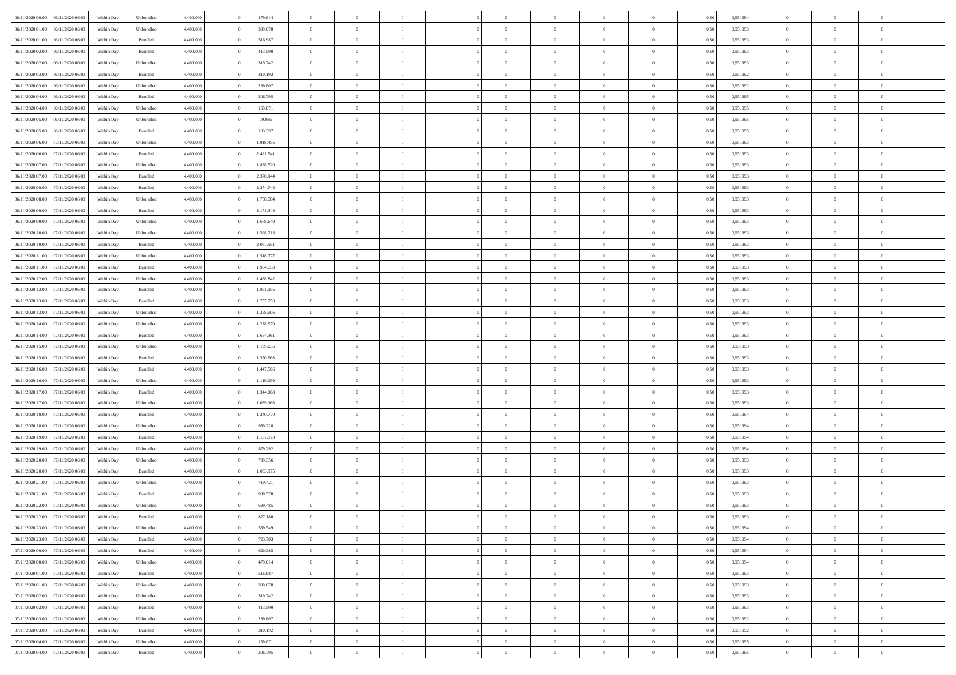| 06/11/2020 00:00<br>06/11/2020 06:00 | Within Dav | Unbundled | 4.400.000 | 479.614   | $\overline{0}$ | $\overline{0}$ | $\Omega$       | $\Omega$       | $\Omega$       | $\theta$       | $\overline{0}$ | 0,50 | 0,951994 | $\theta$       | $\Omega$       | $\theta$       |  |
|--------------------------------------|------------|-----------|-----------|-----------|----------------|----------------|----------------|----------------|----------------|----------------|----------------|------|----------|----------------|----------------|----------------|--|
| 06/11/2020 01.00<br>06/11/2020 06.00 | Within Day | Unbundled | 4.400.000 | 399.678   | $\overline{0}$ | $\overline{0}$ | $\overline{0}$ | $\theta$       | $\mathbf{0}$   | $\overline{0}$ | $\,$ 0 $\,$    | 0,50 | 0,951993 | $\theta$       | $\theta$       | $\overline{0}$ |  |
| 06/11/2020 01.00<br>06/11/2020 06.00 | Within Day | Bundled   | 4.400.000 | 516.987   | $\overline{0}$ | $\overline{0}$ | $\overline{0}$ | $\bf{0}$       | $\bf{0}$       | $\overline{0}$ | $\mathbf{0}$   | 0,50 | 0,951993 | $\bf{0}$       | $\overline{0}$ | $\overline{0}$ |  |
|                                      |            |           |           |           |                |                |                |                |                |                |                |      |          | $\theta$       |                |                |  |
| 06/11/2020 02.00<br>06/11/2020 06:00 | Within Dav | Bundled   | 4.400.000 | 413.590   | $\overline{0}$ | $\overline{0}$ | $\overline{0}$ | $\overline{0}$ | $\overline{0}$ | $\overline{0}$ | $\overline{0}$ | 0.50 | 0.951993 |                | $\theta$       | $\overline{0}$ |  |
| 06/11/2020 02.00<br>06/11/2020 06.00 | Within Day | Unbundled | 4.400.000 | 319.742   | $\overline{0}$ | $\overline{0}$ | $\overline{0}$ | $\theta$       | $\overline{0}$ | $\overline{0}$ | $\,$ 0 $\,$    | 0,50 | 0,951993 | $\theta$       | $\theta$       | $\overline{0}$ |  |
| 06/11/2020 03.00<br>06/11/2020 06.00 | Within Day | Bundled   | 4.400.000 | 310.192   | $\overline{0}$ | $\overline{0}$ | $\overline{0}$ | $\bf{0}$       | $\overline{0}$ | $\overline{0}$ | $\overline{0}$ | 0,50 | 0,951992 | $\bf{0}$       | $\overline{0}$ | $\bf{0}$       |  |
| 06/11/2020 03:00<br>06/11/2020 06:00 | Within Dav | Unbundled | 4.400.000 | 239.807   | $\overline{0}$ | $\overline{0}$ | $\overline{0}$ | $\overline{0}$ | $\overline{0}$ | $\overline{0}$ | $\overline{0}$ | 0.50 | 0.951992 | $\overline{0}$ | $\theta$       | $\overline{0}$ |  |
|                                      |            |           |           |           |                |                |                |                |                |                |                |      |          |                |                |                |  |
| 06/11/2020 04:00<br>06/11/2020 06.00 | Within Day | Bundled   | 4.400.000 | 206.795   | $\overline{0}$ | $\overline{0}$ | $\overline{0}$ | $\overline{0}$ | $\overline{0}$ | $\overline{0}$ | $\bf{0}$       | 0,50 | 0,951995 | $\theta$       | $\theta$       | $\overline{0}$ |  |
| 06/11/2020 04:00<br>06/11/2020 06.00 | Within Day | Unbundled | 4.400.000 | 159.871   | $\overline{0}$ | $\overline{0}$ | $\overline{0}$ | $\bf{0}$       | $\bf{0}$       | $\overline{0}$ | $\mathbf{0}$   | 0,50 | 0,951995 | $\,$ 0 $\,$    | $\bf{0}$       | $\overline{0}$ |  |
| 06/11/2020 05:00<br>06/11/2020 06.00 | Within Day | Unbundled | 4.400.000 | 79.935    | $\overline{0}$ | $\overline{0}$ | $\overline{0}$ | $\overline{0}$ | $\overline{0}$ | $\overline{0}$ | $\overline{0}$ | 0.50 | 0.951995 | $\overline{0}$ | $\theta$       | $\overline{0}$ |  |
| 06/11/2020 05.00<br>06/11/2020 06.00 | Within Day | Bundled   | 4.400.000 | 103.397   |                | $\overline{0}$ |                | $\overline{0}$ | $\overline{0}$ | $\overline{0}$ | $\,$ 0 $\,$    |      | 0,951995 | $\theta$       | $\theta$       | $\overline{0}$ |  |
|                                      |            |           |           |           | $\overline{0}$ |                | $\overline{0}$ |                |                |                |                | 0,50 |          |                |                |                |  |
| 06/11/2020 06.00<br>07/11/2020 06.00 | Within Day | Unbundled | 4.400.000 | 1.918.456 | $\overline{0}$ | $\overline{0}$ | $\overline{0}$ | $\bf{0}$       | $\bf{0}$       | $\overline{0}$ | $\mathbf{0}$   | 0,50 | 0,951993 | $\bf{0}$       | $\overline{0}$ | $\bf{0}$       |  |
| 06/11/2020 06:00<br>07/11/2020 06:00 | Within Day | Bundled   | 4.400.000 | 2.481.541 | $\overline{0}$ | $\overline{0}$ | $\overline{0}$ | $\overline{0}$ | $\overline{0}$ | $\overline{0}$ | $\overline{0}$ | 0.50 | 0.951993 | $\overline{0}$ | $\theta$       | $\overline{0}$ |  |
| 06/11/2020 07.00<br>07/11/2020 06.00 | Within Day | Unbundled | 4.400.000 | 1.838.520 | $\overline{0}$ | $\overline{0}$ | $\overline{0}$ | $\theta$       | $\overline{0}$ | $\overline{0}$ | $\,$ 0 $\,$    | 0,50 | 0,951993 | $\theta$       | $\theta$       | $\overline{0}$ |  |
|                                      |            |           |           |           |                |                |                |                |                |                |                |      |          |                |                |                |  |
| 06/11/2020 07.00<br>07/11/2020 06.00 | Within Day | Bundled   | 4.400.000 | 2.378.144 | $\overline{0}$ | $\overline{0}$ | $\overline{0}$ | $\bf{0}$       | $\overline{0}$ | $\overline{0}$ | $\mathbf{0}$   | 0,50 | 0,951993 | $\bf{0}$       | $\overline{0}$ | $\overline{0}$ |  |
| 06/11/2020 08.00<br>07/11/2020 06.00 | Within Day | Bundled   | 4.400.000 | 2.274.746 | $\overline{0}$ | $\overline{0}$ | $\overline{0}$ | $\overline{0}$ | $\overline{0}$ | $\overline{0}$ | $\overline{0}$ | 0.50 | 0,951993 | $\overline{0}$ | $\overline{0}$ | $\overline{0}$ |  |
| 06/11/2020 08:00<br>07/11/2020 06.00 | Within Day | Unbundled | 4.400.000 | 1.758.584 | $\overline{0}$ | $\overline{0}$ | $\overline{0}$ | $\overline{0}$ | $\overline{0}$ | $\overline{0}$ | $\bf{0}$       | 0,50 | 0,951993 | $\theta$       | $\theta$       | $\overline{0}$ |  |
| 06/11/2020 09:00<br>07/11/2020 06.00 | Within Day | Bundled   | 4.400.000 | 2.171.349 | $\overline{0}$ | $\overline{0}$ | $\overline{0}$ | $\bf{0}$       | $\bf{0}$       | $\overline{0}$ | $\mathbf{0}$   | 0,50 | 0,951993 | $\bf{0}$       | $\overline{0}$ | $\overline{0}$ |  |
|                                      |            |           |           |           |                |                |                |                |                |                |                |      |          |                |                |                |  |
| 06/11/2020 09:00<br>07/11/2020 06:00 | Within Dav | Unbundled | 4.400.000 | 1.678.649 | $\overline{0}$ | $\overline{0}$ | $\overline{0}$ | $\overline{0}$ | $\overline{0}$ | $\overline{0}$ | $\overline{0}$ | 0.50 | 0,951993 | $\overline{0}$ | $\theta$       | $\overline{0}$ |  |
| 06/11/2020 10.00<br>07/11/2020 06.00 | Within Day | Unbundled | 4.400.000 | 1.598.713 | $\overline{0}$ | $\overline{0}$ | $\overline{0}$ | $\overline{0}$ | $\overline{0}$ | $\overline{0}$ | $\,$ 0 $\,$    | 0,50 | 0,951993 | $\theta$       | $\theta$       | $\overline{0}$ |  |
| 06/11/2020 10.00<br>07/11/2020 06.00 | Within Day | Bundled   | 4.400.000 | 2.067.951 | $\overline{0}$ | $\overline{0}$ | $\overline{0}$ | $\bf{0}$       | $\bf{0}$       | $\overline{0}$ | $\mathbf{0}$   | 0,50 | 0,951993 | $\bf{0}$       | $\overline{0}$ | $\overline{0}$ |  |
| 06/11/2020 11:00<br>07/11/2020 06:00 | Within Day | Unbundled | 4.400.000 | 1.518.777 | $\overline{0}$ | $\overline{0}$ | $\overline{0}$ | $\overline{0}$ | $\overline{0}$ | $\overline{0}$ | $\overline{0}$ | 0.50 | 0.951993 | $\overline{0}$ | $\theta$       | $\overline{0}$ |  |
|                                      |            |           |           |           |                |                |                |                |                |                |                |      |          |                |                |                |  |
| 06/11/2020 11:00<br>07/11/2020 06.00 | Within Day | Bundled   | 4.400.000 | 1.964.553 | $\overline{0}$ | $\overline{0}$ | $\overline{0}$ | $\overline{0}$ | $\overline{0}$ | $\overline{0}$ | $\,$ 0 $\,$    | 0,50 | 0,951993 | $\theta$       | $\theta$       | $\overline{0}$ |  |
| 06/11/2020 12.00<br>07/11/2020 06.00 | Within Day | Unbundled | 4.400.000 | 1.438.842 | $\overline{0}$ | $\overline{0}$ | $\overline{0}$ | $\bf{0}$       | $\overline{0}$ | $\overline{0}$ | $\overline{0}$ | 0,50 | 0,951993 | $\bf{0}$       | $\overline{0}$ | $\bf{0}$       |  |
| 06/11/2020 12:00<br>07/11/2020 06.00 | Within Day | Bundled   | 4.400.000 | 1.861.156 | $\overline{0}$ | $\overline{0}$ | $\overline{0}$ | $\overline{0}$ | $\overline{0}$ | $\overline{0}$ | $\mathbf{0}$   | 0.50 | 0,951993 | $\overline{0}$ | $\theta$       | $\overline{0}$ |  |
| 06/11/2020 13:00<br>07/11/2020 06.00 | Within Day | Bundled   | 4.400.000 | 1.757.758 | $\overline{0}$ | $\overline{0}$ | $\overline{0}$ | $\overline{0}$ | $\overline{0}$ | $\overline{0}$ | $\bf{0}$       | 0,50 | 0,951993 | $\theta$       | $\theta$       | $\overline{0}$ |  |
|                                      |            |           |           |           |                |                |                |                |                |                |                |      |          |                |                |                |  |
| 06/11/2020 13.00<br>07/11/2020 06.00 | Within Day | Unbundled | 4.400.000 | 1.358.906 | $\overline{0}$ | $\overline{0}$ | $\overline{0}$ | $\bf{0}$       | $\bf{0}$       | $\overline{0}$ | $\mathbf{0}$   | 0,50 | 0,951993 | $\,$ 0 $\,$    | $\bf{0}$       | $\overline{0}$ |  |
| 06/11/2020 14:00<br>07/11/2020 06.00 | Within Day | Unbundled | 4.400.000 | 1.278.970 | $\overline{0}$ | $\overline{0}$ | $\overline{0}$ | $\overline{0}$ | $\overline{0}$ | $\overline{0}$ | $\overline{0}$ | 0.50 | 0,951993 | $\overline{0}$ | $\theta$       | $\overline{0}$ |  |
| 06/11/2020 14.00<br>07/11/2020 06.00 | Within Day | Bundled   | 4.400.000 | 1.654.361 | $\overline{0}$ | $\overline{0}$ | $\overline{0}$ | $\overline{0}$ | $\overline{0}$ | $\overline{0}$ | $\,$ 0 $\,$    | 0,50 | 0,951993 | $\theta$       | $\theta$       | $\overline{0}$ |  |
| 06/11/2020 15:00<br>07/11/2020 06.00 | Within Day | Unbundled | 4.400.000 | 1.199.035 | $\overline{0}$ | $\overline{0}$ | $\overline{0}$ | $\bf{0}$       | $\bf{0}$       | $\overline{0}$ | $\mathbf{0}$   | 0,50 | 0,951993 | $\bf{0}$       | $\overline{0}$ | $\bf{0}$       |  |
|                                      |            |           |           |           |                |                |                |                |                |                |                |      |          |                |                |                |  |
| 06/11/2020 15:00<br>07/11/2020 06.00 | Within Day | Bundled   | 4,400,000 | 1.550.963 | $\overline{0}$ | $\overline{0}$ | $\overline{0}$ | $\overline{0}$ | $\overline{0}$ | $\theta$       | $\overline{0}$ | 0.50 | 0,951993 | $\,$ 0 $\,$    | $\Omega$       | $\theta$       |  |
| 06/11/2020 16.00<br>07/11/2020 06.00 | Within Day | Bundled   | 4.400.000 | 1.447.566 | $\overline{0}$ | $\overline{0}$ | $\overline{0}$ | $\overline{0}$ | $\overline{0}$ | $\overline{0}$ | $\,$ 0 $\,$    | 0,50 | 0,951993 | $\theta$       | $\theta$       | $\overline{0}$ |  |
| 06/11/2020 16.00<br>07/11/2020 06.00 | Within Day | Unbundled | 4.400.000 | 1.119.099 | $\overline{0}$ | $\overline{0}$ | $\overline{0}$ | $\bf{0}$       | $\overline{0}$ | $\overline{0}$ | $\overline{0}$ | 0,50 | 0,951993 | $\bf{0}$       | $\overline{0}$ | $\bf{0}$       |  |
| 06/11/2020 17.00<br>07/11/2020 06.00 | Within Day | Bundled   | 4,400,000 | 1.344.168 | $\overline{0}$ | $\overline{0}$ | $\overline{0}$ | $\overline{0}$ | $\overline{0}$ | $\theta$       | $\overline{0}$ | 0.50 | 0,951993 | $\overline{0}$ | $\theta$       | $\theta$       |  |
|                                      |            |           |           |           |                |                |                |                |                |                |                |      |          |                |                |                |  |
| 06/11/2020 17.00<br>07/11/2020 06.00 | Within Day | Unbundled | 4.400.000 | 1.039.163 | $\overline{0}$ | $\overline{0}$ | $\overline{0}$ | $\overline{0}$ | $\overline{0}$ | $\overline{0}$ | $\bf{0}$       | 0,50 | 0,951993 | $\theta$       | $\theta$       | $\overline{0}$ |  |
| 06/11/2020 18:00<br>07/11/2020 06.00 | Within Day | Bundled   | 4.400.000 | 1.240.770 | $\overline{0}$ | $\overline{0}$ | $\overline{0}$ | $\bf{0}$       | $\bf{0}$       | $\overline{0}$ | $\mathbf{0}$   | 0,50 | 0,951994 | $\bf{0}$       | $\overline{0}$ | $\overline{0}$ |  |
| 06/11/2020 18:00<br>07/11/2020 06.00 | Within Day | Unbundled | 4,400,000 | 959.228   | $\overline{0}$ | $\overline{0}$ | $\overline{0}$ | $\overline{0}$ | $\overline{0}$ | $\Omega$       | $\overline{0}$ | 0.50 | 0.951994 | $\overline{0}$ | $\Omega$       | $\theta$       |  |
| 06/11/2020 19.00<br>07/11/2020 06.00 | Within Day | Bundled   | 4.400.000 | 1.137.373 | $\overline{0}$ | $\overline{0}$ | $\overline{0}$ | $\overline{0}$ | $\overline{0}$ | $\overline{0}$ | $\,$ 0 $\,$    | 0,50 | 0,951994 | $\,$ 0 $\,$    | $\theta$       | $\overline{0}$ |  |
|                                      |            |           |           |           |                |                |                |                |                |                |                |      |          |                |                |                |  |
| 06/11/2020 19.00<br>07/11/2020 06.00 | Within Day | Unbundled | 4.400.000 | 879.292   | $\overline{0}$ | $\overline{0}$ | $\overline{0}$ | $\bf{0}$       | $\bf{0}$       | $\overline{0}$ | $\mathbf{0}$   | 0,50 | 0,951994 | $\bf{0}$       | $\overline{0}$ | $\overline{0}$ |  |
| 06/11/2020 20.00<br>07/11/2020 06.00 | Within Day | Unbundled | 4,400,000 | 799.356   | $\overline{0}$ | $\overline{0}$ | $\overline{0}$ | $\overline{0}$ | $\overline{0}$ | $\theta$       | $\overline{0}$ | 0.50 | 0,951993 | $\overline{0}$ | $\overline{0}$ | $\theta$       |  |
| 06/11/2020 20.00<br>07/11/2020 06.00 | Within Day | Bundled   | 4.400.000 | 1.033.975 | $\overline{0}$ | $\overline{0}$ | $\overline{0}$ | $\overline{0}$ | $\overline{0}$ | $\overline{0}$ | $\,$ 0 $\,$    | 0,50 | 0,951993 | $\,$ 0 $\,$    | $\theta$       | $\overline{0}$ |  |
| 06/11/2020 21.00<br>07/11/2020 06.00 | Within Day | Unbundled | 4.400.000 | 719.421   | $\overline{0}$ | $\overline{0}$ | $\overline{0}$ | $\bf{0}$       | $\bf{0}$       | $\overline{0}$ | $\mathbf{0}$   | 0,50 | 0,951993 | $\bf{0}$       | $\overline{0}$ | $\bf{0}$       |  |
|                                      |            |           |           |           |                |                |                |                |                |                |                |      |          |                |                |                |  |
| 06/11/2020 21.00<br>07/11/2020 06.0  | Within Day | Bundled   | 4.400,000 | 930,578   | $\overline{0}$ | $\theta$       | $\overline{0}$ | $\overline{0}$ | $\overline{0}$ | $\theta$       | $\overline{0}$ | 0.50 | 0.951993 | $\theta$       | $\overline{0}$ | $\theta$       |  |
| 06/11/2020 22.00<br>07/11/2020 06:00 | Within Day | Unbundled | 4.400.000 | 639.485   | $\overline{0}$ | $\overline{0}$ | $\overline{0}$ | $\bf{0}$       | $\bf{0}$       | $\overline{0}$ | $\,$ 0 $\,$    | 0,50 | 0,951993 | $\,$ 0 $\,$    | $\bf{0}$       | $\overline{0}$ |  |
| 06/11/2020 22.00 07/11/2020 06.00    | Within Day | Bundled   | 4.400.000 | 827.180   | $\bf{0}$       | $\bf{0}$       |                | $\bf{0}$       |                |                | $\bf{0}$       | 0,50 | 0,951993 | $\bf{0}$       | $\bf{0}$       |                |  |
| 06/11/2020 23.00 07/11/2020 06.00    | Within Day | Unbundled | 4.400.000 | 559.549   | $\overline{0}$ | $\overline{0}$ | $\overline{0}$ | $\overline{0}$ | $\overline{0}$ | $\overline{0}$ | $\overline{0}$ | 0.50 | 0.951994 | $\overline{0}$ | $\theta$       | $\theta$       |  |
|                                      |            |           |           |           |                |                |                |                |                |                |                |      |          |                |                |                |  |
| 06/11/2020 23.00<br>07/11/2020 06.00 | Within Day | Bundled   | 4.400.000 | 723.783   | $\overline{0}$ | $\overline{0}$ | $\overline{0}$ | $\bf{0}$       | $\overline{0}$ | $\overline{0}$ | $\,$ 0 $\,$    | 0,50 | 0,951994 | $\bf{0}$       | $\overline{0}$ | $\,$ 0         |  |
| 07/11/2020 00.00<br>07/11/2020 06.00 | Within Day | Bundled   | 4.400.000 | 620.385   | $\overline{0}$ | $\overline{0}$ | $\overline{0}$ | $\bf{0}$       | $\bf{0}$       | $\overline{0}$ | $\bf{0}$       | 0,50 | 0,951994 | $\overline{0}$ | $\overline{0}$ | $\overline{0}$ |  |
| 07/11/2020 00:00<br>07/11/2020 06.00 | Within Day | Unbundled | 4.400.000 | 479.614   | $\overline{0}$ | $\overline{0}$ | $\overline{0}$ | $\overline{0}$ | $\bf{0}$       | $\overline{0}$ | $\mathbf{0}$   | 0,50 | 0,951994 | $\bf{0}$       | $\theta$       | $\overline{0}$ |  |
| 07/11/2020 01.00<br>07/11/2020 06.00 | Within Day | Bundled   | 4.400.000 | 516.987   | $\overline{0}$ | $\overline{0}$ | $\overline{0}$ | $\bf{0}$       | $\overline{0}$ | $\overline{0}$ | $\,$ 0 $\,$    | 0,50 | 0,951993 | $\bf{0}$       | $\,$ 0 $\,$    | $\overline{0}$ |  |
|                                      |            |           |           |           |                |                |                |                |                |                |                |      |          |                |                |                |  |
| 07/11/2020 01.00<br>07/11/2020 06.00 | Within Day | Unbundled | 4.400.000 | 399.678   | $\overline{0}$ | $\overline{0}$ | $\overline{0}$ | $\overline{0}$ | $\bf{0}$       | $\overline{0}$ | $\mathbf{0}$   | 0,50 | 0,951993 | $\overline{0}$ | $\overline{0}$ | $\overline{0}$ |  |
| 07/11/2020 02.00<br>07/11/2020 06.00 | Within Day | Unbundled | 4.400.000 | 319.742   | $\overline{0}$ | $\overline{0}$ | $\overline{0}$ | $\overline{0}$ | $\overline{0}$ | $\overline{0}$ | $\mathbf{0}$   | 0.50 | 0,951993 | $\bf{0}$       | $\theta$       | $\overline{0}$ |  |
| 07/11/2020 02.00<br>07/11/2020 06.00 | Within Day | Bundled   | 4.400.000 | 413.590   | $\overline{0}$ | $\overline{0}$ | $\overline{0}$ | $\bf{0}$       | $\bf{0}$       | $\overline{0}$ | $\,$ 0 $\,$    | 0,50 | 0,951993 | $\,$ 0 $\,$    | $\,$ 0 $\,$    | $\overline{0}$ |  |
| 07/11/2020 03.00<br>07/11/2020 06.00 | Within Day | Unbundled | 4.400.000 | 239.807   | $\overline{0}$ | $\overline{0}$ | $\overline{0}$ | $\bf{0}$       | $\overline{0}$ | $\overline{0}$ | $\mathbf{0}$   | 0,50 | 0,951992 | $\overline{0}$ | $\overline{0}$ | $\bf{0}$       |  |
|                                      |            |           |           |           |                |                |                |                |                |                |                |      |          |                |                |                |  |
| 07/11/2020 03.00<br>07/11/2020 06.00 | Within Day | Bundled   | 4.400.000 | 310.192   | $\overline{0}$ | $\overline{0}$ | $\overline{0}$ | $\bf{0}$       | $\overline{0}$ | $\overline{0}$ | $\mathbf{0}$   | 0.50 | 0,951992 | $\bf{0}$       | $\overline{0}$ | $\overline{0}$ |  |
| 07/11/2020 04.00<br>07/11/2020 06.00 | Within Day | Unbundled | 4.400.000 | 159.871   | $\overline{0}$ | $\overline{0}$ | $\overline{0}$ | $\bf{0}$       | $\bf{0}$       | $\overline{0}$ | $\,$ 0 $\,$    | 0,50 | 0,951995 | $\bf{0}$       | $\,0\,$        | $\bf{0}$       |  |
| 07/11/2020 04.00 07/11/2020 06.00    | Within Day | Bundled   | 4.400.000 | 206.795   | $\overline{0}$ | $\overline{0}$ | $\overline{0}$ | $\overline{0}$ | $\overline{0}$ | $\overline{0}$ | $\mathbf{0}$   | 0,50 | 0,951995 | $\overline{0}$ | $\bf{0}$       | $\bf{0}$       |  |
|                                      |            |           |           |           |                |                |                |                |                |                |                |      |          |                |                |                |  |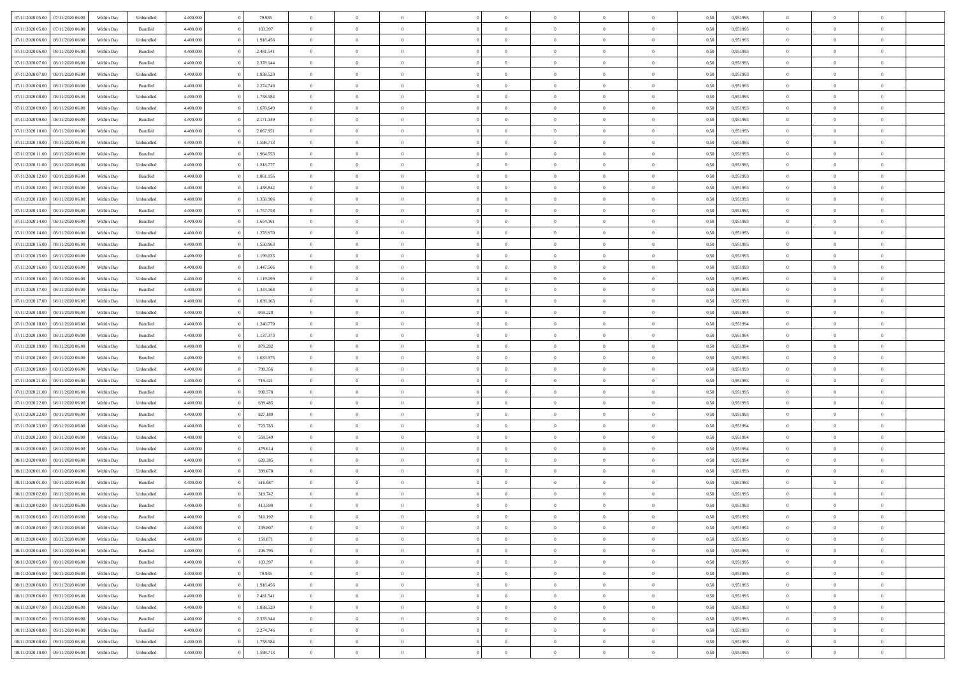| 07/11/2020 05:00 07/11/2020 06:00    | Within Day | Unbundled | 4.400.000 | 79.935    | $\overline{0}$ | $\overline{0}$ | $\Omega$       | $\Omega$       | $\theta$       | $\Omega$       | $\overline{0}$ | 0,50 | 0,951995 | $\theta$       | $\theta$       | $\overline{0}$ |  |
|--------------------------------------|------------|-----------|-----------|-----------|----------------|----------------|----------------|----------------|----------------|----------------|----------------|------|----------|----------------|----------------|----------------|--|
| 07/11/2020 05:00<br>07/11/2020 06.00 | Within Day | Bundled   | 4.400.000 | 103.397   | $\overline{0}$ | $\theta$       | $\overline{0}$ | $\overline{0}$ | $\theta$       | $\overline{0}$ | $\bf{0}$       | 0,50 | 0,951995 | $\theta$       | $\theta$       | $\overline{0}$ |  |
| 07/11/2020 06.00<br>08/11/2020 06.00 | Within Day | Unbundled | 4.400.000 | 1.918.456 | $\overline{0}$ | $\bf{0}$       | $\overline{0}$ | $\overline{0}$ | $\bf{0}$       | $\overline{0}$ | $\bf{0}$       | 0,50 | 0,951993 | $\bf{0}$       | $\overline{0}$ | $\overline{0}$ |  |
| 07/11/2020 06:00<br>08/11/2020 06:00 | Within Day | Bundled   | 4.400.000 | 2.481.541 | $\overline{0}$ | $\overline{0}$ | $\overline{0}$ | $\overline{0}$ | $\overline{0}$ | $\overline{0}$ | $\overline{0}$ | 0.50 | 0.951993 | $\theta$       | $\theta$       | $\overline{0}$ |  |
| 07/11/2020 07:00<br>08/11/2020 06:00 | Within Day | Bundled   | 4.400.000 | 2.378.144 | $\bf{0}$       | $\overline{0}$ | $\overline{0}$ | $\overline{0}$ | $\theta$       | $\overline{0}$ | $\bf{0}$       | 0,50 | 0,951993 | $\theta$       | $\theta$       | $\overline{0}$ |  |
|                                      |            |           |           |           |                |                |                |                |                |                |                |      |          |                |                |                |  |
| 07/11/2020 07:00<br>08/11/2020 06.00 | Within Day | Unbundled | 4.400.000 | 1.838.520 | $\overline{0}$ | $\bf{0}$       | $\overline{0}$ | $\overline{0}$ | $\overline{0}$ | $\overline{0}$ | $\bf{0}$       | 0,50 | 0,951993 | $\overline{0}$ | $\overline{0}$ | $\bf{0}$       |  |
| 07/11/2020 08:00<br>08/11/2020 06:00 | Within Day | Bundled   | 4.400.000 | 2.274.746 | $\overline{0}$ | $\overline{0}$ | $\overline{0}$ | $\overline{0}$ | $\overline{0}$ | $\overline{0}$ | $\bf{0}$       | 0.5( | 0.951993 | $\theta$       | $\theta$       | $\overline{0}$ |  |
| 07/11/2020 08:00<br>08/11/2020 06:00 | Within Day | Unbundled | 4.400.000 | 1.758.584 | $\bf{0}$       | $\overline{0}$ | $\overline{0}$ | $\overline{0}$ | $\theta$       | $\overline{0}$ | $\bf{0}$       | 0,50 | 0,951993 | $\theta$       | $\theta$       | $\overline{0}$ |  |
| 07/11/2020 09:00<br>08/11/2020 06.00 | Within Day | Unbundled | 4.400.000 | 1.678.649 | $\overline{0}$ | $\bf{0}$       | $\overline{0}$ | $\overline{0}$ | $\overline{0}$ | $\overline{0}$ | $\bf{0}$       | 0,50 | 0,951993 | $\bf{0}$       | $\overline{0}$ | $\overline{0}$ |  |
| 07/11/2020 09:00<br>08/11/2020 06:00 | Within Day | Bundled   | 4.400.000 | 2.171.349 | $\overline{0}$ | $\overline{0}$ | $\overline{0}$ | $\overline{0}$ | $\overline{0}$ | $\overline{0}$ | $\bf{0}$       | 0.50 | 0.951993 | $\theta$       | $\theta$       | $\overline{0}$ |  |
| 07/11/2020 10:00<br>08/11/2020 06:00 | Within Day | Bundled   | 4.400.000 | 2.067.951 | $\bf{0}$       | $\overline{0}$ | $\overline{0}$ | $\overline{0}$ | $\theta$       | $\overline{0}$ | $\bf{0}$       | 0,50 | 0,951993 | $\theta$       | $\theta$       | $\overline{0}$ |  |
| 07/11/2020 10:00<br>08/11/2020 06.00 | Within Day | Unbundled | 4.400.000 | 1.598.713 | $\overline{0}$ | $\bf{0}$       | $\overline{0}$ | $\overline{0}$ | $\bf{0}$       | $\overline{0}$ | $\bf{0}$       | 0,50 | 0,951993 | $\bf{0}$       | $\overline{0}$ | $\bf{0}$       |  |
| 07/11/2020 11:00<br>08/11/2020 06:00 | Within Day | Bundled   | 4.400.000 | 1.964.553 | $\overline{0}$ | $\overline{0}$ | $\overline{0}$ | $\overline{0}$ | $\overline{0}$ | $\overline{0}$ | $\overline{0}$ | 0.5( | 0.951993 | $\theta$       | $\theta$       | $\overline{0}$ |  |
| 07/11/2020 11:00<br>08/11/2020 06:00 | Within Day | Unbundled | 4.400.000 | 1.518.777 | $\overline{0}$ | $\theta$       | $\overline{0}$ | $\overline{0}$ | $\theta$       | $\overline{0}$ | $\,$ 0 $\,$    | 0,50 | 0,951993 | $\theta$       | $\theta$       | $\overline{0}$ |  |
|                                      |            |           |           |           |                |                |                |                |                |                |                |      |          |                |                |                |  |
| 07/11/2020 12:00<br>08/11/2020 06:00 | Within Day | Bundled   | 4.400.000 | 1.861.156 | $\overline{0}$ | $\bf{0}$       | $\overline{0}$ | $\overline{0}$ | $\overline{0}$ | $\overline{0}$ | $\bf{0}$       | 0,50 | 0,951993 | $\bf{0}$       | $\overline{0}$ | $\overline{0}$ |  |
| 07/11/2020 12:00<br>08/11/2020 06:00 | Within Day | Unbundled | 4.400.000 | 1.438.842 | $\overline{0}$ | $\overline{0}$ | $\overline{0}$ | $\overline{0}$ | $\overline{0}$ | $\overline{0}$ | $\overline{0}$ | 0.5( | 0.951993 | $\overline{0}$ | $\overline{0}$ | $\overline{0}$ |  |
| 07/11/2020 13:00<br>08/11/2020 06:00 | Within Day | Unbundled | 4.400.000 | 1.358.906 | $\bf{0}$       | $\overline{0}$ | $\overline{0}$ | $\overline{0}$ | $\theta$       | $\overline{0}$ | $\bf{0}$       | 0,50 | 0,951993 | $\theta$       | $\theta$       | $\overline{0}$ |  |
| 07/11/2020 13:00<br>08/11/2020 06.00 | Within Day | Bundled   | 4.400.000 | 1.757.758 | $\overline{0}$ | $\bf{0}$       | $\overline{0}$ | $\overline{0}$ | $\overline{0}$ | $\overline{0}$ | $\bf{0}$       | 0,50 | 0,951993 | $\bf{0}$       | $\overline{0}$ | $\overline{0}$ |  |
| 07/11/2020 14:00<br>08/11/2020 06:00 | Within Day | Bundled   | 4.400.000 | 1.654.361 | $\overline{0}$ | $\overline{0}$ | $\overline{0}$ | $\overline{0}$ | $\overline{0}$ | $\overline{0}$ | $\overline{0}$ | 0.50 | 0.951993 | $\theta$       | $\theta$       | $\overline{0}$ |  |
| 07/11/2020 14:00<br>08/11/2020 06:00 | Within Day | Unbundled | 4.400.000 | 1.278.970 | $\bf{0}$       | $\overline{0}$ | $\overline{0}$ | $\overline{0}$ | $\theta$       | $\overline{0}$ | $\bf{0}$       | 0,50 | 0,951993 | $\theta$       | $\theta$       | $\overline{0}$ |  |
| 07/11/2020 15:00<br>08/11/2020 06.00 | Within Day | Bundled   | 4.400.000 | 1.550.963 | $\overline{0}$ | $\bf{0}$       | $\overline{0}$ | $\overline{0}$ | $\overline{0}$ | $\overline{0}$ | $\bf{0}$       | 0,50 | 0,951993 | $\bf{0}$       | $\overline{0}$ | $\bf{0}$       |  |
| 07/11/2020 15:00<br>08/11/2020 06:00 | Within Day | Unbundled | 4.400.000 | 1.199.035 | $\overline{0}$ | $\overline{0}$ | $\overline{0}$ | $\overline{0}$ | $\overline{0}$ | $\overline{0}$ | $\overline{0}$ | 0.50 | 0.951993 | $\theta$       | $\overline{0}$ | $\overline{0}$ |  |
| 07/11/2020 16:00<br>08/11/2020 06:00 | Within Day | Bundled   | 4.400.000 | 1.447.566 | $\bf{0}$       | $\theta$       | $\overline{0}$ | $\overline{0}$ | $\theta$       | $\overline{0}$ | $\bf{0}$       | 0,50 | 0,951993 | $\theta$       | $\theta$       | $\overline{0}$ |  |
| 07/11/2020 16.00<br>08/11/2020 06.00 | Within Day | Unbundled | 4.400.000 | 1.119.099 | $\overline{0}$ | $\bf{0}$       | $\overline{0}$ | $\overline{0}$ | $\overline{0}$ | $\overline{0}$ | $\bf{0}$       | 0,50 | 0,951993 | $\overline{0}$ | $\overline{0}$ | $\bf{0}$       |  |
| 07/11/2020 17:00<br>08/11/2020 06:00 | Within Day | Bundled   | 4.400.000 | 1.344.168 | $\overline{0}$ | $\overline{0}$ | $\overline{0}$ | $\overline{0}$ | $\overline{0}$ | $\overline{0}$ | $\overline{0}$ | 0.5( | 0.951993 | $\overline{0}$ | $\theta$       | $\overline{0}$ |  |
|                                      |            |           |           |           |                |                |                |                |                |                |                |      |          |                |                |                |  |
| 07/11/2020 17:00<br>08/11/2020 06:00 | Within Day | Unbundled | 4.400.000 | 1.039.163 | $\bf{0}$       | $\overline{0}$ | $\overline{0}$ | $\overline{0}$ | $\theta$       | $\overline{0}$ | $\bf{0}$       | 0,50 | 0,951993 | $\theta$       | $\theta$       | $\overline{0}$ |  |
| 07/11/2020 18:00<br>08/11/2020 06.00 | Within Day | Unbundled | 4.400.000 | 959.228   | $\overline{0}$ | $\bf{0}$       | $\overline{0}$ | $\overline{0}$ | $\overline{0}$ | $\overline{0}$ | $\bf{0}$       | 0,50 | 0,951994 | $\bf{0}$       | $\overline{0}$ | $\overline{0}$ |  |
| 07/11/2020 18:00<br>08/11/2020 06:00 | Within Day | Bundled   | 4.400.000 | 1.240.770 | $\overline{0}$ | $\overline{0}$ | $\overline{0}$ | $\overline{0}$ | $\overline{0}$ | $\overline{0}$ | $\overline{0}$ | 0.50 | 0.951994 | $\theta$       | $\theta$       | $\overline{0}$ |  |
| 07/11/2020 19:00<br>08/11/2020 06:00 | Within Day | Bundled   | 4.400.000 | 1.137.373 | $\bf{0}$       | $\overline{0}$ | $\overline{0}$ | $\overline{0}$ | $\theta$       | $\overline{0}$ | $\bf{0}$       | 0,50 | 0,951994 | $\theta$       | $\theta$       | $\overline{0}$ |  |
| 07/11/2020 19:00<br>08/11/2020 06.00 | Within Day | Unbundled | 4.400.000 | 879.292   | $\overline{0}$ | $\bf{0}$       | $\overline{0}$ | $\overline{0}$ | $\bf{0}$       | $\overline{0}$ | $\bf{0}$       | 0,50 | 0,951994 | $\bf{0}$       | $\overline{0}$ | $\bf{0}$       |  |
| 07/11/2020 20:00<br>08/11/2020 06:00 | Within Day | Bundled   | 4,400,000 | 1.033.975 | $\overline{0}$ | $\overline{0}$ | $\Omega$       | $\Omega$       | $\Omega$       | $\Omega$       | $\overline{0}$ | 0,50 | 0,951993 | $\,$ 0 $\,$    | $\overline{0}$ | $\theta$       |  |
| 07/11/2020 20.00<br>08/11/2020 06:00 | Within Day | Unbundled | 4.400.000 | 799.356   | $\bf{0}$       | $\theta$       | $\overline{0}$ | $\overline{0}$ | $\theta$       | $\overline{0}$ | $\bf{0}$       | 0,50 | 0,951993 | $\theta$       | $\theta$       | $\overline{0}$ |  |
| 07/11/2020 21.00<br>08/11/2020 06:00 | Within Day | Unbundled | 4.400.000 | 719.421   | $\overline{0}$ | $\bf{0}$       | $\overline{0}$ | $\overline{0}$ | $\overline{0}$ | $\overline{0}$ | $\bf{0}$       | 0,50 | 0,951993 | $\overline{0}$ | $\overline{0}$ | $\bf{0}$       |  |
| 07/11/2020 21:00<br>08/11/2020 06.00 | Within Day | Bundled   | 4,400,000 | 930,578   | $\overline{0}$ | $\overline{0}$ | $\Omega$       | $\Omega$       | $\overline{0}$ | $\Omega$       | $\overline{0}$ | 0.50 | 0,951993 | $\bf{0}$       | $\theta$       | $\theta$       |  |
| 07/11/2020 22.00<br>08/11/2020 06:00 | Within Day | Unbundled | 4.400.000 | 639.485   | $\bf{0}$       | $\overline{0}$ | $\overline{0}$ | $\overline{0}$ | $\theta$       | $\overline{0}$ | $\bf{0}$       | 0,50 | 0,951993 | $\theta$       | $\theta$       | $\overline{0}$ |  |
|                                      |            |           |           |           |                |                |                |                |                |                |                |      |          |                |                |                |  |
| 07/11/2020 22.00<br>08/11/2020 06.00 | Within Day | Bundled   | 4.400.000 | 827.180   | $\overline{0}$ | $\bf{0}$       | $\overline{0}$ | $\overline{0}$ | $\overline{0}$ | $\bf{0}$       | $\bf{0}$       | 0,50 | 0,951993 | $\bf{0}$       | $\overline{0}$ | $\overline{0}$ |  |
| 07/11/2020 23.00<br>08/11/2020 06.00 | Within Day | Bundled   | 4,400,000 | 723.783   | $\overline{0}$ | $\overline{0}$ | $\Omega$       | $\theta$       | $\overline{0}$ | $\theta$       | $\overline{0}$ | 0.50 | 0.951994 | $\bf{0}$       | $\theta$       | $\theta$       |  |
| 07/11/2020 23.00<br>08/11/2020 06:00 | Within Day | Unbundled | 4.400.000 | 559.549   | $\bf{0}$       | $\bf{0}$       | $\overline{0}$ | $\overline{0}$ | $\theta$       | $\overline{0}$ | $\bf{0}$       | 0,50 | 0,951994 | $\,$ 0 $\,$    | $\,$ 0 $\,$    | $\overline{0}$ |  |
| 08/11/2020 00:00<br>08/11/2020 06.00 | Within Day | Unbundled | 4.400.000 | 479.614   | $\overline{0}$ | $\bf{0}$       | $\overline{0}$ | $\overline{0}$ | $\overline{0}$ | $\overline{0}$ | $\bf{0}$       | 0,50 | 0,951994 | $\bf{0}$       | $\overline{0}$ | $\bf{0}$       |  |
| 08/11/2020 00:00<br>08/11/2020 06.00 | Within Day | Bundled   | 4,400,000 | 620.385   | $\overline{0}$ | $\overline{0}$ | $\Omega$       | $\Omega$       | $\overline{0}$ | $\Omega$       | $\bf{0}$       | 0,50 | 0,951994 | $\,$ 0 $\,$    | $\overline{0}$ | $\theta$       |  |
| 08/11/2020 01:00<br>08/11/2020 06:00 | Within Day | Unbundled | 4.400.000 | 399.678   | $\bf{0}$       | $\overline{0}$ | $\overline{0}$ | $\overline{0}$ | $\theta$       | $\overline{0}$ | $\bf{0}$       | 0,50 | 0,951993 | $\theta$       | $\theta$       | $\overline{0}$ |  |
| 08/11/2020 01:00<br>08/11/2020 06.00 | Within Day | Bundled   | 4.400.000 | 516.987   | $\overline{0}$ | $\bf{0}$       | $\overline{0}$ | $\overline{0}$ | $\overline{0}$ | $\overline{0}$ | $\bf{0}$       | 0,50 | 0,951993 | $\overline{0}$ | $\overline{0}$ | $\bf{0}$       |  |
| 08/11/2020 02.00<br>08/11/2020 06.00 | Within Day | Unbundled | 4,400,000 | 319.742   | $\overline{0}$ | $\overline{0}$ | $\Omega$       | $\Omega$       | $\Omega$       | $\theta$       | $\overline{0}$ | 0.50 | 0.951993 | $\theta$       | $\theta$       | $\theta$       |  |
| 08/11/2020 02.00<br>08/11/2020 06:00 | Within Day | Bundled   | 4.400.000 | 413.590   | $\bf{0}$       | $\bf{0}$       | $\bf{0}$       | $\overline{0}$ | $\overline{0}$ | $\bf{0}$       | $\bf{0}$       | 0,50 | 0,951993 | $\bf{0}$       | $\,0\,$        | $\overline{0}$ |  |
| 08/11/2020 03:00 08/11/2020 06:00    | Within Day | Bundled   | 4.400.000 | 310.192   |                | $\bf{0}$       |                |                |                |                |                | 0,50 | 0,951992 | $\bf{0}$       | $\bf{0}$       |                |  |
| 08/11/2020 03:00 08/11/2020 06:00    | Within Day | Unbundled | 4.400.000 | 239.807   | $\Omega$       | $\overline{0}$ | $\Omega$       | $\theta$       | $\Omega$       | $\theta$       | $\overline{0}$ | 0.50 | 0.951992 | $\theta$       | $\theta$       | $\theta$       |  |
| 08/11/2020 04:00<br>08/11/2020 06:00 | Within Day | Unbundled | 4.400.000 | 159.871   | $\overline{0}$ | $\overline{0}$ | $\overline{0}$ | $\overline{0}$ | $\overline{0}$ | $\overline{0}$ | $\,$ 0 $\,$    | 0,50 | 0,951995 | $\,$ 0 $\,$    | $\,$ 0 $\,$    | $\,$ 0         |  |
|                                      |            |           |           |           |                |                |                |                |                |                |                |      |          |                |                |                |  |
| 08/11/2020 04:00<br>08/11/2020 06:00 | Within Day | Bundled   | 4.400.000 | 206.795   | $\overline{0}$ | $\overline{0}$ | $\overline{0}$ | $\overline{0}$ | $\overline{0}$ | $\overline{0}$ | $\bf{0}$       | 0,50 | 0,951995 | $\overline{0}$ | $\bf{0}$       | $\overline{0}$ |  |
| 08/11/2020 05:00<br>08/11/2020 06:00 | Within Day | Bundled   | 4.400.000 | 103.397   | $\overline{0}$ | $\bf{0}$       | $\overline{0}$ | $\overline{0}$ | $\overline{0}$ | $\overline{0}$ | $\bf{0}$       | 0,50 | 0,951995 | $\bf{0}$       | $\theta$       | $\overline{0}$ |  |
| 08/11/2020 05:00<br>08/11/2020 06:00 | Within Day | Unbundled | 4.400.000 | 79.935    | $\overline{0}$ | $\overline{0}$ | $\overline{0}$ | $\overline{0}$ | $\overline{0}$ | $\overline{0}$ | $\bf{0}$       | 0,50 | 0,951995 | $\,$ 0 $\,$    | $\,$ 0 $\,$    | $\overline{0}$ |  |
| 08/11/2020 06:00<br>09/11/2020 06.00 | Within Day | Unbundled | 4.400.000 | 1.918.456 | $\overline{0}$ | $\overline{0}$ | $\overline{0}$ | $\overline{0}$ | $\mathbf{0}$   | $\overline{0}$ | $\bf{0}$       | 0,50 | 0,951993 | $\overline{0}$ | $\overline{0}$ | $\overline{0}$ |  |
| 08/11/2020 06:00<br>09/11/2020 06:00 | Within Day | Bundled   | 4.400.000 | 2.481.541 | $\overline{0}$ | $\bf{0}$       | $\overline{0}$ | $\overline{0}$ | $\overline{0}$ | $\overline{0}$ | $\bf{0}$       | 0.50 | 0,951993 | $\overline{0}$ | $\theta$       | $\overline{0}$ |  |
| 08/11/2020 07.00<br>09/11/2020 06:00 | Within Day | Unbundled | 4.400.000 | 1.838.520 | $\overline{0}$ | $\overline{0}$ | $\overline{0}$ | $\overline{0}$ | $\overline{0}$ | $\overline{0}$ | $\bf{0}$       | 0,50 | 0,951993 | $\,$ 0 $\,$    | $\bf{0}$       | $\overline{0}$ |  |
| 08/11/2020 07:00<br>09/11/2020 06.00 | Within Day | Bundled   | 4.400.000 | 2.378.144 | $\overline{0}$ | $\bf{0}$       | $\overline{0}$ | $\overline{0}$ | $\overline{0}$ | $\overline{0}$ | $\bf{0}$       | 0,50 | 0,951993 | $\overline{0}$ | $\overline{0}$ | $\bf{0}$       |  |
| 08/11/2020 08:00<br>09/11/2020 06.00 | Within Day | Bundled   | 4.400.000 | 2.274.746 | $\overline{0}$ | $\overline{0}$ | $\overline{0}$ | $\overline{0}$ | $\overline{0}$ | $\overline{0}$ | $\bf{0}$       | 0,50 | 0,951993 | $\overline{0}$ | $\overline{0}$ | $\overline{0}$ |  |
| 08/11/2020 08:00<br>09/11/2020 06.00 | Within Day | Unbundled | 4.400.000 | 1.758.584 | $\overline{0}$ | $\,$ 0         | $\overline{0}$ | $\overline{0}$ | $\bf{0}$       | $\bf{0}$       | $\bf{0}$       | 0,50 | 0,951993 | $\,$ 0 $\,$    | $\,$ 0 $\,$    | $\overline{0}$ |  |
|                                      |            |           |           |           |                |                |                |                |                |                |                |      |          |                |                |                |  |
| 08/11/2020 10:00 09/11/2020 06:00    | Within Day | Unbundled | 4.400.000 | 1.598.713 | $\overline{0}$ | $\bf{0}$       | $\overline{0}$ | $\overline{0}$ | $\overline{0}$ | $\overline{0}$ | $\bf{0}$       | 0,50 | 0,951993 | $\overline{0}$ | $\bf{0}$       | $\overline{0}$ |  |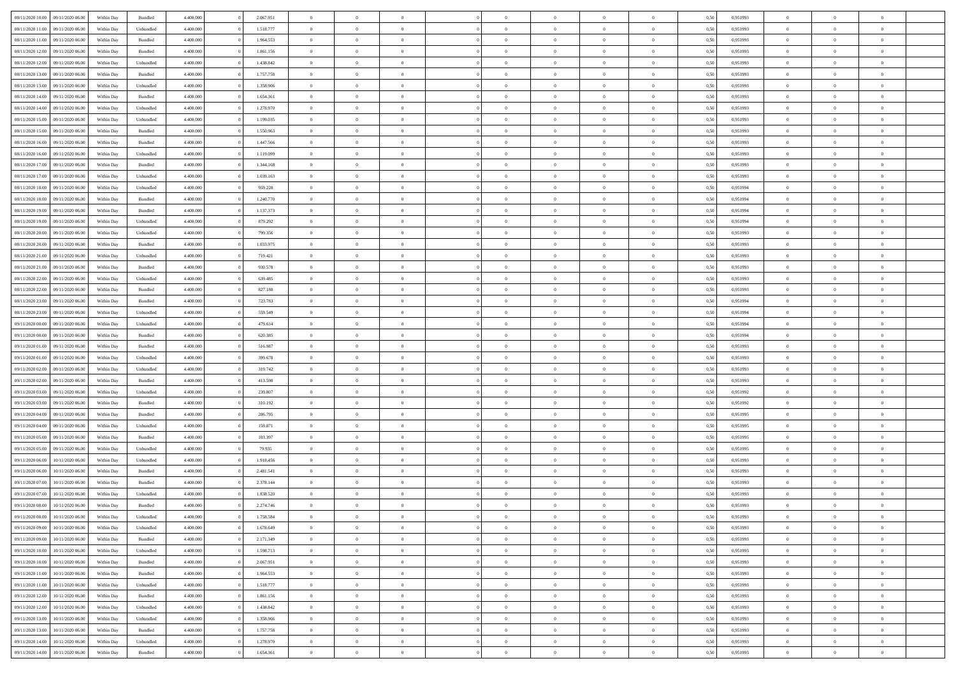| 08/11/2020 10:00 | 09/11/2020 06:00 | Within Day | Bundled            | 4.400.000 | 2.067.951 | $\overline{0}$ | $\theta$       |                | $\Omega$       | $\Omega$       | $\theta$       | $\theta$       | 0,50 | 0,951993 | $\theta$       | $\theta$       | $\overline{0}$ |  |
|------------------|------------------|------------|--------------------|-----------|-----------|----------------|----------------|----------------|----------------|----------------|----------------|----------------|------|----------|----------------|----------------|----------------|--|
|                  |                  |            |                    |           |           |                |                |                |                |                |                |                |      |          |                |                |                |  |
| 08/11/2020 11:00 | 09/11/2020 06.00 | Within Day | Unbundled          | 4.400.000 | 1.518.777 | $\overline{0}$ | $\theta$       | $\overline{0}$ | $\overline{0}$ | $\bf{0}$       | $\overline{0}$ | $\bf{0}$       | 0,50 | 0,951993 | $\theta$       | $\overline{0}$ | $\overline{0}$ |  |
| 08/11/2020 11:00 | 09/11/2020 06.00 | Within Day | Bundled            | 4.400.000 | 1.964.553 | $\overline{0}$ | $\bf{0}$       | $\overline{0}$ | $\bf{0}$       | $\bf{0}$       | $\bf{0}$       | $\mathbf{0}$   | 0,50 | 0,951993 | $\overline{0}$ | $\overline{0}$ | $\overline{0}$ |  |
| 08/11/2020 12:00 | 09/11/2020 06:00 | Within Dav | Bundled            | 4.400.000 | 1.861.156 | $\overline{0}$ | $\overline{0}$ | $\overline{0}$ | $\overline{0}$ | $\bf{0}$       | $\overline{0}$ | $\overline{0}$ | 0.50 | 0.951993 | $\theta$       | $\theta$       | $\overline{0}$ |  |
| 08/11/2020 12:00 | 09/11/2020 06.00 | Within Day | Unbundled          | 4.400.000 | 1.438.842 | $\overline{0}$ | $\theta$       | $\overline{0}$ | $\overline{0}$ | $\bf{0}$       | $\overline{0}$ | $\bf{0}$       | 0,50 | 0,951993 | $\theta$       | $\overline{0}$ | $\overline{0}$ |  |
| 08/11/2020 13.00 | 09/11/2020 06.00 | Within Day | Bundled            | 4.400.000 | 1.757.758 | $\overline{0}$ | $\overline{0}$ | $\overline{0}$ | $\bf{0}$       | $\overline{0}$ | $\overline{0}$ | $\mathbf{0}$   | 0,50 | 0,951993 | $\overline{0}$ | $\overline{0}$ | $\bf{0}$       |  |
| 08/11/2020 13:00 | 09/11/2020 06:00 | Within Dav | Unbundled          | 4.400.000 | 1.358.906 | $\overline{0}$ | $\overline{0}$ | $\overline{0}$ | $\overline{0}$ | $\overline{0}$ | $\overline{0}$ | $\overline{0}$ | 0.50 | 0.951993 | $\theta$       | $\overline{0}$ | $\overline{0}$ |  |
|                  |                  |            |                    |           |           | $\overline{0}$ |                |                |                |                |                |                |      |          |                |                |                |  |
| 08/11/2020 14:00 | 09/11/2020 06.00 | Within Day | Bundled            | 4.400.000 | 1.654.361 |                | $\theta$       | $\overline{0}$ | $\overline{0}$ | $\bf{0}$       | $\overline{0}$ | $\bf{0}$       | 0,50 | 0,951993 | $\theta$       | $\theta$       | $\overline{0}$ |  |
| 08/11/2020 14:00 | 09/11/2020 06.00 | Within Day | Unbundled          | 4.400.000 | 1.278.970 | $\overline{0}$ | $\overline{0}$ | $\overline{0}$ | $\bf{0}$       | $\bf{0}$       | $\bf{0}$       | $\mathbf{0}$   | 0,50 | 0,951993 | $\,0\,$        | $\overline{0}$ | $\overline{0}$ |  |
| 08/11/2020 15:00 | 09/11/2020 06:00 | Within Dav | Unbundled          | 4.400.000 | 1.199.035 | $\overline{0}$ | $\overline{0}$ | $\overline{0}$ | $\overline{0}$ | $\overline{0}$ | $\overline{0}$ | $\overline{0}$ | 0.50 | 0.951993 | $\theta$       | $\overline{0}$ | $\overline{0}$ |  |
| 08/11/2020 15:00 | 09/11/2020 06.00 | Within Day | Bundled            | 4.400.000 | 1.550.963 | $\overline{0}$ | $\theta$       | $\overline{0}$ | $\overline{0}$ | $\bf{0}$       | $\overline{0}$ | $\bf{0}$       | 0,50 | 0,951993 | $\,$ 0 $\,$    | $\overline{0}$ | $\overline{0}$ |  |
| 08/11/2020 16.00 | 09/11/2020 06.00 | Within Day | Bundled            | 4.400.000 | 1.447.566 | $\overline{0}$ | $\bf{0}$       | $\overline{0}$ | $\bf{0}$       | $\bf{0}$       | $\bf{0}$       | $\mathbf{0}$   | 0,50 | 0,951993 | $\overline{0}$ | $\overline{0}$ | $\bf{0}$       |  |
| 08/11/2020 16:00 | 09/11/2020 06:00 | Within Day | Unbundled          | 4.400.000 | 1.119.099 | $\overline{0}$ | $\overline{0}$ | $\overline{0}$ | $\overline{0}$ | $\bf{0}$       | $\overline{0}$ | $\overline{0}$ | 0.50 | 0.951993 | $\theta$       | $\theta$       | $\overline{0}$ |  |
| 08/11/2020 17.00 | 09/11/2020 06.00 | Within Day | Bundled            | 4.400.000 | 1.344.168 | $\overline{0}$ | $\theta$       | $\overline{0}$ | $\overline{0}$ | $\bf{0}$       | $\overline{0}$ | $\bf{0}$       | 0,50 | 0,951993 | $\theta$       | $\overline{0}$ | $\overline{0}$ |  |
| 08/11/2020 17.00 | 09/11/2020 06.00 | Within Day | Unbundled          | 4.400.000 | 1.039.163 | $\overline{0}$ | $\overline{0}$ | $\overline{0}$ | $\bf{0}$       | $\overline{0}$ | $\overline{0}$ | $\mathbf{0}$   | 0,50 | 0,951993 | $\overline{0}$ | $\overline{0}$ | $\bf{0}$       |  |
|                  |                  |            |                    |           |           |                |                |                |                |                |                |                |      |          |                |                |                |  |
| 08/11/2020 18:00 | 09/11/2020 06:00 | Within Dav | Unbundled          | 4.400.000 | 959.228   | $\overline{0}$ | $\overline{0}$ | $\overline{0}$ | $\overline{0}$ | $\overline{0}$ | $\overline{0}$ | $\overline{0}$ | 0.50 | 0,951994 | $\theta$       | $\overline{0}$ | $\overline{0}$ |  |
| 08/11/2020 18:00 | 09/11/2020 06.00 | Within Day | Bundled            | 4.400.000 | 1.240.770 | $\overline{0}$ | $\theta$       | $\overline{0}$ | $\overline{0}$ | $\bf{0}$       | $\overline{0}$ | $\bf{0}$       | 0,50 | 0,951994 | $\,$ 0 $\,$    | $\overline{0}$ | $\overline{0}$ |  |
| 08/11/2020 19:00 | 09/11/2020 06.00 | Within Day | Bundled            | 4.400.000 | 1.137.373 | $\overline{0}$ | $\overline{0}$ | $\overline{0}$ | $\bf{0}$       | $\bf{0}$       | $\bf{0}$       | $\mathbf{0}$   | 0,50 | 0,951994 | $\bf{0}$       | $\overline{0}$ | $\overline{0}$ |  |
| 08/11/2020 19:00 | 09/11/2020 06:00 | Within Day | Unbundled          | 4.400.000 | 879.292   | $\overline{0}$ | $\overline{0}$ | $\overline{0}$ | $\overline{0}$ | $\overline{0}$ | $\overline{0}$ | $\overline{0}$ | 0.50 | 0,951994 | $\theta$       | $\overline{0}$ | $\overline{0}$ |  |
| 08/11/2020 20.00 | 09/11/2020 06.00 | Within Day | Unbundled          | 4.400.000 | 799.356   | $\overline{0}$ | $\theta$       | $\overline{0}$ | $\overline{0}$ | $\bf{0}$       | $\overline{0}$ | $\bf{0}$       | 0,50 | 0,951993 | $\,$ 0 $\,$    | $\overline{0}$ | $\overline{0}$ |  |
| 08/11/2020 20.00 | 09/11/2020 06.00 | Within Day | Bundled            | 4.400.000 | 1.033.975 | $\overline{0}$ | $\overline{0}$ | $\overline{0}$ | $\bf{0}$       | $\bf{0}$       | $\bf{0}$       | $\mathbf{0}$   | 0,50 | 0,951993 | $\overline{0}$ | $\overline{0}$ | $\bf{0}$       |  |
| 08/11/2020 21.00 | 09/11/2020 06:00 | Within Day | Unbundled          | 4.400.000 | 719.421   | $\overline{0}$ | $\overline{0}$ | $\overline{0}$ | $\overline{0}$ | $\overline{0}$ | $\overline{0}$ | $\overline{0}$ | 0.50 | 0.951993 | $\theta$       | $\overline{0}$ | $\overline{0}$ |  |
|                  |                  |            |                    |           |           |                | $\theta$       |                |                | $\bf{0}$       |                |                |      |          |                |                |                |  |
| 08/11/2020 21.00 | 09/11/2020 06.00 | Within Day | Bundled            | 4.400.000 | 930.578   | $\overline{0}$ |                | $\overline{0}$ | $\overline{0}$ |                | $\overline{0}$ | $\bf{0}$       | 0,50 | 0,951993 | $\,$ 0 $\,$    | $\overline{0}$ | $\overline{0}$ |  |
| 08/11/2020 22.00 | 09/11/2020 06.00 | Within Day | Unbundled          | 4.400.000 | 639.485   | $\overline{0}$ | $\overline{0}$ | $\overline{0}$ | $\bf{0}$       | $\overline{0}$ | $\overline{0}$ | $\mathbf{0}$   | 0,50 | 0,951993 | $\overline{0}$ | $\overline{0}$ | $\bf{0}$       |  |
| 08/11/2020 22.00 | 09/11/2020 06:00 | Within Dav | Bundled            | 4.400.000 | 827.180   | $\overline{0}$ | $\overline{0}$ | $\overline{0}$ | $\overline{0}$ | $\overline{0}$ | $\overline{0}$ | $\overline{0}$ | 0.50 | 0.951993 | $\overline{0}$ | $\overline{0}$ | $\overline{0}$ |  |
| 08/11/2020 23.00 | 09/11/2020 06.00 | Within Day | Bundled            | 4.400.000 | 723.783   | $\overline{0}$ | $\theta$       | $\overline{0}$ | $\overline{0}$ | $\bf{0}$       | $\overline{0}$ | $\bf{0}$       | 0,50 | 0,951994 | $\theta$       | $\overline{0}$ | $\overline{0}$ |  |
| 08/11/2020 23.00 | 09/11/2020 06.00 | Within Day | Unbundled          | 4.400.000 | 559.549   | $\overline{0}$ | $\overline{0}$ | $\overline{0}$ | $\bf{0}$       | $\bf{0}$       | $\bf{0}$       | $\bf{0}$       | 0,50 | 0,951994 | $\,0\,$        | $\overline{0}$ | $\overline{0}$ |  |
| 09/11/2020 00.00 | 09/11/2020 06:00 | Within Day | Unbundled          | 4.400.000 | 479.614   | $\overline{0}$ | $\overline{0}$ | $\overline{0}$ | $\overline{0}$ | $\overline{0}$ | $\overline{0}$ | $\overline{0}$ | 0.50 | 0,951994 | $\theta$       | $\overline{0}$ | $\overline{0}$ |  |
| 09/11/2020 00.00 | 09/11/2020 06.00 | Within Day | Bundled            | 4.400.000 | 620.385   | $\overline{0}$ | $\theta$       | $\overline{0}$ | $\overline{0}$ | $\,$ 0         | $\overline{0}$ | $\bf{0}$       | 0,50 | 0,951994 | $\,$ 0 $\,$    | $\overline{0}$ | $\overline{0}$ |  |
|                  |                  |            |                    |           |           |                |                |                |                | $\bf{0}$       |                |                |      |          |                | $\overline{0}$ | $\bf{0}$       |  |
| 09/11/2020 01:00 | 09/11/2020 06.00 | Within Day | Bundled            | 4.400.000 | 516.987   | $\overline{0}$ | $\overline{0}$ | $\overline{0}$ | $\bf{0}$       |                | $\bf{0}$       | $\bf{0}$       | 0,50 | 0,951993 | $\overline{0}$ |                |                |  |
| 09/11/2020 01:00 | 09/11/2020 06.00 | Within Day | Unbundled          | 4.400,000 | 399.678   | $\overline{0}$ | $\Omega$       | $\overline{0}$ | $\Omega$       | $\Omega$       | $\overline{0}$ | $\overline{0}$ | 0,50 | 0,951993 | $\,0\,$        | $\theta$       | $\theta$       |  |
| 09/11/2020 02.00 | 09/11/2020 06.00 | Within Day | Unbundled          | 4.400.000 | 319.742   | $\overline{0}$ | $\overline{0}$ | $\overline{0}$ | $\overline{0}$ | $\bf{0}$       | $\overline{0}$ | $\bf{0}$       | 0,50 | 0,951993 | $\,$ 0 $\,$    | $\overline{0}$ | $\overline{0}$ |  |
| 09/11/2020 02.00 | 09/11/2020 06.00 | Within Day | Bundled            | 4.400.000 | 413.590   | $\overline{0}$ | $\overline{0}$ | $\overline{0}$ | $\bf{0}$       | $\overline{0}$ | $\overline{0}$ | $\mathbf{0}$   | 0,50 | 0,951993 | $\bf{0}$       | $\overline{0}$ | $\bf{0}$       |  |
| 09/11/2020 03.00 | 09/11/2020 06.00 | Within Day | Unbundled          | 4.400,000 | 239.807   | $\overline{0}$ | $\Omega$       | $\Omega$       | $\Omega$       | $\overline{0}$ | $\overline{0}$ | $\overline{0}$ | 0.50 | 0,951992 | $\,0\,$        | $\theta$       | $\theta$       |  |
| 09/11/2020 03.00 | 09/11/2020 06.00 | Within Day | Bundled            | 4.400.000 | 310.192   | $\overline{0}$ | $\theta$       | $\overline{0}$ | $\overline{0}$ | $\bf{0}$       | $\overline{0}$ | $\bf{0}$       | 0,50 | 0,951992 | $\,$ 0 $\,$    | $\overline{0}$ | $\overline{0}$ |  |
| 09/11/2020 04:00 | 09/11/2020 06.00 | Within Day | Bundled            | 4.400.000 | 206.795   | $\overline{0}$ | $\overline{0}$ | $\overline{0}$ | $\bf{0}$       | $\bf{0}$       | $\bf{0}$       | $\mathbf{0}$   | 0,50 | 0,951995 | $\bf{0}$       | $\overline{0}$ | $\bf{0}$       |  |
| 09/11/2020 04.00 | 09/11/2020 06:00 | Within Day | Unbundled          | 4.400,000 | 159.871   | $\overline{0}$ | $\Omega$       | $\overline{0}$ | $\Omega$       | $\overline{0}$ | $\overline{0}$ | $\overline{0}$ | 0.50 | 0,951995 | $\,$ 0 $\,$    | $\theta$       | $\theta$       |  |
| 09/11/2020 05:00 | 09/11/2020 06.00 | Within Day | Bundled            | 4.400.000 | 103.397   | $\overline{0}$ | $\overline{0}$ | $\overline{0}$ | $\overline{0}$ | $\,$ 0         | $\overline{0}$ | $\bf{0}$       | 0,50 | 0,951995 | $\,$ 0 $\,$    | $\overline{0}$ | $\overline{0}$ |  |
|                  |                  |            |                    |           |           |                |                |                |                |                |                |                |      |          |                |                |                |  |
| 09/11/2020 05.00 | 09/11/2020 06.00 | Within Day | Unbundled          | 4.400.000 | 79.935    | $\overline{0}$ | $\overline{0}$ | $\overline{0}$ | $\bf{0}$       | $\bf{0}$       | $\bf{0}$       | $\mathbf{0}$   | 0,50 | 0,951995 | $\bf{0}$       | $\overline{0}$ | $\bf{0}$       |  |
| 09/11/2020 06.00 | 10/11/2020 06.00 | Within Day | Unbundled          | 4.400,000 | 1.918.456 | $\overline{0}$ | $\Omega$       | $\overline{0}$ | $\Omega$       | $\overline{0}$ | $\overline{0}$ | $\overline{0}$ | 0,50 | 0,951993 | $\,0\,$        | $\theta$       | $\theta$       |  |
| 09/11/2020 06.00 | 10/11/2020 06.00 | Within Day | Bundled            | 4.400.000 | 2.481.541 | $\overline{0}$ | $\overline{0}$ | $\overline{0}$ | $\overline{0}$ | $\,$ 0         | $\overline{0}$ | $\bf{0}$       | 0,50 | 0,951993 | $\,$ 0 $\,$    | $\overline{0}$ | $\overline{0}$ |  |
| 09/11/2020 07.00 | 10/11/2020 06.00 | Within Day | Bundled            | 4.400.000 | 2.378.144 | $\overline{0}$ | $\overline{0}$ | $\overline{0}$ | $\bf{0}$       | $\bf{0}$       | $\overline{0}$ | $\mathbf{0}$   | 0,50 | 0,951993 | $\bf{0}$       | $\overline{0}$ | $\bf{0}$       |  |
| 09/11/2020 07.00 | 10/11/2020 06:00 | Within Day | Unbundled          | 4.400,000 | 1.838.520 | $\overline{0}$ | $\Omega$       | $\Omega$       | $\Omega$       | $\Omega$       | $\overline{0}$ | $\overline{0}$ | 0.50 | 0.951993 | $\theta$       | $\theta$       | $\theta$       |  |
| 09/11/2020 08:00 | 10/11/2020 06:00 | Within Day | Bundled            | 4.400.000 | 2.274.746 | $\bf{0}$       | $\overline{0}$ | $\overline{0}$ | $\bf{0}$       | $\,$ 0         | $\bf{0}$       | $\bf{0}$       | 0,50 | 0,951993 | $\,0\,$        | $\,0\,$        | $\overline{0}$ |  |
| 09/11/2020 08:00 | 10/11/2020 06.00 | Within Day | Unbundled          | 4.400.000 | 1.758.584 | $\overline{0}$ | $\bf{0}$       |                |                | $\bf{0}$       |                |                | 0,50 | 0,951993 | $\bf{0}$       | $\overline{0}$ |                |  |
| 09/11/2020 09:00 | 10/11/2020 06:00 | Within Day | Unbundled          | 4.400.000 | 1.678.649 | $\overline{0}$ | $\overline{0}$ | $\overline{0}$ | $\Omega$       | $\overline{0}$ | $\overline{0}$ | $\overline{0}$ | 0,50 | 0.951993 | $\theta$       | $\theta$       | $\theta$       |  |
| 09/11/2020 09:00 | 10/11/2020 06.00 | Within Day | Bundled            | 4.400.000 | 2.171.349 | $\overline{0}$ | $\,$ 0         | $\overline{0}$ | $\bf{0}$       | $\,$ 0 $\,$    | $\overline{0}$ | $\mathbf{0}$   | 0,50 | 0,951993 | $\,$ 0 $\,$    | $\,$ 0 $\,$    | $\,$ 0         |  |
|                  |                  |            |                    |           |           |                |                |                |                |                |                |                |      |          |                |                |                |  |
| 09/11/2020 10:00 | 10/11/2020 06:00 | Within Day | Unbundled          | 4.400.000 | 1.598.713 | $\overline{0}$ | $\overline{0}$ | $\overline{0}$ | $\overline{0}$ | $\overline{0}$ | $\overline{0}$ | $\mathbf{0}$   | 0,50 | 0,951993 | $\overline{0}$ | $\bf{0}$       | $\bf{0}$       |  |
| 09/11/2020 10:00 | 10/11/2020 06:00 | Within Day | $\mathbf B$ undled | 4.400,000 | 2.067.951 | $\overline{0}$ | $\overline{0}$ | $\overline{0}$ | $\Omega$       | $\overline{0}$ | $\overline{0}$ | $\bf{0}$       | 0,50 | 0,951993 | $\overline{0}$ | $\theta$       | $\overline{0}$ |  |
| 09/11/2020 11:00 | 10/11/2020 06.00 | Within Day | Bundled            | 4.400.000 | 1.964.553 | $\overline{0}$ | $\,$ 0         | $\overline{0}$ | $\overline{0}$ | $\,$ 0 $\,$    | $\overline{0}$ | $\mathbf{0}$   | 0,50 | 0,951993 | $\,$ 0 $\,$    | $\overline{0}$ | $\overline{0}$ |  |
| 09/11/2020 11:00 | 10/11/2020 06:00 | Within Day | Unbundled          | 4.400.000 | 1.518.777 | $\overline{0}$ | $\overline{0}$ | $\overline{0}$ | $\overline{0}$ | $\overline{0}$ | $\overline{0}$ | $\mathbf{0}$   | 0,50 | 0,951993 | $\overline{0}$ | $\overline{0}$ | $\bf{0}$       |  |
| 09/11/2020 12:00 | 10/11/2020 06:00 | Within Day | Bundled            | 4.400,000 | 1.861.156 | $\overline{0}$ | $\overline{0}$ | $\overline{0}$ | $\Omega$       | $\overline{0}$ | $\overline{0}$ | $\bf{0}$       | 0.50 | 0,951993 | $\overline{0}$ | $\theta$       | $\overline{0}$ |  |
| 09/11/2020 12.00 | 10/11/2020 06.00 | Within Day | Unbundled          | 4.400.000 | 1.438.842 | $\overline{0}$ | $\,$ 0         | $\overline{0}$ | $\bf{0}$       | $\bf{0}$       | $\bf{0}$       | $\bf{0}$       | 0,50 | 0,951993 | $\,$ 0 $\,$    | $\overline{0}$ | $\overline{0}$ |  |
| 09/11/2020 13:00 | 10/11/2020 06:00 | Within Day | Unbundled          | 4.400.000 | 1.358.906 | $\overline{0}$ | $\bf{0}$       | $\overline{0}$ | $\overline{0}$ | $\overline{0}$ | $\overline{0}$ | $\mathbf{0}$   | 0,50 | 0,951993 | $\overline{0}$ | $\overline{0}$ | $\bf{0}$       |  |
| 09/11/2020 13:00 | 10/11/2020 06:00 | Within Day | Bundled            | 4.400,000 | 1.757.758 | $\overline{0}$ | $\overline{0}$ | $\overline{0}$ | $\Omega$       | $\overline{0}$ | $\overline{0}$ | $\overline{0}$ | 0,50 | 0,951993 | $\overline{0}$ | $\overline{0}$ | $\overline{0}$ |  |
|                  |                  |            |                    |           |           |                |                |                |                |                |                |                |      |          |                |                |                |  |
| 09/11/2020 14:00 | 10/11/2020 06.00 | Within Day | Unbundled          | 4.400.000 | 1.278.970 | $\overline{0}$ | $\bf{0}$       | $\overline{0}$ | $\overline{0}$ | $\bf{0}$       | $\bf{0}$       | $\bf{0}$       | 0,50 | 0,951993 | $\,$ 0 $\,$    | $\,$ 0 $\,$    | $\bf{0}$       |  |
| 09/11/2020 14:00 | 10/11/2020 06:00 | Within Day | Bundled            | 4.400.000 | 1.654.361 | $\overline{0}$ | $\bf{0}$       | $\overline{0}$ | $\bf{0}$       | $\bf{0}$       | $\bf{0}$       | $\bf{0}$       | 0,50 | 0,951993 | $\overline{0}$ | $\overline{0}$ | $\bf{0}$       |  |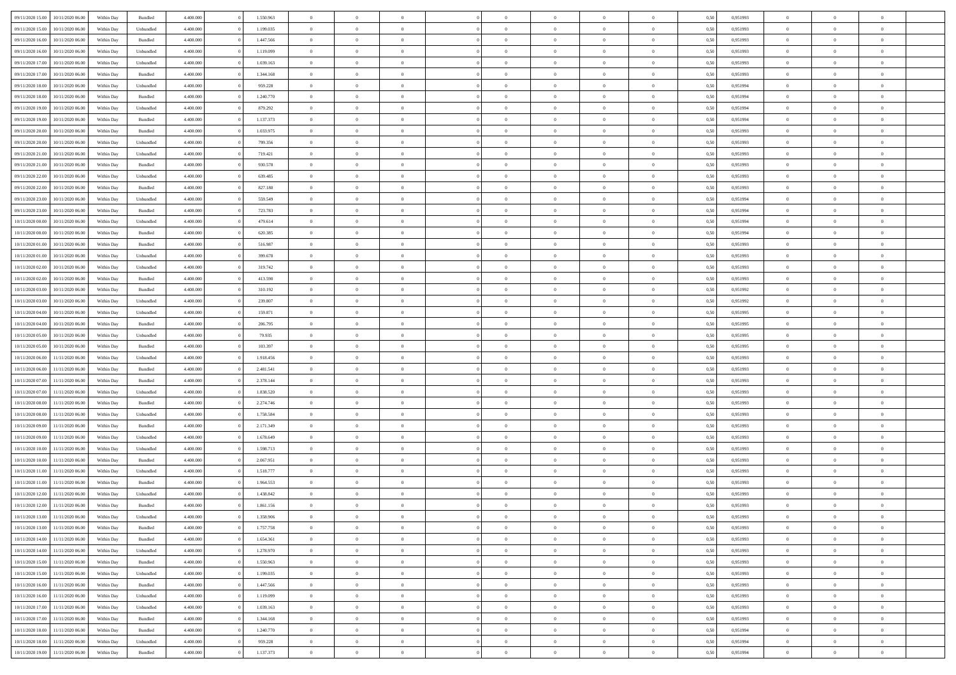| 09/11/2020 15:00<br>10/11/2020 06:00 | Within Day | Bundled            | 4.400.000 | 1.550.963 | $\overline{0}$ | $\overline{0}$ | $\Omega$       | $\Omega$       | $\theta$       |                | $\overline{0}$ | 0,50 | 0,951993 | $\mathbf{0}$   | $\Omega$       | $\Omega$       |  |
|--------------------------------------|------------|--------------------|-----------|-----------|----------------|----------------|----------------|----------------|----------------|----------------|----------------|------|----------|----------------|----------------|----------------|--|
| 09/11/2020 15:00<br>10/11/2020 06:00 | Within Day | Unbundled          | 4.400.000 | 1.199.035 | $\bf{0}$       | $\overline{0}$ | $\overline{0}$ | $\theta$       | $\overline{0}$ | $\overline{0}$ | $\,$ 0         | 0,50 | 0,951993 | $\mathbf{0}$   | $\theta$       | $\bf{0}$       |  |
| 09/11/2020 16:00<br>10/11/2020 06.00 | Within Day | Bundled            | 4.400.000 | 1.447.566 | $\overline{0}$ | $\overline{0}$ | $\overline{0}$ | $\bf{0}$       | $\bf{0}$       | $\overline{0}$ | $\mathbf{0}$   | 0,50 | 0,951993 | $\bf{0}$       | $\bf{0}$       | $\bf{0}$       |  |
| 09/11/2020 16:00<br>10/11/2020 06:00 | Within Day | Unbundled          | 4.400.000 | 1.119.099 | $\overline{0}$ | $\overline{0}$ | $\overline{0}$ | $\overline{0}$ | $\overline{0}$ | $\overline{0}$ | $\overline{0}$ | 0.50 | 0.951993 | $\mathbf{0}$   | $\overline{0}$ | $\bf{0}$       |  |
| 09/11/2020 17:00<br>10/11/2020 06:00 | Within Day | Unbundled          | 4.400.000 | 1.039.163 | $\bf{0}$       | $\overline{0}$ | $\overline{0}$ | $\theta$       | $\overline{0}$ | $\overline{0}$ | $\,$ 0         | 0,50 | 0,951993 | $\theta$       | $\theta$       | $\bf{0}$       |  |
| 09/11/2020 17.00<br>10/11/2020 06.00 | Within Day | Bundled            | 4.400.000 | 1.344.168 | $\overline{0}$ | $\overline{0}$ | $\overline{0}$ | $\bf{0}$       | $\overline{0}$ | $\overline{0}$ | $\overline{0}$ | 0,50 | 0,951993 | $\overline{0}$ | $\overline{0}$ | $\overline{0}$ |  |
| 09/11/2020 18:00<br>10/11/2020 06:00 | Within Day | Unbundled          | 4.400.000 | 959.228   | $\overline{0}$ | $\overline{0}$ | $\overline{0}$ | $\overline{0}$ | $\overline{0}$ | $\overline{0}$ | $\overline{0}$ | 0.50 | 0.951994 | $\overline{0}$ | $\overline{0}$ | $\overline{0}$ |  |
| 09/11/2020 18:00<br>10/11/2020 06:00 | Within Day | Bundled            | 4.400.000 | 1.240.770 | $\bf{0}$       | $\overline{0}$ | $\overline{0}$ | $\theta$       | $\overline{0}$ | $\overline{0}$ | $\,$ 0         | 0,50 | 0,951994 | $\theta$       | $\theta$       | $\bf{0}$       |  |
|                                      |            |                    |           |           |                |                |                |                |                |                |                |      |          |                |                |                |  |
| 09/11/2020 19:00<br>10/11/2020 06.00 | Within Day | Unbundled          | 4.400.000 | 879.292   | $\overline{0}$ | $\overline{0}$ | $\bf{0}$       | $\bf{0}$       | $\bf{0}$       | $\overline{0}$ | $\mathbf{0}$   | 0,50 | 0,951994 | $\bf{0}$       | $\bf{0}$       | $\bf{0}$       |  |
| 09/11/2020 19:00<br>10/11/2020 06:00 | Within Day | Bundled            | 4.400.000 | 1.137.373 | $\overline{0}$ | $\overline{0}$ | $\overline{0}$ | $\overline{0}$ | $\overline{0}$ | $\overline{0}$ | $\overline{0}$ | 0.50 | 0,951994 | $\overline{0}$ | $\theta$       | $\overline{0}$ |  |
| 09/11/2020 20:00<br>10/11/2020 06:00 | Within Day | Bundled            | 4.400.000 | 1.033.975 | $\bf{0}$       | $\overline{0}$ | $\overline{0}$ | $\overline{0}$ | $\overline{0}$ | $\overline{0}$ | $\,$ 0         | 0,50 | 0,951993 | $\mathbf{0}$   | $\theta$       | $\bf{0}$       |  |
| 09/11/2020 20.00<br>10/11/2020 06.00 | Within Day | Unbundled          | 4.400.000 | 799.356   | $\overline{0}$ | $\overline{0}$ | $\overline{0}$ | $\bf{0}$       | $\bf{0}$       | $\overline{0}$ | $\mathbf{0}$   | 0,50 | 0,951993 | $\overline{0}$ | $\bf{0}$       | $\bf{0}$       |  |
| 09/11/2020 21:00<br>10/11/2020 06:00 | Within Day | Unbundled          | 4.400.000 | 719.421   | $\overline{0}$ | $\overline{0}$ | $\overline{0}$ | $\overline{0}$ | $\overline{0}$ | $\overline{0}$ | $\overline{0}$ | 0.50 | 0.951993 | $\mathbf{0}$   | $\overline{0}$ | $\bf{0}$       |  |
| 09/11/2020 21.00<br>10/11/2020 06:00 | Within Day | Bundled            | 4.400.000 | 930.578   | $\bf{0}$       | $\overline{0}$ | $\overline{0}$ | $\theta$       | $\overline{0}$ | $\overline{0}$ | $\,$ 0         | 0,50 | 0,951993 | $\theta$       | $\theta$       | $\bf{0}$       |  |
| 09/11/2020 22.00<br>10/11/2020 06.00 | Within Day | Unbundled          | 4.400.000 | 639.485   | $\overline{0}$ | $\overline{0}$ | $\overline{0}$ | $\bf{0}$       | $\overline{0}$ | $\overline{0}$ | $\overline{0}$ | 0,50 | 0,951993 | $\overline{0}$ | $\overline{0}$ | $\overline{0}$ |  |
| 09/11/2020 22.00<br>10/11/2020 06:00 | Within Day | Bundled            | 4.400.000 | 827.180   | $\overline{0}$ | $\overline{0}$ | $\overline{0}$ | $\overline{0}$ | $\overline{0}$ | $\overline{0}$ | $\overline{0}$ | 0.50 | 0,951993 | $\overline{0}$ | $\overline{0}$ | $\overline{0}$ |  |
| 09/11/2020 23.00<br>10/11/2020 06:00 | Within Day | Unbundled          | 4.400.000 | 559.549   | $\bf{0}$       | $\overline{0}$ | $\overline{0}$ | $\overline{0}$ | $\overline{0}$ | $\overline{0}$ | $\bf{0}$       | 0,50 | 0,951994 | $\theta$       | $\theta$       | $\bf{0}$       |  |
| 09/11/2020 23.00<br>10/11/2020 06.00 | Within Day | Bundled            | 4.400.000 | 723.783   | $\overline{0}$ | $\overline{0}$ | $\bf{0}$       | $\bf{0}$       | $\bf{0}$       | $\overline{0}$ | $\mathbf{0}$   | 0,50 | 0,951994 | $\bf{0}$       | $\bf{0}$       | $\bf{0}$       |  |
| 10/11/2020 00:00<br>10/11/2020 06:00 | Within Day | Unbundled          | 4.400.000 | 479.614   | $\overline{0}$ | $\overline{0}$ | $\overline{0}$ | $\overline{0}$ | $\overline{0}$ | $\overline{0}$ | $\overline{0}$ | 0.50 | 0.951994 | $\overline{0}$ | $\overline{0}$ | $\overline{0}$ |  |
| 10/11/2020 00:00<br>10/11/2020 06:00 | Within Day | Bundled            | 4.400.000 | 620.385   | $\bf{0}$       | $\overline{0}$ | $\overline{0}$ | $\overline{0}$ | $\overline{0}$ | $\overline{0}$ | $\,$ 0         | 0,50 | 0,951994 | $\theta$       | $\theta$       | $\bf{0}$       |  |
|                                      |            |                    |           |           |                |                |                |                |                |                |                |      |          |                |                |                |  |
| 10/11/2020 01:00<br>10/11/2020 06.00 | Within Day | Bundled            | 4.400.000 | 516.987   | $\overline{0}$ | $\overline{0}$ | $\overline{0}$ | $\bf{0}$       | $\bf{0}$       | $\overline{0}$ | $\mathbf{0}$   | 0,50 | 0,951993 | $\bf{0}$       | $\bf{0}$       | $\bf{0}$       |  |
| 10/11/2020 01:00<br>10/11/2020 06:00 | Within Day | Unbundled          | 4.400.000 | 399.678   | $\overline{0}$ | $\overline{0}$ | $\overline{0}$ | $\overline{0}$ | $\overline{0}$ | $\overline{0}$ | $\overline{0}$ | 0.50 | 0.951993 | $\overline{0}$ | $\overline{0}$ | $\bf{0}$       |  |
| 10/11/2020 02:00<br>10/11/2020 06:00 | Within Day | Unbundled          | 4.400.000 | 319.742   | $\bf{0}$       | $\overline{0}$ | $\overline{0}$ | $\overline{0}$ | $\overline{0}$ | $\overline{0}$ | $\,$ 0         | 0,50 | 0,951993 | $\mathbf{0}$   | $\theta$       | $\bf{0}$       |  |
| 10/11/2020 02:00<br>10/11/2020 06.00 | Within Day | Bundled            | 4.400.000 | 413.590   | $\overline{0}$ | $\overline{0}$ | $\overline{0}$ | $\bf{0}$       | $\overline{0}$ | $\overline{0}$ | $\overline{0}$ | 0,50 | 0,951993 | $\overline{0}$ | $\overline{0}$ | $\overline{0}$ |  |
| 10/11/2020 03:00<br>10/11/2020 06:00 | Within Day | Bundled            | 4.400.000 | 310.192   | $\overline{0}$ | $\overline{0}$ | $\overline{0}$ | $\overline{0}$ | $\overline{0}$ | $\overline{0}$ | $\overline{0}$ | 0.50 | 0.951992 | $\overline{0}$ | $\overline{0}$ | $\overline{0}$ |  |
| 10/11/2020 03:00<br>10/11/2020 06:00 | Within Day | Unbundled          | 4.400.000 | 239.807   | $\bf{0}$       | $\overline{0}$ | $\bf{0}$       | $\overline{0}$ | $\overline{0}$ | $\overline{0}$ | $\bf{0}$       | 0,50 | 0,951992 | $\theta$       | $\theta$       | $\bf{0}$       |  |
| 10/11/2020 04:00<br>10/11/2020 06.00 | Within Day | Unbundled          | 4.400.000 | 159.871   | $\overline{0}$ | $\overline{0}$ | $\bf{0}$       | $\bf{0}$       | $\bf{0}$       | $\overline{0}$ | $\mathbf{0}$   | 0,50 | 0,951995 | $\bf{0}$       | $\bf{0}$       | $\bf{0}$       |  |
| 10/11/2020 04:00<br>10/11/2020 06:00 | Within Day | Bundled            | 4.400.000 | 206.795   | $\overline{0}$ | $\overline{0}$ | $\overline{0}$ | $\overline{0}$ | $\overline{0}$ | $\overline{0}$ | $\overline{0}$ | 0.50 | 0.951995 | $\overline{0}$ | $\overline{0}$ | $\overline{0}$ |  |
| 10/11/2020 05:00<br>10/11/2020 06:00 | Within Day | Unbundled          | 4.400.000 | 79.935    | $\bf{0}$       | $\overline{0}$ | $\overline{0}$ | $\overline{0}$ | $\overline{0}$ | $\overline{0}$ | $\,$ 0         | 0,50 | 0,951995 | $\,$ 0 $\,$    | $\theta$       | $\bf{0}$       |  |
| 10/11/2020 05:00<br>10/11/2020 06.00 | Within Day | Bundled            | 4.400.000 | 103.397   | $\overline{0}$ | $\overline{0}$ | $\overline{0}$ | $\bf{0}$       | $\bf{0}$       | $\overline{0}$ | $\mathbf{0}$   | 0,50 | 0,951995 | $\overline{0}$ | $\bf{0}$       | $\bf{0}$       |  |
| 10/11/2020 06:00<br>11/11/2020 06.00 | Within Day | Unbundled          | 4.400.000 | 1.918.456 | $\overline{0}$ | $\overline{0}$ | $\overline{0}$ | $\overline{0}$ | $\overline{0}$ | $\Omega$       | $\overline{0}$ | 0,50 | 0,951993 | $\bf{0}$       | $\Omega$       | $\Omega$       |  |
| 10/11/2020 06:00<br>11/11/2020 06.00 | Within Day | $\mathbf B$ undled | 4.400.000 | 2.481.541 | $\bf{0}$       | $\overline{0}$ | $\overline{0}$ | $\theta$       | $\overline{0}$ | $\overline{0}$ | $\,$ 0         | 0,50 | 0,951993 | $\theta$       | $\theta$       | $\bf{0}$       |  |
|                                      |            |                    |           |           |                |                |                |                |                |                |                |      |          |                |                |                |  |
| 10/11/2020 07:00<br>11/11/2020 06.00 | Within Day | Bundled            | 4.400.000 | 2.378.144 | $\overline{0}$ | $\overline{0}$ | $\overline{0}$ | $\bf{0}$       | $\overline{0}$ | $\overline{0}$ | $\overline{0}$ | 0,50 | 0,951993 | $\overline{0}$ | $\overline{0}$ | $\overline{0}$ |  |
| 10/11/2020 07:00<br>11/11/2020 06.00 | Within Day | Unbundled          | 4,400,000 | 1.838.520 | $\overline{0}$ | $\overline{0}$ | $\overline{0}$ | $\overline{0}$ | $\overline{0}$ | $\Omega$       | $\overline{0}$ | 0.50 | 0,951993 | $\overline{0}$ | $\overline{0}$ | $\Omega$       |  |
| 10/11/2020 08:00<br>11/11/2020 06:00 | Within Day | Bundled            | 4.400.000 | 2.274.746 | $\bf{0}$       | $\overline{0}$ | $\bf{0}$       | $\overline{0}$ | $\overline{0}$ | $\overline{0}$ | $\bf{0}$       | 0,50 | 0,951993 | $\theta$       | $\theta$       | $\bf{0}$       |  |
| 10/11/2020 08:00<br>11/11/2020 06.00 | Within Day | Unbundled          | 4.400.000 | 1.758.584 | $\overline{0}$ | $\overline{0}$ | $\bf{0}$       | $\bf{0}$       | $\bf{0}$       | $\overline{0}$ | $\bf{0}$       | 0,50 | 0,951993 | $\bf{0}$       | $\bf{0}$       | $\bf{0}$       |  |
| 10/11/2020 09:00<br>11/11/2020 06.00 | Within Day | Bundled            | 4,400,000 | 2.171.349 | $\overline{0}$ | $\overline{0}$ | $\Omega$       | $\overline{0}$ | $\overline{0}$ | $\Omega$       | $\theta$       | 0.50 | 0,951993 | $\overline{0}$ | $\Omega$       | $\theta$       |  |
| 10/11/2020 09:00<br>11/11/2020 06.00 | Within Day | Unbundled          | 4.400.000 | 1.678.649 | $\bf{0}$       | $\overline{0}$ | $\bf{0}$       | $\overline{0}$ | $\overline{0}$ | $\overline{0}$ | $\,$ 0         | 0,50 | 0,951993 | $\,$ 0 $\,$    | $\theta$       | $\bf{0}$       |  |
| 10/11/2020 10:00<br>11/11/2020 06.00 | Within Day | Unbundled          | 4.400.000 | 1.598.713 | $\overline{0}$ | $\overline{0}$ | $\overline{0}$ | $\bf{0}$       | $\bf{0}$       | $\overline{0}$ | $\mathbf{0}$   | 0,50 | 0,951993 | $\overline{0}$ | $\bf{0}$       | $\bf{0}$       |  |
| 10/11/2020 10:00<br>11/11/2020 06.00 | Within Day | Bundled            | 4.400.000 | 2.067.951 | $\overline{0}$ | $\overline{0}$ | $\overline{0}$ | $\overline{0}$ | $\bf{0}$       | $\Omega$       | $\overline{0}$ | 0.50 | 0,951993 | $\overline{0}$ | $\overline{0}$ | $\Omega$       |  |
| 10/11/2020 11:00<br>11/11/2020 06:00 | Within Day | Unbundled          | 4.400.000 | 1.518.777 | $\bf{0}$       | $\overline{0}$ | $\bf{0}$       | $\overline{0}$ | $\bf{0}$       | $\overline{0}$ | $\,$ 0         | 0,50 | 0,951993 | $\,$ 0 $\,$    | $\theta$       | $\bf{0}$       |  |
| 10/11/2020 11:00<br>11/11/2020 06.00 | Within Day | Bundled            | 4.400.000 | 1.964.553 | $\overline{0}$ | $\overline{0}$ | $\bf{0}$       | $\bf{0}$       | $\overline{0}$ | $\overline{0}$ | $\overline{0}$ | 0,50 | 0,951993 | $\overline{0}$ | $\bf{0}$       | $\bf{0}$       |  |
| 10/11/2020 12:00<br>11/11/2020 06.00 | Within Day | Unbundled          | 4,400,000 | 1.438.842 | $\overline{0}$ | $\overline{0}$ | $\overline{0}$ | $\overline{0}$ | $\overline{0}$ | $\Omega$       | $\overline{0}$ | 0.50 | 0,951993 | $\bf{0}$       | $\theta$       | $\overline{0}$ |  |
| 10/11/2020 12:00<br>11/11/2020 06:00 | Within Day | Bundled            | 4.400.000 | 1.861.156 | $\bf{0}$       | $\overline{0}$ | $\bf{0}$       | $\bf{0}$       | $\bf{0}$       | $\overline{0}$ | $\,$ 0 $\,$    | 0,50 | 0,951993 | $\bf{0}$       | $\,$ 0         | $\,$ 0         |  |
| 10/11/2020 13:00 11/11/2020 06:00    | Within Day | Unbundled          | 4.400.000 | 1.358.906 | $\bf{0}$       | $\bf{0}$       |                | $\bf{0}$       |                |                | $\bf{0}$       | 0,50 | 0,951993 | $\bf{0}$       | $\bf{0}$       |                |  |
| 10/11/2020 13:00 11/11/2020 06:00    |            |                    | 4.400.000 | 1.757.758 | $\overline{0}$ | $\overline{0}$ | $\theta$       | $\overline{0}$ | $\overline{0}$ | $\theta$       | $\mathbf{0}$   |      |          | $\overline{0}$ | $\overline{0}$ | $\Omega$       |  |
|                                      | Within Day | Bundled            |           |           |                |                |                |                |                |                |                | 0,50 | 0,951993 |                |                |                |  |
| 10/11/2020 14:00<br>11/11/2020 06:00 | Within Day | Bundled            | 4.400.000 | 1.654.361 | $\overline{0}$ | $\overline{0}$ | $\overline{0}$ | $\bf{0}$       | $\overline{0}$ | $\overline{0}$ | $\mathbf{0}$   | 0,50 | 0,951993 | $\,$ 0 $\,$    | $\overline{0}$ | $\,$ 0 $\,$    |  |
| 10/11/2020 14.00 11/11/2020 06.00    | Within Day | Unbundled          | 4.400.000 | 1.278.970 | $\overline{0}$ | $\overline{0}$ | $\overline{0}$ | $\bf{0}$       | $\overline{0}$ | $\overline{0}$ | $\overline{0}$ | 0,50 | 0,951993 | $\bf{0}$       | $\overline{0}$ | $\overline{0}$ |  |
| 10/11/2020 15:00<br>11/11/2020 06:00 | Within Day | Bundled            | 4.400.000 | 1.550.963 | $\overline{0}$ | $\overline{0}$ | $\overline{0}$ | $\overline{0}$ | $\bf{0}$       | $\overline{0}$ | $\bf{0}$       | 0,50 | 0,951993 | $\overline{0}$ | $\overline{0}$ | $\overline{0}$ |  |
| 10/11/2020 15:00<br>11/11/2020 06:00 | Within Day | Unbundled          | 4.400.000 | 1.199.035 | $\overline{0}$ | $\overline{0}$ | $\overline{0}$ | $\overline{0}$ | $\overline{0}$ | $\overline{0}$ | $\,$ 0 $\,$    | 0,50 | 0,951993 | $\,$ 0 $\,$    | $\theta$       | $\bf{0}$       |  |
| 10/11/2020 16.00<br>11/11/2020 06:00 | Within Day | Bundled            | 4.400.000 | 1.447.566 | $\overline{0}$ | $\overline{0}$ | $\overline{0}$ | $\bf{0}$       | $\overline{0}$ | $\overline{0}$ | $\overline{0}$ | 0,50 | 0,951993 | $\bf{0}$       | $\overline{0}$ | $\overline{0}$ |  |
| 10/11/2020 16:00<br>11/11/2020 06.00 | Within Day | Unbundled          | 4.400.000 | 1.119.099 | $\overline{0}$ | $\overline{0}$ | $\overline{0}$ | $\overline{0}$ | $\overline{0}$ | $\overline{0}$ | $\overline{0}$ | 0.50 | 0,951993 | $\overline{0}$ | $\overline{0}$ | $\overline{0}$ |  |
| 10/11/2020 17.00<br>11/11/2020 06:00 | Within Day | Unbundled          | 4.400.000 | 1.039.163 | $\overline{0}$ | $\overline{0}$ | $\overline{0}$ | $\bf{0}$       | $\bf{0}$       | $\overline{0}$ | $\,$ 0 $\,$    | 0,50 | 0,951993 | $\,$ 0 $\,$    | $\theta$       | $\,$ 0         |  |
| 10/11/2020 17:00<br>11/11/2020 06.00 | Within Day | Bundled            | 4.400.000 | 1.344.168 | $\overline{0}$ | $\overline{0}$ | $\overline{0}$ | $\bf{0}$       | $\overline{0}$ | $\overline{0}$ | $\overline{0}$ | 0,50 | 0,951993 | $\bf{0}$       | $\bf{0}$       | $\overline{0}$ |  |
| 10/11/2020 18:00<br>11/11/2020 06:00 | Within Day | Bundled            | 4.400.000 | 1.240.770 | $\overline{0}$ | $\overline{0}$ | $\overline{0}$ | $\overline{0}$ | $\overline{0}$ | $\overline{0}$ | $\overline{0}$ | 0.50 | 0,951994 | $\overline{0}$ | $\overline{0}$ | $\overline{0}$ |  |
| 10/11/2020 18:00<br>11/11/2020 06:00 | Within Day | Unbundled          | 4.400.000 | 959.228   | $\overline{0}$ | $\overline{0}$ | $\overline{0}$ | $\bf{0}$       | $\bf{0}$       | $\bf{0}$       | $\,$ 0 $\,$    | 0,50 | 0,951994 | $\,$ 0 $\,$    | $\,0\,$        | $\,$ 0         |  |
|                                      | Within Day | Bundled            | 4.400.000 | 1.137.373 | $\overline{0}$ | $\overline{0}$ | $\bf{0}$       | $\bf{0}$       | $\bf{0}$       | $\overline{0}$ | $\bf{0}$       | 0,50 | 0,951994 | $\bf{0}$       | $\bf{0}$       | $\bf{0}$       |  |
| 10/11/2020 19:00 11/11/2020 06:00    |            |                    |           |           |                |                |                |                |                |                |                |      |          |                |                |                |  |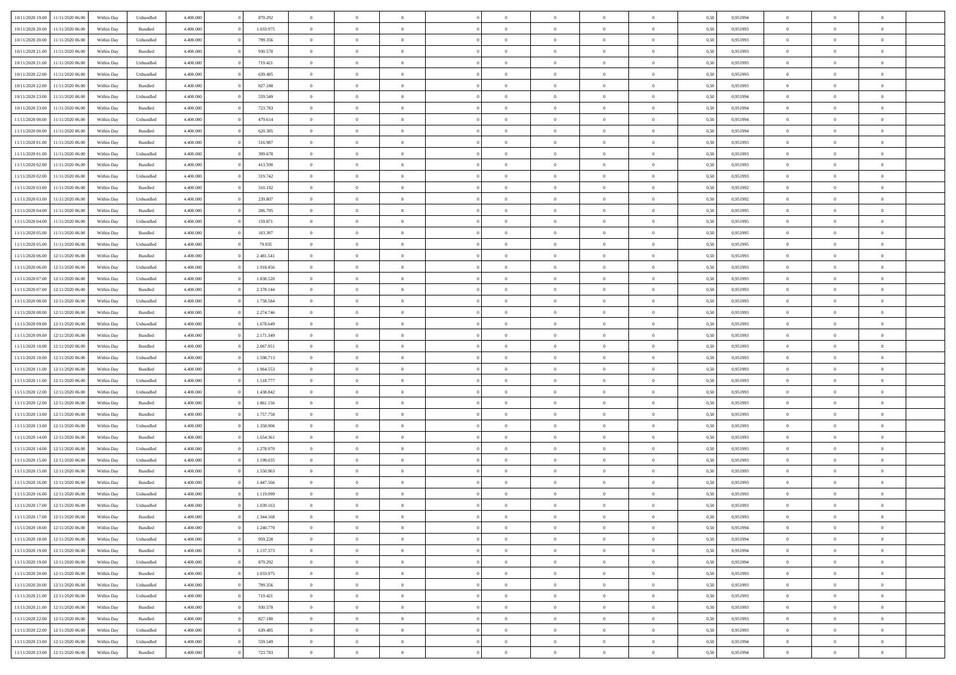| 10/11/2020 19:00 | 11/11/2020 06:00 | Within Dav | Unbundled          | 4.400.000 | 879.292   | $\overline{0}$ | $\theta$       |                | $\Omega$       | $\Omega$       | $\theta$       | $\theta$       | 0,50 | 0,951994 | $\theta$       | $\theta$       | $\theta$       |  |
|------------------|------------------|------------|--------------------|-----------|-----------|----------------|----------------|----------------|----------------|----------------|----------------|----------------|------|----------|----------------|----------------|----------------|--|
|                  |                  |            |                    |           |           |                |                |                |                |                |                |                |      |          |                |                |                |  |
| 10/11/2020 20.00 | 11/11/2020 06.00 | Within Day | Bundled            | 4.400.000 | 1.033.975 | $\overline{0}$ | $\theta$       | $\overline{0}$ | $\overline{0}$ | $\bf{0}$       | $\overline{0}$ | $\bf{0}$       | 0,50 | 0,951993 | $\theta$       | $\overline{0}$ | $\overline{0}$ |  |
| 10/11/2020 20:00 | 11/11/2020 06.00 | Within Day | Unbundled          | 4.400.000 | 799.356   | $\overline{0}$ | $\overline{0}$ | $\overline{0}$ | $\bf{0}$       | $\bf{0}$       | $\bf{0}$       | $\mathbf{0}$   | 0,50 | 0,951993 | $\bf{0}$       | $\overline{0}$ | $\overline{0}$ |  |
| 10/11/2020 21:00 | 11/11/2020 06:00 | Within Dav | Bundled            | 4.400.000 | 930.578   | $\overline{0}$ | $\overline{0}$ | $\overline{0}$ | $\overline{0}$ | $\bf{0}$       | $\overline{0}$ | $\overline{0}$ | 0.50 | 0.951993 | $\theta$       | $\theta$       | $\overline{0}$ |  |
| 10/11/2020 21.00 | 11/11/2020 06.00 | Within Day | Unbundled          | 4.400.000 | 719.421   | $\overline{0}$ | $\theta$       | $\overline{0}$ | $\overline{0}$ | $\bf{0}$       | $\overline{0}$ | $\bf{0}$       | 0,50 | 0,951993 | $\theta$       | $\overline{0}$ | $\overline{0}$ |  |
| 10/11/2020 22.00 | 11/11/2020 06.00 | Within Day | Unbundled          | 4.400.000 | 639.485   | $\overline{0}$ | $\bf{0}$       | $\overline{0}$ | $\bf{0}$       | $\overline{0}$ | $\overline{0}$ | $\mathbf{0}$   | 0,50 | 0,951993 | $\bf{0}$       | $\overline{0}$ | $\bf{0}$       |  |
| 10/11/2020 22.00 | 11/11/2020 06.00 | Within Dav | Bundled            | 4.400.000 | 827.180   | $\overline{0}$ | $\overline{0}$ | $\overline{0}$ | $\overline{0}$ | $\overline{0}$ | $\overline{0}$ | $\overline{0}$ | 0.50 | 0.951993 | $\theta$       | $\overline{0}$ | $\overline{0}$ |  |
|                  |                  |            |                    |           |           |                |                |                |                |                |                |                |      |          |                |                |                |  |
| 10/11/2020 23.00 | 11/11/2020 06.00 | Within Day | Unbundled          | 4.400.000 | 559.549   | $\overline{0}$ | $\theta$       | $\overline{0}$ | $\overline{0}$ | $\bf{0}$       | $\overline{0}$ | $\bf{0}$       | 0,50 | 0,951994 | $\theta$       | $\theta$       | $\overline{0}$ |  |
| 10/11/2020 23:00 | 11/11/2020 06.00 | Within Day | Bundled            | 4.400.000 | 723.783   | $\overline{0}$ | $\overline{0}$ | $\overline{0}$ | $\bf{0}$       | $\bf{0}$       | $\bf{0}$       | $\bf{0}$       | 0,50 | 0,951994 | $\,0\,$        | $\overline{0}$ | $\overline{0}$ |  |
| 11/11/2020 00:00 | 11/11/2020 06.00 | Within Dav | Unbundled          | 4.400.000 | 479.614   | $\overline{0}$ | $\overline{0}$ | $\overline{0}$ | $\overline{0}$ | $\overline{0}$ | $\overline{0}$ | $\overline{0}$ | 0.50 | 0,951994 | $\theta$       | $\overline{0}$ | $\overline{0}$ |  |
| 11/11/2020 00:00 | 11/11/2020 06.00 | Within Day | Bundled            | 4.400.000 | 620.385   | $\overline{0}$ | $\theta$       | $\overline{0}$ | $\overline{0}$ | $\bf{0}$       | $\overline{0}$ | $\bf{0}$       | 0,50 | 0,951994 | $\,$ 0 $\,$    | $\overline{0}$ | $\overline{0}$ |  |
| 11/11/2020 01.00 | 11/11/2020 06.00 | Within Day | Bundled            | 4.400.000 | 516.987   | $\overline{0}$ | $\overline{0}$ | $\overline{0}$ | $\bf{0}$       | $\bf{0}$       | $\bf{0}$       | $\mathbf{0}$   | 0,50 | 0,951993 | $\overline{0}$ | $\overline{0}$ | $\overline{0}$ |  |
| 11/11/2020 01:00 | 11/11/2020 06:00 | Within Day | Unbundled          | 4.400.000 | 399,678   | $\overline{0}$ | $\overline{0}$ | $\overline{0}$ | $\overline{0}$ | $\bf{0}$       | $\overline{0}$ | $\overline{0}$ | 0.50 | 0.951993 | $\theta$       | $\theta$       | $\overline{0}$ |  |
| 11/11/2020 02.00 | 11/11/2020 06.00 | Within Day | Bundled            | 4.400.000 | 413.590   | $\overline{0}$ | $\theta$       | $\overline{0}$ | $\overline{0}$ | $\bf{0}$       | $\overline{0}$ | $\bf{0}$       | 0,50 | 0,951993 | $\theta$       | $\overline{0}$ | $\overline{0}$ |  |
|                  |                  |            |                    |           |           |                |                |                |                |                |                |                |      |          |                |                |                |  |
| 11/11/2020 02:00 | 11/11/2020 06.00 | Within Day | Unbundled          | 4.400.000 | 319.742   | $\overline{0}$ | $\overline{0}$ | $\overline{0}$ | $\bf{0}$       | $\overline{0}$ | $\overline{0}$ | $\mathbf{0}$   | 0,50 | 0,951993 | $\overline{0}$ | $\overline{0}$ | $\bf{0}$       |  |
| 11/11/2020 03:00 | 11/11/2020 06.00 | Within Dav | Bundled            | 4.400.000 | 310.192   | $\overline{0}$ | $\overline{0}$ | $\overline{0}$ | $\overline{0}$ | $\overline{0}$ | $\overline{0}$ | $\overline{0}$ | 0.50 | 0.951992 | $\theta$       | $\overline{0}$ | $\overline{0}$ |  |
| 11/11/2020 03.00 | 11/11/2020 06.00 | Within Day | Unbundled          | 4.400.000 | 239.807   | $\overline{0}$ | $\theta$       | $\overline{0}$ | $\overline{0}$ | $\bf{0}$       | $\overline{0}$ | $\bf{0}$       | 0,50 | 0,951992 | $\,$ 0 $\,$    | $\theta$       | $\overline{0}$ |  |
| 11/11/2020 04:00 | 11/11/2020 06.00 | Within Day | Bundled            | 4.400.000 | 206.795   | $\overline{0}$ | $\overline{0}$ | $\overline{0}$ | $\bf{0}$       | $\bf{0}$       | $\bf{0}$       | $\mathbf{0}$   | 0,50 | 0,951995 | $\,0\,$        | $\overline{0}$ | $\overline{0}$ |  |
| 11/11/2020 04:00 | 11/11/2020 06.00 | Within Day | Unbundled          | 4.400.000 | 159.871   | $\overline{0}$ | $\overline{0}$ | $\overline{0}$ | $\overline{0}$ | $\overline{0}$ | $\overline{0}$ | $\overline{0}$ | 0.50 | 0.951995 | $\theta$       | $\overline{0}$ | $\overline{0}$ |  |
| 11/11/2020 05:00 | 11/11/2020 06.00 | Within Day | Bundled            | 4.400.000 | 103.397   | $\overline{0}$ | $\theta$       | $\overline{0}$ | $\overline{0}$ | $\bf{0}$       | $\overline{0}$ | $\bf{0}$       | 0,50 | 0,951995 | $\,$ 0 $\,$    | $\theta$       | $\overline{0}$ |  |
| 11/11/2020 05:00 | 11/11/2020 06.00 | Within Day | Unbundled          | 4.400.000 | 79.935    | $\overline{0}$ | $\overline{0}$ | $\overline{0}$ | $\overline{0}$ | $\bf{0}$       | $\overline{0}$ | $\bf{0}$       | 0,50 | 0,951995 | $\bf{0}$       | $\overline{0}$ | $\overline{0}$ |  |
| 11/11/2020 06:00 | 12/11/2020 06:00 | Within Day | Bundled            | 4.400.000 | 2.481.541 | $\overline{0}$ | $\overline{0}$ | $\overline{0}$ | $\overline{0}$ | $\bf{0}$       | $\overline{0}$ | $\overline{0}$ | 0.50 | 0.951993 | $\theta$       | $\theta$       | $\overline{0}$ |  |
|                  |                  |            |                    |           |           |                |                |                |                |                |                |                |      |          |                |                |                |  |
| 11/11/2020 06.00 | 12/11/2020 06.00 | Within Day | Unbundled          | 4.400.000 | 1.918.456 | $\overline{0}$ | $\theta$       | $\overline{0}$ | $\overline{0}$ | $\bf{0}$       | $\overline{0}$ | $\bf{0}$       | 0,50 | 0,951993 | $\,$ 0 $\,$    | $\overline{0}$ | $\overline{0}$ |  |
| 11/11/2020 07.00 | 12/11/2020 06.00 | Within Day | Unbundled          | 4.400.000 | 1.838.520 | $\overline{0}$ | $\bf{0}$       | $\overline{0}$ | $\overline{0}$ | $\overline{0}$ | $\overline{0}$ | $\mathbf{0}$   | 0,50 | 0,951993 | $\bf{0}$       | $\overline{0}$ | $\bf{0}$       |  |
| 11/11/2020 07.00 | 12/11/2020 06:00 | Within Dav | Bundled            | 4.400.000 | 2.378.144 | $\overline{0}$ | $\overline{0}$ | $\overline{0}$ | $\overline{0}$ | $\overline{0}$ | $\overline{0}$ | $\overline{0}$ | 0.50 | 0.951993 | $\overline{0}$ | $\overline{0}$ | $\overline{0}$ |  |
| 11/11/2020 08:00 | 12/11/2020 06.00 | Within Day | Unbundled          | 4.400.000 | 1.758.584 | $\overline{0}$ | $\theta$       | $\overline{0}$ | $\overline{0}$ | $\bf{0}$       | $\overline{0}$ | $\bf{0}$       | 0,50 | 0,951993 | $\theta$       | $\theta$       | $\overline{0}$ |  |
| 11/11/2020 08:00 | 12/11/2020 06.00 | Within Day | Bundled            | 4.400.000 | 2.274.746 | $\overline{0}$ | $\overline{0}$ | $\overline{0}$ | $\overline{0}$ | $\bf{0}$       | $\bf{0}$       | $\bf{0}$       | 0,50 | 0,951993 | $\,0\,$        | $\overline{0}$ | $\overline{0}$ |  |
| 11/11/2020 09:00 | 12/11/2020 06.00 | Within Day | Unbundled          | 4.400.000 | 1.678.649 | $\overline{0}$ | $\overline{0}$ | $\overline{0}$ | $\overline{0}$ | $\overline{0}$ | $\overline{0}$ | $\overline{0}$ | 0.50 | 0.951993 | $\theta$       | $\overline{0}$ | $\overline{0}$ |  |
| 11/11/2020 09:00 | 12/11/2020 06.00 | Within Day | Bundled            | 4.400.000 | 2.171.349 | $\overline{0}$ | $\theta$       | $\overline{0}$ | $\overline{0}$ | $\bf{0}$       | $\overline{0}$ | $\bf{0}$       | 0,50 | 0,951993 | $\,$ 0 $\,$    | $\overline{0}$ | $\overline{0}$ |  |
|                  |                  |            |                    |           |           |                | $\overline{0}$ |                |                | $\bf{0}$       |                |                |      |          |                | $\overline{0}$ | $\overline{0}$ |  |
| 11/11/2020 10.00 | 12/11/2020 06.00 | Within Day | Bundled            | 4.400.000 | 2.067.951 | $\overline{0}$ |                | $\overline{0}$ | $\bf{0}$       |                | $\bf{0}$       | $\bf{0}$       | 0,50 | 0,951993 | $\bf{0}$       |                |                |  |
| 11/11/2020 10:00 | 12/11/2020 06.00 | Within Day | Unbundled          | 4.400.000 | 1.598.713 | $\overline{0}$ | $\Omega$       | $\overline{0}$ | $\Omega$       | $\Omega$       | $\overline{0}$ | $\overline{0}$ | 0,50 | 0,951993 | $\,0\,$        | $\theta$       | $\theta$       |  |
| 11/11/2020 11:00 | 12/11/2020 06.00 | Within Day | Bundled            | 4.400.000 | 1.964.553 | $\overline{0}$ | $\theta$       | $\overline{0}$ | $\overline{0}$ | $\bf{0}$       | $\overline{0}$ | $\bf{0}$       | 0,50 | 0,951993 | $\,$ 0 $\,$    | $\overline{0}$ | $\overline{0}$ |  |
| 11/11/2020 11:00 | 12/11/2020 06.00 | Within Day | Unbundled          | 4.400.000 | 1.518.777 | $\overline{0}$ | $\overline{0}$ | $\overline{0}$ | $\bf{0}$       | $\bf{0}$       | $\overline{0}$ | $\mathbf{0}$   | 0,50 | 0,951993 | $\bf{0}$       | $\overline{0}$ | $\bf{0}$       |  |
| 11/11/2020 12:00 | 12/11/2020 06.00 | Within Day | Unbundled          | 4.400,000 | 1.438.842 | $\overline{0}$ | $\Omega$       | $\Omega$       | $\Omega$       | $\bf{0}$       | $\overline{0}$ | $\overline{0}$ | 0.50 | 0,951993 | $\,0\,$        | $\theta$       | $\theta$       |  |
| 11/11/2020 12:00 | 12/11/2020 06.00 | Within Day | Bundled            | 4.400.000 | 1.861.156 | $\overline{0}$ | $\theta$       | $\overline{0}$ | $\overline{0}$ | $\bf{0}$       | $\overline{0}$ | $\bf{0}$       | 0,50 | 0,951993 | $\,$ 0 $\,$    | $\overline{0}$ | $\overline{0}$ |  |
| 11/11/2020 13:00 | 12/11/2020 06.00 | Within Day | Bundled            | 4.400.000 | 1.757.758 | $\overline{0}$ | $\overline{0}$ | $\overline{0}$ | $\bf{0}$       | $\bf{0}$       | $\bf{0}$       | $\bf{0}$       | 0,50 | 0,951993 | $\bf{0}$       | $\overline{0}$ | $\overline{0}$ |  |
| 11/11/2020 13:00 | 12/11/2020 06.00 | Within Day | Unbundled          | 4.400,000 | 1.358,906 | $\overline{0}$ | $\Omega$       | $\overline{0}$ | $\Omega$       | $\overline{0}$ | $\overline{0}$ | $\overline{0}$ | 0.50 | 0,951993 | $\,0\,$        | $\theta$       | $\theta$       |  |
| 11/11/2020 14:00 | 12/11/2020 06.00 |            | Bundled            | 4.400.000 | 1.654.361 | $\overline{0}$ | $\theta$       | $\overline{0}$ | $\overline{0}$ | $\,$ 0         | $\overline{0}$ |                |      | 0,951993 | $\,$ 0 $\,$    | $\overline{0}$ | $\overline{0}$ |  |
|                  |                  | Within Day |                    |           |           |                |                |                |                |                |                | $\bf{0}$       | 0,50 |          |                |                |                |  |
| 11/11/2020 14:00 | 12/11/2020 06.00 | Within Day | Unbundled          | 4.400.000 | 1.278.970 | $\overline{0}$ | $\overline{0}$ | $\overline{0}$ | $\bf{0}$       | $\bf{0}$       | $\bf{0}$       | $\bf{0}$       | 0,50 | 0,951993 | $\bf{0}$       | $\overline{0}$ | $\overline{0}$ |  |
| 11/11/2020 15:00 | 12/11/2020 06.00 | Within Day | Unbundled          | 4.400.000 | 1.199.035 | $\overline{0}$ | $\Omega$       | $\overline{0}$ | $\Omega$       | $\overline{0}$ | $\overline{0}$ | $\overline{0}$ | 0,50 | 0,951993 | $\,0\,$        | $\theta$       | $\theta$       |  |
| 11/11/2020 15:00 | 12/11/2020 06.00 | Within Day | Bundled            | 4.400.000 | 1.550.963 | $\overline{0}$ | $\theta$       | $\overline{0}$ | $\overline{0}$ | $\,$ 0         | $\overline{0}$ | $\bf{0}$       | 0,50 | 0,951993 | $\,$ 0 $\,$    | $\overline{0}$ | $\overline{0}$ |  |
| 11/11/2020 16:00 | 12/11/2020 06.00 | Within Day | Bundled            | 4.400.000 | 1.447.566 | $\overline{0}$ | $\overline{0}$ | $\overline{0}$ | $\bf{0}$       | $\bf{0}$       | $\bf{0}$       | $\mathbf{0}$   | 0,50 | 0,951993 | $\overline{0}$ | $\overline{0}$ | $\bf{0}$       |  |
| 11/11/2020 16:00 | 12/11/2020 06.00 | Within Day | Unbundled          | 4.400,000 | 1.119.099 | $\overline{0}$ | $\Omega$       | $\Omega$       | $\Omega$       | $\Omega$       | $\Omega$       | $\overline{0}$ | 0.50 | 0.951993 | $\theta$       | $\theta$       | $\theta$       |  |
| 11/11/2020 17.00 | 12/11/2020 06.00 | Within Day | Unbundled          | 4.400.000 | 1.039.163 | $\overline{0}$ | $\,$ 0 $\,$    | $\overline{0}$ | $\bf{0}$       | $\,$ 0         | $\bf{0}$       | $\bf{0}$       | 0,50 | 0,951993 | $\,0\,$        | $\overline{0}$ | $\overline{0}$ |  |
| 11/11/2020 17:00 | 12/11/2020 06.00 | Within Day | $\mathbf B$ undled | 4.400.000 | 1.344.168 | $\bf{0}$       | $\bf{0}$       |                |                |                |                |                | 0,50 | 0,951993 | $\bf{0}$       | $\overline{0}$ |                |  |
| 11/11/2020 18:00 | 12/11/2020 06.00 | Within Day | Bundled            | 4.400.000 | 1.240.770 | $\overline{0}$ | $\overline{0}$ | $\overline{0}$ | $\Omega$       | $\overline{0}$ | $\overline{0}$ | $\overline{0}$ | 0,50 | 0.951994 | $\theta$       | $\theta$       | $\theta$       |  |
|                  |                  |            |                    |           |           |                |                |                |                |                |                |                |      |          |                |                |                |  |
| 11/11/2020 18:00 | 12/11/2020 06.00 | Within Day | Unbundled          | 4.400.000 | 959.228   | $\overline{0}$ | $\bf{0}$       | $\overline{0}$ | $\bf{0}$       | $\,$ 0 $\,$    | $\overline{0}$ | $\,$ 0 $\,$    | 0,50 | 0,951994 | $\,$ 0 $\,$    | $\,$ 0 $\,$    | $\,$ 0         |  |
| 11/11/2020 19.00 | 12/11/2020 06.00 | Within Day | Bundled            | 4.400.000 | 1.137.373 | $\overline{0}$ | $\overline{0}$ | $\overline{0}$ | $\overline{0}$ | $\overline{0}$ | $\overline{0}$ | $\mathbf{0}$   | 0,50 | 0,951994 | $\overline{0}$ | $\bf{0}$       | $\bf{0}$       |  |
| 11/11/2020 19:00 | 12/11/2020 06.00 | Within Day | Unbundled          | 4.400.000 | 879.292   | $\overline{0}$ | $\overline{0}$ | $\overline{0}$ | $\Omega$       | $\overline{0}$ | $\overline{0}$ | $\overline{0}$ | 0,50 | 0,951994 | $\overline{0}$ | $\,$ 0 $\,$    | $\overline{0}$ |  |
| 11/11/2020 20.00 | 12/11/2020 06.00 | Within Day | Bundled            | 4.400.000 | 1.033.975 | $\overline{0}$ | $\,$ 0         | $\overline{0}$ | $\bf{0}$       | $\,$ 0 $\,$    | $\overline{0}$ | $\mathbf{0}$   | 0,50 | 0,951993 | $\,$ 0 $\,$    | $\overline{0}$ | $\overline{0}$ |  |
| 11/11/2020 20.00 | 12/11/2020 06.00 | Within Day | Unbundled          | 4.400.000 | 799.356   | $\overline{0}$ | $\overline{0}$ | $\overline{0}$ | $\overline{0}$ | $\overline{0}$ | $\overline{0}$ | $\mathbf{0}$   | 0,50 | 0,951993 | $\overline{0}$ | $\overline{0}$ | $\bf{0}$       |  |
| 11/11/2020 21.00 | 12/11/2020 06.00 | Within Day | Unbundled          | 4.400.000 | 719.421   | $\overline{0}$ | $\overline{0}$ | $\overline{0}$ | $\overline{0}$ | $\overline{0}$ | $\overline{0}$ | $\bf{0}$       | 0.50 | 0,951993 | $\overline{0}$ | $\theta$       | $\overline{0}$ |  |
| 11/11/2020 21.00 | 12/11/2020 06.00 | Within Day | Bundled            | 4.400.000 | 930.578   | $\overline{0}$ | $\,$ 0         | $\overline{0}$ | $\bf{0}$       | $\bf{0}$       | $\bf{0}$       | $\bf{0}$       | 0,50 | 0,951993 | $\,$ 0 $\,$    | $\overline{0}$ | $\overline{0}$ |  |
|                  | 12/11/2020 06.00 | Within Day | Bundled            | 4.400.000 | 827.180   | $\overline{0}$ | $\bf{0}$       | $\overline{0}$ | $\overline{0}$ | $\overline{0}$ | $\overline{0}$ | $\mathbf{0}$   | 0,50 | 0,951993 | $\overline{0}$ | $\overline{0}$ | $\bf{0}$       |  |
| 11/11/2020 22.00 |                  |            |                    |           |           |                |                |                |                |                |                |                |      |          |                |                |                |  |
| 11/11/2020 22.00 | 12/11/2020 06.00 | Within Day | Unbundled          | 4.400,000 | 639,485   | $\overline{0}$ | $\overline{0}$ | $\overline{0}$ | $\Omega$       | $\overline{0}$ | $\overline{0}$ | $\overline{0}$ | 0,50 | 0,951993 | $\overline{0}$ | $\overline{0}$ | $\overline{0}$ |  |
| 11/11/2020 23.00 | 12/11/2020 06.00 | Within Day | Unbundled          | 4.400.000 | 559.549   | $\overline{0}$ | $\bf{0}$       | $\overline{0}$ | $\bf{0}$       | $\bf{0}$       | $\bf{0}$       | $\mathbf{0}$   | 0,50 | 0,951994 | $\,$ 0 $\,$    | $\,$ 0 $\,$    | $\bf{0}$       |  |
| 11/11/2020 23:00 | 12/11/2020 06.00 | Within Day | Bundled            | 4.400.000 | 723.783   | $\overline{0}$ | $\overline{0}$ | $\overline{0}$ | $\overline{0}$ | $\overline{0}$ | $\bf{0}$       | $\mathbf{0}$   | 0,50 | 0,951994 | $\overline{0}$ | $\bf{0}$       | $\bf{0}$       |  |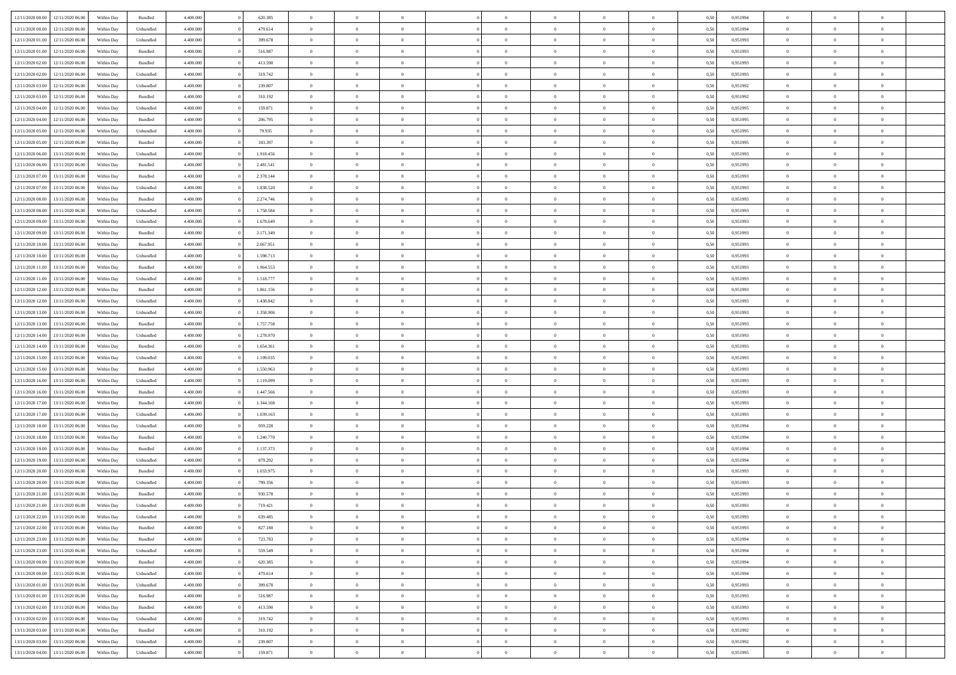| 12/11/2020 00:00 | 12/11/2020 06:00 | Within Dav | Bundled            | 4.400.000 | 620.385   | $\overline{0}$ | $\Omega$       |                | $\Omega$       | $\Omega$       | $\Omega$       | $\theta$       | 0,50 | 0,951994 | $\theta$       | $\theta$       | $\theta$       |  |
|------------------|------------------|------------|--------------------|-----------|-----------|----------------|----------------|----------------|----------------|----------------|----------------|----------------|------|----------|----------------|----------------|----------------|--|
|                  |                  |            |                    |           |           |                |                |                |                |                |                |                |      |          |                |                |                |  |
| 12/11/2020 00:00 | 12/11/2020 06.00 | Within Day | Unbundled          | 4.400.000 | 479.614   | $\overline{0}$ | $\theta$       | $\overline{0}$ | $\overline{0}$ | $\bf{0}$       | $\overline{0}$ | $\bf{0}$       | 0,50 | 0,951994 | $\theta$       | $\overline{0}$ | $\overline{0}$ |  |
| 12/11/2020 01:00 | 12/11/2020 06.00 | Within Day | Unbundled          | 4.400.000 | 399.678   | $\overline{0}$ | $\overline{0}$ | $\overline{0}$ | $\bf{0}$       | $\bf{0}$       | $\bf{0}$       | $\bf{0}$       | 0,50 | 0,951993 | $\overline{0}$ | $\overline{0}$ | $\overline{0}$ |  |
| 12/11/2020 01:00 | 12/11/2020 06:00 | Within Dav | Bundled            | 4.400.000 | 516,987   | $\overline{0}$ | $\overline{0}$ | $\overline{0}$ | $\overline{0}$ | $\bf{0}$       | $\overline{0}$ | $\overline{0}$ | 0.50 | 0.951993 | $\theta$       | $\theta$       | $\overline{0}$ |  |
| 12/11/2020 02:00 | 12/11/2020 06.00 | Within Day | Bundled            | 4.400.000 | 413.590   | $\overline{0}$ | $\theta$       | $\overline{0}$ | $\overline{0}$ | $\bf{0}$       | $\overline{0}$ | $\bf{0}$       | 0,50 | 0,951993 | $\theta$       | $\theta$       | $\overline{0}$ |  |
| 12/11/2020 02:00 | 12/11/2020 06.00 | Within Day | Unbundled          | 4.400.000 | 319.742   | $\overline{0}$ | $\bf{0}$       | $\overline{0}$ | $\bf{0}$       | $\overline{0}$ | $\overline{0}$ | $\mathbf{0}$   | 0,50 | 0,951993 | $\overline{0}$ | $\overline{0}$ | $\bf{0}$       |  |
|                  |                  |            |                    |           |           |                |                |                |                |                |                |                |      |          |                |                |                |  |
| 12/11/2020 03:00 | 12/11/2020 06.00 | Within Dav | Unbundled          | 4.400.000 | 239.807   | $\overline{0}$ | $\overline{0}$ | $\overline{0}$ | $\overline{0}$ | $\overline{0}$ | $\overline{0}$ | $\overline{0}$ | 0.50 | 0.951992 | $\theta$       | $\overline{0}$ | $\overline{0}$ |  |
| 12/11/2020 03:00 | 12/11/2020 06.00 | Within Day | Bundled            | 4.400.000 | 310.192   | $\overline{0}$ | $\theta$       | $\overline{0}$ | $\overline{0}$ | $\bf{0}$       | $\overline{0}$ | $\bf{0}$       | 0,50 | 0,951992 | $\theta$       | $\theta$       | $\overline{0}$ |  |
| 12/11/2020 04:00 | 12/11/2020 06.00 | Within Day | Unbundled          | 4.400.000 | 159.871   | $\overline{0}$ | $\overline{0}$ | $\overline{0}$ | $\overline{0}$ | $\bf{0}$       | $\overline{0}$ | $\bf{0}$       | 0,50 | 0,951995 | $\,0\,$        | $\overline{0}$ | $\overline{0}$ |  |
| 12/11/2020 04:00 | 12/11/2020 06:00 | Within Dav | Bundled            | 4.400.000 | 206.795   | $\overline{0}$ | $\overline{0}$ | $\overline{0}$ | $\overline{0}$ | $\overline{0}$ | $\overline{0}$ | $\overline{0}$ | 0.50 | 0.951995 | $\theta$       | $\overline{0}$ | $\overline{0}$ |  |
| 12/11/2020 05:00 | 12/11/2020 06.00 | Within Day | Unbundled          | 4.400.000 | 79.935    | $\overline{0}$ | $\theta$       | $\overline{0}$ | $\overline{0}$ | $\bf{0}$       | $\overline{0}$ | $\bf{0}$       | 0,50 | 0,951995 | $\,$ 0 $\,$    | $\theta$       | $\overline{0}$ |  |
| 12/11/2020 05.00 | 12/11/2020 06.00 | Within Day | Bundled            | 4.400.000 | 103.397   | $\overline{0}$ | $\overline{0}$ | $\overline{0}$ | $\overline{0}$ | $\bf{0}$       | $\overline{0}$ | $\bf{0}$       | 0,50 | 0,951995 | $\overline{0}$ | $\overline{0}$ | $\overline{0}$ |  |
| 12/11/2020 06:00 | 13/11/2020 06:00 | Within Day | Unbundled          | 4.400.000 | 1.918.456 | $\overline{0}$ | $\overline{0}$ | $\overline{0}$ | $\overline{0}$ | $\bf{0}$       | $\overline{0}$ | $\overline{0}$ | 0.50 | 0.951993 | $\theta$       | $\theta$       | $\overline{0}$ |  |
|                  |                  |            |                    |           |           | $\overline{0}$ | $\theta$       | $\overline{0}$ | $\overline{0}$ | $\bf{0}$       | $\overline{0}$ |                |      |          | $\theta$       | $\overline{0}$ | $\overline{0}$ |  |
| 12/11/2020 06:00 | 13/11/2020 06.00 | Within Day | Bundled            | 4.400.000 | 2.481.541 |                |                |                |                |                |                | $\bf{0}$       | 0,50 | 0,951993 |                |                |                |  |
| 12/11/2020 07:00 | 13/11/2020 06.00 | Within Day | Bundled            | 4.400.000 | 2.378.144 | $\overline{0}$ | $\bf{0}$       | $\overline{0}$ | $\overline{0}$ | $\overline{0}$ | $\overline{0}$ | $\mathbf{0}$   | 0,50 | 0,951993 | $\overline{0}$ | $\overline{0}$ | $\bf{0}$       |  |
| 12/11/2020 07.00 | 13/11/2020 06:00 | Within Dav | Unbundled          | 4.400.000 | 1.838.520 | $\overline{0}$ | $\overline{0}$ | $\overline{0}$ | $\overline{0}$ | $\overline{0}$ | $\overline{0}$ | $\overline{0}$ | 0.50 | 0.951993 | $\theta$       | $\overline{0}$ | $\overline{0}$ |  |
| 12/11/2020 08:00 | 13/11/2020 06.00 | Within Day | Bundled            | 4.400.000 | 2.274.746 | $\overline{0}$ | $\theta$       | $\overline{0}$ | $\overline{0}$ | $\bf{0}$       | $\overline{0}$ | $\bf{0}$       | 0,50 | 0,951993 | $\theta$       | $\theta$       | $\overline{0}$ |  |
| 12/11/2020 08:00 | 13/11/2020 06.00 | Within Day | Unbundled          | 4.400.000 | 1.758.584 | $\overline{0}$ | $\overline{0}$ | $\overline{0}$ | $\overline{0}$ | $\bf{0}$       | $\overline{0}$ | $\bf{0}$       | 0,50 | 0,951993 | $\,0\,$        | $\overline{0}$ | $\overline{0}$ |  |
| 12/11/2020 09:00 | 13/11/2020 06.00 | Within Day | Unbundled          | 4.400.000 | 1.678.649 | $\overline{0}$ | $\overline{0}$ | $\overline{0}$ | $\overline{0}$ | $\overline{0}$ | $\overline{0}$ | $\overline{0}$ | 0.50 | 0.951993 | $\theta$       | $\overline{0}$ | $\overline{0}$ |  |
| 12/11/2020 09:00 | 13/11/2020 06.00 | Within Day | Bundled            | 4.400.000 | 2.171.349 | $\overline{0}$ | $\theta$       | $\overline{0}$ | $\overline{0}$ | $\bf{0}$       | $\overline{0}$ | $\bf{0}$       | 0,50 | 0,951993 | $\,$ 0 $\,$    | $\theta$       | $\overline{0}$ |  |
|                  |                  |            |                    |           |           |                |                |                |                |                |                |                |      |          |                |                |                |  |
| 12/11/2020 10:00 | 13/11/2020 06.00 | Within Day | Bundled            | 4.400.000 | 2.067.951 | $\overline{0}$ | $\overline{0}$ | $\overline{0}$ | $\overline{0}$ | $\bf{0}$       | $\overline{0}$ | $\bf{0}$       | 0,50 | 0,951993 | $\,0\,$        | $\overline{0}$ | $\overline{0}$ |  |
| 12/11/2020 10:00 | 13/11/2020 06:00 | Within Day | Unbundled          | 4.400.000 | 1.598.713 | $\overline{0}$ | $\overline{0}$ | $\overline{0}$ | $\overline{0}$ | $\bf{0}$       | $\overline{0}$ | $\overline{0}$ | 0.50 | 0.951993 | $\theta$       | $\theta$       | $\overline{0}$ |  |
| 12/11/2020 11:00 | 13/11/2020 06.00 | Within Day | Bundled            | 4.400.000 | 1.964.553 | $\overline{0}$ | $\theta$       | $\overline{0}$ | $\overline{0}$ | $\bf{0}$       | $\overline{0}$ | $\bf{0}$       | 0,50 | 0,951993 | $\,$ 0 $\,$    | $\overline{0}$ | $\overline{0}$ |  |
| 12/11/2020 11:00 | 13/11/2020 06.00 | Within Day | Unbundled          | 4.400.000 | 1.518.777 | $\overline{0}$ | $\bf{0}$       | $\overline{0}$ | $\bf{0}$       | $\overline{0}$ | $\overline{0}$ | $\mathbf{0}$   | 0,50 | 0,951993 | $\bf{0}$       | $\overline{0}$ | $\bf{0}$       |  |
| 12/11/2020 12:00 | 13/11/2020 06:00 | Within Day | Bundled            | 4.400.000 | 1.861.156 | $\overline{0}$ | $\overline{0}$ | $\overline{0}$ | $\overline{0}$ | $\overline{0}$ | $\overline{0}$ | $\overline{0}$ | 0.50 | 0.951993 | $\theta$       | $\overline{0}$ | $\overline{0}$ |  |
| 12/11/2020 12:00 | 13/11/2020 06.00 | Within Day | Unbundled          | 4.400.000 | 1.438.842 | $\overline{0}$ | $\theta$       | $\overline{0}$ | $\overline{0}$ | $\bf{0}$       | $\overline{0}$ | $\bf{0}$       | 0,50 | 0,951993 | $\theta$       | $\theta$       | $\overline{0}$ |  |
| 12/11/2020 13:00 | 13/11/2020 06.00 | Within Day | Unbundled          | 4.400.000 | 1.358.906 | $\overline{0}$ | $\overline{0}$ | $\overline{0}$ | $\bf{0}$       | $\bf{0}$       | $\bf{0}$       | $\bf{0}$       | 0,50 | 0,951993 | $\,0\,$        | $\overline{0}$ | $\overline{0}$ |  |
|                  | 13/11/2020 06.00 |            | Bundled            | 4.400.000 | 1.757.758 | $\overline{0}$ | $\overline{0}$ | $\overline{0}$ | $\overline{0}$ | $\overline{0}$ | $\overline{0}$ | $\overline{0}$ | 0.50 | 0.951993 | $\theta$       | $\overline{0}$ | $\overline{0}$ |  |
| 12/11/2020 13:00 |                  | Within Day |                    |           |           |                |                |                |                |                |                |                |      |          |                |                |                |  |
| 12/11/2020 14:00 | 13/11/2020 06.00 | Within Day | Unbundled          | 4.400.000 | 1.278.970 | $\overline{0}$ | $\theta$       | $\overline{0}$ | $\overline{0}$ | $\bf{0}$       | $\overline{0}$ | $\bf{0}$       | 0,50 | 0,951993 | $\,$ 0 $\,$    | $\overline{0}$ | $\overline{0}$ |  |
| 12/11/2020 14:00 | 13/11/2020 06.00 | Within Day | Bundled            | 4.400.000 | 1.654.361 | $\overline{0}$ | $\overline{0}$ | $\overline{0}$ | $\bf{0}$       | $\bf{0}$       | $\bf{0}$       | $\bf{0}$       | 0,50 | 0,951993 | $\bf{0}$       | $\overline{0}$ | $\overline{0}$ |  |
| 12/11/2020 15:00 | 13/11/2020 06.00 | Within Day | Unbundled          | 4.400.000 | 1.199.035 | $\overline{0}$ | $\Omega$       | $\Omega$       | $\Omega$       | $\Omega$       | $\overline{0}$ | $\overline{0}$ | 0,50 | 0,951993 | $\,0\,$        | $\theta$       | $\theta$       |  |
| 12/11/2020 15:00 | 13/11/2020 06.00 | Within Day | Bundled            | 4.400.000 | 1.550.963 | $\overline{0}$ | $\theta$       | $\overline{0}$ | $\overline{0}$ | $\bf{0}$       | $\overline{0}$ | $\bf{0}$       | 0,50 | 0,951993 | $\theta$       | $\theta$       | $\overline{0}$ |  |
| 12/11/2020 16:00 | 13/11/2020 06.00 | Within Day | Unbundled          | 4.400.000 | 1.119.099 | $\overline{0}$ | $\overline{0}$ | $\overline{0}$ | $\bf{0}$       | $\bf{0}$       | $\overline{0}$ | $\mathbf{0}$   | 0,50 | 0,951993 | $\overline{0}$ | $\overline{0}$ | $\bf{0}$       |  |
| 12/11/2020 16:00 | 13/11/2020 06.00 | Within Day | Bundled            | 4.400,000 | 1.447.566 | $\overline{0}$ | $\Omega$       | $\Omega$       | $\Omega$       | $\bf{0}$       | $\overline{0}$ | $\overline{0}$ | 0.50 | 0,951993 | $\,0\,$        | $\theta$       | $\theta$       |  |
| 12/11/2020 17:00 | 13/11/2020 06.00 | Within Day | Bundled            | 4.400.000 | 1.344.168 | $\overline{0}$ | $\theta$       | $\overline{0}$ | $\overline{0}$ | $\bf{0}$       | $\overline{0}$ | $\bf{0}$       | 0,50 | 0,951993 | $\,$ 0 $\,$    | $\theta$       | $\overline{0}$ |  |
|                  |                  |            |                    |           |           |                |                |                |                |                |                |                |      |          |                |                |                |  |
| 12/11/2020 17:00 | 13/11/2020 06.00 | Within Day | Unbundled          | 4.400.000 | 1.039.163 | $\overline{0}$ | $\overline{0}$ | $\overline{0}$ | $\bf{0}$       | $\bf{0}$       | $\bf{0}$       | $\bf{0}$       | 0,50 | 0,951993 | $\,0\,$        | $\overline{0}$ | $\overline{0}$ |  |
| 12/11/2020 18:00 | 13/11/2020 06.00 | Within Day | Unbundled          | 4.400,000 | 959.228   | $\overline{0}$ | $\Omega$       | $\Omega$       | $\Omega$       | $\theta$       | $\overline{0}$ | $\overline{0}$ | 0.50 | 0.951994 | $\theta$       | $\theta$       | $\theta$       |  |
| 12/11/2020 18:00 | 13/11/2020 06.00 | Within Day | Bundled            | 4.400.000 | 1.240.770 | $\overline{0}$ | $\theta$       | $\overline{0}$ | $\overline{0}$ | $\,$ 0         | $\overline{0}$ | $\bf{0}$       | 0,50 | 0,951994 | $\,$ 0 $\,$    | $\overline{0}$ | $\overline{0}$ |  |
| 12/11/2020 19:00 | 13/11/2020 06.00 | Within Day | Bundled            | 4.400.000 | 1.137.373 | $\overline{0}$ | $\overline{0}$ | $\overline{0}$ | $\bf{0}$       | $\bf{0}$       | $\bf{0}$       | $\bf{0}$       | 0,50 | 0,951994 | $\overline{0}$ | $\overline{0}$ | $\overline{0}$ |  |
| 12/11/2020 19:00 | 13/11/2020 06.00 | Within Day | Unbundled          | 4.400.000 | 879.292   | $\overline{0}$ | $\Omega$       | $\overline{0}$ | $\Omega$       | $\overline{0}$ | $\overline{0}$ | $\overline{0}$ | 0,50 | 0,951994 | $\,0\,$        | $\theta$       | $\theta$       |  |
| 12/11/2020 20.00 | 13/11/2020 06.00 | Within Day | Bundled            | 4.400.000 | 1.033.975 | $\overline{0}$ | $\theta$       | $\overline{0}$ | $\overline{0}$ | $\,$ 0         | $\overline{0}$ | $\bf{0}$       | 0,50 | 0,951993 | $\,$ 0 $\,$    | $\overline{0}$ | $\overline{0}$ |  |
| 12/11/2020 20:00 | 13/11/2020 06.00 | Within Day | Unbundled          | 4.400.000 | 799.356   | $\overline{0}$ | $\overline{0}$ | $\overline{0}$ | $\bf{0}$       | $\bf{0}$       | $\bf{0}$       | $\mathbf{0}$   | 0,50 | 0,951993 | $\overline{0}$ | $\overline{0}$ | $\bf{0}$       |  |
| 12/11/2020 21:00 | 13/11/2020 06.00 | Within Day | Bundled            | 4.400,000 | 930.578   | $\overline{0}$ | $\Omega$       | $\Omega$       | $\Omega$       | $\Omega$       | $\Omega$       | $\overline{0}$ | 0.50 | 0.951993 | $\theta$       | $\theta$       | $\theta$       |  |
| 12/11/2020 21:00 | 13/11/2020 06.00 | Within Day | Unbundled          | 4.400.000 | 719.421   | $\overline{0}$ | $\,$ 0 $\,$    | $\overline{0}$ | $\bf{0}$       | $\,$ 0         | $\bf{0}$       | $\bf{0}$       | 0,50 | 0,951993 | $\,0\,$        | $\overline{0}$ | $\overline{0}$ |  |
|                  |                  |            |                    |           |           |                |                |                |                |                |                |                |      |          |                |                |                |  |
| 12/11/2020 22.00 | 13/11/2020 06.00 | Within Day | Unbundled          | 4.400.000 | 639.485   | $\bf{0}$       | $\bf{0}$       |                |                |                |                |                | 0,50 | 0,951993 | $\bf{0}$       | $\overline{0}$ |                |  |
| 12/11/2020 22.00 | 13/11/2020 06:00 | Within Day | Bundled            | 4.400.000 | 827.180   | $\overline{0}$ | $\overline{0}$ | $\overline{0}$ | $\Omega$       | $\overline{0}$ | $\overline{0}$ | $\overline{0}$ | 0,50 | 0.951993 | $\theta$       | $\theta$       | $\theta$       |  |
| 12/11/2020 23.00 | 13/11/2020 06.00 | Within Day | Bundled            | 4.400.000 | 723.783   | $\overline{0}$ | $\bf{0}$       | $\overline{0}$ | $\bf{0}$       | $\,$ 0 $\,$    | $\overline{0}$ | $\,$ 0 $\,$    | 0,50 | 0,951994 | $\,$ 0 $\,$    | $\,$ 0 $\,$    | $\,$ 0         |  |
| 12/11/2020 23:00 | 13/11/2020 06.00 | Within Day | Unbundled          | 4.400.000 | 559.549   | $\overline{0}$ | $\overline{0}$ | $\overline{0}$ | $\overline{0}$ | $\overline{0}$ | $\overline{0}$ | $\mathbf{0}$   | 0,50 | 0,951994 | $\overline{0}$ | $\bf{0}$       | $\bf{0}$       |  |
| 13/11/2020 00:00 | 13/11/2020 06.00 | Within Day | $\mathbf B$ undled | 4.400.000 | 620.385   | $\overline{0}$ | $\overline{0}$ | $\overline{0}$ | $\Omega$       | $\overline{0}$ | $\overline{0}$ | $\overline{0}$ | 0,50 | 0,951994 | $\overline{0}$ | $\theta$       | $\overline{0}$ |  |
| 13/11/2020 00:00 | 13/11/2020 06.00 | Within Day | Unbundled          | 4.400.000 | 479.614   | $\overline{0}$ | $\,$ 0         | $\overline{0}$ | $\bf{0}$       | $\,$ 0 $\,$    | $\overline{0}$ | $\mathbf{0}$   | 0,50 | 0,951994 | $\,$ 0 $\,$    | $\overline{0}$ | $\overline{0}$ |  |
| 13/11/2020 01.00 | 13/11/2020 06.00 | Within Day | Unbundled          | 4.400.000 | 399.678   | $\overline{0}$ | $\overline{0}$ | $\overline{0}$ | $\overline{0}$ | $\overline{0}$ | $\overline{0}$ | $\mathbf{0}$   | 0,50 | 0,951993 | $\overline{0}$ | $\overline{0}$ | $\bf{0}$       |  |
|                  |                  |            |                    |           |           |                |                |                |                |                |                |                |      |          |                |                |                |  |
| 13/11/2020 01:00 | 13/11/2020 06.00 | Within Day | Bundled            | 4.400,000 | 516.987   | $\overline{0}$ | $\overline{0}$ | $\overline{0}$ | $\overline{0}$ | $\overline{0}$ | $\overline{0}$ | $\bf{0}$       | 0.50 | 0,951993 | $\overline{0}$ | $\theta$       | $\overline{0}$ |  |
| 13/11/2020 02.00 | 13/11/2020 06.00 | Within Day | Bundled            | 4.400.000 | 413.590   | $\overline{0}$ | $\,$ 0         | $\overline{0}$ | $\bf{0}$       | $\bf{0}$       | $\bf{0}$       | $\bf{0}$       | 0,50 | 0,951993 | $\,$ 0 $\,$    | $\overline{0}$ | $\overline{0}$ |  |
| 13/11/2020 02.00 | 13/11/2020 06.00 | Within Day | Unbundled          | 4.400.000 | 319.742   | $\overline{0}$ | $\bf{0}$       | $\overline{0}$ | $\overline{0}$ | $\overline{0}$ | $\overline{0}$ | $\mathbf{0}$   | 0,50 | 0,951993 | $\overline{0}$ | $\overline{0}$ | $\bf{0}$       |  |
| 13/11/2020 03:00 | 13/11/2020 06.00 | Within Day | Bundled            | 4.400,000 | 310.192   | $\overline{0}$ | $\overline{0}$ | $\overline{0}$ | $\Omega$       | $\overline{0}$ | $\overline{0}$ | $\overline{0}$ | 0.50 | 0,951992 | $\overline{0}$ | $\overline{0}$ | $\overline{0}$ |  |
| 13/11/2020 03:00 | 13/11/2020 06.00 | Within Day | Unbundled          | 4.400.000 | 239.807   | $\overline{0}$ | $\bf{0}$       | $\overline{0}$ | $\overline{0}$ | $\bf{0}$       | $\bf{0}$       | $\mathbf{0}$   | 0,50 | 0,951992 | $\,$ 0 $\,$    | $\,$ 0 $\,$    | $\bf{0}$       |  |
| 13/11/2020 04:00 | 13/11/2020 06.00 | Within Day | Unbundled          | 4.400.000 | 159.871   | $\overline{0}$ | $\bf{0}$       | $\overline{0}$ | $\bf{0}$       | $\bf{0}$       | $\bf{0}$       | $\bf{0}$       | 0,50 | 0,951995 | $\overline{0}$ | $\overline{0}$ | $\bf{0}$       |  |
|                  |                  |            |                    |           |           |                |                |                |                |                |                |                |      |          |                |                |                |  |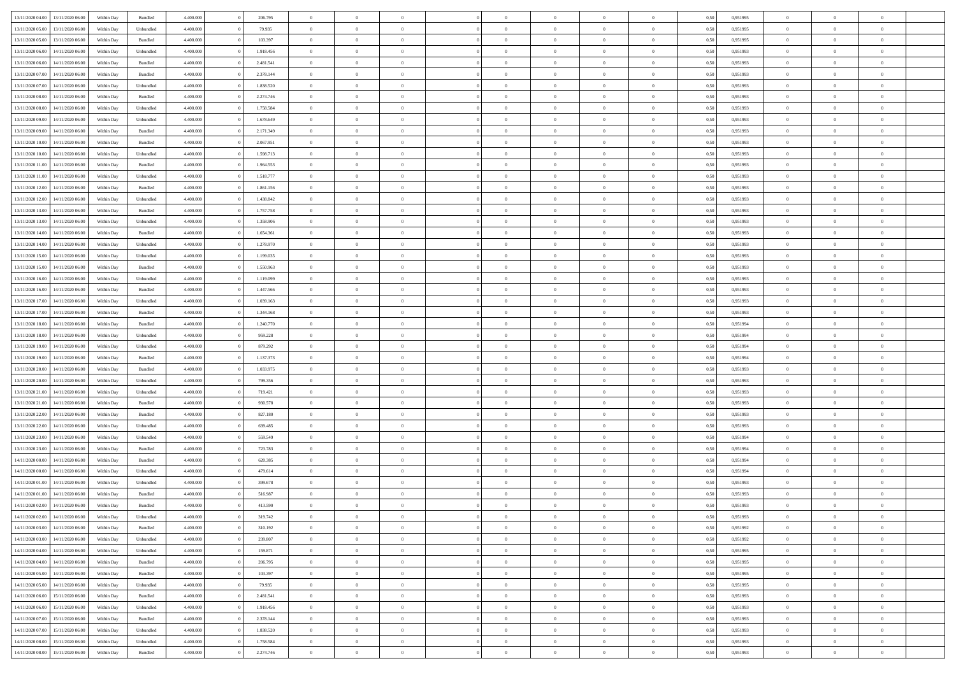| 13/11/2020 04:00 | 13/11/2020 06:00 | Within Day | Bundled            | 4.400.000 | 206.795   | $\overline{0}$ | $\theta$       | $\Omega$       | $\Omega$       | $\Omega$       | $\overline{0}$ | $\theta$       | 0,50 | 0,951995 | $\theta$       | $\overline{0}$ | $\overline{0}$ |  |
|------------------|------------------|------------|--------------------|-----------|-----------|----------------|----------------|----------------|----------------|----------------|----------------|----------------|------|----------|----------------|----------------|----------------|--|
|                  |                  |            |                    |           |           |                |                |                |                |                |                |                |      |          |                |                |                |  |
| 13/11/2020 05:00 | 13/11/2020 06.00 | Within Day | Unbundled          | 4.400.000 | 79.935    | $\overline{0}$ | $\theta$       | $\overline{0}$ | $\overline{0}$ | $\bf{0}$       | $\overline{0}$ | $\bf{0}$       | 0,50 | 0,951995 | $\theta$       | $\overline{0}$ | $\overline{0}$ |  |
| 13/11/2020 05:00 | 13/11/2020 06.00 | Within Day | Bundled            | 4.400.000 | 103.397   | $\overline{0}$ | $\bf{0}$       | $\overline{0}$ | $\bf{0}$       | $\bf{0}$       | $\bf{0}$       | $\mathbf{0}$   | 0,50 | 0,951995 | $\overline{0}$ | $\overline{0}$ | $\overline{0}$ |  |
| 13/11/2020 06:00 | 14/11/2020 06:00 | Within Dav | Unbundled          | 4.400.000 | 1.918.456 | $\overline{0}$ | $\overline{0}$ | $\overline{0}$ | $\overline{0}$ | $\bf{0}$       | $\overline{0}$ | $\overline{0}$ | 0.50 | 0.951993 | $\theta$       | $\theta$       | $\overline{0}$ |  |
| 13/11/2020 06:00 | 14/11/2020 06.00 | Within Day | Bundled            | 4.400.000 | 2.481.541 | $\overline{0}$ | $\theta$       | $\overline{0}$ | $\overline{0}$ | $\bf{0}$       | $\overline{0}$ | $\bf{0}$       | 0,50 | 0,951993 | $\theta$       | $\overline{0}$ | $\overline{0}$ |  |
| 13/11/2020 07:00 | 14/11/2020 06.00 | Within Day | Bundled            | 4.400.000 | 2.378.144 | $\overline{0}$ | $\overline{0}$ | $\overline{0}$ | $\bf{0}$       | $\overline{0}$ | $\overline{0}$ | $\mathbf{0}$   | 0,50 | 0,951993 | $\bf{0}$       | $\overline{0}$ | $\bf{0}$       |  |
|                  |                  |            |                    |           |           |                |                |                |                |                |                |                |      |          |                |                |                |  |
| 13/11/2020 07.00 | 14/11/2020 06.00 | Within Dav | Unbundled          | 4.400.000 | 1.838.520 | $\overline{0}$ | $\overline{0}$ | $\overline{0}$ | $\overline{0}$ | $\overline{0}$ | $\overline{0}$ | $\overline{0}$ | 0.50 | 0.951993 | $\theta$       | $\overline{0}$ | $\overline{0}$ |  |
| 13/11/2020 08:00 | 14/11/2020 06.00 | Within Day | Bundled            | 4.400.000 | 2.274.746 | $\overline{0}$ | $\theta$       | $\overline{0}$ | $\overline{0}$ | $\bf{0}$       | $\overline{0}$ | $\bf{0}$       | 0,50 | 0,951993 | $\theta$       | $\theta$       | $\overline{0}$ |  |
| 13/11/2020 08:00 | 14/11/2020 06.00 | Within Day | Unbundled          | 4.400.000 | 1.758.584 | $\overline{0}$ | $\overline{0}$ | $\overline{0}$ | $\bf{0}$       | $\bf{0}$       | $\bf{0}$       | $\bf{0}$       | 0,50 | 0,951993 | $\,0\,$        | $\overline{0}$ | $\overline{0}$ |  |
| 13/11/2020 09:00 | 14/11/2020 06.00 | Within Dav | Unbundled          | 4.400.000 | 1.678.649 | $\overline{0}$ | $\overline{0}$ | $\overline{0}$ | $\overline{0}$ | $\overline{0}$ | $\overline{0}$ | $\overline{0}$ | 0.50 | 0.951993 | $\theta$       | $\overline{0}$ | $\overline{0}$ |  |
| 13/11/2020 09:00 | 14/11/2020 06.00 | Within Day | Bundled            | 4.400.000 | 2.171.349 | $\overline{0}$ | $\theta$       | $\overline{0}$ | $\overline{0}$ | $\bf{0}$       | $\overline{0}$ | $\bf{0}$       | 0,50 | 0,951993 | $\,$ 0 $\,$    | $\overline{0}$ | $\overline{0}$ |  |
| 13/11/2020 10:00 | 14/11/2020 06.00 | Within Day | Bundled            | 4.400.000 | 2.067.951 | $\overline{0}$ | $\overline{0}$ | $\overline{0}$ | $\bf{0}$       | $\bf{0}$       | $\bf{0}$       | $\mathbf{0}$   | 0,50 | 0,951993 | $\bf{0}$       | $\overline{0}$ | $\bf{0}$       |  |
| 13/11/2020 10:00 | 14/11/2020 06:00 | Within Day | Unbundled          | 4.400.000 | 1.598.713 | $\overline{0}$ | $\overline{0}$ | $\overline{0}$ | $\overline{0}$ | $\bf{0}$       | $\overline{0}$ | $\overline{0}$ | 0.50 | 0.951993 | $\theta$       | $\theta$       | $\overline{0}$ |  |
|                  |                  |            |                    |           |           | $\overline{0}$ | $\theta$       | $\overline{0}$ | $\overline{0}$ | $\bf{0}$       | $\overline{0}$ |                |      |          | $\theta$       | $\overline{0}$ | $\overline{0}$ |  |
| 13/11/2020 11:00 | 14/11/2020 06.00 | Within Day | Bundled            | 4.400.000 | 1.964.553 |                |                |                |                |                |                | $\bf{0}$       | 0,50 | 0,951993 |                |                |                |  |
| 13/11/2020 11:00 | 14/11/2020 06.00 | Within Day | Unbundled          | 4.400.000 | 1.518.777 | $\overline{0}$ | $\overline{0}$ | $\overline{0}$ | $\bf{0}$       | $\overline{0}$ | $\overline{0}$ | $\mathbf{0}$   | 0,50 | 0,951993 | $\bf{0}$       | $\overline{0}$ | $\bf{0}$       |  |
| 13/11/2020 12:00 | 14/11/2020 06.00 | Within Dav | Bundled            | 4.400.000 | 1.861.156 | $\overline{0}$ | $\overline{0}$ | $\overline{0}$ | $\overline{0}$ | $\overline{0}$ | $\overline{0}$ | $\overline{0}$ | 0.50 | 0.951993 | $\theta$       | $\overline{0}$ | $\overline{0}$ |  |
| 13/11/2020 12:00 | 14/11/2020 06.00 | Within Day | Unbundled          | 4.400.000 | 1.438.842 | $\overline{0}$ | $\theta$       | $\overline{0}$ | $\overline{0}$ | $\bf{0}$       | $\overline{0}$ | $\bf{0}$       | 0,50 | 0,951993 | $\theta$       | $\theta$       | $\overline{0}$ |  |
| 13/11/2020 13:00 | 14/11/2020 06.00 | Within Day | Bundled            | 4.400.000 | 1.757.758 | $\overline{0}$ | $\overline{0}$ | $\overline{0}$ | $\bf{0}$       | $\bf{0}$       | $\bf{0}$       | $\bf{0}$       | 0,50 | 0,951993 | $\bf{0}$       | $\overline{0}$ | $\overline{0}$ |  |
| 13/11/2020 13:00 | 14/11/2020 06.00 | Within Day | Unbundled          | 4.400.000 | 1.358.906 | $\overline{0}$ | $\overline{0}$ | $\overline{0}$ | $\overline{0}$ | $\overline{0}$ | $\overline{0}$ | $\overline{0}$ | 0.50 | 0.951993 | $\theta$       | $\overline{0}$ | $\overline{0}$ |  |
| 13/11/2020 14:00 | 14/11/2020 06.00 | Within Day | Bundled            | 4.400.000 | 1.654.361 | $\overline{0}$ | $\theta$       | $\overline{0}$ | $\overline{0}$ | $\bf{0}$       | $\overline{0}$ | $\bf{0}$       | 0,50 | 0,951993 | $\,$ 0 $\,$    | $\overline{0}$ | $\overline{0}$ |  |
|                  |                  |            |                    |           |           |                |                |                |                |                |                |                |      |          |                |                |                |  |
| 13/11/2020 14:00 | 14/11/2020 06.00 | Within Day | Unbundled          | 4.400.000 | 1.278.970 | $\overline{0}$ | $\overline{0}$ | $\overline{0}$ | $\bf{0}$       | $\bf{0}$       | $\bf{0}$       | $\bf{0}$       | 0,50 | 0,951993 | $\bf{0}$       | $\overline{0}$ | $\bf{0}$       |  |
| 13/11/2020 15:00 | 14/11/2020 06:00 | Within Day | Unbundled          | 4.400.000 | 1.199.035 | $\overline{0}$ | $\overline{0}$ | $\overline{0}$ | $\overline{0}$ | $\bf{0}$       | $\overline{0}$ | $\overline{0}$ | 0.50 | 0.951993 | $\theta$       | $\overline{0}$ | $\overline{0}$ |  |
| 13/11/2020 15:00 | 14/11/2020 06.00 | Within Day | Bundled            | 4.400.000 | 1.550.963 | $\overline{0}$ | $\theta$       | $\overline{0}$ | $\overline{0}$ | $\bf{0}$       | $\overline{0}$ | $\bf{0}$       | 0,50 | 0,951993 | $\,$ 0 $\,$    | $\overline{0}$ | $\overline{0}$ |  |
| 13/11/2020 16.00 | 14/11/2020 06.00 | Within Day | Unbundled          | 4.400.000 | 1.119.099 | $\overline{0}$ | $\overline{0}$ | $\overline{0}$ | $\overline{0}$ | $\overline{0}$ | $\overline{0}$ | $\mathbf{0}$   | 0,50 | 0,951993 | $\overline{0}$ | $\overline{0}$ | $\bf{0}$       |  |
| 13/11/2020 16:00 | 14/11/2020 06.00 | Within Dav | Bundled            | 4.400.000 | 1.447.566 | $\overline{0}$ | $\overline{0}$ | $\overline{0}$ | $\overline{0}$ | $\overline{0}$ | $\overline{0}$ | $\overline{0}$ | 0.50 | 0.951993 | $\theta$       | $\overline{0}$ | $\overline{0}$ |  |
| 13/11/2020 17:00 | 14/11/2020 06.00 | Within Day | Unbundled          | 4.400.000 | 1.039.163 | $\overline{0}$ | $\theta$       | $\overline{0}$ | $\overline{0}$ | $\bf{0}$       | $\overline{0}$ | $\bf{0}$       | 0,50 | 0,951993 | $\theta$       | $\theta$       | $\overline{0}$ |  |
| 13/11/2020 17:00 | 14/11/2020 06.00 | Within Day | Bundled            | 4.400.000 | 1.344.168 | $\overline{0}$ | $\overline{0}$ | $\overline{0}$ | $\overline{0}$ | $\bf{0}$       | $\overline{0}$ | $\bf{0}$       | 0,50 | 0,951993 | $\,0\,$        | $\overline{0}$ | $\overline{0}$ |  |
|                  | 14/11/2020 06.00 |            | Bundled            | 4.400.000 | 1.240.770 | $\overline{0}$ | $\overline{0}$ | $\overline{0}$ | $\overline{0}$ | $\overline{0}$ | $\overline{0}$ | $\overline{0}$ | 0.50 | 0,951994 | $\theta$       | $\overline{0}$ | $\overline{0}$ |  |
| 13/11/2020 18:00 |                  | Within Day |                    |           |           |                |                |                |                |                |                |                |      |          |                |                |                |  |
| 13/11/2020 18:00 | 14/11/2020 06.00 | Within Day | Unbundled          | 4.400.000 | 959.228   | $\overline{0}$ | $\theta$       | $\overline{0}$ | $\overline{0}$ | $\bf{0}$       | $\overline{0}$ | $\bf{0}$       | 0,50 | 0,951994 | $\,$ 0 $\,$    | $\overline{0}$ | $\overline{0}$ |  |
| 13/11/2020 19:00 | 14/11/2020 06.00 | Within Day | Unbundled          | 4.400.000 | 879.292   | $\overline{0}$ | $\overline{0}$ | $\overline{0}$ | $\overline{0}$ | $\bf{0}$       | $\overline{0}$ | $\bf{0}$       | 0,50 | 0,951994 | $\overline{0}$ | $\overline{0}$ | $\bf{0}$       |  |
| 13/11/2020 19:00 | 14/11/2020 06.00 | Within Day | Bundled            | 4.400,000 | 1.137.373 | $\overline{0}$ | $\Omega$       | $\Omega$       | $\Omega$       | $\Omega$       | $\overline{0}$ | $\overline{0}$ | 0,50 | 0,951994 | $\,0\,$        | $\theta$       | $\theta$       |  |
| 13/11/2020 20.00 | 14/11/2020 06.00 | Within Day | Bundled            | 4.400.000 | 1.033.975 | $\overline{0}$ | $\theta$       | $\overline{0}$ | $\overline{0}$ | $\bf{0}$       | $\overline{0}$ | $\bf{0}$       | 0,50 | 0,951993 | $\,$ 0 $\,$    | $\overline{0}$ | $\overline{0}$ |  |
| 13/11/2020 20:00 | 14/11/2020 06.00 | Within Day | Unbundled          | 4.400.000 | 799.356   | $\overline{0}$ | $\overline{0}$ | $\overline{0}$ | $\overline{0}$ | $\overline{0}$ | $\overline{0}$ | $\mathbf{0}$   | 0,50 | 0,951993 | $\overline{0}$ | $\overline{0}$ | $\bf{0}$       |  |
| 13/11/2020 21:00 | 14/11/2020 06.00 | Within Day | Unbundled          | 4.400,000 | 719.421   | $\overline{0}$ | $\Omega$       | $\Omega$       | $\Omega$       | $\bf{0}$       | $\overline{0}$ | $\overline{0}$ | 0.50 | 0,951993 | $\,0\,$        | $\theta$       | $\theta$       |  |
| 13/11/2020 21.00 | 14/11/2020 06.00 | Within Day | Bundled            | 4.400.000 | 930.578   | $\overline{0}$ | $\theta$       | $\overline{0}$ | $\overline{0}$ | $\bf{0}$       | $\overline{0}$ | $\bf{0}$       | 0,50 | 0,951993 | $\,$ 0 $\,$    | $\overline{0}$ | $\overline{0}$ |  |
|                  |                  |            |                    |           |           |                |                |                |                |                |                |                |      |          |                |                |                |  |
| 13/11/2020 22.00 | 14/11/2020 06.00 | Within Day | Bundled            | 4.400.000 | 827.180   | $\overline{0}$ | $\overline{0}$ | $\overline{0}$ | $\overline{0}$ | $\bf{0}$       | $\overline{0}$ | $\bf{0}$       | 0,50 | 0,951993 | $\bf{0}$       | $\overline{0}$ | $\bf{0}$       |  |
| 13/11/2020 22.00 | 14/11/2020 06:00 | Within Day | Unbundled          | 4.400,000 | 639,485   | $\overline{0}$ | $\Omega$       | $\Omega$       | $\Omega$       | $\overline{0}$ | $\overline{0}$ | $\overline{0}$ | 0.50 | 0,951993 | $\,0\,$        | $\theta$       | $\theta$       |  |
| 13/11/2020 23.00 | 14/11/2020 06.00 | Within Day | Unbundled          | 4.400.000 | 559.549   | $\overline{0}$ | $\overline{0}$ | $\overline{0}$ | $\overline{0}$ | $\,$ 0         | $\overline{0}$ | $\bf{0}$       | 0,50 | 0,951994 | $\,$ 0 $\,$    | $\overline{0}$ | $\overline{0}$ |  |
| 13/11/2020 23.00 | 14/11/2020 06.00 | Within Day | Bundled            | 4.400.000 | 723.783   | $\overline{0}$ | $\bf{0}$       | $\overline{0}$ | $\overline{0}$ | $\bf{0}$       | $\overline{0}$ | $\bf{0}$       | 0,50 | 0,951994 | $\overline{0}$ | $\overline{0}$ | $\bf{0}$       |  |
| 14/11/2020 00.00 | 14/11/2020 06.00 | Within Day | Bundled            | 4.400,000 | 620.385   | $\overline{0}$ | $\Omega$       | $\overline{0}$ | $\Omega$       | $\overline{0}$ | $\overline{0}$ | $\overline{0}$ | 0,50 | 0,951994 | $\,0\,$        | $\theta$       | $\theta$       |  |
| 14/11/2020 00.00 | 14/11/2020 06.00 | Within Day | Unbundled          | 4.400.000 | 479.614   | $\overline{0}$ | $\theta$       | $\overline{0}$ | $\overline{0}$ | $\,$ 0         | $\overline{0}$ | $\bf{0}$       | 0,50 | 0,951994 | $\,$ 0 $\,$    | $\overline{0}$ | $\overline{0}$ |  |
| 14/11/2020 01:00 | 14/11/2020 06.00 | Within Day | Unbundled          | 4.400.000 | 399.678   | $\overline{0}$ | $\overline{0}$ | $\overline{0}$ | $\bf{0}$       | $\bf{0}$       | $\overline{0}$ | $\mathbf{0}$   | 0,50 | 0,951993 | $\overline{0}$ | $\overline{0}$ | $\bf{0}$       |  |
| 14/11/2020 01:00 | 14/11/2020 06.00 | Within Day | Bundled            | 4.400,000 | 516.987   | $\overline{0}$ | $\Omega$       | $\Omega$       | $\Omega$       | $\Omega$       | $\Omega$       | $\overline{0}$ | 0.50 | 0.951993 | $\theta$       | $\theta$       | $\theta$       |  |
|                  |                  |            |                    |           |           | $\overline{0}$ |                | $\overline{0}$ |                |                |                |                |      |          |                |                |                |  |
| 14/11/2020 02.00 | 14/11/2020 06.00 | Within Day | Bundled            | 4.400.000 | 413.590   |                | $\overline{0}$ |                | $\bf{0}$       | $\,$ 0         | $\bf{0}$       | $\bf{0}$       | 0,50 | 0,951993 | $\,0\,$        | $\,$ 0 $\,$    | $\overline{0}$ |  |
| 14/11/2020 02.00 | 14/11/2020 06.00 | Within Day | Unbundled          | 4.400.000 | 319.742   | $\bf{0}$       | $\bf{0}$       |                |                | $\bf{0}$       |                |                | 0,50 | 0,951993 | $\bf{0}$       | $\overline{0}$ |                |  |
| 14/11/2020 03.00 | 14/11/2020 06:00 | Within Day | Bundled            | 4.400.000 | 310.192   | $\overline{0}$ | $\overline{0}$ | $\overline{0}$ | $\Omega$       | $\overline{0}$ | $\overline{0}$ | $\overline{0}$ | 0,50 | 0,951992 | $\theta$       | $\theta$       | $\theta$       |  |
| 14/11/2020 03:00 | 14/11/2020 06.00 | Within Day | Unbundled          | 4.400.000 | 239.807   | $\overline{0}$ | $\,$ 0         | $\overline{0}$ | $\bf{0}$       | $\,$ 0 $\,$    | $\overline{0}$ | $\mathbf{0}$   | 0,50 | 0,951992 | $\,$ 0 $\,$    | $\,$ 0 $\,$    | $\,$ 0         |  |
| 14/11/2020 04:00 | 14/11/2020 06.00 | Within Day | Unbundled          | 4.400.000 | 159.871   | $\overline{0}$ | $\overline{0}$ | $\overline{0}$ | $\overline{0}$ | $\overline{0}$ | $\overline{0}$ | $\mathbf{0}$   | 0,50 | 0,951995 | $\overline{0}$ | $\bf{0}$       | $\bf{0}$       |  |
| 14/11/2020 04:00 | 14/11/2020 06.00 | Within Day | $\mathbf B$ undled | 4.400.000 | 206.795   | $\overline{0}$ | $\overline{0}$ | $\overline{0}$ | $\Omega$       | $\overline{0}$ | $\overline{0}$ | $\overline{0}$ | 0,50 | 0,951995 | $\overline{0}$ | $\theta$       | $\overline{0}$ |  |
| 14/11/2020 05:00 | 14/11/2020 06.00 | Within Day | Bundled            | 4.400.000 | 103.397   | $\overline{0}$ | $\,$ 0         | $\overline{0}$ | $\overline{0}$ | $\,$ 0 $\,$    | $\overline{0}$ | $\mathbf{0}$   | 0,50 | 0,951995 | $\,$ 0 $\,$    | $\overline{0}$ | $\overline{0}$ |  |
|                  |                  |            |                    |           |           |                |                |                |                |                |                |                |      |          |                |                |                |  |
| 14/11/2020 05.00 | 14/11/2020 06.00 | Within Day | Unbundled          | 4.400.000 | 79.935    | $\overline{0}$ | $\overline{0}$ | $\overline{0}$ | $\overline{0}$ | $\overline{0}$ | $\overline{0}$ | $\mathbf{0}$   | 0,50 | 0,951995 | $\overline{0}$ | $\overline{0}$ | $\bf{0}$       |  |
| 14/11/2020 06:00 | 15/11/2020 06.00 | Within Day | Bundled            | 4.400,000 | 2.481.541 | $\overline{0}$ | $\overline{0}$ | $\overline{0}$ | $\overline{0}$ | $\overline{0}$ | $\overline{0}$ | $\bf{0}$       | 0.50 | 0,951993 | $\overline{0}$ | $\theta$       | $\overline{0}$ |  |
| 14/11/2020 06.00 | 15/11/2020 06.00 | Within Day | Unbundled          | 4.400.000 | 1.918.456 | $\overline{0}$ | $\,$ 0         | $\overline{0}$ | $\bf{0}$       | $\bf{0}$       | $\bf{0}$       | $\bf{0}$       | 0,50 | 0,951993 | $\,$ 0 $\,$    | $\overline{0}$ | $\overline{0}$ |  |
| 14/11/2020 07.00 | 15/11/2020 06.00 | Within Day | Bundled            | 4.400.000 | 2.378.144 | $\overline{0}$ | $\bf{0}$       | $\overline{0}$ | $\overline{0}$ | $\overline{0}$ | $\overline{0}$ | $\mathbf{0}$   | 0,50 | 0,951993 | $\overline{0}$ | $\overline{0}$ | $\bf{0}$       |  |
| 14/11/2020 07.00 | 15/11/2020 06.00 | Within Day | Unbundled          | 4.400,000 | 1.838.520 | $\overline{0}$ | $\overline{0}$ | $\overline{0}$ | $\Omega$       | $\overline{0}$ | $\overline{0}$ | $\overline{0}$ | 0,50 | 0,951993 | $\overline{0}$ | $\overline{0}$ | $\overline{0}$ |  |
| 14/11/2020 08:00 | 15/11/2020 06.00 | Within Day | Unbundled          | 4.400.000 | 1.758.584 | $\overline{0}$ | $\bf{0}$       | $\overline{0}$ | $\overline{0}$ | $\bf{0}$       | $\bf{0}$       | $\mathbf{0}$   | 0,50 | 0,951993 | $\,$ 0 $\,$    | $\,$ 0 $\,$    | $\bf{0}$       |  |
| 14/11/2020 08:00 | 15/11/2020 06.00 | Within Day | Bundled            | 4.400.000 | 2.274.746 | $\overline{0}$ | $\bf{0}$       | $\overline{0}$ | $\bf{0}$       | $\bf{0}$       | $\bf{0}$       | $\bf{0}$       | 0,50 | 0,951993 | $\overline{0}$ | $\overline{0}$ | $\bf{0}$       |  |
|                  |                  |            |                    |           |           |                |                |                |                |                |                |                |      |          |                |                |                |  |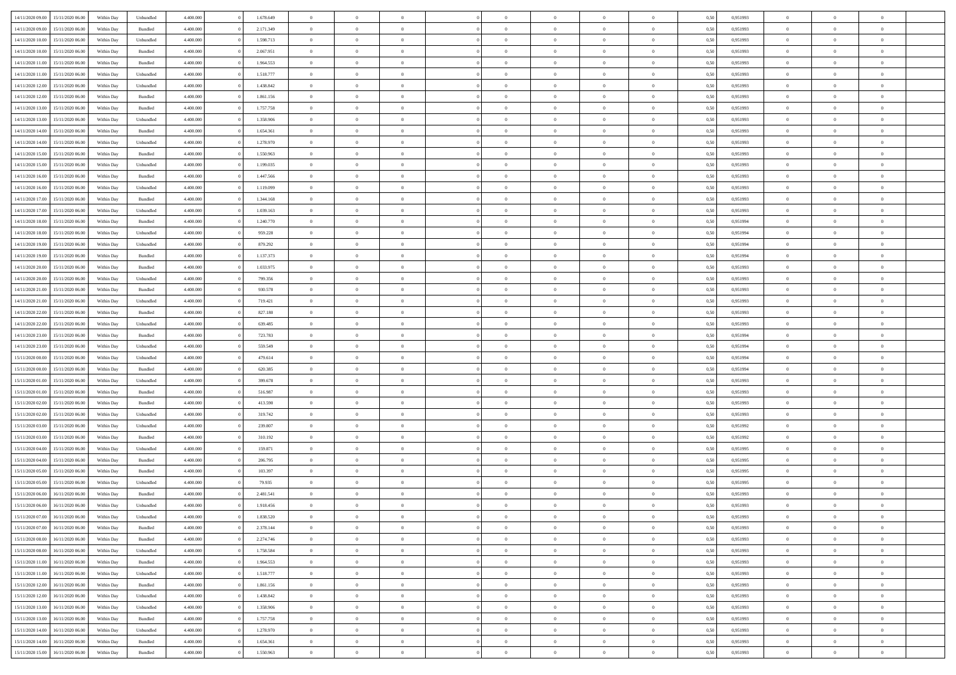|                  |                  |            |                    |           |           |                |                |                |                | $\Omega$       |                | $\theta$       |      |          | $\theta$       | $\overline{0}$ |                |  |
|------------------|------------------|------------|--------------------|-----------|-----------|----------------|----------------|----------------|----------------|----------------|----------------|----------------|------|----------|----------------|----------------|----------------|--|
| 14/11/2020 09:00 | 15/11/2020 06:00 | Within Dav | Unbundled          | 4.400.000 | 1.678.649 | $\overline{0}$ | $\theta$       |                | $\Omega$       |                | $\overline{0}$ |                | 0,50 | 0,951993 |                |                | $\overline{0}$ |  |
| 14/11/2020 09:00 | 15/11/2020 06.00 | Within Day | Bundled            | 4.400.000 | 2.171.349 | $\overline{0}$ | $\theta$       | $\overline{0}$ | $\overline{0}$ | $\bf{0}$       | $\overline{0}$ | $\bf{0}$       | 0,50 | 0,951993 | $\theta$       | $\overline{0}$ | $\overline{0}$ |  |
| 14/11/2020 10:00 | 15/11/2020 06.00 | Within Day | Unbundled          | 4.400.000 | 1.598.713 | $\overline{0}$ | $\bf{0}$       | $\overline{0}$ | $\bf{0}$       | $\bf{0}$       | $\bf{0}$       | $\mathbf{0}$   | 0,50 | 0,951993 | $\bf{0}$       | $\overline{0}$ | $\overline{0}$ |  |
| 14/11/2020 10:00 | 15/11/2020 06:00 | Within Dav | Bundled            | 4.400.000 | 2.067.951 | $\overline{0}$ | $\overline{0}$ | $\overline{0}$ | $\overline{0}$ | $\bf{0}$       | $\overline{0}$ | $\overline{0}$ | 0.50 | 0.951993 | $\theta$       | $\theta$       | $\overline{0}$ |  |
| 14/11/2020 11:00 | 15/11/2020 06.00 | Within Day | Bundled            | 4.400.000 | 1.964.553 | $\overline{0}$ | $\theta$       | $\overline{0}$ | $\overline{0}$ | $\bf{0}$       | $\overline{0}$ | $\bf{0}$       | 0,50 | 0,951993 | $\theta$       | $\overline{0}$ | $\overline{0}$ |  |
|                  |                  |            |                    |           |           |                |                |                |                |                |                |                |      |          |                |                |                |  |
| 14/11/2020 11.00 | 15/11/2020 06.00 | Within Day | Unbundled          | 4.400.000 | 1.518.777 | $\overline{0}$ | $\overline{0}$ | $\overline{0}$ | $\overline{0}$ | $\overline{0}$ | $\overline{0}$ | $\mathbf{0}$   | 0,50 | 0,951993 | $\bf{0}$       | $\overline{0}$ | $\bf{0}$       |  |
| 14/11/2020 12:00 | 15/11/2020 06.00 | Within Dav | Unbundled          | 4.400.000 | 1.438.842 | $\overline{0}$ | $\overline{0}$ | $\overline{0}$ | $\overline{0}$ | $\overline{0}$ | $\overline{0}$ | $\overline{0}$ | 0.50 | 0.951993 | $\theta$       | $\overline{0}$ | $\overline{0}$ |  |
| 14/11/2020 12:00 | 15/11/2020 06.00 | Within Day | Bundled            | 4.400.000 | 1.861.156 | $\overline{0}$ | $\theta$       | $\overline{0}$ | $\overline{0}$ | $\bf{0}$       | $\overline{0}$ | $\bf{0}$       | 0,50 | 0,951993 | $\theta$       | $\theta$       | $\overline{0}$ |  |
| 14/11/2020 13:00 | 15/11/2020 06.00 | Within Day | Bundled            | 4.400.000 | 1.757.758 | $\overline{0}$ | $\overline{0}$ | $\overline{0}$ | $\overline{0}$ | $\bf{0}$       | $\overline{0}$ | $\bf{0}$       | 0,50 | 0,951993 | $\,0\,$        | $\overline{0}$ | $\overline{0}$ |  |
| 14/11/2020 13:00 | 15/11/2020 06:00 | Within Dav | Unbundled          | 4.400.000 | 1.358.906 | $\overline{0}$ | $\overline{0}$ | $\overline{0}$ | $\overline{0}$ | $\overline{0}$ | $\overline{0}$ | $\overline{0}$ | 0.50 | 0.951993 | $\theta$       | $\overline{0}$ | $\overline{0}$ |  |
| 14/11/2020 14:00 | 15/11/2020 06.00 | Within Day | Bundled            | 4.400.000 | 1.654.361 | $\overline{0}$ | $\theta$       | $\overline{0}$ | $\overline{0}$ | $\bf{0}$       | $\overline{0}$ | $\bf{0}$       | 0,50 | 0,951993 | $\,$ 0 $\,$    | $\overline{0}$ | $\overline{0}$ |  |
| 14/11/2020 14:00 | 15/11/2020 06.00 | Within Day | Unbundled          | 4.400.000 | 1.278.970 | $\overline{0}$ | $\bf{0}$       | $\overline{0}$ | $\overline{0}$ | $\bf{0}$       | $\overline{0}$ | $\mathbf{0}$   | 0,50 | 0,951993 | $\bf{0}$       | $\overline{0}$ | $\bf{0}$       |  |
|                  |                  |            |                    |           |           |                |                |                |                |                |                |                |      |          |                |                |                |  |
| 14/11/2020 15:00 | 15/11/2020 06:00 | Within Day | Bundled            | 4.400.000 | 1.550.963 | $\overline{0}$ | $\overline{0}$ | $\overline{0}$ | $\overline{0}$ | $\bf{0}$       | $\overline{0}$ | $\overline{0}$ | 0.50 | 0.951993 | $\theta$       | $\theta$       | $\overline{0}$ |  |
| 14/11/2020 15:00 | 15/11/2020 06.00 | Within Day | Unbundled          | 4.400.000 | 1.199.035 | $\overline{0}$ | $\theta$       | $\overline{0}$ | $\overline{0}$ | $\bf{0}$       | $\overline{0}$ | $\bf{0}$       | 0,50 | 0,951993 | $\theta$       | $\overline{0}$ | $\overline{0}$ |  |
| 14/11/2020 16:00 | 15/11/2020 06.00 | Within Day | Bundled            | 4.400.000 | 1.447.566 | $\overline{0}$ | $\overline{0}$ | $\overline{0}$ | $\overline{0}$ | $\overline{0}$ | $\overline{0}$ | $\mathbf{0}$   | 0,50 | 0,951993 | $\bf{0}$       | $\overline{0}$ | $\bf{0}$       |  |
| 14/11/2020 16.00 | 15/11/2020 06:00 | Within Dav | Unbundled          | 4.400.000 | 1.119.099 | $\overline{0}$ | $\overline{0}$ | $\overline{0}$ | $\overline{0}$ | $\overline{0}$ | $\overline{0}$ | $\overline{0}$ | 0.50 | 0.951993 | $\theta$       | $\overline{0}$ | $\overline{0}$ |  |
| 14/11/2020 17.00 | 15/11/2020 06.00 | Within Day | Bundled            | 4.400.000 | 1.344.168 | $\overline{0}$ | $\theta$       | $\overline{0}$ | $\overline{0}$ | $\bf{0}$       | $\overline{0}$ | $\bf{0}$       | 0,50 | 0,951993 | $\,$ 0 $\,$    | $\overline{0}$ | $\overline{0}$ |  |
| 14/11/2020 17.00 | 15/11/2020 06.00 | Within Day | Unbundled          | 4.400.000 | 1.039.163 | $\overline{0}$ | $\overline{0}$ | $\overline{0}$ | $\overline{0}$ | $\bf{0}$       | $\overline{0}$ | $\mathbf{0}$   | 0,50 | 0,951993 | $\bf{0}$       | $\overline{0}$ | $\overline{0}$ |  |
| 14/11/2020 18:00 | 15/11/2020 06:00 | Within Day | Bundled            | 4.400.000 | 1.240.770 | $\overline{0}$ | $\overline{0}$ | $\overline{0}$ | $\overline{0}$ | $\overline{0}$ | $\overline{0}$ | $\overline{0}$ | 0.50 | 0,951994 | $\theta$       | $\overline{0}$ | $\overline{0}$ |  |
|                  |                  |            |                    |           |           |                |                |                |                |                |                |                |      |          |                |                |                |  |
| 14/11/2020 18.00 | 15/11/2020 06.00 | Within Day | Unbundled          | 4.400.000 | 959.228   | $\overline{0}$ | $\theta$       | $\overline{0}$ | $\overline{0}$ | $\bf{0}$       | $\overline{0}$ | $\bf{0}$       | 0,50 | 0,951994 | $\,$ 0 $\,$    | $\overline{0}$ | $\overline{0}$ |  |
| 14/11/2020 19:00 | 15/11/2020 06.00 | Within Day | Unbundled          | 4.400.000 | 879.292   | $\overline{0}$ | $\overline{0}$ | $\overline{0}$ | $\overline{0}$ | $\bf{0}$       | $\overline{0}$ | $\bf{0}$       | 0,50 | 0,951994 | $\bf{0}$       | $\overline{0}$ | $\bf{0}$       |  |
| 14/11/2020 19:00 | 15/11/2020 06:00 | Within Day | Bundled            | 4.400.000 | 1.137.373 | $\overline{0}$ | $\overline{0}$ | $\overline{0}$ | $\overline{0}$ | $\overline{0}$ | $\overline{0}$ | $\overline{0}$ | 0.50 | 0.951994 | $\theta$       | $\overline{0}$ | $\overline{0}$ |  |
| 14/11/2020 20.00 | 15/11/2020 06.00 | Within Day | Bundled            | 4.400.000 | 1.033.975 | $\overline{0}$ | $\theta$       | $\overline{0}$ | $\overline{0}$ | $\bf{0}$       | $\overline{0}$ | $\bf{0}$       | 0,50 | 0,951993 | $\,$ 0 $\,$    | $\overline{0}$ | $\overline{0}$ |  |
| 14/11/2020 20.00 | 15/11/2020 06.00 | Within Day | Unbundled          | 4.400.000 | 799.356   | $\overline{0}$ | $\overline{0}$ | $\overline{0}$ | $\overline{0}$ | $\overline{0}$ | $\overline{0}$ | $\mathbf{0}$   | 0,50 | 0,951993 | $\bf{0}$       | $\overline{0}$ | $\bf{0}$       |  |
| 14/11/2020 21.00 | 15/11/2020 06.00 | Within Dav | Bundled            | 4.400.000 | 930.578   | $\overline{0}$ | $\overline{0}$ | $\overline{0}$ | $\overline{0}$ | $\overline{0}$ | $\overline{0}$ | $\overline{0}$ | 0.50 | 0.951993 | $\overline{0}$ | $\overline{0}$ | $\overline{0}$ |  |
| 14/11/2020 21.00 | 15/11/2020 06.00 |            |                    | 4.400.000 | 719.421   | $\overline{0}$ | $\theta$       | $\overline{0}$ | $\overline{0}$ | $\bf{0}$       | $\overline{0}$ |                |      | 0,951993 | $\theta$       | $\theta$       | $\overline{0}$ |  |
|                  |                  | Within Day | Unbundled          |           |           |                |                |                |                |                |                | $\bf{0}$       | 0,50 |          |                |                |                |  |
| 14/11/2020 22:00 | 15/11/2020 06.00 | Within Day | Bundled            | 4.400.000 | 827.180   | $\overline{0}$ | $\overline{0}$ | $\overline{0}$ | $\overline{0}$ | $\bf{0}$       | $\overline{0}$ | $\bf{0}$       | 0,50 | 0,951993 | $\,0\,$        | $\overline{0}$ | $\overline{0}$ |  |
| 14/11/2020 22.00 | 15/11/2020 06:00 | Within Day | Unbundled          | 4.400.000 | 639.485   | $\overline{0}$ | $\overline{0}$ | $\overline{0}$ | $\overline{0}$ | $\overline{0}$ | $\overline{0}$ | $\overline{0}$ | 0.50 | 0.951993 | $\theta$       | $\overline{0}$ | $\overline{0}$ |  |
| 14/11/2020 23.00 | 15/11/2020 06.00 | Within Day | Bundled            | 4.400.000 | 723.783   | $\overline{0}$ | $\theta$       | $\overline{0}$ | $\overline{0}$ | $\,$ 0         | $\overline{0}$ | $\bf{0}$       | 0,50 | 0,951994 | $\,$ 0 $\,$    | $\overline{0}$ | $\overline{0}$ |  |
| 14/11/2020 23.00 | 15/11/2020 06.00 | Within Day | Unbundled          | 4.400.000 | 559.549   | $\overline{0}$ | $\overline{0}$ | $\overline{0}$ | $\overline{0}$ | $\bf{0}$       | $\overline{0}$ | $\bf{0}$       | 0,50 | 0,951994 | $\overline{0}$ | $\overline{0}$ | $\bf{0}$       |  |
| 15/11/2020 00:00 | 15/11/2020 06.00 | Within Day | Unbundled          | 4.400,000 | 479.614   | $\overline{0}$ | $\Omega$       | $\overline{0}$ | $\Omega$       | $\Omega$       | $\overline{0}$ | $\overline{0}$ | 0,50 | 0,951994 | $\,0\,$        | $\theta$       | $\theta$       |  |
| 15/11/2020 00.00 | 15/11/2020 06.00 | Within Day | Bundled            | 4.400.000 | 620.385   | $\overline{0}$ | $\overline{0}$ | $\overline{0}$ | $\overline{0}$ | $\bf{0}$       | $\overline{0}$ | $\bf{0}$       | 0,50 | 0,951994 | $\,$ 0 $\,$    | $\overline{0}$ | $\overline{0}$ |  |
|                  |                  |            |                    |           |           |                |                |                |                |                |                |                |      |          |                |                |                |  |
| 15/11/2020 01:00 | 15/11/2020 06.00 | Within Day | Unbundled          | 4.400.000 | 399.678   | $\overline{0}$ | $\overline{0}$ | $\overline{0}$ | $\overline{0}$ | $\overline{0}$ | $\overline{0}$ | $\mathbf{0}$   | 0,50 | 0,951993 | $\overline{0}$ | $\overline{0}$ | $\bf{0}$       |  |
| 15/11/2020 01:00 | 15/11/2020 06.00 | Within Day | Bundled            | 4.400,000 | 516.987   | $\overline{0}$ | $\Omega$       | $\Omega$       | $\Omega$       | $\overline{0}$ | $\overline{0}$ | $\overline{0}$ | 0.50 | 0,951993 | $\,0\,$        | $\theta$       | $\theta$       |  |
| 15/11/2020 02.00 | 15/11/2020 06.00 | Within Day | Bundled            | 4.400.000 | 413.590   | $\overline{0}$ | $\theta$       | $\overline{0}$ | $\overline{0}$ | $\bf{0}$       | $\overline{0}$ | $\bf{0}$       | 0,50 | 0,951993 | $\,$ 0 $\,$    | $\overline{0}$ | $\overline{0}$ |  |
| 15/11/2020 02.00 | 15/11/2020 06.00 | Within Day | Unbundled          | 4.400.000 | 319.742   | $\overline{0}$ | $\overline{0}$ | $\overline{0}$ | $\overline{0}$ | $\bf{0}$       | $\overline{0}$ | $\bf{0}$       | 0,50 | 0,951993 | $\bf{0}$       | $\overline{0}$ | $\bf{0}$       |  |
| 15/11/2020 03:00 | 15/11/2020 06:00 | Within Day | Unbundled          | 4.400,000 | 239.807   | $\overline{0}$ | $\Omega$       | $\Omega$       | $\Omega$       | $\overline{0}$ | $\overline{0}$ | $\overline{0}$ | 0.50 | 0,951992 | $\,$ 0 $\,$    | $\theta$       | $\theta$       |  |
| 15/11/2020 03:00 | 15/11/2020 06.00 | Within Day | Bundled            | 4.400.000 | 310.192   | $\overline{0}$ | $\,$ 0         | $\overline{0}$ | $\overline{0}$ | $\,$ 0         | $\overline{0}$ | $\bf{0}$       | 0,50 | 0,951992 | $\,$ 0 $\,$    | $\overline{0}$ | $\overline{0}$ |  |
| 15/11/2020 04:00 | 15/11/2020 06.00 | Within Day | Unbundled          | 4.400.000 | 159.871   | $\overline{0}$ | $\overline{0}$ | $\overline{0}$ | $\overline{0}$ | $\bf{0}$       | $\overline{0}$ | $\mathbf{0}$   | 0,50 | 0,951995 | $\overline{0}$ | $\overline{0}$ | $\bf{0}$       |  |
|                  |                  |            |                    | 4.400,000 |           | $\overline{0}$ | $\Omega$       | $\overline{0}$ | $\Omega$       | $\overline{0}$ | $\overline{0}$ | $\overline{0}$ |      |          | $\,0\,$        | $\theta$       | $\theta$       |  |
| 15/11/2020 04:00 | 15/11/2020 06.00 | Within Day | Bundled            |           | 206.795   |                |                |                |                |                |                |                | 0,50 | 0,951995 |                |                |                |  |
| 15/11/2020 05:00 | 15/11/2020 06.00 | Within Day | Bundled            | 4.400.000 | 103.397   | $\overline{0}$ | $\overline{0}$ | $\overline{0}$ | $\overline{0}$ | $\,$ 0         | $\overline{0}$ | $\bf{0}$       | 0,50 | 0,951995 | $\,$ 0 $\,$    | $\overline{0}$ | $\overline{0}$ |  |
| 15/11/2020 05:00 | 15/11/2020 06.00 | Within Day | Unbundled          | 4.400.000 | 79.935    | $\overline{0}$ | $\overline{0}$ | $\overline{0}$ | $\bf{0}$       | $\bf{0}$       | $\overline{0}$ | $\mathbf{0}$   | 0,50 | 0,951995 | $\overline{0}$ | $\overline{0}$ | $\bf{0}$       |  |
| 15/11/2020 06.00 | 16/11/2020 06.00 | Within Day | Bundled            | 4.400,000 | 2.481.541 | $\overline{0}$ | $\Omega$       | $\Omega$       | $\Omega$       | $\Omega$       | $\Omega$       | $\overline{0}$ | 0.50 | 0.951993 | $\theta$       | $\theta$       | $\theta$       |  |
| 15/11/2020 06.00 | 16/11/2020 06.00 | Within Day | Unbundled          | 4.400.000 | 1.918.456 | $\overline{0}$ | $\overline{0}$ | $\overline{0}$ | $\bf{0}$       | $\,$ 0         | $\bf{0}$       | $\bf{0}$       | 0,50 | 0,951993 | $\,0\,$        | $\,$ 0 $\,$    | $\overline{0}$ |  |
| 15/11/2020 07:00 | 16/11/2020 06.00 | Within Day | Unbundled          | 4.400.000 | 1.838.520 | $\overline{0}$ | $\bf{0}$       |                |                | $\bf{0}$       |                |                | 0,50 | 0,951993 | $\bf{0}$       | $\overline{0}$ |                |  |
| 15/11/2020 07.00 | 16/11/2020 06:00 | Within Day | Bundled            | 4.400.000 | 2.378.144 | $\overline{0}$ | $\overline{0}$ | $\overline{0}$ | $\Omega$       | $\theta$       | $\overline{0}$ | $\overline{0}$ | 0,50 | 0.951993 | $\theta$       | $\theta$       | $\theta$       |  |
| 15/11/2020 08:00 | 16/11/2020 06.00 | Within Day | Bundled            | 4.400.000 | 2.274.746 | $\overline{0}$ | $\,$ 0         | $\overline{0}$ | $\bf{0}$       | $\,$ 0 $\,$    | $\overline{0}$ | $\mathbf{0}$   | 0,50 | 0,951993 | $\,$ 0 $\,$    | $\,$ 0 $\,$    | $\,$ 0         |  |
|                  |                  |            |                    |           |           |                |                |                |                |                |                |                |      |          |                |                |                |  |
| 15/11/2020 08:00 | 16/11/2020 06.00 | Within Day | Unbundled          | 4.400.000 | 1.758.584 | $\overline{0}$ | $\overline{0}$ | $\overline{0}$ | $\overline{0}$ | $\overline{0}$ | $\overline{0}$ | $\mathbf{0}$   | 0,50 | 0,951993 | $\overline{0}$ | $\bf{0}$       | $\bf{0}$       |  |
| 15/11/2020 11:00 | 16/11/2020 06.00 | Within Day | $\mathbf B$ undled | 4.400,000 | 1.964.553 | $\overline{0}$ | $\overline{0}$ | $\overline{0}$ | $\Omega$       | $\overline{0}$ | $\overline{0}$ | $\bf{0}$       | 0,50 | 0,951993 | $\overline{0}$ | $\theta$       | $\overline{0}$ |  |
| 15/11/2020 11:00 | 16/11/2020 06.00 | Within Day | Unbundled          | 4.400.000 | 1.518.777 | $\overline{0}$ | $\,$ 0         | $\overline{0}$ | $\overline{0}$ | $\,$ 0 $\,$    | $\overline{0}$ | $\mathbf{0}$   | 0,50 | 0,951993 | $\,$ 0 $\,$    | $\overline{0}$ | $\overline{0}$ |  |
| 15/11/2020 12:00 | 16/11/2020 06.00 | Within Day | Bundled            | 4.400.000 | 1.861.156 | $\overline{0}$ | $\overline{0}$ | $\overline{0}$ | $\overline{0}$ | $\overline{0}$ | $\overline{0}$ | $\mathbf{0}$   | 0,50 | 0,951993 | $\overline{0}$ | $\overline{0}$ | $\bf{0}$       |  |
| 15/11/2020 12:00 | 16/11/2020 06.00 | Within Day | Unbundled          | 4.400,000 | 1.438.842 | $\overline{0}$ | $\overline{0}$ | $\overline{0}$ | $\Omega$       | $\overline{0}$ | $\overline{0}$ | $\bf{0}$       | 0.50 | 0,951993 | $\overline{0}$ | $\theta$       | $\overline{0}$ |  |
| 15/11/2020 13:00 | 16/11/2020 06.00 | Within Day | Unbundled          | 4.400.000 | 1.358.906 | $\overline{0}$ | $\,$ 0         | $\overline{0}$ | $\bf{0}$       | $\bf{0}$       | $\bf{0}$       | $\bf{0}$       | 0,50 | 0,951993 | $\,$ 0 $\,$    | $\overline{0}$ | $\overline{0}$ |  |
| 15/11/2020 13:00 | 16/11/2020 06.00 | Within Day | Bundled            | 4.400.000 | 1.757.758 | $\overline{0}$ | $\bf{0}$       | $\overline{0}$ | $\overline{0}$ | $\overline{0}$ | $\overline{0}$ | $\mathbf{0}$   | 0,50 | 0,951993 | $\overline{0}$ | $\overline{0}$ | $\bf{0}$       |  |
|                  |                  |            |                    |           |           |                |                |                |                |                |                |                |      |          |                |                |                |  |
| 15/11/2020 14:00 | 16/11/2020 06.00 | Within Day | Unbundled          | 4.400,000 | 1.278.970 | $\overline{0}$ | $\overline{0}$ | $\overline{0}$ | $\Omega$       | $\overline{0}$ | $\overline{0}$ | $\overline{0}$ | 0,50 | 0,951993 | $\overline{0}$ | $\theta$       | $\overline{0}$ |  |
| 15/11/2020 14:00 | 16/11/2020 06.00 | Within Day | Bundled            | 4.400.000 | 1.654.361 | $\overline{0}$ | $\bf{0}$       | $\overline{0}$ | $\overline{0}$ | $\bf{0}$       | $\bf{0}$       | $\bf{0}$       | 0,50 | 0,951993 | $\,$ 0 $\,$    | $\,$ 0 $\,$    | $\bf{0}$       |  |
| 15/11/2020 15:00 | 16/11/2020 06.00 | Within Day | Bundled            | 4.400.000 | 1.550.963 | $\overline{0}$ | $\bf{0}$       | $\overline{0}$ | $\bf{0}$       | $\bf{0}$       | $\bf{0}$       | $\bf{0}$       | 0,50 | 0,951993 | $\overline{0}$ | $\overline{0}$ | $\bf{0}$       |  |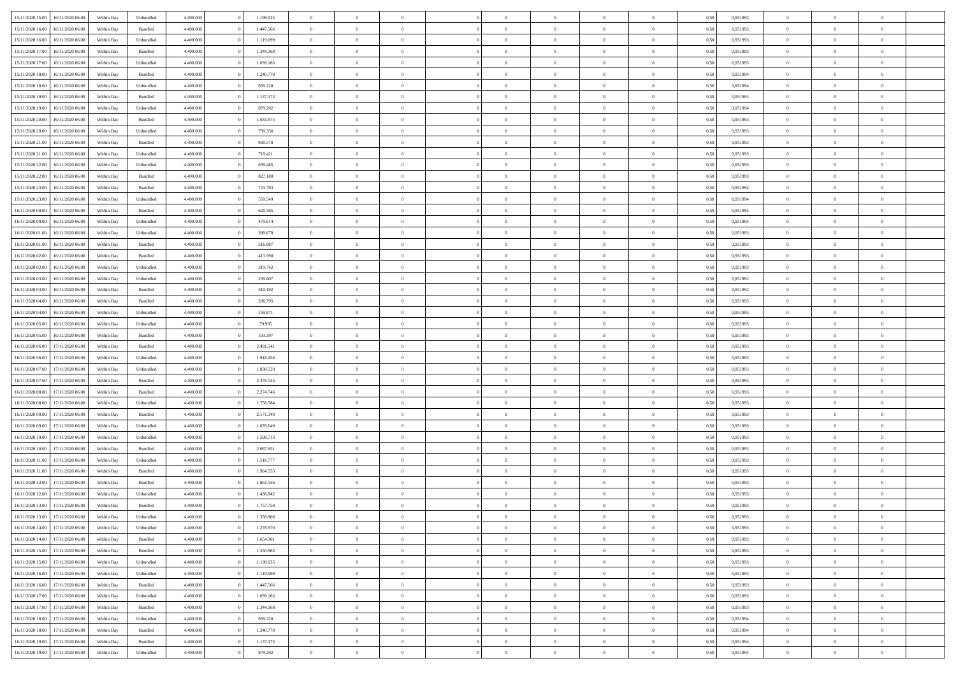| 15/11/2020 15:00 | 16/11/2020 06:00 | Within Dav | Unbundled | 4.400.000 | 1.199.035 | $\overline{0}$ | $\theta$       | $\Omega$       | $\Omega$       | $\Omega$       | $\overline{0}$ | $\theta$       | 0,50 | 0,951993 | $\theta$       | $\overline{0}$ | $\overline{0}$ |  |
|------------------|------------------|------------|-----------|-----------|-----------|----------------|----------------|----------------|----------------|----------------|----------------|----------------|------|----------|----------------|----------------|----------------|--|
|                  |                  |            |           |           |           |                |                |                |                |                |                |                |      |          |                |                |                |  |
| 15/11/2020 16:00 | 16/11/2020 06.00 | Within Day | Bundled   | 4.400.000 | 1.447.566 | $\overline{0}$ | $\theta$       | $\overline{0}$ | $\overline{0}$ | $\bf{0}$       | $\overline{0}$ | $\bf{0}$       | 0,50 | 0,951993 | $\theta$       | $\overline{0}$ | $\overline{0}$ |  |
| 15/11/2020 16:00 | 16/11/2020 06.00 | Within Day | Unbundled | 4.400.000 | 1.119.099 | $\overline{0}$ | $\bf{0}$       | $\overline{0}$ | $\bf{0}$       | $\bf{0}$       | $\bf{0}$       | $\mathbf{0}$   | 0,50 | 0,951993 | $\overline{0}$ | $\overline{0}$ | $\overline{0}$ |  |
| 15/11/2020 17:00 | 16/11/2020 06:00 | Within Dav | Bundled   | 4.400.000 | 1.344.168 | $\overline{0}$ | $\overline{0}$ | $\overline{0}$ | $\overline{0}$ | $\bf{0}$       | $\overline{0}$ | $\overline{0}$ | 0.50 | 0.951993 | $\theta$       | $\overline{0}$ | $\overline{0}$ |  |
| 15/11/2020 17:00 | 16/11/2020 06.00 | Within Day | Unbundled | 4.400.000 | 1.039.163 | $\overline{0}$ | $\theta$       | $\overline{0}$ | $\overline{0}$ | $\bf{0}$       | $\overline{0}$ | $\bf{0}$       | 0,50 | 0,951993 | $\,$ 0 $\,$    | $\overline{0}$ | $\overline{0}$ |  |
| 15/11/2020 18:00 | 16/11/2020 06.00 | Within Day | Bundled   | 4.400.000 | 1.240.770 | $\overline{0}$ | $\overline{0}$ | $\overline{0}$ | $\bf{0}$       | $\overline{0}$ | $\overline{0}$ | $\mathbf{0}$   | 0,50 | 0,951994 | $\overline{0}$ | $\overline{0}$ | $\bf{0}$       |  |
|                  |                  |            |           |           |           |                |                |                |                |                |                |                |      |          |                |                |                |  |
| 15/11/2020 18:00 | 16/11/2020 06:00 | Within Dav | Unbundled | 4.400.000 | 959.228   | $\overline{0}$ | $\overline{0}$ | $\overline{0}$ | $\overline{0}$ | $\overline{0}$ | $\overline{0}$ | $\overline{0}$ | 0.50 | 0,951994 | $\theta$       | $\overline{0}$ | $\overline{0}$ |  |
| 15/11/2020 19:00 | 16/11/2020 06.00 | Within Day | Bundled   | 4.400.000 | 1.137.373 | $\overline{0}$ | $\theta$       | $\overline{0}$ | $\overline{0}$ | $\bf{0}$       | $\overline{0}$ | $\bf{0}$       | 0,50 | 0,951994 | $\theta$       | $\theta$       | $\overline{0}$ |  |
| 15/11/2020 19:00 | 16/11/2020 06.00 | Within Day | Unbundled | 4.400.000 | 879.292   | $\overline{0}$ | $\overline{0}$ | $\overline{0}$ | $\overline{0}$ | $\bf{0}$       | $\overline{0}$ | $\mathbf{0}$   | 0,50 | 0,951994 | $\,0\,$        | $\overline{0}$ | $\overline{0}$ |  |
| 15/11/2020 20.00 | 16/11/2020 06.00 | Within Dav | Bundled   | 4.400.000 | 1.033.975 | $\overline{0}$ | $\overline{0}$ | $\overline{0}$ | $\overline{0}$ | $\overline{0}$ | $\overline{0}$ | $\overline{0}$ | 0.50 | 0.951993 | $\theta$       | $\overline{0}$ | $\overline{0}$ |  |
| 15/11/2020 20.00 | 16/11/2020 06.00 | Within Day | Unbundled | 4.400.000 | 799.356   | $\overline{0}$ | $\theta$       | $\overline{0}$ | $\overline{0}$ | $\bf{0}$       | $\overline{0}$ | $\bf{0}$       | 0,50 | 0,951993 | $\,$ 0 $\,$    | $\overline{0}$ | $\overline{0}$ |  |
| 15/11/2020 21.00 | 16/11/2020 06.00 | Within Day | Bundled   | 4.400.000 | 930.578   | $\overline{0}$ | $\overline{0}$ | $\overline{0}$ | $\overline{0}$ | $\bf{0}$       | $\overline{0}$ | $\mathbf{0}$   | 0,50 | 0,951993 | $\overline{0}$ | $\overline{0}$ | $\bf{0}$       |  |
| 15/11/2020 21.00 | 16/11/2020 06:00 | Within Day | Unbundled | 4.400.000 | 719.421   | $\overline{0}$ | $\overline{0}$ | $\overline{0}$ | $\overline{0}$ | $\bf{0}$       | $\overline{0}$ | $\overline{0}$ | 0.50 | 0.951993 | $\theta$       | $\theta$       | $\overline{0}$ |  |
|                  |                  |            |           |           |           | $\overline{0}$ | $\theta$       |                |                | $\bf{0}$       |                |                |      |          | $\theta$       |                |                |  |
| 15/11/2020 22.00 | 16/11/2020 06.00 | Within Day | Unbundled | 4.400.000 | 639.485   |                |                | $\overline{0}$ | $\overline{0}$ |                | $\overline{0}$ | $\bf{0}$       | 0,50 | 0,951993 |                | $\overline{0}$ | $\overline{0}$ |  |
| 15/11/2020 22.00 | 16/11/2020 06.00 | Within Day | Bundled   | 4.400.000 | 827.180   | $\overline{0}$ | $\overline{0}$ | $\overline{0}$ | $\overline{0}$ | $\overline{0}$ | $\overline{0}$ | $\mathbf{0}$   | 0,50 | 0,951993 | $\overline{0}$ | $\overline{0}$ | $\bf{0}$       |  |
| 15/11/2020 23.00 | 16/11/2020 06:00 | Within Dav | Bundled   | 4.400.000 | 723.783   | $\overline{0}$ | $\overline{0}$ | $\overline{0}$ | $\overline{0}$ | $\overline{0}$ | $\overline{0}$ | $\overline{0}$ | 0.50 | 0,951994 | $\overline{0}$ | $\overline{0}$ | $\overline{0}$ |  |
| 15/11/2020 23.00 | 16/11/2020 06.00 | Within Day | Unbundled | 4.400.000 | 559.549   | $\overline{0}$ | $\theta$       | $\overline{0}$ | $\overline{0}$ | $\bf{0}$       | $\overline{0}$ | $\bf{0}$       | 0,50 | 0,951994 | $\,$ 0 $\,$    | $\overline{0}$ | $\overline{0}$ |  |
| 16/11/2020 00:00 | 16/11/2020 06.00 | Within Day | Bundled   | 4.400.000 | 620.385   | $\overline{0}$ | $\overline{0}$ | $\overline{0}$ | $\overline{0}$ | $\bf{0}$       | $\overline{0}$ | $\mathbf{0}$   | 0,50 | 0,951994 | $\bf{0}$       | $\overline{0}$ | $\overline{0}$ |  |
| 16/11/2020 00:00 | 16/11/2020 06:00 | Within Day | Unbundled | 4.400.000 | 479.614   | $\overline{0}$ | $\overline{0}$ | $\overline{0}$ | $\overline{0}$ | $\overline{0}$ | $\overline{0}$ | $\overline{0}$ | 0.50 | 0,951994 | $\theta$       | $\overline{0}$ | $\overline{0}$ |  |
| 16/11/2020 01:00 | 16/11/2020 06.00 | Within Day | Unbundled | 4.400.000 | 399.678   | $\overline{0}$ | $\theta$       | $\overline{0}$ | $\overline{0}$ | $\bf{0}$       | $\overline{0}$ | $\bf{0}$       | 0,50 | 0,951993 | $\,$ 0 $\,$    | $\overline{0}$ | $\overline{0}$ |  |
|                  |                  |            |           |           |           |                |                |                |                |                |                |                |      |          |                |                |                |  |
| 16/11/2020 01:00 | 16/11/2020 06.00 | Within Day | Bundled   | 4.400.000 | 516.987   | $\overline{0}$ | $\overline{0}$ | $\overline{0}$ | $\overline{0}$ | $\bf{0}$       | $\overline{0}$ | $\mathbf{0}$   | 0,50 | 0,951993 | $\overline{0}$ | $\overline{0}$ | $\bf{0}$       |  |
| 16/11/2020 02.00 | 16/11/2020 06:00 | Within Day | Bundled   | 4.400.000 | 413.590   | $\overline{0}$ | $\overline{0}$ | $\overline{0}$ | $\overline{0}$ | $\overline{0}$ | $\overline{0}$ | $\overline{0}$ | 0.50 | 0.951993 | $\theta$       | $\overline{0}$ | $\overline{0}$ |  |
| 16/11/2020 02.00 | 16/11/2020 06.00 | Within Day | Unbundled | 4.400.000 | 319.742   | $\overline{0}$ | $\theta$       | $\overline{0}$ | $\overline{0}$ | $\bf{0}$       | $\overline{0}$ | $\,$ 0 $\,$    | 0,50 | 0,951993 | $\,$ 0 $\,$    | $\overline{0}$ | $\overline{0}$ |  |
| 16/11/2020 03.00 | 16/11/2020 06.00 | Within Day | Unbundled | 4.400.000 | 239.807   | $\overline{0}$ | $\overline{0}$ | $\overline{0}$ | $\overline{0}$ | $\overline{0}$ | $\overline{0}$ | $\mathbf{0}$   | 0,50 | 0,951992 | $\overline{0}$ | $\overline{0}$ | $\bf{0}$       |  |
| 16/11/2020 03:00 | 16/11/2020 06:00 | Within Dav | Bundled   | 4.400.000 | 310.192   | $\overline{0}$ | $\overline{0}$ | $\overline{0}$ | $\overline{0}$ | $\overline{0}$ | $\overline{0}$ | $\overline{0}$ | 0.50 | 0.951992 | $\overline{0}$ | $\overline{0}$ | $\overline{0}$ |  |
| 16/11/2020 04:00 | 16/11/2020 06.00 | Within Day | Bundled   | 4.400.000 | 206.795   | $\overline{0}$ | $\theta$       | $\overline{0}$ | $\overline{0}$ | $\bf{0}$       | $\overline{0}$ | $\bf{0}$       | 0,50 | 0,951995 | $\,$ 0 $\,$    | $\overline{0}$ | $\overline{0}$ |  |
| 16/11/2020 04:00 | 16/11/2020 06.00 | Within Day | Unbundled | 4.400.000 | 159.871   | $\overline{0}$ | $\overline{0}$ | $\overline{0}$ | $\overline{0}$ | $\bf{0}$       | $\overline{0}$ | $\bf{0}$       | 0,50 | 0,951995 | $\,0\,$        | $\overline{0}$ | $\overline{0}$ |  |
|                  |                  |            |           |           |           |                | $\overline{0}$ |                |                | $\overline{0}$ |                |                |      |          | $\theta$       | $\overline{0}$ | $\overline{0}$ |  |
| 16/11/2020 05:00 | 16/11/2020 06:00 | Within Day | Unbundled | 4.400.000 | 79.935    | $\overline{0}$ |                | $\overline{0}$ | $\overline{0}$ |                | $\overline{0}$ | $\overline{0}$ | 0.50 | 0.951995 |                |                |                |  |
| 16/11/2020 05:00 | 16/11/2020 06.00 | Within Day | Bundled   | 4.400.000 | 103.397   | $\overline{0}$ | $\theta$       | $\overline{0}$ | $\overline{0}$ | $\,$ 0         | $\overline{0}$ | $\bf{0}$       | 0,50 | 0,951995 | $\,$ 0 $\,$    | $\overline{0}$ | $\overline{0}$ |  |
| 16/11/2020 06.00 | 17/11/2020 06.00 | Within Day | Bundled   | 4.400.000 | 2.481.541 | $\overline{0}$ | $\overline{0}$ | $\overline{0}$ | $\overline{0}$ | $\bf{0}$       | $\overline{0}$ | $\bf{0}$       | 0,50 | 0,951993 | $\overline{0}$ | $\overline{0}$ | $\bf{0}$       |  |
| 16/11/2020 06.00 | 17/11/2020 06.00 | Within Day | Unbundled | 4.400,000 | 1.918.456 | $\overline{0}$ | $\Omega$       | $\overline{0}$ | $\Omega$       | $\Omega$       | $\overline{0}$ | $\overline{0}$ | 0,50 | 0,951993 | $\,0\,$        | $\theta$       | $\theta$       |  |
| 16/11/2020 07.00 | 17/11/2020 06.00 | Within Day | Unbundled | 4.400.000 | 1.838.520 | $\overline{0}$ | $\theta$       | $\overline{0}$ | $\overline{0}$ | $\bf{0}$       | $\overline{0}$ | $\bf{0}$       | 0,50 | 0,951993 | $\,$ 0 $\,$    | $\overline{0}$ | $\overline{0}$ |  |
| 16/11/2020 07.00 | 17/11/2020 06.00 | Within Day | Bundled   | 4.400.000 | 2.378.144 | $\overline{0}$ | $\overline{0}$ | $\overline{0}$ | $\overline{0}$ | $\overline{0}$ | $\overline{0}$ | $\mathbf{0}$   | 0,50 | 0,951993 | $\overline{0}$ | $\overline{0}$ | $\bf{0}$       |  |
| 16/11/2020 08:00 | 17/11/2020 06.00 | Within Day | Bundled   | 4.400,000 | 2.274.746 | $\overline{0}$ | $\Omega$       | $\Omega$       | $\Omega$       | $\overline{0}$ | $\overline{0}$ | $\overline{0}$ | 0.50 | 0,951993 | $\,0\,$        | $\theta$       | $\theta$       |  |
| 16/11/2020 08:00 | 17/11/2020 06.00 | Within Day | Unbundled | 4.400.000 | 1.758.584 | $\overline{0}$ | $\theta$       | $\overline{0}$ | $\overline{0}$ | $\,$ 0         | $\overline{0}$ | $\bf{0}$       | 0,50 | 0,951993 | $\,$ 0 $\,$    | $\overline{0}$ | $\overline{0}$ |  |
|                  |                  |            |           |           |           |                |                |                |                |                |                |                |      |          |                |                |                |  |
| 16/11/2020 09:00 | 17/11/2020 06.00 | Within Day | Bundled   | 4.400.000 | 2.171.349 | $\overline{0}$ | $\overline{0}$ | $\overline{0}$ | $\overline{0}$ | $\bf{0}$       | $\overline{0}$ | $\mathbf{0}$   | 0,50 | 0,951993 | $\bf{0}$       | $\overline{0}$ | $\bf{0}$       |  |
| 16/11/2020 09:00 | 17/11/2020 06:00 | Within Day | Unbundled | 4.400,000 | 1.678.649 | $\overline{0}$ | $\Omega$       | $\overline{0}$ | $\Omega$       | $\overline{0}$ | $\overline{0}$ | $\overline{0}$ | 0.50 | 0,951993 | $\,$ 0 $\,$    | $\theta$       | $\theta$       |  |
| 16/11/2020 10:00 | 17/11/2020 06.00 | Within Day | Unbundled | 4.400.000 | 1.598.713 | $\overline{0}$ | $\,$ 0         | $\overline{0}$ | $\overline{0}$ | $\,$ 0         | $\overline{0}$ | $\bf{0}$       | 0,50 | 0,951993 | $\,$ 0 $\,$    | $\overline{0}$ | $\overline{0}$ |  |
| 16/11/2020 10:00 | 17/11/2020 06.00 | Within Day | Bundled   | 4.400.000 | 2.067.951 | $\overline{0}$ | $\bf{0}$       | $\overline{0}$ | $\overline{0}$ | $\bf{0}$       | $\overline{0}$ | $\mathbf{0}$   | 0,50 | 0,951993 | $\bf{0}$       | $\overline{0}$ | $\bf{0}$       |  |
| 16/11/2020 11:00 | 17/11/2020 06.00 | Within Day | Unbundled | 4.400,000 | 1.518.777 | $\overline{0}$ | $\Omega$       | $\overline{0}$ | $\Omega$       | $\overline{0}$ | $\overline{0}$ | $\overline{0}$ | 0,50 | 0,951993 | $\,0\,$        | $\theta$       | $\theta$       |  |
| 16/11/2020 11:00 | 17/11/2020 06.00 | Within Day | Bundled   | 4.400.000 | 1.964.553 | $\overline{0}$ | $\overline{0}$ | $\overline{0}$ | $\overline{0}$ | $\,$ 0         | $\overline{0}$ | $\bf{0}$       | 0,50 | 0,951993 | $\,$ 0 $\,$    | $\overline{0}$ | $\overline{0}$ |  |
| 16/11/2020 12.00 | 17/11/2020 06.00 | Within Day | Bundled   | 4.400.000 | 1.861.156 | $\overline{0}$ | $\overline{0}$ | $\overline{0}$ | $\overline{0}$ | $\bf{0}$       | $\overline{0}$ | $\mathbf{0}$   | 0,50 | 0,951993 | $\bf{0}$       | $\overline{0}$ | $\bf{0}$       |  |
| 16/11/2020 12:00 | 17/11/2020 06.00 | Within Day | Unbundled | 4.400,000 | 1.438.842 | $\overline{0}$ | $\Omega$       | $\Omega$       | $\Omega$       | $\Omega$       | $\overline{0}$ | $\overline{0}$ | 0.50 | 0.951993 | $\theta$       | $\theta$       | $\theta$       |  |
| 16/11/2020 13:00 | 17/11/2020 06.00 | Within Day | Bundled   | 4.400.000 | 1.757.758 | $\overline{0}$ | $\overline{0}$ | $\overline{0}$ | $\bf{0}$       | $\,$ 0         | $\overline{0}$ | $\bf{0}$       | 0,50 | 0,951993 | $\,0\,$        | $\,$ 0 $\,$    | $\overline{0}$ |  |
|                  |                  |            |           |           |           |                |                |                |                |                |                |                |      |          |                |                |                |  |
| 16/11/2020 13:00 | 17/11/2020 06.00 | Within Day | Unbundled | 4.400.000 | 1.358.906 | $\bf{0}$       | $\bf{0}$       |                |                | $\bf{0}$       |                |                | 0,50 | 0,951993 | $\bf{0}$       | $\overline{0}$ |                |  |
| 16/11/2020 14:00 | 17/11/2020 06.00 | Within Day | Unbundled | 4.400.000 | 1.278.970 | $\overline{0}$ | $\overline{0}$ | $\overline{0}$ | $\Omega$       | $\overline{0}$ | $\overline{0}$ | $\overline{0}$ | 0,50 | 0.951993 | $\theta$       | $\theta$       | $\theta$       |  |
| 16/11/2020 14:00 | 17/11/2020 06.00 | Within Day | Bundled   | 4.400.000 | 1.654.361 | $\overline{0}$ | $\,$ 0         | $\overline{0}$ | $\overline{0}$ | $\,$ 0 $\,$    | $\overline{0}$ | $\mathbf{0}$   | 0,50 | 0,951993 | $\,$ 0 $\,$    | $\,$ 0 $\,$    | $\,$ 0         |  |
| 16/11/2020 15.00 | 17/11/2020 06.00 | Within Day | Bundled   | 4.400.000 | 1.550.963 | $\overline{0}$ | $\overline{0}$ | $\overline{0}$ | $\overline{0}$ | $\overline{0}$ | $\overline{0}$ | $\mathbf{0}$   | 0,50 | 0,951993 | $\overline{0}$ | $\bf{0}$       | $\bf{0}$       |  |
| 16/11/2020 15:00 | 17/11/2020 06.00 | Within Day | Unbundled | 4.400,000 | 1.199.035 | $\overline{0}$ | $\overline{0}$ | $\overline{0}$ | $\Omega$       | $\overline{0}$ | $\overline{0}$ | $\bf{0}$       | 0,50 | 0,951993 | $\bf{0}$       | $\theta$       | $\overline{0}$ |  |
| 16/11/2020 16:00 | 17/11/2020 06.00 | Within Day | Unbundled | 4.400.000 | 1.119.099 | $\overline{0}$ | $\,$ 0         | $\overline{0}$ | $\overline{0}$ | $\,$ 0 $\,$    | $\overline{0}$ | $\mathbf{0}$   | 0,50 | 0,951993 | $\,$ 0 $\,$    | $\overline{0}$ | $\overline{0}$ |  |
| 16/11/2020 16.00 | 17/11/2020 06.00 | Within Day | Bundled   | 4.400.000 | 1.447.566 | $\overline{0}$ | $\overline{0}$ | $\overline{0}$ | $\overline{0}$ | $\overline{0}$ | $\overline{0}$ | $\mathbf{0}$   | 0,50 | 0,951993 | $\overline{0}$ | $\overline{0}$ | $\bf{0}$       |  |
|                  |                  |            |           |           |           |                |                |                |                |                |                |                |      |          |                |                |                |  |
| 16/11/2020 17.00 | 17/11/2020 06.00 | Within Day | Unbundled | 4.400,000 | 1.039.163 | $\overline{0}$ | $\overline{0}$ | $\overline{0}$ | $\Omega$       | $\overline{0}$ | $\overline{0}$ | $\bf{0}$       | 0.50 | 0,951993 | $\overline{0}$ | $\theta$       | $\overline{0}$ |  |
| 16/11/2020 17.00 | 17/11/2020 06.00 | Within Day | Bundled   | 4.400.000 | 1.344.168 | $\overline{0}$ | $\,$ 0         | $\overline{0}$ | $\bf{0}$       | $\bf{0}$       | $\bf{0}$       | $\bf{0}$       | 0,50 | 0,951993 | $\,$ 0 $\,$    | $\overline{0}$ | $\overline{0}$ |  |
| 16/11/2020 18:00 | 17/11/2020 06.00 | Within Day | Unbundled | 4.400.000 | 959.228   | $\overline{0}$ | $\bf{0}$       | $\overline{0}$ | $\overline{0}$ | $\overline{0}$ | $\overline{0}$ | $\mathbf{0}$   | 0,50 | 0,951994 | $\overline{0}$ | $\overline{0}$ | $\bf{0}$       |  |
| 16/11/2020 18:00 | 17/11/2020 06.00 | Within Day | Bundled   | 4.400,000 | 1.240.770 | $\overline{0}$ | $\overline{0}$ | $\overline{0}$ | $\Omega$       | $\overline{0}$ | $\overline{0}$ | $\bf{0}$       | 0.50 | 0,951994 | $\overline{0}$ | $\overline{0}$ | $\overline{0}$ |  |
| 16/11/2020 19:00 | 17/11/2020 06.00 | Within Day | Bundled   | 4.400.000 | 1.137.373 | $\overline{0}$ | $\bf{0}$       | $\overline{0}$ | $\overline{0}$ | $\bf{0}$       | $\bf{0}$       | $\bf{0}$       | 0,50 | 0,951994 | $\,$ 0 $\,$    | $\,$ 0 $\,$    | $\bf{0}$       |  |
| 16/11/2020 19:00 | 17/11/2020 06.00 | Within Day | Unbundled | 4.400.000 | 879.292   | $\overline{0}$ | $\bf{0}$       | $\overline{0}$ | $\bf{0}$       | $\bf{0}$       | $\bf{0}$       | $\bf{0}$       | 0,50 | 0,951994 | $\overline{0}$ | $\overline{0}$ | $\bf{0}$       |  |
|                  |                  |            |           |           |           |                |                |                |                |                |                |                |      |          |                |                |                |  |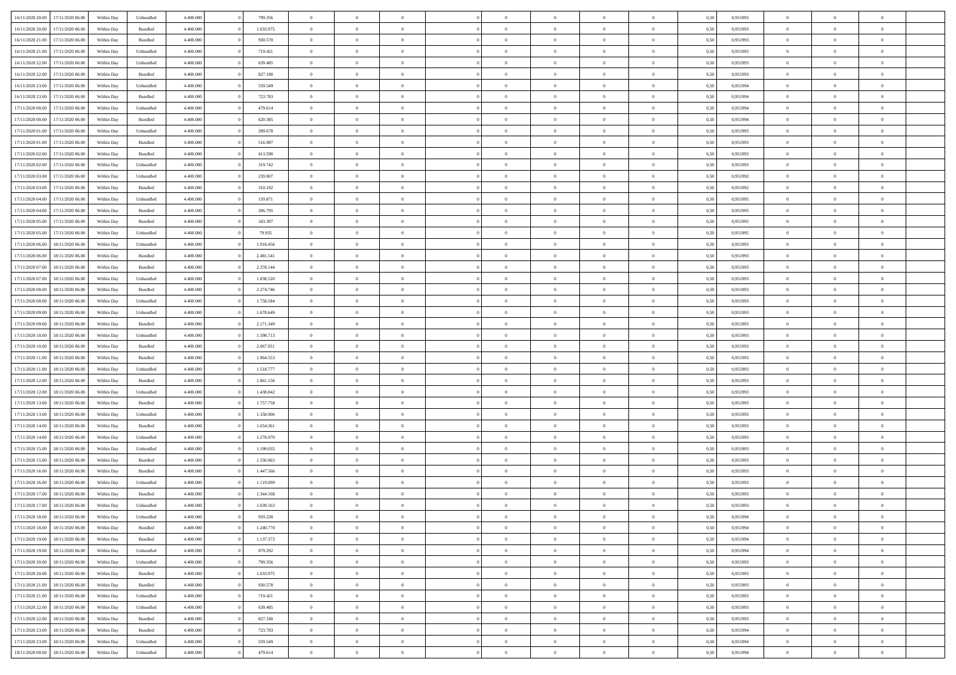| 16/11/2020 20.00 | 17/11/2020 06.00 | Within Dav | Unbundled | 4.400.000 | 799.356   | $\overline{0}$ | $\theta$       | $\Omega$       | $\Omega$       | $\Omega$       | $\overline{0}$ | $\theta$       | 0,50 | 0,951993 | $\theta$       | $\overline{0}$ | $\overline{0}$ |  |
|------------------|------------------|------------|-----------|-----------|-----------|----------------|----------------|----------------|----------------|----------------|----------------|----------------|------|----------|----------------|----------------|----------------|--|
|                  |                  |            |           |           |           |                |                |                |                |                |                |                |      |          |                |                |                |  |
| 16/11/2020 20.00 | 17/11/2020 06.00 | Within Day | Bundled   | 4.400.000 | 1.033.975 | $\overline{0}$ | $\overline{0}$ | $\overline{0}$ | $\overline{0}$ | $\bf{0}$       | $\overline{0}$ | $\bf{0}$       | 0,50 | 0,951993 | $\theta$       | $\overline{0}$ | $\overline{0}$ |  |
| 16/11/2020 21:00 | 17/11/2020 06.00 | Within Day | Bundled   | 4.400.000 | 930.578   | $\overline{0}$ | $\bf{0}$       | $\overline{0}$ | $\bf{0}$       | $\bf{0}$       | $\bf{0}$       | $\mathbf{0}$   | 0,50 | 0,951993 | $\bf{0}$       | $\overline{0}$ | $\overline{0}$ |  |
| 16/11/2020 21.00 | 17/11/2020 06:00 | Within Dav | Unbundled | 4.400.000 | 719.421   | $\overline{0}$ | $\overline{0}$ | $\overline{0}$ | $\overline{0}$ | $\bf{0}$       | $\overline{0}$ | $\overline{0}$ | 0.50 | 0.951993 | $\theta$       | $\overline{0}$ | $\overline{0}$ |  |
| 16/11/2020 22.00 | 17/11/2020 06.00 | Within Day | Unbundled | 4.400.000 | 639.485   | $\overline{0}$ | $\theta$       | $\overline{0}$ | $\overline{0}$ | $\bf{0}$       | $\overline{0}$ | $\bf{0}$       | 0,50 | 0,951993 | $\,$ 0 $\,$    | $\overline{0}$ | $\overline{0}$ |  |
| 16/11/2020 22.00 | 17/11/2020 06.00 | Within Day | Bundled   | 4.400.000 | 827.180   | $\overline{0}$ | $\overline{0}$ | $\overline{0}$ | $\overline{0}$ | $\overline{0}$ | $\overline{0}$ | $\mathbf{0}$   | 0,50 | 0,951993 | $\overline{0}$ | $\overline{0}$ | $\bf{0}$       |  |
|                  |                  |            |           |           |           |                |                |                |                |                |                |                |      |          |                |                |                |  |
| 16/11/2020 23.00 | 17/11/2020 06.00 | Within Dav | Unbundled | 4.400.000 | 559.549   | $\overline{0}$ | $\overline{0}$ | $\overline{0}$ | $\overline{0}$ | $\overline{0}$ | $\overline{0}$ | $\overline{0}$ | 0.50 | 0,951994 | $\theta$       | $\overline{0}$ | $\overline{0}$ |  |
| 16/11/2020 23.00 | 17/11/2020 06.00 | Within Day | Bundled   | 4.400.000 | 723.783   | $\overline{0}$ | $\theta$       | $\overline{0}$ | $\overline{0}$ | $\bf{0}$       | $\overline{0}$ | $\bf{0}$       | 0,50 | 0,951994 | $\theta$       | $\theta$       | $\overline{0}$ |  |
| 17/11/2020 00:00 | 17/11/2020 06.00 | Within Day | Unbundled | 4.400.000 | 479.614   | $\overline{0}$ | $\overline{0}$ | $\overline{0}$ | $\overline{0}$ | $\bf{0}$       | $\overline{0}$ | $\bf{0}$       | 0,50 | 0,951994 | $\,0\,$        | $\overline{0}$ | $\overline{0}$ |  |
| 17/11/2020 00:00 | 17/11/2020 06.00 | Within Dav | Bundled   | 4.400.000 | 620.385   | $\overline{0}$ | $\overline{0}$ | $\overline{0}$ | $\overline{0}$ | $\overline{0}$ | $\overline{0}$ | $\overline{0}$ | 0.50 | 0,951994 | $\theta$       | $\overline{0}$ | $\overline{0}$ |  |
| 17/11/2020 01:00 | 17/11/2020 06.00 | Within Day | Unbundled | 4.400.000 | 399.678   | $\overline{0}$ | $\theta$       | $\overline{0}$ | $\overline{0}$ | $\bf{0}$       | $\overline{0}$ | $\bf{0}$       | 0,50 | 0,951993 | $\,$ 0 $\,$    | $\overline{0}$ | $\overline{0}$ |  |
| 17/11/2020 01.00 | 17/11/2020 06.00 | Within Day | Bundled   | 4.400.000 | 516.987   | $\overline{0}$ | $\overline{0}$ | $\overline{0}$ | $\overline{0}$ | $\bf{0}$       | $\overline{0}$ | $\mathbf{0}$   | 0,50 | 0,951993 | $\overline{0}$ | $\overline{0}$ | $\bf{0}$       |  |
| 17/11/2020 02.00 | 17/11/2020 06:00 | Within Day | Bundled   | 4.400.000 | 413.590   | $\overline{0}$ | $\overline{0}$ | $\overline{0}$ | $\overline{0}$ | $\bf{0}$       | $\overline{0}$ | $\overline{0}$ | 0.50 | 0.951993 | $\theta$       | $\theta$       | $\overline{0}$ |  |
|                  |                  |            |           |           |           |                |                |                |                |                |                |                |      |          |                |                |                |  |
| 17/11/2020 02.00 | 17/11/2020 06.00 | Within Day | Unbundled | 4.400.000 | 319.742   | $\overline{0}$ | $\theta$       | $\overline{0}$ | $\overline{0}$ | $\bf{0}$       | $\overline{0}$ | $\bf{0}$       | 0,50 | 0,951993 | $\theta$       | $\overline{0}$ | $\overline{0}$ |  |
| 17/11/2020 03:00 | 17/11/2020 06.00 | Within Day | Unbundled | 4.400.000 | 239.807   | $\overline{0}$ | $\overline{0}$ | $\overline{0}$ | $\overline{0}$ | $\overline{0}$ | $\overline{0}$ | $\mathbf{0}$   | 0,50 | 0,951992 | $\overline{0}$ | $\overline{0}$ | $\bf{0}$       |  |
| 17/11/2020 03.00 | 17/11/2020 06.00 | Within Dav | Bundled   | 4.400.000 | 310.192   | $\overline{0}$ | $\overline{0}$ | $\overline{0}$ | $\overline{0}$ | $\overline{0}$ | $\overline{0}$ | $\overline{0}$ | 0.50 | 0.951992 | $\theta$       | $\overline{0}$ | $\overline{0}$ |  |
| 17/11/2020 04:00 | 17/11/2020 06.00 | Within Day | Unbundled | 4.400.000 | 159.871   | $\overline{0}$ | $\theta$       | $\overline{0}$ | $\overline{0}$ | $\bf{0}$       | $\overline{0}$ | $\bf{0}$       | 0,50 | 0,951995 | $\,$ 0 $\,$    | $\overline{0}$ | $\overline{0}$ |  |
| 17/11/2020 04:00 | 17/11/2020 06.00 | Within Day | Bundled   | 4.400.000 | 206.795   | $\overline{0}$ | $\overline{0}$ | $\overline{0}$ | $\overline{0}$ | $\bf{0}$       | $\overline{0}$ | $\mathbf{0}$   | 0,50 | 0,951995 | $\bf{0}$       | $\overline{0}$ | $\overline{0}$ |  |
| 17/11/2020 05:00 | 17/11/2020 06.00 | Within Day | Bundled   | 4.400.000 | 103.397   | $\overline{0}$ | $\overline{0}$ | $\overline{0}$ | $\overline{0}$ | $\overline{0}$ | $\overline{0}$ | $\overline{0}$ | 0.50 | 0.951995 | $\theta$       | $\overline{0}$ | $\overline{0}$ |  |
| 17/11/2020 05.00 | 17/11/2020 06.00 | Within Day | Unbundled | 4.400.000 | 79.935    | $\overline{0}$ | $\theta$       | $\overline{0}$ | $\overline{0}$ | $\bf{0}$       | $\overline{0}$ | $\bf{0}$       | 0,50 | 0,951995 | $\,$ 0 $\,$    | $\overline{0}$ | $\overline{0}$ |  |
|                  |                  |            |           |           |           |                |                |                |                |                |                |                |      |          |                |                |                |  |
| 17/11/2020 06:00 | 18/11/2020 06.00 | Within Day | Unbundled | 4.400.000 | 1.918.456 | $\overline{0}$ | $\overline{0}$ | $\overline{0}$ | $\overline{0}$ | $\bf{0}$       | $\overline{0}$ | $\mathbf{0}$   | 0,50 | 0,951993 | $\overline{0}$ | $\overline{0}$ | $\bf{0}$       |  |
| 17/11/2020 06:00 | 18/11/2020 06:00 | Within Day | Bundled   | 4.400.000 | 2.481.541 | $\overline{0}$ | $\overline{0}$ | $\overline{0}$ | $\overline{0}$ | $\overline{0}$ | $\overline{0}$ | $\overline{0}$ | 0.50 | 0.951993 | $\theta$       | $\overline{0}$ | $\overline{0}$ |  |
| 17/11/2020 07.00 | 18/11/2020 06.00 | Within Day | Bundled   | 4.400.000 | 2.378.144 | $\overline{0}$ | $\theta$       | $\overline{0}$ | $\overline{0}$ | $\bf{0}$       | $\overline{0}$ | $\bf{0}$       | 0,50 | 0,951993 | $\,$ 0 $\,$    | $\overline{0}$ | $\overline{0}$ |  |
| 17/11/2020 07.00 | 18/11/2020 06.00 | Within Day | Unbundled | 4.400.000 | 1.838.520 | $\overline{0}$ | $\overline{0}$ | $\overline{0}$ | $\overline{0}$ | $\overline{0}$ | $\overline{0}$ | $\mathbf{0}$   | 0,50 | 0,951993 | $\overline{0}$ | $\overline{0}$ | $\bf{0}$       |  |
| 17/11/2020 08:00 | 18/11/2020 06:00 | Within Dav | Bundled   | 4.400.000 | 2.274.746 | $\overline{0}$ | $\overline{0}$ | $\overline{0}$ | $\overline{0}$ | $\overline{0}$ | $\overline{0}$ | $\overline{0}$ | 0.50 | 0.951993 | $\overline{0}$ | $\overline{0}$ | $\overline{0}$ |  |
| 17/11/2020 08:00 | 18/11/2020 06.00 | Within Day | Unbundled | 4.400.000 | 1.758.584 | $\overline{0}$ | $\theta$       | $\overline{0}$ | $\overline{0}$ | $\bf{0}$       | $\overline{0}$ | $\bf{0}$       | 0,50 | 0,951993 | $\,$ 0 $\,$    | $\overline{0}$ | $\overline{0}$ |  |
|                  |                  |            |           |           |           |                | $\overline{0}$ |                |                | $\bf{0}$       |                |                |      |          | $\,0\,$        | $\overline{0}$ | $\overline{0}$ |  |
| 17/11/2020 09:00 | 18/11/2020 06.00 | Within Day | Unbundled | 4.400.000 | 1.678.649 | $\overline{0}$ |                | $\overline{0}$ | $\overline{0}$ |                | $\overline{0}$ | $\bf{0}$       | 0,50 | 0,951993 |                |                |                |  |
| 17/11/2020 09:00 | 18/11/2020 06:00 | Within Day | Bundled   | 4.400.000 | 2.171.349 | $\overline{0}$ | $\overline{0}$ | $\overline{0}$ | $\overline{0}$ | $\overline{0}$ | $\overline{0}$ | $\overline{0}$ | 0.50 | 0.951993 | $\theta$       | $\overline{0}$ | $\overline{0}$ |  |
| 17/11/2020 10:00 | 18/11/2020 06.00 | Within Day | Unbundled | 4.400.000 | 1.598.713 | $\overline{0}$ | $\theta$       | $\overline{0}$ | $\overline{0}$ | $\,$ 0         | $\overline{0}$ | $\bf{0}$       | 0,50 | 0,951993 | $\,$ 0 $\,$    | $\overline{0}$ | $\overline{0}$ |  |
| 17/11/2020 10.00 | 18/11/2020 06.00 | Within Day | Bundled   | 4.400.000 | 2.067.951 | $\overline{0}$ | $\overline{0}$ | $\overline{0}$ | $\overline{0}$ | $\bf{0}$       | $\overline{0}$ | $\bf{0}$       | 0,50 | 0,951993 | $\overline{0}$ | $\overline{0}$ | $\bf{0}$       |  |
| 17/11/2020 11:00 | 18/11/2020 06.00 | Within Day | Bundled   | 4.400,000 | 1.964.553 | $\overline{0}$ | $\Omega$       | $\overline{0}$ | $\Omega$       | $\Omega$       | $\overline{0}$ | $\overline{0}$ | 0,50 | 0,951993 | $\,0\,$        | $\theta$       | $\theta$       |  |
| 17/11/2020 11:00 | 18/11/2020 06.00 | Within Day | Unbundled | 4.400.000 | 1.518.777 | $\overline{0}$ | $\theta$       | $\overline{0}$ | $\overline{0}$ | $\bf{0}$       | $\overline{0}$ | $\bf{0}$       | 0,50 | 0,951993 | $\,$ 0 $\,$    | $\overline{0}$ | $\overline{0}$ |  |
| 17/11/2020 12:00 | 18/11/2020 06.00 | Within Day | Bundled   | 4.400.000 | 1.861.156 | $\overline{0}$ | $\overline{0}$ | $\overline{0}$ | $\overline{0}$ | $\overline{0}$ | $\overline{0}$ | $\mathbf{0}$   | 0,50 | 0,951993 | $\overline{0}$ | $\overline{0}$ | $\bf{0}$       |  |
|                  |                  |            |           | 4.400,000 |           | $\overline{0}$ | $\Omega$       | $\Omega$       | $\Omega$       | $\overline{0}$ | $\overline{0}$ |                |      |          |                | $\theta$       | $\theta$       |  |
| 17/11/2020 12:00 | 18/11/2020 06.00 | Within Day | Unbundled |           | 1.438.842 |                |                |                |                |                |                | $\overline{0}$ | 0.50 | 0,951993 | $\,0\,$        |                |                |  |
| 17/11/2020 13:00 | 18/11/2020 06.00 | Within Day | Bundled   | 4.400.000 | 1.757.758 | $\overline{0}$ | $\theta$       | $\overline{0}$ | $\overline{0}$ | $\bf{0}$       | $\overline{0}$ | $\bf{0}$       | 0,50 | 0,951993 | $\,$ 0 $\,$    | $\overline{0}$ | $\overline{0}$ |  |
| 17/11/2020 13:00 | 18/11/2020 06.00 | Within Day | Unbundled | 4.400.000 | 1.358.906 | $\overline{0}$ | $\overline{0}$ | $\overline{0}$ | $\overline{0}$ | $\bf{0}$       | $\overline{0}$ | $\bf{0}$       | 0,50 | 0,951993 | $\bf{0}$       | $\overline{0}$ | $\bf{0}$       |  |
| 17/11/2020 14:00 | 18/11/2020 06:00 | Within Day | Bundled   | 4.400,000 | 1.654.361 | $\overline{0}$ | $\Omega$       | $\Omega$       | $\Omega$       | $\overline{0}$ | $\overline{0}$ | $\overline{0}$ | 0.50 | 0,951993 | $\,$ 0 $\,$    | $\theta$       | $\theta$       |  |
| 17/11/2020 14:00 | 18/11/2020 06.00 | Within Day | Unbundled | 4.400.000 | 1.278.970 | $\overline{0}$ | $\,$ 0         | $\overline{0}$ | $\overline{0}$ | $\,$ 0         | $\overline{0}$ | $\bf{0}$       | 0,50 | 0,951993 | $\,$ 0 $\,$    | $\overline{0}$ | $\overline{0}$ |  |
| 17/11/2020 15:00 | 18/11/2020 06.00 | Within Day | Unbundled | 4.400.000 | 1.199.035 | $\overline{0}$ | $\bf{0}$       | $\overline{0}$ | $\bf{0}$       | $\bf{0}$       | $\bf{0}$       | $\mathbf{0}$   | 0,50 | 0,951993 | $\overline{0}$ | $\overline{0}$ | $\bf{0}$       |  |
| 17/11/2020 15:00 | 18/11/2020 06.00 | Within Day | Bundled   | 4.400,000 | 1.550.963 | $\overline{0}$ | $\Omega$       | $\overline{0}$ | $\Omega$       | $\overline{0}$ | $\overline{0}$ | $\overline{0}$ | 0,50 | 0,951993 | $\,0\,$        | $\theta$       | $\theta$       |  |
| 17/11/2020 16:00 | 18/11/2020 06.00 | Within Day | Bundled   | 4.400.000 | 1.447.566 | $\overline{0}$ | $\overline{0}$ | $\overline{0}$ | $\overline{0}$ | $\,$ 0         | $\overline{0}$ | $\bf{0}$       | 0,50 | 0,951993 | $\,$ 0 $\,$    | $\overline{0}$ | $\overline{0}$ |  |
|                  |                  |            |           |           |           |                |                |                |                |                |                |                |      |          |                |                |                |  |
| 17/11/2020 16:00 | 18/11/2020 06.00 | Within Day | Unbundled | 4.400.000 | 1.119.099 | $\overline{0}$ | $\overline{0}$ | $\overline{0}$ | $\bf{0}$       | $\bf{0}$       | $\overline{0}$ | $\mathbf{0}$   | 0,50 | 0,951993 | $\overline{0}$ | $\overline{0}$ | $\bf{0}$       |  |
| 17/11/2020 17:00 | 18/11/2020 06:00 | Within Day | Bundled   | 4.400,000 | 1.344.168 | $\overline{0}$ | $\Omega$       | $\Omega$       | $\Omega$       | $\Omega$       | $\overline{0}$ | $\overline{0}$ | 0.50 | 0.951993 | $\theta$       | $\theta$       | $\theta$       |  |
| 17/11/2020 17.00 | 18/11/2020 06.00 | Within Day | Unbundled | 4.400.000 | 1.039.163 | $\overline{0}$ | $\overline{0}$ | $\overline{0}$ | $\bf{0}$       | $\,$ 0         | $\bf{0}$       | $\bf{0}$       | 0,50 | 0,951993 | $\,0\,$        | $\,$ 0 $\,$    | $\overline{0}$ |  |
| 17/11/2020 18:00 | 18/11/2020 06.00 | Within Day | Unbundled | 4.400.000 | 959.228   | $\bf{0}$       | $\bf{0}$       |                |                | $\bf{0}$       |                |                | 0,50 | 0,951994 | $\bf{0}$       | $\overline{0}$ |                |  |
| 17/11/2020 18:00 | 18/11/2020 06:00 | Within Day | Bundled   | 4.400.000 | 1.240.770 | $\overline{0}$ | $\overline{0}$ | $\overline{0}$ | $\Omega$       | $\overline{0}$ | $\overline{0}$ | $\overline{0}$ | 0,50 | 0.951994 | $\theta$       | $\theta$       | $\theta$       |  |
| 17/11/2020 19:00 | 18/11/2020 06.00 | Within Day | Bundled   | 4.400.000 | 1.137.373 | $\overline{0}$ | $\bf{0}$       | $\overline{0}$ | $\bf{0}$       | $\,$ 0 $\,$    | $\overline{0}$ | $\,$ 0 $\,$    | 0,50 | 0,951994 | $\,$ 0 $\,$    | $\,$ 0 $\,$    | $\,$ 0         |  |
| 17/11/2020 19:00 | 18/11/2020 06:00 | Within Day | Unbundled | 4.400.000 | 879.292   | $\overline{0}$ | $\overline{0}$ | $\overline{0}$ | $\overline{0}$ | $\overline{0}$ | $\overline{0}$ | $\mathbf{0}$   | 0,50 | 0,951994 | $\overline{0}$ | $\bf{0}$       | $\bf{0}$       |  |
|                  |                  |            |           |           |           |                | $\overline{0}$ |                | $\Omega$       | $\overline{0}$ | $\overline{0}$ |                |      |          |                | $\theta$       | $\overline{0}$ |  |
| 17/11/2020 20.00 | 18/11/2020 06:00 | Within Day | Unbundled | 4.400.000 | 799.356   | $\overline{0}$ |                | $\overline{0}$ |                |                |                | $\overline{0}$ | 0,50 | 0,951993 | $\bf{0}$       |                |                |  |
| 17/11/2020 20.00 | 18/11/2020 06.00 | Within Day | Bundled   | 4.400.000 | 1.033.975 | $\overline{0}$ | $\,$ 0         | $\overline{0}$ | $\bf{0}$       | $\,$ 0 $\,$    | $\overline{0}$ | $\mathbf{0}$   | 0,50 | 0,951993 | $\,$ 0 $\,$    | $\overline{0}$ | $\overline{0}$ |  |
| 17/11/2020 21.00 | 18/11/2020 06:00 | Within Day | Bundled   | 4.400.000 | 930.578   | $\overline{0}$ | $\overline{0}$ | $\overline{0}$ | $\overline{0}$ | $\overline{0}$ | $\overline{0}$ | $\mathbf{0}$   | 0,50 | 0,951993 | $\overline{0}$ | $\overline{0}$ | $\bf{0}$       |  |
| 17/11/2020 21.00 | 18/11/2020 06:00 | Within Day | Unbundled | 4.400,000 | 719.421   | $\overline{0}$ | $\overline{0}$ | $\overline{0}$ | $\overline{0}$ | $\overline{0}$ | $\overline{0}$ | $\bf{0}$       | 0.50 | 0,951993 | $\overline{0}$ | $\theta$       | $\overline{0}$ |  |
| 17/11/2020 22.00 | 18/11/2020 06.00 | Within Day | Unbundled | 4.400.000 | 639.485   | $\overline{0}$ | $\,$ 0         | $\overline{0}$ | $\bf{0}$       | $\bf{0}$       | $\bf{0}$       | $\bf{0}$       | 0,50 | 0,951993 | $\,$ 0 $\,$    | $\overline{0}$ | $\overline{0}$ |  |
| 17/11/2020 22.00 | 18/11/2020 06:00 | Within Day | Bundled   | 4.400.000 | 827.180   | $\overline{0}$ | $\bf{0}$       | $\overline{0}$ | $\overline{0}$ | $\overline{0}$ | $\overline{0}$ | $\mathbf{0}$   | 0,50 | 0,951993 | $\overline{0}$ | $\overline{0}$ | $\bf{0}$       |  |
| 17/11/2020 23.00 | 18/11/2020 06:00 | Within Day | Bundled   | 4.400,000 | 723.783   | $\overline{0}$ | $\overline{0}$ | $\overline{0}$ | $\Omega$       | $\overline{0}$ | $\overline{0}$ | $\overline{0}$ | 0,50 | 0,951994 | $\overline{0}$ | $\overline{0}$ | $\overline{0}$ |  |
|                  |                  |            |           |           |           |                |                |                |                |                |                |                |      |          |                |                |                |  |
| 17/11/2020 23.00 | 18/11/2020 06.00 | Within Day | Unbundled | 4.400.000 | 559.549   | $\overline{0}$ | $\bf{0}$       | $\overline{0}$ | $\overline{0}$ | $\bf{0}$       | $\bf{0}$       | $\mathbf{0}$   | 0,50 | 0,951994 | $\,$ 0 $\,$    | $\,$ 0 $\,$    | $\bf{0}$       |  |
| 18/11/2020 00:00 | 18/11/2020 06.00 | Within Day | Unbundled | 4.400.000 | 479.614   | $\overline{0}$ | $\bf{0}$       | $\overline{0}$ | $\bf{0}$       | $\bf{0}$       | $\bf{0}$       | $\bf{0}$       | 0,50 | 0,951994 | $\overline{0}$ | $\overline{0}$ | $\bf{0}$       |  |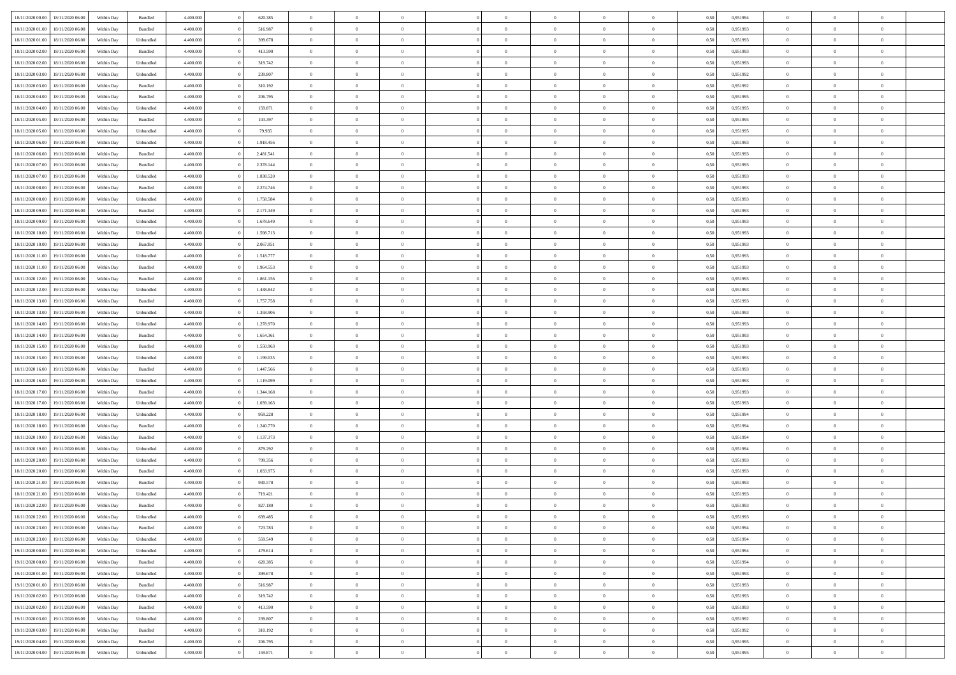| 18/11/2020 00:00 18/11/2020 06:00    | Within Day | Bundled   | 4.400.000 | 620.385   | $\overline{0}$ | $\overline{0}$ | $\Omega$       | $\theta$       | $\theta$       |                | $\overline{0}$ | 0,50 | 0,951994 | $\mathbf{0}$   | $\theta$       | $\Omega$       |  |
|--------------------------------------|------------|-----------|-----------|-----------|----------------|----------------|----------------|----------------|----------------|----------------|----------------|------|----------|----------------|----------------|----------------|--|
| 18/11/2020 01:00<br>18/11/2020 06:00 | Within Day | Bundled   | 4.400.000 | 516.987   | $\bf{0}$       | $\overline{0}$ | $\theta$       | $\theta$       | $\overline{0}$ | $\overline{0}$ | $\,$ 0         | 0,50 | 0,951993 | $\theta$       | $\theta$       | $\bf{0}$       |  |
| 18/11/2020 01:00<br>18/11/2020 06.00 | Within Day | Unbundled | 4.400.000 | 399.678   | $\overline{0}$ | $\overline{0}$ | $\overline{0}$ | $\bf{0}$       | $\bf{0}$       | $\overline{0}$ | $\mathbf{0}$   | 0,50 | 0,951993 | $\bf{0}$       | $\bf{0}$       | $\overline{0}$ |  |
| 18/11/2020 02:00<br>18/11/2020 06:00 | Within Day | Bundled   | 4.400.000 | 413.590   | $\overline{0}$ | $\overline{0}$ | $\overline{0}$ | $\overline{0}$ | $\overline{0}$ | $\overline{0}$ | $\overline{0}$ | 0.50 | 0.951993 | $\overline{0}$ | $\overline{0}$ | $\bf{0}$       |  |
| 18/11/2020 02:00<br>18/11/2020 06:00 | Within Day | Unbundled | 4.400.000 | 319.742   | $\bf{0}$       | $\overline{0}$ | $\overline{0}$ | $\theta$       | $\overline{0}$ | $\overline{0}$ | $\,$ 0         | 0,50 | 0,951993 | $\theta$       | $\theta$       | $\bf{0}$       |  |
| 18/11/2020 03:00<br>18/11/2020 06.00 | Within Day | Unbundled | 4.400.000 | 239.807   | $\overline{0}$ | $\overline{0}$ | $\overline{0}$ | $\bf{0}$       | $\overline{0}$ | $\overline{0}$ | $\overline{0}$ | 0,50 | 0,951992 | $\overline{0}$ | $\overline{0}$ | $\overline{0}$ |  |
| 18/11/2020 03:00<br>18/11/2020 06:00 | Within Day | Bundled   | 4.400.000 | 310.192   | $\overline{0}$ | $\overline{0}$ | $\overline{0}$ | $\overline{0}$ | $\overline{0}$ | $\overline{0}$ | $\overline{0}$ | 0.50 | 0.951992 | $\overline{0}$ | $\overline{0}$ | $\overline{0}$ |  |
|                                      |            |           |           |           |                |                |                |                |                |                |                |      |          |                |                |                |  |
| 18/11/2020 04:00<br>18/11/2020 06:00 | Within Day | Bundled   | 4.400.000 | 206.795   | $\bf{0}$       | $\overline{0}$ | $\overline{0}$ | $\overline{0}$ | $\overline{0}$ | $\overline{0}$ | $\,$ 0         | 0,50 | 0,951995 | $\theta$       | $\theta$       | $\bf{0}$       |  |
| 18/11/2020 04:00<br>18/11/2020 06.00 | Within Day | Unbundled | 4.400.000 | 159.871   | $\overline{0}$ | $\overline{0}$ | $\overline{0}$ | $\bf{0}$       | $\bf{0}$       | $\overline{0}$ | $\mathbf{0}$   | 0,50 | 0,951995 | $\bf{0}$       | $\bf{0}$       | $\bf{0}$       |  |
| 18/11/2020 05:00<br>18/11/2020 06:00 | Within Day | Bundled   | 4.400.000 | 103.397   | $\overline{0}$ | $\overline{0}$ | $\overline{0}$ | $\overline{0}$ | $\overline{0}$ | $\overline{0}$ | $\overline{0}$ | 0.50 | 0.951995 | $\overline{0}$ | $\theta$       | $\overline{0}$ |  |
| 18/11/2020 05:00<br>18/11/2020 06:00 | Within Day | Unbundled | 4.400.000 | 79.935    | $\bf{0}$       | $\overline{0}$ | $\overline{0}$ | $\overline{0}$ | $\overline{0}$ | $\overline{0}$ | $\,$ 0         | 0,50 | 0,951995 | $\overline{0}$ | $\theta$       | $\bf{0}$       |  |
| 18/11/2020 06:00<br>19/11/2020 06.00 | Within Day | Unbundled | 4.400.000 | 1.918.456 | $\overline{0}$ | $\overline{0}$ | $\overline{0}$ | $\bf{0}$       | $\overline{0}$ | $\overline{0}$ | $\overline{0}$ | 0,50 | 0,951993 | $\overline{0}$ | $\bf{0}$       | $\bf{0}$       |  |
| 18/11/2020 06:00<br>19/11/2020 06:00 | Within Day | Bundled   | 4.400.000 | 2.481.541 | $\overline{0}$ | $\overline{0}$ | $\overline{0}$ | $\overline{0}$ | $\overline{0}$ | $\overline{0}$ | $\overline{0}$ | 0.50 | 0.951993 | $\mathbf{0}$   | $\overline{0}$ | $\bf{0}$       |  |
| 18/11/2020 07:00<br>19/11/2020 06.00 | Within Day | Bundled   | 4.400.000 | 2.378.144 | $\bf{0}$       | $\overline{0}$ | $\overline{0}$ | $\theta$       | $\overline{0}$ | $\overline{0}$ | $\,$ 0         | 0,50 | 0,951993 | $\theta$       | $\theta$       | $\bf{0}$       |  |
| 18/11/2020 07:00<br>19/11/2020 06.00 | Within Day | Unbundled | 4.400.000 | 1.838.520 | $\overline{0}$ | $\overline{0}$ | $\overline{0}$ | $\bf{0}$       | $\overline{0}$ | $\overline{0}$ | $\overline{0}$ | 0,50 | 0,951993 | $\overline{0}$ | $\overline{0}$ | $\overline{0}$ |  |
| 19/11/2020 06.00                     |            | Bundled   | 4.400.000 |           | $\overline{0}$ | $\overline{0}$ | $\overline{0}$ | $\overline{0}$ | $\overline{0}$ | $\overline{0}$ | $\overline{0}$ | 0.50 | 0.951993 | $\overline{0}$ | $\overline{0}$ | $\overline{0}$ |  |
| 18/11/2020 08:00                     | Within Day |           |           | 2.274.746 |                |                |                |                |                |                |                |      |          |                |                |                |  |
| 18/11/2020 08:00<br>19/11/2020 06.00 | Within Day | Unbundled | 4.400.000 | 1.758.584 | $\bf{0}$       | $\overline{0}$ | $\overline{0}$ | $\overline{0}$ | $\overline{0}$ | $\overline{0}$ | $\bf{0}$       | 0,50 | 0,951993 | $\theta$       | $\theta$       | $\bf{0}$       |  |
| 18/11/2020 09:00<br>19/11/2020 06.00 | Within Day | Bundled   | 4.400.000 | 2.171.349 | $\overline{0}$ | $\overline{0}$ | $\overline{0}$ | $\bf{0}$       | $\bf{0}$       | $\overline{0}$ | $\mathbf{0}$   | 0,50 | 0,951993 | $\bf{0}$       | $\bf{0}$       | $\bf{0}$       |  |
| 18/11/2020 09:00<br>19/11/2020 06.00 | Within Day | Unbundled | 4.400.000 | 1.678.649 | $\overline{0}$ | $\overline{0}$ | $\overline{0}$ | $\overline{0}$ | $\overline{0}$ | $\overline{0}$ | $\overline{0}$ | 0.50 | 0.951993 | $\overline{0}$ | $\theta$       | $\overline{0}$ |  |
| 18/11/2020 10:00<br>19/11/2020 06.00 | Within Day | Unbundled | 4.400.000 | 1.598.713 | $\bf{0}$       | $\overline{0}$ | $\overline{0}$ | $\overline{0}$ | $\overline{0}$ | $\overline{0}$ | $\,$ 0         | 0,50 | 0,951993 | $\theta$       | $\theta$       | $\bf{0}$       |  |
| 18/11/2020 10:00<br>19/11/2020 06.00 | Within Day | Bundled   | 4.400.000 | 2.067.951 | $\overline{0}$ | $\overline{0}$ | $\overline{0}$ | $\bf{0}$       | $\bf{0}$       | $\overline{0}$ | $\mathbf{0}$   | 0,50 | 0,951993 | $\bf{0}$       | $\bf{0}$       | $\bf{0}$       |  |
| 18/11/2020 11:00<br>19/11/2020 06.00 | Within Day | Unbundled | 4.400.000 | 1.518.777 | $\overline{0}$ | $\overline{0}$ | $\overline{0}$ | $\overline{0}$ | $\overline{0}$ | $\overline{0}$ | $\overline{0}$ | 0.50 | 0.951993 | $\overline{0}$ | $\overline{0}$ | $\bf{0}$       |  |
| 18/11/2020 11:00<br>19/11/2020 06.00 | Within Day | Bundled   | 4.400.000 | 1.964.553 | $\bf{0}$       | $\overline{0}$ | $\overline{0}$ | $\overline{0}$ | $\overline{0}$ | $\overline{0}$ | $\,$ 0         | 0,50 | 0,951993 | $\mathbf{0}$   | $\theta$       | $\bf{0}$       |  |
| 18/11/2020 12:00<br>19/11/2020 06.00 | Within Day | Bundled   | 4.400.000 | 1.861.156 | $\overline{0}$ | $\overline{0}$ | $\overline{0}$ | $\bf{0}$       | $\overline{0}$ | $\overline{0}$ | $\overline{0}$ | 0,50 | 0,951993 | $\overline{0}$ | $\overline{0}$ | $\overline{0}$ |  |
|                                      |            | Unbundled | 4.400.000 | 1.438.842 | $\overline{0}$ | $\overline{0}$ | $\overline{0}$ | $\overline{0}$ | $\overline{0}$ | $\overline{0}$ | $\overline{0}$ | 0.50 | 0.951993 | $\overline{0}$ | $\overline{0}$ | $\overline{0}$ |  |
| 18/11/2020 12:00<br>19/11/2020 06.00 | Within Day |           |           |           |                |                |                |                |                |                |                |      |          |                |                |                |  |
| 18/11/2020 13:00<br>19/11/2020 06.00 | Within Day | Bundled   | 4.400.000 | 1.757.758 | $\bf{0}$       | $\overline{0}$ | $\overline{0}$ | $\overline{0}$ | $\overline{0}$ | $\overline{0}$ | $\bf{0}$       | 0,50 | 0,951993 | $\theta$       | $\theta$       | $\bf{0}$       |  |
| 18/11/2020 13:00<br>19/11/2020 06.00 | Within Day | Unbundled | 4.400.000 | 1.358.906 | $\overline{0}$ | $\overline{0}$ | $\overline{0}$ | $\bf{0}$       | $\bf{0}$       | $\overline{0}$ | $\mathbf{0}$   | 0,50 | 0,951993 | $\bf{0}$       | $\bf{0}$       | $\bf{0}$       |  |
| 18/11/2020 14:00<br>19/11/2020 06.00 | Within Day | Unbundled | 4.400.000 | 1.278.970 | $\overline{0}$ | $\overline{0}$ | $\overline{0}$ | $\overline{0}$ | $\overline{0}$ | $\overline{0}$ | $\overline{0}$ | 0.50 | 0.951993 | $\overline{0}$ | $\overline{0}$ | $\overline{0}$ |  |
| 18/11/2020 14:00<br>19/11/2020 06:00 | Within Day | Bundled   | 4.400.000 | 1.654.361 | $\bf{0}$       | $\overline{0}$ | $\overline{0}$ | $\overline{0}$ | $\overline{0}$ | $\overline{0}$ | $\,$ 0         | 0,50 | 0,951993 | $\bf{0}$       | $\theta$       | $\bf{0}$       |  |
| 18/11/2020 15:00<br>19/11/2020 06.00 | Within Day | Bundled   | 4.400.000 | 1.550.963 | $\overline{0}$ | $\overline{0}$ | $\overline{0}$ | $\bf{0}$       | $\overline{0}$ | $\overline{0}$ | $\mathbf{0}$   | 0,50 | 0,951993 | $\overline{0}$ | $\bf{0}$       | $\bf{0}$       |  |
| 18/11/2020 15:00<br>19/11/2020 06.00 | Within Day | Unbundled | 4.400.000 | 1.199.035 | $\overline{0}$ | $\overline{0}$ | $\overline{0}$ | $\overline{0}$ | $\overline{0}$ | $\Omega$       | $\overline{0}$ | 0,50 | 0,951993 | $\bf{0}$       | $\theta$       | $\Omega$       |  |
| 18/11/2020 16:00<br>19/11/2020 06.00 | Within Day | Bundled   | 4.400.000 | 1.447.566 | $\bf{0}$       | $\overline{0}$ | $\overline{0}$ | $\overline{0}$ | $\overline{0}$ | $\overline{0}$ | $\,$ 0         | 0,50 | 0,951993 | $\overline{0}$ | $\theta$       | $\bf{0}$       |  |
| 18/11/2020 16:00<br>19/11/2020 06.00 | Within Day | Unbundled | 4.400.000 | 1.119.099 | $\overline{0}$ | $\overline{0}$ | $\overline{0}$ | $\bf{0}$       | $\overline{0}$ | $\overline{0}$ | $\overline{0}$ | 0,50 | 0,951993 | $\overline{0}$ | $\overline{0}$ | $\overline{0}$ |  |
| 18/11/2020 17:00<br>19/11/2020 06.00 | Within Day | Bundled   | 4,400,000 | 1.344.168 | $\overline{0}$ | $\overline{0}$ | $\overline{0}$ | $\overline{0}$ | $\overline{0}$ | $\Omega$       | $\overline{0}$ | 0.50 | 0,951993 | $\overline{0}$ | $\overline{0}$ | $\theta$       |  |
|                                      |            |           |           |           |                | $\overline{0}$ |                | $\overline{0}$ | $\overline{0}$ | $\overline{0}$ |                |      |          | $\overline{0}$ | $\theta$       | $\bf{0}$       |  |
| 18/11/2020 17:00<br>19/11/2020 06:00 | Within Day | Unbundled | 4.400.000 | 1.039.163 | $\bf{0}$       |                | $\overline{0}$ |                |                |                | $\bf{0}$       | 0,50 | 0,951993 |                |                |                |  |
| 18/11/2020 18:00<br>19/11/2020 06.00 | Within Day | Unbundled | 4.400.000 | 959.228   | $\overline{0}$ | $\overline{0}$ | $\overline{0}$ | $\bf{0}$       | $\bf{0}$       | $\overline{0}$ | $\mathbf{0}$   | 0,50 | 0,951994 | $\bf{0}$       | $\bf{0}$       | $\bf{0}$       |  |
| 18/11/2020 18:00<br>19/11/2020 06.00 | Within Day | Bundled   | 4,400,000 | 1.240.770 | $\overline{0}$ | $\overline{0}$ | $\overline{0}$ | $\overline{0}$ | $\overline{0}$ | $\Omega$       | $\theta$       | 0.50 | 0,951994 | $\overline{0}$ | $\overline{0}$ | $\theta$       |  |
| 18/11/2020 19:00<br>19/11/2020 06.00 | Within Day | Bundled   | 4.400.000 | 1.137.373 | $\bf{0}$       | $\overline{0}$ | $\overline{0}$ | $\overline{0}$ | $\overline{0}$ | $\overline{0}$ | $\,$ 0         | 0,50 | 0,951994 | $\,$ 0 $\,$    | $\theta$       | $\bf{0}$       |  |
| 18/11/2020 19:00<br>19/11/2020 06.00 | Within Day | Unbundled | 4.400.000 | 879.292   | $\overline{0}$ | $\overline{0}$ | $\overline{0}$ | $\bf{0}$       | $\bf{0}$       | $\overline{0}$ | $\mathbf{0}$   | 0,50 | 0,951994 | $\overline{0}$ | $\bf{0}$       | $\bf{0}$       |  |
| 18/11/2020 20:00<br>19/11/2020 06.00 | Within Day | Unbundled | 4.400.000 | 799.356   | $\overline{0}$ | $\overline{0}$ | $\overline{0}$ | $\overline{0}$ | $\bf{0}$       | $\Omega$       | $\overline{0}$ | 0,50 | 0,951993 | $\overline{0}$ | $\overline{0}$ | $\Omega$       |  |
| 18/11/2020 20:00<br>19/11/2020 06.00 | Within Day | Bundled   | 4.400.000 | 1.033.975 | $\bf{0}$       | $\overline{0}$ | $\overline{0}$ | $\overline{0}$ | $\bf{0}$       | $\overline{0}$ | $\,$ 0 $\,$    | 0,50 | 0,951993 | $\bf{0}$       | $\theta$       | $\bf{0}$       |  |
| 18/11/2020 21:00<br>19/11/2020 06.00 | Within Day | Bundled   | 4.400.000 | 930.578   | $\overline{0}$ | $\overline{0}$ | $\overline{0}$ | $\bf{0}$       | $\overline{0}$ | $\overline{0}$ | $\overline{0}$ | 0,50 | 0,951993 | $\overline{0}$ | $\overline{0}$ | $\overline{0}$ |  |
| 18/11/2020 21:00<br>19/11/2020 06.00 | Within Day | Unbundled | 4,400,000 | 719.421   | $\overline{0}$ | $\overline{0}$ | $\overline{0}$ | $\overline{0}$ | $\bf{0}$       | $\Omega$       | $\overline{0}$ | 0.50 | 0,951993 | $\overline{0}$ | $\theta$       | $\bf{0}$       |  |
| 18/11/2020 22.00<br>19/11/2020 06:00 | Within Day | Bundled   | 4.400.000 | 827.180   | $\bf{0}$       | $\overline{0}$ | $\overline{0}$ | $\bf{0}$       | $\bf{0}$       | $\overline{0}$ | $\,$ 0 $\,$    | 0,50 | 0,951993 | $\bf{0}$       | $\,$ 0         | $\,$ 0         |  |
|                                      |            |           |           |           |                |                |                |                |                |                |                |      |          |                |                |                |  |
| 18/11/2020 22:00 19/11/2020 06:00    | Within Day | Unbundled | 4.400.000 | 639.485   | $\bf{0}$       | $\bf{0}$       |                | $\bf{0}$       |                |                | $\bf{0}$       | 0,50 | 0,951993 | $\bf{0}$       | $\bf{0}$       |                |  |
| 18/11/2020 23.00 19/11/2020 06.00    | Within Day | Bundled   | 4.400.000 | 723.783   | $\overline{0}$ | $\overline{0}$ | $\theta$       | $\overline{0}$ | $\overline{0}$ | $\overline{0}$ | $\mathbf{0}$   | 0.50 | 0.951994 | $\overline{0}$ | $\overline{0}$ | $\theta$       |  |
| 18/11/2020 23.00<br>19/11/2020 06:00 | Within Day | Unbundled | 4.400.000 | 559.549   | $\overline{0}$ | $\overline{0}$ | $\overline{0}$ | $\bf{0}$       | $\overline{0}$ | $\overline{0}$ | $\mathbf{0}$   | 0,50 | 0,951994 | $\,$ 0 $\,$    | $\overline{0}$ | $\,$ 0 $\,$    |  |
| 19/11/2020 00:00<br>19/11/2020 06.00 | Within Day | Unbundled | 4.400.000 | 479.614   | $\overline{0}$ | $\overline{0}$ | $\overline{0}$ | $\bf{0}$       | $\overline{0}$ | $\overline{0}$ | $\overline{0}$ | 0,50 | 0,951994 | $\overline{0}$ | $\overline{0}$ | $\overline{0}$ |  |
| 19/11/2020 00:00<br>19/11/2020 06:00 | Within Day | Bundled   | 4.400.000 | 620.385   | $\overline{0}$ | $\overline{0}$ | $\overline{0}$ | $\overline{0}$ | $\bf{0}$       | $\overline{0}$ | $\overline{0}$ | 0,50 | 0,951994 | $\overline{0}$ | $\overline{0}$ | $\overline{0}$ |  |
| 19/11/2020 01:00<br>19/11/2020 06:00 | Within Day | Unbundled | 4.400.000 | 399.678   | $\overline{0}$ | $\overline{0}$ | $\overline{0}$ | $\overline{0}$ | $\overline{0}$ | $\overline{0}$ | $\mathbf{0}$   | 0,50 | 0,951993 | $\,$ 0 $\,$    | $\theta$       | $\overline{0}$ |  |
| 19/11/2020 01:00<br>19/11/2020 06:00 | Within Day | Bundled   | 4.400.000 | 516.987   | $\overline{0}$ | $\overline{0}$ | $\overline{0}$ | $\overline{0}$ | $\overline{0}$ | $\overline{0}$ | $\overline{0}$ | 0,50 | 0,951993 | $\overline{0}$ | $\overline{0}$ | $\overline{0}$ |  |
| 19/11/2020 02:00<br>19/11/2020 06.00 | Within Day | Unbundled | 4.400.000 | 319.742   | $\overline{0}$ | $\overline{0}$ | $\overline{0}$ | $\overline{0}$ | $\overline{0}$ | $\overline{0}$ | $\overline{0}$ | 0.50 | 0,951993 | $\overline{0}$ | $\overline{0}$ | $\overline{0}$ |  |
| 19/11/2020 02.00<br>19/11/2020 06:00 | Within Day | Bundled   | 4.400.000 | 413.590   | $\overline{0}$ | $\overline{0}$ | $\overline{0}$ | $\bf{0}$       | $\bf{0}$       | $\overline{0}$ | $\,$ 0 $\,$    | 0,50 | 0,951993 | $\,$ 0 $\,$    | $\theta$       | $\,$ 0         |  |
|                                      |            |           |           |           |                |                |                |                |                |                |                |      |          |                |                |                |  |
| 19/11/2020 03:00<br>19/11/2020 06:00 | Within Day | Unbundled | 4.400.000 | 239.807   | $\overline{0}$ | $\overline{0}$ | $\overline{0}$ | $\bf{0}$       | $\overline{0}$ | $\overline{0}$ | $\overline{0}$ | 0,50 | 0,951992 | $\bf{0}$       | $\bf{0}$       | $\overline{0}$ |  |
| 19/11/2020 03:00<br>19/11/2020 06:00 | Within Day | Bundled   | 4.400.000 | 310.192   | $\overline{0}$ | $\overline{0}$ | $\overline{0}$ | $\overline{0}$ | $\overline{0}$ | $\overline{0}$ | $\overline{0}$ | 0,50 | 0,951992 | $\overline{0}$ | $\overline{0}$ | $\overline{0}$ |  |
| 19/11/2020 04:00<br>19/11/2020 06.00 | Within Day | Bundled   | 4.400.000 | 206.795   | $\overline{0}$ | $\overline{0}$ | $\overline{0}$ | $\bf{0}$       | $\bf{0}$       | $\bf{0}$       | $\,$ 0 $\,$    | 0,50 | 0,951995 | $\,0\,$        | $\,0\,$        | $\,$ 0         |  |
| 19/11/2020 04:00 19/11/2020 06:00    | Within Day | Unbundled | 4.400.000 | 159.871   | $\overline{0}$ | $\overline{0}$ | $\overline{0}$ | $\bf{0}$       | $\bf{0}$       | $\overline{0}$ | $\bf{0}$       | 0,50 | 0,951995 | $\bf{0}$       | $\bf{0}$       | $\overline{0}$ |  |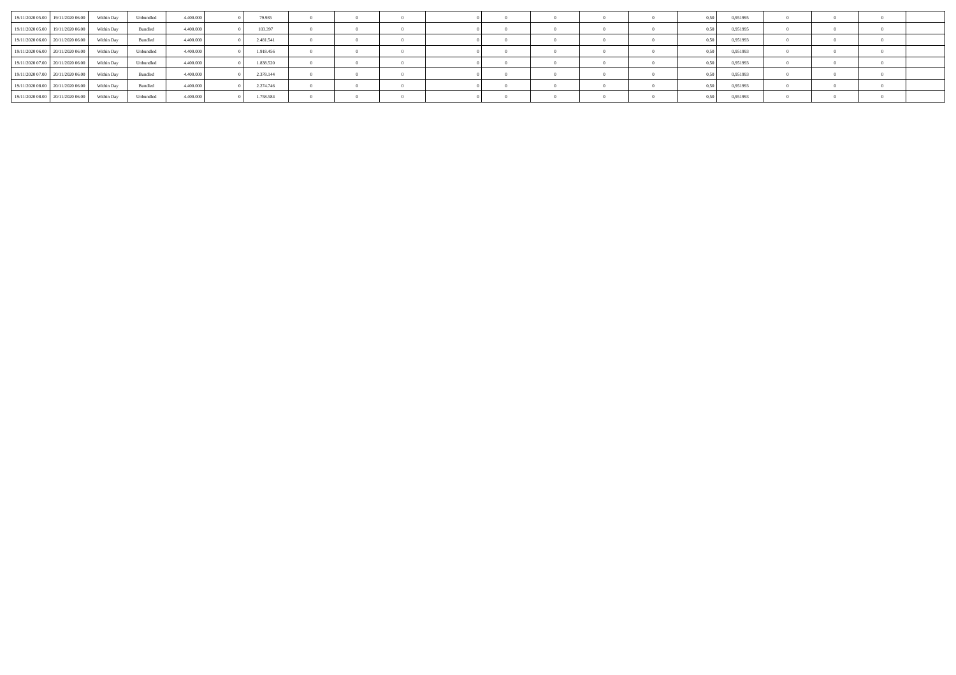| 19/11/2020 05:00 19/11/2020 06:00            | Within Day | Unbundled | 4.400,000 | 79.935    |  |  |  |  | 0.951995 |  |  |
|----------------------------------------------|------------|-----------|-----------|-----------|--|--|--|--|----------|--|--|
| 19/11/2020 05:00 19/11/2020 06:00 Within Day |            | Bundled   | 4.400,000 | 103.397   |  |  |  |  | 0.951995 |  |  |
| 19/11/2020 06:00 20/11/2020 06:00            | Within Day | Bundled   | 4.400,000 | 2.481.541 |  |  |  |  | 0.951993 |  |  |
| 19/11/2020 06:00 20/11/2020 06:00 Within Day |            | Unbundled | 4.400,000 | 1.918.456 |  |  |  |  | 0,951993 |  |  |
| 19/11/2020 07:00 20/11/2020 06:00            | Within Day | Unbundled | 4.400,000 | 1.838.520 |  |  |  |  | 0.951993 |  |  |
| 19/11/2020 07:00 20/11/2020 06:00            | Within Day | Bundled   | 4.400.000 | 2.378.144 |  |  |  |  | 0,951993 |  |  |
| 19/11/2020 08:00 20/11/2020 06:00 Within Day |            | Bundled   | 4.400,000 | 2.274.746 |  |  |  |  | 0.951993 |  |  |
| 19/11/2020 08:00 20/11/2020 06:00            | Within Day | Unbundled | 4.400.000 | 1.758.584 |  |  |  |  | 0,951993 |  |  |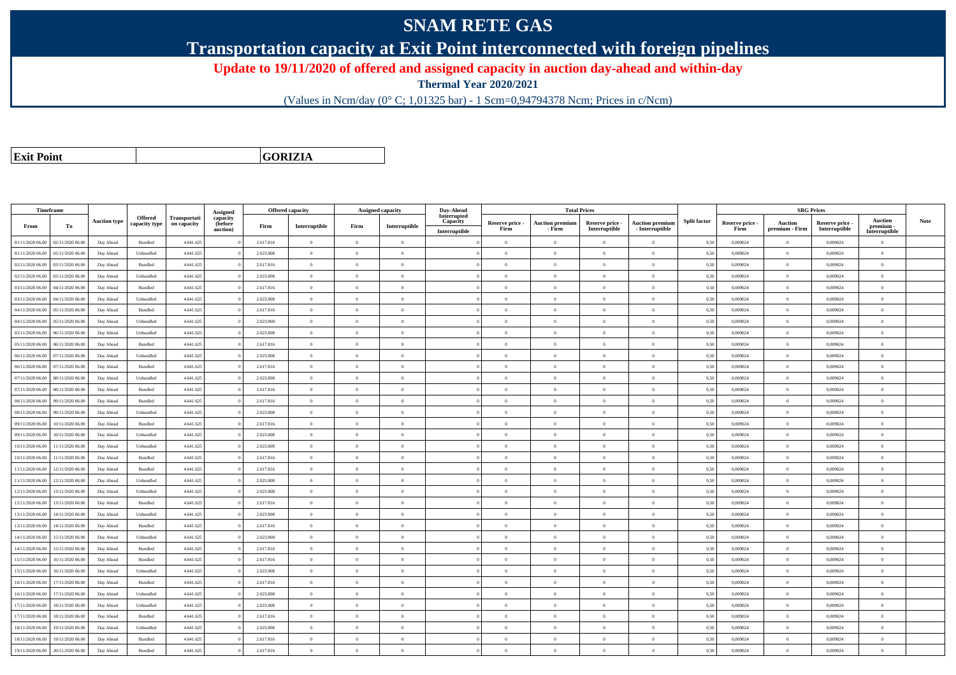## **SNAM RETE GAS**

**Transportation capacity at Exit Point interconnected with foreign pipelines**

**Update to 19/11/2020 of offered and assigned capacity in auction day-ahead and within-day**

**Thermal Year 2020/2021**

(Values in Ncm/day (0° C; 1,01325 bar) - 1 Scm=0,94794378 Ncm; Prices in c/Ncm)

**Exit Point**

**GORIZIA**

|                  | Timeframe        |                     |                          |                             |                                 |           | <b>Offered capacity</b> |                | <b>Assigned capacity</b> | Day-Ahead               |                 |                        | <b>Total Prices</b> |                        |                     |                 | <b>SRG Prices</b> |                 |                             |      |
|------------------|------------------|---------------------|--------------------------|-----------------------------|---------------------------------|-----------|-------------------------|----------------|--------------------------|-------------------------|-----------------|------------------------|---------------------|------------------------|---------------------|-----------------|-------------------|-----------------|-----------------------------|------|
| From             | To               | <b>Auction type</b> | Offered<br>capacity type | Transportati<br>on capacity | Assigned<br>capacity<br>(before | Firm      | Interruptible           | Firm           | Interruptible            | Interrupted<br>Capacity | Reserve price - | <b>Auction premium</b> | Reserve price -     | <b>Auction premium</b> | <b>Split factor</b> | Reserve price - | Auction           | Reserve price - | <b>Auction</b><br>premium - | Note |
|                  |                  |                     |                          |                             | auction)                        |           |                         |                |                          | Interruptible           | Firm            | - Firm                 | Interruptible       | $-$ Interruptible      |                     | Firm            | premium - Firm    | Interruptible   | Interruptible               |      |
| 01/11/2020 06:00 | 02/11/2020 06.00 | Day Ahead           | Bundled                  | 4.641.625                   |                                 | 2.617.816 | $\overline{0}$          | $\overline{0}$ | $\overline{0}$           |                         | $\theta$        | $\overline{0}$         | $\overline{0}$      | $\overline{0}$         | 0,50                | 0,009024        | $\theta$          | 0,009024        | $\overline{0}$              |      |
| 01/11/2020 06.00 | 02/11/2020 06:00 | Day Ahead           | Unbundled                | 4.641.625                   |                                 | 2.023.808 | $\overline{0}$          | $\Omega$       | $\overline{0}$           |                         | $\overline{0}$  | $\theta$               | $\Omega$            | $\overline{0}$         | 0,50                | 0,009024        | $\bf{0}$          | 0,009024        | $\bf{0}$                    |      |
| 02/11/2020 06.00 | 03/11/2020 06.00 | Day Ahead           | Bundled                  | 4.641.625                   |                                 | 2.617.816 | $\overline{0}$          | $\Omega$       | $\theta$                 |                         | $\Omega$        |                        |                     | $\theta$               | 0,50                | 0,009024        | $\theta$          | 0,009024        | $\overline{0}$              |      |
| 02/11/2020 06:00 | 03/11/2020 06.00 | Day Ahead           | Unbundled                | 4.641.625                   |                                 | 2.023.808 | $\overline{0}$          | $\overline{0}$ | $\Omega$                 |                         | $\theta$        | $\theta$               | $\Omega$            | $\theta$               | 0,50                | 0.009024        | $\overline{0}$    | 0.009024        | $\theta$                    |      |
| 03/11/2020 06.00 | 04/11/2020 06.00 | Day Ahead           | Bundled                  | 4.641.625                   |                                 | 2.617.816 | $\overline{0}$          | $\theta$       | $\theta$                 |                         | $\theta$        | $\theta$               | $\overline{0}$      | $\overline{0}$         | 0,50                | 0,009024        | $\theta$          | 0,009024        | $\overline{0}$              |      |
| 03/11/2020 06.00 | 04/11/2020 06.00 | Day Ahead           | Unbundled                | 4.641.625                   |                                 | 2.023.808 | $\overline{0}$          | $\Omega$       | $\Omega$                 |                         | $\theta$        | $\theta$               | $\Omega$            | $\theta$               | 0,50                | 0.009024        | $\overline{0}$    | 0.009024        | $\theta$                    |      |
| 04/11/2020 06.00 | 05/11/2020 06.00 | Day Ahead           | Bundled                  | 4.641.625                   |                                 | 2.617.816 | $\overline{0}$          | $\theta$       | $\theta$                 |                         | $\theta$        | $\sqrt{2}$             | $\Omega$            | $\theta$               | 0,50                | 0.009024        | $\mathbf{0}$      | 0.009024        | $\theta$                    |      |
| 04/11/2020 06.00 | 05/11/2020 06.00 | Day Ahead           | Unbundled                | 4.641.625                   |                                 | 2.023.808 | $\overline{0}$          | $\Omega$       | $\Omega$                 |                         | $\theta$        | $\theta$               | $\Omega$            | $\theta$               | 0,50                | 0,009024        | $\theta$          | 0,009024        | $\Omega$                    |      |
| 05/11/2020 06.00 | 06/11/2020 06:00 | Day Ahead           | Unbundled                | 4.641.625                   |                                 | 2.023.808 | $\overline{0}$          | $\Omega$       | $\Omega$                 |                         | $\theta$        | $\sqrt{2}$             | $\Omega$            | $\theta$               | 0.50                | 0.009024        | $\alpha$          | 0.009024        | $\theta$                    |      |
| 05/11/2020 06:00 | 06/11/2020 06.00 | Day Ahead           | Bundled                  | 4.641.625                   |                                 | 2.617.816 | $\Omega$                | $\Omega$       | $\Omega$                 |                         | $\theta$        | $\theta$               |                     | $\theta$               | 0,50                | 0,009024        | $\theta$          | 0,009024        | $\Omega$                    |      |
| 06/11/2020 06:00 | 07/11/2020 06:00 | Day Ahead           | Unbundled                | 4.641.625                   |                                 | 2.023.808 | $\overline{0}$          | $\overline{0}$ | $\theta$                 |                         | $\theta$        | $\theta$               | $\Omega$            | $\theta$               | 0.50                | 0.009024        | $\theta$          | 0.009024        | $\theta$                    |      |
| 06/11/2020 06.00 | 07/11/2020 06.00 | Day Ahead           | Bundled                  | 4.641.625                   |                                 | 2.617.816 | $\overline{0}$          | $\overline{0}$ | $\theta$                 |                         | $\theta$        | $\bf{0}$               | $\overline{0}$      | $\overline{0}$         | 0,50                | 0,009024        | $\overline{0}$    | 0,009024        | $\overline{0}$              |      |
| 07/11/2020 06:00 | 08/11/2020 06:00 | Day Ahead           | Unbundled                | 4.641.625                   |                                 | 2.023.808 | $\overline{0}$          | $\Omega$       | $\theta$                 |                         | $\theta$        | $\theta$               | $\Omega$            | $\overline{0}$         | 0.50                | 0.009024        | $\theta$          | 0.009024        | $\overline{0}$              |      |
| 07/11/2020 06.00 | 08/11/2020 06.00 | Day Ahead           | Bundled                  | 4.641.625                   |                                 | 2.617.816 | $\overline{0}$          | $\overline{0}$ | $\Omega$                 |                         | $\overline{0}$  | $\mathbf{0}$           | $\Omega$            | $\overline{0}$         | 0,50                | 0.009024        | $\bf{0}$          | 0.009024        | $\overline{0}$              |      |
| 08/11/2020 06.00 | 09/11/2020 06.00 | Day Ahead           | Bundled                  | 4.641.625                   |                                 | 2.617.816 | $\overline{0}$          | $\Omega$       | $\theta$                 |                         | $\theta$        | $\theta$               | $\Omega$            | $\overline{0}$         | 0,50                | 0,009024        | $\theta$          | 0,009024        | $\overline{0}$              |      |
| 08/11/2020 06.00 | 09/11/2020 06.00 | Day Ahead           | Unbundled                | 4.641.625                   |                                 | 2.023.808 | $\overline{0}$          | $\Omega$       | $\Omega$                 |                         | $\theta$        | $\Omega$               | $\Omega$            | $\theta$               | 0,50                | 0.009024        | $\Omega$          | 0.009024        | $\theta$                    |      |
| 09/11/2020 06.00 | 10/11/2020 06.00 | Day Ahead           | Bundled                  | 4.641.625                   |                                 | 2.617.816 | $\overline{0}$          | $\theta$       | $\Omega$                 |                         | $\Omega$        | $\sqrt{2}$             | $\Omega$            | $\theta$               | 0,50                | 0,009024        | $\theta$          | 0,009024        | $\bf{0}$                    |      |
| 09/11/2020 06.00 | 10/11/2020 06.00 | Day Ahead           | Unbundled                | 4.641.625                   |                                 | 2.023.808 | $\overline{0}$          | $\Omega$       | $\Omega$                 |                         | $\theta$        | $\theta$               | $\Omega$            | $\overline{0}$         | 0,50                | 0,009024        | $\theta$          | 0,009024        | $\overline{0}$              |      |
| 10/11/2020 06:00 | 11/11/2020 06.00 | Day Ahead           | Unbundled                | 4.641.625                   |                                 | 2.023.808 | $\overline{0}$          | $\theta$       | $\Omega$                 |                         | $\theta$        | $\Omega$               | $\Omega$            | $\overline{0}$         | 0.50                | 0.009024        | $\,$ 0 $\,$       | 0.009024        | $\theta$                    |      |
| 10/11/2020 06.00 | 11/11/2020 06.00 | Day Ahead           | Bundled                  | 4.641.625                   |                                 | 2.617.816 | $\overline{0}$          | $\overline{0}$ | $\Omega$                 |                         | $\theta$        | $\theta$               | $\Omega$            | $\overline{0}$         | 0,50                | 0,009024        | $\theta$          | 0,009024        | $\overline{0}$              |      |
| 11/11/2020 06:00 | 12/11/2020 06:00 | Day Ahead           | Bundled                  | 4.641.625                   |                                 | 2.617.816 | $\theta$                | $\theta$       | $\theta$                 |                         | $\theta$        | $\Omega$               | $\Omega$            | $\theta$               | 0.50                | 0.009024        | $\theta$          | 0.009024        | $\theta$                    |      |
| 11/11/2020 06:00 | 12/11/2020 06.00 | Day Ahead           | Unbundled                | 4.641.625                   |                                 | 2.023.808 | $\overline{0}$          | $\Omega$       | $\Omega$                 |                         | $\Omega$        | $\theta$               | $\Omega$            | $\overline{0}$         | 0,50                | 0,009024        | $\theta$          | 0,009024        | $\theta$                    |      |
| 12/11/2020 06.00 | 13/11/2020 06.00 | Day Ahead           | Unbundled                | 4.641.625                   |                                 | 2.023.808 | $\overline{0}$          | $\overline{0}$ | $\overline{0}$           |                         | $\theta$        | $\theta$               |                     | $\overline{0}$         | 0,50                | 0,009024        | $\theta$          | 0.009024        | $\overline{0}$              |      |
| 12/11/2020 06.00 | 13/11/2020 06.00 | Day Ahead           | Bundled                  | 4.641.625                   |                                 | 2.617.816 | $\overline{0}$          | $\overline{0}$ | $\theta$                 |                         | $\theta$        | $\theta$               | $\Omega$            | $\theta$               | 0,50                | 0,009024        | $\,$ 0 $\,$       | 0,009024        | $\overline{0}$              |      |
| 13/11/2020 06:00 | 14/11/2020 06.00 | Day Ahead           | Unbundled                | 4.641.625                   |                                 | 2.023.808 | $\overline{0}$          | $\theta$       | $\theta$                 |                         | $\theta$        | $\overline{0}$         | $\overline{0}$      | $\overline{0}$         | 0,50                | 0,009024        | $\theta$          | 0,009024        | $\overline{0}$              |      |
| 13/11/2020 06:00 | 14/11/2020 06.00 | Day Ahead           | Bundled                  | 4.641.625                   |                                 | 2.617.816 | $\overline{0}$          | $\Omega$       | $\Omega$                 |                         | $\Omega$        | $\Omega$               |                     | $\overline{0}$         | 0,50                | 0,009024        | $\theta$          | 0,009024        | $\overline{0}$              |      |
| 14/11/2020 06.00 | 15/11/2020 06.00 | Day Ahead           | Unbundled                | 4.641.625                   |                                 | 2.023.808 | $\,$ 0 $\,$             | $\theta$       | $\Omega$                 |                         | $\theta$        | $\sqrt{2}$             | $\Omega$            | $\overline{0}$         | 0,50                | 0,009024        | $\,$ 0 $\,$       | 0,009024        | $\overline{0}$              |      |
| 14/11/2020 06.00 | 15/11/2020 06.00 | Day Ahead           | Bundled                  | 4.641.625                   |                                 | 2.617.816 | $\overline{0}$          | $\Omega$       | $\Omega$                 |                         | $\Omega$        | $\theta$               | $\Omega$            | $\overline{0}$         | 0,50                | 0,009024        | $\theta$          | 0,009024        | $\theta$                    |      |
| 15/11/2020 06:00 | 16/11/2020 06:00 | Day Ahead           | Bundled                  | 4.641.625                   |                                 | 2.617.816 | $\overline{0}$          | $\theta$       | $\theta$                 |                         | $\theta$        | $\theta$               | $\Omega$            | $\theta$               | 0.50                | 0.009024        | $\Omega$          | 0.009024        | $\theta$                    |      |
| 15/11/2020 06.00 | 16/11/2020 06.0  | Day Ahead           | Unbundled                | 4.641.625                   |                                 | 2.023.808 | $\overline{0}$          | $\theta$       | $\Omega$                 |                         | $\theta$        | $\theta$               | $\Omega$            | $\overline{0}$         | 0,50                | 0,009024        | $\theta$          | 0,009024        | $\overline{0}$              |      |
| 16/11/2020 06.00 | 17/11/2020 06.00 | Day Ahead           | Bundled                  | 4.641.625                   |                                 | 2.617.816 | $\overline{0}$          | $\theta$       | $\Omega$                 |                         | $\theta$        | $\theta$               | $\Omega$            | $\overline{0}$         | 0,50                | 0.009024        | $\theta$          | 0.009024        | $\theta$                    |      |
| 16/11/2020 06:00 | 17/11/2020 06.00 | Day Ahead           | Unbundled                | 4.641.625                   |                                 | 2.023.808 | $\overline{0}$          | $\theta$       | $\Omega$                 |                         | $\theta$        | $\mathbf{0}$           | $\Omega$            | $\overline{0}$         | 0.50                | 0.009024        | $\overline{0}$    | 0.009024        | $\theta$                    |      |
| 17/11/2020 06:00 | 18/11/2020 06.00 | Day Ahead           | Unbundled                | 4.641.625                   |                                 | 2.023.808 | $\overline{0}$          | $\theta$       | $\Omega$                 |                         | $\theta$        | $\theta$               |                     | $\theta$               | 0.50                | 0.009024        | $\theta$          | 0.009024        | $\Omega$                    |      |
| 17/11/2020 06.00 | 18/11/2020 06.00 | Day Ahead           | Bundled                  | 4.641.625                   |                                 | 2.617.816 | $\overline{0}$          | $\overline{0}$ | $\theta$                 |                         | $\theta$        | $\theta$               | $\Omega$            | $\overline{0}$         | 0.50                | 0.009024        | $\theta$          | 0.009024        | $\overline{0}$              |      |
| 18/11/2020 06.00 | 19/11/2020 06.00 | Day Ahead           | Unbundled                | 4.641.625                   |                                 | 2.023.808 | $\overline{0}$          | $\Omega$       | $\theta$                 |                         | $\theta$        | $\theta$               | $\Omega$            | $\overline{0}$         | 0,50                | 0,009024        | $\bf{0}$          | 0,009024        | $\bf{0}$                    |      |
| 18/11/2020 06.00 | 19/11/2020 06.00 | Day Ahead           | Bundled                  | 4.641.625                   |                                 | 2.617.816 | $\overline{0}$          | $\Omega$       | $\Omega$                 |                         | $\Omega$        |                        |                     | $\theta$               | 0,50                | 0,009024        | $\theta$          | 0,009024        | $\overline{0}$              |      |
| 19/11/2020 06:00 | 20/11/2020 06:00 | Day Ahead           | Bundled                  | 4.641.625                   |                                 | 2.617.816 | $\overline{0}$          | $\Omega$       | $\Omega$                 |                         | $\Omega$        | $\Omega$               |                     | $\theta$               | 0,50                | 0,009024        | $\theta$          | 0,009024        | $\overline{0}$              |      |
|                  |                  |                     |                          |                             |                                 |           |                         |                |                          |                         |                 |                        |                     |                        |                     |                 |                   |                 |                             |      |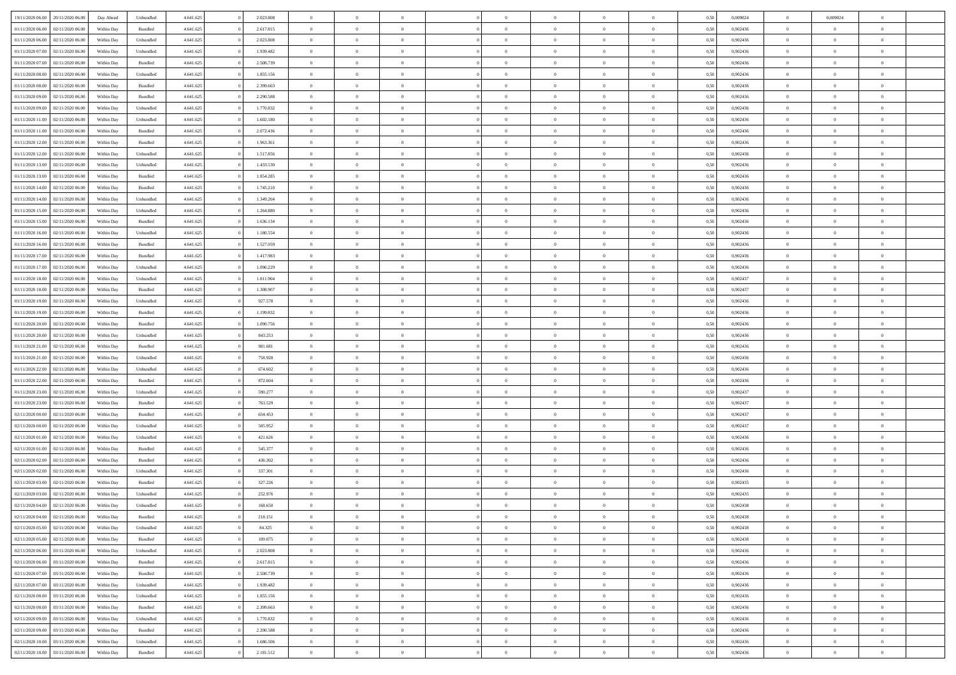| 19/11/2020 06:00 20/11/2020 06:00       | Day Ahead  | Unbundled          | 4.641.625 | 2.023.808 | $\overline{0}$ | $\overline{0}$ |                | $\overline{0}$ | $\theta$       |                | $\theta$       | 0,50 | 0,009024 | $\theta$       | 0,009024       | $\overline{0}$ |  |
|-----------------------------------------|------------|--------------------|-----------|-----------|----------------|----------------|----------------|----------------|----------------|----------------|----------------|------|----------|----------------|----------------|----------------|--|
|                                         |            |                    |           |           |                |                |                |                |                |                |                |      |          |                |                |                |  |
| 01/11/2020 06:00<br>02/11/2020 06.00    | Within Day | Bundled            | 4.641.625 | 2.617.815 | $\bf{0}$       | $\bf{0}$       | $\bf{0}$       | $\bf{0}$       | $\overline{0}$ | $\overline{0}$ | $\bf{0}$       | 0,50 | 0,902436 | $\,$ 0 $\,$    | $\bf{0}$       | $\overline{0}$ |  |
| $01/11/2020\ 06.00$<br>02/11/2020 06.00 | Within Day | Unbundled          | 4.641.625 | 2.023.808 | $\overline{0}$ | $\bf{0}$       | $\overline{0}$ | $\overline{0}$ | $\overline{0}$ | $\overline{0}$ | $\bf{0}$       | 0.50 | 0.902436 | $\overline{0}$ | $\overline{0}$ | $\bf{0}$       |  |
| 01/11/2020 07.00<br>02/11/2020 06.00    | Within Day | Unbundled          | 4.641.625 | 1.939.482 | $\overline{0}$ | $\overline{0}$ | $\overline{0}$ | $\overline{0}$ | $\overline{0}$ | $\overline{0}$ | $\bf{0}$       | 0,50 | 0,902436 | $\,$ 0 $\,$    | $\,$ 0 $\,$    | $\overline{0}$ |  |
| 01/11/2020 07:00<br>02/11/2020 06.00    | Within Day | Bundled            | 4.641.625 | 2.508.739 | $\bf{0}$       | $\overline{0}$ | $\bf{0}$       | $\overline{0}$ | $\bf{0}$       | $\overline{0}$ | $\bf{0}$       | 0,50 | 0,902436 | $\,$ 0 $\,$    | $\bf{0}$       | $\overline{0}$ |  |
|                                         |            |                    |           | 1.855.156 |                | $\overline{0}$ | $\overline{0}$ |                | $\overline{0}$ | $\overline{0}$ |                | 0.50 | 0.902436 | $\bf{0}$       | $\theta$       | $\overline{0}$ |  |
| 01/11/2020 08:00<br>02/11/2020 06.00    | Within Day | Unbundled          | 4.641.625 |           | $\overline{0}$ |                |                | $\bf{0}$       |                |                | $\bf{0}$       |      |          |                |                |                |  |
| 01/11/2020 08:00<br>02/11/2020 06.00    | Within Day | Bundled            | 4.641.625 | 2.399.663 | $\overline{0}$ | $\bf{0}$       | $\overline{0}$ | $\overline{0}$ | $\overline{0}$ | $\overline{0}$ | $\bf{0}$       | 0,50 | 0,902436 | $\,$ 0 $\,$    | $\theta$       | $\overline{0}$ |  |
| 01/11/2020 09:00<br>02/11/2020 06.00    | Within Day | Bundled            | 4.641.625 | 2.290.588 | $\bf{0}$       | $\bf{0}$       | $\bf{0}$       | $\bf{0}$       | $\overline{0}$ | $\overline{0}$ | $\bf{0}$       | 0,50 | 0,902436 | $\,$ 0 $\,$    | $\bf{0}$       | $\overline{0}$ |  |
| 01/11/2020 09:00<br>02/11/2020 06:00    | Within Day | Unbundled          | 4.641.625 | 1.770.832 | $\overline{0}$ | $\bf{0}$       | $\overline{0}$ | $\bf{0}$       | $\overline{0}$ | $\overline{0}$ | $\bf{0}$       | 0.50 | 0.902436 | $\bf{0}$       | $\overline{0}$ | $\overline{0}$ |  |
| 01/11/2020 11:00<br>02/11/2020 06.00    | Within Day | Unbundled          | 4.641.625 | 1.602.180 | $\overline{0}$ | $\bf{0}$       | $\overline{0}$ | $\overline{0}$ | $\overline{0}$ | $\overline{0}$ | $\bf{0}$       | 0,50 | 0,902436 | $\,$ 0 $\,$    | $\bf{0}$       | $\overline{0}$ |  |
| 01/11/2020 11:00<br>02/11/2020 06.00    | Within Day | Bundled            | 4.641.625 | 2.072.436 | $\bf{0}$       | $\bf{0}$       | $\bf{0}$       | $\bf{0}$       | $\overline{0}$ | $\overline{0}$ | $\bf{0}$       | 0,50 | 0,902436 | $\,$ 0 $\,$    | $\bf{0}$       | $\overline{0}$ |  |
|                                         |            |                    |           |           |                |                |                |                |                |                |                |      |          |                |                |                |  |
| 01/11/2020 12:00<br>02/11/2020 06.00    | Within Day | Bundled            | 4.641.625 | 1.963.361 | $\overline{0}$ | $\bf{0}$       | $\overline{0}$ | $\overline{0}$ | $\overline{0}$ | $\overline{0}$ | $\bf{0}$       | 0.50 | 0.902436 | $\overline{0}$ | $\overline{0}$ | $\bf{0}$       |  |
| 01/11/2020 12:00<br>02/11/2020 06.00    | Within Day | Unbundled          | 4.641.625 | 1.517.856 | $\overline{0}$ | $\bf{0}$       | $\overline{0}$ | $\overline{0}$ | $\theta$       | $\overline{0}$ | $\bf{0}$       | 0,50 | 0,902436 | $\,$ 0 $\,$    | $\,$ 0 $\,$    | $\overline{0}$ |  |
| 01/11/2020 13:00<br>02/11/2020 06.00    | Within Day | Unbundled          | 4.641.625 | 1.433.530 | $\bf{0}$       | $\overline{0}$ | $\bf{0}$       | $\bf{0}$       | $\bf{0}$       | $\overline{0}$ | $\bf{0}$       | 0,50 | 0,902436 | $\,$ 0 $\,$    | $\bf{0}$       | $\overline{0}$ |  |
| 01/11/2020 13:00<br>02/11/2020 06.00    | Within Day | Bundled            | 4.641.625 | 1.854.285 | $\overline{0}$ | $\overline{0}$ | $\overline{0}$ | $\bf{0}$       | $\overline{0}$ | $\overline{0}$ | $\bf{0}$       | 0.50 | 0.902436 | $\bf{0}$       | $\theta$       | $\overline{0}$ |  |
| 01/11/2020 14:00<br>02/11/2020 06.00    | Within Day | Bundled            | 4.641.625 | 1.745.210 | $\overline{0}$ | $\bf{0}$       | $\overline{0}$ | $\overline{0}$ | $\overline{0}$ | $\overline{0}$ | $\bf{0}$       | 0,50 | 0,902436 | $\,$ 0 $\,$    | $\theta$       | $\overline{0}$ |  |
| 01/11/2020 14:00<br>02/11/2020 06.00    | Within Day | Unbundled          | 4.641.625 | 1.349.204 | $\bf{0}$       | $\bf{0}$       | $\bf{0}$       | $\bf{0}$       | $\overline{0}$ | $\overline{0}$ | $\bf{0}$       | 0,50 | 0,902436 | $\,$ 0 $\,$    | $\bf{0}$       | $\overline{0}$ |  |
| 01/11/2020 15:00<br>02/11/2020 06:00    | Within Day | Unbundled          | 4.641.625 | 1.264.880 | $\overline{0}$ | $\bf{0}$       | $\overline{0}$ | $\bf{0}$       | $\bf{0}$       | $\overline{0}$ | $\bf{0}$       | 0.50 | 0.902436 | $\bf{0}$       | $\overline{0}$ | $\bf{0}$       |  |
|                                         |            |                    |           |           |                |                | $\overline{0}$ | $\overline{0}$ |                | $\overline{0}$ |                |      |          | $\,$ 0 $\,$    |                |                |  |
| 01/11/2020 15:00<br>02/11/2020 06.00    | Within Day | Bundled            | 4.641.625 | 1.636.134 | $\overline{0}$ | $\bf{0}$       |                |                | $\overline{0}$ |                | $\bf{0}$       | 0,50 | 0,902436 |                | $\bf{0}$       | $\overline{0}$ |  |
| 01/11/2020 16.00<br>02/11/2020 06.00    | Within Day | Unbundled          | 4.641.625 | 1.180.554 | $\bf{0}$       | $\bf{0}$       | $\bf{0}$       | $\bf{0}$       | $\overline{0}$ | $\overline{0}$ | $\bf{0}$       | 0,50 | 0,902436 | $\,$ 0 $\,$    | $\bf{0}$       | $\overline{0}$ |  |
| 01/11/2020 16.00<br>02/11/2020 06.00    | Within Day | Bundled            | 4.641.625 | 1.527.059 | $\overline{0}$ | $\bf{0}$       | $\overline{0}$ | $\overline{0}$ | $\bf{0}$       | $\overline{0}$ | $\bf{0}$       | 0.50 | 0.902436 | $\bf{0}$       | $\overline{0}$ | $\,$ 0         |  |
| 01/11/2020 17.00<br>02/11/2020 06:00    | Within Day | Bundled            | 4.641.625 | 1.417.983 | $\overline{0}$ | $\overline{0}$ | $\overline{0}$ | $\overline{0}$ | $\overline{0}$ | $\overline{0}$ | $\bf{0}$       | 0,50 | 0,902436 | $\,$ 0 $\,$    | $\,$ 0 $\,$    | $\overline{0}$ |  |
| 01/11/2020 17:00<br>02/11/2020 06.00    | Within Day | Unbundled          | 4.641.625 | 1.096.229 | $\bf{0}$       | $\bf{0}$       | $\bf{0}$       | $\bf{0}$       | $\overline{0}$ | $\overline{0}$ | $\bf{0}$       | 0,50 | 0,902436 | $\,$ 0 $\,$    | $\bf{0}$       | $\overline{0}$ |  |
| 01/11/2020 18:00<br>02/11/2020 06.00    | Within Day | Unbundled          | 4.641.625 | 1.011.904 | $\overline{0}$ | $\overline{0}$ | $\overline{0}$ | $\bf{0}$       | $\overline{0}$ | $\theta$       | $\bf{0}$       | 0.50 | 0.902437 | $\bf{0}$       | $\overline{0}$ | $\overline{0}$ |  |
| 01/11/2020 18:00<br>02/11/2020 06.00    | Within Day | Bundled            | 4.641.625 | 1.308.907 | $\bf{0}$       | $\bf{0}$       | $\overline{0}$ | $\overline{0}$ | $\overline{0}$ | $\overline{0}$ | $\bf{0}$       | 0,50 | 0,902437 | $\,$ 0 $\,$    | $\theta$       | $\overline{0}$ |  |
|                                         |            |                    |           |           |                |                |                |                |                |                |                |      |          |                |                |                |  |
| 01/11/2020 19:00<br>02/11/2020 06.00    | Within Day | Unbundled          | 4.641.625 | 927.578   | $\bf{0}$       | $\overline{0}$ | $\bf{0}$       | $\bf{0}$       | $\overline{0}$ | $\overline{0}$ | $\bf{0}$       | 0,50 | 0,902436 | $\,$ 0 $\,$    | $\bf{0}$       | $\overline{0}$ |  |
| 01/11/2020 19:00<br>02/11/2020 06:00    | Within Day | Bundled            | 4.641.625 | 1.199.832 | $\overline{0}$ | $\bf{0}$       | $\overline{0}$ | $\bf{0}$       | $\overline{0}$ | $\overline{0}$ | $\bf{0}$       | 0.50 | 0.902436 | $\bf{0}$       | $\overline{0}$ | $\bf{0}$       |  |
| 01/11/2020 20.00<br>02/11/2020 06.00    | Within Day | Bundled            | 4.641.625 | 1.090.756 | $\overline{0}$ | $\bf{0}$       | $\overline{0}$ | $\overline{0}$ | $\overline{0}$ | $\overline{0}$ | $\bf{0}$       | 0,50 | 0,902436 | $\,$ 0 $\,$    | $\bf{0}$       | $\overline{0}$ |  |
| 01/11/2020 20.00<br>02/11/2020 06.00    | Within Day | Unbundled          | 4.641.625 | 843.253   | $\bf{0}$       | $\bf{0}$       | $\bf{0}$       | $\bf{0}$       | $\overline{0}$ | $\overline{0}$ | $\bf{0}$       | 0,50 | 0,902436 | $\,$ 0 $\,$    | $\bf{0}$       | $\overline{0}$ |  |
| 01/11/2020 21.00<br>02/11/2020 06.00    | Within Day | Bundled            | 4.641.625 | 981.681   | $\overline{0}$ | $\bf{0}$       | $\overline{0}$ | $\bf{0}$       | $\overline{0}$ | $\overline{0}$ | $\bf{0}$       | 0.50 | 0.902436 | $\overline{0}$ | $\overline{0}$ | $\bf{0}$       |  |
| 01/11/2020 21.00<br>02/11/2020 06:00    | Within Day | Unbundled          | 4.641.625 | 758.928   | $\overline{0}$ | $\overline{0}$ | $\overline{0}$ | $\overline{0}$ | $\overline{0}$ | $\overline{0}$ | $\bf{0}$       | 0.50 | 0,902436 | $\theta$       | $\theta$       | $\overline{0}$ |  |
| 01/11/2020 22.00<br>02/11/2020 06.00    | Within Day | Unbundled          | 4.641.625 | 674.602   | $\bf{0}$       | $\bf{0}$       | $\bf{0}$       | $\bf{0}$       | $\overline{0}$ | $\overline{0}$ | $\bf{0}$       | 0,50 | 0,902436 | $\,$ 0 $\,$    | $\bf{0}$       | $\overline{0}$ |  |
|                                         |            |                    |           | 872.604   |                | $\bf{0}$       | $\overline{0}$ |                | $\overline{0}$ | $\overline{0}$ |                | 0.50 | 0.902436 | $\bf{0}$       | $\theta$       | $\overline{0}$ |  |
| 01/11/2020 22.00<br>02/11/2020 06.00    | Within Day | Bundled            | 4.641.625 |           | $\overline{0}$ |                |                | $\bf{0}$       |                |                | $\bf{0}$       |      |          |                |                |                |  |
| 01/11/2020 23:00<br>02/11/2020 06.00    | Within Day | Unbundled          | 4.641.625 | 590.277   | $\overline{0}$ | $\overline{0}$ | $\overline{0}$ | $\overline{0}$ | $\overline{0}$ | $\overline{0}$ | $\overline{0}$ | 0.50 | 0,902437 | $\theta$       | $\theta$       | $\overline{0}$ |  |
| 01/11/2020 23.00<br>02/11/2020 06.00    | Within Day | Bundled            | 4.641.625 | 763.529   | $\bf{0}$       | $\bf{0}$       | $\bf{0}$       | $\bf{0}$       | $\overline{0}$ | $\overline{0}$ | $\bf{0}$       | 0,50 | 0,902437 | $\,$ 0 $\,$    | $\bf{0}$       | $\overline{0}$ |  |
| 02/11/2020 00:00<br>02/11/2020 06:00    | Within Day | Bundled            | 4.641.625 | 654.453   | $\overline{0}$ | $\bf{0}$       | $\overline{0}$ | $\bf{0}$       | $\bf{0}$       | $\overline{0}$ | $\bf{0}$       | 0.50 | 0.902437 | $\bf{0}$       | $\overline{0}$ | $\bf{0}$       |  |
| 02/11/2020 00:00<br>02/11/2020 06.00    | Within Day | Unbundled          | 4.641.625 | 505.952   | $\overline{0}$ | $\overline{0}$ | $\overline{0}$ | $\overline{0}$ | $\overline{0}$ | $\overline{0}$ | $\bf{0}$       | 0.50 | 0,902437 | $\theta$       | $\theta$       | $\overline{0}$ |  |
| 02/11/2020 01:00<br>02/11/2020 06.00    | Within Day | Unbundled          | 4.641.625 | 421.626   | $\bf{0}$       | $\bf{0}$       | $\bf{0}$       | $\bf{0}$       | $\overline{0}$ | $\overline{0}$ | $\bf{0}$       | 0,50 | 0,902436 | $\,$ 0 $\,$    | $\bf{0}$       | $\overline{0}$ |  |
| 02/11/202001.00<br>02/11/2020 06.00     | Within Day | Bundled            | 4.641.625 | 545,377   | $\overline{0}$ | $\bf{0}$       | $\overline{0}$ | $\overline{0}$ | $\bf{0}$       | $\overline{0}$ | $\bf{0}$       | 0.50 | 0.902436 | $\bf{0}$       | $\overline{0}$ | $\,$ 0         |  |
| 02/11/2020 02:00<br>02/11/2020 06:00    | Within Day | Bundled            | 4.641.625 | 436.302   | $\overline{0}$ | $\overline{0}$ | $\overline{0}$ | $\overline{0}$ | $\overline{0}$ | $\overline{0}$ | $\bf{0}$       | 0.50 | 0,902436 | $\theta$       | $\theta$       | $\overline{0}$ |  |
|                                         |            |                    |           |           |                |                |                |                |                |                |                |      |          |                |                |                |  |
| 02/11/2020 02.00<br>02/11/2020 06.00    | Within Day | Unbundled          | 4.641.625 | 337.301   | $\bf{0}$       | $\bf{0}$       | $\bf{0}$       | $\bf{0}$       | $\overline{0}$ | $\overline{0}$ | $\bf{0}$       | 0,50 | 0,902436 | $\,$ 0 $\,$    | $\bf{0}$       | $\overline{0}$ |  |
| 02/11/2020 03:00<br>02/11/2020 06.00    | Within Day | Bundled            | 4.641.625 | 327.226   | $\overline{0}$ | $\overline{0}$ | $\overline{0}$ | $\bf{0}$       | $\overline{0}$ | $\Omega$       | $\bf{0}$       | 0.50 | 0.902435 | $\bf{0}$       | $\theta$       | $\overline{0}$ |  |
| 02/11/2020 03:00<br>02/11/2020 06.00    | Within Dav | Unbundled          | 4.641.625 | 252.976   | $\overline{0}$ | $\overline{0}$ | $\overline{0}$ | $\overline{0}$ | $\theta$       | $\overline{0}$ | $\overline{0}$ | 0.50 | 0,902435 | $\theta$       | $\theta$       | $\overline{0}$ |  |
| 02/11/2020 04:00<br>02/11/2020 06.00    | Within Day | Unbundled          | 4.641.625 | 168.650   | $\bf{0}$       | $\bf{0}$       | $\bf{0}$       | $\bf{0}$       | $\overline{0}$ | $\overline{0}$ | $\bf{0}$       | 0,50 | 0,902438 | $\,$ 0 $\,$    | $\bf{0}$       | $\overline{0}$ |  |
| 02/11/2020 04:00 02/11/2020 06:00       | Within Day | $\mathbf B$ undled | 4.641.625 | 218.151   | $\bf{0}$       | $\theta$       |                | $\overline{0}$ | $\theta$       |                | $\bf{0}$       | 0,50 | 0,902438 | $\bf{0}$       | $\bf{0}$       |                |  |
| 02/11/2020 05:00 02/11/2020 06:00       | Within Day | Unbundled          | 4.641.625 | 84.325    | $\overline{0}$ | $\overline{0}$ | $\overline{0}$ | $\overline{0}$ | $\overline{0}$ | $\overline{0}$ | $\bf{0}$       | 0,50 | 0,902438 | $\theta$       | $\overline{0}$ | $\overline{0}$ |  |
| 02/11/2020 05:00<br>02/11/2020 06.00    | Within Day | Bundled            | 4.641.625 | 109.075   | $\overline{0}$ | $\bf{0}$       | $\overline{0}$ | $\overline{0}$ | $\bf{0}$       | $\overline{0}$ | $\bf{0}$       | 0,50 | 0,902438 | $\bf{0}$       | $\overline{0}$ | $\bf{0}$       |  |
| 02/11/2020 06:00 03/11/2020 06:00       | Within Day | Unbundled          | 4.641.625 | 2.023.808 | $\overline{0}$ | $\bf{0}$       | $\overline{0}$ | $\overline{0}$ | $\mathbf{0}$   | $\overline{0}$ | $\,$ 0 $\,$    | 0.50 | 0.902436 | $\overline{0}$ | $\bf{0}$       | $\,$ 0 $\,$    |  |
|                                         |            |                    |           |           |                |                |                |                |                |                |                |      |          |                |                |                |  |
| 02/11/2020 06:00 03/11/2020 06:00       | Within Day | Bundled            | 4.641.625 | 2.617.815 | $\overline{0}$ | $\overline{0}$ | $\overline{0}$ | $\overline{0}$ | $\overline{0}$ | $\overline{0}$ | $\bf{0}$       | 0,50 | 0,902436 | $\overline{0}$ | $\theta$       | $\overline{0}$ |  |
| 02/11/2020 07:00<br>03/11/2020 06:00    | Within Day | Bundled            | 4.641.625 | 2.508.739 | $\overline{0}$ | $\bf{0}$       | $\overline{0}$ | $\overline{0}$ | $\bf{0}$       | $\overline{0}$ | $\bf{0}$       | 0,50 | 0,902436 | $\overline{0}$ | $\bf{0}$       | $\overline{0}$ |  |
| 02/11/2020 07:00<br>03/11/2020 06:00    | Within Day | Unbundled          | 4.641.625 | 1.939.482 | $\overline{0}$ | $\bf{0}$       | $\overline{0}$ | $\overline{0}$ | $\bf{0}$       | $\overline{0}$ | $\bf{0}$       | 0.50 | 0.902436 | $\,$ 0 $\,$    | $\theta$       | $\,$ 0         |  |
| 02/11/2020 08:00<br>03/11/2020 06:00    | Within Day | Unbundled          | 4.641.625 | 1.855.156 | $\overline{0}$ | $\overline{0}$ | $\overline{0}$ | $\overline{0}$ | $\overline{0}$ | $\overline{0}$ | $\bf{0}$       | 0,50 | 0,902436 | $\overline{0}$ | $\theta$       | $\overline{0}$ |  |
| 02/11/2020 08:00<br>03/11/2020 06.00    | Within Day | Bundled            | 4.641.625 | 2.399.663 | $\overline{0}$ | $\overline{0}$ | $\overline{0}$ | $\overline{0}$ | $\overline{0}$ | $\overline{0}$ | $\bf{0}$       | 0,50 | 0,902436 | $\bf{0}$       | $\overline{0}$ | $\,$ 0         |  |
| 02/11/2020 09:00 03/11/2020 06:00       | Within Day | Unbundled          | 4.641.625 | 1.770.832 | $\overline{0}$ | $\overline{0}$ | $\overline{0}$ | $\overline{0}$ | $\overline{0}$ | $\overline{0}$ | $\bf{0}$       | 0.50 | 0.902436 | $\overline{0}$ | $\bf{0}$       | $\,$ 0         |  |
| 02/11/2020 09:00 03/11/2020 06:00       | Within Day | Bundled            | 4.641.625 | 2.290.588 | $\overline{0}$ | $\overline{0}$ | $\overline{0}$ | $\overline{0}$ | $\overline{0}$ | $\overline{0}$ | $\bf{0}$       | 0,50 | 0,902436 | $\overline{0}$ | $\theta$       | $\overline{0}$ |  |
|                                         |            |                    |           |           |                | $\bf{0}$       |                |                | $\overline{0}$ |                |                |      |          | $\bf{0}$       | $\overline{0}$ | $\bf{0}$       |  |
| 02/11/2020 10:00<br>03/11/2020 06.00    | Within Day | Unbundled          | 4.641.625 | 1.686.506 | $\overline{0}$ |                | $\overline{0}$ | $\overline{0}$ |                | $\overline{0}$ | $\bf{0}$       | 0,50 | 0,902436 |                |                |                |  |
| 02/11/2020 10:00 03/11/2020 06:00       | Within Day | Bundled            | 4.641.625 | 2.181.512 | $\,$ 0 $\,$    | $\bf{0}$       | $\overline{0}$ | $\overline{0}$ | $\,$ 0 $\,$    | $\overline{0}$ | $\,$ 0 $\,$    | 0,50 | 0,902436 | $\,$ 0 $\,$    | $\,$ 0 $\,$    | $\,$ 0 $\,$    |  |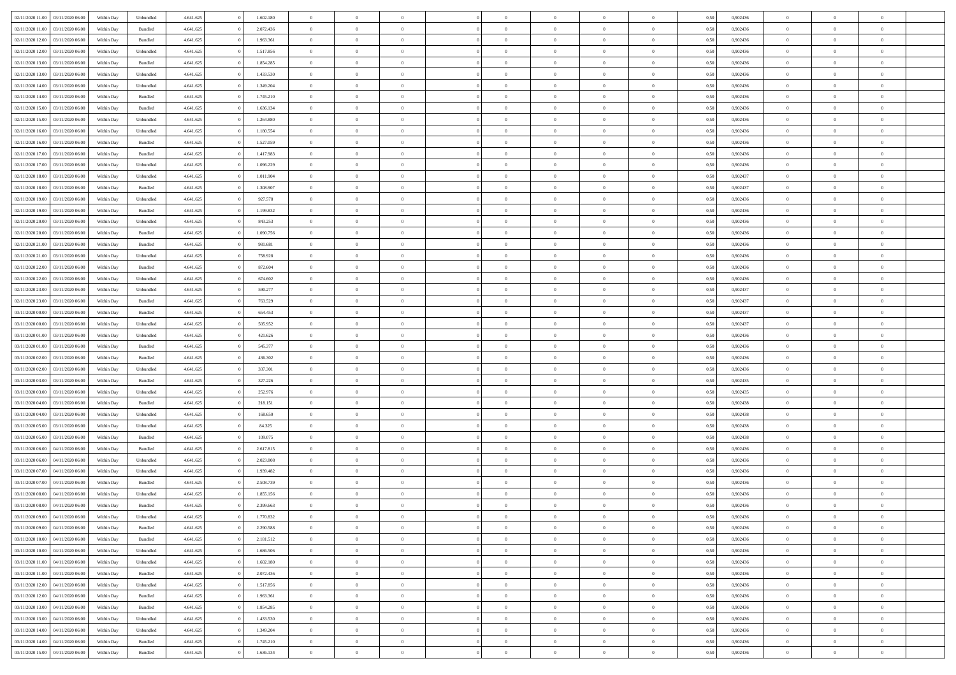| 02/11/2020 11:00 03/11/2020 06:00       | Within Day | Unbundled          | 4.641.625 | 1.602.180 | $\overline{0}$ | $\overline{0}$ | $\Omega$       | $\Omega$       | $\Omega$       |                | $\overline{0}$ | 0,50 | 0,902436 | $\mathbf{0}$   | $\Omega$       | $\Omega$       |  |
|-----------------------------------------|------------|--------------------|-----------|-----------|----------------|----------------|----------------|----------------|----------------|----------------|----------------|------|----------|----------------|----------------|----------------|--|
| 02/11/2020 11:00<br>03/11/2020 06:00    | Within Day | $\mathbf B$ undled | 4.641.625 | 2.072.436 | $\bf{0}$       | $\overline{0}$ | $\theta$       | $\theta$       | $\overline{0}$ | $\overline{0}$ | $\,$ 0         | 0,50 | 0,902436 | $\mathbf{0}$   | $\theta$       | $\bf{0}$       |  |
| 02/11/2020 12:00<br>03/11/2020 06:00    | Within Day | Bundled            | 4.641.625 | 1.963.361 | $\overline{0}$ | $\overline{0}$ | $\overline{0}$ | $\bf{0}$       | $\bf{0}$       | $\overline{0}$ | $\mathbf{0}$   | 0,50 | 0,902436 | $\bf{0}$       | $\bf{0}$       | $\bf{0}$       |  |
| 02/11/2020 12:00<br>03/11/2020 06:00    | Within Day | Unbundled          | 4.641.625 | 1.517.856 | $\overline{0}$ | $\overline{0}$ | $\overline{0}$ | $\overline{0}$ | $\overline{0}$ | $\overline{0}$ | $\overline{0}$ | 0.50 | 0.902436 | $\overline{0}$ | $\overline{0}$ | $\bf{0}$       |  |
| 02/11/2020 13:00<br>03/11/2020 06.00    | Within Day | Bundled            | 4.641.625 | 1.854.285 | $\bf{0}$       | $\overline{0}$ | $\overline{0}$ | $\theta$       | $\overline{0}$ | $\overline{0}$ | $\bf{0}$       | 0,50 | 0,902436 | $\theta$       | $\theta$       | $\overline{0}$ |  |
| 02/11/2020 13:00<br>03/11/2020 06:00    | Within Day | Unbundled          | 4.641.625 | 1.433.530 | $\overline{0}$ | $\overline{0}$ | $\overline{0}$ | $\bf{0}$       | $\overline{0}$ | $\overline{0}$ | $\overline{0}$ | 0,50 | 0,902436 | $\overline{0}$ | $\overline{0}$ | $\overline{0}$ |  |
| 02/11/2020 14:00<br>03/11/2020 06:00    | Within Day | Unbundled          | 4.641.625 | 1.349.204 | $\overline{0}$ | $\overline{0}$ | $\overline{0}$ | $\overline{0}$ | $\overline{0}$ | $\overline{0}$ | $\overline{0}$ | 0.50 | 0,902436 | $\mathbf{0}$   | $\overline{0}$ | $\overline{0}$ |  |
|                                         |            |                    |           |           |                |                |                |                |                |                |                |      |          |                |                |                |  |
| 02/11/2020 14:00<br>03/11/2020 06.00    | Within Day | Bundled            | 4.641.625 | 1.745.210 | $\bf{0}$       | $\overline{0}$ | $\overline{0}$ | $\theta$       | $\overline{0}$ | $\overline{0}$ | $\bf{0}$       | 0,50 | 0,902436 | $\theta$       | $\theta$       | $\bf{0}$       |  |
| 02/11/2020 15:00<br>03/11/2020 06:00    | Within Day | Bundled            | 4.641.625 | 1.636.134 | $\overline{0}$ | $\overline{0}$ | $\bf{0}$       | $\bf{0}$       | $\bf{0}$       | $\overline{0}$ | $\mathbf{0}$   | 0,50 | 0,902436 | $\bf{0}$       | $\bf{0}$       | $\bf{0}$       |  |
| 02/11/2020 15:00<br>03/11/2020 06:00    | Within Day | Unbundled          | 4.641.625 | 1.264.880 | $\overline{0}$ | $\overline{0}$ | $\overline{0}$ | $\overline{0}$ | $\overline{0}$ | $\overline{0}$ | $\overline{0}$ | 0.50 | 0,902436 | $\overline{0}$ | $\overline{0}$ | $\overline{0}$ |  |
| 02/11/2020 16:00<br>03/11/2020 06.00    | Within Day | Unbundled          | 4.641.625 | 1.180.554 | $\bf{0}$       | $\overline{0}$ | $\overline{0}$ | $\overline{0}$ | $\overline{0}$ | $\overline{0}$ | $\,$ 0         | 0,50 | 0,902436 | $\theta$       | $\theta$       | $\bf{0}$       |  |
| 02/11/2020 16.00<br>03/11/2020 06:00    | Within Day | Bundled            | 4.641.625 | 1.527.059 | $\overline{0}$ | $\overline{0}$ | $\overline{0}$ | $\bf{0}$       | $\bf{0}$       | $\overline{0}$ | $\mathbf{0}$   | 0,50 | 0,902436 | $\bf{0}$       | $\bf{0}$       | $\bf{0}$       |  |
| 02/11/2020 17.00<br>03/11/2020 06:00    | Within Day | Bundled            | 4.641.625 | 1.417.983 | $\overline{0}$ | $\overline{0}$ | $\overline{0}$ | $\overline{0}$ | $\overline{0}$ | $\overline{0}$ | $\overline{0}$ | 0.50 | 0.902436 | $\mathbf{0}$   | $\overline{0}$ | $\bf{0}$       |  |
| 02/11/2020 17:00<br>03/11/2020 06:00    | Within Day | Unbundled          | 4.641.625 | 1.096.229 | $\bf{0}$       | $\overline{0}$ | $\overline{0}$ | $\theta$       | $\overline{0}$ | $\overline{0}$ | $\,$ 0         | 0,50 | 0,902436 | $\theta$       | $\theta$       | $\overline{0}$ |  |
| 02/11/2020 18:00<br>03/11/2020 06:00    | Within Day | Unbundled          | 4.641.625 | 1.011.904 | $\overline{0}$ | $\overline{0}$ | $\overline{0}$ | $\bf{0}$       | $\overline{0}$ | $\overline{0}$ | $\overline{0}$ | 0,50 | 0,902437 | $\overline{0}$ | $\bf{0}$       | $\overline{0}$ |  |
| 02/11/2020 18:00<br>03/11/2020 06:00    | Within Day | Bundled            | 4.641.625 | 1.308.907 | $\overline{0}$ | $\overline{0}$ | $\overline{0}$ | $\overline{0}$ | $\overline{0}$ | $\overline{0}$ | $\overline{0}$ | 0.50 | 0,902437 | $\overline{0}$ | $\overline{0}$ | $\overline{0}$ |  |
|                                         |            |                    |           |           |                |                |                |                |                |                |                |      |          |                |                |                |  |
| 02/11/2020 19:00<br>03/11/2020 06.00    | Within Day | Unbundled          | 4.641.625 | 927.578   | $\bf{0}$       | $\overline{0}$ | $\overline{0}$ | $\overline{0}$ | $\overline{0}$ | $\overline{0}$ | $\bf{0}$       | 0,50 | 0,902436 | $\theta$       | $\theta$       | $\bf{0}$       |  |
| 02/11/2020 19:00<br>03/11/2020 06:00    | Within Day | Bundled            | 4.641.625 | 1.199.832 | $\overline{0}$ | $\overline{0}$ | $\bf{0}$       | $\bf{0}$       | $\bf{0}$       | $\overline{0}$ | $\mathbf{0}$   | 0,50 | 0,902436 | $\bf{0}$       | $\bf{0}$       | $\bf{0}$       |  |
| 02/11/2020 20:00<br>03/11/2020 06:00    | Within Day | Unbundled          | 4.641.625 | 843.253   | $\overline{0}$ | $\overline{0}$ | $\overline{0}$ | $\overline{0}$ | $\overline{0}$ | $\overline{0}$ | $\overline{0}$ | 0.50 | 0,902436 | $\overline{0}$ | $\overline{0}$ | $\overline{0}$ |  |
| 02/11/2020 20:00<br>03/11/2020 06.00    | Within Day | Bundled            | 4.641.625 | 1.090.756 | $\bf{0}$       | $\overline{0}$ | $\overline{0}$ | $\theta$       | $\overline{0}$ | $\overline{0}$ | $\,$ 0         | 0,50 | 0,902436 | $\theta$       | $\theta$       | $\bf{0}$       |  |
| 02/11/2020 21:00<br>03/11/2020 06:00    | Within Day | Bundled            | 4.641.625 | 981.681   | $\overline{0}$ | $\overline{0}$ | $\overline{0}$ | $\bf{0}$       | $\bf{0}$       | $\overline{0}$ | $\mathbf{0}$   | 0,50 | 0,902436 | $\bf{0}$       | $\bf{0}$       | $\bf{0}$       |  |
| 02/11/2020 21:00<br>03/11/2020 06:00    | Within Day | Unbundled          | 4.641.625 | 758,928   | $\overline{0}$ | $\overline{0}$ | $\overline{0}$ | $\overline{0}$ | $\overline{0}$ | $\overline{0}$ | $\overline{0}$ | 0.50 | 0.902436 | $\overline{0}$ | $\overline{0}$ | $\bf{0}$       |  |
| 02/11/2020 22.00<br>03/11/2020 06.00    | Within Day | Bundled            | 4.641.625 | 872.604   | $\bf{0}$       | $\overline{0}$ | $\overline{0}$ | $\overline{0}$ | $\overline{0}$ | $\overline{0}$ | $\,$ 0         | 0,50 | 0,902436 | $\mathbf{0}$   | $\theta$       | $\bf{0}$       |  |
| 02/11/2020 22.00<br>03/11/2020 06:00    | Within Day | Unbundled          | 4.641.625 | 674.602   | $\overline{0}$ | $\overline{0}$ | $\overline{0}$ | $\bf{0}$       | $\overline{0}$ | $\overline{0}$ | $\overline{0}$ | 0,50 | 0,902436 | $\overline{0}$ | $\overline{0}$ | $\overline{0}$ |  |
| 02/11/2020 23:00<br>03/11/2020 06:00    | Within Day | Unbundled          | 4.641.625 | 590.277   | $\overline{0}$ | $\overline{0}$ | $\overline{0}$ | $\overline{0}$ | $\overline{0}$ | $\overline{0}$ | $\overline{0}$ | 0.50 | 0,902437 | $\overline{0}$ | $\overline{0}$ | $\overline{0}$ |  |
|                                         |            |                    |           |           |                |                |                |                |                |                |                |      |          |                |                |                |  |
| 02/11/2020 23.00<br>03/11/2020 06.00    | Within Day | Bundled            | 4.641.625 | 763.529   | $\bf{0}$       | $\overline{0}$ | $\overline{0}$ | $\overline{0}$ | $\overline{0}$ | $\overline{0}$ | $\bf{0}$       | 0,50 | 0,902437 | $\theta$       | $\theta$       | $\bf{0}$       |  |
| 03/11/2020 00:00<br>03/11/2020 06:00    | Within Day | Bundled            | 4.641.625 | 654.453   | $\overline{0}$ | $\overline{0}$ | $\overline{0}$ | $\bf{0}$       | $\bf{0}$       | $\overline{0}$ | $\bf{0}$       | 0,50 | 0,902437 | $\bf{0}$       | $\bf{0}$       | $\bf{0}$       |  |
| 03/11/2020 00:00<br>03/11/2020 06:00    | Within Day | Unbundled          | 4.641.625 | 505.952   | $\overline{0}$ | $\overline{0}$ | $\overline{0}$ | $\overline{0}$ | $\overline{0}$ | $\overline{0}$ | $\overline{0}$ | 0.50 | 0,902437 | $\overline{0}$ | $\overline{0}$ | $\bf{0}$       |  |
| 03/11/2020 01:00<br>03/11/2020 06:00    | Within Day | Unbundled          | 4.641.625 | 421.626   | $\bf{0}$       | $\overline{0}$ | $\overline{0}$ | $\overline{0}$ | $\overline{0}$ | $\overline{0}$ | $\,$ 0         | 0,50 | 0,902436 | $\theta$       | $\theta$       | $\bf{0}$       |  |
| 03/11/2020 01:00<br>03/11/2020 06:00    | Within Day | Bundled            | 4.641.625 | 545.377   | $\overline{0}$ | $\overline{0}$ | $\overline{0}$ | $\bf{0}$       | $\bf{0}$       | $\overline{0}$ | $\mathbf{0}$   | 0,50 | 0,902436 | $\overline{0}$ | $\bf{0}$       | $\bf{0}$       |  |
| $03/11/2020\;02.00$<br>03/11/2020 06.00 | Within Day | Bundled            | 4.641.625 | 436.302   | $\overline{0}$ | $\overline{0}$ | $\overline{0}$ | $\overline{0}$ | $\overline{0}$ | $\Omega$       | $\overline{0}$ | 0.50 | 0.902436 | $\bf{0}$       | $\Omega$       | $\Omega$       |  |
| 03/11/2020 02.00<br>03/11/2020 06:00    | Within Day | Unbundled          | 4.641.625 | 337.301   | $\bf{0}$       | $\overline{0}$ | $\overline{0}$ | $\theta$       | $\overline{0}$ | $\overline{0}$ | $\,$ 0         | 0,50 | 0,902436 | $\theta$       | $\theta$       | $\bf{0}$       |  |
| 03/11/2020 03:00<br>03/11/2020 06:00    | Within Day | Bundled            | 4.641.625 | 327.226   | $\overline{0}$ | $\overline{0}$ | $\overline{0}$ | $\bf{0}$       | $\overline{0}$ | $\overline{0}$ | $\overline{0}$ | 0,50 | 0,902435 | $\overline{0}$ | $\bf{0}$       | $\overline{0}$ |  |
| 03/11/2020 03:00<br>03/11/2020 06.00    | Within Day | Unbundled          | 4.641.625 | 252.976   | $\overline{0}$ | $\overline{0}$ | $\overline{0}$ | $\overline{0}$ | $\overline{0}$ | $\Omega$       | $\overline{0}$ | 0.50 | 0.902435 | $\overline{0}$ | $\Omega$       | $\Omega$       |  |
| 03/11/2020 04:00<br>03/11/2020 06.00    | Within Day | Bundled            | 4.641.625 | 218.151   | $\bf{0}$       | $\overline{0}$ | $\overline{0}$ | $\overline{0}$ | $\overline{0}$ | $\overline{0}$ | $\bf{0}$       | 0,50 | 0,902438 | $\theta$       | $\theta$       | $\bf{0}$       |  |
|                                         |            |                    |           |           |                |                |                |                |                |                |                |      |          |                |                |                |  |
| 03/11/2020 04:00<br>03/11/2020 06.00    | Within Day | Unbundled          | 4.641.625 | 168.650   | $\overline{0}$ | $\overline{0}$ | $\overline{0}$ | $\bf{0}$       | $\bf{0}$       | $\overline{0}$ | $\bf{0}$       | 0,50 | 0,902438 | $\bf{0}$       | $\bf{0}$       | $\bf{0}$       |  |
| $03/11/2020\;05.00$<br>03/11/2020 06.00 | Within Day | Unbundled          | 4.641.625 | 84.325    | $\overline{0}$ | $\overline{0}$ | $\Omega$       | $\overline{0}$ | $\overline{0}$ | $\Omega$       | $\theta$       | 0.50 | 0.902438 | $\overline{0}$ | $\Omega$       | $\Omega$       |  |
| 03/11/2020 05:00<br>03/11/2020 06:00    | Within Day | Bundled            | 4.641.625 | 109.075   | $\bf{0}$       | $\overline{0}$ | $\overline{0}$ | $\overline{0}$ | $\overline{0}$ | $\overline{0}$ | $\,$ 0         | 0,50 | 0,902438 | $\theta$       | $\theta$       | $\bf{0}$       |  |
| 03/11/2020 06.00<br>04/11/2020 06.00    | Within Day | Bundled            | 4.641.625 | 2.617.815 | $\overline{0}$ | $\overline{0}$ | $\overline{0}$ | $\bf{0}$       | $\bf{0}$       | $\overline{0}$ | $\mathbf{0}$   | 0,50 | 0,902436 | $\overline{0}$ | $\bf{0}$       | $\bf{0}$       |  |
| 03/11/2020 06:00<br>04/11/2020 06.00    | Within Day | Unbundled          | 4.641.625 | 2.023.808 | $\overline{0}$ | $\overline{0}$ | $\overline{0}$ | $\overline{0}$ | $\bf{0}$       | $\Omega$       | $\overline{0}$ | 0.50 | 0,902436 | $\overline{0}$ | $\Omega$       | $\Omega$       |  |
| 03/11/2020 07:00<br>04/11/2020 06.00    | Within Day | Unbundled          | 4.641.625 | 1.939.482 | $\bf{0}$       | $\overline{0}$ | $\overline{0}$ | $\overline{0}$ | $\overline{0}$ | $\overline{0}$ | $\,$ 0         | 0,50 | 0,902436 | $\bf{0}$       | $\theta$       | $\bf{0}$       |  |
| 03/11/2020 07:00<br>04/11/2020 06.00    | Within Day | Bundled            | 4.641.625 | 2.508.739 | $\overline{0}$ | $\overline{0}$ | $\overline{0}$ | $\bf{0}$       | $\overline{0}$ | $\overline{0}$ | $\overline{0}$ | 0,50 | 0,902436 | $\overline{0}$ | $\bf{0}$       | $\bf{0}$       |  |
| 03/11/2020 08:00<br>04/11/2020 06.00    | Within Day | Unbundled          | 4.641.625 | 1.855.156 | $\overline{0}$ | $\theta$       | $\Omega$       | $\overline{0}$ | $\overline{0}$ | $\Omega$       | $\overline{0}$ | 0.50 | 0.902436 | $\overline{0}$ | $\Omega$       | $\Omega$       |  |
| 03/11/2020 08:00<br>04/11/2020 06:00    | Within Day | Bundled            | 4.641.625 | 2.399.663 | $\bf{0}$       | $\overline{0}$ | $\bf{0}$       | $\bf{0}$       | $\bf{0}$       | $\overline{0}$ | $\,$ 0         | 0,50 | 0,902436 | $\bf{0}$       | $\,$ 0         | $\,$ 0         |  |
| 03/11/2020 09:00 04/11/2020 06:00       | Within Day | Unbundled          | 4.641.625 | 1.770.832 | $\bf{0}$       | $\bf{0}$       |                | $\bf{0}$       |                |                |                | 0,50 | 0,902436 | $\bf{0}$       | $\bf{0}$       |                |  |
|                                         |            |                    |           |           |                |                |                |                |                |                |                |      |          |                |                |                |  |
| 03/11/2020 09:00 04/11/2020 06:00       | Within Day | Bundled            | 4.641.625 | 2.290.588 | $\overline{0}$ | $\overline{0}$ | $\theta$       | $\overline{0}$ | $\overline{0}$ | $\theta$       | $\mathbf{0}$   | 0,50 | 0.902436 | $\overline{0}$ | $\overline{0}$ | $\Omega$       |  |
| 03/11/2020 10:00<br>04/11/2020 06:00    | Within Day | Bundled            | 4.641.625 | 2.181.512 | $\overline{0}$ | $\overline{0}$ | $\overline{0}$ | $\bf{0}$       | $\overline{0}$ | $\overline{0}$ | $\mathbf{0}$   | 0,50 | 0,902436 | $\,$ 0 $\,$    | $\overline{0}$ | $\,$ 0 $\,$    |  |
| 03/11/2020 10:00 04/11/2020 06:00       | Within Day | Unbundled          | 4.641.625 | 1.686.506 | $\overline{0}$ | $\overline{0}$ | $\overline{0}$ | $\bf{0}$       | $\overline{0}$ | $\overline{0}$ | $\overline{0}$ | 0,50 | 0,902436 | $\bf{0}$       | $\overline{0}$ | $\overline{0}$ |  |
| 03/11/2020 11:00<br>04/11/2020 06.00    | Within Day | Unbundled          | 4.641.625 | 1.602.180 | $\overline{0}$ | $\overline{0}$ | $\overline{0}$ | $\overline{0}$ | $\bf{0}$       | $\overline{0}$ | $\bf{0}$       | 0,50 | 0,902436 | $\overline{0}$ | $\overline{0}$ | $\overline{0}$ |  |
| 03/11/2020 11:00<br>04/11/2020 06:00    | Within Day | Bundled            | 4.641.625 | 2.072.436 | $\overline{0}$ | $\overline{0}$ | $\overline{0}$ | $\overline{0}$ | $\overline{0}$ | $\overline{0}$ | $\,$ 0 $\,$    | 0,50 | 0,902436 | $\,$ 0 $\,$    | $\theta$       | $\bf{0}$       |  |
| 03/11/2020 12:00 04/11/2020 06:00       | Within Day | Unbundled          | 4.641.625 | 1.517.856 | $\overline{0}$ | $\overline{0}$ | $\overline{0}$ | $\bf{0}$       | $\overline{0}$ | $\overline{0}$ | $\overline{0}$ | 0,50 | 0,902436 | $\bf{0}$       | $\overline{0}$ | $\overline{0}$ |  |
| 03/11/2020 12:00<br>04/11/2020 06.00    | Within Day | Bundled            | 4.641.625 | 1.963.361 | $\overline{0}$ | $\overline{0}$ | $\overline{0}$ | $\overline{0}$ | $\overline{0}$ | $\overline{0}$ | $\bf{0}$       | 0.50 | 0.902436 | $\overline{0}$ | $\overline{0}$ | $\overline{0}$ |  |
| 03/11/2020 13:00<br>04/11/2020 06:00    | Within Day | Bundled            | 4.641.625 | 1.854.285 | $\bf{0}$       | $\overline{0}$ | $\overline{0}$ | $\bf{0}$       | $\bf{0}$       | $\overline{0}$ | $\,$ 0 $\,$    | 0,50 | 0,902436 | $\,$ 0 $\,$    | $\theta$       | $\,$ 0         |  |
| 03/11/2020 13:00<br>04/11/2020 06.00    | Within Day | Unbundled          | 4.641.625 | 1.433.530 | $\overline{0}$ | $\overline{0}$ | $\overline{0}$ | $\bf{0}$       | $\overline{0}$ | $\overline{0}$ | $\overline{0}$ | 0,50 | 0,902436 | $\overline{0}$ | $\bf{0}$       | $\overline{0}$ |  |
|                                         |            |                    |           |           |                |                |                |                |                |                |                |      |          |                |                |                |  |
| 03/11/2020 14:00<br>04/11/2020 06.00    | Within Day | Unbundled          | 4.641.625 | 1.349.204 | $\overline{0}$ | $\overline{0}$ | $\overline{0}$ | $\overline{0}$ | $\overline{0}$ | $\overline{0}$ | $\overline{0}$ | 0,50 | 0.902436 | $\overline{0}$ | $\overline{0}$ | $\overline{0}$ |  |
| 03/11/2020 14:00<br>04/11/2020 06.00    | Within Day | Bundled            | 4.641.625 | 1.745.210 | $\overline{0}$ | $\overline{0}$ | $\overline{0}$ | $\overline{0}$ | $\bf{0}$       | $\bf{0}$       | $\,$ 0 $\,$    | 0,50 | 0,902436 | $\,$ 0 $\,$    | $\,0\,$        | $\,$ 0         |  |
| 03/11/2020 15:00 04/11/2020 06:00       | Within Day | Bundled            | 4.641.625 | 1.636.134 | $\overline{0}$ | $\overline{0}$ | $\bf{0}$       | $\bf{0}$       | $\bf{0}$       | $\overline{0}$ | $\bf{0}$       | 0,50 | 0,902436 | $\bf{0}$       | $\bf{0}$       | $\bf{0}$       |  |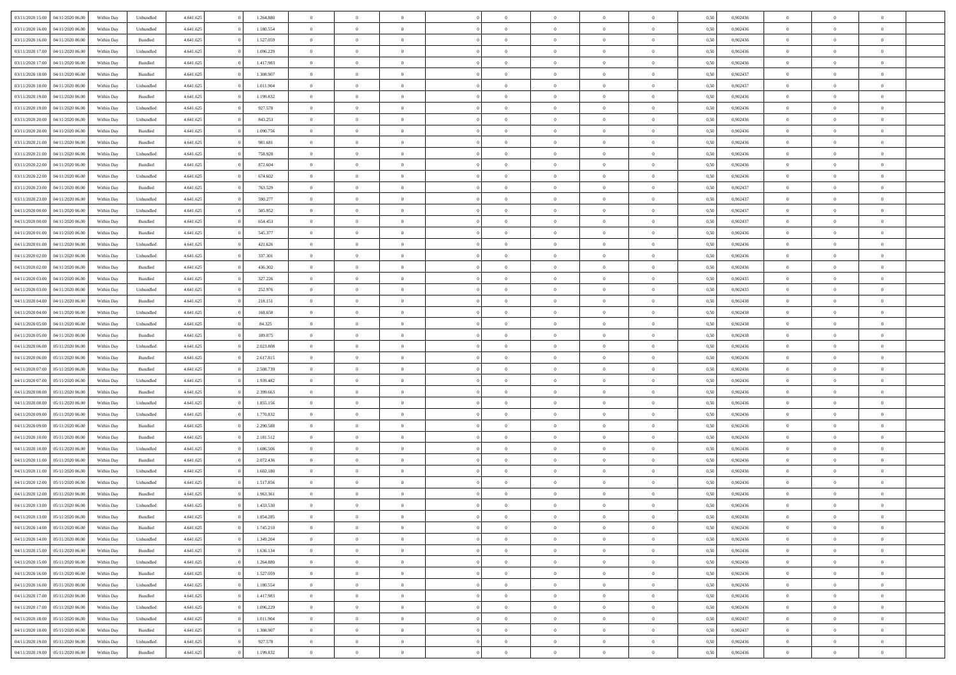| 03/11/2020 15:00 04/11/2020 06:00    | Within Day | Unbundled | 4.641.625 | 1.264.880 | $\overline{0}$ | $\overline{0}$ | $\Omega$       | $\Omega$       | $\theta$       |                | $\overline{0}$ | 0,50 | 0,902436 | $\mathbf{0}$   | $\Omega$       | $\Omega$       |  |
|--------------------------------------|------------|-----------|-----------|-----------|----------------|----------------|----------------|----------------|----------------|----------------|----------------|------|----------|----------------|----------------|----------------|--|
| 03/11/2020 16:00<br>04/11/2020 06.00 | Within Day | Unbundled | 4.641.625 | 1.180.554 | $\bf{0}$       | $\overline{0}$ | $\overline{0}$ | $\theta$       | $\overline{0}$ | $\overline{0}$ | $\,$ 0         | 0,50 | 0,902436 | $\theta$       | $\theta$       | $\bf{0}$       |  |
| 03/11/2020 16:00<br>04/11/2020 06.00 | Within Day | Bundled   | 4.641.625 | 1.527.059 | $\overline{0}$ | $\overline{0}$ | $\overline{0}$ | $\bf{0}$       | $\bf{0}$       | $\overline{0}$ | $\mathbf{0}$   | 0,50 | 0,902436 | $\bf{0}$       | $\bf{0}$       | $\overline{0}$ |  |
| 03/11/2020 17.00<br>04/11/2020 06:00 | Within Day | Unbundled | 4.641.625 | 1.096.229 | $\overline{0}$ | $\overline{0}$ | $\overline{0}$ | $\overline{0}$ | $\overline{0}$ | $\overline{0}$ | $\overline{0}$ | 0.50 | 0.902436 | $\mathbf{0}$   | $\overline{0}$ | $\bf{0}$       |  |
| 03/11/2020 17:00<br>04/11/2020 06.00 | Within Day | Bundled   | 4.641.625 | 1.417.983 | $\bf{0}$       | $\overline{0}$ | $\overline{0}$ | $\theta$       | $\overline{0}$ | $\overline{0}$ | $\bf{0}$       | 0,50 | 0,902436 | $\theta$       | $\theta$       | $\bf{0}$       |  |
| 03/11/2020 18:00<br>04/11/2020 06.00 | Within Day | Bundled   | 4.641.625 | 1.308.907 | $\overline{0}$ | $\overline{0}$ | $\overline{0}$ | $\bf{0}$       | $\overline{0}$ | $\overline{0}$ | $\overline{0}$ | 0,50 | 0,902437 | $\overline{0}$ | $\overline{0}$ | $\overline{0}$ |  |
| 03/11/2020 18:00<br>04/11/2020 06:00 | Within Day | Unbundled | 4.641.625 | 1.011.904 | $\overline{0}$ | $\overline{0}$ | $\overline{0}$ | $\overline{0}$ | $\overline{0}$ | $\overline{0}$ | $\overline{0}$ | 0.50 | 0,902437 | $\overline{0}$ | $\overline{0}$ | $\overline{0}$ |  |
|                                      |            |           |           |           |                |                |                |                |                |                |                |      |          |                |                |                |  |
| 03/11/2020 19:00<br>04/11/2020 06.00 | Within Day | Bundled   | 4.641.625 | 1.199.832 | $\bf{0}$       | $\overline{0}$ | $\overline{0}$ | $\theta$       | $\overline{0}$ | $\overline{0}$ | $\bf{0}$       | 0,50 | 0,902436 | $\theta$       | $\theta$       | $\bf{0}$       |  |
| 03/11/2020 19:00<br>04/11/2020 06.00 | Within Day | Unbundled | 4.641.625 | 927.578   | $\overline{0}$ | $\overline{0}$ | $\overline{0}$ | $\bf{0}$       | $\bf{0}$       | $\overline{0}$ | $\mathbf{0}$   | 0,50 | 0,902436 | $\bf{0}$       | $\bf{0}$       | $\bf{0}$       |  |
| 03/11/2020 20:00<br>04/11/2020 06.00 | Within Day | Unbundled | 4.641.625 | 843.253   | $\overline{0}$ | $\overline{0}$ | $\overline{0}$ | $\overline{0}$ | $\overline{0}$ | $\overline{0}$ | $\overline{0}$ | 0.50 | 0,902436 | $\overline{0}$ | $\overline{0}$ | $\overline{0}$ |  |
| 03/11/2020 20.00<br>04/11/2020 06.00 | Within Day | Bundled   | 4.641.625 | 1.090.756 | $\bf{0}$       | $\overline{0}$ | $\overline{0}$ | $\overline{0}$ | $\overline{0}$ | $\overline{0}$ | $\,$ 0         | 0,50 | 0,902436 | $\overline{0}$ | $\theta$       | $\bf{0}$       |  |
| 03/11/2020 21:00<br>04/11/2020 06.00 | Within Day | Bundled   | 4.641.625 | 981.681   | $\overline{0}$ | $\overline{0}$ | $\overline{0}$ | $\bf{0}$       | $\bf{0}$       | $\overline{0}$ | $\mathbf{0}$   | 0,50 | 0,902436 | $\overline{0}$ | $\bf{0}$       | $\bf{0}$       |  |
| 03/11/2020 21.00<br>04/11/2020 06:00 | Within Day | Unbundled | 4.641.625 | 758,928   | $\overline{0}$ | $\overline{0}$ | $\overline{0}$ | $\overline{0}$ | $\overline{0}$ | $\overline{0}$ | $\overline{0}$ | 0.50 | 0.902436 | $\mathbf{0}$   | $\overline{0}$ | $\bf{0}$       |  |
| 03/11/2020 22.00<br>04/11/2020 06.00 | Within Day | Bundled   | 4.641.625 | 872.604   | $\bf{0}$       | $\overline{0}$ | $\overline{0}$ | $\theta$       | $\overline{0}$ | $\overline{0}$ | $\,$ 0         | 0,50 | 0,902436 | $\theta$       | $\theta$       | $\bf{0}$       |  |
| 03/11/2020 22.00<br>04/11/2020 06.00 | Within Day | Unbundled | 4.641.625 | 674.602   | $\overline{0}$ | $\overline{0}$ | $\overline{0}$ | $\bf{0}$       | $\overline{0}$ | $\overline{0}$ | $\overline{0}$ | 0,50 | 0,902436 | $\overline{0}$ | $\overline{0}$ | $\overline{0}$ |  |
| 03/11/2020 23.00<br>04/11/2020 06.00 | Within Day | Bundled   | 4.641.625 | 763.529   | $\overline{0}$ | $\overline{0}$ | $\overline{0}$ | $\overline{0}$ | $\overline{0}$ | $\overline{0}$ | $\overline{0}$ | 0.50 | 0,902437 | $\overline{0}$ | $\overline{0}$ | $\overline{0}$ |  |
| 03/11/2020 23.00<br>04/11/2020 06.00 | Within Day | Unbundled | 4.641.625 | 590.277   | $\bf{0}$       | $\overline{0}$ | $\overline{0}$ | $\overline{0}$ | $\overline{0}$ | $\overline{0}$ | $\bf{0}$       | 0,50 | 0,902437 | $\overline{0}$ | $\theta$       | $\bf{0}$       |  |
|                                      |            |           |           |           |                |                |                |                |                |                |                |      |          |                |                |                |  |
| 04/11/2020 00:00<br>04/11/2020 06.00 | Within Day | Unbundled | 4.641.625 | 505.952   | $\overline{0}$ | $\overline{0}$ | $\overline{0}$ | $\bf{0}$       | $\bf{0}$       | $\overline{0}$ | $\mathbf{0}$   | 0,50 | 0,902437 | $\bf{0}$       | $\bf{0}$       | $\bf{0}$       |  |
| 04/11/2020 00:00<br>04/11/2020 06:00 | Within Day | Bundled   | 4.641.625 | 654.453   | $\overline{0}$ | $\overline{0}$ | $\overline{0}$ | $\overline{0}$ | $\overline{0}$ | $\overline{0}$ | $\overline{0}$ | 0.50 | 0,902437 | $\overline{0}$ | $\overline{0}$ | $\overline{0}$ |  |
| 04/11/2020 01:00<br>04/11/2020 06.00 | Within Day | Bundled   | 4.641.625 | 545.377   | $\bf{0}$       | $\overline{0}$ | $\overline{0}$ | $\overline{0}$ | $\overline{0}$ | $\overline{0}$ | $\,$ 0         | 0,50 | 0,902436 | $\theta$       | $\theta$       | $\bf{0}$       |  |
| 04/11/2020 01:00<br>04/11/2020 06.00 | Within Day | Unbundled | 4.641.625 | 421.626   | $\overline{0}$ | $\overline{0}$ | $\overline{0}$ | $\bf{0}$       | $\bf{0}$       | $\overline{0}$ | $\mathbf{0}$   | 0,50 | 0,902436 | $\bf{0}$       | $\bf{0}$       | $\bf{0}$       |  |
| 04/11/2020 02.00<br>04/11/2020 06:00 | Within Day | Unbundled | 4.641.625 | 337.301   | $\overline{0}$ | $\overline{0}$ | $\overline{0}$ | $\overline{0}$ | $\overline{0}$ | $\overline{0}$ | $\overline{0}$ | 0.50 | 0.902436 | $\overline{0}$ | $\overline{0}$ | $\bf{0}$       |  |
| 04/11/2020 02.00<br>04/11/2020 06.00 | Within Day | Bundled   | 4.641.625 | 436.302   | $\bf{0}$       | $\overline{0}$ | $\overline{0}$ | $\overline{0}$ | $\overline{0}$ | $\overline{0}$ | $\,$ 0         | 0,50 | 0,902436 | $\mathbf{0}$   | $\theta$       | $\bf{0}$       |  |
| 04/11/2020 03:00<br>04/11/2020 06.00 | Within Day | Bundled   | 4.641.625 | 327.226   | $\overline{0}$ | $\overline{0}$ | $\overline{0}$ | $\bf{0}$       | $\overline{0}$ | $\overline{0}$ | $\overline{0}$ | 0,50 | 0,902435 | $\overline{0}$ | $\overline{0}$ | $\overline{0}$ |  |
| 04/11/2020 03.00<br>04/11/2020 06:00 | Within Day | Unbundled | 4.641.625 | 252.976   | $\overline{0}$ | $\overline{0}$ | $\overline{0}$ | $\overline{0}$ | $\overline{0}$ | $\overline{0}$ | $\overline{0}$ | 0.50 | 0,902435 | $\overline{0}$ | $\overline{0}$ | $\overline{0}$ |  |
| 04/11/2020 04:00<br>04/11/2020 06.00 | Within Day | Bundled   | 4.641.625 | 218.151   | $\bf{0}$       | $\overline{0}$ | $\overline{0}$ | $\overline{0}$ | $\overline{0}$ | $\overline{0}$ | $\bf{0}$       | 0,50 | 0,902438 | $\theta$       | $\theta$       | $\bf{0}$       |  |
| 04/11/2020 04:00<br>04/11/2020 06.00 | Within Day | Unbundled | 4.641.625 | 168.650   | $\overline{0}$ | $\overline{0}$ | $\overline{0}$ | $\bf{0}$       | $\bf{0}$       | $\overline{0}$ | $\mathbf{0}$   | 0,50 | 0,902438 | $\bf{0}$       | $\bf{0}$       | $\bf{0}$       |  |
| 04/11/2020 05:00<br>04/11/2020 06.00 | Within Day | Unbundled | 4.641.625 | 84.325    | $\overline{0}$ | $\overline{0}$ | $\overline{0}$ | $\overline{0}$ | $\overline{0}$ | $\overline{0}$ | $\overline{0}$ | 0.50 | 0,902438 | $\overline{0}$ | $\overline{0}$ | $\overline{0}$ |  |
|                                      |            |           |           |           |                |                |                |                |                |                |                |      |          |                |                |                |  |
| 04/11/2020 05.00<br>04/11/2020 06.00 | Within Day | Bundled   | 4.641.625 | 109.075   | $\bf{0}$       | $\overline{0}$ | $\overline{0}$ | $\overline{0}$ | $\overline{0}$ | $\overline{0}$ | $\,$ 0         | 0,50 | 0,902438 | $\bf{0}$       | $\theta$       | $\bf{0}$       |  |
| 04/11/2020 06.00<br>05/11/2020 06:00 | Within Day | Unbundled | 4.641.625 | 2.023.808 | $\overline{0}$ | $\overline{0}$ | $\overline{0}$ | $\bf{0}$       | $\bf{0}$       | $\overline{0}$ | $\mathbf{0}$   | 0,50 | 0,902436 | $\overline{0}$ | $\bf{0}$       | $\bf{0}$       |  |
| 04/11/2020 06.00<br>05/11/2020 06.00 | Within Day | Bundled   | 4.641.625 | 2.617.815 | $\overline{0}$ | $\overline{0}$ | $\overline{0}$ | $\overline{0}$ | $\overline{0}$ | $\Omega$       | $\overline{0}$ | 0,50 | 0.902436 | $\bf{0}$       | $\Omega$       | $\Omega$       |  |
| 04/11/2020 07:00<br>05/11/2020 06.00 | Within Day | Bundled   | 4.641.625 | 2.508.739 | $\bf{0}$       | $\overline{0}$ | $\overline{0}$ | $\theta$       | $\overline{0}$ | $\overline{0}$ | $\,$ 0         | 0,50 | 0,902436 | $\overline{0}$ | $\theta$       | $\bf{0}$       |  |
| 04/11/2020 07:00<br>05/11/2020 06:00 | Within Day | Unbundled | 4.641.625 | 1.939.482 | $\overline{0}$ | $\overline{0}$ | $\overline{0}$ | $\bf{0}$       | $\overline{0}$ | $\overline{0}$ | $\overline{0}$ | 0,50 | 0,902436 | $\overline{0}$ | $\overline{0}$ | $\overline{0}$ |  |
| 04/11/2020 08:00<br>05/11/2020 06.00 | Within Day | Bundled   | 4.641.625 | 2.399.663 | $\overline{0}$ | $\overline{0}$ | $\overline{0}$ | $\overline{0}$ | $\overline{0}$ | $\Omega$       | $\overline{0}$ | 0.50 | 0.902436 | $\overline{0}$ | $\Omega$       | $\Omega$       |  |
| 04/11/2020 08:00<br>05/11/2020 06:00 | Within Day | Unbundled | 4.641.625 | 1.855.156 | $\bf{0}$       | $\overline{0}$ | $\overline{0}$ | $\overline{0}$ | $\overline{0}$ | $\overline{0}$ | $\bf{0}$       | 0,50 | 0,902436 | $\overline{0}$ | $\theta$       | $\bf{0}$       |  |
| 04/11/2020 09:00<br>05/11/2020 06.00 | Within Day | Unbundled | 4.641.625 | 1.770.832 | $\overline{0}$ | $\overline{0}$ | $\overline{0}$ | $\bf{0}$       | $\bf{0}$       | $\overline{0}$ | $\mathbf{0}$   | 0,50 | 0,902436 | $\bf{0}$       | $\bf{0}$       | $\bf{0}$       |  |
| 04/11/2020 09:00<br>05/11/2020 06.00 | Within Day | Bundled   | 4.641.625 | 2.290.588 | $\overline{0}$ | $\overline{0}$ | $\overline{0}$ | $\overline{0}$ | $\overline{0}$ | $\Omega$       | $\theta$       | 0.50 | 0.902436 | $\overline{0}$ | $\Omega$       | $\theta$       |  |
| 04/11/2020 10:00<br>05/11/2020 06:00 | Within Day | Bundled   | 4.641.625 | 2.181.512 | $\bf{0}$       | $\overline{0}$ | $\overline{0}$ | $\overline{0}$ | $\overline{0}$ | $\overline{0}$ | $\,$ 0         | 0,50 | 0,902436 | $\,$ 0 $\,$    | $\theta$       | $\bf{0}$       |  |
| 04/11/2020 10:00<br>05/11/2020 06:00 | Within Day | Unbundled | 4.641.625 | 1.686.506 | $\overline{0}$ | $\overline{0}$ | $\overline{0}$ | $\bf{0}$       | $\bf{0}$       | $\overline{0}$ | $\mathbf{0}$   | 0,50 | 0,902436 | $\overline{0}$ | $\bf{0}$       | $\bf{0}$       |  |
|                                      |            |           |           |           |                |                |                |                |                |                |                |      |          |                |                |                |  |
| 04/11/2020 11:00<br>05/11/2020 06.00 | Within Day | Bundled   | 4.641.625 | 2.072.436 | $\overline{0}$ | $\overline{0}$ | $\overline{0}$ | $\overline{0}$ | $\bf{0}$       | $\Omega$       | $\overline{0}$ | 0,50 | 0,902436 | $\overline{0}$ | $\overline{0}$ | $\Omega$       |  |
| 04/11/2020 11:00<br>05/11/2020 06:00 | Within Day | Unbundled | 4.641.625 | 1.602.180 | $\bf{0}$       | $\overline{0}$ | $\overline{0}$ | $\overline{0}$ | $\overline{0}$ | $\overline{0}$ | $\,$ 0         | 0,50 | 0,902436 | $\bf{0}$       | $\theta$       | $\bf{0}$       |  |
| 04/11/2020 12:00<br>05/11/2020 06.00 | Within Day | Unbundled | 4.641.625 | 1.517.856 | $\overline{0}$ | $\overline{0}$ | $\overline{0}$ | $\bf{0}$       | $\overline{0}$ | $\overline{0}$ | $\overline{0}$ | 0,50 | 0,902436 | $\bf{0}$       | $\overline{0}$ | $\overline{0}$ |  |
| 04/11/2020 12:00<br>05/11/2020 06.00 | Within Day | Bundled   | 4.641.625 | 1.963.361 | $\overline{0}$ | $\overline{0}$ | $\overline{0}$ | $\overline{0}$ | $\bf{0}$       | $\Omega$       | $\overline{0}$ | 0.50 | 0.902436 | $\overline{0}$ | $\Omega$       | $\overline{0}$ |  |
| 04/11/2020 13:00 05/11/2020 06:00    | Within Day | Unbundled | 4.641.625 | 1.433.530 | $\bf{0}$       | $\overline{0}$ | $\bf{0}$       | $\bf{0}$       | $\bf{0}$       | $\overline{0}$ | $\,$ 0 $\,$    | 0,50 | 0,902436 | $\bf{0}$       | $\,$ 0         | $\,$ 0         |  |
| 04/11/2020 13:00 05/11/2020 06:00    | Within Day | Bundled   | 4.641.625 | 1.854.285 | $\bf{0}$       | $\bf{0}$       |                | $\bf{0}$       |                |                | $\bf{0}$       | 0,50 | 0,902436 | $\bf{0}$       | $\bf{0}$       |                |  |
| 04/11/2020 14:00 05/11/2020 06:00    | Within Day | Bundled   | 4.641.625 | 1.745.210 | $\overline{0}$ | $\overline{0}$ | $\theta$       | $\overline{0}$ | $\overline{0}$ | $\theta$       | $\mathbf{0}$   | 0.50 | 0.902436 | $\overline{0}$ | $\overline{0}$ | $\Omega$       |  |
| 04/11/2020 14:00<br>05/11/2020 06:00 | Within Day | Unbundled | 4.641.625 | 1.349.204 | $\overline{0}$ | $\overline{0}$ | $\overline{0}$ | $\bf{0}$       | $\overline{0}$ | $\overline{0}$ | $\mathbf{0}$   | 0,50 | 0,902436 | $\,$ 0 $\,$    | $\overline{0}$ | $\,0\,$        |  |
| 04/11/2020 15.00 05/11/2020 06.00    | Within Day | Bundled   | 4.641.625 | 1.636.134 | $\overline{0}$ | $\overline{0}$ | $\overline{0}$ | $\bf{0}$       | $\overline{0}$ | $\overline{0}$ | $\overline{0}$ | 0,50 | 0,902436 | $\bf{0}$       | $\overline{0}$ | $\overline{0}$ |  |
| 04/11/2020 15:00<br>05/11/2020 06:00 | Within Day | Unbundled | 4.641.625 | 1.264.880 | $\overline{0}$ | $\overline{0}$ | $\overline{0}$ | $\overline{0}$ | $\bf{0}$       | $\overline{0}$ | $\bf{0}$       | 0,50 | 0,902436 | $\overline{0}$ | $\overline{0}$ | $\overline{0}$ |  |
| 04/11/2020 16.00<br>05/11/2020 06:00 | Within Day | Bundled   | 4.641.625 | 1.527.059 | $\overline{0}$ | $\overline{0}$ | $\overline{0}$ | $\overline{0}$ | $\overline{0}$ | $\overline{0}$ | $\,$ 0 $\,$    | 0,50 | 0,902436 | $\,$ 0 $\,$    | $\theta$       | $\bf{0}$       |  |
| 04/11/2020 16:00 05/11/2020 06:00    |            |           |           |           |                |                |                |                |                |                |                |      |          |                |                |                |  |
|                                      | Within Day | Unbundled | 4.641.625 | 1.180.554 | $\overline{0}$ | $\overline{0}$ | $\overline{0}$ | $\bf{0}$       | $\overline{0}$ | $\overline{0}$ | $\overline{0}$ | 0,50 | 0,902436 | $\bf{0}$       | $\overline{0}$ | $\overline{0}$ |  |
| 04/11/2020 17.00<br>05/11/2020 06.00 | Within Day | Bundled   | 4.641.625 | 1.417.983 | $\overline{0}$ | $\overline{0}$ | $\overline{0}$ | $\overline{0}$ | $\overline{0}$ | $\overline{0}$ | $\bf{0}$       | 0.50 | 0.902436 | $\overline{0}$ | $\overline{0}$ | $\overline{0}$ |  |
| 04/11/2020 17.00<br>05/11/2020 06:00 | Within Day | Unbundled | 4.641.625 | 1.096.229 | $\overline{0}$ | $\overline{0}$ | $\overline{0}$ | $\bf{0}$       | $\bf{0}$       | $\overline{0}$ | $\,$ 0 $\,$    | 0,50 | 0,902436 | $\,$ 0 $\,$    | $\theta$       | $\,$ 0         |  |
| 04/11/2020 18:00<br>05/11/2020 06.00 | Within Day | Unbundled | 4.641.625 | 1.011.904 | $\overline{0}$ | $\overline{0}$ | $\overline{0}$ | $\bf{0}$       | $\overline{0}$ | $\overline{0}$ | $\overline{0}$ | 0,50 | 0,902437 | $\overline{0}$ | $\bf{0}$       | $\overline{0}$ |  |
| 04/11/2020 18.00<br>05/11/2020 06:00 | Within Day | Bundled   | 4.641.625 | 1.308.907 | $\overline{0}$ | $\overline{0}$ | $\overline{0}$ | $\overline{0}$ | $\overline{0}$ | $\overline{0}$ | $\overline{0}$ | 0.50 | 0.902437 | $\overline{0}$ | $\overline{0}$ | $\overline{0}$ |  |
| 04/11/2020 19:00<br>05/11/2020 06:00 | Within Day | Unbundled | 4.641.625 | 927.578   | $\overline{0}$ | $\overline{0}$ | $\overline{0}$ | $\overline{0}$ | $\bf{0}$       | $\overline{0}$ | $\,$ 0 $\,$    | 0,50 | 0,902436 | $\,$ 0 $\,$    | $\,$ 0         | $\,$ 0         |  |
| 04/11/2020 19:00 05/11/2020 06:00    | Within Day | Bundled   | 4.641.625 | 1.199.832 | $\overline{0}$ | $\overline{0}$ | $\bf{0}$       | $\bf{0}$       | $\bf{0}$       | $\overline{0}$ | $\bf{0}$       | 0,50 | 0,902436 | $\bf{0}$       | $\bf{0}$       | $\bf{0}$       |  |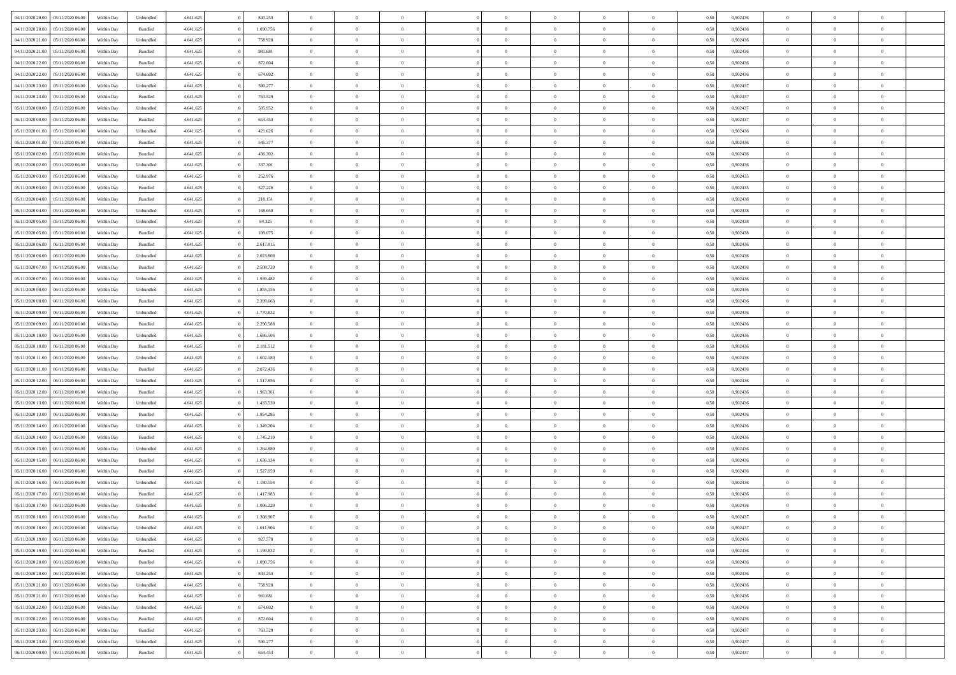| 04/11/2020 20.00 05/11/2020 06.00    | Within Day | Unbundled          | 4.641.625 | 843.253   | $\overline{0}$ | $\overline{0}$ | $\Omega$       | $\Omega$       | $\Omega$       |                | $\overline{0}$ | 0,50 | 0,902436 | $\mathbf{0}$   | $\Omega$       | $\Omega$       |  |
|--------------------------------------|------------|--------------------|-----------|-----------|----------------|----------------|----------------|----------------|----------------|----------------|----------------|------|----------|----------------|----------------|----------------|--|
| 04/11/2020 20:00<br>05/11/2020 06.00 | Within Day | $\mathbf B$ undled | 4.641.625 | 1.090.756 | $\bf{0}$       | $\overline{0}$ | $\theta$       | $\theta$       | $\overline{0}$ | $\overline{0}$ | $\,$ 0         | 0,50 | 0,902436 | $\mathbf{0}$   | $\theta$       | $\bf{0}$       |  |
| 04/11/2020 21:00<br>05/11/2020 06:00 | Within Day | Unbundled          | 4.641.625 | 758.928   | $\overline{0}$ | $\overline{0}$ | $\overline{0}$ | $\bf{0}$       | $\bf{0}$       | $\overline{0}$ | $\mathbf{0}$   | 0,50 | 0,902436 | $\bf{0}$       | $\bf{0}$       | $\bf{0}$       |  |
| 04/11/2020 21.00<br>05/11/2020 06:00 | Within Day | Bundled            | 4.641.625 | 981.681   | $\overline{0}$ | $\overline{0}$ | $\overline{0}$ | $\overline{0}$ | $\overline{0}$ | $\overline{0}$ | $\overline{0}$ | 0.50 | 0.902436 | $\mathbf{0}$   | $\overline{0}$ | $\bf{0}$       |  |
| 04/11/2020 22.00<br>05/11/2020 06.00 | Within Day | Bundled            | 4.641.625 | 872.604   | $\bf{0}$       | $\overline{0}$ | $\overline{0}$ | $\theta$       | $\overline{0}$ | $\overline{0}$ | $\bf{0}$       | 0,50 | 0,902436 | $\theta$       | $\theta$       | $\overline{0}$ |  |
| 04/11/2020 22.00<br>05/11/2020 06:00 | Within Day | Unbundled          | 4.641.625 | 674.602   | $\overline{0}$ | $\overline{0}$ | $\overline{0}$ | $\bf{0}$       | $\overline{0}$ | $\overline{0}$ | $\overline{0}$ | 0,50 | 0,902436 | $\overline{0}$ | $\overline{0}$ | $\overline{0}$ |  |
| 04/11/2020 23:00<br>05/11/2020 06:00 | Within Day | Unbundled          | 4.641.625 | 590.277   | $\overline{0}$ | $\overline{0}$ | $\overline{0}$ | $\overline{0}$ | $\overline{0}$ | $\overline{0}$ | $\overline{0}$ | 0.50 | 0,902437 | $\mathbf{0}$   | $\overline{0}$ | $\overline{0}$ |  |
|                                      |            |                    |           |           |                |                |                |                |                |                |                |      |          |                |                |                |  |
| 04/11/2020 23.00<br>05/11/2020 06.00 | Within Day | Bundled            | 4.641.625 | 763.529   | $\bf{0}$       | $\overline{0}$ | $\overline{0}$ | $\theta$       | $\overline{0}$ | $\overline{0}$ | $\,$ 0         | 0,50 | 0,902437 | $\theta$       | $\theta$       | $\bf{0}$       |  |
| 05/11/2020 00:00<br>05/11/2020 06.00 | Within Day | Unbundled          | 4.641.625 | 505.952   | $\overline{0}$ | $\overline{0}$ | $\overline{0}$ | $\bf{0}$       | $\bf{0}$       | $\overline{0}$ | $\mathbf{0}$   | 0,50 | 0,902437 | $\bf{0}$       | $\bf{0}$       | $\bf{0}$       |  |
| 05/11/2020 00:00<br>05/11/2020 06:00 | Within Day | Bundled            | 4.641.625 | 654.453   | $\overline{0}$ | $\overline{0}$ | $\overline{0}$ | $\overline{0}$ | $\overline{0}$ | $\overline{0}$ | $\overline{0}$ | 0.50 | 0,902437 | $\overline{0}$ | $\overline{0}$ | $\overline{0}$ |  |
| 05/11/2020 01:00<br>05/11/2020 06:00 | Within Day | Unbundled          | 4.641.625 | 421.626   | $\bf{0}$       | $\overline{0}$ | $\overline{0}$ | $\overline{0}$ | $\overline{0}$ | $\overline{0}$ | $\,$ 0         | 0,50 | 0,902436 | $\theta$       | $\theta$       | $\bf{0}$       |  |
| 05/11/2020 01:00<br>05/11/2020 06:00 | Within Day | Bundled            | 4.641.625 | 545.377   | $\overline{0}$ | $\overline{0}$ | $\overline{0}$ | $\bf{0}$       | $\bf{0}$       | $\overline{0}$ | $\mathbf{0}$   | 0,50 | 0,902436 | $\bf{0}$       | $\bf{0}$       | $\bf{0}$       |  |
| 05/11/2020 02:00<br>05/11/2020 06:00 | Within Day | Bundled            | 4.641.625 | 436.302   | $\overline{0}$ | $\overline{0}$ | $\overline{0}$ | $\overline{0}$ | $\overline{0}$ | $\overline{0}$ | $\overline{0}$ | 0.50 | 0.902436 | $\mathbf{0}$   | $\overline{0}$ | $\bf{0}$       |  |
| 05/11/2020 02.00<br>05/11/2020 06.00 | Within Day | Unbundled          | 4.641.625 | 337.301   | $\bf{0}$       | $\overline{0}$ | $\overline{0}$ | $\theta$       | $\overline{0}$ | $\overline{0}$ | $\,$ 0         | 0,50 | 0,902436 | $\theta$       | $\theta$       | $\bf{0}$       |  |
| 05/11/2020 03:00<br>05/11/2020 06:00 | Within Day | Unbundled          | 4.641.625 | 252.976   | $\overline{0}$ | $\overline{0}$ | $\overline{0}$ | $\bf{0}$       | $\overline{0}$ | $\overline{0}$ | $\overline{0}$ | 0,50 | 0,902435 | $\overline{0}$ | $\overline{0}$ | $\overline{0}$ |  |
| 05/11/2020 03:00<br>05/11/2020 06:00 | Within Day | Bundled            | 4.641.625 | 327.226   | $\overline{0}$ | $\overline{0}$ | $\overline{0}$ | $\overline{0}$ | $\overline{0}$ | $\overline{0}$ | $\overline{0}$ | 0.50 | 0,902435 | $\overline{0}$ | $\overline{0}$ | $\overline{0}$ |  |
| 05/11/2020 04:00<br>05/11/2020 06.00 | Within Day | Bundled            | 4.641.625 | 218.151   | $\bf{0}$       | $\overline{0}$ | $\overline{0}$ | $\overline{0}$ | $\overline{0}$ | $\overline{0}$ | $\bf{0}$       | 0,50 | 0,902438 | $\theta$       | $\theta$       | $\bf{0}$       |  |
|                                      |            |                    |           |           |                |                |                |                |                |                |                |      |          |                |                |                |  |
| 05/11/2020 04:00<br>05/11/2020 06.00 | Within Day | Unbundled          | 4.641.625 | 168.650   | $\overline{0}$ | $\overline{0}$ | $\overline{0}$ | $\bf{0}$       | $\bf{0}$       | $\overline{0}$ | $\mathbf{0}$   | 0,50 | 0,902438 | $\bf{0}$       | $\bf{0}$       | $\bf{0}$       |  |
| 05/11/2020 05:00<br>05/11/2020 06:00 | Within Day | Unbundled          | 4.641.625 | 84.325    | $\overline{0}$ | $\overline{0}$ | $\overline{0}$ | $\overline{0}$ | $\overline{0}$ | $\overline{0}$ | $\overline{0}$ | 0.50 | 0,902438 | $\overline{0}$ | $\overline{0}$ | $\overline{0}$ |  |
| 05/11/2020 05:00<br>05/11/2020 06.00 | Within Day | Bundled            | 4.641.625 | 109.075   | $\bf{0}$       | $\overline{0}$ | $\overline{0}$ | $\overline{0}$ | $\overline{0}$ | $\overline{0}$ | $\,$ 0         | 0,50 | 0,902438 | $\theta$       | $\theta$       | $\bf{0}$       |  |
| 05/11/2020 06.00<br>06/11/2020 06.00 | Within Day | Bundled            | 4.641.625 | 2.617.815 | $\overline{0}$ | $\overline{0}$ | $\overline{0}$ | $\bf{0}$       | $\bf{0}$       | $\overline{0}$ | $\mathbf{0}$   | 0,50 | 0,902436 | $\bf{0}$       | $\bf{0}$       | $\bf{0}$       |  |
| 05/11/2020 06:00<br>06/11/2020 06:00 | Within Day | Unbundled          | 4.641.625 | 2.023.808 | $\overline{0}$ | $\overline{0}$ | $\overline{0}$ | $\overline{0}$ | $\overline{0}$ | $\overline{0}$ | $\overline{0}$ | 0.50 | 0.902436 | $\overline{0}$ | $\overline{0}$ | $\bf{0}$       |  |
| 05/11/2020 07:00<br>06/11/2020 06.00 | Within Day | Bundled            | 4.641.625 | 2.508.739 | $\bf{0}$       | $\overline{0}$ | $\overline{0}$ | $\overline{0}$ | $\overline{0}$ | $\overline{0}$ | $\,$ 0         | 0,50 | 0,902436 | $\mathbf{0}$   | $\theta$       | $\bf{0}$       |  |
| 05/11/2020 07:00<br>06/11/2020 06.00 | Within Day | Unbundled          | 4.641.625 | 1.939.482 | $\overline{0}$ | $\overline{0}$ | $\overline{0}$ | $\bf{0}$       | $\overline{0}$ | $\overline{0}$ | $\overline{0}$ | 0,50 | 0,902436 | $\overline{0}$ | $\overline{0}$ | $\overline{0}$ |  |
| 05/11/2020 08:00<br>06/11/2020 06:00 | Within Day | Unbundled          | 4.641.625 | 1.855.156 | $\overline{0}$ | $\overline{0}$ | $\overline{0}$ | $\overline{0}$ | $\overline{0}$ | $\overline{0}$ | $\overline{0}$ | 0.50 | 0,902436 | $\overline{0}$ | $\overline{0}$ | $\overline{0}$ |  |
| 05/11/2020 08:00<br>06/11/2020 06.00 | Within Day | Bundled            | 4.641.625 | 2.399.663 | $\bf{0}$       | $\overline{0}$ | $\overline{0}$ | $\overline{0}$ | $\overline{0}$ | $\overline{0}$ | $\bf{0}$       | 0,50 | 0,902436 | $\theta$       | $\theta$       | $\bf{0}$       |  |
| 05/11/2020 09:00<br>06/11/2020 06.00 | Within Day | Unbundled          | 4.641.625 | 1.770.832 | $\overline{0}$ | $\overline{0}$ | $\overline{0}$ | $\bf{0}$       | $\bf{0}$       | $\overline{0}$ | $\mathbf{0}$   | 0,50 | 0,902436 | $\bf{0}$       | $\bf{0}$       | $\bf{0}$       |  |
| 05/11/2020 09:00<br>06/11/2020 06:00 |            | Bundled            | 4.641.625 | 2.290.588 | $\overline{0}$ | $\overline{0}$ | $\overline{0}$ | $\overline{0}$ | $\overline{0}$ | $\overline{0}$ | $\overline{0}$ | 0.50 | 0,902436 | $\overline{0}$ | $\overline{0}$ | $\overline{0}$ |  |
|                                      | Within Day |                    |           |           |                |                |                |                |                |                |                |      |          |                |                |                |  |
| 05/11/2020 10:00<br>06/11/2020 06.00 | Within Day | Unbundled          | 4.641.625 | 1.686.506 | $\bf{0}$       | $\overline{0}$ | $\overline{0}$ | $\overline{0}$ | $\overline{0}$ | $\overline{0}$ | $\,$ 0         | 0,50 | 0,902436 | $\,$ 0 $\,$    | $\theta$       | $\bf{0}$       |  |
| 05/11/2020 10:00<br>06/11/2020 06.00 | Within Day | Bundled            | 4.641.625 | 2.181.512 | $\overline{0}$ | $\overline{0}$ | $\overline{0}$ | $\bf{0}$       | $\bf{0}$       | $\overline{0}$ | $\mathbf{0}$   | 0,50 | 0,902436 | $\overline{0}$ | $\bf{0}$       | $\bf{0}$       |  |
| 05/11/2020 11:00<br>06/11/2020 06.00 | Within Day | Unbundled          | 4.641.625 | 1.602.180 | $\overline{0}$ | $\overline{0}$ | $\overline{0}$ | $\overline{0}$ | $\overline{0}$ | $\Omega$       | $\overline{0}$ | 0,50 | 0.902436 | $\bf{0}$       | $\Omega$       | $\Omega$       |  |
| 05/11/2020 11:00<br>06/11/2020 06.00 | Within Day | Bundled            | 4.641.625 | 2.072.436 | $\bf{0}$       | $\overline{0}$ | $\overline{0}$ | $\theta$       | $\overline{0}$ | $\overline{0}$ | $\,$ 0         | 0,50 | 0,902436 | $\theta$       | $\theta$       | $\bf{0}$       |  |
| 05/11/2020 12:00<br>06/11/2020 06.00 | Within Day | Unbundled          | 4.641.625 | 1.517.856 | $\overline{0}$ | $\overline{0}$ | $\overline{0}$ | $\bf{0}$       | $\overline{0}$ | $\overline{0}$ | $\overline{0}$ | 0,50 | 0,902436 | $\overline{0}$ | $\overline{0}$ | $\overline{0}$ |  |
| 05/11/2020 12:00<br>06/11/2020 06.00 | Within Day | Bundled            | 4.641.625 | 1.963.361 | $\overline{0}$ | $\overline{0}$ | $\overline{0}$ | $\overline{0}$ | $\overline{0}$ | $\Omega$       | $\overline{0}$ | 0.50 | 0.902436 | $\overline{0}$ | $\Omega$       | $\Omega$       |  |
| 05/11/2020 13:00<br>06/11/2020 06.00 | Within Day | Unbundled          | 4.641.625 | 1.433.530 | $\bf{0}$       | $\overline{0}$ | $\overline{0}$ | $\overline{0}$ | $\overline{0}$ | $\overline{0}$ | $\bf{0}$       | 0,50 | 0,902436 | $\theta$       | $\theta$       | $\bf{0}$       |  |
| 05/11/2020 13:00<br>06/11/2020 06.00 | Within Day | Bundled            | 4.641.625 | 1.854.285 | $\overline{0}$ | $\overline{0}$ | $\overline{0}$ | $\bf{0}$       | $\bf{0}$       | $\overline{0}$ | $\mathbf{0}$   | 0,50 | 0,902436 | $\bf{0}$       | $\bf{0}$       | $\bf{0}$       |  |
| 05/11/2020 14:00<br>06/11/2020 06.00 | Within Day | Unbundled          | 4.641.625 | 1.349.204 | $\overline{0}$ | $\overline{0}$ | $\Omega$       | $\overline{0}$ | $\overline{0}$ | $\Omega$       | $\theta$       | 0.50 | 0.902436 | $\overline{0}$ | $\Omega$       | $\Omega$       |  |
| 05/11/2020 14:00<br>06/11/2020 06.00 | Within Day | Bundled            | 4.641.625 | 1.745.210 | $\bf{0}$       | $\overline{0}$ | $\overline{0}$ | $\overline{0}$ | $\overline{0}$ | $\overline{0}$ | $\,$ 0         | 0,50 | 0,902436 | $\theta$       | $\theta$       | $\bf{0}$       |  |
| 06/11/2020 06.00                     | Within Day | Unbundled          | 4.641.625 | 1.264.880 | $\overline{0}$ | $\overline{0}$ | $\overline{0}$ | $\bf{0}$       | $\bf{0}$       | $\overline{0}$ | $\mathbf{0}$   | 0,50 | 0,902436 | $\overline{0}$ | $\bf{0}$       | $\bf{0}$       |  |
| 05/11/2020 15:00                     |            |                    |           |           |                |                |                |                |                |                |                |      |          |                |                |                |  |
| 05/11/2020 15:00<br>06/11/2020 06.00 | Within Day | Bundled            | 4.641.625 | 1.636.134 | $\overline{0}$ | $\overline{0}$ | $\overline{0}$ | $\overline{0}$ | $\bf{0}$       | $\Omega$       | $\overline{0}$ | 0.50 | 0,902436 | $\overline{0}$ | $\Omega$       | $\Omega$       |  |
| 05/11/2020 16:00<br>06/11/2020 06.00 | Within Day | Bundled            | 4.641.625 | 1.527.059 | $\bf{0}$       | $\overline{0}$ | $\overline{0}$ | $\overline{0}$ | $\overline{0}$ | $\overline{0}$ | $\,$ 0         | 0,50 | 0,902436 | $\,$ 0 $\,$    | $\theta$       | $\bf{0}$       |  |
| 05/11/2020 16:00<br>06/11/2020 06.00 | Within Day | Unbundled          | 4.641.625 | 1.180.554 | $\overline{0}$ | $\overline{0}$ | $\overline{0}$ | $\bf{0}$       | $\overline{0}$ | $\overline{0}$ | $\overline{0}$ | 0,50 | 0,902436 | $\overline{0}$ | $\bf{0}$       | $\bf{0}$       |  |
| 05/11/2020 17:00<br>06/11/2020 06.00 | Within Day | Bundled            | 4.641.625 | 1.417.983 | $\overline{0}$ | $\theta$       | $\Omega$       | $\overline{0}$ | $\overline{0}$ | $\Omega$       | $\overline{0}$ | 0.50 | 0.902436 | $\bf{0}$       | $\Omega$       | $\overline{0}$ |  |
| 05/11/2020 17.00<br>06/11/2020 06:00 | Within Day | Unbundled          | 4.641.625 | 1.096.229 | $\bf{0}$       | $\overline{0}$ | $\bf{0}$       | $\bf{0}$       | $\bf{0}$       | $\overline{0}$ | $\,$ 0         | 0,50 | 0,902436 | $\bf{0}$       | $\,$ 0         | $\,$ 0         |  |
| 05/11/2020 18:00 06/11/2020 06:00    | Within Day | Bundled            | 4.641.625 | 1.308.907 | $\bf{0}$       | $\bf{0}$       |                | $\bf{0}$       |                |                |                | 0,50 | 0,902437 | $\bf{0}$       | $\bf{0}$       |                |  |
| 05/11/2020 18:00 06/11/2020 06:00    | Within Day | Unbundled          | 4.641.625 | 1.011.904 | $\overline{0}$ | $\overline{0}$ | $\theta$       | $\overline{0}$ | $\overline{0}$ | $\overline{0}$ | $\mathbf{0}$   | 0,50 | 0.902437 | $\overline{0}$ | $\overline{0}$ | $\theta$       |  |
| 05/11/2020 19:00<br>06/11/2020 06:00 | Within Day | Unbundled          | 4.641.625 | 927.578   | $\overline{0}$ | $\overline{0}$ | $\overline{0}$ | $\bf{0}$       | $\overline{0}$ | $\overline{0}$ | $\mathbf{0}$   | 0,50 | 0,902436 | $\,$ 0 $\,$    | $\overline{0}$ | $\,$ 0 $\,$    |  |
| 05/11/2020 19:00   06/11/2020 06:00  | Within Day | Bundled            | 4.641.625 | 1.199.832 | $\overline{0}$ | $\overline{0}$ | $\overline{0}$ | $\bf{0}$       | $\overline{0}$ | $\overline{0}$ | $\overline{0}$ | 0,50 | 0,902436 | $\overline{0}$ | $\overline{0}$ | $\overline{0}$ |  |
| 05/11/2020 20:00<br>06/11/2020 06:00 | Within Day | Bundled            | 4.641.625 | 1.090.756 | $\overline{0}$ | $\overline{0}$ | $\overline{0}$ | $\overline{0}$ | $\bf{0}$       | $\overline{0}$ | $\overline{0}$ | 0,50 | 0,902436 | $\overline{0}$ | $\overline{0}$ | $\overline{0}$ |  |
| 05/11/2020 20:00<br>06/11/2020 06:00 | Within Day | Unbundled          | 4.641.625 | 843.253   | $\overline{0}$ | $\overline{0}$ | $\overline{0}$ | $\overline{0}$ | $\overline{0}$ | $\overline{0}$ | $\mathbf{0}$   | 0,50 | 0,902436 | $\,$ 0 $\,$    | $\theta$       | $\overline{0}$ |  |
|                                      |            |                    |           |           |                |                |                |                |                |                |                |      |          |                |                |                |  |
| 05/11/2020 21:00   06/11/2020 06:00  | Within Day | Unbundled          | 4.641.625 | 758.928   | $\overline{0}$ | $\overline{0}$ | $\overline{0}$ | $\overline{0}$ | $\overline{0}$ | $\overline{0}$ | $\overline{0}$ | 0,50 | 0,902436 | $\overline{0}$ | $\overline{0}$ | $\overline{0}$ |  |
| 05/11/2020 21.00<br>06/11/2020 06.00 | Within Day | Bundled            | 4.641.625 | 981.681   | $\overline{0}$ | $\overline{0}$ | $\overline{0}$ | $\overline{0}$ | $\overline{0}$ | $\overline{0}$ | $\overline{0}$ | 0.50 | 0.902436 | $\overline{0}$ | $\overline{0}$ | $\overline{0}$ |  |
| 05/11/2020 22.00<br>06/11/2020 06:00 | Within Day | Unbundled          | 4.641.625 | 674.602   | $\overline{0}$ | $\overline{0}$ | $\overline{0}$ | $\bf{0}$       | $\bf{0}$       | $\overline{0}$ | $\,$ 0 $\,$    | 0,50 | 0,902436 | $\,$ 0 $\,$    | $\theta$       | $\,$ 0         |  |
| 05/11/2020 22.00<br>06/11/2020 06.00 | Within Day | Bundled            | 4.641.625 | 872.604   | $\overline{0}$ | $\overline{0}$ | $\overline{0}$ | $\bf{0}$       | $\overline{0}$ | $\overline{0}$ | $\overline{0}$ | 0,50 | 0,902436 | $\bf{0}$       | $\bf{0}$       | $\overline{0}$ |  |
| 05/11/2020 23.00<br>06/11/2020 06:00 | Within Day | Bundled            | 4.641.625 | 763.529   | $\overline{0}$ | $\overline{0}$ | $\overline{0}$ | $\overline{0}$ | $\overline{0}$ | $\overline{0}$ | $\overline{0}$ | 0,50 | 0.902437 | $\overline{0}$ | $\overline{0}$ | $\overline{0}$ |  |
| 05/11/2020 23.00<br>06/11/2020 06:00 | Within Day | Unbundled          | 4.641.625 | 590.277   | $\overline{0}$ | $\overline{0}$ | $\overline{0}$ | $\bf{0}$       | $\bf{0}$       | $\bf{0}$       | $\,$ 0 $\,$    | 0,50 | 0,902437 | $\,$ 0 $\,$    | $\,0\,$        | $\,$ 0         |  |
| 06/11/2020 00:00 06/11/2020 06:00    | Within Day | Bundled            | 4.641.625 | 654.453   | $\overline{0}$ | $\overline{0}$ | $\overline{0}$ | $\bf{0}$       | $\bf{0}$       | $\overline{0}$ | $\bf{0}$       | 0,50 | 0,902437 | $\bf{0}$       | $\bf{0}$       | $\overline{0}$ |  |
|                                      |            |                    |           |           |                |                |                |                |                |                |                |      |          |                |                |                |  |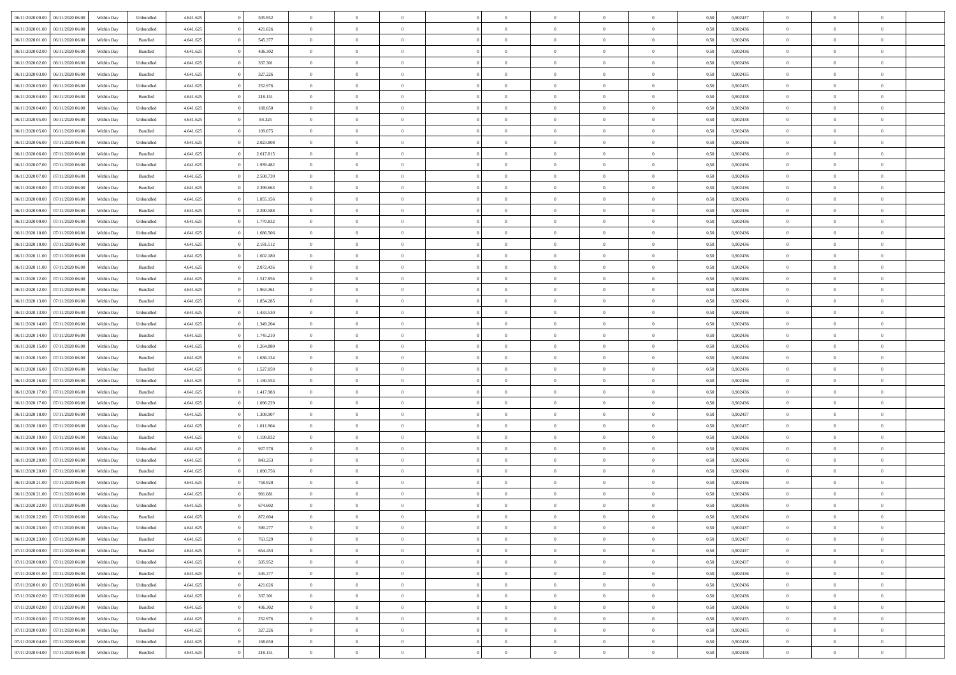| 06/11/2020 00:00<br>06/11/2020 06:00 | Within Day | Unbundled | 4.641.625 | 505.952   | $\overline{0}$ | $\overline{0}$ | $\Omega$       | $\overline{0}$ | $\Omega$         | $\Omega$       | $\overline{0}$ | 0,50 | 0,902437 | $\theta$       | $\theta$       | $\overline{0}$ |  |
|--------------------------------------|------------|-----------|-----------|-----------|----------------|----------------|----------------|----------------|------------------|----------------|----------------|------|----------|----------------|----------------|----------------|--|
| 06/11/2020 01.00<br>06/11/2020 06.00 | Within Day | Unbundled | 4.641.625 | 421.626   | $\overline{0}$ | $\overline{0}$ | $\overline{0}$ | $\theta$       | $\mathbf{0}$     | $\overline{0}$ | $\,$ 0 $\,$    | 0,50 | 0,902436 | $\theta$       | $\theta$       | $\overline{0}$ |  |
| 06/11/2020 01.00<br>06/11/2020 06.00 | Within Day | Bundled   | 4.641.625 | 545.377   | $\overline{0}$ | $\overline{0}$ | $\overline{0}$ | $\bf{0}$       | $\bf{0}$         | $\overline{0}$ | $\mathbf{0}$   | 0,50 | 0,902436 | $\bf{0}$       | $\overline{0}$ | $\bf{0}$       |  |
|                                      |            |           |           |           |                |                |                |                |                  |                |                |      |          | $\theta$       |                |                |  |
| 06/11/2020 02.00<br>06/11/2020 06:00 | Within Dav | Bundled   | 4.641.625 | 436.302   | $\overline{0}$ | $\overline{0}$ | $\overline{0}$ | $\overline{0}$ | $\overline{0}$   | $\overline{0}$ | $\overline{0}$ | 0.50 | 0.902436 |                | $\theta$       | $\overline{0}$ |  |
| 06/11/2020 02.00<br>06/11/2020 06.00 | Within Day | Unbundled | 4.641.625 | 337.301   | $\overline{0}$ | $\overline{0}$ | $\overline{0}$ | $\overline{0}$ | $\overline{0}$   | $\overline{0}$ | $\,$ 0 $\,$    | 0,50 | 0,902436 | $\theta$       | $\theta$       | $\overline{0}$ |  |
| 06/11/2020 03.00<br>06/11/2020 06.00 | Within Day | Bundled   | 4.641.625 | 327.226   | $\overline{0}$ | $\overline{0}$ | $\overline{0}$ | $\bf{0}$       | $\overline{0}$   | $\overline{0}$ | $\overline{0}$ | 0,50 | 0,902435 | $\bf{0}$       | $\overline{0}$ | $\bf{0}$       |  |
| 06/11/2020 03:00<br>06/11/2020 06:00 | Within Dav | Unbundled | 4.641.625 | 252.976   | $\overline{0}$ | $\overline{0}$ | $\overline{0}$ | $\overline{0}$ | $\overline{0}$   | $\overline{0}$ | $\mathbf{0}$   | 0.50 | 0,902435 | $\overline{0}$ | $\theta$       | $\overline{0}$ |  |
|                                      |            |           |           |           |                |                |                |                |                  |                |                |      |          |                |                |                |  |
| 06/11/2020 04:00<br>06/11/2020 06.00 | Within Day | Bundled   | 4.641.625 | 218.151   | $\overline{0}$ | $\overline{0}$ | $\overline{0}$ | $\overline{0}$ | $\overline{0}$   | $\overline{0}$ | $\,$ 0 $\,$    | 0,50 | 0,902438 | $\theta$       | $\theta$       | $\overline{0}$ |  |
| 06/11/2020 04:00<br>06/11/2020 06.00 | Within Day | Unbundled | 4.641.625 | 168.650   | $\overline{0}$ | $\overline{0}$ | $\overline{0}$ | $\bf{0}$       | $\bf{0}$         | $\overline{0}$ | $\mathbf{0}$   | 0,50 | 0,902438 | $\,$ 0 $\,$    | $\overline{0}$ | $\bf{0}$       |  |
| 06/11/2020 05.00<br>06/11/2020 06.00 | Within Day | Unbundled | 4.641.625 | 84.325    | $\overline{0}$ | $\overline{0}$ | $\overline{0}$ | $\overline{0}$ | $\overline{0}$   | $\overline{0}$ | $\overline{0}$ | 0.50 | 0,902438 | $\overline{0}$ | $\theta$       | $\overline{0}$ |  |
| 06/11/2020 05.00<br>06/11/2020 06.00 |            | Bundled   | 4.641.625 | 109.075   |                | $\overline{0}$ |                | $\overline{0}$ | $\overline{0}$   | $\overline{0}$ | $\,$ 0 $\,$    |      | 0,902438 | $\theta$       | $\theta$       | $\overline{0}$ |  |
|                                      | Within Day |           |           |           | $\overline{0}$ |                | $\overline{0}$ |                |                  |                |                | 0,50 |          |                |                |                |  |
| 06/11/2020 06.00<br>07/11/2020 06.00 | Within Day | Unbundled | 4.641.625 | 2.023.808 | $\overline{0}$ | $\overline{0}$ | $\overline{0}$ | $\bf{0}$       | $\bf{0}$         | $\overline{0}$ | $\mathbf{0}$   | 0,50 | 0,902436 | $\bf{0}$       | $\overline{0}$ | $\bf{0}$       |  |
| 06/11/2020 06:00<br>07/11/2020 06:00 | Within Day | Bundled   | 4.641.625 | 2.617.815 | $\overline{0}$ | $\overline{0}$ | $\overline{0}$ | $\overline{0}$ | $\overline{0}$   | $\overline{0}$ | $\overline{0}$ | 0.50 | 0,902436 | $\overline{0}$ | $\theta$       | $\overline{0}$ |  |
| 06/11/2020 07.00<br>07/11/2020 06.00 | Within Day | Unbundled | 4.641.625 | 1.939.482 | $\overline{0}$ | $\overline{0}$ | $\overline{0}$ | $\overline{0}$ | $\overline{0}$   | $\overline{0}$ | $\,$ 0 $\,$    | 0,50 | 0,902436 | $\theta$       | $\theta$       | $\overline{0}$ |  |
|                                      |            |           |           |           |                |                |                |                |                  |                |                |      |          |                |                |                |  |
| 06/11/2020 07.00<br>07/11/2020 06.00 | Within Day | Bundled   | 4.641.625 | 2.508.739 | $\overline{0}$ | $\overline{0}$ | $\overline{0}$ | $\bf{0}$       | $\overline{0}$   | $\overline{0}$ | $\overline{0}$ | 0,50 | 0,902436 | $\bf{0}$       | $\overline{0}$ | $\overline{0}$ |  |
| 06/11/2020 08.00<br>07/11/2020 06.00 | Within Day | Bundled   | 4.641.625 | 2.399.663 | $\overline{0}$ | $\overline{0}$ | $\overline{0}$ | $\overline{0}$ | $\overline{0}$   | $\overline{0}$ | $\mathbf{0}$   | 0,50 | 0,902436 | $\overline{0}$ | $\overline{0}$ | $\overline{0}$ |  |
| 06/11/2020 08.00<br>07/11/2020 06.00 | Within Day | Unbundled | 4.641.625 | 1.855.156 | $\overline{0}$ | $\overline{0}$ | $\overline{0}$ | $\overline{0}$ | $\overline{0}$   | $\overline{0}$ | $\bf{0}$       | 0,50 | 0,902436 | $\theta$       | $\theta$       | $\overline{0}$ |  |
| 06/11/2020 09:00<br>07/11/2020 06.00 | Within Day | Bundled   | 4.641.625 | 2.290.588 | $\overline{0}$ | $\overline{0}$ | $\overline{0}$ | $\bf{0}$       | $\bf{0}$         | $\overline{0}$ | $\mathbf{0}$   | 0,50 | 0,902436 | $\bf{0}$       | $\overline{0}$ | $\bf{0}$       |  |
|                                      |            |           |           |           |                |                |                |                |                  |                |                |      |          |                |                |                |  |
| 06/11/2020 09:00<br>07/11/2020 06:00 | Within Dav | Unbundled | 4.641.625 | 1.770.832 | $\overline{0}$ | $\overline{0}$ | $\overline{0}$ | $\overline{0}$ | $\overline{0}$   | $\overline{0}$ | $\overline{0}$ | 0.50 | 0,902436 | $\overline{0}$ | $\theta$       | $\overline{0}$ |  |
| 06/11/2020 10.00<br>07/11/2020 06.00 | Within Day | Unbundled | 4.641.625 | 1.686.506 | $\overline{0}$ | $\overline{0}$ | $\overline{0}$ | $\overline{0}$ | $\overline{0}$   | $\overline{0}$ | $\,$ 0 $\,$    | 0,50 | 0,902436 | $\theta$       | $\theta$       | $\overline{0}$ |  |
| 06/11/2020 10.00<br>07/11/2020 06.00 | Within Day | Bundled   | 4.641.625 | 2.181.512 | $\overline{0}$ | $\overline{0}$ | $\overline{0}$ | $\bf{0}$       | $\bf{0}$         | $\overline{0}$ | $\mathbf{0}$   | 0,50 | 0,902436 | $\bf{0}$       | $\overline{0}$ | $\bf{0}$       |  |
| 06/11/2020 11:00<br>07/11/2020 06:00 | Within Day | Unbundled | 4.641.625 | 1.602.180 | $\overline{0}$ | $\overline{0}$ | $\overline{0}$ | $\overline{0}$ | $\overline{0}$   | $\overline{0}$ | $\overline{0}$ | 0.50 | 0.902436 | $\overline{0}$ | $\overline{0}$ | $\overline{0}$ |  |
|                                      |            |           |           |           |                |                |                |                |                  |                |                |      |          |                |                |                |  |
| 06/11/2020 11:00<br>07/11/2020 06.00 | Within Day | Bundled   | 4.641.625 | 2.072.436 | $\overline{0}$ | $\overline{0}$ | $\overline{0}$ | $\overline{0}$ | $\overline{0}$   | $\overline{0}$ | $\,$ 0 $\,$    | 0,50 | 0,902436 | $\theta$       | $\theta$       | $\overline{0}$ |  |
| 06/11/2020 12:00<br>07/11/2020 06.00 | Within Day | Unbundled | 4.641.625 | 1.517.856 | $\overline{0}$ | $\overline{0}$ | $\overline{0}$ | $\bf{0}$       | $\overline{0}$   | $\overline{0}$ | $\overline{0}$ | 0,50 | 0,902436 | $\bf{0}$       | $\overline{0}$ | $\bf{0}$       |  |
| 06/11/2020 12:00<br>07/11/2020 06.00 | Within Day | Bundled   | 4.641.625 | 1.963.361 | $\overline{0}$ | $\overline{0}$ | $\overline{0}$ | $\overline{0}$ | $\overline{0}$   | $\overline{0}$ | $\mathbf{0}$   | 0.50 | 0,902436 | $\overline{0}$ | $\theta$       | $\overline{0}$ |  |
| 06/11/2020 13:00<br>07/11/2020 06.00 | Within Day | Bundled   | 4.641.625 | 1.854.285 | $\overline{0}$ | $\overline{0}$ | $\overline{0}$ | $\overline{0}$ | $\overline{0}$   | $\overline{0}$ | $\bf{0}$       | 0,50 | 0,902436 | $\theta$       | $\theta$       | $\overline{0}$ |  |
|                                      |            |           |           |           |                |                |                |                |                  |                |                |      |          |                |                |                |  |
| 06/11/2020 13.00<br>07/11/2020 06.00 | Within Day | Unbundled | 4.641.625 | 1.433.530 | $\overline{0}$ | $\overline{0}$ | $\overline{0}$ | $\bf{0}$       | $\bf{0}$         | $\overline{0}$ | $\mathbf{0}$   | 0,50 | 0,902436 | $\bf{0}$       | $\bf{0}$       | $\bf{0}$       |  |
| 06/11/2020 14:00<br>07/11/2020 06.00 | Within Day | Unbundled | 4.641.625 | 1.349.204 | $\overline{0}$ | $\overline{0}$ | $\overline{0}$ | $\overline{0}$ | $\overline{0}$   | $\overline{0}$ | $\overline{0}$ | 0.50 | 0,902436 | $\overline{0}$ | $\theta$       | $\overline{0}$ |  |
| 06/11/2020 14.00<br>07/11/2020 06.00 | Within Day | Bundled   | 4.641.625 | 1.745.210 | $\overline{0}$ | $\overline{0}$ | $\overline{0}$ | $\overline{0}$ | $\overline{0}$   | $\overline{0}$ | $\,$ 0 $\,$    | 0,50 | 0,902436 | $\theta$       | $\bf{0}$       | $\overline{0}$ |  |
| 06/11/2020 15:00<br>07/11/2020 06.00 | Within Day | Unbundled | 4.641.625 | 1.264.880 | $\overline{0}$ | $\overline{0}$ | $\overline{0}$ | $\bf{0}$       | $\bf{0}$         | $\overline{0}$ | $\mathbf{0}$   | 0,50 | 0,902436 | $\bf{0}$       | $\overline{0}$ | $\bf{0}$       |  |
|                                      |            |           |           |           |                |                |                |                |                  |                |                |      |          |                |                |                |  |
| 06/11/2020 15:00<br>07/11/2020 06.00 | Within Day | Bundled   | 4.641.625 | 1.636.134 | $\overline{0}$ | $\overline{0}$ | $\overline{0}$ | $\overline{0}$ | $\overline{0}$   | $\theta$       | $\overline{0}$ | 0.50 | 0,902436 | $\,$ 0 $\,$    | $\overline{0}$ | $\theta$       |  |
| 06/11/2020 16.00<br>07/11/2020 06.00 | Within Day | Bundled   | 4.641.625 | 1.527.059 | $\overline{0}$ | $\overline{0}$ | $\overline{0}$ | $\overline{0}$ | $\overline{0}$   | $\overline{0}$ | $\,$ 0 $\,$    | 0,50 | 0,902436 | $\theta$       | $\theta$       | $\overline{0}$ |  |
| 06/11/2020 16.00<br>07/11/2020 06.00 | Within Day | Unbundled | 4.641.625 | 1.180.554 | $\overline{0}$ | $\overline{0}$ | $\overline{0}$ | $\bf{0}$       | $\overline{0}$   | $\overline{0}$ | $\overline{0}$ | 0,50 | 0,902436 | $\bf{0}$       | $\overline{0}$ | $\overline{0}$ |  |
| 06/11/2020 17.00<br>07/11/2020 06.00 | Within Day | Bundled   | 4.641.625 | 1.417.983 | $\overline{0}$ | $\overline{0}$ | $\overline{0}$ | $\overline{0}$ | $\overline{0}$   | $\Omega$       | $\overline{0}$ | 0.50 | 0.902436 | $\overline{0}$ | $\theta$       | $\theta$       |  |
|                                      |            |           |           |           |                |                |                |                |                  |                |                |      |          |                |                |                |  |
| 06/11/2020 17.00<br>07/11/2020 06.00 | Within Day | Unbundled | 4.641.625 | 1.096.229 | $\overline{0}$ | $\overline{0}$ | $\overline{0}$ | $\overline{0}$ | $\overline{0}$   | $\overline{0}$ | $\bf{0}$       | 0,50 | 0,902436 | $\theta$       | $\theta$       | $\overline{0}$ |  |
| 06/11/2020 18.00<br>07/11/2020 06.00 | Within Day | Bundled   | 4.641.625 | 1.308.907 | $\overline{0}$ | $\overline{0}$ | $\overline{0}$ | $\bf{0}$       | $\bf{0}$         | $\overline{0}$ | $\mathbf{0}$   | 0,50 | 0,902437 | $\bf{0}$       | $\overline{0}$ | $\bf{0}$       |  |
| 06/11/2020 18:00<br>07/11/2020 06.00 | Within Day | Unbundled | 4.641.625 | 1.011.904 | $\overline{0}$ | $\overline{0}$ | $\overline{0}$ | $\overline{0}$ | $\overline{0}$   | $\Omega$       | $\overline{0}$ | 0.50 | 0.902437 | $\bf{0}$       | $\theta$       | $\theta$       |  |
| 06/11/2020 19.00<br>07/11/2020 06.00 | Within Day | Bundled   | 4.641.625 | 1.199.832 | $\overline{0}$ | $\overline{0}$ | $\overline{0}$ | $\overline{0}$ | $\overline{0}$   | $\overline{0}$ | $\,$ 0 $\,$    | 0,50 | 0,902436 | $\,$ 0 $\,$    | $\bf{0}$       | $\overline{0}$ |  |
|                                      |            |           |           |           |                |                |                |                |                  |                |                |      |          |                |                |                |  |
| 06/11/2020 19.00<br>07/11/2020 06.00 | Within Day | Unbundled | 4.641.625 | 927.578   | $\overline{0}$ | $\overline{0}$ | $\overline{0}$ | $\bf{0}$       | $\bf{0}$         | $\overline{0}$ | $\mathbf{0}$   | 0,50 | 0,902436 | $\bf{0}$       | $\overline{0}$ | $\bf{0}$       |  |
| 06/11/2020 20.00<br>07/11/2020 06.00 | Within Day | Unbundled | 4.641.625 | 843.253   | $\overline{0}$ | $\overline{0}$ | $\overline{0}$ | $\overline{0}$ | $\overline{0}$   | $\theta$       | $\overline{0}$ | 0,50 | 0,902436 | $\overline{0}$ | $\overline{0}$ | $\theta$       |  |
| 06/11/2020 20.00<br>07/11/2020 06.00 | Within Day | Bundled   | 4.641.625 | 1.090.756 | $\overline{0}$ | $\overline{0}$ | $\overline{0}$ | $\overline{0}$ | $\overline{0}$   | $\overline{0}$ | $\,$ 0 $\,$    | 0,50 | 0,902436 | $\,$ 0 $\,$    | $\,$ 0 $\,$    | $\overline{0}$ |  |
| 06/11/2020 21.00<br>07/11/2020 06.00 | Within Day | Unbundled | 4.641.625 | 758.928   | $\overline{0}$ | $\overline{0}$ | $\overline{0}$ | $\bf{0}$       | $\bf{0}$         | $\overline{0}$ | $\overline{0}$ | 0,50 | 0,902436 | $\overline{0}$ | $\overline{0}$ | $\bf{0}$       |  |
|                                      |            |           |           |           |                |                |                |                |                  |                |                |      |          |                |                |                |  |
| 06/11/2020 21.00<br>07/11/2020 06.0  | Within Day | Bundled   | 4.641.625 | 981.681   | $\overline{0}$ | $\theta$       | $\overline{0}$ | $\overline{0}$ | $\overline{0}$   | $\theta$       | $\overline{0}$ | 0.50 | 0.902436 | $\overline{0}$ | $\overline{0}$ | $\theta$       |  |
| 06/11/2020 22.00<br>07/11/2020 06:00 | Within Day | Unbundled | 4.641.625 | 674.602   | $\overline{0}$ | $\overline{0}$ | $\overline{0}$ | $\bf{0}$       | $\bf{0}$         | $\overline{0}$ | $\,$ 0 $\,$    | 0,50 | 0,902436 | $\,$ 0 $\,$    | $\bf{0}$       | $\overline{0}$ |  |
| 06/11/2020 22.00 07/11/2020 06.00    | Within Day | Bundled   | 4.641.625 | 872.604   | $\bf{0}$       | $\bf{0}$       |                | $\bf{0}$       | $\boldsymbol{0}$ |                | $\bf{0}$       | 0,50 | 0,902436 | $\bf{0}$       | $\bf{0}$       |                |  |
| 06/11/2020 23.00 07/11/2020 06.00    | Within Day | Unbundled | 4.641.625 | 590.277   | $\overline{0}$ | $\overline{0}$ | $\overline{0}$ | $\overline{0}$ | $\overline{0}$   | $\theta$       | $\overline{0}$ | 0.50 | 0.902437 | $\overline{0}$ | $\theta$       | $\theta$       |  |
|                                      |            |           |           |           |                |                |                |                |                  |                |                |      |          |                |                |                |  |
| 06/11/2020 23.00<br>07/11/2020 06.00 | Within Day | Bundled   | 4.641.625 | 763.529   | $\overline{0}$ | $\overline{0}$ | $\overline{0}$ | $\bf{0}$       | $\overline{0}$   | $\overline{0}$ | $\,$ 0 $\,$    | 0,50 | 0,902437 | $\bf{0}$       | $\overline{0}$ | $\,$ 0         |  |
| 07/11/2020 00.00<br>07/11/2020 06.00 | Within Day | Bundled   | 4.641.625 | 654.453   | $\overline{0}$ | $\overline{0}$ | $\overline{0}$ | $\bf{0}$       | $\bf{0}$         | $\overline{0}$ | $\mathbf{0}$   | 0,50 | 0,902437 | $\overline{0}$ | $\overline{0}$ | $\overline{0}$ |  |
| 07/11/2020 00:00<br>07/11/2020 06.00 | Within Day | Unbundled | 4.641.625 | 505.952   | $\overline{0}$ | $\overline{0}$ | $\overline{0}$ | $\overline{0}$ | $\bf{0}$         | $\overline{0}$ | $\mathbf{0}$   | 0,50 | 0,902437 | $\bf{0}$       | $\theta$       | $\overline{0}$ |  |
| 07/11/2020 01.00<br>07/11/2020 06.00 | Within Day | Bundled   | 4.641.625 | 545.377   | $\overline{0}$ | $\overline{0}$ | $\overline{0}$ | $\bf{0}$       | $\overline{0}$   | $\overline{0}$ | $\,$ 0 $\,$    | 0,50 | 0,902436 | $\bf{0}$       | $\,$ 0 $\,$    | $\overline{0}$ |  |
|                                      |            |           |           |           |                |                |                |                |                  |                |                |      |          |                |                |                |  |
| 07/11/2020 01.00<br>07/11/2020 06.00 | Within Day | Unbundled | 4.641.625 | 421.626   | $\overline{0}$ | $\overline{0}$ | $\overline{0}$ | $\overline{0}$ | $\bf{0}$         | $\overline{0}$ | $\mathbf{0}$   | 0,50 | 0,902436 | $\overline{0}$ | $\overline{0}$ | $\overline{0}$ |  |
| 07/11/2020 02.00<br>07/11/2020 06.00 | Within Day | Unbundled | 4.641.625 | 337.301   | $\overline{0}$ | $\overline{0}$ | $\overline{0}$ | $\overline{0}$ | $\overline{0}$   | $\overline{0}$ | $\mathbf{0}$   | 0.50 | 0.902436 | $\bf{0}$       | $\theta$       | $\overline{0}$ |  |
| 07/11/2020 02.00<br>07/11/2020 06.00 | Within Day | Bundled   | 4.641.625 | 436.302   | $\overline{0}$ | $\overline{0}$ | $\overline{0}$ | $\bf{0}$       | $\bf{0}$         | $\overline{0}$ | $\,$ 0 $\,$    | 0,50 | 0,902436 | $\,$ 0 $\,$    | $\,$ 0 $\,$    | $\overline{0}$ |  |
| 07/11/2020 03.00<br>07/11/2020 06.00 | Within Day | Unbundled | 4.641.625 | 252.976   | $\overline{0}$ | $\overline{0}$ | $\overline{0}$ | $\bf{0}$       | $\overline{0}$   | $\overline{0}$ | $\mathbf{0}$   | 0,50 | 0,902435 | $\overline{0}$ | $\overline{0}$ | $\bf{0}$       |  |
|                                      |            |           |           |           |                |                |                |                |                  |                |                |      |          |                |                |                |  |
| 07/11/2020 03.00<br>07/11/2020 06.00 | Within Day | Bundled   | 4.641.625 | 327.226   | $\overline{0}$ | $\overline{0}$ | $\overline{0}$ | $\bf{0}$       | $\overline{0}$   | $\overline{0}$ | $\mathbf{0}$   | 0.50 | 0,902435 | $\bf{0}$       | $\overline{0}$ | $\overline{0}$ |  |
| 07/11/2020 04.00<br>07/11/2020 06.00 | Within Day | Unbundled | 4.641.625 | 168.650   | $\overline{0}$ | $\overline{0}$ | $\overline{0}$ | $\bf{0}$       | $\bf{0}$         | $\overline{0}$ | $\,$ 0 $\,$    | 0,50 | 0,902438 | $\,$ 0 $\,$    | $\,0\,$        | $\bf{0}$       |  |
| 07/11/2020 04.00 07/11/2020 06.00    | Within Day | Bundled   | 4.641.625 | 218.151   | $\overline{0}$ | $\overline{0}$ | $\overline{0}$ | $\bf{0}$       | $\bf{0}$         | $\overline{0}$ | $\mathbf{0}$   | 0,50 | 0,902438 | $\overline{0}$ | $\bf{0}$       | $\overline{0}$ |  |
|                                      |            |           |           |           |                |                |                |                |                  |                |                |      |          |                |                |                |  |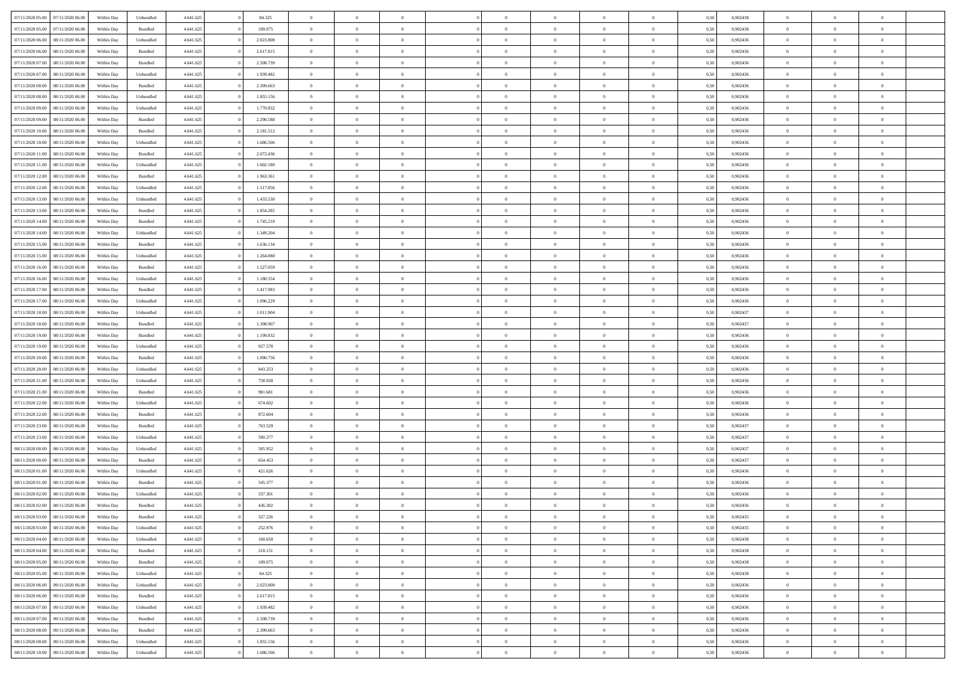| 07/11/2020 05:00 07/11/2020 06:00    | Within Day | Unbundled | 4.641.625 | 84.325    | $\overline{0}$ | $\overline{0}$ | $\Omega$       | $\Omega$       | $\Omega$       |                | $\overline{0}$ | 0,50 | 0,902438 | $\mathbf{0}$   | $\Omega$       | $\Omega$       |  |
|--------------------------------------|------------|-----------|-----------|-----------|----------------|----------------|----------------|----------------|----------------|----------------|----------------|------|----------|----------------|----------------|----------------|--|
| 07/11/2020 05:00<br>07/11/2020 06.00 | Within Day | Bundled   | 4.641.625 | 109.075   | $\bf{0}$       | $\overline{0}$ | $\theta$       | $\theta$       | $\overline{0}$ | $\overline{0}$ | $\,$ 0         | 0,50 | 0,902438 | $\mathbf{0}$   | $\theta$       | $\bf{0}$       |  |
| 07/11/2020 06.00<br>08/11/2020 06.00 | Within Day | Unbundled | 4.641.625 | 2.023.808 | $\overline{0}$ | $\overline{0}$ | $\overline{0}$ | $\bf{0}$       | $\bf{0}$       | $\overline{0}$ | $\mathbf{0}$   | 0,50 | 0,902436 | $\bf{0}$       | $\bf{0}$       | $\bf{0}$       |  |
| 07/11/2020 06:00<br>08/11/2020 06:00 | Within Day | Bundled   | 4.641.625 | 2.617.815 | $\overline{0}$ | $\overline{0}$ | $\overline{0}$ | $\overline{0}$ | $\overline{0}$ | $\overline{0}$ | $\overline{0}$ | 0.50 | 0.902436 | $\overline{0}$ | $\overline{0}$ | $\bf{0}$       |  |
| 07/11/2020 07:00<br>08/11/2020 06:00 | Within Day | Bundled   | 4.641.625 | 2.508.739 | $\bf{0}$       | $\overline{0}$ | $\theta$       | $\theta$       | $\overline{0}$ | $\overline{0}$ | $\bf{0}$       | 0,50 | 0,902436 | $\theta$       | $\theta$       | $\overline{0}$ |  |
| 07/11/2020 07:00<br>08/11/2020 06.00 | Within Day | Unbundled | 4.641.625 | 1.939.482 | $\overline{0}$ | $\overline{0}$ | $\overline{0}$ | $\bf{0}$       | $\overline{0}$ | $\overline{0}$ | $\overline{0}$ | 0,50 | 0,902436 | $\overline{0}$ | $\bf{0}$       | $\overline{0}$ |  |
|                                      |            |           |           |           |                |                |                |                |                |                | $\mathbf{0}$   |      |          | $\mathbf{0}$   |                |                |  |
| 07/11/2020 08:00<br>08/11/2020 06:00 | Within Day | Bundled   | 4.641.625 | 2.399.663 | $\overline{0}$ | $\overline{0}$ | $\overline{0}$ | $\overline{0}$ | $\overline{0}$ | $\overline{0}$ |                | 0.50 | 0,902436 |                | $\overline{0}$ | $\overline{0}$ |  |
| 07/11/2020 08:00<br>08/11/2020 06:00 | Within Day | Unbundled | 4.641.625 | 1.855.156 | $\bf{0}$       | $\overline{0}$ | $\overline{0}$ | $\theta$       | $\overline{0}$ | $\overline{0}$ | $\,$ 0         | 0,50 | 0,902436 | $\theta$       | $\theta$       | $\bf{0}$       |  |
| 07/11/2020 09:00<br>08/11/2020 06.00 | Within Day | Unbundled | 4.641.625 | 1.770.832 | $\overline{0}$ | $\overline{0}$ | $\overline{0}$ | $\bf{0}$       | $\bf{0}$       | $\overline{0}$ | $\bf{0}$       | 0,50 | 0,902436 | $\bf{0}$       | $\bf{0}$       | $\bf{0}$       |  |
| 07/11/2020 09:00<br>08/11/2020 06:00 | Within Day | Bundled   | 4.641.625 | 2.290.588 | $\overline{0}$ | $\overline{0}$ | $\overline{0}$ | $\overline{0}$ | $\overline{0}$ | $\overline{0}$ | $\overline{0}$ | 0.50 | 0,902436 | $\overline{0}$ | $\overline{0}$ | $\overline{0}$ |  |
| 07/11/2020 10:00<br>08/11/2020 06:00 | Within Day | Bundled   | 4.641.625 | 2.181.512 | $\bf{0}$       | $\overline{0}$ | $\overline{0}$ | $\overline{0}$ | $\overline{0}$ | $\overline{0}$ | $\,$ 0         | 0,50 | 0,902436 | $\theta$       | $\theta$       | $\bf{0}$       |  |
| 07/11/2020 10:00<br>08/11/2020 06.00 | Within Day | Unbundled | 4.641.625 | 1.686.506 | $\overline{0}$ | $\overline{0}$ | $\overline{0}$ | $\bf{0}$       | $\bf{0}$       | $\overline{0}$ | $\mathbf{0}$   | 0,50 | 0,902436 | $\bf{0}$       | $\bf{0}$       | $\bf{0}$       |  |
| 07/11/2020 11:00<br>08/11/2020 06:00 | Within Day | Bundled   | 4.641.625 | 2.072.436 | $\overline{0}$ | $\overline{0}$ | $\overline{0}$ | $\overline{0}$ | $\overline{0}$ | $\overline{0}$ | $\overline{0}$ | 0.50 | 0.902436 | $\mathbf{0}$   | $\overline{0}$ | $\bf{0}$       |  |
| 07/11/2020 11:00<br>08/11/2020 06:00 | Within Day | Unbundled | 4.641.625 | 1.602.180 | $\bf{0}$       | $\overline{0}$ | $\theta$       | $\theta$       | $\overline{0}$ | $\overline{0}$ | $\,$ 0         | 0,50 | 0,902436 | $\theta$       | $\theta$       | $\overline{0}$ |  |
|                                      |            |           |           |           |                |                |                |                |                |                |                |      |          | $\overline{0}$ | $\bf{0}$       |                |  |
| 07/11/2020 12:00<br>08/11/2020 06:00 | Within Day | Bundled   | 4.641.625 | 1.963.361 | $\overline{0}$ | $\overline{0}$ | $\overline{0}$ | $\bf{0}$       | $\overline{0}$ | $\overline{0}$ | $\overline{0}$ | 0,50 | 0,902436 |                |                | $\overline{0}$ |  |
| 07/11/2020 12:00<br>08/11/2020 06:00 | Within Day | Unbundled | 4.641.625 | 1.517.856 | $\overline{0}$ | $\overline{0}$ | $\overline{0}$ | $\overline{0}$ | $\overline{0}$ | $\overline{0}$ | $\mathbf{0}$   | 0.50 | 0,902436 | $\overline{0}$ | $\overline{0}$ | $\overline{0}$ |  |
| 07/11/2020 13:00<br>08/11/2020 06:00 | Within Day | Unbundled | 4.641.625 | 1.433.530 | $\bf{0}$       | $\overline{0}$ | $\overline{0}$ | $\overline{0}$ | $\overline{0}$ | $\overline{0}$ | $\bf{0}$       | 0,50 | 0,902436 | $\theta$       | $\theta$       | $\bf{0}$       |  |
| 07/11/2020 13:00<br>08/11/2020 06.00 | Within Day | Bundled   | 4.641.625 | 1.854.285 | $\overline{0}$ | $\overline{0}$ | $\bf{0}$       | $\bf{0}$       | $\bf{0}$       | $\overline{0}$ | $\mathbf{0}$   | 0,50 | 0,902436 | $\bf{0}$       | $\bf{0}$       | $\bf{0}$       |  |
| 07/11/2020 14:00<br>08/11/2020 06:00 | Within Day | Bundled   | 4.641.625 | 1.745.210 | $\overline{0}$ | $\overline{0}$ | $\overline{0}$ | $\overline{0}$ | $\overline{0}$ | $\overline{0}$ | $\overline{0}$ | 0.50 | 0,902436 | $\overline{0}$ | $\overline{0}$ | $\overline{0}$ |  |
| 07/11/2020 14:00<br>08/11/2020 06:00 | Within Day | Unbundled | 4.641.625 | 1.349.204 | $\bf{0}$       | $\overline{0}$ | $\overline{0}$ | $\overline{0}$ | $\overline{0}$ | $\overline{0}$ | $\,$ 0         | 0,50 | 0,902436 | $\theta$       | $\theta$       | $\bf{0}$       |  |
| 07/11/2020 15:00<br>08/11/2020 06.00 | Within Day | Bundled   | 4.641.625 | 1.636.134 | $\overline{0}$ | $\overline{0}$ | $\overline{0}$ | $\bf{0}$       | $\bf{0}$       | $\overline{0}$ | $\mathbf{0}$   | 0,50 | 0,902436 | $\bf{0}$       | $\bf{0}$       | $\bf{0}$       |  |
| 07/11/2020 15:00<br>08/11/2020 06:00 | Within Day | Unbundled | 4.641.625 | 1.264.880 | $\overline{0}$ | $\overline{0}$ | $\overline{0}$ | $\overline{0}$ | $\overline{0}$ | $\overline{0}$ | $\overline{0}$ | 0.50 | 0.902436 | $\overline{0}$ | $\overline{0}$ | $\bf{0}$       |  |
| 07/11/2020 16:00<br>08/11/2020 06:00 | Within Day | Bundled   | 4.641.625 | 1.527.059 | $\bf{0}$       | $\overline{0}$ | $\theta$       | $\overline{0}$ | $\overline{0}$ | $\overline{0}$ | $\,$ 0         | 0,50 | 0,902436 | $\mathbf{0}$   | $\theta$       | $\bf{0}$       |  |
|                                      |            |           |           |           |                |                |                |                |                |                |                |      |          |                |                |                |  |
| 07/11/2020 16.00<br>08/11/2020 06.00 | Within Day | Unbundled | 4.641.625 | 1.180.554 | $\overline{0}$ | $\overline{0}$ | $\overline{0}$ | $\bf{0}$       | $\overline{0}$ | $\overline{0}$ | $\overline{0}$ | 0,50 | 0,902436 | $\overline{0}$ | $\bf{0}$       | $\overline{0}$ |  |
| 07/11/2020 17:00<br>08/11/2020 06:00 | Within Day | Bundled   | 4.641.625 | 1.417.983 | $\overline{0}$ | $\overline{0}$ | $\overline{0}$ | $\overline{0}$ | $\overline{0}$ | $\overline{0}$ | $\overline{0}$ | 0.50 | 0,902436 | $\overline{0}$ | $\overline{0}$ | $\overline{0}$ |  |
| 07/11/2020 17:00<br>08/11/2020 06:00 | Within Day | Unbundled | 4.641.625 | 1.096.229 | $\bf{0}$       | $\overline{0}$ | $\overline{0}$ | $\overline{0}$ | $\overline{0}$ | $\overline{0}$ | $\bf{0}$       | 0,50 | 0,902436 | $\theta$       | $\theta$       | $\bf{0}$       |  |
| 07/11/2020 18:00<br>08/11/2020 06.00 | Within Day | Unbundled | 4.641.625 | 1.011.904 | $\overline{0}$ | $\overline{0}$ | $\overline{0}$ | $\bf{0}$       | $\bf{0}$       | $\overline{0}$ | $\bf{0}$       | 0,50 | 0,902437 | $\bf{0}$       | $\bf{0}$       | $\bf{0}$       |  |
| 07/11/2020 18:00<br>08/11/2020 06:00 | Within Day | Bundled   | 4.641.625 | 1.308.907 | $\overline{0}$ | $\overline{0}$ | $\overline{0}$ | $\overline{0}$ | $\overline{0}$ | $\overline{0}$ | $\overline{0}$ | 0.50 | 0,902437 | $\overline{0}$ | $\overline{0}$ | $\overline{0}$ |  |
| 07/11/2020 19:00<br>08/11/2020 06:00 | Within Day | Bundled   | 4.641.625 | 1.199.832 | $\bf{0}$       | $\overline{0}$ | $\overline{0}$ | $\overline{0}$ | $\overline{0}$ | $\overline{0}$ | $\,$ 0         | 0,50 | 0,902436 | $\theta$       | $\theta$       | $\bf{0}$       |  |
| 07/11/2020 19:00<br>08/11/2020 06.00 | Within Day | Unbundled | 4.641.625 | 927.578   | $\overline{0}$ | $\overline{0}$ | $\overline{0}$ | $\bf{0}$       | $\bf{0}$       | $\overline{0}$ | $\mathbf{0}$   | 0,50 | 0,902436 | $\overline{0}$ | $\bf{0}$       | $\bf{0}$       |  |
| 07/11/2020 20:00<br>08/11/2020 06.00 | Within Day | Bundled   | 4.641.625 | 1.090.756 | $\overline{0}$ | $\overline{0}$ | $\overline{0}$ | $\overline{0}$ | $\overline{0}$ | $\Omega$       | $\overline{0}$ | 0.50 | 0.902436 | $\bf{0}$       | $\Omega$       | $\Omega$       |  |
| 07/11/2020 20.00<br>08/11/2020 06:00 | Within Day | Unbundled | 4.641.625 | 843.253   | $\bf{0}$       | $\overline{0}$ | $\overline{0}$ | $\theta$       | $\overline{0}$ | $\overline{0}$ | $\,$ 0         | 0,50 | 0,902436 | $\theta$       | $\theta$       | $\bf{0}$       |  |
| 08/11/2020 06.00                     | Within Day | Unbundled | 4.641.625 | 758.928   | $\overline{0}$ | $\overline{0}$ | $\overline{0}$ | $\bf{0}$       | $\overline{0}$ | $\overline{0}$ | $\overline{0}$ | 0,50 | 0,902436 | $\overline{0}$ | $\bf{0}$       | $\overline{0}$ |  |
| 07/11/2020 21:00                     |            |           |           |           |                |                |                |                |                |                |                |      |          |                |                |                |  |
| 07/11/2020 21:00<br>08/11/2020 06:00 | Within Day | Bundled   | 4.641.625 | 981.681   | $\overline{0}$ | $\overline{0}$ | $\Omega$       | $\overline{0}$ | $\overline{0}$ | $\Omega$       | $\overline{0}$ | 0.50 | 0.902436 | $\overline{0}$ | $\Omega$       | $\Omega$       |  |
| 07/11/2020 22.00<br>08/11/2020 06:00 | Within Day | Unbundled | 4.641.625 | 674.602   | $\bf{0}$       | $\overline{0}$ | $\overline{0}$ | $\overline{0}$ | $\overline{0}$ | $\overline{0}$ | $\bf{0}$       | 0,50 | 0,902436 | $\theta$       | $\theta$       | $\bf{0}$       |  |
| 07/11/2020 22.00<br>08/11/2020 06.00 | Within Day | Bundled   | 4.641.625 | 872.604   | $\overline{0}$ | $\overline{0}$ | $\bf{0}$       | $\bf{0}$       | $\bf{0}$       | $\overline{0}$ | $\bf{0}$       | 0,50 | 0,902436 | $\bf{0}$       | $\bf{0}$       | $\bf{0}$       |  |
| 07/11/2020 23.00<br>08/11/2020 06.00 | Within Day | Bundled   | 4.641.625 | 763.529   | $\overline{0}$ | $\overline{0}$ | $\Omega$       | $\overline{0}$ | $\overline{0}$ | $\Omega$       | $\theta$       | 0.50 | 0.902437 | $\overline{0}$ | $\Omega$       | $\Omega$       |  |
| 07/11/2020 23.00<br>08/11/2020 06:00 | Within Day | Unbundled | 4.641.625 | 590.277   | $\bf{0}$       | $\overline{0}$ | $\bf{0}$       | $\overline{0}$ | $\overline{0}$ | $\overline{0}$ | $\,$ 0         | 0,50 | 0,902437 | $\theta$       | $\theta$       | $\bf{0}$       |  |
| 08/11/2020 00:00<br>08/11/2020 06.00 | Within Day | Unbundled | 4.641.625 | 505.952   | $\overline{0}$ | $\overline{0}$ | $\overline{0}$ | $\bf{0}$       | $\bf{0}$       | $\overline{0}$ | $\mathbf{0}$   | 0,50 | 0,902437 | $\overline{0}$ | $\bf{0}$       | $\bf{0}$       |  |
| 08/11/2020 00:00<br>08/11/2020 06.00 | Within Day | Bundled   | 4.641.625 | 654.453   | $\overline{0}$ | $\overline{0}$ | $\overline{0}$ | $\overline{0}$ | $\overline{0}$ | $\Omega$       | $\overline{0}$ | 0.50 | 0,902437 | $\bf{0}$       | $\Omega$       | $\Omega$       |  |
| 08/11/2020 01:00<br>08/11/2020 06:00 | Within Day | Unbundled | 4.641.625 | 421.626   | $\bf{0}$       | $\overline{0}$ | $\overline{0}$ | $\overline{0}$ | $\overline{0}$ | $\overline{0}$ | $\,$ 0         | 0,50 | 0,902436 | $\bf{0}$       | $\theta$       | $\bf{0}$       |  |
| 08/11/2020 01:00<br>08/11/2020 06.00 | Within Day | Bundled   | 4.641.625 | 545.377   | $\overline{0}$ | $\overline{0}$ | $\bf{0}$       | $\bf{0}$       | $\overline{0}$ | $\overline{0}$ | $\overline{0}$ | 0,50 | 0,902436 | $\overline{0}$ | $\bf{0}$       | $\bf{0}$       |  |
|                                      |            |           |           |           | $\overline{0}$ |                | $\Omega$       |                |                | $\Omega$       | $\overline{0}$ |      | 0.902436 | $\overline{0}$ | $\Omega$       | $\Omega$       |  |
| 08/11/2020 02:00<br>08/11/2020 06.00 | Within Day | Unbundled | 4.641.625 | 337.301   |                | $\overline{0}$ |                | $\overline{0}$ | $\overline{0}$ |                |                | 0.50 |          |                |                |                |  |
| 08/11/2020 02.00<br>08/11/2020 06:00 | Within Day | Bundled   | 4.641.625 | 436.302   | $\bf{0}$       | $\overline{0}$ | $\bf{0}$       | $\bf{0}$       | $\bf{0}$       | $\bf{0}$       | $\,$ 0         | 0,50 | 0,902436 | $\bf{0}$       | $\,$ 0         | $\,$ 0         |  |
| 08/11/2020 03:00 08/11/2020 06:00    | Within Day | Bundled   | 4.641.625 | 327.226   |                | $\bf{0}$       |                | $\bf{0}$       |                |                |                | 0,50 | 0,902435 | $\bf{0}$       | $\bf{0}$       |                |  |
| 08/11/2020 03:00 08/11/2020 06:00    | Within Day | Unbundled | 4.641.625 | 252.976   | $\overline{0}$ | $\overline{0}$ | $\theta$       | $\overline{0}$ | $\overline{0}$ | $\overline{0}$ | $\mathbf{0}$   | 0,50 | 0.902435 | $\overline{0}$ | $\overline{0}$ | $\theta$       |  |
| 08/11/2020 04:00<br>08/11/2020 06:00 | Within Day | Unbundled | 4.641.625 | 168.650   | $\overline{0}$ | $\overline{0}$ | $\overline{0}$ | $\bf{0}$       | $\overline{0}$ | $\overline{0}$ | $\mathbf{0}$   | 0,50 | 0,902438 | $\,$ 0 $\,$    | $\overline{0}$ | $\,$ 0 $\,$    |  |
| 08/11/2020 04:00<br>08/11/2020 06.00 | Within Day | Bundled   | 4.641.625 | 218.151   | $\overline{0}$ | $\overline{0}$ | $\overline{0}$ | $\bf{0}$       | $\overline{0}$ | $\overline{0}$ | $\overline{0}$ | 0,50 | 0,902438 | $\overline{0}$ | $\overline{0}$ | $\overline{0}$ |  |
| 08/11/2020 05:00<br>08/11/2020 06:00 | Within Day | Bundled   | 4.641.625 | 109.075   | $\overline{0}$ | $\overline{0}$ | $\overline{0}$ | $\overline{0}$ | $\bf{0}$       | $\overline{0}$ | $\bf{0}$       | 0,50 | 0,902438 | $\overline{0}$ | $\overline{0}$ | $\overline{0}$ |  |
| 08/11/2020 05:00<br>08/11/2020 06:00 | Within Day | Unbundled | 4.641.625 | 84.325    | $\overline{0}$ | $\overline{0}$ | $\overline{0}$ | $\overline{0}$ | $\overline{0}$ | $\overline{0}$ | $\,$ 0 $\,$    | 0,50 | 0,902438 | $\,$ 0 $\,$    | $\theta$       | $\bf{0}$       |  |
| 08/11/2020 06:00<br>09/11/2020 06.00 | Within Day | Unbundled | 4.641.625 | 2.023.808 | $\overline{0}$ | $\overline{0}$ | $\overline{0}$ | $\bf{0}$       | $\overline{0}$ | $\overline{0}$ | $\mathbf{0}$   | 0,50 | 0,902436 | $\overline{0}$ | $\overline{0}$ | $\overline{0}$ |  |
|                                      |            |           |           |           |                |                |                |                |                |                |                |      |          |                |                |                |  |
| 08/11/2020 06:00<br>09/11/2020 06:00 | Within Day | Bundled   | 4.641.625 | 2.617.815 | $\overline{0}$ | $\overline{0}$ | $\overline{0}$ | $\overline{0}$ | $\overline{0}$ | $\overline{0}$ | $\overline{0}$ | 0.50 | 0.902436 | $\overline{0}$ | $\overline{0}$ | $\overline{0}$ |  |
| 08/11/2020 07.00<br>09/11/2020 06:00 | Within Day | Unbundled | 4.641.625 | 1.939.482 | $\overline{0}$ | $\overline{0}$ | $\overline{0}$ | $\bf{0}$       | $\bf{0}$       | $\overline{0}$ | $\,$ 0 $\,$    | 0,50 | 0,902436 | $\,$ 0 $\,$    | $\theta$       | $\,$ 0         |  |
| 08/11/2020 07.00<br>09/11/2020 06.00 | Within Day | Bundled   | 4.641.625 | 2.508.739 | $\overline{0}$ | $\overline{0}$ | $\overline{0}$ | $\bf{0}$       | $\overline{0}$ | $\overline{0}$ | $\overline{0}$ | 0,50 | 0,902436 | $\bf{0}$       | $\bf{0}$       | $\overline{0}$ |  |
| 08/11/2020 08:00<br>09/11/2020 06.00 | Within Day | Bundled   | 4.641.625 | 2.399.663 | $\overline{0}$ | $\overline{0}$ | $\overline{0}$ | $\overline{0}$ | $\overline{0}$ | $\overline{0}$ | $\overline{0}$ | 0,50 | 0.902436 | $\overline{0}$ | $\overline{0}$ | $\overline{0}$ |  |
| 08/11/2020 08:00<br>09/11/2020 06.00 | Within Day | Unbundled | 4.641.625 | 1.855.156 | $\overline{0}$ | $\overline{0}$ | $\overline{0}$ | $\bf{0}$       | $\bf{0}$       | $\bf{0}$       | $\,$ 0 $\,$    | 0,50 | 0,902436 | $\,$ 0 $\,$    | $\,0\,$        | $\,$ 0         |  |
| 08/11/2020 10:00 09/11/2020 06:00    | Within Day | Unbundled | 4.641.625 | 1.686.506 | $\overline{0}$ | $\overline{0}$ | $\overline{0}$ | $\bf{0}$       | $\bf{0}$       | $\overline{0}$ | $\bf{0}$       | 0,50 | 0,902436 | $\bf{0}$       | $\bf{0}$       | $\overline{0}$ |  |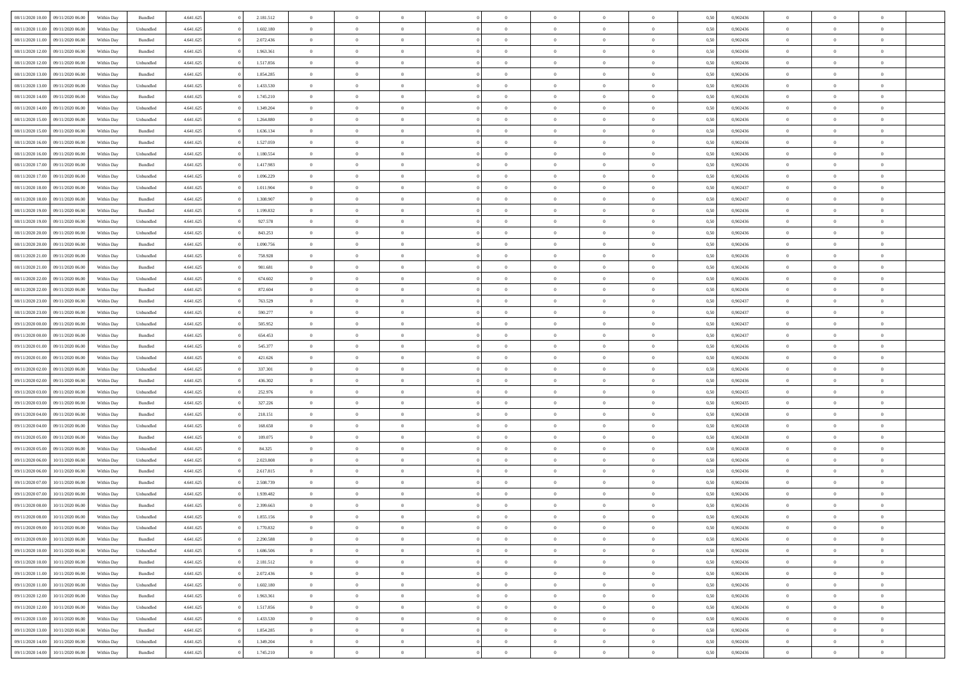| 08/11/2020 10:00 09/11/2020 06:00    | Within Day | Bundled   | 4.641.625 | 2.181.512 | $\overline{0}$ | $\overline{0}$ | $\Omega$       | $\Omega$       | $\Omega$       |                | $\overline{0}$ | 0,50 | 0,902436 | $\mathbf{0}$   | $\Omega$       | $\Omega$       |  |
|--------------------------------------|------------|-----------|-----------|-----------|----------------|----------------|----------------|----------------|----------------|----------------|----------------|------|----------|----------------|----------------|----------------|--|
| 08/11/2020 11:00<br>09/11/2020 06.00 | Within Day | Unbundled | 4.641.625 | 1.602.180 | $\bf{0}$       | $\overline{0}$ | $\theta$       | $\theta$       | $\overline{0}$ | $\overline{0}$ | $\,$ 0         | 0,50 | 0,902436 | $\mathbf{0}$   | $\theta$       | $\bf{0}$       |  |
| 08/11/2020 11:00<br>09/11/2020 06.00 | Within Day | Bundled   | 4.641.625 | 2.072.436 | $\overline{0}$ | $\overline{0}$ | $\overline{0}$ | $\bf{0}$       | $\bf{0}$       | $\overline{0}$ | $\mathbf{0}$   | 0,50 | 0,902436 | $\bf{0}$       | $\bf{0}$       | $\bf{0}$       |  |
| 08/11/2020 12:00<br>09/11/2020 06:00 | Within Day | Bundled   | 4.641.625 | 1.963.361 | $\overline{0}$ | $\overline{0}$ | $\overline{0}$ | $\overline{0}$ | $\overline{0}$ | $\overline{0}$ | $\overline{0}$ | 0.50 | 0.902436 | $\mathbf{0}$   | $\overline{0}$ | $\bf{0}$       |  |
| 08/11/2020 12:00<br>09/11/2020 06.00 | Within Day | Unbundled | 4.641.625 | 1.517.856 | $\bf{0}$       | $\overline{0}$ | $\overline{0}$ | $\theta$       | $\overline{0}$ | $\overline{0}$ | $\bf{0}$       | 0,50 | 0,902436 | $\theta$       | $\theta$       | $\overline{0}$ |  |
|                                      |            |           |           |           |                |                |                |                |                |                |                |      |          |                |                |                |  |
| 08/11/2020 13:00<br>09/11/2020 06.00 | Within Day | Bundled   | 4.641.625 | 1.854.285 | $\overline{0}$ | $\overline{0}$ | $\overline{0}$ | $\bf{0}$       | $\overline{0}$ | $\overline{0}$ | $\overline{0}$ | 0,50 | 0,902436 | $\overline{0}$ | $\overline{0}$ | $\overline{0}$ |  |
| 08/11/2020 13:00<br>09/11/2020 06:00 | Within Day | Unbundled | 4.641.625 | 1.433.530 | $\overline{0}$ | $\overline{0}$ | $\overline{0}$ | $\overline{0}$ | $\overline{0}$ | $\overline{0}$ | $\overline{0}$ | 0.50 | 0,902436 | $\overline{0}$ | $\overline{0}$ | $\overline{0}$ |  |
| 08/11/2020 14:00<br>09/11/2020 06.00 | Within Day | Bundled   | 4.641.625 | 1.745.210 | $\bf{0}$       | $\overline{0}$ | $\overline{0}$ | $\theta$       | $\overline{0}$ | $\overline{0}$ | $\,$ 0         | 0,50 | 0,902436 | $\theta$       | $\theta$       | $\bf{0}$       |  |
| 08/11/2020 14:00<br>09/11/2020 06.00 | Within Day | Unbundled | 4.641.625 | 1.349.204 | $\overline{0}$ | $\overline{0}$ | $\overline{0}$ | $\bf{0}$       | $\bf{0}$       | $\overline{0}$ | $\mathbf{0}$   | 0,50 | 0,902436 | $\bf{0}$       | $\bf{0}$       | $\bf{0}$       |  |
| 08/11/2020 15:00<br>09/11/2020 06:00 | Within Day | Unbundled | 4.641.625 | 1.264.880 | $\overline{0}$ | $\overline{0}$ | $\overline{0}$ | $\overline{0}$ | $\overline{0}$ | $\overline{0}$ | $\overline{0}$ | 0.50 | 0,902436 | $\overline{0}$ | $\overline{0}$ | $\overline{0}$ |  |
| 08/11/2020 15:00<br>09/11/2020 06.00 | Within Day | Bundled   | 4.641.625 | 1.636.134 | $\bf{0}$       | $\overline{0}$ | $\overline{0}$ | $\overline{0}$ | $\overline{0}$ | $\overline{0}$ | $\,$ 0         | 0,50 | 0,902436 | $\mathbf{0}$   | $\theta$       | $\bf{0}$       |  |
| 08/11/2020 16:00<br>09/11/2020 06.00 | Within Day | Bundled   | 4.641.625 | 1.527.059 | $\overline{0}$ | $\overline{0}$ | $\overline{0}$ | $\bf{0}$       | $\bf{0}$       | $\overline{0}$ | $\mathbf{0}$   | 0,50 | 0,902436 | $\bf{0}$       | $\bf{0}$       | $\bf{0}$       |  |
| 08/11/2020 16:00<br>09/11/2020 06:00 | Within Day | Unbundled | 4.641.625 | 1.180.554 | $\overline{0}$ | $\overline{0}$ | $\overline{0}$ | $\overline{0}$ | $\overline{0}$ | $\overline{0}$ | $\overline{0}$ | 0.50 | 0.902436 | $\mathbf{0}$   | $\overline{0}$ | $\bf{0}$       |  |
|                                      |            |           |           |           |                |                |                |                |                |                |                |      |          |                |                |                |  |
| 08/11/2020 17:00<br>09/11/2020 06.00 | Within Day | Bundled   | 4.641.625 | 1.417.983 | $\bf{0}$       | $\overline{0}$ | $\overline{0}$ | $\theta$       | $\overline{0}$ | $\overline{0}$ | $\,$ 0         | 0,50 | 0,902436 | $\theta$       | $\theta$       | $\bf{0}$       |  |
| 08/11/2020 17:00<br>09/11/2020 06.00 | Within Day | Unbundled | 4.641.625 | 1.096.229 | $\overline{0}$ | $\overline{0}$ | $\overline{0}$ | $\bf{0}$       | $\overline{0}$ | $\overline{0}$ | $\overline{0}$ | 0,50 | 0,902436 | $\overline{0}$ | $\bf{0}$       | $\overline{0}$ |  |
| 08/11/2020 18:00<br>09/11/2020 06:00 | Within Day | Unbundled | 4.641.625 | 1.011.904 | $\overline{0}$ | $\overline{0}$ | $\overline{0}$ | $\overline{0}$ | $\overline{0}$ | $\overline{0}$ | $\overline{0}$ | 0.50 | 0,902437 | $\overline{0}$ | $\overline{0}$ | $\overline{0}$ |  |
| 08/11/2020 18:00<br>09/11/2020 06.00 | Within Day | Bundled   | 4.641.625 | 1.308.907 | $\bf{0}$       | $\overline{0}$ | $\overline{0}$ | $\overline{0}$ | $\overline{0}$ | $\overline{0}$ | $\bf{0}$       | 0,50 | 0,902437 | $\theta$       | $\theta$       | $\bf{0}$       |  |
| 08/11/2020 19:00<br>09/11/2020 06.00 | Within Day | Bundled   | 4.641.625 | 1.199.832 | $\overline{0}$ | $\overline{0}$ | $\bf{0}$       | $\bf{0}$       | $\bf{0}$       | $\overline{0}$ | $\mathbf{0}$   | 0,50 | 0,902436 | $\bf{0}$       | $\bf{0}$       | $\bf{0}$       |  |
| 08/11/2020 19:00<br>09/11/2020 06:00 | Within Day | Unbundled | 4.641.625 | 927.578   | $\overline{0}$ | $\overline{0}$ | $\overline{0}$ | $\overline{0}$ | $\overline{0}$ | $\overline{0}$ | $\overline{0}$ | 0.50 | 0,902436 | $\overline{0}$ | $\overline{0}$ | $\overline{0}$ |  |
| 08/11/2020 20:00<br>09/11/2020 06.00 | Within Day | Unbundled | 4.641.625 | 843.253   | $\bf{0}$       | $\overline{0}$ | $\overline{0}$ | $\overline{0}$ | $\overline{0}$ | $\overline{0}$ | $\,$ 0         | 0,50 | 0,902436 | $\theta$       | $\theta$       | $\bf{0}$       |  |
| 08/11/2020 20:00<br>09/11/2020 06.00 | Within Day | Bundled   | 4.641.625 | 1.090.756 | $\overline{0}$ | $\overline{0}$ | $\overline{0}$ | $\bf{0}$       | $\bf{0}$       | $\overline{0}$ | $\mathbf{0}$   | 0,50 | 0,902436 | $\bf{0}$       | $\bf{0}$       | $\bf{0}$       |  |
|                                      |            |           |           |           |                |                |                |                |                |                |                |      |          | $\overline{0}$ |                |                |  |
| 08/11/2020 21:00<br>09/11/2020 06:00 | Within Day | Unbundled | 4.641.625 | 758,928   | $\overline{0}$ | $\overline{0}$ | $\overline{0}$ | $\overline{0}$ | $\overline{0}$ | $\overline{0}$ | $\overline{0}$ | 0.50 | 0.902436 |                | $\overline{0}$ | $\bf{0}$       |  |
| 08/11/2020 21:00<br>09/11/2020 06.00 | Within Day | Bundled   | 4.641.625 | 981.681   | $\bf{0}$       | $\overline{0}$ | $\overline{0}$ | $\overline{0}$ | $\overline{0}$ | $\overline{0}$ | $\,$ 0         | 0,50 | 0,902436 | $\mathbf{0}$   | $\theta$       | $\bf{0}$       |  |
| 08/11/2020 22.00<br>09/11/2020 06.00 | Within Day | Unbundled | 4.641.625 | 674.602   | $\overline{0}$ | $\overline{0}$ | $\overline{0}$ | $\bf{0}$       | $\overline{0}$ | $\overline{0}$ | $\overline{0}$ | 0,50 | 0,902436 | $\overline{0}$ | $\overline{0}$ | $\overline{0}$ |  |
| 08/11/2020 22.00<br>09/11/2020 06:00 | Within Day | Bundled   | 4.641.625 | 872.604   | $\overline{0}$ | $\overline{0}$ | $\overline{0}$ | $\overline{0}$ | $\overline{0}$ | $\overline{0}$ | $\overline{0}$ | 0.50 | 0,902436 | $\overline{0}$ | $\overline{0}$ | $\overline{0}$ |  |
| 08/11/2020 23:00<br>09/11/2020 06.00 | Within Day | Bundled   | 4.641.625 | 763.529   | $\bf{0}$       | $\overline{0}$ | $\bf{0}$       | $\overline{0}$ | $\overline{0}$ | $\overline{0}$ | $\bf{0}$       | 0,50 | 0,902437 | $\theta$       | $\theta$       | $\bf{0}$       |  |
| 08/11/2020 23.00<br>09/11/2020 06.00 | Within Day | Unbundled | 4.641.625 | 590.277   | $\overline{0}$ | $\overline{0}$ | $\bf{0}$       | $\bf{0}$       | $\bf{0}$       | $\overline{0}$ | $\mathbf{0}$   | 0,50 | 0,902437 | $\bf{0}$       | $\bf{0}$       | $\bf{0}$       |  |
| 09/11/2020 00:00<br>09/11/2020 06:00 | Within Day | Unbundled | 4.641.625 | 505.952   | $\overline{0}$ | $\overline{0}$ | $\overline{0}$ | $\overline{0}$ | $\overline{0}$ | $\overline{0}$ | $\overline{0}$ | 0.50 | 0,902437 | $\overline{0}$ | $\overline{0}$ | $\overline{0}$ |  |
| 09/11/2020 00:00<br>09/11/2020 06.00 | Within Day | Bundled   | 4.641.625 | 654.453   | $\bf{0}$       | $\overline{0}$ | $\overline{0}$ | $\overline{0}$ | $\overline{0}$ | $\overline{0}$ | $\,$ 0         | 0,50 | 0,902437 | $\theta$       | $\theta$       | $\bf{0}$       |  |
|                                      |            |           |           |           |                | $\overline{0}$ |                |                | $\bf{0}$       |                |                |      |          | $\overline{0}$ | $\bf{0}$       | $\bf{0}$       |  |
| 09/11/2020 01.00<br>09/11/2020 06.00 | Within Day | Bundled   | 4.641.625 | 545.377   | $\overline{0}$ |                | $\overline{0}$ | $\bf{0}$       |                | $\overline{0}$ | $\mathbf{0}$   | 0,50 | 0,902436 |                |                |                |  |
| 09/11/2020 01:00<br>09/11/2020 06.00 | Within Day | Unbundled | 4.641.625 | 421.626   | $\overline{0}$ | $\overline{0}$ | $\overline{0}$ | $\overline{0}$ | $\overline{0}$ | $\Omega$       | $\overline{0}$ | 0.50 | 0.902436 | $\bf{0}$       | $\Omega$       | $\Omega$       |  |
| 09/11/2020 02.00<br>09/11/2020 06.00 | Within Day | Unbundled | 4.641.625 | 337.301   | $\bf{0}$       | $\overline{0}$ | $\overline{0}$ | $\theta$       | $\overline{0}$ | $\overline{0}$ | $\,$ 0         | 0,50 | 0,902436 | $\theta$       | $\theta$       | $\bf{0}$       |  |
| 09/11/2020 02.00<br>09/11/2020 06.00 | Within Day | Bundled   | 4.641.625 | 436.302   | $\overline{0}$ | $\overline{0}$ | $\overline{0}$ | $\bf{0}$       | $\overline{0}$ | $\overline{0}$ | $\overline{0}$ | 0,50 | 0,902436 | $\overline{0}$ | $\bf{0}$       | $\overline{0}$ |  |
| 09/11/2020 03:00<br>09/11/2020 06.00 | Within Day | Unbundled | 4.641.625 | 252.976   | $\overline{0}$ | $\overline{0}$ | $\overline{0}$ | $\overline{0}$ | $\overline{0}$ | $\Omega$       | $\overline{0}$ | 0.50 | 0.902435 | $\overline{0}$ | $\Omega$       | $\Omega$       |  |
| 09/11/2020 03:00<br>09/11/2020 06.00 | Within Day | Bundled   | 4.641.625 | 327.226   | $\bf{0}$       | $\overline{0}$ | $\bf{0}$       | $\overline{0}$ | $\overline{0}$ | $\overline{0}$ | $\bf{0}$       | 0,50 | 0,902435 | $\theta$       | $\theta$       | $\bf{0}$       |  |
| 09/11/2020 04:00<br>09/11/2020 06.00 | Within Day | Bundled   | 4.641.625 | 218.151   | $\overline{0}$ | $\overline{0}$ | $\bf{0}$       | $\bf{0}$       | $\bf{0}$       | $\overline{0}$ | $\bf{0}$       | 0,50 | 0,902438 | $\bf{0}$       | $\bf{0}$       | $\bf{0}$       |  |
| 09/11/2020 04:00<br>09/11/2020 06.00 | Within Day | Unbundled | 4.641.625 | 168,650   | $\overline{0}$ | $\overline{0}$ | $\Omega$       | $\overline{0}$ | $\overline{0}$ | $\Omega$       | $\theta$       | 0.50 | 0.902438 | $\overline{0}$ | $\Omega$       | $\Omega$       |  |
| 09/11/2020 05:00<br>09/11/2020 06.00 | Within Day | Bundled   | 4.641.625 | 109.075   | $\bf{0}$       | $\overline{0}$ | $\bf{0}$       | $\overline{0}$ | $\overline{0}$ | $\overline{0}$ | $\,$ 0         | 0,50 | 0,902438 | $\theta$       | $\theta$       | $\bf{0}$       |  |
|                                      |            |           |           |           |                |                |                |                |                |                |                |      |          |                |                |                |  |
| 09/11/2020 05.00<br>09/11/2020 06.00 | Within Day | Unbundled | 4.641.625 | 84.325    | $\overline{0}$ | $\overline{0}$ | $\overline{0}$ | $\bf{0}$       | $\bf{0}$       | $\overline{0}$ | $\mathbf{0}$   | 0,50 | 0,902438 | $\overline{0}$ | $\bf{0}$       | $\bf{0}$       |  |
| 09/11/2020 06.00<br>10/11/2020 06:00 | Within Day | Unbundled | 4.641.625 | 2.023.808 | $\overline{0}$ | $\overline{0}$ | $\overline{0}$ | $\overline{0}$ | $\bf{0}$       | $\Omega$       | $\overline{0}$ | 0.50 | 0,902436 | $\overline{0}$ | $\Omega$       | $\Omega$       |  |
| 09/11/2020 06:00<br>10/11/2020 06:00 | Within Day | Bundled   | 4.641.625 | 2.617.815 | $\bf{0}$       | $\overline{0}$ | $\bf{0}$       | $\overline{0}$ | $\overline{0}$ | $\overline{0}$ | $\,$ 0         | 0,50 | 0,902436 | $\,$ 0 $\,$    | $\theta$       | $\bf{0}$       |  |
| 09/11/2020 07.00<br>10/11/2020 06.00 | Within Day | Bundled   | 4.641.625 | 2.508.739 | $\overline{0}$ | $\overline{0}$ | $\overline{0}$ | $\bf{0}$       | $\overline{0}$ | $\overline{0}$ | $\overline{0}$ | 0,50 | 0,902436 | $\overline{0}$ | $\bf{0}$       | $\bf{0}$       |  |
| 09/11/2020 07:00<br>10/11/2020 06.00 | Within Day | Unbundled | 4.641.625 | 1.939.482 | $\overline{0}$ | $\theta$       | $\Omega$       | $\overline{0}$ | $\overline{0}$ | $\Omega$       | $\overline{0}$ | 0.50 | 0.902436 | $\bf{0}$       | $\Omega$       | $\Omega$       |  |
| 09/11/2020 08:00<br>10/11/2020 06:00 | Within Day | Bundled   | 4.641.625 | 2.399.663 | $\bf{0}$       | $\overline{0}$ | $\bf{0}$       | $\bf{0}$       | $\bf{0}$       | $\overline{0}$ | $\,$ 0         | 0,50 | 0,902436 | $\bf{0}$       | $\,$ 0         | $\,$ 0         |  |
| 09/11/2020 08:00<br>10/11/2020 06:00 | Within Day | Unbundled | 4.641.625 | 1.855.156 | $\bf{0}$       | $\bf{0}$       |                | $\bf{0}$       |                |                |                | 0,50 | 0,902436 | $\bf{0}$       | $\bf{0}$       |                |  |
| 09/11/2020 09:00 10/11/2020 06:00    | Within Day | Unbundled | 4.641.625 | 1.770.832 | $\overline{0}$ | $\overline{0}$ | $\theta$       | $\overline{0}$ | $\overline{0}$ | $\theta$       | $\mathbf{0}$   | 0,50 | 0.902436 | $\overline{0}$ | $\overline{0}$ | $\Omega$       |  |
| 09/11/2020 09:00<br>10/11/2020 06:00 | Within Day | Bundled   | 4.641.625 | 2.290.588 | $\overline{0}$ | $\overline{0}$ |                | $\bf{0}$       | $\overline{0}$ | $\overline{0}$ | $\mathbf{0}$   | 0,50 | 0,902436 | $\,$ 0 $\,$    | $\overline{0}$ | $\,0\,$        |  |
|                                      |            |           |           |           |                |                | $\overline{0}$ |                |                |                |                |      |          |                |                |                |  |
| 09/11/2020 10:00<br>10/11/2020 06:00 | Within Day | Unbundled | 4.641.625 | 1.686.506 | $\overline{0}$ | $\overline{0}$ | $\overline{0}$ | $\bf{0}$       | $\overline{0}$ | $\overline{0}$ | $\overline{0}$ | 0,50 | 0,902436 | $\bf{0}$       | $\overline{0}$ | $\overline{0}$ |  |
| 09/11/2020 10:00<br>10/11/2020 06:00 | Within Day | Bundled   | 4.641.625 | 2.181.512 | $\overline{0}$ | $\overline{0}$ | $\overline{0}$ | $\overline{0}$ | $\bf{0}$       | $\overline{0}$ | $\bf{0}$       | 0,50 | 0,902436 | $\overline{0}$ | $\overline{0}$ | $\overline{0}$ |  |
| 09/11/2020 11:00<br>10/11/2020 06:00 | Within Day | Bundled   | 4.641.625 | 2.072.436 | $\overline{0}$ | $\overline{0}$ | $\overline{0}$ | $\overline{0}$ | $\overline{0}$ | $\overline{0}$ | $\,$ 0 $\,$    | 0,50 | 0,902436 | $\,$ 0 $\,$    | $\theta$       | $\bf{0}$       |  |
| 09/11/2020 11:00<br>10/11/2020 06:00 | Within Day | Unbundled | 4.641.625 | 1.602.180 | $\overline{0}$ | $\overline{0}$ | $\overline{0}$ | $\bf{0}$       | $\overline{0}$ | $\overline{0}$ | $\overline{0}$ | 0,50 | 0,902436 | $\bf{0}$       | $\overline{0}$ | $\overline{0}$ |  |
| 09/11/2020 12:00<br>10/11/2020 06.00 | Within Day | Bundled   | 4.641.625 | 1.963.361 | $\overline{0}$ | $\overline{0}$ | $\overline{0}$ | $\overline{0}$ | $\overline{0}$ | $\overline{0}$ | $\bf{0}$       | 0.50 | 0.902436 | $\overline{0}$ | $\overline{0}$ | $\overline{0}$ |  |
| 09/11/2020 12:00<br>10/11/2020 06:00 | Within Day | Unbundled | 4.641.625 | 1.517.856 | $\bf{0}$       | $\overline{0}$ | $\overline{0}$ | $\overline{0}$ | $\bf{0}$       | $\overline{0}$ | $\,$ 0 $\,$    | 0,50 | 0,902436 | $\,$ 0 $\,$    | $\theta$       | $\,$ 0         |  |
| 09/11/2020 13:00<br>10/11/2020 06.00 | Within Day | Unbundled | 4.641.625 | 1.433.530 | $\overline{0}$ | $\overline{0}$ | $\overline{0}$ | $\bf{0}$       | $\overline{0}$ | $\overline{0}$ | $\overline{0}$ | 0,50 | 0,902436 | $\bf{0}$       | $\bf{0}$       | $\overline{0}$ |  |
| 10/11/2020 06:00                     | Within Day | Bundled   | 4.641.625 | 1.854.285 | $\overline{0}$ | $\overline{0}$ | $\overline{0}$ | $\overline{0}$ | $\overline{0}$ | $\overline{0}$ | $\overline{0}$ | 0,50 | 0.902436 | $\overline{0}$ | $\overline{0}$ | $\overline{0}$ |  |
| 09/11/2020 13:00                     |            |           |           |           |                |                |                |                |                |                |                |      |          |                |                |                |  |
| 09/11/2020 14:00<br>10/11/2020 06:00 | Within Day | Unbundled | 4.641.625 | 1.349.204 | $\overline{0}$ | $\overline{0}$ | $\overline{0}$ | $\bf{0}$       | $\bf{0}$       | $\bf{0}$       | $\,$ 0 $\,$    | 0,50 | 0,902436 | $\,$ 0 $\,$    | $\,$ 0         | $\,$ 0         |  |
| 09/11/2020 14:00 10/11/2020 06:00    | Within Day | Bundled   | 4.641.625 | 1.745.210 | $\overline{0}$ | $\overline{0}$ | $\overline{0}$ | $\bf{0}$       | $\overline{0}$ | $\overline{0}$ | $\overline{0}$ | 0,50 | 0,902436 | $\bf{0}$       | $\bf{0}$       | $\overline{0}$ |  |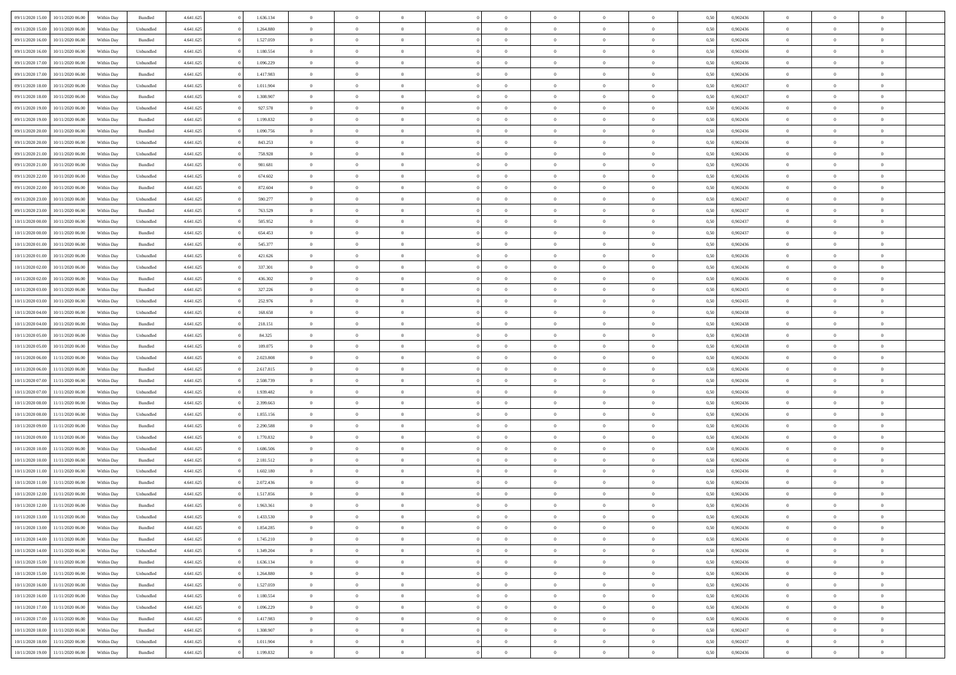| 09/11/2020 15:00<br>10/11/2020 06:00 | Within Day | Bundled   | 4.641.625 | 1.636.134 | $\overline{0}$ | $\overline{0}$ | $\Omega$       | $\Omega$       | $\Omega$       |                | $\overline{0}$ | 0,50 | 0,902436 | $\mathbf{0}$   | $\Omega$       | $\Omega$       |  |
|--------------------------------------|------------|-----------|-----------|-----------|----------------|----------------|----------------|----------------|----------------|----------------|----------------|------|----------|----------------|----------------|----------------|--|
| 09/11/2020 15:00<br>10/11/2020 06:00 | Within Day | Unbundled | 4.641.625 | 1.264.880 | $\bf{0}$       | $\overline{0}$ | $\theta$       | $\theta$       | $\overline{0}$ | $\overline{0}$ | $\,$ 0         | 0,50 | 0,902436 | $\mathbf{0}$   | $\theta$       | $\bf{0}$       |  |
| 09/11/2020 16:00<br>10/11/2020 06.00 | Within Day | Bundled   | 4.641.625 | 1.527.059 | $\overline{0}$ | $\overline{0}$ | $\overline{0}$ | $\bf{0}$       | $\bf{0}$       | $\overline{0}$ | $\mathbf{0}$   | 0,50 | 0,902436 | $\bf{0}$       | $\bf{0}$       | $\bf{0}$       |  |
| 09/11/2020 16:00<br>10/11/2020 06:00 | Within Day | Unbundled | 4.641.625 | 1.180.554 | $\overline{0}$ | $\overline{0}$ | $\overline{0}$ | $\overline{0}$ | $\overline{0}$ | $\overline{0}$ | $\overline{0}$ | 0.50 | 0.902436 | $\mathbf{0}$   | $\overline{0}$ | $\bf{0}$       |  |
| 09/11/2020 17:00<br>10/11/2020 06:00 | Within Day | Unbundled | 4.641.625 | 1.096.229 | $\bf{0}$       | $\overline{0}$ | $\overline{0}$ | $\theta$       | $\overline{0}$ | $\overline{0}$ | $\bf{0}$       | 0,50 | 0,902436 | $\theta$       | $\theta$       | $\overline{0}$ |  |
| 09/11/2020 17.00<br>10/11/2020 06.00 | Within Day | Bundled   | 4.641.625 | 1.417.983 | $\overline{0}$ | $\overline{0}$ | $\overline{0}$ | $\bf{0}$       | $\overline{0}$ | $\overline{0}$ | $\overline{0}$ | 0,50 | 0,902436 | $\overline{0}$ | $\overline{0}$ | $\overline{0}$ |  |
| 09/11/2020 18:00<br>10/11/2020 06:00 | Within Day | Unbundled | 4.641.625 | 1.011.904 | $\overline{0}$ | $\overline{0}$ | $\overline{0}$ | $\overline{0}$ | $\overline{0}$ | $\overline{0}$ | $\overline{0}$ | 0.50 | 0,902437 | $\overline{0}$ | $\overline{0}$ | $\overline{0}$ |  |
|                                      |            |           |           |           |                |                |                |                |                |                |                |      |          |                |                |                |  |
| 09/11/2020 18:00<br>10/11/2020 06:00 | Within Day | Bundled   | 4.641.625 | 1.308.907 | $\bf{0}$       | $\overline{0}$ | $\overline{0}$ | $\theta$       | $\overline{0}$ | $\overline{0}$ | $\,$ 0         | 0,50 | 0,902437 | $\theta$       | $\theta$       | $\bf{0}$       |  |
| 09/11/2020 19:00<br>10/11/2020 06.00 | Within Day | Unbundled | 4.641.625 | 927.578   | $\overline{0}$ | $\overline{0}$ | $\bf{0}$       | $\bf{0}$       | $\bf{0}$       | $\overline{0}$ | $\mathbf{0}$   | 0,50 | 0,902436 | $\bf{0}$       | $\bf{0}$       | $\bf{0}$       |  |
| 09/11/2020 19:00<br>10/11/2020 06:00 | Within Day | Bundled   | 4.641.625 | 1.199.832 | $\overline{0}$ | $\overline{0}$ | $\overline{0}$ | $\overline{0}$ | $\overline{0}$ | $\overline{0}$ | $\overline{0}$ | 0.50 | 0,902436 | $\overline{0}$ | $\overline{0}$ | $\overline{0}$ |  |
| 09/11/2020 20:00<br>10/11/2020 06:00 | Within Day | Bundled   | 4.641.625 | 1.090.756 | $\bf{0}$       | $\overline{0}$ | $\overline{0}$ | $\overline{0}$ | $\overline{0}$ | $\overline{0}$ | $\,$ 0         | 0,50 | 0,902436 | $\mathbf{0}$   | $\theta$       | $\bf{0}$       |  |
| 09/11/2020 20.00<br>10/11/2020 06.00 | Within Day | Unbundled | 4.641.625 | 843.253   | $\overline{0}$ | $\overline{0}$ | $\overline{0}$ | $\bf{0}$       | $\bf{0}$       | $\overline{0}$ | $\mathbf{0}$   | 0,50 | 0,902436 | $\bf{0}$       | $\bf{0}$       | $\bf{0}$       |  |
| 09/11/2020 21:00<br>10/11/2020 06:00 | Within Day | Unbundled | 4.641.625 | 758.928   | $\overline{0}$ | $\overline{0}$ | $\overline{0}$ | $\overline{0}$ | $\overline{0}$ | $\overline{0}$ | $\overline{0}$ | 0.50 | 0.902436 | $\mathbf{0}$   | $\overline{0}$ | $\bf{0}$       |  |
| 09/11/2020 21.00<br>10/11/2020 06:00 | Within Day | Bundled   | 4.641.625 | 981.681   | $\bf{0}$       | $\overline{0}$ | $\overline{0}$ | $\theta$       | $\overline{0}$ | $\overline{0}$ | $\,$ 0         | 0,50 | 0,902436 | $\theta$       | $\theta$       | $\bf{0}$       |  |
| 09/11/2020 22.00<br>10/11/2020 06.00 | Within Day | Unbundled | 4.641.625 | 674.602   | $\overline{0}$ | $\overline{0}$ | $\overline{0}$ | $\bf{0}$       | $\overline{0}$ | $\overline{0}$ | $\overline{0}$ | 0,50 | 0,902436 | $\overline{0}$ | $\bf{0}$       | $\overline{0}$ |  |
| 09/11/2020 22.00<br>10/11/2020 06:00 | Within Day | Bundled   | 4.641.625 | 872.604   | $\overline{0}$ | $\overline{0}$ | $\overline{0}$ | $\overline{0}$ | $\overline{0}$ | $\overline{0}$ | $\overline{0}$ | 0.50 | 0,902436 | $\overline{0}$ | $\overline{0}$ | $\overline{0}$ |  |
| 09/11/2020 23.00<br>10/11/2020 06:00 | Within Day | Unbundled | 4.641.625 | 590.277   | $\bf{0}$       | $\overline{0}$ | $\overline{0}$ | $\overline{0}$ | $\overline{0}$ | $\overline{0}$ | $\bf{0}$       | 0,50 | 0,902437 | $\theta$       | $\theta$       | $\bf{0}$       |  |
|                                      |            |           |           |           |                |                |                |                |                |                |                |      |          |                |                |                |  |
| 09/11/2020 23.00<br>10/11/2020 06.00 | Within Day | Bundled   | 4.641.625 | 763.529   | $\overline{0}$ | $\overline{0}$ | $\bf{0}$       | $\bf{0}$       | $\bf{0}$       | $\overline{0}$ | $\mathbf{0}$   | 0,50 | 0,902437 | $\bf{0}$       | $\bf{0}$       | $\bf{0}$       |  |
| 10/11/2020 00:00<br>10/11/2020 06:00 | Within Day | Unbundled | 4.641.625 | 505.952   | $\overline{0}$ | $\overline{0}$ | $\overline{0}$ | $\overline{0}$ | $\overline{0}$ | $\overline{0}$ | $\overline{0}$ | 0.50 | 0,902437 | $\overline{0}$ | $\overline{0}$ | $\overline{0}$ |  |
| 10/11/2020 00:00<br>10/11/2020 06:00 | Within Day | Bundled   | 4.641.625 | 654.453   | $\bf{0}$       | $\overline{0}$ | $\overline{0}$ | $\overline{0}$ | $\overline{0}$ | $\overline{0}$ | $\,$ 0         | 0,50 | 0,902437 | $\theta$       | $\theta$       | $\bf{0}$       |  |
| 10/11/2020 01:00<br>10/11/2020 06.00 | Within Day | Bundled   | 4.641.625 | 545.377   | $\overline{0}$ | $\overline{0}$ | $\overline{0}$ | $\bf{0}$       | $\bf{0}$       | $\overline{0}$ | $\mathbf{0}$   | 0,50 | 0,902436 | $\bf{0}$       | $\bf{0}$       | $\bf{0}$       |  |
| 10/11/2020 01:00<br>10/11/2020 06:00 | Within Day | Unbundled | 4.641.625 | 421.626   | $\overline{0}$ | $\overline{0}$ | $\overline{0}$ | $\overline{0}$ | $\overline{0}$ | $\overline{0}$ | $\overline{0}$ | 0.50 | 0.902436 | $\overline{0}$ | $\overline{0}$ | $\bf{0}$       |  |
| 10/11/2020 02:00<br>10/11/2020 06:00 | Within Day | Unbundled | 4.641.625 | 337.301   | $\bf{0}$       | $\overline{0}$ | $\overline{0}$ | $\overline{0}$ | $\overline{0}$ | $\overline{0}$ | $\,$ 0         | 0,50 | 0,902436 | $\mathbf{0}$   | $\theta$       | $\bf{0}$       |  |
| 10/11/2020 02:00<br>10/11/2020 06.00 | Within Day | Bundled   | 4.641.625 | 436.302   | $\overline{0}$ | $\overline{0}$ | $\overline{0}$ | $\bf{0}$       | $\overline{0}$ | $\overline{0}$ | $\overline{0}$ | 0,50 | 0,902436 | $\overline{0}$ | $\overline{0}$ | $\overline{0}$ |  |
| 10/11/2020 03:00<br>10/11/2020 06:00 | Within Day | Bundled   | 4.641.625 | 327.226   | $\overline{0}$ | $\overline{0}$ | $\overline{0}$ | $\overline{0}$ | $\overline{0}$ | $\overline{0}$ | $\overline{0}$ | 0.50 | 0,902435 | $\overline{0}$ | $\overline{0}$ | $\overline{0}$ |  |
| 10/11/2020 03:00<br>10/11/2020 06:00 | Within Day | Unbundled | 4.641.625 | 252.976   | $\bf{0}$       | $\overline{0}$ | $\bf{0}$       | $\overline{0}$ | $\overline{0}$ | $\overline{0}$ | $\bf{0}$       | 0,50 | 0,902435 | $\theta$       | $\theta$       | $\bf{0}$       |  |
| 10/11/2020 04:00<br>10/11/2020 06.00 | Within Day | Unbundled | 4.641.625 | 168.650   | $\overline{0}$ | $\overline{0}$ | $\bf{0}$       | $\bf{0}$       | $\bf{0}$       | $\overline{0}$ | $\mathbf{0}$   | 0,50 | 0,902438 | $\bf{0}$       | $\bf{0}$       | $\bf{0}$       |  |
| 10/11/2020 04:00<br>10/11/2020 06:00 |            | Bundled   | 4.641.625 | 218.151   | $\overline{0}$ | $\overline{0}$ | $\overline{0}$ | $\overline{0}$ | $\overline{0}$ | $\overline{0}$ | $\overline{0}$ | 0.50 | 0,902438 | $\overline{0}$ | $\overline{0}$ | $\overline{0}$ |  |
|                                      | Within Day |           |           |           |                |                |                |                |                |                |                |      |          |                |                |                |  |
| 10/11/2020 05:00<br>10/11/2020 06:00 | Within Day | Unbundled | 4.641.625 | 84.325    | $\bf{0}$       | $\overline{0}$ | $\overline{0}$ | $\overline{0}$ | $\overline{0}$ | $\overline{0}$ | $\,$ 0         | 0,50 | 0,902438 | $\,$ 0 $\,$    | $\theta$       | $\bf{0}$       |  |
| 10/11/2020 05:00<br>10/11/2020 06.00 | Within Day | Bundled   | 4.641.625 | 109.075   | $\overline{0}$ | $\overline{0}$ | $\overline{0}$ | $\bf{0}$       | $\bf{0}$       | $\overline{0}$ | $\mathbf{0}$   | 0,50 | 0,902438 | $\overline{0}$ | $\bf{0}$       | $\bf{0}$       |  |
| 10/11/2020 06:00<br>11/11/2020 06.00 | Within Day | Unbundled | 4.641.625 | 2.023.808 | $\overline{0}$ | $\overline{0}$ | $\overline{0}$ | $\overline{0}$ | $\overline{0}$ | $\Omega$       | $\overline{0}$ | 0.50 | 0.902436 | $\bf{0}$       | $\Omega$       | $\Omega$       |  |
| 10/11/2020 06:00<br>11/11/2020 06.00 | Within Day | Bundled   | 4.641.625 | 2.617.815 | $\bf{0}$       | $\overline{0}$ | $\overline{0}$ | $\theta$       | $\overline{0}$ | $\overline{0}$ | $\,$ 0         | 0,50 | 0,902436 | $\theta$       | $\theta$       | $\bf{0}$       |  |
| 10/11/2020 07:00<br>11/11/2020 06.00 | Within Day | Bundled   | 4.641.625 | 2.508.739 | $\overline{0}$ | $\overline{0}$ | $\overline{0}$ | $\bf{0}$       | $\overline{0}$ | $\overline{0}$ | $\overline{0}$ | 0,50 | 0,902436 | $\overline{0}$ | $\overline{0}$ | $\overline{0}$ |  |
| 10/11/2020 07:00<br>11/11/2020 06.00 | Within Day | Unbundled | 4.641.625 | 1.939.482 | $\overline{0}$ | $\overline{0}$ | $\overline{0}$ | $\overline{0}$ | $\overline{0}$ | $\Omega$       | $\overline{0}$ | 0.50 | 0.902436 | $\overline{0}$ | $\Omega$       | $\Omega$       |  |
| 10/11/2020 08:00<br>11/11/2020 06:00 | Within Day | Bundled   | 4.641.625 | 2.399.663 | $\bf{0}$       | $\overline{0}$ | $\bf{0}$       | $\overline{0}$ | $\overline{0}$ | $\overline{0}$ | $\bf{0}$       | 0,50 | 0,902436 | $\theta$       | $\theta$       | $\bf{0}$       |  |
| 10/11/2020 08:00<br>11/11/2020 06.00 | Within Day | Unbundled | 4.641.625 | 1.855.156 | $\overline{0}$ | $\overline{0}$ | $\bf{0}$       | $\bf{0}$       | $\bf{0}$       | $\overline{0}$ | $\bf{0}$       | 0,50 | 0,902436 | $\bf{0}$       | $\bf{0}$       | $\bf{0}$       |  |
| 10/11/2020 09:00<br>11/11/2020 06.00 | Within Day | Bundled   | 4.641.625 | 2.290.588 | $\overline{0}$ | $\overline{0}$ | $\Omega$       | $\overline{0}$ | $\overline{0}$ | $\Omega$       | $\theta$       | 0.50 | 0.902436 | $\overline{0}$ | $\Omega$       | $\Omega$       |  |
| 10/11/2020 09:00<br>11/11/2020 06.00 | Within Day | Unbundled | 4.641.625 | 1.770.832 | $\bf{0}$       | $\overline{0}$ | $\bf{0}$       | $\overline{0}$ | $\overline{0}$ | $\overline{0}$ | $\,$ 0         | 0,50 | 0,902436 | $\,$ 0 $\,$    | $\theta$       | $\bf{0}$       |  |
| 10/11/2020 10:00<br>11/11/2020 06.00 | Within Day | Unbundled | 4.641.625 | 1.686.506 | $\overline{0}$ | $\overline{0}$ | $\overline{0}$ | $\bf{0}$       | $\bf{0}$       | $\overline{0}$ | $\mathbf{0}$   | 0,50 | 0,902436 | $\overline{0}$ | $\bf{0}$       | $\bf{0}$       |  |
|                                      |            |           |           |           |                |                |                |                |                |                |                |      |          |                |                |                |  |
| 10/11/2020 10:00<br>11/11/2020 06.00 | Within Day | Bundled   | 4.641.625 | 2.181.512 | $\overline{0}$ | $\overline{0}$ | $\overline{0}$ | $\overline{0}$ | $\bf{0}$       | $\Omega$       | $\overline{0}$ | 0.50 | 0,902436 | $\overline{0}$ | $\theta$       | $\Omega$       |  |
| 10/11/2020 11:00<br>11/11/2020 06:00 | Within Day | Unbundled | 4.641.625 | 1.602.180 | $\bf{0}$       | $\overline{0}$ | $\bf{0}$       | $\overline{0}$ | $\bf{0}$       | $\overline{0}$ | $\,$ 0         | 0,50 | 0,902436 | $\,$ 0 $\,$    | $\theta$       | $\bf{0}$       |  |
| 10/11/2020 11:00<br>11/11/2020 06.00 | Within Day | Bundled   | 4.641.625 | 2.072.436 | $\overline{0}$ | $\overline{0}$ | $\bf{0}$       | $\bf{0}$       | $\overline{0}$ | $\overline{0}$ | $\overline{0}$ | 0,50 | 0,902436 | $\overline{0}$ | $\bf{0}$       | $\bf{0}$       |  |
| 10/11/2020 12:00<br>11/11/2020 06.00 | Within Day | Unbundled | 4.641.625 | 1.517.856 | $\overline{0}$ | $\theta$       | $\Omega$       | $\overline{0}$ | $\overline{0}$ | $\Omega$       | $\overline{0}$ | 0.50 | 0.902436 | $\bf{0}$       | $\Omega$       | $\Omega$       |  |
| 10/11/2020 12:00<br>11/11/2020 06:00 | Within Day | Bundled   | 4.641.625 | 1.963.361 | $\bf{0}$       | $\overline{0}$ | $\bf{0}$       | $\bf{0}$       | $\bf{0}$       | $\overline{0}$ | $\,$ 0 $\,$    | 0,50 | 0,902436 | $\bf{0}$       | $\,$ 0         | $\,$ 0         |  |
| 10/11/2020 13:00 11/11/2020 06:00    | Within Day | Unbundled | 4.641.625 | 1.433.530 | $\bf{0}$       | $\bf{0}$       |                | $\bf{0}$       |                |                | $\bf{0}$       | 0,50 | 0,902436 | $\bf{0}$       | $\bf{0}$       |                |  |
| 10/11/2020 13:00 11/11/2020 06:00    | Within Day | Bundled   | 4.641.625 | 1.854.285 | $\overline{0}$ | $\overline{0}$ | $\theta$       | $\overline{0}$ | $\overline{0}$ | $\theta$       | $\mathbf{0}$   | 0,50 | 0.902436 | $\overline{0}$ | $\overline{0}$ | $\Omega$       |  |
| 10/11/2020 14:00<br>11/11/2020 06:00 | Within Day | Bundled   | 4.641.625 | 1.745.210 | $\overline{0}$ | $\overline{0}$ | $\overline{0}$ | $\bf{0}$       | $\overline{0}$ | $\overline{0}$ | $\mathbf{0}$   | 0,50 | 0,902436 | $\,$ 0 $\,$    | $\overline{0}$ | $\,$ 0 $\,$    |  |
| 10/11/2020 14:00<br>11/11/2020 06.00 | Within Day | Unbundled | 4.641.625 | 1.349.204 | $\overline{0}$ | $\overline{0}$ | $\overline{0}$ | $\bf{0}$       | $\overline{0}$ | $\overline{0}$ | $\overline{0}$ | 0,50 | 0,902436 | $\bf{0}$       | $\overline{0}$ | $\overline{0}$ |  |
| 10/11/2020 15:00<br>11/11/2020 06:00 | Within Day | Bundled   | 4.641.625 | 1.636.134 | $\overline{0}$ | $\overline{0}$ | $\overline{0}$ | $\overline{0}$ | $\bf{0}$       | $\overline{0}$ | $\bf{0}$       | 0,50 | 0,902436 | $\overline{0}$ | $\overline{0}$ | $\overline{0}$ |  |
| 10/11/2020 15:00<br>11/11/2020 06:00 | Within Day | Unbundled | 4.641.625 | 1.264.880 | $\overline{0}$ | $\overline{0}$ | $\overline{0}$ | $\overline{0}$ | $\overline{0}$ | $\overline{0}$ | $\,$ 0 $\,$    | 0,50 | 0,902436 | $\,$ 0 $\,$    | $\theta$       | $\bf{0}$       |  |
|                                      |            |           |           |           |                |                |                |                |                |                |                |      |          |                |                |                |  |
| 10/11/2020 16.00<br>11/11/2020 06.00 | Within Day | Bundled   | 4.641.625 | 1.527.059 | $\overline{0}$ | $\overline{0}$ | $\overline{0}$ | $\bf{0}$       | $\overline{0}$ | $\overline{0}$ | $\overline{0}$ | 0,50 | 0,902436 | $\bf{0}$       | $\overline{0}$ | $\overline{0}$ |  |
| 10/11/2020 16:00<br>11/11/2020 06.00 | Within Day | Unbundled | 4.641.625 | 1.180.554 | $\overline{0}$ | $\overline{0}$ | $\overline{0}$ | $\overline{0}$ | $\overline{0}$ | $\overline{0}$ | $\bf{0}$       | 0.50 | 0.902436 | $\overline{0}$ | $\overline{0}$ | $\overline{0}$ |  |
| 10/11/2020 17.00<br>11/11/2020 06:00 | Within Day | Unbundled | 4.641.625 | 1.096.229 | $\overline{0}$ | $\overline{0}$ | $\overline{0}$ | $\bf{0}$       | $\bf{0}$       | $\overline{0}$ | $\,$ 0 $\,$    | 0,50 | 0,902436 | $\,$ 0 $\,$    | $\theta$       | $\,$ 0         |  |
| 10/11/2020 17:00<br>11/11/2020 06.00 | Within Day | Bundled   | 4.641.625 | 1.417.983 | $\overline{0}$ | $\overline{0}$ | $\overline{0}$ | $\bf{0}$       | $\overline{0}$ | $\overline{0}$ | $\overline{0}$ | 0,50 | 0,902436 | $\overline{0}$ | $\bf{0}$       | $\overline{0}$ |  |
| 10/11/2020 18:00<br>11/11/2020 06:00 | Within Day | Bundled   | 4.641.625 | 1.308.907 | $\overline{0}$ | $\overline{0}$ | $\overline{0}$ | $\overline{0}$ | $\overline{0}$ | $\overline{0}$ | $\overline{0}$ | 0,50 | 0.902437 | $\overline{0}$ | $\overline{0}$ | $\overline{0}$ |  |
| 10/11/2020 18:00<br>11/11/2020 06:00 | Within Day | Unbundled | 4.641.625 | 1.011.904 | $\overline{0}$ | $\overline{0}$ | $\overline{0}$ | $\overline{0}$ | $\bf{0}$       | $\bf{0}$       | $\,$ 0 $\,$    | 0,50 | 0,902437 | $\,$ 0 $\,$    | $\,0\,$        | $\,$ 0         |  |
| 10/11/2020 19:00 11/11/2020 06:00    | Within Day | Bundled   | 4.641.625 | 1.199.832 | $\overline{0}$ | $\overline{0}$ | $\bf{0}$       | $\bf{0}$       | $\bf{0}$       | $\overline{0}$ | $\bf{0}$       | 0,50 | 0,902436 | $\bf{0}$       | $\bf{0}$       | $\bf{0}$       |  |
|                                      |            |           |           |           |                |                |                |                |                |                |                |      |          |                |                |                |  |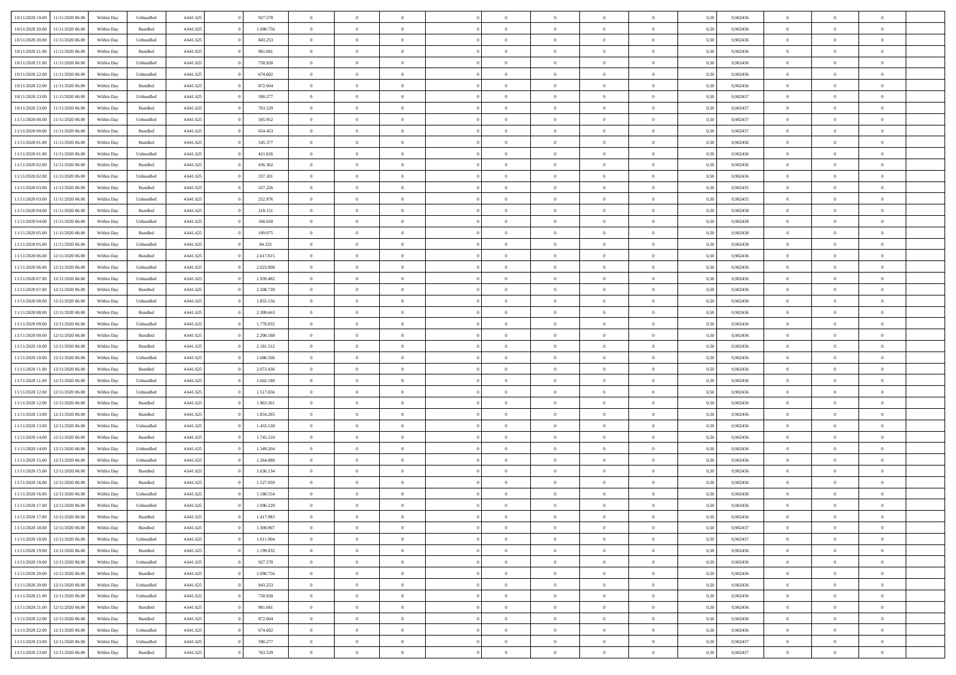| 10/11/2020 19:00 | 11/11/2020 06:00 | Within Dav | Unbundled          | 4.641.625 | 927.578   | $\overline{0}$ | $\theta$       | $\Omega$       | $\Omega$       | $\Omega$       | $\overline{0}$ | $\theta$       | 0,50 | 0,902436 | $\theta$       | $\overline{0}$ | $\overline{0}$ |  |
|------------------|------------------|------------|--------------------|-----------|-----------|----------------|----------------|----------------|----------------|----------------|----------------|----------------|------|----------|----------------|----------------|----------------|--|
|                  |                  |            |                    |           |           |                |                |                |                |                |                |                |      |          |                |                |                |  |
| 10/11/2020 20.00 | 11/11/2020 06.00 | Within Day | Bundled            | 4.641.625 | 1.090.756 | $\overline{0}$ | $\overline{0}$ | $\overline{0}$ | $\overline{0}$ | $\bf{0}$       | $\overline{0}$ | $\,$ 0 $\,$    | 0,50 | 0,902436 | $\theta$       | $\overline{0}$ | $\overline{0}$ |  |
| 10/11/2020 20:00 | 11/11/2020 06.00 | Within Day | Unbundled          | 4.641.625 | 843.253   | $\overline{0}$ | $\bf{0}$       | $\overline{0}$ | $\bf{0}$       | $\bf{0}$       | $\bf{0}$       | $\mathbf{0}$   | 0,50 | 0,902436 | $\bf{0}$       | $\overline{0}$ | $\bf{0}$       |  |
| 10/11/2020 21.00 | 11/11/2020 06:00 | Within Dav | Bundled            | 4.641.625 | 981.681   | $\overline{0}$ | $\overline{0}$ | $\overline{0}$ | $\overline{0}$ | $\bf{0}$       | $\overline{0}$ | $\overline{0}$ | 0.50 | 0,902436 | $\theta$       | $\theta$       | $\overline{0}$ |  |
| 10/11/2020 21.00 | 11/11/2020 06.00 | Within Day | Unbundled          | 4.641.625 | 758.928   | $\overline{0}$ | $\theta$       | $\overline{0}$ | $\overline{0}$ | $\bf{0}$       | $\overline{0}$ | $\bf{0}$       | 0,50 | 0,902436 | $\,$ 0 $\,$    | $\overline{0}$ | $\overline{0}$ |  |
| 10/11/2020 22.00 | 11/11/2020 06.00 | Within Day | Unbundled          | 4.641.625 | 674.602   | $\overline{0}$ | $\overline{0}$ | $\overline{0}$ | $\bf{0}$       | $\overline{0}$ | $\overline{0}$ | $\mathbf{0}$   | 0,50 | 0,902436 | $\overline{0}$ | $\overline{0}$ | $\bf{0}$       |  |
| 10/11/2020 22.00 | 11/11/2020 06.00 | Within Dav | Bundled            | 4.641.625 | 872.604   | $\overline{0}$ | $\overline{0}$ | $\overline{0}$ | $\overline{0}$ | $\overline{0}$ | $\overline{0}$ | $\overline{0}$ | 0.50 | 0,902436 | $\theta$       | $\overline{0}$ | $\overline{0}$ |  |
|                  |                  |            |                    |           |           |                |                |                |                |                |                |                |      |          |                |                |                |  |
| 10/11/2020 23.00 | 11/11/2020 06.00 | Within Day | Unbundled          | 4.641.625 | 590.277   | $\overline{0}$ | $\theta$       | $\overline{0}$ | $\overline{0}$ | $\bf{0}$       | $\overline{0}$ | $\bf{0}$       | 0,50 | 0,902437 | $\theta$       | $\theta$       | $\overline{0}$ |  |
| 10/11/2020 23:00 | 11/11/2020 06.00 | Within Day | Bundled            | 4.641.625 | 763.529   | $\overline{0}$ | $\overline{0}$ | $\overline{0}$ | $\bf{0}$       | $\bf{0}$       | $\bf{0}$       | $\mathbf{0}$   | 0,50 | 0,902437 | $\,0\,$        | $\overline{0}$ | $\overline{0}$ |  |
| 11/11/2020 00:00 | 11/11/2020 06.00 | Within Dav | Unbundled          | 4.641.625 | 505.952   | $\overline{0}$ | $\overline{0}$ | $\overline{0}$ | $\overline{0}$ | $\overline{0}$ | $\overline{0}$ | $\overline{0}$ | 0.50 | 0,902437 | $\theta$       | $\overline{0}$ | $\overline{0}$ |  |
| 11/11/2020 00:00 | 11/11/2020 06.00 | Within Day | Bundled            | 4.641.625 | 654.453   | $\overline{0}$ | $\theta$       | $\overline{0}$ | $\overline{0}$ | $\bf{0}$       | $\overline{0}$ | $\bf{0}$       | 0,50 | 0,902437 | $\,$ 0 $\,$    | $\overline{0}$ | $\overline{0}$ |  |
| 11/11/2020 01.00 | 11/11/2020 06.00 | Within Day | Bundled            | 4.641.625 | 545.377   | $\overline{0}$ | $\bf{0}$       | $\overline{0}$ | $\bf{0}$       | $\bf{0}$       | $\bf{0}$       | $\mathbf{0}$   | 0,50 | 0,902436 | $\overline{0}$ | $\overline{0}$ | $\bf{0}$       |  |
| 11/11/2020 01:00 | 11/11/2020 06:00 | Within Day | Unbundled          | 4.641.625 | 421.626   | $\overline{0}$ | $\overline{0}$ | $\overline{0}$ | $\overline{0}$ | $\bf{0}$       | $\overline{0}$ | $\overline{0}$ | 0.50 | 0,902436 | $\theta$       | $\theta$       | $\overline{0}$ |  |
| 11/11/2020 02.00 | 11/11/2020 06.00 | Within Day | Bundled            | 4.641.625 | 436.302   | $\overline{0}$ | $\theta$       | $\overline{0}$ | $\overline{0}$ | $\bf{0}$       | $\overline{0}$ | $\bf{0}$       | 0,50 | 0,902436 | $\theta$       | $\overline{0}$ | $\overline{0}$ |  |
|                  |                  |            |                    |           |           |                |                |                |                |                |                |                |      |          |                |                |                |  |
| 11/11/2020 02:00 | 11/11/2020 06.00 | Within Day | Unbundled          | 4.641.625 | 337.301   | $\overline{0}$ | $\overline{0}$ | $\overline{0}$ | $\bf{0}$       | $\overline{0}$ | $\overline{0}$ | $\mathbf{0}$   | 0,50 | 0,902436 | $\overline{0}$ | $\overline{0}$ | $\bf{0}$       |  |
| 11/11/2020 03:00 | 11/11/2020 06.00 | Within Dav | Bundled            | 4.641.625 | 327.226   | $\overline{0}$ | $\overline{0}$ | $\overline{0}$ | $\overline{0}$ | $\overline{0}$ | $\overline{0}$ | $\overline{0}$ | 0.50 | 0,902435 | $\theta$       | $\overline{0}$ | $\overline{0}$ |  |
| 11/11/2020 03.00 | 11/11/2020 06.00 | Within Day | Unbundled          | 4.641.625 | 252.976   | $\overline{0}$ | $\theta$       | $\overline{0}$ | $\overline{0}$ | $\bf{0}$       | $\overline{0}$ | $\bf{0}$       | 0,50 | 0,902435 | $\,$ 0 $\,$    | $\overline{0}$ | $\overline{0}$ |  |
| 11/11/2020 04:00 | 11/11/2020 06.00 | Within Day | Bundled            | 4.641.625 | 218.151   | $\overline{0}$ | $\overline{0}$ | $\overline{0}$ | $\bf{0}$       | $\bf{0}$       | $\bf{0}$       | $\mathbf{0}$   | 0,50 | 0,902438 | $\bf{0}$       | $\overline{0}$ | $\bf{0}$       |  |
| 11/11/2020 04:00 | 11/11/2020 06.00 | Within Day | Unbundled          | 4.641.625 | 168.650   | $\overline{0}$ | $\overline{0}$ | $\overline{0}$ | $\overline{0}$ | $\overline{0}$ | $\overline{0}$ | $\overline{0}$ | 0.50 | 0,902438 | $\theta$       | $\overline{0}$ | $\overline{0}$ |  |
| 11/11/2020 05:00 | 11/11/2020 06.00 | Within Day | Bundled            | 4.641.625 | 109.075   | $\overline{0}$ | $\theta$       | $\overline{0}$ | $\overline{0}$ | $\bf{0}$       | $\overline{0}$ | $\bf{0}$       | 0,50 | 0,902438 | $\,$ 0 $\,$    | $\overline{0}$ | $\overline{0}$ |  |
| 11/11/2020 05.00 | 11/11/2020 06.00 | Within Day | Unbundled          | 4.641.625 | 84.325    | $\overline{0}$ | $\overline{0}$ | $\overline{0}$ | $\bf{0}$       | $\bf{0}$       | $\bf{0}$       | $\mathbf{0}$   | 0,50 | 0,902438 | $\overline{0}$ | $\overline{0}$ | $\bf{0}$       |  |
|                  |                  |            |                    |           |           |                |                |                |                |                |                |                |      |          | $\theta$       |                |                |  |
| 11/11/2020 06.00 | 12/11/2020 06:00 | Within Day | Bundled            | 4.641.625 | 2.617.815 | $\overline{0}$ | $\overline{0}$ | $\overline{0}$ | $\overline{0}$ | $\overline{0}$ | $\overline{0}$ | $\overline{0}$ | 0.50 | 0,902436 |                | $\overline{0}$ | $\overline{0}$ |  |
| 11/11/2020 06.00 | 12/11/2020 06.00 | Within Day | Unbundled          | 4.641.625 | 2.023.808 | $\overline{0}$ | $\theta$       | $\overline{0}$ | $\overline{0}$ | $\bf{0}$       | $\overline{0}$ | $\,$ 0 $\,$    | 0,50 | 0,902436 | $\,$ 0 $\,$    | $\overline{0}$ | $\overline{0}$ |  |
| 11/11/2020 07.00 | 12/11/2020 06.00 | Within Day | Unbundled          | 4.641.625 | 1.939.482 | $\overline{0}$ | $\overline{0}$ | $\overline{0}$ | $\bf{0}$       | $\overline{0}$ | $\overline{0}$ | $\mathbf{0}$   | 0,50 | 0,902436 | $\overline{0}$ | $\overline{0}$ | $\bf{0}$       |  |
| 11/11/2020 07.00 | 12/11/2020 06.00 | Within Dav | Bundled            | 4.641.625 | 2.508.739 | $\overline{0}$ | $\overline{0}$ | $\overline{0}$ | $\overline{0}$ | $\overline{0}$ | $\overline{0}$ | $\overline{0}$ | 0.50 | 0,902436 | $\overline{0}$ | $\overline{0}$ | $\overline{0}$ |  |
| 11/11/2020 08:00 | 12/11/2020 06.00 | Within Day | Unbundled          | 4.641.625 | 1.855.156 | $\overline{0}$ | $\theta$       | $\overline{0}$ | $\overline{0}$ | $\bf{0}$       | $\overline{0}$ | $\bf{0}$       | 0,50 | 0,902436 | $\,$ 0 $\,$    | $\theta$       | $\overline{0}$ |  |
| 11/11/2020 08:00 | 12/11/2020 06.00 | Within Day | Bundled            | 4.641.625 | 2.399.663 | $\overline{0}$ | $\overline{0}$ | $\overline{0}$ | $\bf{0}$       | $\bf{0}$       | $\bf{0}$       | $\mathbf{0}$   | 0,50 | 0,902436 | $\,0\,$        | $\overline{0}$ | $\overline{0}$ |  |
| 11/11/2020 09:00 | 12/11/2020 06.00 | Within Day | Unbundled          | 4.641.625 | 1.770.832 | $\overline{0}$ | $\overline{0}$ | $\overline{0}$ | $\overline{0}$ | $\overline{0}$ | $\overline{0}$ | $\overline{0}$ | 0.50 | 0,902436 | $\theta$       | $\overline{0}$ | $\overline{0}$ |  |
|                  |                  |            |                    |           |           |                |                |                |                |                |                |                |      |          |                |                |                |  |
| 11/11/2020 09:00 | 12/11/2020 06.00 | Within Day | Bundled            | 4.641.625 | 2.290.588 | $\overline{0}$ | $\theta$       | $\overline{0}$ | $\overline{0}$ | $\,$ 0         | $\overline{0}$ | $\bf{0}$       | 0,50 | 0,902436 | $\,$ 0 $\,$    | $\overline{0}$ | $\overline{0}$ |  |
| 11/11/2020 10.00 | 12/11/2020 06.00 | Within Day | Bundled            | 4.641.625 | 2.181.512 | $\overline{0}$ | $\overline{0}$ | $\overline{0}$ | $\bf{0}$       | $\bf{0}$       | $\bf{0}$       | $\bf{0}$       | 0,50 | 0,902436 | $\overline{0}$ | $\overline{0}$ | $\bf{0}$       |  |
| 11/11/2020 10:00 | 12/11/2020 06.00 | Within Day | Unbundled          | 4.641.625 | 1.686.506 | $\overline{0}$ | $\Omega$       | $\overline{0}$ | $\Omega$       | $\Omega$       | $\overline{0}$ | $\overline{0}$ | 0,50 | 0.902436 | $\,0\,$        | $\theta$       | $\theta$       |  |
| 11/11/2020 11:00 | 12/11/2020 06.00 | Within Day | Bundled            | 4.641.625 | 2.072.436 | $\overline{0}$ | $\theta$       | $\overline{0}$ | $\overline{0}$ | $\bf{0}$       | $\overline{0}$ | $\bf{0}$       | 0,50 | 0,902436 | $\,$ 0 $\,$    | $\overline{0}$ | $\overline{0}$ |  |
| 11/11/2020 11:00 | 12/11/2020 06.00 | Within Day | Unbundled          | 4.641.625 | 1.602.180 | $\overline{0}$ | $\overline{0}$ | $\overline{0}$ | $\bf{0}$       | $\overline{0}$ | $\overline{0}$ | $\mathbf{0}$   | 0,50 | 0,902436 | $\overline{0}$ | $\overline{0}$ | $\bf{0}$       |  |
| 11/11/2020 12:00 | 12/11/2020 06.00 | Within Day | Unbundled          | 4.641.625 | 1.517.856 | $\overline{0}$ | $\Omega$       | $\Omega$       | $\Omega$       | $\overline{0}$ | $\overline{0}$ | $\overline{0}$ | 0.50 | 0.902436 | $\,0\,$        | $\theta$       | $\theta$       |  |
| 11/11/2020 12:00 | 12/11/2020 06.00 | Within Day | Bundled            | 4.641.625 | 1.963.361 | $\overline{0}$ | $\theta$       | $\overline{0}$ | $\overline{0}$ | $\bf{0}$       | $\overline{0}$ | $\bf{0}$       | 0,50 | 0,902436 | $\,$ 0 $\,$    | $\overline{0}$ | $\overline{0}$ |  |
| 11/11/2020 13:00 | 12/11/2020 06.00 | Within Day | Bundled            | 4.641.625 | 1.854.285 | $\overline{0}$ | $\overline{0}$ | $\overline{0}$ | $\bf{0}$       | $\bf{0}$       | $\bf{0}$       | $\mathbf{0}$   | 0,50 | 0,902436 | $\bf{0}$       | $\overline{0}$ | $\bf{0}$       |  |
|                  |                  |            |                    |           |           |                | $\Omega$       |                |                |                |                |                |      |          |                |                | $\theta$       |  |
| 11/11/2020 13:00 | 12/11/2020 06.00 | Within Day | Unbundled          | 4.641.625 | 1.433.530 | $\overline{0}$ |                | $\overline{0}$ | $\Omega$       | $\overline{0}$ | $\overline{0}$ | $\overline{0}$ | 0.50 | 0.902436 | $\,$ 0 $\,$    | $\theta$       |                |  |
| 11/11/2020 14:00 | 12/11/2020 06.00 | Within Day | Bundled            | 4.641.625 | 1.745.210 | $\overline{0}$ | $\,$ 0         | $\overline{0}$ | $\overline{0}$ | $\,$ 0         | $\overline{0}$ | $\bf{0}$       | 0,50 | 0,902436 | $\,$ 0 $\,$    | $\overline{0}$ | $\overline{0}$ |  |
| 11/11/2020 14:00 | 12/11/2020 06.00 | Within Day | Unbundled          | 4.641.625 | 1.349.204 | $\overline{0}$ | $\bf{0}$       | $\overline{0}$ | $\bf{0}$       | $\bf{0}$       | $\bf{0}$       | $\mathbf{0}$   | 0,50 | 0,902436 | $\bf{0}$       | $\overline{0}$ | $\bf{0}$       |  |
| 11/11/2020 15:00 | 12/11/2020 06.00 | Within Day | Unbundled          | 4.641.625 | 1.264.880 | $\overline{0}$ | $\Omega$       | $\overline{0}$ | $\Omega$       | $\bf{0}$       | $\overline{0}$ | $\overline{0}$ | 0,50 | 0,902436 | $\,0\,$        | $\theta$       | $\theta$       |  |
| 11/11/2020 15:00 | 12/11/2020 06.00 | Within Day | Bundled            | 4.641.625 | 1.636.134 | $\overline{0}$ | $\overline{0}$ | $\overline{0}$ | $\overline{0}$ | $\,$ 0         | $\overline{0}$ | $\bf{0}$       | 0,50 | 0,902436 | $\,$ 0 $\,$    | $\overline{0}$ | $\overline{0}$ |  |
| 11/11/2020 16:00 | 12/11/2020 06.00 | Within Day | Bundled            | 4.641.625 | 1.527.059 | $\overline{0}$ | $\overline{0}$ | $\overline{0}$ | $\bf{0}$       | $\bf{0}$       | $\overline{0}$ | $\mathbf{0}$   | 0,50 | 0,902436 | $\bf{0}$       | $\overline{0}$ | $\bf{0}$       |  |
| 11/11/2020 16:00 | 12/11/2020 06.00 | Within Day | Unbundled          | 4.641.625 | 1.180.554 | $\overline{0}$ | $\Omega$       | $\Omega$       | $\Omega$       | $\Omega$       | $\overline{0}$ | $\overline{0}$ | 0.50 | 0.902436 | $\theta$       | $\theta$       | $\theta$       |  |
| 11/11/2020 17.00 | 12/11/2020 06.00 | Within Day | Unbundled          | 4.641.625 | 1.096.229 | $\overline{0}$ | $\overline{0}$ | $\overline{0}$ | $\bf{0}$       | $\,$ 0         | $\bf{0}$       | $\bf{0}$       | 0,50 | 0,902436 | $\,0\,$        | $\,0\,$        | $\overline{0}$ |  |
| 11/11/2020 17:00 | 12/11/2020 06.00 | Within Day | $\mathbf B$ undled | 4.641.625 | 1.417.983 | $\bf{0}$       | $\bf{0}$       |                |                | $\bf{0}$       |                |                | 0,50 | 0,902436 | $\bf{0}$       | $\overline{0}$ |                |  |
|                  |                  |            |                    |           |           |                |                |                |                |                |                |                |      |          |                |                | $\theta$       |  |
| 11/11/2020 18:00 | 12/11/2020 06.00 | Within Day | Bundled            | 4.641.625 | 1.308.907 | $\overline{0}$ | $\overline{0}$ | $\overline{0}$ | $\Omega$       | $\overline{0}$ | $\overline{0}$ | $\overline{0}$ | 0,50 | 0.902437 | $\theta$       | $\theta$       |                |  |
| 11/11/2020 18:00 | 12/11/2020 06.00 | Within Day | Unbundled          | 4.641.625 | 1.011.904 | $\overline{0}$ | $\bf{0}$       | $\overline{0}$ | $\bf{0}$       | $\,$ 0 $\,$    | $\overline{0}$ | $\,$ 0 $\,$    | 0,50 | 0,902437 | $\,$ 0 $\,$    | $\,$ 0 $\,$    | $\,$ 0         |  |
| 11/11/2020 19.00 | 12/11/2020 06.00 | Within Day | Bundled            | 4.641.625 | 1.199.832 | $\overline{0}$ | $\overline{0}$ | $\overline{0}$ | $\overline{0}$ | $\overline{0}$ | $\overline{0}$ | $\mathbf{0}$   | 0,50 | 0,902436 | $\overline{0}$ | $\bf{0}$       | $\bf{0}$       |  |
| 11/11/2020 19:00 | 12/11/2020 06.00 | Within Day | Unbundled          | 4.641.625 | 927.578   | $\overline{0}$ | $\overline{0}$ | $\overline{0}$ | $\Omega$       | $\overline{0}$ | $\overline{0}$ | $\overline{0}$ | 0,50 | 0,902436 | $\overline{0}$ | $\overline{0}$ | $\overline{0}$ |  |
| 11/11/2020 20.00 | 12/11/2020 06.00 | Within Day | Bundled            | 4.641.625 | 1.090.756 | $\overline{0}$ | $\,$ 0         | $\overline{0}$ | $\overline{0}$ | $\,$ 0 $\,$    | $\overline{0}$ | $\mathbf{0}$   | 0,50 | 0,902436 | $\,$ 0 $\,$    | $\overline{0}$ | $\overline{0}$ |  |
| 11/11/2020 20.00 | 12/11/2020 06.00 | Within Day | Unbundled          | 4.641.625 | 843.253   | $\overline{0}$ | $\overline{0}$ | $\overline{0}$ | $\overline{0}$ | $\overline{0}$ | $\overline{0}$ | $\mathbf{0}$   | 0,50 | 0,902436 | $\overline{0}$ | $\bf{0}$       | $\bf{0}$       |  |
| 11/11/2020 21.00 | 12/11/2020 06.00 | Within Day | Unbundled          | 4.641.625 | 758.928   | $\overline{0}$ | $\overline{0}$ | $\overline{0}$ | $\overline{0}$ | $\overline{0}$ | $\overline{0}$ | $\bf{0}$       | 0.50 | 0,902436 | $\overline{0}$ | $\theta$       | $\overline{0}$ |  |
| 11/11/2020 21.00 | 12/11/2020 06.00 | Within Day | Bundled            | 4.641.625 | 981.681   | $\overline{0}$ | $\,$ 0         | $\overline{0}$ | $\bf{0}$       | $\bf{0}$       | $\bf{0}$       | $\bf{0}$       | 0,50 | 0,902436 | $\,$ 0 $\,$    | $\overline{0}$ | $\overline{0}$ |  |
|                  |                  |            |                    |           |           |                |                |                |                |                |                |                |      |          |                |                |                |  |
| 11/11/2020 22.00 | 12/11/2020 06.00 | Within Day | Bundled            | 4.641.625 | 872.604   | $\overline{0}$ | $\bf{0}$       | $\overline{0}$ | $\overline{0}$ | $\overline{0}$ | $\overline{0}$ | $\mathbf{0}$   | 0,50 | 0,902436 | $\overline{0}$ | $\overline{0}$ | $\bf{0}$       |  |
| 11/11/2020 22.00 | 12/11/2020 06.00 | Within Day | Unbundled          | 4.641.625 | 674.602   | $\overline{0}$ | $\overline{0}$ | $\overline{0}$ | $\Omega$       | $\overline{0}$ | $\overline{0}$ | $\overline{0}$ | 0,50 | 0.902436 | $\overline{0}$ | $\,0\,$        | $\overline{0}$ |  |
| 11/11/2020 23.00 | 12/11/2020 06.00 | Within Day | Unbundled          | 4.641.625 | 590.277   | $\overline{0}$ | $\bf{0}$       | $\overline{0}$ | $\bf{0}$       | $\bf{0}$       | $\bf{0}$       | $\mathbf{0}$   | 0,50 | 0,902437 | $\,$ 0 $\,$    | $\,$ 0 $\,$    | $\bf{0}$       |  |
| 11/11/2020 23:00 | 12/11/2020 06.00 | Within Day | Bundled            | 4.641.625 | 763.529   | $\overline{0}$ | $\overline{0}$ | $\overline{0}$ | $\overline{0}$ | $\overline{0}$ | $\bf{0}$       | $\mathbf{0}$   | 0,50 | 0,902437 | $\overline{0}$ | $\bf{0}$       | $\bf{0}$       |  |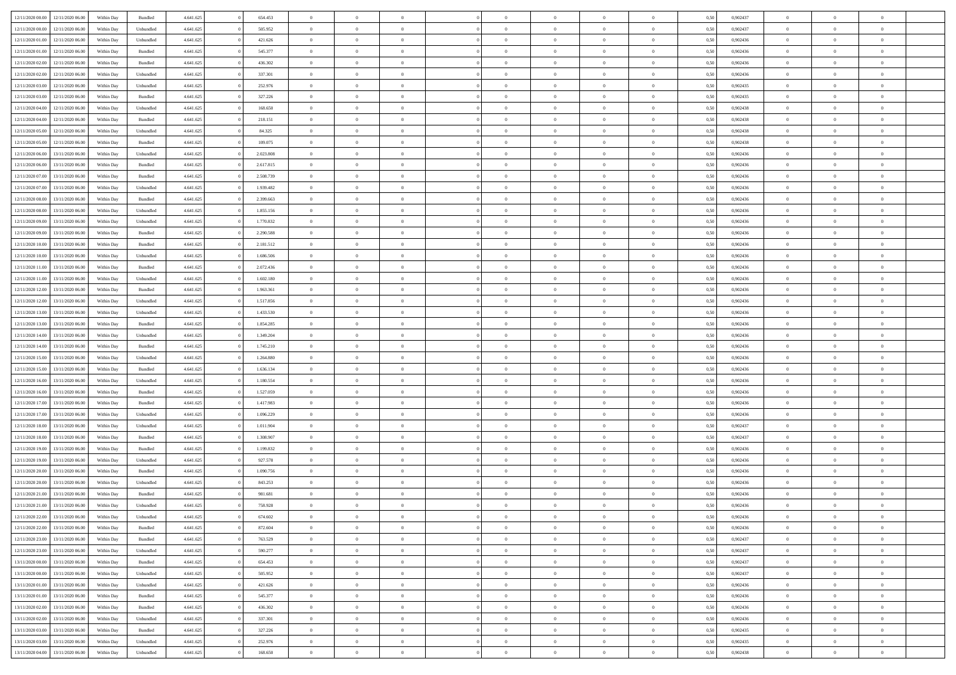|                  | 12/11/2020 06:00 | Within Day | Bundled            | 4.641.625 | 654.453   | $\overline{0}$ | $\theta$       | $\Omega$       | $\Omega$       | $\Omega$       | $\overline{0}$ | $\theta$       | 0.50 | 0,902437 | $\theta$       | $\theta$       | $\overline{0}$ |  |
|------------------|------------------|------------|--------------------|-----------|-----------|----------------|----------------|----------------|----------------|----------------|----------------|----------------|------|----------|----------------|----------------|----------------|--|
| 12/11/2020 00:00 |                  |            |                    |           |           |                |                |                |                |                |                |                |      |          |                |                |                |  |
| 12/11/2020 00:00 | 12/11/2020 06.00 | Within Day | Unbundled          | 4.641.625 | 505.952   | $\overline{0}$ | $\theta$       | $\overline{0}$ | $\overline{0}$ | $\bf{0}$       | $\overline{0}$ | $\bf{0}$       | 0,50 | 0,902437 | $\theta$       | $\overline{0}$ | $\overline{0}$ |  |
| 12/11/2020 01:00 | 12/11/2020 06.00 | Within Day | Unbundled          | 4.641.625 | 421.626   | $\overline{0}$ | $\bf{0}$       | $\overline{0}$ | $\bf{0}$       | $\bf{0}$       | $\bf{0}$       | $\mathbf{0}$   | 0,50 | 0,902436 | $\bf{0}$       | $\overline{0}$ | $\bf{0}$       |  |
| 12/11/2020 01:00 | 12/11/2020 06:00 | Within Dav | Bundled            | 4.641.625 | 545.377   | $\overline{0}$ | $\overline{0}$ | $\overline{0}$ | $\overline{0}$ | $\bf{0}$       | $\overline{0}$ | $\overline{0}$ | 0.50 | 0,902436 | $\theta$       | $\theta$       | $\overline{0}$ |  |
| 12/11/2020 02:00 | 12/11/2020 06.00 | Within Day | Bundled            | 4.641.625 | 436.302   | $\overline{0}$ | $\theta$       | $\overline{0}$ | $\overline{0}$ | $\bf{0}$       | $\overline{0}$ | $\bf{0}$       | 0,50 | 0,902436 | $\,$ 0 $\,$    | $\overline{0}$ | $\overline{0}$ |  |
|                  |                  |            |                    |           |           |                |                |                |                |                |                |                |      |          |                |                |                |  |
| 12/11/2020 02:00 | 12/11/2020 06.00 | Within Day | Unbundled          | 4.641.625 | 337.301   | $\overline{0}$ | $\overline{0}$ | $\overline{0}$ | $\bf{0}$       | $\overline{0}$ | $\overline{0}$ | $\mathbf{0}$   | 0,50 | 0,902436 | $\overline{0}$ | $\overline{0}$ | $\bf{0}$       |  |
| 12/11/2020 03:00 | 12/11/2020 06.00 | Within Dav | Unbundled          | 4.641.625 | 252.976   | $\overline{0}$ | $\overline{0}$ | $\overline{0}$ | $\overline{0}$ | $\overline{0}$ | $\overline{0}$ | $\overline{0}$ | 0.50 | 0,902435 | $\theta$       | $\overline{0}$ | $\overline{0}$ |  |
| 12/11/2020 03:00 | 12/11/2020 06.00 | Within Day | Bundled            | 4.641.625 | 327.226   | $\overline{0}$ | $\theta$       | $\overline{0}$ | $\overline{0}$ | $\bf{0}$       | $\overline{0}$ | $\bf{0}$       | 0,50 | 0,902435 | $\theta$       | $\theta$       | $\overline{0}$ |  |
| 12/11/2020 04:00 | 12/11/2020 06.00 | Within Day | Unbundled          | 4.641.625 | 168.650   | $\overline{0}$ | $\overline{0}$ | $\overline{0}$ | $\bf{0}$       | $\bf{0}$       | $\bf{0}$       | $\bf{0}$       | 0,50 | 0,902438 | $\,0\,$        | $\overline{0}$ | $\overline{0}$ |  |
| 12/11/2020 04:00 | 12/11/2020 06:00 | Within Dav | Bundled            | 4.641.625 | 218.151   | $\overline{0}$ | $\overline{0}$ | $\overline{0}$ | $\overline{0}$ | $\overline{0}$ | $\overline{0}$ | $\overline{0}$ | 0.50 | 0,902438 | $\theta$       | $\overline{0}$ | $\overline{0}$ |  |
| 12/11/2020 05:00 | 12/11/2020 06.00 | Within Day | Unbundled          | 4.641.625 | 84.325    | $\overline{0}$ | $\theta$       | $\overline{0}$ | $\overline{0}$ | $\bf{0}$       | $\overline{0}$ | $\bf{0}$       | 0,50 | 0,902438 | $\,$ 0 $\,$    | $\overline{0}$ | $\overline{0}$ |  |
| 12/11/2020 05.00 | 12/11/2020 06.00 | Within Day | Bundled            | 4.641.625 | 109.075   | $\overline{0}$ | $\overline{0}$ | $\overline{0}$ | $\bf{0}$       | $\bf{0}$       | $\bf{0}$       | $\mathbf{0}$   | 0,50 | 0,902438 | $\overline{0}$ | $\overline{0}$ | $\bf{0}$       |  |
|                  |                  |            |                    |           |           |                |                |                |                |                |                |                |      |          | $\theta$       |                |                |  |
| 12/11/2020 06:00 | 13/11/2020 06:00 | Within Day | Unbundled          | 4.641.625 | 2.023.808 | $\overline{0}$ | $\overline{0}$ | $\overline{0}$ | $\overline{0}$ | $\bf{0}$       | $\overline{0}$ | $\overline{0}$ | 0.50 | 0,902436 |                | $\theta$       | $\overline{0}$ |  |
| 12/11/2020 06:00 | 13/11/2020 06.00 | Within Day | Bundled            | 4.641.625 | 2.617.815 | $\overline{0}$ | $\theta$       | $\overline{0}$ | $\overline{0}$ | $\bf{0}$       | $\overline{0}$ | $\bf{0}$       | 0,50 | 0,902436 | $\theta$       | $\overline{0}$ | $\overline{0}$ |  |
| 12/11/2020 07:00 | 13/11/2020 06.00 | Within Day | Bundled            | 4.641.625 | 2.508.739 | $\overline{0}$ | $\overline{0}$ | $\overline{0}$ | $\bf{0}$       | $\overline{0}$ | $\overline{0}$ | $\mathbf{0}$   | 0,50 | 0,902436 | $\overline{0}$ | $\overline{0}$ | $\bf{0}$       |  |
| 12/11/2020 07.00 | 13/11/2020 06:00 | Within Dav | Unbundled          | 4.641.625 | 1.939.482 | $\overline{0}$ | $\overline{0}$ | $\overline{0}$ | $\overline{0}$ | $\overline{0}$ | $\overline{0}$ | $\overline{0}$ | 0.50 | 0,902436 | $\theta$       | $\overline{0}$ | $\overline{0}$ |  |
| 12/11/2020 08:00 | 13/11/2020 06.00 | Within Day | Bundled            | 4.641.625 | 2.399.663 | $\overline{0}$ | $\theta$       | $\overline{0}$ | $\overline{0}$ | $\bf{0}$       | $\overline{0}$ | $\bf{0}$       | 0,50 | 0,902436 | $\theta$       | $\theta$       | $\overline{0}$ |  |
| 12/11/2020 08:00 | 13/11/2020 06.00 | Within Day | Unbundled          | 4.641.625 | 1.855.156 | $\overline{0}$ | $\overline{0}$ | $\overline{0}$ | $\bf{0}$       | $\bf{0}$       | $\bf{0}$       | $\mathbf{0}$   | 0,50 | 0,902436 | $\bf{0}$       | $\overline{0}$ | $\overline{0}$ |  |
| 12/11/2020 09:00 | 13/11/2020 06.00 | Within Day | Unbundled          | 4.641.625 | 1.770.832 | $\overline{0}$ | $\overline{0}$ | $\overline{0}$ | $\overline{0}$ | $\overline{0}$ | $\overline{0}$ | $\overline{0}$ | 0.50 | 0,902436 | $\theta$       | $\overline{0}$ | $\overline{0}$ |  |
|                  |                  |            |                    |           |           |                |                |                |                |                |                |                |      |          |                |                |                |  |
| 12/11/2020 09:00 | 13/11/2020 06.00 | Within Day | Bundled            | 4.641.625 | 2.290.588 | $\overline{0}$ | $\theta$       | $\overline{0}$ | $\overline{0}$ | $\bf{0}$       | $\overline{0}$ | $\bf{0}$       | 0,50 | 0,902436 | $\,$ 0 $\,$    | $\overline{0}$ | $\overline{0}$ |  |
| 12/11/2020 10:00 | 13/11/2020 06.00 | Within Day | Bundled            | 4.641.625 | 2.181.512 | $\overline{0}$ | $\overline{0}$ | $\overline{0}$ | $\bf{0}$       | $\bf{0}$       | $\bf{0}$       | $\mathbf{0}$   | 0,50 | 0,902436 | $\bf{0}$       | $\overline{0}$ | $\bf{0}$       |  |
| 12/11/2020 10:00 | 13/11/2020 06:00 | Within Day | Unbundled          | 4.641.625 | 1.686.506 | $\overline{0}$ | $\overline{0}$ | $\overline{0}$ | $\overline{0}$ | $\overline{0}$ | $\overline{0}$ | $\overline{0}$ | 0.50 | 0,902436 | $\theta$       | $\overline{0}$ | $\overline{0}$ |  |
| 12/11/2020 11:00 | 13/11/2020 06.00 | Within Day | Bundled            | 4.641.625 | 2.072.436 | $\overline{0}$ | $\theta$       | $\overline{0}$ | $\overline{0}$ | $\bf{0}$       | $\overline{0}$ | $\bf{0}$       | 0,50 | 0,902436 | $\,$ 0 $\,$    | $\overline{0}$ | $\overline{0}$ |  |
| 12/11/2020 11:00 | 13/11/2020 06.00 | Within Day | Unbundled          | 4.641.625 | 1.602.180 | $\overline{0}$ | $\overline{0}$ | $\overline{0}$ | $\bf{0}$       | $\overline{0}$ | $\overline{0}$ | $\mathbf{0}$   | 0,50 | 0,902436 | $\bf{0}$       | $\overline{0}$ | $\bf{0}$       |  |
| 12/11/2020 12:00 | 13/11/2020 06:00 | Within Day | Bundled            | 4.641.625 | 1.963.361 | $\overline{0}$ | $\overline{0}$ | $\overline{0}$ | $\overline{0}$ | $\overline{0}$ | $\overline{0}$ | $\overline{0}$ | 0.50 | 0,902436 | $\theta$       | $\overline{0}$ | $\overline{0}$ |  |
| 12/11/2020 12:00 | 13/11/2020 06.00 |            |                    | 4.641.625 | 1.517.856 | $\overline{0}$ | $\theta$       | $\overline{0}$ | $\overline{0}$ | $\bf{0}$       | $\overline{0}$ |                |      | 0,902436 | $\,$ 0 $\,$    | $\theta$       | $\overline{0}$ |  |
|                  |                  | Within Day | Unbundled          |           |           |                |                |                |                |                |                | $\bf{0}$       | 0,50 |          |                |                |                |  |
| 12/11/2020 13:00 | 13/11/2020 06.00 | Within Day | Unbundled          | 4.641.625 | 1.433.530 | $\overline{0}$ | $\overline{0}$ | $\overline{0}$ | $\bf{0}$       | $\bf{0}$       | $\bf{0}$       | $\bf{0}$       | 0,50 | 0,902436 | $\,0\,$        | $\overline{0}$ | $\overline{0}$ |  |
| 12/11/2020 13:00 | 13/11/2020 06.00 | Within Day | Bundled            | 4.641.625 | 1.854.285 | $\overline{0}$ | $\overline{0}$ | $\overline{0}$ | $\overline{0}$ | $\overline{0}$ | $\overline{0}$ | $\overline{0}$ | 0.50 | 0,902436 | $\theta$       | $\overline{0}$ | $\overline{0}$ |  |
| 12/11/2020 14:00 | 13/11/2020 06.00 | Within Day | Unbundled          | 4.641.625 | 1.349.204 | $\overline{0}$ | $\theta$       | $\overline{0}$ | $\overline{0}$ | $\bf{0}$       | $\overline{0}$ | $\bf{0}$       | 0,50 | 0,902436 | $\,$ 0 $\,$    | $\overline{0}$ | $\overline{0}$ |  |
| 12/11/2020 14:00 | 13/11/2020 06.00 | Within Day | Bundled            | 4.641.625 | 1.745.210 | $\overline{0}$ | $\overline{0}$ | $\overline{0}$ | $\bf{0}$       | $\bf{0}$       | $\bf{0}$       | $\bf{0}$       | 0,50 | 0,902436 | $\overline{0}$ | $\overline{0}$ | $\bf{0}$       |  |
| 12/11/2020 15:00 | 13/11/2020 06.00 | Within Day | Unbundled          | 4.641.625 | 1.264.880 | $\overline{0}$ | $\Omega$       | $\overline{0}$ | $\Omega$       | $\Omega$       | $\overline{0}$ | $\overline{0}$ | 0,50 | 0.902436 | $\,0\,$        | $\theta$       | $\theta$       |  |
| 12/11/2020 15:00 | 13/11/2020 06.00 | Within Day | Bundled            | 4.641.625 | 1.636.134 | $\overline{0}$ | $\theta$       | $\overline{0}$ | $\overline{0}$ | $\bf{0}$       | $\overline{0}$ | $\bf{0}$       | 0,50 | 0,902436 | $\,$ 0 $\,$    | $\overline{0}$ | $\overline{0}$ |  |
|                  |                  |            |                    |           |           |                |                |                |                |                |                |                |      |          |                |                |                |  |
| 12/11/2020 16:00 | 13/11/2020 06.00 | Within Day | Unbundled          | 4.641.625 | 1.180.554 | $\overline{0}$ | $\overline{0}$ | $\overline{0}$ | $\bf{0}$       | $\overline{0}$ | $\overline{0}$ | $\mathbf{0}$   | 0,50 | 0,902436 | $\overline{0}$ | $\overline{0}$ | $\bf{0}$       |  |
| 12/11/2020 16:00 | 13/11/2020 06.00 | Within Day | Bundled            | 4.641.625 | 1.527.059 | $\overline{0}$ | $\Omega$       | $\Omega$       | $\Omega$       | $\overline{0}$ | $\overline{0}$ | $\overline{0}$ | 0.50 | 0.902436 | $\,0\,$        | $\theta$       | $\theta$       |  |
| 12/11/2020 17:00 | 13/11/2020 06.00 | Within Day | Bundled            | 4.641.625 | 1.417.983 | $\overline{0}$ | $\theta$       | $\overline{0}$ | $\overline{0}$ | $\bf{0}$       | $\overline{0}$ | $\bf{0}$       | 0,50 | 0,902436 | $\,$ 0 $\,$    | $\overline{0}$ | $\overline{0}$ |  |
| 12/11/2020 17:00 | 13/11/2020 06.00 | Within Day | Unbundled          | 4.641.625 | 1.096.229 | $\overline{0}$ | $\overline{0}$ | $\overline{0}$ | $\bf{0}$       | $\bf{0}$       | $\bf{0}$       | $\mathbf{0}$   | 0,50 | 0,902436 | $\bf{0}$       | $\overline{0}$ | $\bf{0}$       |  |
| 12/11/2020 18:00 | 13/11/2020 06:00 | Within Day | Unbundled          | 4.641.625 | 1.011.904 | $\overline{0}$ | $\Omega$       | $\overline{0}$ | $\Omega$       | $\overline{0}$ | $\overline{0}$ | $\overline{0}$ | 0.50 | 0.902437 | $\,$ 0 $\,$    | $\theta$       | $\theta$       |  |
| 12/11/2020 18:00 | 13/11/2020 06.00 | Within Day | Bundled            | 4.641.625 | 1.308.907 | $\overline{0}$ | $\theta$       | $\overline{0}$ | $\overline{0}$ | $\,$ 0         | $\overline{0}$ | $\bf{0}$       | 0,50 | 0,902437 | $\,$ 0 $\,$    | $\overline{0}$ | $\overline{0}$ |  |
| 12/11/2020 19:00 | 13/11/2020 06.00 | Within Day | Bundled            | 4.641.625 | 1.199.832 | $\overline{0}$ | $\bf{0}$       | $\overline{0}$ | $\bf{0}$       | $\bf{0}$       | $\bf{0}$       | $\mathbf{0}$   | 0,50 | 0,902436 | $\overline{0}$ | $\overline{0}$ | $\bf{0}$       |  |
| 12/11/2020 19:00 | 13/11/2020 06.00 |            |                    | 4.641.625 | 927.578   | $\overline{0}$ | $\Omega$       | $\overline{0}$ | $\Omega$       | $\overline{0}$ | $\overline{0}$ | $\overline{0}$ | 0,50 | 0,902436 | $\,0\,$        | $\theta$       | $\theta$       |  |
|                  |                  | Within Day | Unbundled          |           |           |                |                |                |                |                |                |                |      |          |                |                |                |  |
| 12/11/2020 20.00 | 13/11/2020 06.00 | Within Day | Bundled            | 4.641.625 | 1.090.756 | $\overline{0}$ | $\overline{0}$ | $\overline{0}$ | $\overline{0}$ | $\,$ 0         | $\overline{0}$ | $\bf{0}$       | 0,50 | 0,902436 | $\,$ 0 $\,$    | $\overline{0}$ | $\overline{0}$ |  |
| 12/11/2020 20:00 | 13/11/2020 06.00 | Within Day | Unbundled          | 4.641.625 | 843.253   | $\overline{0}$ | $\overline{0}$ | $\overline{0}$ | $\bf{0}$       | $\bf{0}$       | $\overline{0}$ | $\mathbf{0}$   | 0,50 | 0,902436 | $\overline{0}$ | $\overline{0}$ | $\bf{0}$       |  |
| 12/11/2020 21:00 | 13/11/2020 06.00 | Within Day | Bundled            | 4.641.625 | 981.681   | $\overline{0}$ | $\Omega$       | $\Omega$       | $\Omega$       | $\Omega$       | $\overline{0}$ | $\overline{0}$ | 0.50 | 0.902436 | $\theta$       | $\theta$       | $\theta$       |  |
| 12/11/2020 21.00 | 13/11/2020 06.00 | Within Day | Unbundled          | 4.641.625 | 758.928   | $\overline{0}$ | $\overline{0}$ | $\overline{0}$ | $\bf{0}$       | $\,$ 0         | $\bf{0}$       | $\bf{0}$       | 0,50 | 0,902436 | $\,0\,$        | $\,$ 0 $\,$    | $\overline{0}$ |  |
| 12/11/2020 22.00 | 13/11/2020 06.00 | Within Day | Unbundled          | 4.641.625 | 674.602   | $\bf{0}$       | $\bf{0}$       |                |                | $\bf{0}$       |                |                | 0,50 | 0,902436 | $\bf{0}$       | $\overline{0}$ |                |  |
| 12/11/2020 22.00 | 13/11/2020 06:00 | Within Day | Bundled            | 4.641.625 | 872.604   | $\overline{0}$ | $\overline{0}$ | $\overline{0}$ | $\Omega$       | $\overline{0}$ | $\overline{0}$ | $\overline{0}$ | 0,50 | 0.902436 | $\theta$       | $\theta$       | $\theta$       |  |
| 12/11/2020 23.00 | 13/11/2020 06.00 | Within Day | Bundled            | 4.641.625 | 763.529   | $\overline{0}$ | $\,$ 0         | $\overline{0}$ | $\bf{0}$       | $\,$ 0 $\,$    | $\overline{0}$ | $\,$ 0 $\,$    | 0,50 | 0,902437 | $\,$ 0 $\,$    | $\,$ 0 $\,$    | $\,$ 0         |  |
|                  |                  |            |                    |           |           |                |                |                |                |                |                |                |      |          |                |                |                |  |
| 12/11/2020 23:00 | 13/11/2020 06.00 | Within Day | Unbundled          | 4.641.625 | 590.277   | $\overline{0}$ | $\overline{0}$ | $\overline{0}$ | $\overline{0}$ | $\overline{0}$ | $\overline{0}$ | $\mathbf{0}$   | 0,50 | 0,902437 | $\overline{0}$ | $\bf{0}$       | $\bf{0}$       |  |
| 13/11/2020 00:00 | 13/11/2020 06.00 | Within Day | $\mathbf B$ undled | 4.641.625 | 654.453   | $\overline{0}$ | $\overline{0}$ | $\overline{0}$ | $\Omega$       | $\overline{0}$ | $\overline{0}$ | $\overline{0}$ | 0,50 | 0,902437 | $\overline{0}$ | $\theta$       | $\overline{0}$ |  |
| 13/11/2020 00:00 | 13/11/2020 06.00 | Within Day | Unbundled          | 4.641.625 | 505.952   | $\overline{0}$ | $\,$ 0         | $\overline{0}$ | $\overline{0}$ | $\,$ 0 $\,$    | $\overline{0}$ | $\mathbf{0}$   | 0,50 | 0,902437 | $\,$ 0 $\,$    | $\overline{0}$ | $\overline{0}$ |  |
| 13/11/2020 01.00 | 13/11/2020 06.00 | Within Day | Unbundled          | 4.641.625 | 421.626   | $\overline{0}$ | $\overline{0}$ | $\overline{0}$ | $\overline{0}$ | $\overline{0}$ | $\overline{0}$ | $\mathbf{0}$   | 0,50 | 0,902436 | $\overline{0}$ | $\overline{0}$ | $\bf{0}$       |  |
| 13/11/2020 01:00 | 13/11/2020 06.00 | Within Day | Bundled            | 4.641.625 | 545.377   | $\overline{0}$ | $\overline{0}$ | $\overline{0}$ | $\overline{0}$ | $\overline{0}$ | $\overline{0}$ | $\bf{0}$       | 0.50 | 0,902436 | $\overline{0}$ | $\theta$       | $\overline{0}$ |  |
| 13/11/2020 02.00 | 13/11/2020 06.00 | Within Day | Bundled            | 4.641.625 | 436.302   | $\overline{0}$ | $\,$ 0         | $\overline{0}$ | $\bf{0}$       | $\bf{0}$       | $\bf{0}$       | $\bf{0}$       | 0,50 | 0,902436 | $\,$ 0 $\,$    | $\overline{0}$ | $\overline{0}$ |  |
| 13/11/2020 02.00 | 13/11/2020 06.00 | Within Day | Unbundled          | 4.641.625 | 337.301   | $\overline{0}$ | $\bf{0}$       | $\overline{0}$ | $\overline{0}$ | $\overline{0}$ | $\overline{0}$ | $\mathbf{0}$   | 0,50 | 0,902436 | $\overline{0}$ | $\overline{0}$ | $\bf{0}$       |  |
|                  |                  |            |                    |           |           |                |                |                |                |                |                |                |      |          |                |                |                |  |
| 13/11/2020 03:00 | 13/11/2020 06.00 | Within Day | Bundled            | 4.641.625 | 327.226   | $\overline{0}$ | $\overline{0}$ | $\overline{0}$ | $\Omega$       | $\overline{0}$ | $\overline{0}$ | $\overline{0}$ | 0,50 | 0.902435 | $\overline{0}$ | $\overline{0}$ | $\overline{0}$ |  |
| 13/11/2020 03:00 | 13/11/2020 06.00 | Within Day | Unbundled          | 4.641.625 | 252.976   | $\overline{0}$ | $\bf{0}$       | $\overline{0}$ | $\overline{0}$ | $\bf{0}$       | $\bf{0}$       | $\mathbf{0}$   | 0,50 | 0,902435 | $\,$ 0 $\,$    | $\,$ 0 $\,$    | $\bf{0}$       |  |
| 13/11/2020 04:00 | 13/11/2020 06.00 | Within Day | Unbundled          | 4.641.625 | 168.650   | $\overline{0}$ | $\bf{0}$       | $\overline{0}$ | $\bf{0}$       | $\bf{0}$       | $\bf{0}$       | $\bf{0}$       | 0,50 | 0,902438 | $\overline{0}$ | $\overline{0}$ | $\bf{0}$       |  |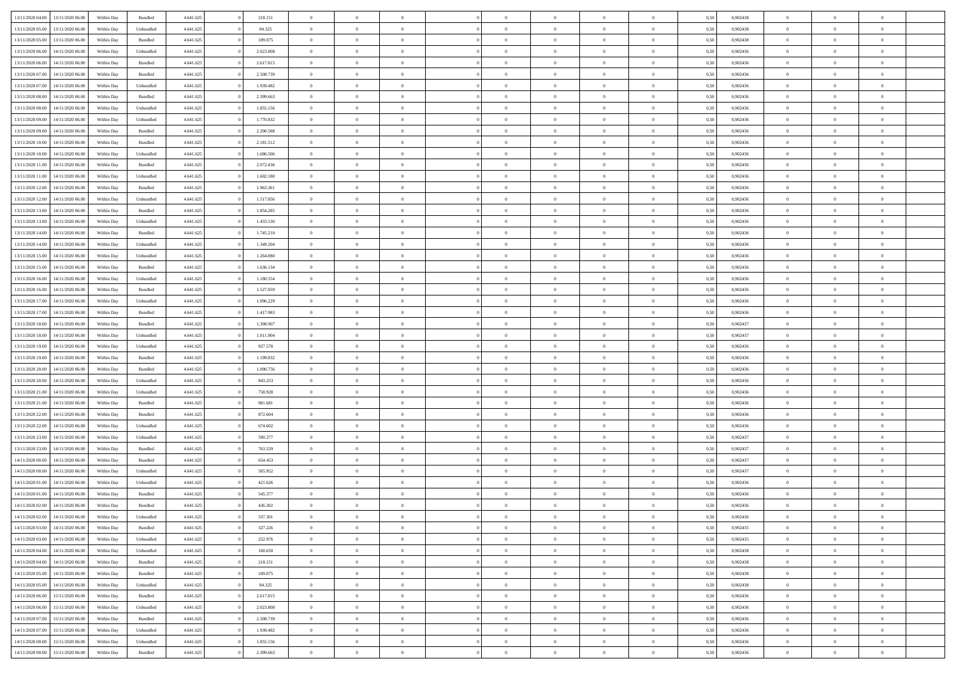| 13/11/2020 04:00 | 13/11/2020 06:00 | Within Dav | Bundled            | 4.641.625 | 218.151   | $\overline{0}$ | $\Omega$       |                | $\Omega$       | $\Omega$       | $\theta$       | $\theta$       | 0.50 | 0,902438 | $\theta$       | $\theta$       | $\theta$       |  |
|------------------|------------------|------------|--------------------|-----------|-----------|----------------|----------------|----------------|----------------|----------------|----------------|----------------|------|----------|----------------|----------------|----------------|--|
|                  |                  |            |                    |           |           |                |                |                |                |                |                |                |      |          |                |                |                |  |
| 13/11/2020 05:00 | 13/11/2020 06.00 | Within Day | Unbundled          | 4.641.625 | 84.325    | $\overline{0}$ | $\theta$       | $\overline{0}$ | $\overline{0}$ | $\bf{0}$       | $\overline{0}$ | $\bf{0}$       | 0,50 | 0,902438 | $\theta$       | $\overline{0}$ | $\overline{0}$ |  |
| 13/11/2020 05:00 | 13/11/2020 06.00 | Within Day | Bundled            | 4.641.625 | 109.075   | $\overline{0}$ | $\overline{0}$ | $\overline{0}$ | $\bf{0}$       | $\bf{0}$       | $\bf{0}$       | $\bf{0}$       | 0,50 | 0,902438 | $\bf{0}$       | $\overline{0}$ | $\overline{0}$ |  |
| 13/11/2020 06:00 | 14/11/2020 06:00 | Within Dav | Unbundled          | 4.641.625 | 2.023.808 | $\overline{0}$ | $\overline{0}$ | $\overline{0}$ | $\overline{0}$ | $\bf{0}$       | $\overline{0}$ | $\overline{0}$ | 0.50 | 0,902436 | $\theta$       | $\theta$       | $\overline{0}$ |  |
| 13/11/2020 06.00 | 14/11/2020 06.00 | Within Day | Bundled            | 4.641.625 | 2.617.815 | $\overline{0}$ | $\theta$       | $\overline{0}$ | $\overline{0}$ | $\bf{0}$       | $\overline{0}$ | $\bf{0}$       | 0,50 | 0,902436 | $\theta$       | $\theta$       | $\overline{0}$ |  |
| 13/11/2020 07:00 | 14/11/2020 06.00 | Within Day | Bundled            | 4.641.625 | 2.508.739 | $\overline{0}$ | $\bf{0}$       | $\overline{0}$ | $\bf{0}$       | $\overline{0}$ | $\overline{0}$ | $\mathbf{0}$   | 0,50 | 0,902436 | $\bf{0}$       | $\overline{0}$ | $\bf{0}$       |  |
| 13/11/2020 07.00 | 14/11/2020 06.00 | Within Dav | Unbundled          | 4.641.625 | 1.939.482 | $\overline{0}$ | $\overline{0}$ | $\overline{0}$ | $\overline{0}$ | $\overline{0}$ | $\overline{0}$ | $\overline{0}$ | 0.50 | 0,902436 | $\theta$       | $\overline{0}$ | $\overline{0}$ |  |
|                  |                  |            |                    |           |           |                |                |                |                |                |                |                |      |          |                |                |                |  |
| 13/11/2020 08:00 | 14/11/2020 06.00 | Within Day | Bundled            | 4.641.625 | 2.399.663 | $\overline{0}$ | $\theta$       | $\overline{0}$ | $\overline{0}$ | $\bf{0}$       | $\overline{0}$ | $\bf{0}$       | 0,50 | 0,902436 | $\theta$       | $\theta$       | $\overline{0}$ |  |
| 13/11/2020 08:00 | 14/11/2020 06.00 | Within Day | Unbundled          | 4.641.625 | 1.855.156 | $\overline{0}$ | $\overline{0}$ | $\overline{0}$ | $\bf{0}$       | $\bf{0}$       | $\bf{0}$       | $\bf{0}$       | 0,50 | 0,902436 | $\,0\,$        | $\overline{0}$ | $\overline{0}$ |  |
| 13/11/2020 09:00 | 14/11/2020 06.00 | Within Day | Unbundled          | 4.641.625 | 1.770.832 | $\overline{0}$ | $\overline{0}$ | $\overline{0}$ | $\overline{0}$ | $\overline{0}$ | $\overline{0}$ | $\overline{0}$ | 0.50 | 0,902436 | $\theta$       | $\overline{0}$ | $\overline{0}$ |  |
| 13/11/2020 09:00 | 14/11/2020 06.00 | Within Day | Bundled            | 4.641.625 | 2.290.588 | $\overline{0}$ | $\theta$       | $\overline{0}$ | $\overline{0}$ | $\bf{0}$       | $\overline{0}$ | $\bf{0}$       | 0,50 | 0,902436 | $\,$ 0 $\,$    | $\theta$       | $\overline{0}$ |  |
| 13/11/2020 10:00 | 14/11/2020 06.00 | Within Day | Bundled            | 4.641.625 | 2.181.512 | $\overline{0}$ | $\overline{0}$ | $\overline{0}$ | $\bf{0}$       | $\bf{0}$       | $\bf{0}$       | $\bf{0}$       | 0,50 | 0,902436 | $\overline{0}$ | $\overline{0}$ | $\overline{0}$ |  |
| 13/11/2020 10:00 | 14/11/2020 06:00 | Within Day | Unbundled          | 4.641.625 | 1.686.506 | $\overline{0}$ | $\overline{0}$ | $\overline{0}$ | $\overline{0}$ | $\bf{0}$       | $\overline{0}$ | $\overline{0}$ | 0.50 | 0,902436 | $\theta$       | $\theta$       | $\overline{0}$ |  |
|                  |                  |            |                    |           |           |                |                |                |                |                |                |                |      |          |                |                |                |  |
| 13/11/2020 11:00 | 14/11/2020 06.00 | Within Day | Bundled            | 4.641.625 | 2.072.436 | $\overline{0}$ | $\theta$       | $\overline{0}$ | $\overline{0}$ | $\bf{0}$       | $\overline{0}$ | $\bf{0}$       | 0,50 | 0,902436 | $\theta$       | $\theta$       | $\overline{0}$ |  |
| 13/11/2020 11:00 | 14/11/2020 06.00 | Within Day | Unbundled          | 4.641.625 | 1.602.180 | $\overline{0}$ | $\bf{0}$       | $\overline{0}$ | $\bf{0}$       | $\overline{0}$ | $\overline{0}$ | $\mathbf{0}$   | 0,50 | 0,902436 | $\overline{0}$ | $\overline{0}$ | $\bf{0}$       |  |
| 13/11/2020 12:00 | 14/11/2020 06.00 | Within Dav | Bundled            | 4.641.625 | 1.963.361 | $\overline{0}$ | $\overline{0}$ | $\overline{0}$ | $\overline{0}$ | $\overline{0}$ | $\overline{0}$ | $\overline{0}$ | 0.50 | 0,902436 | $\theta$       | $\overline{0}$ | $\overline{0}$ |  |
| 13/11/2020 12:00 | 14/11/2020 06.00 | Within Day | Unbundled          | 4.641.625 | 1.517.856 | $\overline{0}$ | $\theta$       | $\overline{0}$ | $\overline{0}$ | $\bf{0}$       | $\overline{0}$ | $\bf{0}$       | 0,50 | 0,902436 | $\theta$       | $\theta$       | $\overline{0}$ |  |
| 13/11/2020 13:00 | 14/11/2020 06.00 | Within Day | Bundled            | 4.641.625 | 1.854.285 | $\overline{0}$ | $\overline{0}$ | $\overline{0}$ | $\bf{0}$       | $\bf{0}$       | $\bf{0}$       | $\bf{0}$       | 0,50 | 0,902436 | $\,0\,$        | $\overline{0}$ | $\overline{0}$ |  |
| 13/11/2020 13:00 | 14/11/2020 06.00 | Within Day | Unbundled          | 4.641.625 | 1.433.530 | $\overline{0}$ | $\overline{0}$ | $\overline{0}$ | $\overline{0}$ | $\overline{0}$ | $\overline{0}$ | $\overline{0}$ | 0.50 | 0,902436 | $\theta$       | $\overline{0}$ | $\overline{0}$ |  |
|                  |                  |            |                    |           |           |                |                |                |                |                |                |                |      |          |                |                |                |  |
| 13/11/2020 14:00 | 14/11/2020 06.00 | Within Day | Bundled            | 4.641.625 | 1.745.210 | $\overline{0}$ | $\theta$       | $\overline{0}$ | $\overline{0}$ | $\bf{0}$       | $\overline{0}$ | $\bf{0}$       | 0,50 | 0,902436 | $\,$ 0 $\,$    | $\theta$       | $\overline{0}$ |  |
| 13/11/2020 14:00 | 14/11/2020 06.00 | Within Day | Unbundled          | 4.641.625 | 1.349.204 | $\overline{0}$ | $\overline{0}$ | $\overline{0}$ | $\bf{0}$       | $\bf{0}$       | $\bf{0}$       | $\bf{0}$       | 0,50 | 0,902436 | $\bf{0}$       | $\overline{0}$ | $\overline{0}$ |  |
| 13/11/2020 15:00 | 14/11/2020 06:00 | Within Day | Unbundled          | 4.641.625 | 1.264.880 | $\overline{0}$ | $\overline{0}$ | $\overline{0}$ | $\overline{0}$ | $\bf{0}$       | $\overline{0}$ | $\overline{0}$ | 0.50 | 0,902436 | $\theta$       | $\theta$       | $\overline{0}$ |  |
| 13/11/2020 15:00 | 14/11/2020 06.00 | Within Day | Bundled            | 4.641.625 | 1.636.134 | $\overline{0}$ | $\theta$       | $\overline{0}$ | $\overline{0}$ | $\bf{0}$       | $\overline{0}$ | $\bf{0}$       | 0,50 | 0,902436 | $\,$ 0 $\,$    | $\overline{0}$ | $\overline{0}$ |  |
| 13/11/2020 16.00 | 14/11/2020 06.00 | Within Day | Unbundled          | 4.641.625 | 1.180.554 | $\overline{0}$ | $\bf{0}$       | $\overline{0}$ | $\bf{0}$       | $\overline{0}$ | $\overline{0}$ | $\mathbf{0}$   | 0,50 | 0,902436 | $\bf{0}$       | $\overline{0}$ | $\bf{0}$       |  |
| 13/11/2020 16:00 | 14/11/2020 06.00 | Within Day | Bundled            | 4.641.625 | 1.527.059 | $\overline{0}$ | $\overline{0}$ | $\overline{0}$ | $\overline{0}$ | $\overline{0}$ | $\overline{0}$ | $\overline{0}$ | 0.50 | 0,902436 | $\theta$       | $\overline{0}$ | $\overline{0}$ |  |
|                  |                  |            |                    |           |           |                |                |                |                |                |                |                |      |          |                |                |                |  |
| 13/11/2020 17:00 | 14/11/2020 06.00 | Within Day | Unbundled          | 4.641.625 | 1.096.229 | $\overline{0}$ | $\theta$       | $\overline{0}$ | $\overline{0}$ | $\bf{0}$       | $\overline{0}$ | $\bf{0}$       | 0,50 | 0,902436 | $\theta$       | $\theta$       | $\overline{0}$ |  |
| 13/11/2020 17:00 | 14/11/2020 06.00 | Within Day | Bundled            | 4.641.625 | 1.417.983 | $\overline{0}$ | $\overline{0}$ | $\overline{0}$ | $\bf{0}$       | $\bf{0}$       | $\bf{0}$       | $\bf{0}$       | 0,50 | 0,902436 | $\,0\,$        | $\overline{0}$ | $\overline{0}$ |  |
| 13/11/2020 18:00 | 14/11/2020 06.00 | Within Day | Bundled            | 4.641.625 | 1.308.907 | $\overline{0}$ | $\overline{0}$ | $\overline{0}$ | $\overline{0}$ | $\overline{0}$ | $\overline{0}$ | $\overline{0}$ | 0.50 | 0,902437 | $\theta$       | $\overline{0}$ | $\overline{0}$ |  |
| 13/11/2020 18:00 | 14/11/2020 06.00 | Within Day | Unbundled          | 4.641.625 | 1.011.904 | $\overline{0}$ | $\theta$       | $\overline{0}$ | $\overline{0}$ | $\bf{0}$       | $\overline{0}$ | $\bf{0}$       | 0,50 | 0,902437 | $\,$ 0 $\,$    | $\overline{0}$ | $\overline{0}$ |  |
| 13/11/2020 19:00 | 14/11/2020 06.00 | Within Day | Unbundled          | 4.641.625 | 927.578   | $\overline{0}$ | $\overline{0}$ | $\overline{0}$ | $\bf{0}$       | $\bf{0}$       | $\bf{0}$       | $\bf{0}$       | 0,50 | 0,902436 | $\bf{0}$       | $\overline{0}$ | $\overline{0}$ |  |
| 13/11/2020 19:00 | 14/11/2020 06.00 | Within Day | Bundled            | 4.641.625 | 1.199.832 | $\overline{0}$ | $\Omega$       | $\overline{0}$ | $\Omega$       | $\Omega$       | $\overline{0}$ | $\overline{0}$ | 0,50 | 0,902436 | $\,0\,$        | $\theta$       | $\theta$       |  |
| 13/11/2020 20.00 | 14/11/2020 06.00 | Within Day | Bundled            | 4.641.625 | 1.090.756 | $\overline{0}$ | $\theta$       | $\overline{0}$ | $\overline{0}$ | $\bf{0}$       | $\overline{0}$ | $\bf{0}$       | 0,50 | 0,902436 | $\,$ 0 $\,$    | $\theta$       | $\overline{0}$ |  |
|                  |                  |            |                    |           |           |                |                |                |                |                |                |                |      |          |                |                |                |  |
| 13/11/2020 20:00 | 14/11/2020 06.00 | Within Day | Unbundled          | 4.641.625 | 843.253   | $\overline{0}$ | $\overline{0}$ | $\overline{0}$ | $\bf{0}$       | $\bf{0}$       | $\overline{0}$ | $\mathbf{0}$   | 0,50 | 0,902436 | $\bf{0}$       | $\overline{0}$ | $\bf{0}$       |  |
| 13/11/2020 21:00 | 14/11/2020 06.00 | Within Day | Unbundled          | 4.641.625 | 758.928   | $\overline{0}$ | $\Omega$       | $\Omega$       | $\Omega$       | $\bf{0}$       | $\overline{0}$ | $\overline{0}$ | 0.50 | 0.902436 | $\,0\,$        | $\theta$       | $\theta$       |  |
| 13/11/2020 21.00 | 14/11/2020 06.00 | Within Day | Bundled            | 4.641.625 | 981.681   | $\overline{0}$ | $\theta$       | $\overline{0}$ | $\overline{0}$ | $\bf{0}$       | $\overline{0}$ | $\bf{0}$       | 0,50 | 0,902436 | $\,$ 0 $\,$    | $\theta$       | $\overline{0}$ |  |
| 13/11/2020 22.00 | 14/11/2020 06.00 | Within Day | Bundled            | 4.641.625 | 872.604   | $\overline{0}$ | $\overline{0}$ | $\overline{0}$ | $\bf{0}$       | $\bf{0}$       | $\bf{0}$       | $\bf{0}$       | 0,50 | 0,902436 | $\,0\,$        | $\overline{0}$ | $\overline{0}$ |  |
| 13/11/2020 22.00 | 14/11/2020 06:00 | Within Day | Unbundled          | 4.641.625 | 674,602   | $\overline{0}$ | $\Omega$       | $\Omega$       | $\Omega$       | $\overline{0}$ | $\overline{0}$ | $\overline{0}$ | 0.50 | 0.902436 | $\,0\,$        | $\theta$       | $\theta$       |  |
| 13/11/2020 23.00 | 14/11/2020 06.00 | Within Day | Unbundled          | 4.641.625 | 590.277   | $\overline{0}$ | $\theta$       | $\overline{0}$ | $\overline{0}$ | $\,$ 0         | $\overline{0}$ | $\bf{0}$       | 0,50 | 0,902437 | $\,$ 0 $\,$    | $\overline{0}$ | $\overline{0}$ |  |
|                  |                  |            |                    |           |           |                | $\overline{0}$ |                |                | $\bf{0}$       |                |                |      |          |                | $\overline{0}$ | $\overline{0}$ |  |
| 13/11/2020 23.00 | 14/11/2020 06.00 | Within Day | Bundled            | 4.641.625 | 763.529   | $\overline{0}$ |                | $\overline{0}$ | $\bf{0}$       |                | $\bf{0}$       | $\bf{0}$       | 0,50 | 0,902437 | $\bf{0}$       |                |                |  |
| 14/11/2020 00.00 | 14/11/2020 06.00 | Within Day | Bundled            | 4.641.625 | 654.453   | $\overline{0}$ | $\Omega$       | $\overline{0}$ | $\Omega$       | $\overline{0}$ | $\overline{0}$ | $\overline{0}$ | 0,50 | 0,902437 | $\,0\,$        | $\theta$       | $\theta$       |  |
| 14/11/2020 00.00 | 14/11/2020 06.00 | Within Day | Unbundled          | 4.641.625 | 505.952   | $\overline{0}$ | $\theta$       | $\overline{0}$ | $\overline{0}$ | $\,$ 0         | $\overline{0}$ | $\bf{0}$       | 0,50 | 0,902437 | $\,$ 0 $\,$    | $\overline{0}$ | $\overline{0}$ |  |
| 14/11/2020 01:00 | 14/11/2020 06.00 | Within Day | Unbundled          | 4.641.625 | 421.626   | $\overline{0}$ | $\overline{0}$ | $\overline{0}$ | $\bf{0}$       | $\bf{0}$       | $\bf{0}$       | $\mathbf{0}$   | 0,50 | 0,902436 | $\bf{0}$       | $\overline{0}$ | $\bf{0}$       |  |
| 14/11/2020 01:00 | 14/11/2020 06.00 | Within Day | Bundled            | 4.641.625 | 545.377   | $\overline{0}$ | $\Omega$       | $\Omega$       | $\Omega$       | $\Omega$       | $\overline{0}$ | $\overline{0}$ | 0.50 | 0.902436 | $\theta$       | $\theta$       | $\theta$       |  |
| 14/11/2020 02.00 | 14/11/2020 06.00 | Within Day | Bundled            | 4.641.625 | 436.302   | $\overline{0}$ | $\,$ 0 $\,$    | $\overline{0}$ | $\bf{0}$       | $\,$ 0         | $\bf{0}$       | $\bf{0}$       | 0,50 | 0,902436 | $\,0\,$        | $\overline{0}$ | $\overline{0}$ |  |
| 14/11/2020 02.00 | 14/11/2020 06.00 | Within Day | Unbundled          | 4.641.625 | 337.301   | $\bf{0}$       | $\bf{0}$       |                |                | $\bf{0}$       |                |                | 0,50 | 0,902436 | $\bf{0}$       | $\overline{0}$ |                |  |
| 14/11/2020 03.00 | 14/11/2020 06:00 |            | Bundled            |           |           | $\overline{0}$ | $\overline{0}$ | $\overline{0}$ | $\Omega$       | $\theta$       | $\overline{0}$ | $\overline{0}$ |      | 0.902435 | $\theta$       | $\theta$       | $\theta$       |  |
|                  |                  | Within Day |                    | 4.641.625 | 327.226   |                |                |                |                |                |                |                | 0,50 |          |                |                |                |  |
| 14/11/2020 03:00 | 14/11/2020 06.00 | Within Day | Unbundled          | 4.641.625 | 252.976   | $\overline{0}$ | $\,$ 0         | $\overline{0}$ | $\bf{0}$       | $\,$ 0 $\,$    | $\overline{0}$ | $\mathbf{0}$   | 0,50 | 0,902435 | $\,$ 0 $\,$    | $\,$ 0 $\,$    | $\,$ 0         |  |
| 14/11/2020 04:00 | 14/11/2020 06.00 | Within Day | Unbundled          | 4.641.625 | 168.650   | $\overline{0}$ | $\overline{0}$ | $\overline{0}$ | $\overline{0}$ | $\overline{0}$ | $\overline{0}$ | $\mathbf{0}$   | 0,50 | 0,902438 | $\overline{0}$ | $\bf{0}$       | $\bf{0}$       |  |
| 14/11/2020 04:00 | 14/11/2020 06.00 | Within Day | $\mathbf B$ undled | 4.641.625 | 218.151   | $\overline{0}$ | $\overline{0}$ | $\overline{0}$ | $\Omega$       | $\overline{0}$ | $\overline{0}$ | $\overline{0}$ | 0,50 | 0,902438 | $\overline{0}$ | $\overline{0}$ | $\overline{0}$ |  |
| 14/11/2020 05:00 | 14/11/2020 06.00 | Within Day | Bundled            | 4.641.625 | 109.075   | $\overline{0}$ | $\,$ 0         | $\overline{0}$ | $\overline{0}$ | $\,$ 0 $\,$    | $\overline{0}$ | $\mathbf{0}$   | 0,50 | 0,902438 | $\,$ 0 $\,$    | $\overline{0}$ | $\overline{0}$ |  |
| 14/11/2020 05.00 | 14/11/2020 06.00 | Within Day | Unbundled          | 4.641.625 | 84.325    | $\overline{0}$ | $\overline{0}$ | $\overline{0}$ | $\overline{0}$ | $\overline{0}$ | $\overline{0}$ | $\mathbf{0}$   | 0,50 | 0,902438 | $\overline{0}$ | $\overline{0}$ | $\bf{0}$       |  |
| 14/11/2020 06:00 | 15/11/2020 06.00 | Within Day | Bundled            | 4.641.625 | 2.617.815 | $\overline{0}$ | $\overline{0}$ | $\overline{0}$ | $\Omega$       | $\overline{0}$ | $\overline{0}$ | $\bf{0}$       | 0.50 | 0,902436 | $\overline{0}$ | $\theta$       | $\overline{0}$ |  |
|                  |                  |            |                    |           |           |                |                |                |                |                |                |                |      |          |                |                |                |  |
| 14/11/2020 06.00 | 15/11/2020 06.00 | Within Day | Unbundled          | 4.641.625 | 2.023.808 | $\overline{0}$ | $\,$ 0         | $\overline{0}$ | $\bf{0}$       | $\bf{0}$       | $\bf{0}$       | $\bf{0}$       | 0,50 | 0,902436 | $\,$ 0 $\,$    | $\overline{0}$ | $\overline{0}$ |  |
| 14/11/2020 07.00 | 15/11/2020 06.00 | Within Day | Bundled            | 4.641.625 | 2.508.739 | $\overline{0}$ | $\bf{0}$       | $\overline{0}$ | $\overline{0}$ | $\overline{0}$ | $\overline{0}$ | $\mathbf{0}$   | 0,50 | 0,902436 | $\overline{0}$ | $\overline{0}$ | $\bf{0}$       |  |
| 14/11/2020 07.00 | 15/11/2020 06.00 | Within Day | Unbundled          | 4.641.625 | 1.939.482 | $\overline{0}$ | $\overline{0}$ | $\overline{0}$ | $\Omega$       | $\overline{0}$ | $\overline{0}$ | $\bf{0}$       | 0.50 | 0.902436 | $\overline{0}$ | $\overline{0}$ | $\overline{0}$ |  |
| 14/11/2020 08:00 | 15/11/2020 06.00 | Within Day | Unbundled          | 4.641.625 | 1.855.156 | $\overline{0}$ | $\bf{0}$       | $\overline{0}$ | $\bf{0}$       | $\bf{0}$       | $\bf{0}$       | $\mathbf{0}$   | 0,50 | 0,902436 | $\,$ 0 $\,$    | $\,$ 0 $\,$    | $\bf{0}$       |  |
| 14/11/2020 08:00 | 15/11/2020 06:00 | Within Day | Bundled            | 4.641.625 | 2.399.663 | $\overline{0}$ | $\overline{0}$ | $\overline{0}$ | $\overline{0}$ | $\bf{0}$       | $\bf{0}$       | $\mathbf{0}$   | 0,50 | 0,902436 | $\overline{0}$ | $\bf{0}$       | $\bf{0}$       |  |
|                  |                  |            |                    |           |           |                |                |                |                |                |                |                |      |          |                |                |                |  |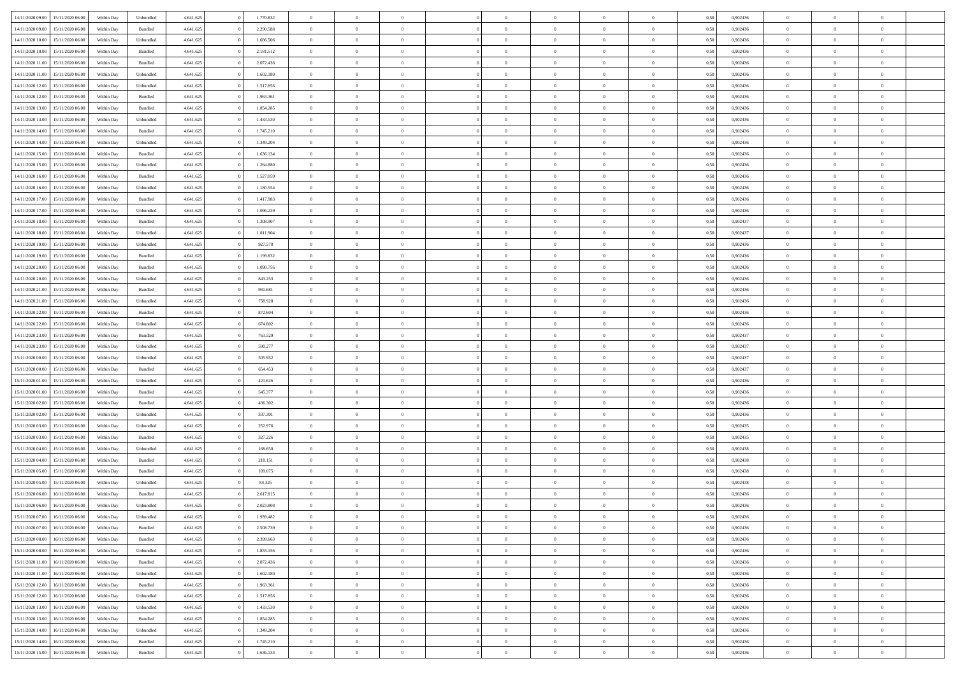| 14/11/2020 09:00 | 15/11/2020 06:00 | Within Dav | Unbundled          | 4.641.625 | 1.770.832 | $\overline{0}$ | $\theta$       | $\Omega$       | $\Omega$       | $\Omega$       | $\overline{0}$ | $\theta$       | 0.50 | 0,902436 | $\theta$       | $\overline{0}$ | $\overline{0}$ |  |
|------------------|------------------|------------|--------------------|-----------|-----------|----------------|----------------|----------------|----------------|----------------|----------------|----------------|------|----------|----------------|----------------|----------------|--|
|                  |                  |            |                    |           |           |                |                |                |                |                |                |                |      |          |                |                |                |  |
| 14/11/2020 09:00 | 15/11/2020 06.00 | Within Day | Bundled            | 4.641.625 | 2.290.588 | $\overline{0}$ | $\theta$       | $\overline{0}$ | $\overline{0}$ | $\bf{0}$       | $\overline{0}$ | $\bf{0}$       | 0,50 | 0,902436 | $\theta$       | $\overline{0}$ | $\overline{0}$ |  |
| 14/11/2020 10:00 | 15/11/2020 06.00 | Within Day | Unbundled          | 4.641.625 | 1.686.506 | $\overline{0}$ | $\bf{0}$       | $\overline{0}$ | $\bf{0}$       | $\bf{0}$       | $\bf{0}$       | $\mathbf{0}$   | 0,50 | 0,902436 | $\overline{0}$ | $\overline{0}$ | $\bf{0}$       |  |
| 14/11/2020 10:00 | 15/11/2020 06:00 | Within Dav | Bundled            | 4.641.625 | 2.181.512 | $\overline{0}$ | $\overline{0}$ | $\overline{0}$ | $\overline{0}$ | $\bf{0}$       | $\overline{0}$ | $\overline{0}$ | 0.50 | 0,902436 | $\theta$       | $\theta$       | $\overline{0}$ |  |
| 14/11/2020 11:00 | 15/11/2020 06.00 | Within Day | Bundled            | 4.641.625 | 2.072.436 | $\overline{0}$ | $\theta$       | $\overline{0}$ | $\overline{0}$ | $\bf{0}$       | $\overline{0}$ | $\bf{0}$       | 0,50 | 0,902436 | $\,$ 0 $\,$    | $\overline{0}$ | $\overline{0}$ |  |
| 14/11/2020 11.00 | 15/11/2020 06.00 | Within Day | Unbundled          | 4.641.625 | 1.602.180 | $\overline{0}$ | $\overline{0}$ | $\overline{0}$ | $\bf{0}$       | $\overline{0}$ | $\overline{0}$ | $\mathbf{0}$   | 0,50 | 0,902436 | $\overline{0}$ | $\overline{0}$ | $\bf{0}$       |  |
| 14/11/2020 12:00 | 15/11/2020 06.00 | Within Dav | Unbundled          | 4.641.625 | 1.517.856 | $\overline{0}$ | $\overline{0}$ | $\overline{0}$ | $\overline{0}$ | $\overline{0}$ | $\overline{0}$ | $\overline{0}$ | 0.50 | 0,902436 | $\theta$       | $\overline{0}$ | $\overline{0}$ |  |
|                  |                  |            |                    |           |           |                |                |                |                |                |                |                |      |          |                |                |                |  |
| 14/11/2020 12:00 | 15/11/2020 06.00 | Within Day | Bundled            | 4.641.625 | 1.963.361 | $\overline{0}$ | $\theta$       | $\overline{0}$ | $\overline{0}$ | $\bf{0}$       | $\overline{0}$ | $\bf{0}$       | 0,50 | 0,902436 | $\theta$       | $\theta$       | $\overline{0}$ |  |
| 14/11/2020 13:00 | 15/11/2020 06.00 | Within Day | Bundled            | 4.641.625 | 1.854.285 | $\overline{0}$ | $\overline{0}$ | $\overline{0}$ | $\bf{0}$       | $\bf{0}$       | $\bf{0}$       | $\bf{0}$       | 0,50 | 0,902436 | $\,0\,$        | $\overline{0}$ | $\overline{0}$ |  |
| 14/11/2020 13:00 | 15/11/2020 06.00 | Within Dav | Unbundled          | 4.641.625 | 1.433.530 | $\overline{0}$ | $\overline{0}$ | $\overline{0}$ | $\overline{0}$ | $\overline{0}$ | $\overline{0}$ | $\overline{0}$ | 0.50 | 0,902436 | $\theta$       | $\overline{0}$ | $\overline{0}$ |  |
| 14/11/2020 14:00 | 15/11/2020 06.00 | Within Day | Bundled            | 4.641.625 | 1.745.210 | $\overline{0}$ | $\theta$       | $\overline{0}$ | $\overline{0}$ | $\bf{0}$       | $\overline{0}$ | $\bf{0}$       | 0,50 | 0,902436 | $\,$ 0 $\,$    | $\overline{0}$ | $\overline{0}$ |  |
| 14/11/2020 14:00 | 15/11/2020 06.00 | Within Day | Unbundled          | 4.641.625 | 1.349.204 | $\overline{0}$ | $\bf{0}$       | $\overline{0}$ | $\bf{0}$       | $\bf{0}$       | $\bf{0}$       | $\mathbf{0}$   | 0,50 | 0,902436 | $\overline{0}$ | $\overline{0}$ | $\bf{0}$       |  |
| 14/11/2020 15.00 | 15/11/2020 06:00 | Within Day | Bundled            | 4.641.625 | 1.636.134 | $\overline{0}$ | $\overline{0}$ | $\overline{0}$ | $\overline{0}$ | $\bf{0}$       | $\overline{0}$ | $\overline{0}$ | 0.50 | 0,902436 | $\theta$       | $\theta$       | $\overline{0}$ |  |
| 14/11/2020 15:00 | 15/11/2020 06.00 | Within Day | Unbundled          | 4.641.625 | 1.264.880 | $\overline{0}$ | $\theta$       | $\overline{0}$ | $\overline{0}$ | $\bf{0}$       | $\overline{0}$ | $\bf{0}$       | 0,50 | 0,902436 | $\theta$       | $\overline{0}$ | $\overline{0}$ |  |
|                  |                  |            |                    |           |           |                |                |                |                |                |                |                |      |          |                |                |                |  |
| 14/11/2020 16:00 | 15/11/2020 06.00 | Within Day | Bundled            | 4.641.625 | 1.527.059 | $\overline{0}$ | $\overline{0}$ | $\overline{0}$ | $\bf{0}$       | $\overline{0}$ | $\overline{0}$ | $\mathbf{0}$   | 0,50 | 0,902436 | $\overline{0}$ | $\overline{0}$ | $\bf{0}$       |  |
| 14/11/2020 16.00 | 15/11/2020 06:00 | Within Dav | Unbundled          | 4.641.625 | 1.180.554 | $\overline{0}$ | $\overline{0}$ | $\overline{0}$ | $\overline{0}$ | $\overline{0}$ | $\overline{0}$ | $\overline{0}$ | 0.50 | 0,902436 | $\theta$       | $\overline{0}$ | $\overline{0}$ |  |
| 14/11/2020 17.00 | 15/11/2020 06.00 | Within Day | Bundled            | 4.641.625 | 1.417.983 | $\overline{0}$ | $\theta$       | $\overline{0}$ | $\overline{0}$ | $\bf{0}$       | $\overline{0}$ | $\bf{0}$       | 0,50 | 0,902436 | $\,$ 0 $\,$    | $\theta$       | $\overline{0}$ |  |
| 14/11/2020 17.00 | 15/11/2020 06.00 | Within Day | Unbundled          | 4.641.625 | 1.096.229 | $\overline{0}$ | $\overline{0}$ | $\overline{0}$ | $\bf{0}$       | $\bf{0}$       | $\bf{0}$       | $\mathbf{0}$   | 0,50 | 0,902436 | $\bf{0}$       | $\overline{0}$ | $\bf{0}$       |  |
| 14/11/2020 18:00 | 15/11/2020 06:00 | Within Day | Bundled            | 4.641.625 | 1.308.907 | $\overline{0}$ | $\overline{0}$ | $\overline{0}$ | $\overline{0}$ | $\overline{0}$ | $\overline{0}$ | $\overline{0}$ | 0.50 | 0,902437 | $\theta$       | $\overline{0}$ | $\overline{0}$ |  |
| 14/11/2020 18.00 | 15/11/2020 06.00 | Within Day | Unbundled          | 4.641.625 | 1.011.904 | $\overline{0}$ | $\theta$       | $\overline{0}$ | $\overline{0}$ | $\bf{0}$       | $\overline{0}$ | $\bf{0}$       | 0,50 | 0,902437 | $\,$ 0 $\,$    | $\overline{0}$ | $\overline{0}$ |  |
| 14/11/2020 19:00 | 15/11/2020 06.00 | Within Day | Unbundled          | 4.641.625 | 927.578   | $\overline{0}$ | $\overline{0}$ | $\overline{0}$ | $\bf{0}$       | $\bf{0}$       | $\bf{0}$       | $\mathbf{0}$   | 0,50 | 0,902436 | $\overline{0}$ | $\overline{0}$ | $\bf{0}$       |  |
| 14/11/2020 19:00 | 15/11/2020 06:00 | Within Day | Bundled            | 4.641.625 | 1.199.832 | $\overline{0}$ | $\overline{0}$ | $\overline{0}$ | $\overline{0}$ | $\overline{0}$ | $\overline{0}$ | $\overline{0}$ | 0.50 | 0,902436 | $\theta$       | $\overline{0}$ | $\overline{0}$ |  |
|                  |                  |            |                    |           |           |                |                |                |                |                |                |                |      |          |                |                |                |  |
| 14/11/2020 20.00 | 15/11/2020 06.00 | Within Day | Bundled            | 4.641.625 | 1.090.756 | $\overline{0}$ | $\theta$       | $\overline{0}$ | $\overline{0}$ | $\bf{0}$       | $\overline{0}$ | $\bf{0}$       | 0,50 | 0,902436 | $\,$ 0 $\,$    | $\overline{0}$ | $\overline{0}$ |  |
| 14/11/2020 20.00 | 15/11/2020 06.00 | Within Day | Unbundled          | 4.641.625 | 843.253   | $\overline{0}$ | $\overline{0}$ | $\overline{0}$ | $\bf{0}$       | $\overline{0}$ | $\overline{0}$ | $\mathbf{0}$   | 0,50 | 0,902436 | $\overline{0}$ | $\overline{0}$ | $\bf{0}$       |  |
| 14/11/2020 21.00 | 15/11/2020 06.00 | Within Dav | Bundled            | 4.641.625 | 981.681   | $\overline{0}$ | $\overline{0}$ | $\overline{0}$ | $\overline{0}$ | $\overline{0}$ | $\overline{0}$ | $\overline{0}$ | 0.50 | 0,902436 | $\theta$       | $\overline{0}$ | $\overline{0}$ |  |
| 14/11/2020 21.00 | 15/11/2020 06.00 | Within Day | Unbundled          | 4.641.625 | 758.928   | $\overline{0}$ | $\theta$       | $\overline{0}$ | $\overline{0}$ | $\bf{0}$       | $\overline{0}$ | $\bf{0}$       | 0,50 | 0,902436 | $\theta$       | $\theta$       | $\overline{0}$ |  |
| 14/11/2020 22:00 | 15/11/2020 06.00 | Within Day | Bundled            | 4.641.625 | 872.604   | $\overline{0}$ | $\overline{0}$ | $\overline{0}$ | $\bf{0}$       | $\bf{0}$       | $\bf{0}$       | $\bf{0}$       | 0,50 | 0,902436 | $\,0\,$        | $\overline{0}$ | $\overline{0}$ |  |
| 14/11/2020 22.00 | 15/11/2020 06:00 | Within Day | Unbundled          | 4.641.625 | 674.602   | $\overline{0}$ | $\overline{0}$ | $\overline{0}$ | $\overline{0}$ | $\overline{0}$ | $\overline{0}$ | $\overline{0}$ | 0.50 | 0,902436 | $\theta$       | $\overline{0}$ | $\overline{0}$ |  |
|                  |                  |            |                    |           |           |                |                |                |                |                |                |                |      |          |                |                |                |  |
| 14/11/2020 23.00 | 15/11/2020 06.00 | Within Day | Bundled            | 4.641.625 | 763.529   | $\overline{0}$ | $\theta$       | $\overline{0}$ | $\overline{0}$ | $\,$ 0         | $\overline{0}$ | $\bf{0}$       | 0,50 | 0,902437 | $\,$ 0 $\,$    | $\overline{0}$ | $\overline{0}$ |  |
| 14/11/2020 23.00 | 15/11/2020 06.00 | Within Day | Unbundled          | 4.641.625 | 590.277   | $\overline{0}$ | $\overline{0}$ | $\overline{0}$ | $\bf{0}$       | $\bf{0}$       | $\bf{0}$       | $\bf{0}$       | 0,50 | 0,902437 | $\overline{0}$ | $\overline{0}$ | $\bf{0}$       |  |
| 15/11/2020 00:00 | 15/11/2020 06.00 | Within Day | Unbundled          | 4.641.625 | 505.952   | $\overline{0}$ | $\Omega$       | $\overline{0}$ | $\Omega$       | $\Omega$       | $\overline{0}$ | $\overline{0}$ | 0,50 | 0.902437 | $\,0\,$        | $\theta$       | $\theta$       |  |
| 15/11/2020 00.00 | 15/11/2020 06.00 | Within Day | Bundled            | 4.641.625 | 654.453   | $\overline{0}$ | $\theta$       | $\overline{0}$ | $\overline{0}$ | $\bf{0}$       | $\overline{0}$ | $\bf{0}$       | 0,50 | 0,902437 | $\,$ 0 $\,$    | $\overline{0}$ | $\overline{0}$ |  |
| 15/11/2020 01:00 | 15/11/2020 06.00 | Within Day | Unbundled          | 4.641.625 | 421.626   | $\overline{0}$ | $\overline{0}$ | $\overline{0}$ | $\bf{0}$       | $\overline{0}$ | $\overline{0}$ | $\mathbf{0}$   | 0,50 | 0,902436 | $\overline{0}$ | $\overline{0}$ | $\bf{0}$       |  |
| 15/11/2020 01:00 | 15/11/2020 06.00 | Within Day | Bundled            | 4.641.625 | 545.377   | $\overline{0}$ | $\Omega$       | $\Omega$       | $\Omega$       | $\overline{0}$ | $\overline{0}$ | $\overline{0}$ | 0.50 | 0.902436 | $\,0\,$        | $\theta$       | $\theta$       |  |
| 15/11/2020 02.00 | 15/11/2020 06.00 | Within Day | Bundled            | 4.641.625 | 436.302   | $\overline{0}$ | $\theta$       | $\overline{0}$ | $\overline{0}$ | $\bf{0}$       | $\overline{0}$ | $\bf{0}$       | 0,50 | 0,902436 | $\,$ 0 $\,$    | $\overline{0}$ | $\overline{0}$ |  |
| 15/11/2020 02.00 | 15/11/2020 06.00 | Within Day | Unbundled          | 4.641.625 | 337.301   | $\overline{0}$ | $\overline{0}$ | $\overline{0}$ | $\bf{0}$       | $\bf{0}$       | $\bf{0}$       | $\mathbf{0}$   | 0,50 | 0,902436 | $\bf{0}$       | $\overline{0}$ | $\bf{0}$       |  |
|                  |                  |            |                    |           |           |                | $\Omega$       |                |                |                |                |                |      |          |                |                | $\theta$       |  |
| 15/11/2020 03:00 | 15/11/2020 06:00 | Within Day | Unbundled          | 4.641.625 | 252.976   | $\overline{0}$ |                | $\overline{0}$ | $\Omega$       | $\overline{0}$ | $\overline{0}$ | $\overline{0}$ | 0.50 | 0.902435 | $\,$ 0 $\,$    | $\theta$       |                |  |
| 15/11/2020 03:00 | 15/11/2020 06.00 | Within Day | Bundled            | 4.641.625 | 327.226   | $\overline{0}$ | $\,$ 0         | $\overline{0}$ | $\overline{0}$ | $\,$ 0         | $\overline{0}$ | $\bf{0}$       | 0,50 | 0,902435 | $\,$ 0 $\,$    | $\overline{0}$ | $\overline{0}$ |  |
| 15/11/2020 04:00 | 15/11/2020 06.00 | Within Day | Unbundled          | 4.641.625 | 168.650   | $\overline{0}$ | $\overline{0}$ | $\overline{0}$ | $\bf{0}$       | $\bf{0}$       | $\bf{0}$       | $\mathbf{0}$   | 0,50 | 0,902438 | $\bf{0}$       | $\overline{0}$ | $\bf{0}$       |  |
| 15/11/2020 04:00 | 15/11/2020 06.00 | Within Day | Bundled            | 4.641.625 | 218.151   | $\overline{0}$ | $\Omega$       | $\overline{0}$ | $\Omega$       | $\overline{0}$ | $\overline{0}$ | $\overline{0}$ | 0,50 | 0,902438 | $\,0\,$        | $\theta$       | $\theta$       |  |
| 15/11/2020 05:00 | 15/11/2020 06.00 | Within Day | Bundled            | 4.641.625 | 109.075   | $\overline{0}$ | $\overline{0}$ | $\overline{0}$ | $\overline{0}$ | $\,$ 0         | $\overline{0}$ | $\bf{0}$       | 0,50 | 0,902438 | $\,$ 0 $\,$    | $\overline{0}$ | $\overline{0}$ |  |
| 15/11/2020 05:00 | 15/11/2020 06.00 | Within Day | Unbundled          | 4.641.625 | 84.325    | $\overline{0}$ | $\overline{0}$ | $\overline{0}$ | $\bf{0}$       | $\bf{0}$       | $\overline{0}$ | $\mathbf{0}$   | 0,50 | 0,902438 | $\bf{0}$       | $\overline{0}$ | $\bf{0}$       |  |
| 15/11/2020 06.00 | 16/11/2020 06.00 | Within Day | Bundled            | 4.641.625 | 2.617.815 | $\overline{0}$ | $\Omega$       | $\Omega$       | $\Omega$       | $\Omega$       | $\overline{0}$ | $\overline{0}$ | 0.50 | 0.902436 | $\theta$       | $\theta$       | $\theta$       |  |
| 15/11/2020 06.00 | 16/11/2020 06.00 | Within Day | Unbundled          | 4.641.625 | 2.023.808 | $\overline{0}$ | $\overline{0}$ | $\overline{0}$ | $\bf{0}$       | $\,$ 0         | $\bf{0}$       | $\bf{0}$       | 0,50 | 0,902436 | $\,0\,$        | $\,0\,$        | $\overline{0}$ |  |
| 15/11/2020 07:00 | 16/11/2020 06.00 | Within Day | Unbundled          | 4.641.625 | 1.939.482 | $\bf{0}$       | $\bf{0}$       |                |                | $\bf{0}$       |                |                | 0,50 | 0,902436 | $\bf{0}$       | $\overline{0}$ |                |  |
|                  |                  |            |                    |           |           |                |                |                |                |                |                |                |      |          |                |                | $\theta$       |  |
| 15/11/2020 07.00 | 16/11/2020 06:00 | Within Day | Bundled            | 4.641.625 | 2.508.739 | $\overline{0}$ | $\overline{0}$ | $\overline{0}$ | $\Omega$       | $\theta$       | $\overline{0}$ | $\overline{0}$ | 0,50 | 0.902436 | $\theta$       | $\theta$       |                |  |
| 15/11/2020 08:00 | 16/11/2020 06.00 | Within Day | Bundled            | 4.641.625 | 2.399.663 | $\overline{0}$ | $\,$ 0         | $\overline{0}$ | $\bf{0}$       | $\,$ 0 $\,$    | $\overline{0}$ | $\mathbf{0}$   | 0,50 | 0,902436 | $\,$ 0 $\,$    | $\,$ 0 $\,$    | $\,$ 0         |  |
| 15/11/2020 08:00 | 16/11/2020 06.00 | Within Day | Unbundled          | 4.641.625 | 1.855.156 | $\overline{0}$ | $\overline{0}$ | $\overline{0}$ | $\overline{0}$ | $\overline{0}$ | $\overline{0}$ | $\mathbf{0}$   | 0,50 | 0,902436 | $\overline{0}$ | $\bf{0}$       | $\bf{0}$       |  |
| 15/11/2020 11:00 | 16/11/2020 06.00 | Within Day | $\mathbf B$ undled | 4.641.625 | 2.072.436 | $\overline{0}$ | $\overline{0}$ | $\overline{0}$ | $\Omega$       | $\overline{0}$ | $\overline{0}$ | $\bf{0}$       | 0,50 | 0,902436 | $\overline{0}$ | $\theta$       | $\overline{0}$ |  |
| 15/11/2020 11:00 | 16/11/2020 06.00 | Within Day | Unbundled          | 4.641.625 | 1.602.180 | $\overline{0}$ | $\,$ 0         | $\overline{0}$ | $\overline{0}$ | $\,$ 0 $\,$    | $\overline{0}$ | $\mathbf{0}$   | 0,50 | 0,902436 | $\,$ 0 $\,$    | $\overline{0}$ | $\overline{0}$ |  |
| 15/11/2020 12:00 | 16/11/2020 06.00 | Within Day | Bundled            | 4.641.625 | 1.963.361 | $\overline{0}$ | $\overline{0}$ | $\overline{0}$ | $\overline{0}$ | $\overline{0}$ | $\overline{0}$ | $\mathbf{0}$   | 0,50 | 0,902436 | $\overline{0}$ | $\bf{0}$       | $\bf{0}$       |  |
| 15/11/2020 12:00 | 16/11/2020 06.00 | Within Day | Unbundled          | 4.641.625 | 1.517.856 | $\overline{0}$ | $\overline{0}$ | $\overline{0}$ | $\Omega$       | $\overline{0}$ | $\overline{0}$ | $\bf{0}$       | 0.50 | 0,902436 | $\overline{0}$ | $\theta$       | $\overline{0}$ |  |
| 15/11/2020 13:00 | 16/11/2020 06.00 | Within Day | Unbundled          | 4.641.625 | 1.433.530 | $\overline{0}$ | $\,$ 0         | $\overline{0}$ | $\bf{0}$       | $\bf{0}$       | $\bf{0}$       | $\bf{0}$       | 0,50 | 0,902436 | $\,$ 0 $\,$    | $\overline{0}$ | $\overline{0}$ |  |
|                  |                  |            |                    |           |           |                |                |                |                |                |                |                |      |          |                |                |                |  |
| 15/11/2020 13:00 | 16/11/2020 06.00 | Within Day | Bundled            | 4.641.625 | 1.854.285 | $\overline{0}$ | $\bf{0}$       | $\overline{0}$ | $\overline{0}$ | $\overline{0}$ | $\bf{0}$       | $\mathbf{0}$   | 0,50 | 0,902436 | $\overline{0}$ | $\overline{0}$ | $\bf{0}$       |  |
| 15/11/2020 14:00 | 16/11/2020 06.00 | Within Day | Unbundled          | 4.641.625 | 1.349.204 | $\overline{0}$ | $\overline{0}$ | $\overline{0}$ | $\Omega$       | $\overline{0}$ | $\overline{0}$ | $\bf{0}$       | 0.50 | 0.902436 | $\overline{0}$ | $\theta$       | $\overline{0}$ |  |
| 15/11/2020 14:00 | 16/11/2020 06.00 | Within Day | Bundled            | 4.641.625 | 1.745.210 | $\overline{0}$ | $\bf{0}$       | $\overline{0}$ | $\overline{0}$ | $\bf{0}$       | $\bf{0}$       | $\mathbf{0}$   | 0,50 | 0,902436 | $\,$ 0 $\,$    | $\,$ 0 $\,$    | $\bf{0}$       |  |
| 15/11/2020 15:00 | 16/11/2020 06.00 | Within Day | Bundled            | 4.641.625 | 1.636.134 | $\overline{0}$ | $\overline{0}$ | $\overline{0}$ | $\overline{0}$ | $\bf{0}$       | $\bf{0}$       | $\mathbf{0}$   | 0,50 | 0,902436 | $\overline{0}$ | $\bf{0}$       | $\bf{0}$       |  |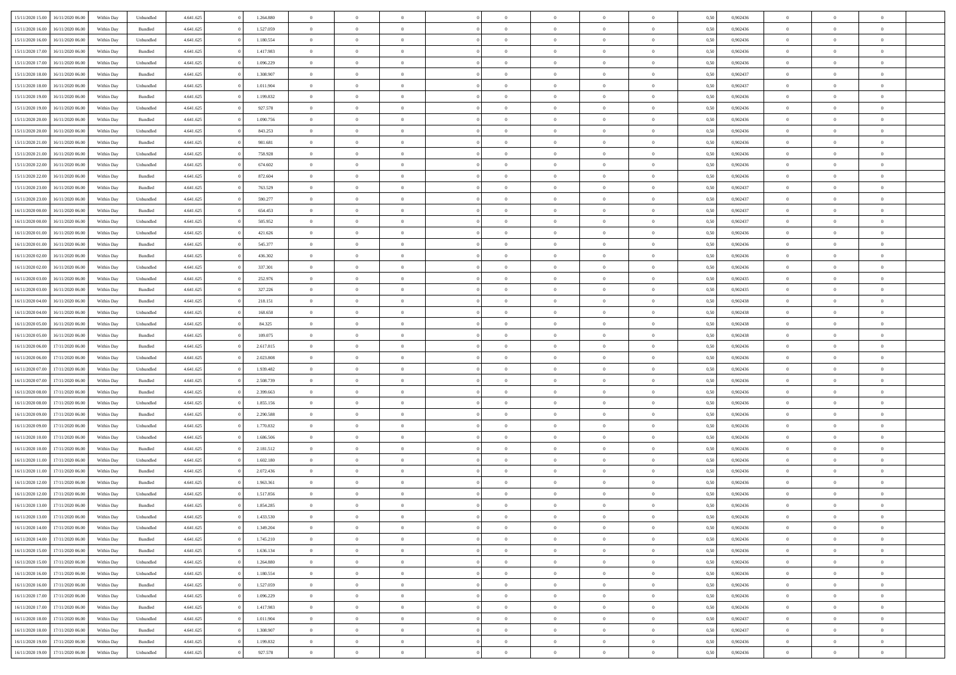| 15/11/2020 15:00 | 16/11/2020 06:00 | Within Dav | Unbundled | 4.641.625 | 1.264.880 | $\overline{0}$ | $\theta$       | $\Omega$       | $\Omega$       | $\Omega$       | $\overline{0}$ | $\theta$       | 0,50 | 0,902436 | $\theta$       | $\overline{0}$ | $\overline{0}$ |  |
|------------------|------------------|------------|-----------|-----------|-----------|----------------|----------------|----------------|----------------|----------------|----------------|----------------|------|----------|----------------|----------------|----------------|--|
|                  |                  |            |           |           |           |                |                |                |                |                |                |                |      |          |                |                |                |  |
| 15/11/2020 16:00 | 16/11/2020 06.00 | Within Day | Bundled   | 4.641.625 | 1.527.059 | $\overline{0}$ | $\overline{0}$ | $\overline{0}$ | $\overline{0}$ | $\bf{0}$       | $\overline{0}$ | $\,$ 0 $\,$    | 0,50 | 0,902436 | $\theta$       | $\overline{0}$ | $\overline{0}$ |  |
| 15/11/2020 16:00 | 16/11/2020 06.00 | Within Day | Unbundled | 4.641.625 | 1.180.554 | $\overline{0}$ | $\bf{0}$       | $\overline{0}$ | $\bf{0}$       | $\bf{0}$       | $\bf{0}$       | $\mathbf{0}$   | 0,50 | 0,902436 | $\overline{0}$ | $\overline{0}$ | $\overline{0}$ |  |
| 15/11/2020 17:00 | 16/11/2020 06:00 | Within Dav | Bundled   | 4.641.625 | 1.417.983 | $\overline{0}$ | $\overline{0}$ | $\overline{0}$ | $\overline{0}$ | $\bf{0}$       | $\overline{0}$ | $\overline{0}$ | 0.50 | 0,902436 | $\theta$       | $\theta$       | $\overline{0}$ |  |
| 15/11/2020 17:00 | 16/11/2020 06.00 | Within Day | Unbundled | 4.641.625 | 1.096.229 | $\overline{0}$ | $\theta$       | $\overline{0}$ | $\overline{0}$ | $\bf{0}$       | $\overline{0}$ | $\bf{0}$       | 0,50 | 0,902436 | $\,$ 0 $\,$    | $\overline{0}$ | $\overline{0}$ |  |
|                  |                  |            |           |           |           |                |                |                |                |                |                |                |      |          |                |                |                |  |
| 15/11/2020 18:00 | 16/11/2020 06.00 | Within Day | Bundled   | 4.641.625 | 1.308.907 | $\overline{0}$ | $\overline{0}$ | $\overline{0}$ | $\bf{0}$       | $\overline{0}$ | $\overline{0}$ | $\mathbf{0}$   | 0,50 | 0,902437 | $\overline{0}$ | $\overline{0}$ | $\bf{0}$       |  |
| 15/11/2020 18:00 | 16/11/2020 06:00 | Within Dav | Unbundled | 4.641.625 | 1.011.904 | $\overline{0}$ | $\overline{0}$ | $\overline{0}$ | $\overline{0}$ | $\overline{0}$ | $\overline{0}$ | $\overline{0}$ | 0.50 | 0,902437 | $\theta$       | $\overline{0}$ | $\overline{0}$ |  |
| 15/11/2020 19:00 | 16/11/2020 06.00 | Within Day | Bundled   | 4.641.625 | 1.199.832 | $\overline{0}$ | $\theta$       | $\overline{0}$ | $\overline{0}$ | $\bf{0}$       | $\overline{0}$ | $\bf{0}$       | 0,50 | 0,902436 | $\theta$       | $\theta$       | $\overline{0}$ |  |
| 15/11/2020 19:00 | 16/11/2020 06.00 | Within Day | Unbundled | 4.641.625 | 927.578   | $\overline{0}$ | $\overline{0}$ | $\overline{0}$ | $\bf{0}$       | $\bf{0}$       | $\bf{0}$       | $\mathbf{0}$   | 0,50 | 0,902436 | $\,0\,$        | $\overline{0}$ | $\overline{0}$ |  |
| 15/11/2020 20.00 | 16/11/2020 06.00 | Within Dav | Bundled   | 4.641.625 | 1.090.756 | $\overline{0}$ | $\overline{0}$ | $\overline{0}$ | $\overline{0}$ | $\overline{0}$ | $\overline{0}$ | $\overline{0}$ | 0.50 | 0,902436 | $\theta$       | $\overline{0}$ | $\overline{0}$ |  |
| 15/11/2020 20.00 | 16/11/2020 06.00 | Within Day | Unbundled | 4.641.625 | 843.253   | $\overline{0}$ | $\theta$       | $\overline{0}$ | $\overline{0}$ | $\bf{0}$       | $\overline{0}$ | $\bf{0}$       | 0,50 | 0,902436 | $\,$ 0 $\,$    | $\overline{0}$ | $\overline{0}$ |  |
|                  |                  |            |           |           |           |                |                |                |                |                |                |                |      |          |                |                |                |  |
| 15/11/2020 21.00 | 16/11/2020 06.00 | Within Day | Bundled   | 4.641.625 | 981.681   | $\overline{0}$ | $\bf{0}$       | $\overline{0}$ | $\bf{0}$       | $\bf{0}$       | $\bf{0}$       | $\mathbf{0}$   | 0,50 | 0,902436 | $\overline{0}$ | $\overline{0}$ | $\bf{0}$       |  |
| 15/11/2020 21.00 | 16/11/2020 06:00 | Within Day | Unbundled | 4.641.625 | 758.928   | $\overline{0}$ | $\overline{0}$ | $\overline{0}$ | $\overline{0}$ | $\bf{0}$       | $\overline{0}$ | $\overline{0}$ | 0.50 | 0,902436 | $\theta$       | $\theta$       | $\overline{0}$ |  |
| 15/11/2020 22.00 | 16/11/2020 06.00 | Within Day | Unbundled | 4.641.625 | 674.602   | $\overline{0}$ | $\theta$       | $\overline{0}$ | $\overline{0}$ | $\bf{0}$       | $\overline{0}$ | $\bf{0}$       | 0,50 | 0,902436 | $\theta$       | $\overline{0}$ | $\overline{0}$ |  |
| 15/11/2020 22.00 | 16/11/2020 06.00 | Within Day | Bundled   | 4.641.625 | 872.604   | $\overline{0}$ | $\overline{0}$ | $\overline{0}$ | $\bf{0}$       | $\overline{0}$ | $\overline{0}$ | $\mathbf{0}$   | 0,50 | 0,902436 | $\overline{0}$ | $\overline{0}$ | $\bf{0}$       |  |
| 15/11/2020 23.00 | 16/11/2020 06:00 | Within Dav | Bundled   | 4.641.625 | 763.529   | $\overline{0}$ | $\overline{0}$ | $\overline{0}$ | $\overline{0}$ | $\overline{0}$ | $\overline{0}$ | $\overline{0}$ | 0.50 | 0,902437 | $\theta$       | $\overline{0}$ | $\overline{0}$ |  |
| 15/11/2020 23.00 | 16/11/2020 06.00 | Within Day | Unbundled | 4.641.625 | 590.277   | $\overline{0}$ | $\theta$       | $\overline{0}$ | $\overline{0}$ | $\bf{0}$       | $\overline{0}$ | $\bf{0}$       | 0,50 | 0,902437 | $\,$ 0 $\,$    | $\overline{0}$ | $\overline{0}$ |  |
| 16/11/2020 00:00 | 16/11/2020 06.00 | Within Day | Bundled   | 4.641.625 | 654.453   | $\overline{0}$ | $\overline{0}$ | $\overline{0}$ | $\bf{0}$       | $\bf{0}$       | $\bf{0}$       | $\mathbf{0}$   | 0,50 | 0,902437 | $\bf{0}$       | $\overline{0}$ | $\overline{0}$ |  |
| 16/11/2020 00:00 | 16/11/2020 06:00 | Within Day | Unbundled | 4.641.625 | 505.952   | $\overline{0}$ | $\overline{0}$ | $\overline{0}$ | $\overline{0}$ | $\overline{0}$ | $\overline{0}$ | $\overline{0}$ | 0.50 | 0,902437 | $\theta$       | $\overline{0}$ | $\overline{0}$ |  |
|                  |                  |            |           |           |           |                |                |                |                |                |                |                |      |          |                |                |                |  |
| 16/11/2020 01:00 | 16/11/2020 06.00 | Within Day | Unbundled | 4.641.625 | 421.626   | $\overline{0}$ | $\theta$       | $\overline{0}$ | $\overline{0}$ | $\bf{0}$       | $\overline{0}$ | $\bf{0}$       | 0,50 | 0,902436 | $\,$ 0 $\,$    | $\overline{0}$ | $\overline{0}$ |  |
| 16/11/2020 01:00 | 16/11/2020 06.00 | Within Day | Bundled   | 4.641.625 | 545.377   | $\overline{0}$ | $\overline{0}$ | $\overline{0}$ | $\bf{0}$       | $\bf{0}$       | $\bf{0}$       | $\mathbf{0}$   | 0,50 | 0,902436 | $\overline{0}$ | $\overline{0}$ | $\bf{0}$       |  |
| 16/11/2020 02.00 | 16/11/2020 06:00 | Within Day | Bundled   | 4.641.625 | 436.302   | $\overline{0}$ | $\overline{0}$ | $\overline{0}$ | $\overline{0}$ | $\overline{0}$ | $\overline{0}$ | $\overline{0}$ | 0.50 | 0,902436 | $\theta$       | $\overline{0}$ | $\overline{0}$ |  |
| 16/11/2020 02.00 | 16/11/2020 06.00 | Within Day | Unbundled | 4.641.625 | 337.301   | $\overline{0}$ | $\theta$       | $\overline{0}$ | $\overline{0}$ | $\bf{0}$       | $\overline{0}$ | $\,$ 0 $\,$    | 0,50 | 0,902436 | $\,$ 0 $\,$    | $\overline{0}$ | $\overline{0}$ |  |
| 16/11/2020 03.00 | 16/11/2020 06.00 | Within Day | Unbundled | 4.641.625 | 252.976   | $\overline{0}$ | $\overline{0}$ | $\overline{0}$ | $\bf{0}$       | $\overline{0}$ | $\overline{0}$ | $\mathbf{0}$   | 0,50 | 0,902435 | $\overline{0}$ | $\overline{0}$ | $\bf{0}$       |  |
| 16/11/2020 03:00 | 16/11/2020 06:00 | Within Dav | Bundled   | 4.641.625 | 327.226   | $\overline{0}$ | $\overline{0}$ | $\overline{0}$ | $\overline{0}$ | $\overline{0}$ | $\overline{0}$ | $\overline{0}$ | 0.50 | 0,902435 | $\theta$       | $\overline{0}$ | $\overline{0}$ |  |
| 16/11/2020 04:00 | 16/11/2020 06.00 | Within Day | Bundled   | 4.641.625 | 218.151   | $\overline{0}$ | $\theta$       | $\overline{0}$ | $\overline{0}$ | $\bf{0}$       | $\overline{0}$ | $\bf{0}$       | 0,50 | 0,902438 | $\,$ 0 $\,$    | $\theta$       | $\overline{0}$ |  |
|                  |                  |            |           |           |           |                |                |                |                |                |                |                |      |          |                |                |                |  |
| 16/11/2020 04:00 | 16/11/2020 06.00 | Within Day | Unbundled | 4.641.625 | 168.650   | $\overline{0}$ | $\overline{0}$ | $\overline{0}$ | $\bf{0}$       | $\bf{0}$       | $\bf{0}$       | $\mathbf{0}$   | 0,50 | 0,902438 | $\,0\,$        | $\overline{0}$ | $\overline{0}$ |  |
| 16/11/2020 05:00 | 16/11/2020 06:00 | Within Day | Unbundled | 4.641.625 | 84.325    | $\overline{0}$ | $\overline{0}$ | $\overline{0}$ | $\overline{0}$ | $\overline{0}$ | $\overline{0}$ | $\overline{0}$ | 0.50 | 0,902438 | $\theta$       | $\overline{0}$ | $\overline{0}$ |  |
| 16/11/2020 05:00 | 16/11/2020 06.00 | Within Day | Bundled   | 4.641.625 | 109.075   | $\overline{0}$ | $\theta$       | $\overline{0}$ | $\overline{0}$ | $\,$ 0         | $\overline{0}$ | $\bf{0}$       | 0,50 | 0,902438 | $\,$ 0 $\,$    | $\overline{0}$ | $\overline{0}$ |  |
| 16/11/2020 06.00 | 17/11/2020 06.00 | Within Day | Bundled   | 4.641.625 | 2.617.815 | $\overline{0}$ | $\overline{0}$ | $\overline{0}$ | $\bf{0}$       | $\bf{0}$       | $\bf{0}$       | $\mathbf{0}$   | 0,50 | 0,902436 | $\overline{0}$ | $\overline{0}$ | $\bf{0}$       |  |
| 16/11/2020 06.00 | 17/11/2020 06.00 | Within Day | Unbundled | 4.641.625 | 2.023.808 | $\overline{0}$ | $\Omega$       | $\overline{0}$ | $\Omega$       | $\Omega$       | $\overline{0}$ | $\overline{0}$ | 0,50 | 0.902436 | $\,0\,$        | $\theta$       | $\theta$       |  |
| 16/11/2020 07.00 | 17/11/2020 06.00 | Within Day | Unbundled | 4.641.625 | 1.939.482 | $\overline{0}$ | $\theta$       | $\overline{0}$ | $\overline{0}$ | $\bf{0}$       | $\overline{0}$ | $\bf{0}$       | 0,50 | 0,902436 | $\,$ 0 $\,$    | $\overline{0}$ | $\overline{0}$ |  |
| 16/11/2020 07.00 | 17/11/2020 06.00 | Within Day | Bundled   | 4.641.625 | 2.508.739 | $\overline{0}$ | $\overline{0}$ | $\overline{0}$ | $\bf{0}$       | $\overline{0}$ | $\overline{0}$ | $\mathbf{0}$   | 0,50 | 0,902436 | $\overline{0}$ | $\overline{0}$ | $\bf{0}$       |  |
|                  |                  |            |           |           |           |                |                |                |                |                |                |                |      |          |                |                |                |  |
| 16/11/2020 08:00 | 17/11/2020 06.00 | Within Day | Bundled   | 4.641.625 | 2.399.663 | $\overline{0}$ | $\Omega$       | $\overline{0}$ | $\Omega$       | $\overline{0}$ | $\overline{0}$ | $\overline{0}$ | 0.50 | 0.902436 | $\,0\,$        | $\theta$       | $\theta$       |  |
| 16/11/2020 08:00 | 17/11/2020 06.00 | Within Day | Unbundled | 4.641.625 | 1.855.156 | $\overline{0}$ | $\theta$       | $\overline{0}$ | $\overline{0}$ | $\,$ 0         | $\overline{0}$ | $\bf{0}$       | 0,50 | 0,902436 | $\,$ 0 $\,$    | $\overline{0}$ | $\overline{0}$ |  |
| 16/11/2020 09:00 | 17/11/2020 06.00 | Within Day | Bundled   | 4.641.625 | 2.290.588 | $\overline{0}$ | $\overline{0}$ | $\overline{0}$ | $\bf{0}$       | $\bf{0}$       | $\bf{0}$       | $\mathbf{0}$   | 0,50 | 0,902436 | $\bf{0}$       | $\overline{0}$ | $\bf{0}$       |  |
| 16/11/2020 09:00 | 17/11/2020 06:00 | Within Day | Unbundled | 4.641.625 | 1.770.832 | $\overline{0}$ | $\Omega$       | $\overline{0}$ | $\Omega$       | $\overline{0}$ | $\overline{0}$ | $\overline{0}$ | 0.50 | 0.902436 | $\,$ 0 $\,$    | $\theta$       | $\theta$       |  |
| 16/11/2020 10:00 | 17/11/2020 06.00 | Within Day | Unbundled | 4.641.625 | 1.686.506 | $\overline{0}$ | $\,$ 0         | $\overline{0}$ | $\overline{0}$ | $\,$ 0         | $\overline{0}$ | $\bf{0}$       | 0,50 | 0,902436 | $\,$ 0 $\,$    | $\overline{0}$ | $\overline{0}$ |  |
| 16/11/2020 10:00 | 17/11/2020 06.00 | Within Day | Bundled   | 4.641.625 | 2.181.512 | $\overline{0}$ | $\bf{0}$       | $\overline{0}$ | $\bf{0}$       | $\bf{0}$       | $\bf{0}$       | $\mathbf{0}$   | 0,50 | 0,902436 | $\overline{0}$ | $\overline{0}$ | $\bf{0}$       |  |
|                  |                  |            |           |           |           |                |                |                |                |                |                |                |      |          |                |                | $\theta$       |  |
| 16/11/2020 11:00 | 17/11/2020 06.00 | Within Day | Unbundled | 4.641.625 | 1.602.180 | $\overline{0}$ | $\Omega$       | $\overline{0}$ | $\Omega$       | $\overline{0}$ | $\overline{0}$ | $\overline{0}$ | 0,50 | 0,902436 | $\,0\,$        | $\theta$       |                |  |
| 16/11/2020 11:00 | 17/11/2020 06.00 | Within Day | Bundled   | 4.641.625 | 2.072.436 | $\overline{0}$ | $\overline{0}$ | $\overline{0}$ | $\overline{0}$ | $\,$ 0         | $\overline{0}$ | $\bf{0}$       | 0,50 | 0,902436 | $\,$ 0 $\,$    | $\overline{0}$ | $\overline{0}$ |  |
| 16/11/2020 12.00 | 17/11/2020 06.00 | Within Day | Bundled   | 4.641.625 | 1.963.361 | $\overline{0}$ | $\overline{0}$ | $\overline{0}$ | $\bf{0}$       | $\bf{0}$       | $\overline{0}$ | $\mathbf{0}$   | 0,50 | 0,902436 | $\overline{0}$ | $\overline{0}$ | $\bf{0}$       |  |
| 16/11/2020 12:00 | 17/11/2020 06.00 | Within Day | Unbundled | 4.641.625 | 1.517.856 | $\overline{0}$ | $\Omega$       | $\Omega$       | $\Omega$       | $\Omega$       | $\overline{0}$ | $\overline{0}$ | 0.50 | 0.902436 | $\theta$       | $\theta$       | $\theta$       |  |
| 16/11/2020 13:00 | 17/11/2020 06.00 | Within Day | Bundled   | 4.641.625 | 1.854.285 | $\overline{0}$ | $\overline{0}$ | $\overline{0}$ | $\bf{0}$       | $\,$ 0         | $\bf{0}$       | $\bf{0}$       | 0,50 | 0,902436 | $\,0\,$        | $\,$ 0 $\,$    | $\overline{0}$ |  |
| 16/11/2020 13:00 | 17/11/2020 06.00 | Within Day | Unbundled | 4.641.625 | 1.433.530 | $\bf{0}$       | $\bf{0}$       |                |                | $\bf{0}$       |                |                | 0,50 | 0,902436 | $\bf{0}$       | $\overline{0}$ |                |  |
| 16/11/2020 14:00 | 17/11/2020 06.00 | Within Day | Unbundled | 4.641.625 | 1.349.204 | $\overline{0}$ | $\overline{0}$ | $\overline{0}$ | $\Omega$       | $\theta$       | $\overline{0}$ | $\overline{0}$ | 0,50 | 0.902436 | $\theta$       | $\theta$       | $\theta$       |  |
| 16/11/2020 14:00 | 17/11/2020 06.00 | Within Day | Bundled   | 4.641.625 | 1.745.210 | $\overline{0}$ | $\,$ 0         | $\overline{0}$ | $\bf{0}$       | $\,$ 0 $\,$    | $\overline{0}$ | $\mathbf{0}$   | 0,50 | 0,902436 | $\,$ 0 $\,$    | $\,$ 0 $\,$    | $\,$ 0         |  |
| 16/11/2020 15.00 | 17/11/2020 06.00 | Within Day | Bundled   | 4.641.625 | 1.636.134 | $\overline{0}$ | $\overline{0}$ | $\overline{0}$ | $\overline{0}$ | $\overline{0}$ | $\overline{0}$ | $\mathbf{0}$   | 0,50 | 0,902436 | $\overline{0}$ | $\bf{0}$       | $\bf{0}$       |  |
|                  |                  |            |           |           |           |                |                |                |                |                |                |                |      |          |                |                |                |  |
| 16/11/2020 15:00 | 17/11/2020 06.00 | Within Day | Unbundled | 4.641.625 | 1.264.880 | $\overline{0}$ | $\overline{0}$ | $\overline{0}$ | $\Omega$       | $\overline{0}$ | $\overline{0}$ | $\bf{0}$       | 0,50 | 0,902436 | $\overline{0}$ | $\theta$       | $\overline{0}$ |  |
| 16/11/2020 16:00 | 17/11/2020 06.00 | Within Day | Unbundled | 4.641.625 | 1.180.554 | $\overline{0}$ | $\,$ 0         | $\overline{0}$ | $\overline{0}$ | $\,$ 0 $\,$    | $\overline{0}$ | $\mathbf{0}$   | 0,50 | 0,902436 | $\,$ 0 $\,$    | $\overline{0}$ | $\overline{0}$ |  |
| 16/11/2020 16.00 | 17/11/2020 06.00 | Within Day | Bundled   | 4.641.625 | 1.527.059 | $\overline{0}$ | $\overline{0}$ | $\overline{0}$ | $\overline{0}$ | $\overline{0}$ | $\overline{0}$ | $\mathbf{0}$   | 0,50 | 0,902436 | $\overline{0}$ | $\bf{0}$       | $\bf{0}$       |  |
| 16/11/2020 17.00 | 17/11/2020 06.00 | Within Day | Unbundled | 4.641.625 | 1.096.229 | $\overline{0}$ | $\overline{0}$ | $\overline{0}$ | $\Omega$       | $\overline{0}$ | $\overline{0}$ | $\bf{0}$       | 0.50 | 0,902436 | $\overline{0}$ | $\theta$       | $\overline{0}$ |  |
| 16/11/2020 17.00 | 17/11/2020 06.00 | Within Day | Bundled   | 4.641.625 | 1.417.983 | $\overline{0}$ | $\,$ 0         | $\overline{0}$ | $\bf{0}$       | $\bf{0}$       | $\bf{0}$       | $\bf{0}$       | 0,50 | 0,902436 | $\,$ 0 $\,$    | $\overline{0}$ | $\overline{0}$ |  |
| 16/11/2020 18:00 | 17/11/2020 06.00 | Within Day | Unbundled | 4.641.625 | 1.011.904 | $\overline{0}$ | $\bf{0}$       | $\overline{0}$ | $\overline{0}$ | $\overline{0}$ | $\bf{0}$       | $\mathbf{0}$   | 0,50 | 0,902437 | $\overline{0}$ | $\overline{0}$ | $\bf{0}$       |  |
| 16/11/2020 18:00 | 17/11/2020 06.00 | Within Day | Bundled   | 4.641.625 | 1.308.907 | $\overline{0}$ | $\overline{0}$ | $\overline{0}$ | $\Omega$       | $\overline{0}$ | $\overline{0}$ | $\bf{0}$       | 0.50 | 0.902437 | $\overline{0}$ | $\theta$       | $\overline{0}$ |  |
| 16/11/2020 19:00 | 17/11/2020 06.00 | Within Day | Bundled   | 4.641.625 | 1.199.832 | $\overline{0}$ | $\bf{0}$       | $\overline{0}$ | $\overline{0}$ | $\bf{0}$       | $\bf{0}$       | $\mathbf{0}$   | 0,50 | 0,902436 | $\,$ 0 $\,$    | $\,$ 0 $\,$    | $\bf{0}$       |  |
|                  |                  |            |           |           |           |                |                |                |                |                |                |                |      |          |                |                |                |  |
| 16/11/2020 19:00 | 17/11/2020 06.00 | Within Day | Unbundled | 4.641.625 | 927.578   | $\overline{0}$ | $\overline{0}$ | $\overline{0}$ | $\overline{0}$ | $\bf{0}$       | $\bf{0}$       | $\mathbf{0}$   | 0,50 | 0,902436 | $\overline{0}$ | $\bf{0}$       | $\bf{0}$       |  |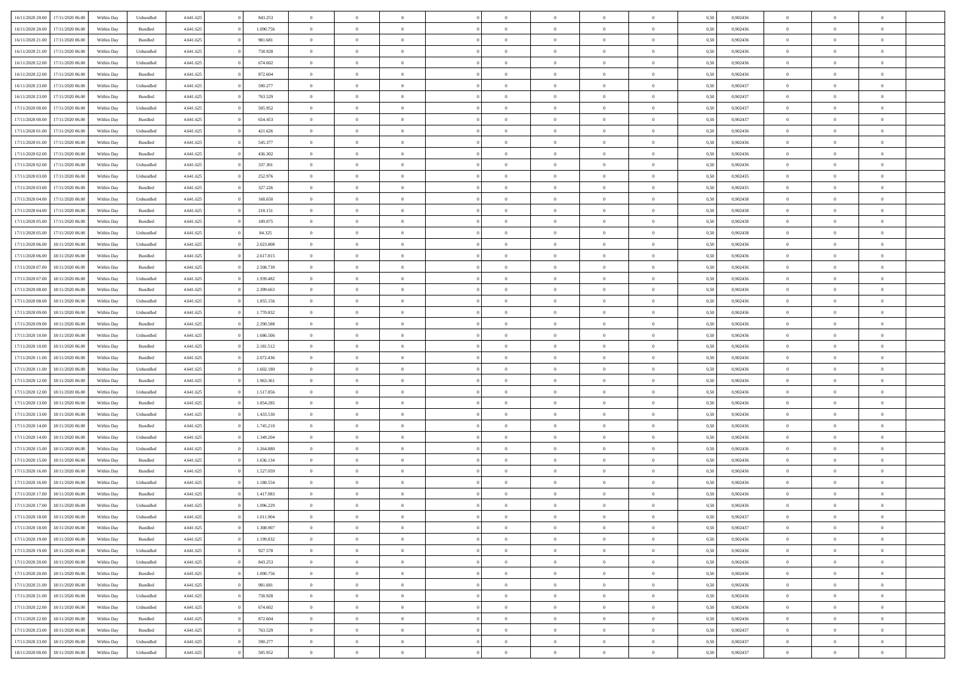| 16/11/2020 20.00 | 17/11/2020 06:00 | Within Dav | Unbundled | 4.641.625 | 843.253   | $\overline{0}$ | $\theta$       | $\Omega$       | $\Omega$       | $\Omega$       | $\overline{0}$ | $\theta$       | 0.50 | 0,902436 | $\theta$       | $\overline{0}$ | $\overline{0}$ |  |
|------------------|------------------|------------|-----------|-----------|-----------|----------------|----------------|----------------|----------------|----------------|----------------|----------------|------|----------|----------------|----------------|----------------|--|
| 16/11/2020 20.00 | 17/11/2020 06.00 | Within Day | Bundled   | 4.641.625 | 1.090.756 | $\overline{0}$ | $\overline{0}$ | $\overline{0}$ | $\overline{0}$ | $\bf{0}$       | $\overline{0}$ | $\bf{0}$       | 0,50 | 0,902436 | $\theta$       | $\overline{0}$ | $\overline{0}$ |  |
| 16/11/2020 21.00 | 17/11/2020 06.00 | Within Day | Bundled   | 4.641.625 | 981.681   | $\overline{0}$ | $\bf{0}$       | $\overline{0}$ | $\bf{0}$       | $\bf{0}$       | $\bf{0}$       | $\mathbf{0}$   | 0,50 | 0,902436 | $\bf{0}$       | $\overline{0}$ | $\bf{0}$       |  |
| 16/11/2020 21.00 | 17/11/2020 06:00 | Within Dav | Unbundled | 4.641.625 | 758.928   | $\overline{0}$ | $\overline{0}$ | $\overline{0}$ | $\overline{0}$ | $\bf{0}$       | $\overline{0}$ | $\overline{0}$ | 0.50 | 0,902436 | $\theta$       | $\theta$       | $\overline{0}$ |  |
| 16/11/2020 22.00 | 17/11/2020 06.00 |            |           | 4.641.625 | 674.602   | $\overline{0}$ | $\theta$       | $\overline{0}$ | $\overline{0}$ | $\bf{0}$       | $\overline{0}$ |                |      | 0,902436 | $\,$ 0 $\,$    | $\overline{0}$ | $\overline{0}$ |  |
|                  |                  | Within Day | Unbundled |           |           |                |                |                |                |                |                | $\bf{0}$       | 0,50 |          |                |                |                |  |
| 16/11/2020 22.00 | 17/11/2020 06.00 | Within Day | Bundled   | 4.641.625 | 872.604   | $\overline{0}$ | $\overline{0}$ | $\overline{0}$ | $\bf{0}$       | $\overline{0}$ | $\overline{0}$ | $\mathbf{0}$   | 0,50 | 0,902436 | $\bf{0}$       | $\overline{0}$ | $\bf{0}$       |  |
| 16/11/2020 23.00 | 17/11/2020 06.00 | Within Dav | Unbundled | 4.641.625 | 590.277   | $\overline{0}$ | $\overline{0}$ | $\overline{0}$ | $\overline{0}$ | $\overline{0}$ | $\overline{0}$ | $\overline{0}$ | 0.50 | 0,902437 | $\theta$       | $\overline{0}$ | $\overline{0}$ |  |
| 16/11/2020 23.00 | 17/11/2020 06.00 | Within Day | Bundled   | 4.641.625 | 763.529   | $\overline{0}$ | $\theta$       | $\overline{0}$ | $\overline{0}$ | $\bf{0}$       | $\overline{0}$ | $\bf{0}$       | 0,50 | 0,902437 | $\theta$       | $\theta$       | $\overline{0}$ |  |
| 17/11/2020 00:00 | 17/11/2020 06.00 | Within Day | Unbundled | 4.641.625 | 505.952   | $\overline{0}$ | $\overline{0}$ | $\overline{0}$ | $\bf{0}$       | $\bf{0}$       | $\bf{0}$       | $\bf{0}$       | 0,50 | 0,902437 | $\,0\,$        | $\overline{0}$ | $\overline{0}$ |  |
| 17/11/2020 00:00 | 17/11/2020 06.00 | Within Dav | Bundled   | 4.641.625 | 654.453   | $\overline{0}$ | $\overline{0}$ | $\overline{0}$ | $\overline{0}$ | $\overline{0}$ | $\overline{0}$ | $\overline{0}$ | 0.50 | 0,902437 | $\theta$       | $\overline{0}$ | $\overline{0}$ |  |
|                  |                  |            |           |           |           |                |                |                |                |                |                |                |      |          |                |                |                |  |
| 17/11/2020 01:00 | 17/11/2020 06.00 | Within Day | Unbundled | 4.641.625 | 421.626   | $\overline{0}$ | $\theta$       | $\overline{0}$ | $\overline{0}$ | $\bf{0}$       | $\overline{0}$ | $\bf{0}$       | 0,50 | 0,902436 | $\,$ 0 $\,$    | $\overline{0}$ | $\overline{0}$ |  |
| 17/11/2020 01.00 | 17/11/2020 06.00 | Within Day | Bundled   | 4.641.625 | 545.377   | $\overline{0}$ | $\bf{0}$       | $\overline{0}$ | $\bf{0}$       | $\bf{0}$       | $\bf{0}$       | $\mathbf{0}$   | 0,50 | 0,902436 | $\bf{0}$       | $\overline{0}$ | $\bf{0}$       |  |
| 17/11/2020 02.00 | 17/11/2020 06:00 | Within Day | Bundled   | 4.641.625 | 436.302   | $\overline{0}$ | $\overline{0}$ | $\overline{0}$ | $\overline{0}$ | $\bf{0}$       | $\overline{0}$ | $\overline{0}$ | 0.50 | 0,902436 | $\theta$       | $\theta$       | $\overline{0}$ |  |
| 17/11/2020 02.00 | 17/11/2020 06.00 | Within Day | Unbundled | 4.641.625 | 337.301   | $\overline{0}$ | $\theta$       | $\overline{0}$ | $\overline{0}$ | $\bf{0}$       | $\overline{0}$ | $\bf{0}$       | 0,50 | 0,902436 | $\theta$       | $\overline{0}$ | $\overline{0}$ |  |
| 17/11/2020 03:00 | 17/11/2020 06.00 | Within Day | Unbundled | 4.641.625 | 252.976   | $\overline{0}$ | $\overline{0}$ | $\overline{0}$ | $\bf{0}$       | $\overline{0}$ | $\overline{0}$ | $\mathbf{0}$   | 0,50 | 0,902435 | $\bf{0}$       | $\overline{0}$ | $\bf{0}$       |  |
|                  |                  |            |           |           |           |                |                |                |                |                |                |                |      |          |                |                |                |  |
| 17/11/2020 03:00 | 17/11/2020 06.00 | Within Dav | Bundled   | 4.641.625 | 327.226   | $\overline{0}$ | $\overline{0}$ | $\overline{0}$ | $\overline{0}$ | $\overline{0}$ | $\overline{0}$ | $\overline{0}$ | 0.50 | 0,902435 | $\theta$       | $\overline{0}$ | $\overline{0}$ |  |
| 17/11/2020 04:00 | 17/11/2020 06.00 | Within Day | Unbundled | 4.641.625 | 168.650   | $\overline{0}$ | $\theta$       | $\overline{0}$ | $\overline{0}$ | $\bf{0}$       | $\overline{0}$ | $\bf{0}$       | 0,50 | 0,902438 | $\,$ 0 $\,$    | $\theta$       | $\overline{0}$ |  |
| 17/11/2020 04:00 | 17/11/2020 06.00 | Within Day | Bundled   | 4.641.625 | 218.151   | $\overline{0}$ | $\overline{0}$ | $\overline{0}$ | $\bf{0}$       | $\bf{0}$       | $\bf{0}$       | $\mathbf{0}$   | 0,50 | 0,902438 | $\bf{0}$       | $\overline{0}$ | $\overline{0}$ |  |
| 17/11/2020 05:00 | 17/11/2020 06.00 | Within Day | Bundled   | 4.641.625 | 109.075   | $\overline{0}$ | $\overline{0}$ | $\overline{0}$ | $\overline{0}$ | $\overline{0}$ | $\overline{0}$ | $\overline{0}$ | 0.50 | 0,902438 | $\theta$       | $\overline{0}$ | $\overline{0}$ |  |
| 17/11/2020 05:00 | 17/11/2020 06.00 | Within Day | Unbundled | 4.641.625 | 84.325    | $\overline{0}$ | $\theta$       | $\overline{0}$ | $\overline{0}$ | $\bf{0}$       | $\overline{0}$ | $\bf{0}$       | 0,50 | 0,902438 | $\,$ 0 $\,$    | $\overline{0}$ | $\overline{0}$ |  |
| 17/11/2020 06:00 | 18/11/2020 06.00 | Within Day | Unbundled | 4.641.625 | 2.023.808 | $\overline{0}$ | $\overline{0}$ | $\overline{0}$ | $\bf{0}$       | $\bf{0}$       | $\bf{0}$       | $\mathbf{0}$   | 0,50 | 0,902436 | $\overline{0}$ | $\overline{0}$ | $\bf{0}$       |  |
|                  |                  |            |           |           |           |                |                |                |                |                |                |                |      |          |                |                |                |  |
| 17/11/2020 06.00 | 18/11/2020 06:00 | Within Day | Bundled   | 4.641.625 | 2.617.815 | $\overline{0}$ | $\overline{0}$ | $\overline{0}$ | $\overline{0}$ | $\overline{0}$ | $\overline{0}$ | $\overline{0}$ | 0.50 | 0,902436 | $\theta$       | $\overline{0}$ | $\overline{0}$ |  |
| 17/11/2020 07.00 | 18/11/2020 06.00 | Within Day | Bundled   | 4.641.625 | 2.508.739 | $\overline{0}$ | $\theta$       | $\overline{0}$ | $\overline{0}$ | $\bf{0}$       | $\overline{0}$ | $\,$ 0 $\,$    | 0,50 | 0,902436 | $\,$ 0 $\,$    | $\overline{0}$ | $\overline{0}$ |  |
| 17/11/2020 07.00 | 18/11/2020 06.00 | Within Day | Unbundled | 4.641.625 | 1.939.482 | $\overline{0}$ | $\overline{0}$ | $\overline{0}$ | $\bf{0}$       | $\overline{0}$ | $\overline{0}$ | $\mathbf{0}$   | 0,50 | 0,902436 | $\overline{0}$ | $\overline{0}$ | $\bf{0}$       |  |
| 17/11/2020 08:00 | 18/11/2020 06:00 | Within Day | Bundled   | 4.641.625 | 2.399.663 | $\overline{0}$ | $\overline{0}$ | $\overline{0}$ | $\overline{0}$ | $\overline{0}$ | $\overline{0}$ | $\overline{0}$ | 0.50 | 0,902436 | $\overline{0}$ | $\overline{0}$ | $\overline{0}$ |  |
| 17/11/2020 08:00 | 18/11/2020 06.00 | Within Day | Unbundled | 4.641.625 | 1.855.156 | $\overline{0}$ | $\theta$       | $\overline{0}$ | $\overline{0}$ | $\bf{0}$       | $\overline{0}$ | $\bf{0}$       | 0,50 | 0,902436 | $\,$ 0 $\,$    | $\theta$       | $\overline{0}$ |  |
| 17/11/2020 09:00 | 18/11/2020 06.00 | Within Day | Unbundled | 4.641.625 | 1.770.832 | $\overline{0}$ | $\overline{0}$ | $\overline{0}$ | $\bf{0}$       | $\bf{0}$       | $\bf{0}$       | $\bf{0}$       | 0,50 | 0,902436 | $\,0\,$        | $\overline{0}$ | $\overline{0}$ |  |
|                  |                  |            |           |           |           |                |                |                |                |                |                |                |      |          |                |                |                |  |
| 17/11/2020 09:00 | 18/11/2020 06.00 | Within Day | Bundled   | 4.641.625 | 2.290.588 | $\overline{0}$ | $\overline{0}$ | $\overline{0}$ | $\overline{0}$ | $\overline{0}$ | $\overline{0}$ | $\overline{0}$ | 0.50 | 0,902436 | $\theta$       | $\overline{0}$ | $\overline{0}$ |  |
| 17/11/2020 10:00 | 18/11/2020 06.00 | Within Day | Unbundled | 4.641.625 | 1.686.506 | $\overline{0}$ | $\theta$       | $\overline{0}$ | $\overline{0}$ | $\,$ 0         | $\overline{0}$ | $\bf{0}$       | 0,50 | 0,902436 | $\,$ 0 $\,$    | $\overline{0}$ | $\overline{0}$ |  |
| 17/11/2020 10.00 | 18/11/2020 06.00 | Within Day | Bundled   | 4.641.625 | 2.181.512 | $\overline{0}$ | $\overline{0}$ | $\overline{0}$ | $\bf{0}$       | $\bf{0}$       | $\bf{0}$       | $\bf{0}$       | 0,50 | 0,902436 | $\overline{0}$ | $\overline{0}$ | $\bf{0}$       |  |
| 17/11/2020 11:00 | 18/11/2020 06.00 | Within Day | Bundled   | 4.641.625 | 2.072.436 | $\overline{0}$ | $\Omega$       | $\overline{0}$ | $\Omega$       | $\Omega$       | $\overline{0}$ | $\overline{0}$ | 0,50 | 0.902436 | $\,0\,$        | $\theta$       | $\theta$       |  |
| 17/11/2020 11:00 | 18/11/2020 06.00 | Within Day | Unbundled | 4.641.625 | 1.602.180 | $\overline{0}$ | $\theta$       | $\overline{0}$ | $\overline{0}$ | $\bf{0}$       | $\overline{0}$ | $\bf{0}$       | 0,50 | 0,902436 | $\,$ 0 $\,$    | $\overline{0}$ | $\overline{0}$ |  |
| 17/11/2020 12:00 | 18/11/2020 06.00 | Within Day | Bundled   | 4.641.625 | 1.963.361 | $\overline{0}$ | $\overline{0}$ | $\overline{0}$ | $\bf{0}$       | $\overline{0}$ | $\overline{0}$ | $\mathbf{0}$   | 0,50 | 0,902436 | $\overline{0}$ | $\overline{0}$ | $\bf{0}$       |  |
|                  |                  |            |           |           |           | $\overline{0}$ | $\Omega$       | $\Omega$       | $\Omega$       | $\overline{0}$ | $\overline{0}$ |                |      | 0.902436 |                | $\theta$       | $\theta$       |  |
| 17/11/2020 12:00 | 18/11/2020 06.00 | Within Day | Unbundled | 4.641.625 | 1.517.856 |                |                |                |                |                |                | $\overline{0}$ | 0.50 |          | $\,0\,$        |                |                |  |
| 17/11/2020 13:00 | 18/11/2020 06.00 | Within Day | Bundled   | 4.641.625 | 1.854.285 | $\overline{0}$ | $\theta$       | $\overline{0}$ | $\overline{0}$ | $\bf{0}$       | $\overline{0}$ | $\bf{0}$       | 0,50 | 0,902436 | $\,$ 0 $\,$    | $\overline{0}$ | $\overline{0}$ |  |
| 17/11/2020 13:00 | 18/11/2020 06.00 | Within Day | Unbundled | 4.641.625 | 1.433.530 | $\overline{0}$ | $\overline{0}$ | $\overline{0}$ | $\bf{0}$       | $\bf{0}$       | $\bf{0}$       | $\mathbf{0}$   | 0,50 | 0,902436 | $\bf{0}$       | $\overline{0}$ | $\bf{0}$       |  |
| 17/11/2020 14:00 | 18/11/2020 06:00 | Within Day | Bundled   | 4.641.625 | 1.745.210 | $\overline{0}$ | $\Omega$       | $\overline{0}$ | $\Omega$       | $\overline{0}$ | $\overline{0}$ | $\overline{0}$ | 0.50 | 0.902436 | $\,$ 0 $\,$    | $\theta$       | $\theta$       |  |
| 17/11/2020 14:00 | 18/11/2020 06.00 | Within Day | Unbundled | 4.641.625 | 1.349.204 | $\overline{0}$ | $\theta$       | $\overline{0}$ | $\overline{0}$ | $\,$ 0         | $\overline{0}$ | $\bf{0}$       | 0,50 | 0,902436 | $\,$ 0 $\,$    | $\overline{0}$ | $\overline{0}$ |  |
| 17/11/2020 15:00 | 18/11/2020 06.00 | Within Day | Unbundled | 4.641.625 | 1.264.880 | $\overline{0}$ | $\bf{0}$       | $\overline{0}$ | $\bf{0}$       | $\bf{0}$       | $\bf{0}$       | $\mathbf{0}$   | 0,50 | 0,902436 | $\bf{0}$       | $\overline{0}$ | $\bf{0}$       |  |
|                  |                  |            |           |           |           | $\overline{0}$ | $\Omega$       |                | $\Omega$       |                |                |                |      |          |                | $\theta$       | $\theta$       |  |
| 17/11/2020 15:00 | 18/11/2020 06.00 | Within Day | Bundled   | 4.641.625 | 1.636.134 |                |                | $\overline{0}$ |                | $\overline{0}$ | $\overline{0}$ | $\overline{0}$ | 0,50 | 0,902436 | $\,0\,$        |                |                |  |
| 17/11/2020 16:00 | 18/11/2020 06.00 | Within Day | Bundled   | 4.641.625 | 1.527.059 | $\overline{0}$ | $\overline{0}$ | $\overline{0}$ | $\overline{0}$ | $\,$ 0         | $\overline{0}$ | $\bf{0}$       | 0,50 | 0,902436 | $\,$ 0 $\,$    | $\overline{0}$ | $\overline{0}$ |  |
| 17/11/2020 16:00 | 18/11/2020 06.00 | Within Day | Unbundled | 4.641.625 | 1.180.554 | $\overline{0}$ | $\overline{0}$ | $\overline{0}$ | $\bf{0}$       | $\bf{0}$       | $\overline{0}$ | $\mathbf{0}$   | 0,50 | 0,902436 | $\bf{0}$       | $\overline{0}$ | $\bf{0}$       |  |
| 17/11/2020 17:00 | 18/11/2020 06:00 | Within Day | Bundled   | 4.641.625 | 1.417.983 | $\overline{0}$ | $\Omega$       | $\Omega$       | $\Omega$       | $\Omega$       | $\overline{0}$ | $\overline{0}$ | 0.50 | 0.902436 | $\theta$       | $\theta$       | $\theta$       |  |
| 17/11/2020 17.00 | 18/11/2020 06.00 | Within Day | Unbundled | 4.641.625 | 1.096.229 | $\overline{0}$ | $\overline{0}$ | $\overline{0}$ | $\bf{0}$       | $\,$ 0         | $\bf{0}$       | $\bf{0}$       | 0,50 | 0,902436 | $\,0\,$        | $\,$ 0 $\,$    | $\overline{0}$ |  |
| 17/11/2020 18:00 | 18/11/2020 06.00 | Within Day | Unbundled | 4.641.625 | 1.011.904 | $\bf{0}$       | $\bf{0}$       |                |                | $\bf{0}$       |                |                | 0,50 | 0,902437 | $\bf{0}$       | $\overline{0}$ |                |  |
| 17/11/2020 18:00 | 18/11/2020 06:00 | Within Day | Bundled   | 4.641.625 | 1.308.907 | $\overline{0}$ | $\overline{0}$ | $\overline{0}$ | $\Omega$       | $\overline{0}$ | $\overline{0}$ | $\overline{0}$ | 0,50 | 0.902437 | $\theta$       | $\theta$       | $\theta$       |  |
| 17/11/2020 19:00 | 18/11/2020 06.00 |            | Bundled   | 4.641.625 | 1.199.832 | $\overline{0}$ | $\bf{0}$       | $\overline{0}$ |                | $\,$ 0 $\,$    | $\overline{0}$ | $\,$ 0 $\,$    |      | 0,902436 | $\,$ 0 $\,$    | $\,$ 0 $\,$    | $\,$ 0         |  |
|                  |                  | Within Day |           |           |           |                |                |                | $\bf{0}$       |                |                |                | 0,50 |          |                |                |                |  |
| 17/11/2020 19:00 | 18/11/2020 06:00 | Within Day | Unbundled | 4.641.625 | 927.578   | $\overline{0}$ | $\overline{0}$ | $\overline{0}$ | $\overline{0}$ | $\overline{0}$ | $\overline{0}$ | $\mathbf{0}$   | 0,50 | 0,902436 | $\overline{0}$ | $\bf{0}$       | $\bf{0}$       |  |
| 17/11/2020 20.00 | 18/11/2020 06:00 | Within Day | Unbundled | 4.641.625 | 843.253   | $\overline{0}$ | $\overline{0}$ | $\overline{0}$ | $\Omega$       | $\overline{0}$ | $\overline{0}$ | $\overline{0}$ | 0,50 | 0,902436 | $\overline{0}$ | $\theta$       | $\overline{0}$ |  |
| 17/11/2020 20.00 | 18/11/2020 06.00 | Within Day | Bundled   | 4.641.625 | 1.090.756 | $\overline{0}$ | $\,$ 0         | $\overline{0}$ | $\overline{0}$ | $\,$ 0 $\,$    | $\overline{0}$ | $\mathbf{0}$   | 0,50 | 0,902436 | $\,$ 0 $\,$    | $\overline{0}$ | $\overline{0}$ |  |
| 17/11/2020 21.00 | 18/11/2020 06:00 | Within Day | Bundled   | 4.641.625 | 981.681   | $\overline{0}$ | $\overline{0}$ | $\overline{0}$ | $\overline{0}$ | $\overline{0}$ | $\overline{0}$ | $\mathbf{0}$   | 0,50 | 0,902436 | $\overline{0}$ | $\overline{0}$ | $\bf{0}$       |  |
| 17/11/2020 21.00 | 18/11/2020 06:00 | Within Day | Unbundled | 4.641.625 | 758.928   | $\overline{0}$ | $\overline{0}$ | $\overline{0}$ | $\overline{0}$ | $\overline{0}$ | $\overline{0}$ | $\bf{0}$       | 0.50 | 0,902436 | $\overline{0}$ | $\theta$       | $\overline{0}$ |  |
| 17/11/2020 22.00 | 18/11/2020 06.00 |            |           | 4.641.625 | 674.602   | $\overline{0}$ | $\,$ 0         |                |                | $\bf{0}$       |                |                |      | 0,902436 | $\,$ 0 $\,$    | $\overline{0}$ | $\overline{0}$ |  |
|                  |                  | Within Day | Unbundled |           |           |                |                | $\overline{0}$ | $\bf{0}$       |                | $\bf{0}$       | $\bf{0}$       | 0,50 |          |                |                |                |  |
| 17/11/2020 22.00 | 18/11/2020 06:00 | Within Day | Bundled   | 4.641.625 | 872.604   | $\overline{0}$ | $\bf{0}$       | $\overline{0}$ | $\overline{0}$ | $\overline{0}$ | $\overline{0}$ | $\mathbf{0}$   | 0,50 | 0,902436 | $\overline{0}$ | $\overline{0}$ | $\bf{0}$       |  |
| 17/11/2020 23.00 | 18/11/2020 06:00 | Within Day | Bundled   | 4.641.625 | 763.529   | $\overline{0}$ | $\overline{0}$ | $\overline{0}$ | $\Omega$       | $\overline{0}$ | $\overline{0}$ | $\overline{0}$ | 0,50 | 0.902437 | $\overline{0}$ | $\overline{0}$ | $\overline{0}$ |  |
| 17/11/2020 23.00 | 18/11/2020 06.00 | Within Day | Unbundled | 4.641.625 | 590.277   | $\overline{0}$ | $\bf{0}$       | $\overline{0}$ | $\overline{0}$ | $\bf{0}$       | $\bf{0}$       | $\mathbf{0}$   | 0,50 | 0,902437 | $\,$ 0 $\,$    | $\,$ 0 $\,$    | $\bf{0}$       |  |
| 18/11/2020 00:00 | 18/11/2020 06.00 | Within Day | Unbundled | 4.641.625 | 505.952   | $\overline{0}$ | $\bf{0}$       | $\overline{0}$ | $\bf{0}$       | $\bf{0}$       | $\bf{0}$       | $\bf{0}$       | 0,50 | 0,902437 | $\overline{0}$ | $\overline{0}$ | $\bf{0}$       |  |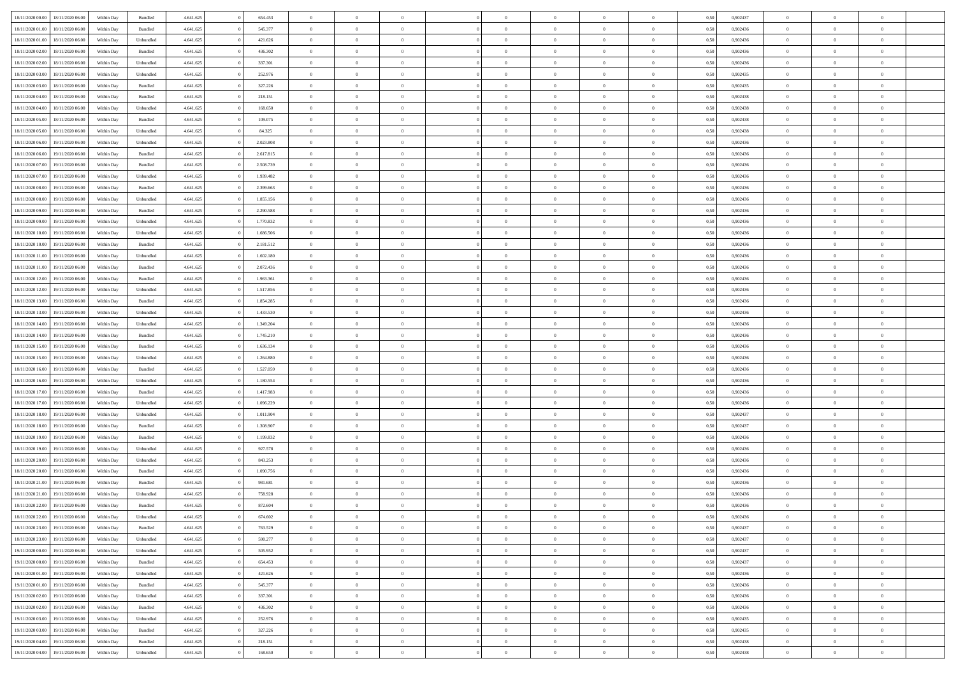|                  |                  |            |                    |           |           |                |                |                |                | $\Omega$       |                | $\theta$       |      |          | $\theta$       |                |                |  |
|------------------|------------------|------------|--------------------|-----------|-----------|----------------|----------------|----------------|----------------|----------------|----------------|----------------|------|----------|----------------|----------------|----------------|--|
| 18/11/2020 00:00 | 18/11/2020 06:00 | Within Day | Bundled            | 4.641.625 | 654.453   | $\overline{0}$ | $\theta$       | $\Omega$       | $\Omega$       |                | $\overline{0}$ |                | 0.50 | 0,902437 |                | $\theta$       | $\overline{0}$ |  |
| 18/11/2020 01:00 | 18/11/2020 06.00 | Within Day | Bundled            | 4.641.625 | 545.377   | $\overline{0}$ | $\theta$       | $\overline{0}$ | $\overline{0}$ | $\bf{0}$       | $\overline{0}$ | $\bf{0}$       | 0,50 | 0,902436 | $\theta$       | $\overline{0}$ | $\overline{0}$ |  |
| 18/11/2020 01.00 | 18/11/2020 06.00 | Within Day | Unbundled          | 4.641.625 | 421.626   | $\overline{0}$ | $\bf{0}$       | $\overline{0}$ | $\bf{0}$       | $\bf{0}$       | $\bf{0}$       | $\mathbf{0}$   | 0,50 | 0,902436 | $\overline{0}$ | $\overline{0}$ | $\overline{0}$ |  |
| 18/11/2020 02:00 | 18/11/2020 06:00 | Within Dav | Bundled            | 4.641.625 | 436.302   | $\overline{0}$ | $\overline{0}$ | $\overline{0}$ | $\overline{0}$ | $\bf{0}$       | $\overline{0}$ | $\overline{0}$ | 0.50 | 0,902436 | $\theta$       | $\theta$       | $\overline{0}$ |  |
| 18/11/2020 02.00 | 18/11/2020 06.00 | Within Day | Unbundled          | 4.641.625 | 337.301   | $\overline{0}$ | $\theta$       | $\overline{0}$ | $\overline{0}$ | $\bf{0}$       | $\overline{0}$ | $\bf{0}$       | 0,50 | 0,902436 | $\theta$       | $\overline{0}$ | $\overline{0}$ |  |
|                  |                  |            |                    |           |           |                |                |                |                |                |                |                |      |          |                |                |                |  |
| 18/11/2020 03:00 | 18/11/2020 06.00 | Within Day | Unbundled          | 4.641.625 | 252.976   | $\overline{0}$ | $\overline{0}$ | $\overline{0}$ | $\bf{0}$       | $\overline{0}$ | $\overline{0}$ | $\mathbf{0}$   | 0,50 | 0,902435 | $\overline{0}$ | $\overline{0}$ | $\bf{0}$       |  |
| 18/11/2020 03:00 | 18/11/2020 06.00 | Within Dav | Bundled            | 4.641.625 | 327.226   | $\overline{0}$ | $\overline{0}$ | $\overline{0}$ | $\overline{0}$ | $\overline{0}$ | $\overline{0}$ | $\overline{0}$ | 0.50 | 0,902435 | $\theta$       | $\overline{0}$ | $\overline{0}$ |  |
| 18/11/2020 04:00 | 18/11/2020 06.00 | Within Day | Bundled            | 4.641.625 | 218.151   | $\overline{0}$ | $\theta$       | $\overline{0}$ | $\overline{0}$ | $\bf{0}$       | $\overline{0}$ | $\bf{0}$       | 0,50 | 0,902438 | $\theta$       | $\theta$       | $\overline{0}$ |  |
| 18/11/2020 04:00 | 18/11/2020 06.00 | Within Day | Unbundled          | 4.641.625 | 168.650   | $\overline{0}$ | $\overline{0}$ | $\overline{0}$ | $\bf{0}$       | $\bf{0}$       | $\bf{0}$       | $\bf{0}$       | 0,50 | 0,902438 | $\,0\,$        | $\overline{0}$ | $\overline{0}$ |  |
| 18/11/2020 05:00 | 18/11/2020 06:00 | Within Dav | Bundled            | 4.641.625 | 109.075   | $\overline{0}$ | $\overline{0}$ | $\overline{0}$ | $\overline{0}$ | $\overline{0}$ | $\overline{0}$ | $\overline{0}$ | 0.50 | 0,902438 | $\theta$       | $\overline{0}$ | $\overline{0}$ |  |
| 18/11/2020 05:00 | 18/11/2020 06.00 | Within Day | Unbundled          | 4.641.625 | 84.325    | $\overline{0}$ | $\theta$       | $\overline{0}$ | $\overline{0}$ | $\bf{0}$       | $\overline{0}$ | $\bf{0}$       | 0,50 | 0,902438 | $\,$ 0 $\,$    | $\overline{0}$ | $\overline{0}$ |  |
| 18/11/2020 06.00 | 19/11/2020 06.00 | Within Day | Unbundled          | 4.641.625 | 2.023.808 | $\overline{0}$ | $\overline{0}$ | $\overline{0}$ | $\bf{0}$       | $\bf{0}$       | $\bf{0}$       | $\mathbf{0}$   | 0,50 | 0,902436 | $\overline{0}$ | $\overline{0}$ | $\bf{0}$       |  |
| 18/11/2020 06:00 | 19/11/2020 06:00 |            | Bundled            | 4.641.625 | 2.617.815 | $\overline{0}$ | $\overline{0}$ | $\overline{0}$ |                | $\bf{0}$       | $\overline{0}$ | $\overline{0}$ | 0.50 | 0,902436 | $\theta$       | $\theta$       | $\overline{0}$ |  |
|                  |                  | Within Day |                    |           |           |                |                |                | $\overline{0}$ |                |                |                |      |          |                |                |                |  |
| 18/11/2020 07.00 | 19/11/2020 06.00 | Within Day | Bundled            | 4.641.625 | 2.508.739 | $\overline{0}$ | $\theta$       | $\overline{0}$ | $\overline{0}$ | $\bf{0}$       | $\overline{0}$ | $\bf{0}$       | 0,50 | 0,902436 | $\theta$       | $\overline{0}$ | $\overline{0}$ |  |
| 18/11/2020 07:00 | 19/11/2020 06.00 | Within Day | Unbundled          | 4.641.625 | 1.939.482 | $\overline{0}$ | $\overline{0}$ | $\overline{0}$ | $\bf{0}$       | $\overline{0}$ | $\overline{0}$ | $\mathbf{0}$   | 0,50 | 0,902436 | $\overline{0}$ | $\overline{0}$ | $\bf{0}$       |  |
| 18/11/2020 08:00 | 19/11/2020 06:00 | Within Dav | Bundled            | 4.641.625 | 2.399.663 | $\overline{0}$ | $\overline{0}$ | $\overline{0}$ | $\overline{0}$ | $\overline{0}$ | $\overline{0}$ | $\overline{0}$ | 0.50 | 0,902436 | $\theta$       | $\overline{0}$ | $\overline{0}$ |  |
| 18/11/2020 08:00 | 19/11/2020 06.00 | Within Day | Unbundled          | 4.641.625 | 1.855.156 | $\overline{0}$ | $\theta$       | $\overline{0}$ | $\overline{0}$ | $\bf{0}$       | $\overline{0}$ | $\bf{0}$       | 0,50 | 0,902436 | $\theta$       | $\theta$       | $\overline{0}$ |  |
| 18/11/2020 09:00 | 19/11/2020 06.00 | Within Day | Bundled            | 4.641.625 | 2.290.588 | $\overline{0}$ | $\overline{0}$ | $\overline{0}$ | $\bf{0}$       | $\bf{0}$       | $\bf{0}$       | $\mathbf{0}$   | 0,50 | 0,902436 | $\bf{0}$       | $\overline{0}$ | $\overline{0}$ |  |
| 18/11/2020 09:00 | 19/11/2020 06:00 | Within Day | Unbundled          | 4.641.625 | 1.770.832 | $\overline{0}$ | $\overline{0}$ | $\overline{0}$ | $\overline{0}$ | $\overline{0}$ | $\overline{0}$ | $\overline{0}$ | 0.50 | 0,902436 | $\theta$       | $\overline{0}$ | $\overline{0}$ |  |
|                  |                  |            |                    |           |           | $\overline{0}$ |                |                |                |                |                |                |      |          |                |                |                |  |
| 18/11/2020 10:00 | 19/11/2020 06.00 | Within Day | Unbundled          | 4.641.625 | 1.686.506 |                | $\theta$       | $\overline{0}$ | $\overline{0}$ | $\bf{0}$       | $\overline{0}$ | $\bf{0}$       | 0,50 | 0,902436 | $\,$ 0 $\,$    | $\overline{0}$ | $\overline{0}$ |  |
| 18/11/2020 10:00 | 19/11/2020 06.00 | Within Day | Bundled            | 4.641.625 | 2.181.512 | $\overline{0}$ | $\overline{0}$ | $\overline{0}$ | $\bf{0}$       | $\bf{0}$       | $\bf{0}$       | $\bf{0}$       | 0,50 | 0,902436 | $\bf{0}$       | $\overline{0}$ | $\bf{0}$       |  |
| 18/11/2020 11:00 | 19/11/2020 06:00 | Within Day | Unbundled          | 4.641.625 | 1.602.180 | $\overline{0}$ | $\overline{0}$ | $\overline{0}$ | $\overline{0}$ | $\overline{0}$ | $\overline{0}$ | $\overline{0}$ | 0.50 | 0,902436 | $\theta$       | $\overline{0}$ | $\overline{0}$ |  |
| 18/11/2020 11:00 | 19/11/2020 06.00 | Within Day | Bundled            | 4.641.625 | 2.072.436 | $\overline{0}$ | $\theta$       | $\overline{0}$ | $\overline{0}$ | $\bf{0}$       | $\overline{0}$ | $\bf{0}$       | 0,50 | 0,902436 | $\,$ 0 $\,$    | $\overline{0}$ | $\overline{0}$ |  |
| 18/11/2020 12:00 | 19/11/2020 06.00 | Within Day | Bundled            | 4.641.625 | 1.963.361 | $\overline{0}$ | $\overline{0}$ | $\overline{0}$ | $\bf{0}$       | $\overline{0}$ | $\overline{0}$ | $\mathbf{0}$   | 0,50 | 0,902436 | $\bf{0}$       | $\overline{0}$ | $\bf{0}$       |  |
| 18/11/2020 12:00 | 19/11/2020 06:00 | Within Day | Unbundled          | 4.641.625 | 1.517.856 | $\overline{0}$ | $\overline{0}$ | $\overline{0}$ | $\overline{0}$ | $\overline{0}$ | $\overline{0}$ | $\overline{0}$ | 0.50 | 0,902436 | $\theta$       | $\overline{0}$ | $\overline{0}$ |  |
| 18/11/2020 13:00 | 19/11/2020 06.00 | Within Day | Bundled            | 4.641.625 | 1.854.285 | $\overline{0}$ | $\theta$       | $\overline{0}$ | $\overline{0}$ | $\bf{0}$       | $\overline{0}$ | $\bf{0}$       | 0,50 | 0,902436 | $\theta$       | $\theta$       | $\overline{0}$ |  |
|                  |                  |            |                    |           |           |                |                |                |                |                |                |                |      |          |                |                |                |  |
| 18/11/2020 13:00 | 19/11/2020 06.00 | Within Day | Unbundled          | 4.641.625 | 1.433.530 | $\overline{0}$ | $\overline{0}$ | $\overline{0}$ | $\bf{0}$       | $\bf{0}$       | $\bf{0}$       | $\bf{0}$       | 0,50 | 0,902436 | $\,0\,$        | $\overline{0}$ | $\overline{0}$ |  |
| 18/11/2020 14:00 | 19/11/2020 06:00 | Within Day | Unbundled          | 4.641.625 | 1.349.204 | $\overline{0}$ | $\overline{0}$ | $\overline{0}$ | $\overline{0}$ | $\overline{0}$ | $\overline{0}$ | $\overline{0}$ | 0.50 | 0,902436 | $\theta$       | $\overline{0}$ | $\overline{0}$ |  |
| 18/11/2020 14:00 | 19/11/2020 06.00 | Within Day | Bundled            | 4.641.625 | 1.745.210 | $\overline{0}$ | $\theta$       | $\overline{0}$ | $\overline{0}$ | $\bf{0}$       | $\overline{0}$ | $\bf{0}$       | 0,50 | 0,902436 | $\,$ 0 $\,$    | $\overline{0}$ | $\overline{0}$ |  |
| 18/11/2020 15:00 | 19/11/2020 06.00 | Within Day | Bundled            | 4.641.625 | 1.636.134 | $\overline{0}$ | $\overline{0}$ | $\overline{0}$ | $\bf{0}$       | $\bf{0}$       | $\bf{0}$       | $\bf{0}$       | 0,50 | 0,902436 | $\overline{0}$ | $\overline{0}$ | $\bf{0}$       |  |
| 18/11/2020 15:00 | 19/11/2020 06.00 | Within Day | Unbundled          | 4.641.625 | 1.264.880 | $\overline{0}$ | $\Omega$       | $\overline{0}$ | $\Omega$       | $\Omega$       | $\overline{0}$ | $\overline{0}$ | 0,50 | 0,902436 | $\,0\,$        | $\theta$       | $\theta$       |  |
| 18/11/2020 16:00 | 19/11/2020 06.00 | Within Day | Bundled            | 4.641.625 | 1.527.059 | $\overline{0}$ | $\theta$       | $\overline{0}$ | $\overline{0}$ | $\bf{0}$       | $\overline{0}$ | $\bf{0}$       | 0,50 | 0,902436 | $\,$ 0 $\,$    | $\overline{0}$ | $\overline{0}$ |  |
| 18/11/2020 16:00 | 19/11/2020 06.00 | Within Day | Unbundled          | 4.641.625 | 1.180.554 | $\overline{0}$ | $\overline{0}$ | $\overline{0}$ | $\bf{0}$       | $\overline{0}$ | $\overline{0}$ | $\mathbf{0}$   | 0,50 | 0,902436 | $\overline{0}$ | $\overline{0}$ | $\bf{0}$       |  |
|                  |                  |            |                    |           |           |                |                |                |                |                |                |                |      |          |                |                |                |  |
| 18/11/2020 17:00 | 19/11/2020 06.00 | Within Day | Bundled            | 4.641.625 | 1.417.983 | $\overline{0}$ | $\Omega$       | $\Omega$       | $\Omega$       | $\overline{0}$ | $\overline{0}$ | $\overline{0}$ | 0.50 | 0.902436 | $\,0\,$        | $\theta$       | $\theta$       |  |
| 18/11/2020 17:00 | 19/11/2020 06.00 | Within Day | Unbundled          | 4.641.625 | 1.096.229 | $\overline{0}$ | $\theta$       | $\overline{0}$ | $\overline{0}$ | $\bf{0}$       | $\overline{0}$ | $\bf{0}$       | 0,50 | 0,902436 | $\,$ 0 $\,$    | $\overline{0}$ | $\overline{0}$ |  |
| 18/11/2020 18:00 | 19/11/2020 06.00 | Within Day | Unbundled          | 4.641.625 | 1.011.904 | $\overline{0}$ | $\overline{0}$ | $\overline{0}$ | $\bf{0}$       | $\bf{0}$       | $\bf{0}$       | $\bf{0}$       | 0,50 | 0,902437 | $\bf{0}$       | $\overline{0}$ | $\bf{0}$       |  |
| 18/11/2020 18:00 | 19/11/2020 06:00 | Within Day | Bundled            | 4.641.625 | 1.308.907 | $\overline{0}$ | $\Omega$       | $\Omega$       | $\Omega$       | $\overline{0}$ | $\overline{0}$ | $\overline{0}$ | 0.50 | 0.902437 | $\,$ 0 $\,$    | $\theta$       | $\theta$       |  |
| 18/11/2020 19:00 | 19/11/2020 06.00 | Within Day | Bundled            | 4.641.625 | 1.199.832 | $\overline{0}$ | $\theta$       | $\overline{0}$ | $\overline{0}$ | $\,$ 0         | $\overline{0}$ | $\bf{0}$       | 0,50 | 0,902436 | $\,$ 0 $\,$    | $\overline{0}$ | $\overline{0}$ |  |
| 18/11/2020 19:00 | 19/11/2020 06.00 | Within Day | Unbundled          | 4.641.625 | 927.578   | $\overline{0}$ | $\bf{0}$       | $\overline{0}$ | $\bf{0}$       | $\bf{0}$       | $\bf{0}$       | $\mathbf{0}$   | 0,50 | 0,902436 | $\overline{0}$ | $\overline{0}$ | $\bf{0}$       |  |
| 18/11/2020 20:00 | 19/11/2020 06.00 | Within Day | Unbundled          | 4.641.625 | 843.253   | $\overline{0}$ | $\Omega$       | $\overline{0}$ | $\Omega$       | $\overline{0}$ | $\overline{0}$ | $\overline{0}$ | 0,50 | 0,902436 | $\,0\,$        | $\theta$       | $\theta$       |  |
|                  |                  |            |                    |           |           |                | $\overline{0}$ |                |                |                |                |                |      |          |                |                |                |  |
| 18/11/2020 20.00 | 19/11/2020 06.00 | Within Day | Bundled            | 4.641.625 | 1.090.756 | $\overline{0}$ |                | $\overline{0}$ | $\overline{0}$ | $\,$ 0         | $\overline{0}$ | $\bf{0}$       | 0,50 | 0,902436 | $\,$ 0 $\,$    | $\overline{0}$ | $\overline{0}$ |  |
| 18/11/2020 21:00 | 19/11/2020 06.00 | Within Day | Bundled            | 4.641.625 | 981.681   | $\overline{0}$ | $\overline{0}$ | $\overline{0}$ | $\bf{0}$       | $\bf{0}$       | $\overline{0}$ | $\mathbf{0}$   | 0,50 | 0,902436 | $\overline{0}$ | $\overline{0}$ | $\bf{0}$       |  |
| 18/11/2020 21:00 | 19/11/2020 06.00 | Within Day | Unbundled          | 4.641.625 | 758.928   | $\overline{0}$ | $\Omega$       | $\Omega$       | $\Omega$       | $\Omega$       | $\overline{0}$ | $\overline{0}$ | 0.50 | 0.902436 | $\theta$       | $\theta$       | $\theta$       |  |
| 18/11/2020 22.00 | 19/11/2020 06.00 | Within Day | Bundled            | 4.641.625 | 872.604   | $\overline{0}$ | $\overline{0}$ | $\overline{0}$ | $\bf{0}$       | $\,$ 0         | $\bf{0}$       | $\bf{0}$       | 0,50 | 0,902436 | $\,0\,$        | $\,$ 0 $\,$    | $\overline{0}$ |  |
| 18/11/2020 22.00 | 19/11/2020 06.00 | Within Day | Unbundled          | 4.641.625 | 674.602   | $\bf{0}$       | $\bf{0}$       |                |                | $\bf{0}$       |                |                | 0,50 | 0,902436 | $\bf{0}$       | $\overline{0}$ |                |  |
| 18/11/2020 23.00 | 19/11/2020 06:00 | Within Day | Bundled            | 4.641.625 | 763.529   | $\overline{0}$ | $\overline{0}$ | $\overline{0}$ | $\Omega$       | $\overline{0}$ | $\overline{0}$ | $\overline{0}$ | 0,50 | 0.902437 | $\theta$       | $\theta$       | $\theta$       |  |
| 18/11/2020 23.00 | 19/11/2020 06.00 | Within Day | Unbundled          | 4.641.625 | 590.277   | $\overline{0}$ | $\bf{0}$       | $\overline{0}$ | $\bf{0}$       | $\,$ 0 $\,$    | $\overline{0}$ | $\,$ 0 $\,$    | 0,50 | 0,902437 | $\,$ 0 $\,$    | $\,$ 0 $\,$    | $\,$ 0         |  |
|                  |                  |            |                    |           |           |                |                |                |                |                |                |                |      |          |                |                |                |  |
| 19/11/2020 00:00 | 19/11/2020 06.00 | Within Day | Unbundled          | 4.641.625 | 505.952   | $\overline{0}$ | $\overline{0}$ | $\overline{0}$ | $\overline{0}$ | $\overline{0}$ | $\overline{0}$ | $\mathbf{0}$   | 0,50 | 0,902437 | $\overline{0}$ | $\bf{0}$       | $\bf{0}$       |  |
| 19/11/2020 00:00 | 19/11/2020 06.00 | Within Day | $\mathbf B$ undled | 4.641.625 | 654.453   | $\overline{0}$ | $\overline{0}$ | $\overline{0}$ | $\Omega$       | $\overline{0}$ | $\overline{0}$ | $\overline{0}$ | 0,50 | 0,902437 | $\overline{0}$ | $\theta$       | $\overline{0}$ |  |
| 19/11/2020 01:00 | 19/11/2020 06.00 | Within Day | Unbundled          | 4.641.625 | 421.626   | $\overline{0}$ | $\,$ 0         | $\overline{0}$ | $\overline{0}$ | $\,$ 0 $\,$    | $\overline{0}$ | $\mathbf{0}$   | 0,50 | 0,902436 | $\,$ 0 $\,$    | $\overline{0}$ | $\overline{0}$ |  |
| 19/11/2020 01:00 | 19/11/2020 06.00 | Within Day | Bundled            | 4.641.625 | 545.377   | $\overline{0}$ | $\overline{0}$ | $\overline{0}$ | $\overline{0}$ | $\overline{0}$ | $\overline{0}$ | $\mathbf{0}$   | 0,50 | 0,902436 | $\overline{0}$ | $\overline{0}$ | $\bf{0}$       |  |
| 19/11/2020 02:00 | 19/11/2020 06.00 | Within Day | Unbundled          | 4.641.625 | 337.301   | $\overline{0}$ | $\overline{0}$ | $\overline{0}$ | $\overline{0}$ | $\overline{0}$ | $\overline{0}$ | $\bf{0}$       | 0.50 | 0,902436 | $\overline{0}$ | $\theta$       | $\overline{0}$ |  |
| 19/11/2020 02.00 | 19/11/2020 06.00 | Within Day | Bundled            | 4.641.625 | 436.302   | $\overline{0}$ | $\,$ 0         | $\overline{0}$ | $\bf{0}$       | $\bf{0}$       | $\bf{0}$       | $\bf{0}$       | 0,50 | 0,902436 | $\,$ 0 $\,$    | $\overline{0}$ | $\overline{0}$ |  |
| 19/11/2020 03:00 | 19/11/2020 06.00 | Within Day | Unbundled          | 4.641.625 | 252.976   | $\overline{0}$ | $\bf{0}$       | $\overline{0}$ | $\overline{0}$ | $\overline{0}$ | $\overline{0}$ | $\mathbf{0}$   | 0,50 | 0,902435 | $\overline{0}$ | $\overline{0}$ | $\bf{0}$       |  |
|                  |                  |            |                    |           |           |                |                |                |                |                |                |                |      |          |                |                |                |  |
| 19/11/2020 03:00 | 19/11/2020 06.00 | Within Day | Bundled            | 4.641.625 | 327.226   | $\overline{0}$ | $\overline{0}$ | $\overline{0}$ | $\Omega$       | $\overline{0}$ | $\overline{0}$ | $\overline{0}$ | 0.50 | 0,902435 | $\overline{0}$ | $\overline{0}$ | $\overline{0}$ |  |
| 19/11/2020 04:00 | 19/11/2020 06.00 | Within Day | Bundled            | 4.641.625 | 218.151   | $\overline{0}$ | $\bf{0}$       | $\overline{0}$ | $\overline{0}$ | $\bf{0}$       | $\bf{0}$       | $\mathbf{0}$   | 0,50 | 0,902438 | $\,$ 0 $\,$    | $\,$ 0 $\,$    | $\bf{0}$       |  |
| 19/11/2020 04:00 | 19/11/2020 06.00 | Within Day | Unbundled          | 4.641.625 | 168.650   | $\overline{0}$ | $\bf{0}$       | $\overline{0}$ | $\bf{0}$       | $\bf{0}$       | $\bf{0}$       | $\bf{0}$       | 0,50 | 0,902438 | $\overline{0}$ | $\overline{0}$ | $\bf{0}$       |  |